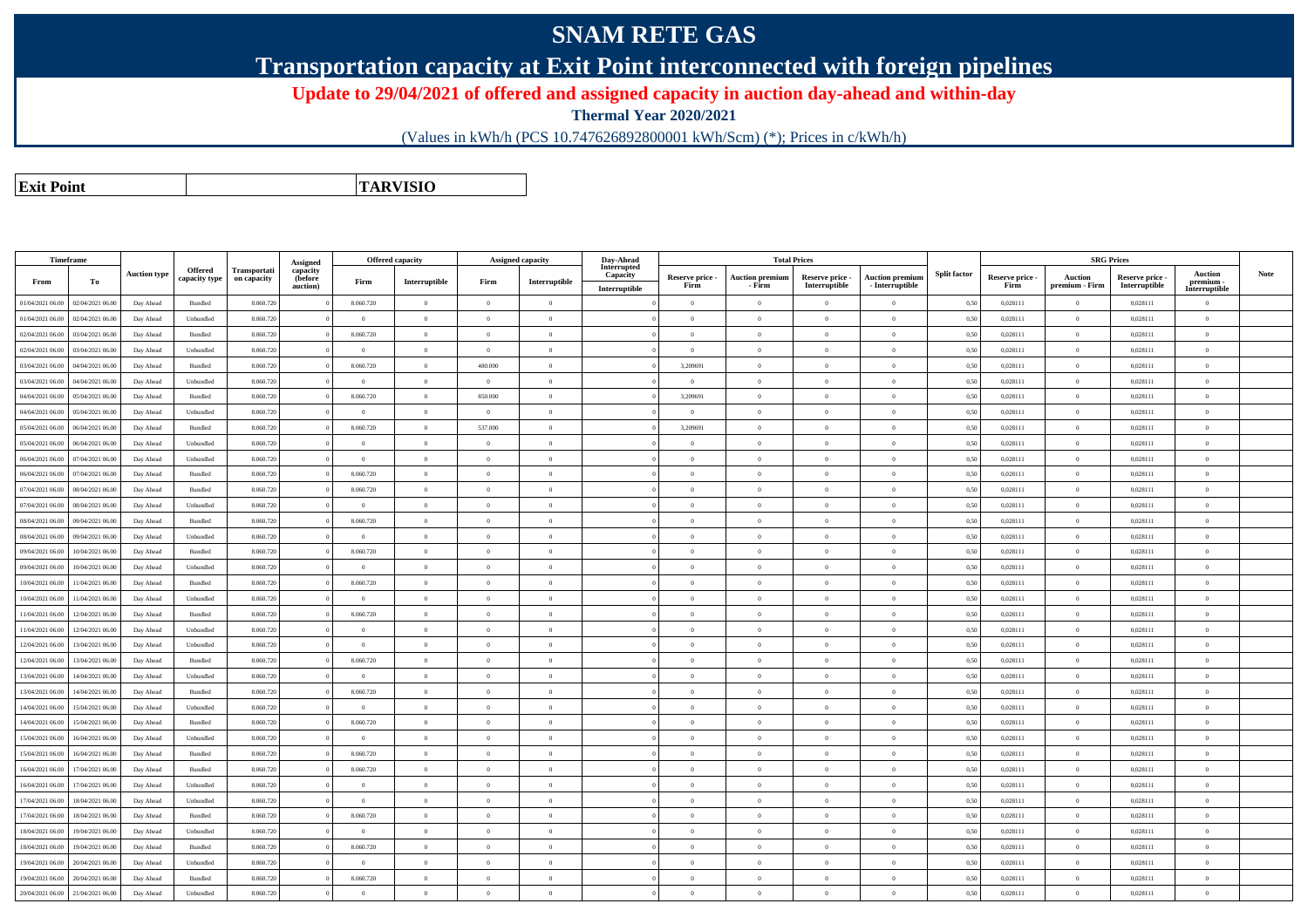## **SNAM RETE GAS**

**Transportation capacity at Exit Point interconnected with foreign pipelines**

**Update to 29/04/2021 of offered and assigned capacity in auction day-ahead and within-day**

**Thermal Year 2020/2021**

(Values in kWh/h (PCS 10.747626892800001 kWh/Scm) (\*); Prices in c/kWh/h)

**Exit PointTARVISIO**

|                  | Timeframe        |                     |                                 |                                    | Assigned                        |                | <b>Offered capacity</b> |                | Assigned capacity | Day-Ahead<br>Interrupted  |                         |                                  | <b>Total Prices</b>              |                                           |                     |                         | <b>SRG Prices</b>                |                                  |                                                                     |      |
|------------------|------------------|---------------------|---------------------------------|------------------------------------|---------------------------------|----------------|-------------------------|----------------|-------------------|---------------------------|-------------------------|----------------------------------|----------------------------------|-------------------------------------------|---------------------|-------------------------|----------------------------------|----------------------------------|---------------------------------------------------------------------|------|
| From             | То               | <b>Auction type</b> | <b>Offered</b><br>capacity type | <b>Transportati</b><br>on capacity | capacity<br>(before<br>auction) | Firm           | Interruptible           | Firm           | Interruptible     | Capacity<br>Interruptible | Reserve price -<br>Firm | <b>Auction premium</b><br>- Firm | Reserve price -<br>Interruptible | <b>Auction premium</b><br>- Interruptible | <b>Split factor</b> | Reserve price -<br>Firm | <b>Auction</b><br>premium - Firm | Reserve price -<br>Interruptible | Auction<br>premium -<br>$\label{prop:inter} \textbf{Interruptible}$ | Note |
| 01/04/2021 06:00 | 02/04/2021 06.00 | Day Ahead           | Bundled                         | 8.060.720                          |                                 | 8.060.720      | $\overline{0}$          | $\theta$       | $\overline{0}$    |                           | $\theta$                | $\theta$                         | $\Omega$                         | $\theta$                                  | 0,50                | 0,028111                | $\theta$                         | 0,028111                         | $\theta$                                                            |      |
| 01/04/2021 06:00 | 02/04/2021 06.00 | Day Ahead           | Unbundled                       | 8.060.720                          |                                 | $\mathbf{0}$   | $\theta$                | $\theta$       | $\overline{0}$    |                           | $\theta$                | $\mathbf{0}$                     | $\overline{0}$                   | $\mathbf{0}$                              | 0,50                | 0,028111                | $\theta$                         | 0,028111                         | $\bf{0}$                                                            |      |
| 02/04/2021 06:00 | 03/04/2021 06:00 | Day Ahead           | Bundled                         | 8.060.720                          |                                 | 8.060.720      | $\theta$                | $\Omega$       | $\Omega$          |                           | $\theta$                | $\mathbf{0}$                     | $\theta$                         | $\theta$                                  | 0,50                | 0,028111                | $\theta$                         | 0,028111                         | $\theta$                                                            |      |
| 02/04/2021 06:00 | 03/04/2021 06:00 | Day Ahead           | Unbundled                       | 8.060.720                          |                                 | $\Omega$       | $\Omega$                | $\Omega$       | $\Omega$          |                           | $\Omega$                | $\Omega$                         | $\Omega$                         | $\Omega$                                  | 0,50                | 0,028111                | $\Omega$                         | 0.028111                         | $\theta$                                                            |      |
| 03/04/2021 06:00 | 04/04/2021 06.00 | Day Ahead           | Bundled                         | 8.060.720                          |                                 | 8.060.720      | $\theta$                | 480,000        | $\Omega$          |                           | 3,209691                | $\overline{0}$                   | $\Omega$                         | $\Omega$                                  | 0,50                | 0,028111                | $\Omega$                         | 0,028111                         | $\theta$                                                            |      |
| 03/04/2021 06:00 | 04/04/2021 06.00 | Day Ahead           | Unbundled                       | 8.060.720                          |                                 | $\overline{0}$ | $\theta$                | $\sqrt{2}$     | $\overline{0}$    |                           | $\sqrt{2}$              | $\overline{0}$                   | $\overline{0}$                   | $\Omega$                                  | 0,50                | 0,028111                | $\theta$                         | 0,028111                         | $\theta$                                                            |      |
| 04/04/2021 06:00 | 05/04/2021 06.00 | Day Ahead           | Bundled                         | 8.060.720                          |                                 | 8.060.720      | $\,$ 0 $\,$             | 850.000        | $\overline{0}$    |                           | 3,209691                | $\bf{0}$                         | $\overline{0}$                   | $\theta$                                  | 0,50                | 0,028111                | $\overline{0}$                   | 0,028111                         | $\theta$                                                            |      |
| 04/04/2021 06:00 | 05/04/2021 06.00 | Day Ahead           | Unbundled                       | 8.060.720                          |                                 | $\theta$       | $\overline{0}$          | $\theta$       | $\overline{0}$    |                           | $\theta$                | $\overline{0}$                   | $\overline{0}$                   | $\mathbf{0}$                              | 0,50                | 0,028111                | $\theta$                         | 0,028111                         | $\mathbf{0}$                                                        |      |
| 05/04/2021 06:00 | 06/04/2021 06:00 | Day Ahead           | Bundled                         | 8.060.720                          |                                 | 8.060.720      | $\theta$                | 537.000        | $\Omega$          |                           | 3,209691                | $\theta$                         | $\overline{0}$                   | $\theta$                                  | 0,50                | 0,028111                | $\Omega$                         | 0,028111                         | $\theta$                                                            |      |
| 05/04/2021 06:00 | 06/04/2021 06:00 | Day Ahead           | Unbundled                       | 8.060.720                          |                                 | $\overline{0}$ | $\theta$                | $\theta$       | $\overline{0}$    |                           | $\theta$                | $\mathbf{0}$                     | $\overline{0}$                   | $\theta$                                  | 0,50                | 0,028111                | $\theta$                         | 0,028111                         | $\mathbf{0}$                                                        |      |
| 06/04/2021 06:00 | 07/04/2021 06:00 | Day Ahead           | Unbundled                       | 8.060.720                          |                                 | $\overline{0}$ | $\overline{0}$          | $\overline{0}$ | $\Omega$          |                           | $\theta$                | $\theta$                         | $\theta$                         | $\theta$                                  | 0,50                | 0.028111                | $\theta$                         | 0.028111                         | $\mathbf{0}$                                                        |      |
| 06/04/2021 06:00 | 07/04/2021 06.00 | Day Ahead           | Bundled                         | 8.060.720                          |                                 | 8.060.720      | $\theta$                | $\Omega$       | $\Omega$          |                           | $\theta$                | $\overline{0}$                   | $\overline{0}$                   | $\theta$                                  | 0,50                | 0,028111                | $\overline{0}$                   | 0.028111                         | $\theta$                                                            |      |
| 07/04/2021 06:00 | 08/04/2021 06:00 | Day Ahead           | Bundled                         | 8.060.720                          |                                 | 8.060.720      | $\theta$                | $\sqrt{2}$     | $\overline{0}$    |                           | $\Omega$                | $\theta$                         | $\overline{0}$                   | $\Omega$                                  | 0,50                | 0,028111                | $\theta$                         | 0,028111                         | $\theta$                                                            |      |
| 07/04/2021 06:00 | 08/04/2021 06.00 | Day Ahead           | Unbundled                       | 8.060.720                          |                                 | $\Omega$       | $\theta$                | $\sqrt{2}$     | $\theta$          |                           | $\theta$                | $\overline{0}$                   | $\overline{0}$                   | $\Omega$                                  | 0,50                | 0,028111                | $\Omega$                         | 0,028111                         | $\theta$                                                            |      |
| 08/04/2021 06:00 | 09/04/2021 06.00 | Day Ahead           | Bundled                         | 8.060.720                          |                                 | 8.060.720      | $\overline{0}$          | $\theta$       | $\overline{0}$    |                           | $\Omega$                | $\overline{0}$                   | $\overline{0}$                   | $\theta$                                  | 0,50                | 0,028111                | $\theta$                         | 0,028111                         | $\theta$                                                            |      |
| 08/04/2021 06:00 | 09/04/2021 06.00 | Day Ahead           | Unbundled                       | 8.060.720                          |                                 | $\theta$       | $\theta$                | $\Omega$       | $\overline{0}$    |                           | $\theta$                | $\overline{0}$                   | $\overline{0}$                   | $\Omega$                                  | 0,50                | 0,028111                | $\theta$                         | 0,028111                         | $\theta$                                                            |      |
| 09/04/2021 06:00 | 10/04/2021 06:00 | Day Ahead           | Bundled                         | 8.060.720                          |                                 | 8.060.720      | $\overline{0}$          | $\overline{0}$ | $\overline{0}$    |                           | $\overline{0}$          | $\overline{0}$                   | $\overline{0}$                   | $\theta$                                  | 0,50                | 0,028111                | $\theta$                         | 0,028111                         | $\mathbf{0}$                                                        |      |
| 09/04/2021 06:00 | 10/04/2021 06:00 | Day Ahead           | Unbundled                       | 8.060.720                          |                                 | $\theta$       | $\overline{0}$          | $\theta$       | $\theta$          |                           |                         | $\theta$                         | $\overline{0}$                   | $\theta$                                  | 0,50                | 0,028111                | $\theta$                         | 0,028111                         | $\theta$                                                            |      |
| 10/04/2021 06:00 | 11/04/2021 06:00 | Day Ahead           | Bundled                         | 8.060.720                          |                                 | 8.060.720      | $\overline{0}$          | $\overline{0}$ | $\overline{0}$    |                           | $\Omega$                | $\overline{0}$                   | $\theta$                         | $\theta$                                  | 0,50                | 0,028111                | $\overline{0}$                   | 0,028111                         | $\mathbf{0}$                                                        |      |
| 10/04/2021 06:00 | 11/04/2021 06:00 | Day Ahead           | Unbundled                       | 8.060.720                          |                                 | $\theta$       | $\overline{0}$          | $\theta$       | $\Omega$          |                           | $\Omega$                | $\theta$                         | $\theta$                         | $\Omega$                                  | 0,50                | 0,028111                | $\theta$                         | 0,028111                         | $\theta$                                                            |      |
| 11/04/2021 06:00 | 12/04/2021 06:00 | Day Ahead           | Bundled                         | 8.060.720                          |                                 | 8.060.720      | $\overline{0}$          | $\Omega$       | $\Omega$          |                           | $\theta$                | $\theta$                         | $\theta$                         | $\Omega$                                  | 0,50                | 0,028111                | $\overline{0}$                   | 0.028111                         | $\Omega$                                                            |      |
| 11/04/2021 06:00 | 12/04/2021 06:00 | Day Ahead           | Unbundled                       | 8.060.720                          |                                 | $\Omega$       | $\theta$                | $\theta$       | $\Omega$          |                           | $\theta$                | $\theta$                         | $\Omega$                         | $\Omega$                                  | 0,50                | 0,028111                | $\Omega$                         | 0,028111                         | $\theta$                                                            |      |
| 12/04/2021 06:00 | 13/04/2021 06.00 | Day Ahead           | Unbundled                       | 8.060.720                          |                                 | $\theta$       | $\,$ 0 $\,$             | $\theta$       | $\overline{0}$    |                           | $\theta$                | $\overline{0}$                   | $\overline{0}$                   | $\mathbf{0}$                              | 0,50                | 0,028111                | $\theta$                         | 0,028111                         | $\theta$                                                            |      |
| 12/04/2021 06:00 | 13/04/2021 06:00 | Day Ahead           | Bundled                         | 8.060.720                          |                                 | 8.060.720      | $\overline{0}$          | $\theta$       | $\overline{0}$    |                           | $\theta$                | $\overline{0}$                   | $\overline{0}$                   | $\theta$                                  | 0,50                | 0,028111                | $\theta$                         | 0,028111                         | $\mathbf{0}$                                                        |      |
| 13/04/2021 06:00 | 14/04/2021 06.00 | Day Ahead           | Unbundled                       | 8.060.720                          |                                 | $\overline{0}$ | $\theta$                | $\theta$       | $\overline{0}$    |                           | $\theta$                | $\overline{0}$                   | $\overline{0}$                   | $\Omega$                                  | 0,50                | 0,028111                | $\theta$                         | 0,028111                         | $\theta$                                                            |      |
| 13/04/2021 06:00 | 14/04/2021 06:00 | Day Ahead           | Bundled                         | 8.060.720                          |                                 | 8.060.720      | $\overline{0}$          | $\Omega$       | $\overline{0}$    |                           | $\theta$                | $\theta$                         | $\Omega$                         | $\theta$                                  | 0,50                | 0,028111                | $\theta$                         | 0,028111                         | $\bf{0}$                                                            |      |
| 14/04/2021 06:00 | 15/04/2021 06:00 | Day Ahead           | Unbundled                       | 8.060.720                          |                                 | $\theta$       | $\theta$                |                | $\theta$          |                           |                         | $\theta$                         | $\theta$                         | $\theta$                                  | 0.50                | 0.028111                | $\theta$                         | 0.028111                         | $\theta$                                                            |      |
| 14/04/2021 06:00 | 15/04/2021 06:00 | Day Ahead           | Bundled                         | 8.060.720                          |                                 | 8.060.720      | $\,$ 0 $\,$             | $\overline{0}$ | $\overline{0}$    |                           | $\theta$                | $\overline{0}$                   | $\overline{0}$                   | $\theta$                                  | 0,50                | 0,028111                | $\theta$                         | 0,028111                         | $\theta$                                                            |      |
| 15/04/2021 06:00 | 16/04/2021 06:00 | Day Ahead           | Unbundled                       | 8.060.720                          |                                 | $\overline{0}$ | $\overline{0}$          | $\theta$       | $\overline{0}$    |                           | $\Omega$                | $\theta$                         | $\Omega$                         | $\Omega$                                  | 0,50                | 0,028111                | $\theta$                         | 0,028111                         | $\bf{0}$                                                            |      |
| 15/04/2021 06:00 | 16/04/2021 06.00 | Day Ahead           | Bundled                         | 8.060.720                          |                                 | 8.060.720      | $\theta$                | $\Omega$       | $\Omega$          |                           | $\Omega$                | $\Omega$                         | $\Omega$                         | $\Omega$                                  | 0,50                | 0,028111                | $\overline{0}$                   | 0,028111                         | $\Omega$                                                            |      |
| 16/04/2021 06:00 | 17/04/2021 06.00 | Day Ahead           | Bundled                         | 8.060.720                          |                                 | 8.060.720      | $\overline{0}$          | $\sqrt{2}$     | $\overline{0}$    |                           | $\Omega$                | $\theta$                         | $\overline{0}$                   | $\Omega$                                  | 0,50                | 0,028111                | $\theta$                         | 0,028111                         | $\Omega$                                                            |      |
| 16/04/2021 06:00 | 17/04/2021 06.00 | Day Ahead           | Unbundled                       | 8.060.72                           |                                 | $\Omega$       | $\theta$                | $\theta$       | $\overline{0}$    |                           | $\theta$                | $\overline{0}$                   | $\overline{0}$                   | $\Omega$                                  | 0,50                | 0,028111                | $\Omega$                         | 0,028111                         | $\Omega$                                                            |      |
| 17/04/2021 06:00 | 18/04/2021 06:00 | Day Ahead           | Unbundled                       | 8.060.720                          |                                 | $\overline{0}$ | $\overline{0}$          | $\overline{0}$ | $\overline{0}$    |                           | $\overline{0}$          | $\overline{0}$                   | $\overline{0}$                   | $\theta$                                  | 0,50                | 0,028111                | $\theta$                         | 0,028111                         | $\mathbf{0}$                                                        |      |
| 17/04/2021 06:00 | 18/04/2021 06:00 | Day Ahead           | Bundled                         | 8.060.720                          |                                 | 8.060.720      | $\theta$                | $\theta$       | $\overline{0}$    |                           | $\theta$                | $\overline{0}$                   | $\overline{0}$                   | $\theta$                                  | 0,50                | 0,028111                | $\theta$                         | 0,028111                         | $\mathbf{0}$                                                        |      |
| 18/04/2021 06:00 | 19/04/2021 06:00 | Day Ahead           | Unbundled                       | 8.060.720                          |                                 | $\overline{0}$ | $\overline{0}$          | $\theta$       | $\overline{0}$    |                           | $\theta$                | $\overline{0}$                   | $\overline{0}$                   | $\theta$                                  | 0,50                | 0,028111                | $\overline{0}$                   | 0,028111                         | $\bf{0}$                                                            |      |
| 18/04/2021 06:00 | 19/04/2021 06:00 | Day Ahead           | Bundled                         | 8.060.720                          |                                 | 8.060.720      | $\theta$                | $\Omega$       | $\theta$          |                           | $\Omega$                | $\Omega$                         | $\theta$                         | $\Omega$                                  | 0,50                | 0.028111                | $\theta$                         | 0.028111                         | $\Omega$                                                            |      |
| 19/04/2021 06:00 | 20/04/2021 06.00 | Day Ahead           | Unbundled                       | 8.060.720                          |                                 | $\theta$       | $\theta$                | $\theta$       | $\Omega$          |                           | $\Omega$                | $\theta$                         | $\overline{0}$                   | $\Omega$                                  | 0,50                | 0,028111                | $\overline{0}$                   | 0,028111                         | $\theta$                                                            |      |
| 19/04/2021 06:00 | 20/04/2021 06:00 | Day Ahead           | Bundled                         | 8.060.720                          |                                 | 8.060.720      | $\overline{0}$          | $\theta$       | $\overline{0}$    |                           | $\Omega$                | $\overline{0}$                   | $\overline{0}$                   | $\mathbf{0}$                              | 0,50                | 0,028111                | $\theta$                         | 0,028111                         | $\bf{0}$                                                            |      |
| 20/04/2021 06:00 | 21/04/2021 06.00 | Day Ahead           | Unbundled                       | 8.060.720                          |                                 | $\theta$       | $\theta$                | $\Omega$       | $\Omega$          |                           | $\Omega$                | $\Omega$                         | $\theta$                         | $\theta$                                  | 0,50                | 0,028111                | $\theta$                         | 0,028111                         | $\theta$                                                            |      |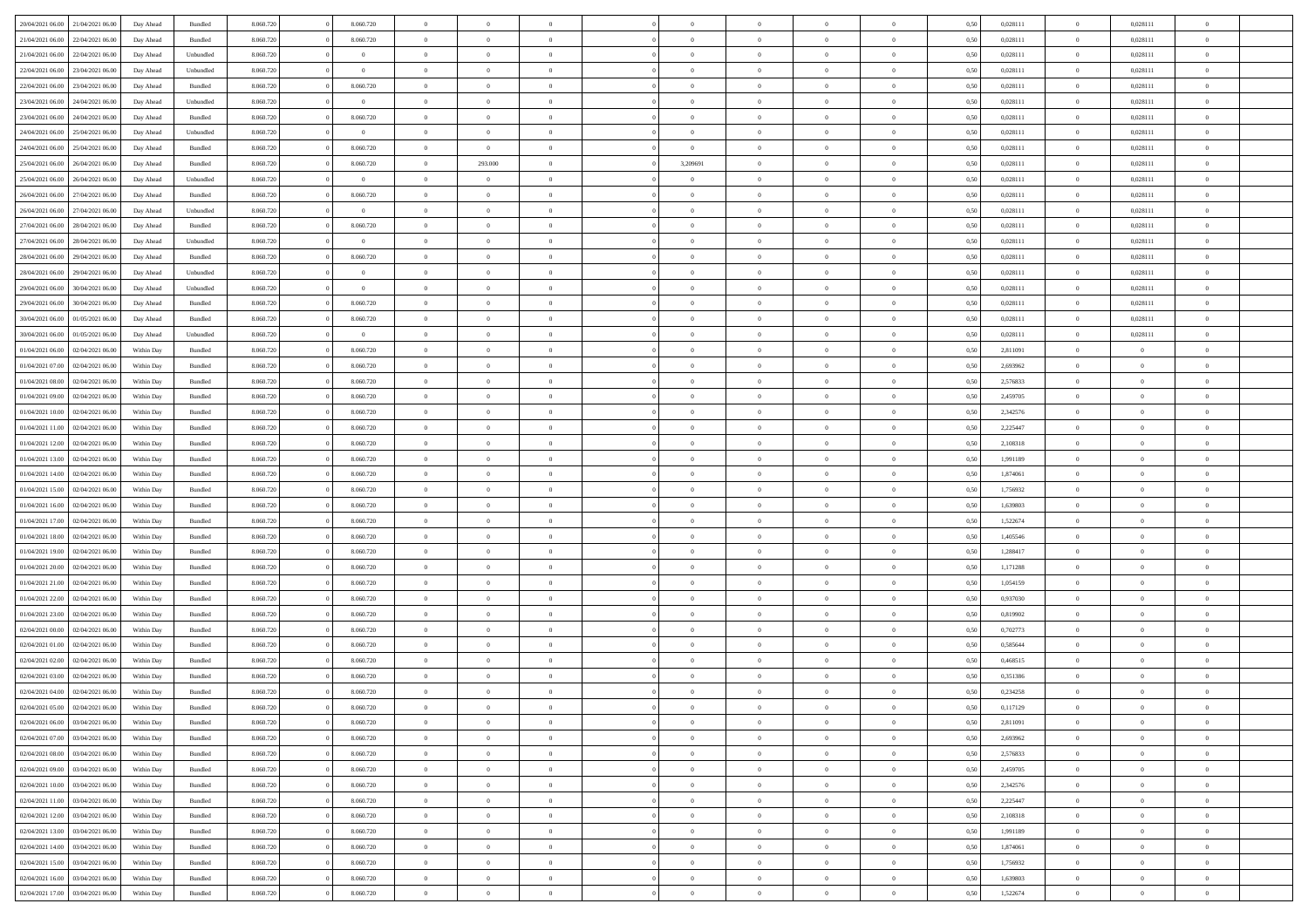| 20/04/2021 06:00<br>21/04/2021 06:00 | Day Ahead  | Bundled   | 8.060.720 | 8.060.720      | $\overline{0}$ | $\Omega$       |                | $\Omega$       | $\Omega$       | $\Omega$       | $\theta$       | 0.50 | 0,028111 | $\theta$       | 0,028111       | $\theta$       |  |
|--------------------------------------|------------|-----------|-----------|----------------|----------------|----------------|----------------|----------------|----------------|----------------|----------------|------|----------|----------------|----------------|----------------|--|
| 21/04/2021 06:00<br>22/04/2021 06.00 | Day Ahead  | Bundled   | 8.060.720 | 8.060.720      | $\overline{0}$ | $\theta$       | $\overline{0}$ | $\overline{0}$ | $\bf{0}$       | $\overline{0}$ | $\bf{0}$       | 0,50 | 0,028111 | $\theta$       | 0,028111       | $\overline{0}$ |  |
| 21/04/2021 06:00<br>22/04/2021 06:00 | Day Ahead  | Unbundled | 8.060.720 | $\bf{0}$       | $\overline{0}$ | $\overline{0}$ | $\overline{0}$ | $\bf{0}$       | $\bf{0}$       | $\bf{0}$       | $\bf{0}$       | 0,50 | 0,028111 | $\overline{0}$ | 0,028111       | $\overline{0}$ |  |
| 22/04/2021 06:00<br>23/04/2021 06:00 | Day Ahead  | Unbundled | 8.060.720 | $\overline{0}$ | $\overline{0}$ | $\overline{0}$ | $\overline{0}$ | $\overline{0}$ | $\bf{0}$       | $\overline{0}$ | $\overline{0}$ | 0.50 | 0.028111 | $\overline{0}$ | 0,028111       | $\overline{0}$ |  |
|                                      |            |           |           |                | $\overline{0}$ | $\theta$       |                |                |                |                |                |      |          |                |                |                |  |
| 22/04/2021 06:00<br>23/04/2021 06:00 | Day Ahead  | Bundled   | 8.060.720 | 8.060.720      |                |                | $\overline{0}$ | $\overline{0}$ | $\bf{0}$       | $\overline{0}$ | $\bf{0}$       | 0,50 | 0,028111 | $\,$ 0 $\,$    | 0,028111       | $\overline{0}$ |  |
| 23/04/2021 06:00<br>24/04/2021 06.00 | Day Ahead  | Unbundled | 8.060.720 | $\bf{0}$       | $\overline{0}$ | $\bf{0}$       | $\overline{0}$ | $\bf{0}$       | $\overline{0}$ | $\overline{0}$ | $\mathbf{0}$   | 0,50 | 0,028111 | $\overline{0}$ | 0,028111       | $\bf{0}$       |  |
| 23/04/2021 06:00<br>24/04/2021 06.00 | Day Ahead  | Bundled   | 8.060.720 | 8.060.720      | $\overline{0}$ | $\overline{0}$ | $\overline{0}$ | $\overline{0}$ | $\bf{0}$       | $\overline{0}$ | $\overline{0}$ | 0.50 | 0,028111 | $\overline{0}$ | 0,028111       | $\overline{0}$ |  |
| 24/04/2021 06.00<br>25/04/2021 06:00 | Day Ahead  | Unbundled | 8.060.720 | $\theta$       | $\overline{0}$ | $\theta$       | $\overline{0}$ | $\overline{0}$ | $\bf{0}$       | $\overline{0}$ | $\bf{0}$       | 0,50 | 0,028111 | $\,$ 0 $\,$    | 0,028111       | $\overline{0}$ |  |
| 24/04/2021 06:00<br>25/04/2021 06:00 | Day Ahead  | Bundled   | 8.060.720 | 8.060.720      | $\overline{0}$ | $\overline{0}$ | $\overline{0}$ | $\bf{0}$       | $\bf{0}$       | $\bf{0}$       | $\bf{0}$       | 0,50 | 0,028111 | $\overline{0}$ | 0,028111       | $\overline{0}$ |  |
| 25/04/2021 06:00<br>26/04/2021 06:00 | Day Ahead  | Bundled   | 8.060.720 | 8.060.720      | $\overline{0}$ | 293.000        | $\overline{0}$ | 3,209691       | $\overline{0}$ | $\overline{0}$ | $\overline{0}$ | 0.50 | 0,028111 | $\overline{0}$ | 0,028111       | $\overline{0}$ |  |
|                                      |            |           |           |                |                |                |                |                |                |                |                |      |          |                |                |                |  |
| 25/04/2021 06:00<br>26/04/2021 06:00 | Day Ahead  | Unbundled | 8.060.720 | $\overline{0}$ | $\overline{0}$ | $\theta$       | $\overline{0}$ | $\overline{0}$ | $\bf{0}$       | $\overline{0}$ | $\bf{0}$       | 0,50 | 0,028111 | $\,$ 0 $\,$    | 0,028111       | $\overline{0}$ |  |
| 26/04/2021 06:00<br>27/04/2021 06:00 | Day Ahead  | Bundled   | 8.060.720 | 8.060.720      | $\overline{0}$ | $\overline{0}$ | $\overline{0}$ | $\bf{0}$       | $\bf{0}$       | $\bf{0}$       | $\bf{0}$       | 0,50 | 0,028111 | $\overline{0}$ | 0,028111       | $\overline{0}$ |  |
| 26/04/2021 06:00<br>27/04/2021 06:00 | Day Ahead  | Unbundled | 8.060.720 | $\overline{0}$ | $\overline{0}$ | $\overline{0}$ | $\overline{0}$ | $\overline{0}$ | $\bf{0}$       | $\overline{0}$ | $\overline{0}$ | 0.50 | 0,028111 | $\overline{0}$ | 0.028111       | $\overline{0}$ |  |
| 27/04/2021 06:00<br>28/04/2021 06:00 | Day Ahead  | Bundled   | 8.060.720 | 8.060.720      | $\overline{0}$ | $\theta$       | $\overline{0}$ | $\overline{0}$ | $\bf{0}$       | $\overline{0}$ | $\overline{0}$ | 0,50 | 0,028111 | $\,$ 0 $\,$    | 0,028111       | $\overline{0}$ |  |
| 27/04/2021 06:00<br>28/04/2021 06:00 | Day Ahead  | Unbundled | 8.060.720 | $\bf{0}$       | $\overline{0}$ | $\overline{0}$ | $\overline{0}$ | $\bf{0}$       | $\bf{0}$       | $\overline{0}$ | $\mathbf{0}$   | 0,50 | 0,028111 | $\overline{0}$ | 0,028111       | $\bf{0}$       |  |
| 28/04/2021 06:00<br>29/04/2021 06.00 | Day Ahead  | Bundled   | 8.060.720 | 8.060.720      | $\overline{0}$ | $\overline{0}$ | $\overline{0}$ | $\overline{0}$ | $\overline{0}$ | $\overline{0}$ | $\overline{0}$ | 0.50 | 0,028111 | $\overline{0}$ | 0,028111       | $\overline{0}$ |  |
| 28/04/2021 06:00<br>29/04/2021 06.00 | Day Ahead  | Unbundled | 8.060.720 | $\theta$       | $\overline{0}$ | $\theta$       | $\overline{0}$ | $\overline{0}$ | $\bf{0}$       | $\overline{0}$ | $\bf{0}$       | 0,50 | 0,028111 | $\,0\,$        | 0,028111       | $\overline{0}$ |  |
| 29/04/2021 06:00<br>30/04/2021 06:00 | Day Ahead  | Unbundled | 8.060.720 | $\bf{0}$       | $\overline{0}$ | $\overline{0}$ | $\overline{0}$ | $\bf{0}$       | $\bf{0}$       | $\bf{0}$       | $\bf{0}$       | 0,50 | 0,028111 | $\bf{0}$       | 0,028111       | $\overline{0}$ |  |
|                                      |            |           |           |                |                | $\overline{0}$ |                |                | $\overline{0}$ |                |                |      |          | $\overline{0}$ |                | $\overline{0}$ |  |
| 29/04/2021 06:00<br>30/04/2021 06:00 | Day Ahead  | Bundled   | 8.060.720 | 8.060.720      | $\overline{0}$ |                | $\overline{0}$ | $\overline{0}$ |                | $\overline{0}$ | $\overline{0}$ | 0.50 | 0,028111 |                | 0,028111       |                |  |
| 30/04/2021 06:00<br>01/05/2021 06:00 | Day Ahead  | Bundled   | 8.060.720 | 8.060.720      | $\overline{0}$ | $\theta$       | $\overline{0}$ | $\overline{0}$ | $\bf{0}$       | $\overline{0}$ | $\bf{0}$       | 0,50 | 0,028111 | $\,$ 0 $\,$    | 0,028111       | $\overline{0}$ |  |
| 30/04/2021 06:00<br>01/05/2021 06:00 | Day Ahead  | Unbundled | 8.060.720 | $\bf{0}$       | $\overline{0}$ | $\overline{0}$ | $\overline{0}$ | $\bf{0}$       | $\bf{0}$       | $\bf{0}$       | $\bf{0}$       | 0,50 | 0,028111 | $\bf{0}$       | 0,028111       | $\overline{0}$ |  |
| 01/04/2021 06:00<br>02/04/2021 06:00 | Within Dav | Bundled   | 8.060.720 | 8.060.720      | $\overline{0}$ | $\overline{0}$ | $\overline{0}$ | $\overline{0}$ | $\bf{0}$       | $\overline{0}$ | $\overline{0}$ | 0.50 | 2,811091 | $\theta$       | $\overline{0}$ | $\overline{0}$ |  |
| 01/04/2021 07:00<br>02/04/2021 06:00 | Within Day | Bundled   | 8.060.720 | 8.060.720      | $\overline{0}$ | $\theta$       | $\overline{0}$ | $\overline{0}$ | $\bf{0}$       | $\overline{0}$ | $\bf{0}$       | 0,50 | 2,693962 | $\theta$       | $\overline{0}$ | $\overline{0}$ |  |
| 01/04/2021 08:00<br>02/04/2021 06:00 | Within Day | Bundled   | 8.060.720 | 8.060.720      | $\overline{0}$ | $\bf{0}$       | $\overline{0}$ | $\bf{0}$       | $\overline{0}$ | $\overline{0}$ | $\mathbf{0}$   | 0,50 | 2,576833 | $\bf{0}$       | $\overline{0}$ | $\bf{0}$       |  |
| 01/04/2021 09:00<br>02/04/2021 06:00 | Within Dav | Bundled   | 8.060.720 | 8.060.720      | $\overline{0}$ | $\overline{0}$ | $\overline{0}$ | $\overline{0}$ | $\overline{0}$ | $\overline{0}$ | $\overline{0}$ | 0.50 | 2,459705 | $\theta$       | $\theta$       | $\overline{0}$ |  |
|                                      |            |           |           |                |                |                |                |                |                |                |                |      |          |                |                |                |  |
| 01/04/2021 10:00<br>02/04/2021 06:00 | Within Day | Bundled   | 8.060.720 | 8.060.720      | $\overline{0}$ | $\theta$       | $\overline{0}$ | $\overline{0}$ | $\bf{0}$       | $\overline{0}$ | $\bf{0}$       | 0,50 | 2,342576 | $\theta$       | $\theta$       | $\overline{0}$ |  |
| 01/04/2021 11:00<br>02/04/2021 06.00 | Within Day | Bundled   | 8.060.720 | 8.060.720      | $\overline{0}$ | $\overline{0}$ | $\overline{0}$ | $\bf{0}$       | $\bf{0}$       | $\bf{0}$       | $\bf{0}$       | 0,50 | 2,225447 | $\,0\,$        | $\overline{0}$ | $\overline{0}$ |  |
| 01/04/2021 12:00<br>02/04/2021 06:00 | Within Day | Bundled   | 8.060.720 | 8.060.720      | $\overline{0}$ | $\overline{0}$ | $\overline{0}$ | $\overline{0}$ | $\overline{0}$ | $\overline{0}$ | $\overline{0}$ | 0.50 | 2,108318 | $\theta$       | $\overline{0}$ | $\overline{0}$ |  |
| 01/04/2021 13:00<br>02/04/2021 06:00 | Within Day | Bundled   | 8.060.720 | 8.060.720      | $\overline{0}$ | $\theta$       | $\overline{0}$ | $\overline{0}$ | $\bf{0}$       | $\overline{0}$ | $\bf{0}$       | 0,50 | 1,991189 | $\,$ 0 $\,$    | $\theta$       | $\overline{0}$ |  |
| 01/04/2021 14:00<br>02/04/2021 06:00 | Within Day | Bundled   | 8.060.720 | 8.060.720      | $\overline{0}$ | $\overline{0}$ | $\overline{0}$ | $\bf{0}$       | $\bf{0}$       | $\bf{0}$       | $\bf{0}$       | 0,50 | 1,874061 | $\bf{0}$       | $\overline{0}$ | $\overline{0}$ |  |
| 01/04/2021 15:00<br>02/04/2021 06.00 | Within Day | Bundled   | 8.060.720 | 8.060.720      | $\overline{0}$ | $\Omega$       | $\Omega$       | $\Omega$       | $\Omega$       | $\Omega$       | $\overline{0}$ | 0.50 | 1,756932 | $\,0\,$        | $\Omega$       | $\theta$       |  |
| 01/04/2021 16:00<br>02/04/2021 06:00 | Within Day | Bundled   | 8.060.720 | 8.060.720      | $\overline{0}$ | $\theta$       | $\overline{0}$ | $\overline{0}$ | $\bf{0}$       | $\overline{0}$ | $\bf{0}$       | 0,50 | 1,639803 | $\theta$       | $\theta$       | $\overline{0}$ |  |
|                                      |            |           |           |                |                |                |                |                |                |                |                |      |          |                |                |                |  |
| 01/04/2021 17:00<br>02/04/2021 06:00 | Within Day | Bundled   | 8.060.720 | 8.060.720      | $\overline{0}$ | $\overline{0}$ | $\overline{0}$ | $\bf{0}$       | $\bf{0}$       | $\overline{0}$ | $\mathbf{0}$   | 0,50 | 1,522674 | $\bf{0}$       | $\overline{0}$ | $\bf{0}$       |  |
| 01/04/2021 18:00<br>02/04/2021 06:00 | Within Day | Bundled   | 8.060.720 | 8.060.720      | $\overline{0}$ | $\Omega$       | $\Omega$       | $\Omega$       | $\Omega$       | $\Omega$       | $\overline{0}$ | 0.50 | 1,405546 | $\,0\,$        | $\theta$       | $\theta$       |  |
| 01/04/2021 19:00<br>02/04/2021 06:00 | Within Day | Bundled   | 8.060.720 | 8.060.720      | $\overline{0}$ | $\theta$       | $\overline{0}$ | $\overline{0}$ | $\bf{0}$       | $\overline{0}$ | $\bf{0}$       | 0,50 | 1,288417 | $\,$ 0 $\,$    | $\theta$       | $\overline{0}$ |  |
| 01/04/2021 20.00<br>02/04/2021 06.00 | Within Day | Bundled   | 8.060.720 | 8.060.720      | $\overline{0}$ | $\overline{0}$ | $\overline{0}$ | $\bf{0}$       | $\bf{0}$       | $\bf{0}$       | $\bf{0}$       | 0,50 | 1,171288 | $\bf{0}$       | $\overline{0}$ | $\overline{0}$ |  |
| 01/04/2021 21:00<br>02/04/2021 06:00 | Within Day | Bundled   | 8.060.720 | 8.060.720      | $\overline{0}$ | $\Omega$       | $\Omega$       | $\Omega$       | $\Omega$       | $\theta$       | $\overline{0}$ | 0.50 | 1.054159 | $\theta$       | $\theta$       | $\theta$       |  |
| 01/04/2021 22.00<br>02/04/2021 06:00 | Within Day | Bundled   | 8.060.720 | 8.060.720      | $\overline{0}$ | $\theta$       | $\overline{0}$ | $\overline{0}$ | $\bf{0}$       | $\overline{0}$ | $\bf{0}$       | 0,50 | 0,937030 | $\,$ 0 $\,$    | $\overline{0}$ | $\overline{0}$ |  |
| 01/04/2021 23.00<br>02/04/2021 06:00 | Within Day | Bundled   | 8.060.720 | 8.060.720      | $\overline{0}$ | $\overline{0}$ | $\overline{0}$ | $\bf{0}$       | $\bf{0}$       | $\bf{0}$       | $\bf{0}$       | 0,50 | 0,819902 | $\bf{0}$       | $\overline{0}$ | $\overline{0}$ |  |
|                                      |            |           |           |                | $\overline{0}$ | $\Omega$       | $\Omega$       | $\Omega$       | $\Omega$       |                |                |      |          |                |                | $\theta$       |  |
| 02/04/2021 00:00<br>02/04/2021 06.00 | Within Day | Bundled   | 8.060.720 | 8.060.720      |                |                |                |                |                | $\overline{0}$ | $\overline{0}$ | 0.50 | 0,702773 | $\,0\,$        | $\theta$       |                |  |
| 02/04/2021 01:00<br>02/04/2021 06:00 | Within Day | Bundled   | 8.060.720 | 8.060.720      | $\overline{0}$ | $\theta$       | $\overline{0}$ | $\overline{0}$ | $\bf{0}$       | $\overline{0}$ | $\bf{0}$       | 0,50 | 0,585644 | $\,$ 0 $\,$    | $\overline{0}$ | $\overline{0}$ |  |
| 02/04/2021 02:00<br>02/04/2021 06.00 | Within Day | Bundled   | 8.060.720 | 8.060.720      | $\overline{0}$ | $\overline{0}$ | $\overline{0}$ | $\bf{0}$       | $\bf{0}$       | $\bf{0}$       | $\mathbf{0}$   | 0,50 | 0,468515 | $\overline{0}$ | $\overline{0}$ | $\bf{0}$       |  |
| 02/04/2021 03:00<br>02/04/2021 06:00 | Within Day | Bundled   | 8.060.720 | 8.060.720      | $\overline{0}$ | $\Omega$       | $\Omega$       | $\Omega$       | $\Omega$       | $\Omega$       | $\Omega$       | 0.50 | 0,351386 | $\theta$       | $\Omega$       | $\theta$       |  |
| 02/04/2021 04:00<br>02/04/2021 06:00 | Within Day | Bundled   | 8.060.720 | 8.060.720      | $\overline{0}$ | $\,$ 0 $\,$    | $\overline{0}$ | $\bf{0}$       | $\,$ 0         | $\bf{0}$       | $\bf{0}$       | 0,50 | 0,234258 | $\,0\,$        | $\overline{0}$ | $\overline{0}$ |  |
| 02/04/2021 05:00 02/04/2021 06:00    | Within Day | Bundled   | 8.060.720 | 8.060.720      | $\bf{0}$       | $\bf{0}$       |                |                |                |                |                | 0,50 | 0,117129 | $\bf{0}$       | $\overline{0}$ |                |  |
| 02/04/2021 06:00<br>03/04/2021 06:00 | Within Day | Bundled   | 8.060.720 | 8.060.720      | $\overline{0}$ | $\overline{0}$ | $\overline{0}$ | $\Omega$       | $\overline{0}$ | $\overline{0}$ | $\overline{0}$ | 0,50 | 2,811091 | $\theta$       | $\theta$       | $\theta$       |  |
| 02/04/2021 07:00<br>03/04/2021 06:00 | Within Day | Bundled   | 8.060.720 | 8.060.720      | $\overline{0}$ | $\,$ 0         | $\overline{0}$ | $\bf{0}$       | $\,$ 0 $\,$    | $\overline{0}$ | $\,$ 0 $\,$    | 0,50 | 2,693962 | $\,$ 0 $\,$    | $\,$ 0 $\,$    | $\,$ 0         |  |
| 02/04/2021 08:00<br>03/04/2021 06:00 | Within Day | Bundled   | 8.060.720 | 8.060.720      | $\overline{0}$ | $\overline{0}$ | $\overline{0}$ | $\overline{0}$ | $\overline{0}$ | $\overline{0}$ | $\mathbf{0}$   | 0,50 | 2,576833 | $\overline{0}$ | $\bf{0}$       | $\overline{0}$ |  |
|                                      |            |           |           |                |                |                |                |                |                |                |                |      |          |                |                |                |  |
| 02/04/2021 09:00<br>03/04/2021 06:00 | Within Day | Bundled   | 8.060.720 | 8.060.720      | $\overline{0}$ | $\overline{0}$ | $\overline{0}$ | $\Omega$       | $\overline{0}$ | $\overline{0}$ | $\overline{0}$ | 0,50 | 2,459705 | $\overline{0}$ | $\theta$       | $\overline{0}$ |  |
| 02/04/2021 10:00<br>03/04/2021 06:00 | Within Day | Bundled   | 8.060.720 | 8.060.720      | $\overline{0}$ | $\,$ 0         | $\overline{0}$ | $\overline{0}$ | $\,$ 0 $\,$    | $\overline{0}$ | $\mathbf{0}$   | 0,50 | 2,342576 | $\,$ 0 $\,$    | $\overline{0}$ | $\overline{0}$ |  |
| 02/04/2021 11:00<br>03/04/2021 06:00 | Within Day | Bundled   | 8.060.720 | 8.060.720      | $\overline{0}$ | $\overline{0}$ | $\overline{0}$ | $\overline{0}$ | $\overline{0}$ | $\overline{0}$ | $\mathbf{0}$   | 0,50 | 2,225447 | $\overline{0}$ | $\overline{0}$ | $\bf{0}$       |  |
| 02/04/2021 12:00<br>03/04/2021 06:00 | Within Day | Bundled   | 8.060.720 | 8.060.720      | $\overline{0}$ | $\overline{0}$ | $\overline{0}$ | $\overline{0}$ | $\overline{0}$ | $\overline{0}$ | $\bf{0}$       | 0.50 | 2,108318 | $\overline{0}$ | $\theta$       | $\overline{0}$ |  |
| 02/04/2021 13:00<br>03/04/2021 06:00 | Within Day | Bundled   | 8.060.720 | 8.060.720      | $\overline{0}$ | $\,$ 0         | $\overline{0}$ | $\bf{0}$       | $\bf{0}$       | $\bf{0}$       | $\bf{0}$       | 0,50 | 1,991189 | $\,$ 0 $\,$    | $\overline{0}$ | $\overline{0}$ |  |
| 02/04/2021 14:00<br>03/04/2021 06:00 | Within Day | Bundled   | 8.060.720 | 8.060.720      | $\overline{0}$ | $\bf{0}$       | $\overline{0}$ | $\overline{0}$ | $\overline{0}$ | $\overline{0}$ | $\mathbf{0}$   | 0,50 | 1,874061 | $\overline{0}$ | $\overline{0}$ | $\bf{0}$       |  |
| 02/04/2021 15:00<br>03/04/2021 06:00 | Within Day | Bundled   | 8.060.720 | 8.060.720      | $\overline{0}$ | $\overline{0}$ | $\overline{0}$ | $\Omega$       | $\overline{0}$ | $\overline{0}$ | $\overline{0}$ | 0.50 | 1,756932 | $\overline{0}$ | $\overline{0}$ | $\overline{0}$ |  |
|                                      |            |           |           |                |                |                |                |                |                |                |                |      |          |                |                |                |  |
| 02/04/2021 16:00<br>03/04/2021 06:00 | Within Day | Bundled   | 8.060.720 | 8.060.720      | $\overline{0}$ | $\bf{0}$       | $\overline{0}$ | $\bf{0}$       | $\bf{0}$       | $\bf{0}$       | $\mathbf{0}$   | 0,50 | 1,639803 | $\,$ 0 $\,$    | $\,$ 0 $\,$    | $\bf{0}$       |  |
| 02/04/2021 17:00<br>03/04/2021 06:00 | Within Day | Bundled   | 8.060.720 | 8.060.720      | $\overline{0}$ | $\overline{0}$ | $\overline{0}$ | $\overline{0}$ | $\overline{0}$ | $\bf{0}$       | $\mathbf{0}$   | 0,50 | 1,522674 | $\overline{0}$ | $\bf{0}$       | $\overline{0}$ |  |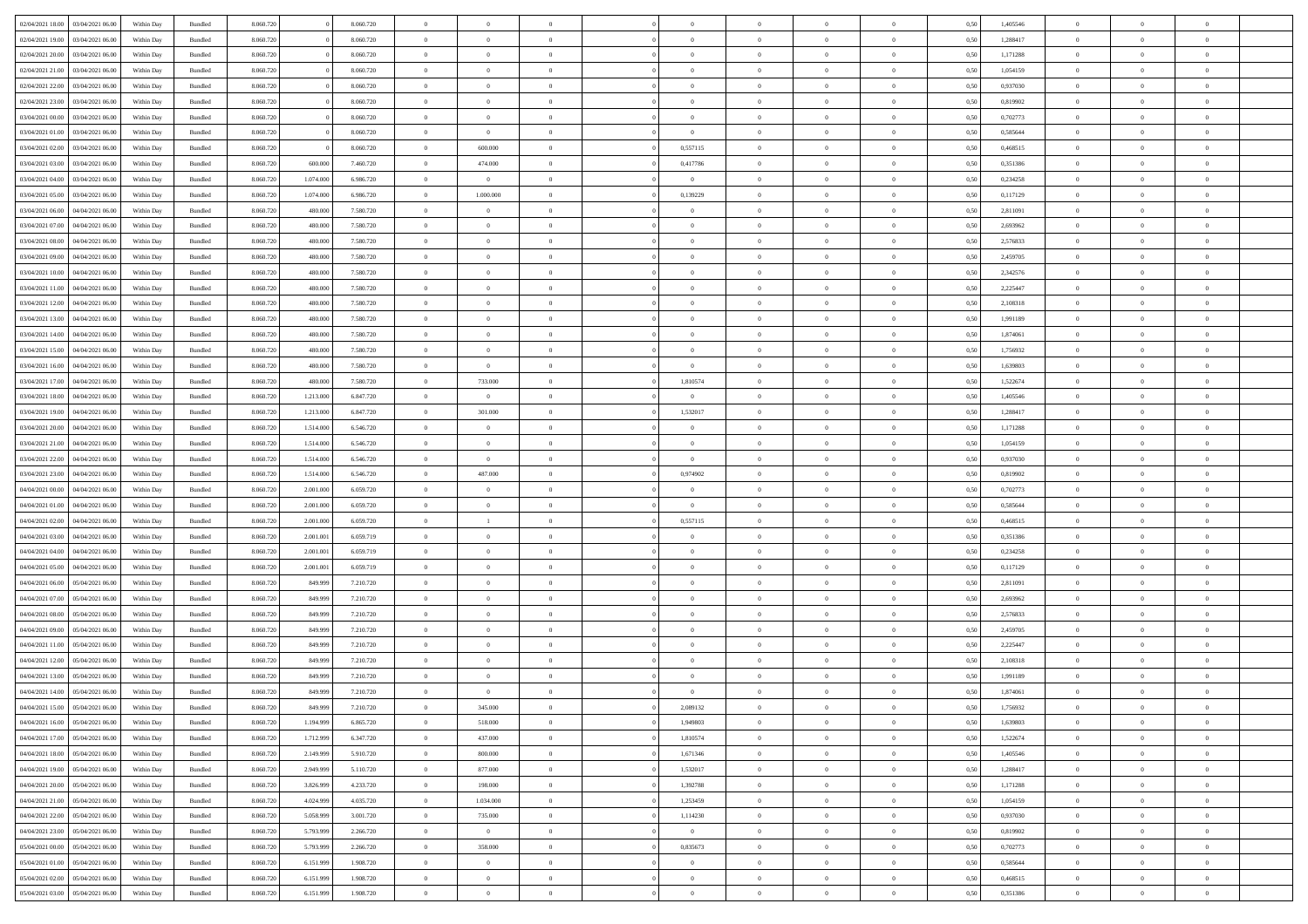| 02/04/2021 18:00                   | 03/04/2021 06:00 | Within Day | Bundled | 8.060.720 |           | 8.060.720 | $\overline{0}$ | $\theta$       |                |                | $\Omega$       | $\Omega$       | $\bf{0}$       | 0,50 | 1,405546 | $\theta$       | $\theta$       | $\theta$                 |  |
|------------------------------------|------------------|------------|---------|-----------|-----------|-----------|----------------|----------------|----------------|----------------|----------------|----------------|----------------|------|----------|----------------|----------------|--------------------------|--|
| 02/04/2021 19:00                   | 03/04/2021 06:00 | Within Dav | Bundled | 8.060.720 |           | 8.060.720 | $\overline{0}$ | $\Omega$       |                | $\Omega$       | $\Omega$       | $\theta$       | $\bf{0}$       | 0.50 | 1,288417 | $\theta$       | $\Omega$       | $\Omega$                 |  |
| 02/04/2021 20:00                   | 03/04/2021 06:00 | Within Day | Bundled | 8.060.720 |           | 8.060.720 | $\overline{0}$ | $\overline{0}$ | $\overline{0}$ | $\overline{0}$ | $\,$ 0 $\,$    | $\overline{0}$ | $\,$ 0 $\,$    | 0,50 | 1,171288 | $\,$ 0 $\,$    | $\overline{0}$ | $\overline{0}$           |  |
|                                    |                  |            |         |           |           |           |                |                |                |                |                |                |                |      |          |                |                |                          |  |
| 02/04/2021 21:00                   | 03/04/2021 06:00 | Within Day | Bundled | 8.060.720 |           | 8.060.720 | $\bf{0}$       | $\overline{0}$ | $\overline{0}$ | $\overline{0}$ | $\bf{0}$       | $\overline{0}$ | $\bf{0}$       | 0,50 | 1,054159 | $\bf{0}$       | $\overline{0}$ | $\overline{0}$           |  |
| 02/04/2021 22:00                   | 03/04/2021 06:00 | Within Day | Bundled | 8.060.720 |           | 8.060.720 | $\overline{0}$ | $\Omega$       | $\Omega$       | $\Omega$       | $\overline{0}$ | $\Omega$       | $\overline{0}$ | 0.50 | 0,937030 | $\theta$       | $\theta$       | $\theta$                 |  |
| 02/04/2021 23:00                   | 03/04/2021 06:00 | Within Day | Bundled | 8.060.720 |           | 8.060.720 | $\overline{0}$ | $\overline{0}$ | $\overline{0}$ | $\overline{0}$ | $\,$ 0 $\,$    | $\overline{0}$ | $\,$ 0 $\,$    | 0,50 | 0,819902 | $\theta$       | $\overline{0}$ | $\,$ 0                   |  |
| 03/04/2021 00:00                   | 03/04/2021 06:00 | Within Day | Bundled | 8.060.720 |           | 8.060.720 | $\overline{0}$ | $\overline{0}$ | $\overline{0}$ | $\Omega$       | $\overline{0}$ | $\overline{0}$ | $\bf{0}$       | 0.50 | 0,702773 | $\,0\,$        | $\theta$       | $\overline{0}$           |  |
|                                    |                  |            |         |           |           |           |                |                |                |                |                |                |                |      |          |                |                |                          |  |
| 03/04/2021 01:00                   | 03/04/2021 06:00 | Within Dav | Bundled | 8.060.720 |           | 8.060.720 | $\overline{0}$ | $\theta$       | $\Omega$       | $\overline{0}$ | $\bf{0}$       | $\Omega$       | $\bf{0}$       | 0.50 | 0,585644 | $\theta$       | $\theta$       | $\sqrt{ }$               |  |
| 03/04/2021 02:00                   | 03/04/2021 06:00 | Within Day | Bundled | 8.060.720 |           | 8.060.720 | $\overline{0}$ | 600.000        | $\overline{0}$ | 0,557115       | $\,$ 0 $\,$    | $\overline{0}$ | $\,$ 0 $\,$    | 0,50 | 0,468515 | $\,$ 0 $\,$    | $\overline{0}$ | $\,$ 0                   |  |
| 03/04/2021 03:00                   | 03/04/2021 06:00 | Within Day | Bundled | 8.060.720 | 600,000   | 7.460.720 | $\overline{0}$ | 474,000        | $\overline{0}$ | 0,417786       | $\overline{0}$ | $\overline{0}$ | $\bf{0}$       | 0.50 | 0,351386 | $\bf{0}$       | $\overline{0}$ | $\overline{0}$           |  |
| 03/04/2021 04:00                   | 03/04/2021 06:00 | Within Dav | Bundled | 8.060.720 | 1.074.000 | 6.986.720 | $\overline{0}$ | $\overline{0}$ |                |                | $\bf{0}$       | $\Omega$       |                | 0.50 | 0,234258 | $\theta$       | $\theta$       | $\sqrt{ }$               |  |
|                                    |                  |            |         |           |           |           |                |                | $^{\circ}$     | $\overline{0}$ |                |                | $\overline{0}$ |      |          |                |                |                          |  |
| 03/04/2021 05:00                   | 03/04/2021 06:00 | Within Day | Bundled | 8.060.720 | 1.074.000 | 6.986.720 | $\overline{0}$ | 1.000.000      | $\overline{0}$ | 0,139229       | $\,$ 0 $\,$    | $\overline{0}$ | $\,$ 0 $\,$    | 0,50 | 0,117129 | $\,$ 0 $\,$    | $\overline{0}$ | $\,$ 0                   |  |
| 03/04/2021 06:00                   | 04/04/2021 06:00 | Within Day | Bundled | 8.060.720 | 480,000   | 7.580.720 | $\overline{0}$ | $\overline{0}$ | $\overline{0}$ | $\overline{0}$ | $\bf{0}$       | $\overline{0}$ | $\bf{0}$       | 0,50 | 2,811091 | $\bf{0}$       | $\overline{0}$ | $\overline{\phantom{a}}$ |  |
| 03/04/2021 07:00                   | 04/04/2021 06:00 | Within Day | Bundled | 8.060.720 | 480,000   | 7.580.720 | $\overline{0}$ | $\theta$       | $\Omega$       | $\Omega$       | $\bf{0}$       | $\Omega$       | $\bf{0}$       | 0.50 | 2,693962 | $\theta$       | $\theta$       | $\theta$                 |  |
|                                    |                  |            |         |           |           |           |                |                |                |                |                |                |                |      |          |                |                |                          |  |
| 03/04/2021 08:00                   | 04/04/2021 06.00 | Within Day | Bundled | 8.060.720 | 480.000   | 7.580.720 | $\overline{0}$ | $\overline{0}$ | $\overline{0}$ | $\overline{0}$ | $\,$ 0 $\,$    | $\overline{0}$ | $\,$ 0 $\,$    | 0,50 | 2,576833 | $\theta$       | $\overline{0}$ | $\overline{0}$           |  |
| 03/04/2021 09:00                   | 04/04/2021 06:00 | Within Day | Bundled | 8.060.720 | 480,000   | 7.580.720 | $\overline{0}$ | $\overline{0}$ | $\overline{0}$ | $\Omega$       | $\overline{0}$ | $\overline{0}$ | $\bf{0}$       | 0.50 | 2,459705 | $\,0\,$        | $\overline{0}$ | $\overline{0}$           |  |
| 03/04/2021 10:00                   | 04/04/2021 06:00 | Within Day | Bundled | 8.060.720 | 480.000   | 7.580.720 | $\overline{0}$ | $\Omega$       | $^{\circ}$     | $\Omega$       | $\overline{0}$ | $\Omega$       | $\mathbf{0}$   | 0.50 | 2,342576 | $\theta$       | $\theta$       | $\sqrt{ }$               |  |
| 03/04/2021 11:00                   | 04/04/2021 06.00 | Within Day | Bundled | 8.060.720 | 480.000   | 7.580.720 | $\overline{0}$ | $\overline{0}$ | $\overline{0}$ | $\overline{0}$ | $\,$ 0 $\,$    | $\overline{0}$ | $\,$ 0 $\,$    | 0,50 | 2,225447 | $\,$ 0 $\,$    | $\overline{0}$ | $\,$ 0                   |  |
|                                    |                  |            |         |           |           |           |                |                |                |                |                |                |                |      |          |                |                |                          |  |
| 03/04/2021 12:00                   | 04/04/2021 06:00 | Within Day | Bundled | 8.060.720 | 480,000   | 7.580.720 | $\overline{0}$ | $\overline{0}$ | $\overline{0}$ | $\Omega$       | $\overline{0}$ | $\overline{0}$ | $\bf{0}$       | 0,50 | 2,108318 | $\bf{0}$       | $\theta$       | $\overline{0}$           |  |
| 03/04/2021 13:00                   | 04/04/2021 06:00 | Within Dav | Bundled | 8.060.720 | 480.000   | 7.580.720 | $\overline{0}$ | $\theta$       | $\Omega$       | $\Omega$       | $\bf{0}$       | $\Omega$       | $\overline{0}$ | 0.50 | 1,991189 | $\theta$       | $\theta$       | $\sqrt{ }$               |  |
| 03/04/2021 14:00                   | 04/04/2021 06.00 | Within Day | Bundled | 8.060.720 | 480.000   | 7.580.720 | $\overline{0}$ | $\overline{0}$ | $\overline{0}$ | $\overline{0}$ | $\,$ 0 $\,$    | $\overline{0}$ | $\,$ 0 $\,$    | 0,50 | 1,874061 | $\,$ 0 $\,$    | $\overline{0}$ | $\,$ 0                   |  |
| 03/04/2021 15:00                   | 04/04/2021 06.00 | Within Day | Bundled | 8.060.720 | 480,000   | 7.580.720 | $\overline{0}$ | $\overline{0}$ | $\overline{0}$ | $\overline{0}$ | $\bf{0}$       | $\overline{0}$ | $\bf{0}$       | 0,50 | 1,756932 | $\,0\,$        | $\overline{0}$ | $\overline{0}$           |  |
| 03/04/2021 16:00                   | 04/04/2021 06:00 | Within Day | Bundled | 8.060.720 | 480.000   | 7.580.720 | $\overline{0}$ | $\overline{0}$ | $\Omega$       | $\overline{0}$ | $\bf{0}$       | $\Omega$       | $\overline{0}$ | 0.50 | 1,639803 | $\theta$       | $\theta$       | $\theta$                 |  |
|                                    |                  |            |         |           |           |           |                |                |                |                |                |                |                |      |          |                |                |                          |  |
| 03/04/2021 17:00                   | 04/04/2021 06.00 | Within Day | Bundled | 8.060.720 | 480.000   | 7.580.720 | $\overline{0}$ | 733.000        | $\overline{0}$ | 1,810574       | $\,$ 0 $\,$    | $\overline{0}$ | $\,$ 0 $\,$    | 0,50 | 1,522674 | $\,$ 0 $\,$    | $\overline{0}$ | $\,$ 0                   |  |
| 03/04/2021 18:00                   | 04/04/2021 06:00 | Within Day | Bundled | 8.060.720 | 1.213.000 | 6.847.720 | $\overline{0}$ | $\overline{0}$ | $\overline{0}$ | $\overline{0}$ | $\overline{0}$ | $\overline{0}$ | $\bf{0}$       | 0.50 | 1,405546 | $\bf{0}$       | $\overline{0}$ | $\overline{0}$           |  |
| 03/04/2021 19:00                   | 04/04/2021 06:00 | Within Dav | Bundled | 8.060.720 | 1.213.000 | 6.847.720 | $\overline{0}$ | 301.000        | $\Omega$       | 1,532017       | $\bf{0}$       | $\Omega$       | $\overline{0}$ | 0.50 | 1,288417 | $\theta$       | $\theta$       | $\theta$                 |  |
|                                    |                  |            |         |           |           |           | $\overline{0}$ | $\overline{0}$ |                | $\overline{0}$ | $\,$ 0 $\,$    | $\overline{0}$ |                |      |          | $\,$ 0 $\,$    | $\overline{0}$ | $\,$ 0                   |  |
| 03/04/2021 20:00                   | 04/04/2021 06.00 | Within Day | Bundled | 8.060.720 | 1.514.000 | 6.546.720 |                |                | $\overline{0}$ |                |                |                | $\,$ 0 $\,$    | 0,50 | 1,171288 |                |                |                          |  |
| 03/04/2021 21.00                   | 04/04/2021 06:00 | Within Day | Bundled | 8.060.72  | 1.514.000 | 6.546.720 | $\overline{0}$ | $\overline{0}$ | $\overline{0}$ | $\Omega$       | $\overline{0}$ | $\overline{0}$ | $\bf{0}$       | 0,50 | 1,054159 | $\bf{0}$       | $\overline{0}$ | $\overline{0}$           |  |
| 03/04/2021 22:00                   | 04/04/2021 06:00 | Within Dav | Bundled | 8.060.720 | 1.514.000 | 6.546.720 | $\overline{0}$ | $\overline{0}$ | $^{\circ}$     | $\overline{0}$ | $\bf{0}$       | $\Omega$       | $\overline{0}$ | 0.50 | 0,937030 | $\theta$       | $\theta$       | $\sqrt{ }$               |  |
| 03/04/2021 23:00                   | 04/04/2021 06.00 | Within Day | Bundled | 8.060.720 | 1.514.000 | 6.546.720 | $\overline{0}$ | 487.000        | $\overline{0}$ | 0,974902       | $\,$ 0 $\,$    | $\overline{0}$ | $\,$ 0 $\,$    | 0,50 | 0,819902 | $\,$ 0 $\,$    | $\overline{0}$ | $\,$ 0                   |  |
| 04/04/2021 00:00                   | 04/04/2021 06.00 | Within Day | Bundled | 8.060.720 | 2.001.000 | 6.059.720 | $\bf{0}$       | $\overline{0}$ | $\bf{0}$       | $\bf{0}$       | $\bf{0}$       | $\bf{0}$       | $\bf{0}$       | 0,50 | 0,702773 | $\,$ 0 $\,$    | $\overline{0}$ | $\overline{0}$           |  |
|                                    |                  |            |         |           |           |           |                |                |                |                |                |                |                |      |          |                |                |                          |  |
| 04/04/2021 01:00                   | 04/04/2021 06:00 | Within Day | Bundled | 8.060.720 | 2.001.000 | 6.059.720 | $\overline{0}$ | $\theta$       | $\Omega$       | $\overline{0}$ | $\bf{0}$       | $\Omega$       | $\overline{0}$ | 0.50 | 0,585644 | $\theta$       | $\theta$       | $\theta$                 |  |
| 04/04/2021 02:00                   | 04/04/2021 06.00 | Within Day | Bundled | 8.060.720 | 2.001.000 | 6.059.720 | $\overline{0}$ | $\mathbf{1}$   | $\overline{0}$ | 0,557115       | $\,$ 0 $\,$    | $\overline{0}$ | $\,$ 0 $\,$    | 0,50 | 0,468515 | $\,$ 0 $\,$    | $\overline{0}$ | $\overline{0}$           |  |
| 04/04/2021 03:00                   | 04/04/2021 06.00 | Within Day | Bundled | 8.060.720 | 2.001.001 | 6.059.719 | $\bf{0}$       | $\overline{0}$ | $\overline{0}$ | $\bf{0}$       | $\bf{0}$       | $\bf{0}$       | $\bf{0}$       | 0,50 | 0,351386 | $\,$ 0 $\,$    | $\overline{0}$ | $\overline{0}$           |  |
| 04/04/2021 04:00                   | 04/04/2021 06:00 | Within Day | Bundled | 8.060.720 | 2.001.001 | 6.059.719 | $\overline{0}$ | $\Omega$       | $^{\circ}$     | $\Omega$       | $\overline{0}$ | $\theta$       | $\overline{0}$ | 0.50 | 0,234258 | $\theta$       | $\theta$       | $\sqrt{ }$               |  |
|                                    |                  |            |         |           |           |           |                |                |                |                |                |                |                |      |          |                |                |                          |  |
| 04/04/2021 05:00                   | 04/04/2021 06.00 | Within Day | Bundled | 8.060.720 | 2.001.001 | 6.059.719 | $\overline{0}$ | $\overline{0}$ | $\overline{0}$ | $\overline{0}$ | $\,$ 0 $\,$    | $\bf{0}$       | $\,$ 0 $\,$    | 0,50 | 0,117129 | $\,$ 0 $\,$    | $\overline{0}$ | $\,$ 0                   |  |
| 04/04/2021 06:00                   | 05/04/2021 06.00 | Within Day | Bundled | 8.060.720 | 849.999   | 7.210.720 | $\bf{0}$       | $\overline{0}$ | $\overline{0}$ | $\bf{0}$       | $\bf{0}$       | $\bf{0}$       | $\bf{0}$       | 0,50 | 2,811091 | $\,$ 0 $\,$    | $\overline{0}$ | $\overline{0}$           |  |
| 04/04/2021 07:00                   | 05/04/2021 06:00 | Within Dav | Bundled | 8.060.720 | 849,999   | 7.210.720 | $\overline{0}$ | $\theta$       | $\Omega$       | $\Omega$       | $\bf{0}$       | $\Omega$       | $\overline{0}$ | 0.50 | 2,693962 | $\theta$       | $\theta$       | $\sqrt{ }$               |  |
| 04/04/2021 08:00                   | 05/04/2021 06:00 | Within Day | Bundled | 8.060.720 | 849.999   | 7.210.720 | $\overline{0}$ | $\overline{0}$ | $\overline{0}$ | $\overline{0}$ | $\,$ 0 $\,$    | $\overline{0}$ | $\,$ 0 $\,$    | 0,50 | 2,576833 | $\,$ 0 $\,$    | $\overline{0}$ | $\,$ 0                   |  |
|                                    |                  |            |         |           |           |           |                |                |                |                |                |                |                |      |          |                |                |                          |  |
| 04/04/2021 09:00                   | 05/04/2021 06.00 | Within Day | Bundled | 8.060.720 | 849.999   | 7.210.720 | $\bf{0}$       | $\overline{0}$ | $\bf{0}$       | $\bf{0}$       | $\,$ 0         | $\bf{0}$       | $\bf{0}$       | 0,50 | 2,459705 | $\,$ 0 $\,$    | $\overline{0}$ | $\overline{0}$           |  |
| 04/04/2021 11:00                   | 05/04/2021 06:00 | Within Day | Bundled | 8.060.720 | 849.999   | 7.210.720 | $\overline{0}$ | $\theta$       | $\Omega$       | $\overline{0}$ | $\bf{0}$       | $\Omega$       | $\overline{0}$ | 0.50 | 2,225447 | $\theta$       | $\theta$       | $\sqrt{ }$               |  |
| 04/04/2021 12:00                   | 05/04/2021 06:00 | Within Day | Bundled | 8.060.720 | 849.999   | 7.210.720 | $\overline{0}$ | $\theta$       | $\overline{0}$ | $\overline{0}$ | $\,0\,$        | $\overline{0}$ | $\,$ 0 $\,$    | 0,50 | 2,108318 | $\,$ 0 $\,$    | $\overline{0}$ | $\overline{0}$           |  |
| 04/04/2021 13:00                   | 05/04/2021 06.00 | Within Day | Bundled | 8.060.720 | 849.999   | 7.210.720 | $\bf{0}$       | $\theta$       | $\overline{0}$ | $\overline{0}$ | $\bf{0}$       | $\overline{0}$ | $\bf{0}$       | 0,50 | 1,991189 | $\,$ 0 $\,$    | $\overline{0}$ | $\overline{0}$           |  |
|                                    | 05/04/2021 06:00 | Within Day | Bundled | 8.060.720 | 849.999   | 7.210.720 | $\overline{0}$ | $\overline{0}$ | $\Omega$       |                | $\bf{0}$       | $\overline{0}$ |                | 0.50 | 1,874061 | $\theta$       | $\theta$       | $\overline{0}$           |  |
| 04/04/2021 14:00                   |                  |            |         |           |           |           |                |                |                | $\overline{0}$ |                |                | $\bf{0}$       |      |          |                |                |                          |  |
| 04/04/2021 15:00  05/04/2021 06:00 |                  | Within Day | Bundled | 8.060.720 | 849.999   | 7.210.720 | $\overline{0}$ | 345.000        |                | 2.089132       |                |                |                | 0,50 | 1,756932 | $\theta$       | $\theta$       |                          |  |
| 04/04/2021 16:00                   | 05/04/2021 06:00 | Within Day | Bundled | 8.060.720 | 1.194.999 | 6.865.720 | $\bf{0}$       | 518.000        | $\overline{0}$ | 1,949803       | $\bf{0}$       | $\bf{0}$       | $\bf{0}$       | 0,50 | 1,639803 | $\,0\,$        | $\overline{0}$ | $\bf{0}$                 |  |
| 04/04/2021 17:00                   | 05/04/2021 06:00 | Within Day | Bundled | 8.060.720 | 1.712.999 | 6.347.720 | $\overline{0}$ | 437.000        | $\overline{0}$ | 1,810574       | $\theta$       | $\overline{0}$ | $\overline{0}$ | 0.50 | 1,522674 | $\overline{0}$ | $\theta$       | $\overline{0}$           |  |
| 04/04/2021 18:00                   | 05/04/2021 06:00 |            | Bundled | 8.060.720 | 2.149.999 | 5.910.720 | $\overline{0}$ | 800.000        | $\overline{0}$ | 1,671346       | $\bf{0}$       | $\overline{0}$ | $\,$ 0 $\,$    |      | 1,405546 | $\mathbf{0}$   | $\,$ 0 $\,$    | $\bf{0}$                 |  |
|                                    |                  | Within Day |         |           |           |           |                |                |                |                |                |                |                | 0,50 |          |                |                |                          |  |
| 04/04/2021 19:00                   | 05/04/2021 06:00 | Within Day | Bundled | 8.060.720 | 2.949.999 | 5.110.720 | $\overline{0}$ | 877.000        | $\overline{0}$ | 1,532017       | $\bf{0}$       | $\bf{0}$       | $\bf{0}$       | 0,50 | 1,288417 | $\,0\,$        | $\overline{0}$ | $\bf{0}$                 |  |
| 04/04/2021 20:00                   | 05/04/2021 06:00 | Within Day | Bundled | 8.060.720 | 3.826.999 | 4.233.720 | $\overline{0}$ | 198.000        | $\overline{0}$ | 1,392788       | $\overline{0}$ | $\overline{0}$ | $\overline{0}$ | 0,50 | 1,171288 | $\overline{0}$ | $\overline{0}$ | $\overline{0}$           |  |
| 04/04/2021 21.00                   | 05/04/2021 06:00 | Within Day | Bundled | 8.060.720 | 4.024.999 | 4.035.720 | $\overline{0}$ | 1.034.000      | $\overline{0}$ | 1,253459       | $\bf{0}$       | $\overline{0}$ | $\,$ 0 $\,$    | 0,50 | 1,054159 | $\,$ 0 $\,$    | $\,$ 0 $\,$    | $\,$ 0                   |  |
| 04/04/2021 22.00                   | 05/04/2021 06:00 | Within Day | Bundled | 8.060.720 | 5.058.999 | 3.001.720 | $\bf{0}$       | 735.000        | $\overline{0}$ | 1,114230       | $\bf{0}$       | $\bf{0}$       | $\bf{0}$       | 0,50 | 0,937030 | $\bf{0}$       | $\overline{0}$ | $\overline{0}$           |  |
|                                    |                  |            |         |           |           |           |                |                |                |                |                |                |                |      |          |                |                |                          |  |
| 04/04/2021 23:00                   | 05/04/2021 06:00 | Within Day | Bundled | 8.060.720 | 5.793.999 | 2.266.720 | $\overline{0}$ | $\sim$ 0       | $\overline{0}$ | $\overline{0}$ | $\overline{0}$ | $\overline{0}$ | $\overline{0}$ | 0,50 | 0,819902 | $\theta$       | $\overline{0}$ | $\overline{0}$           |  |
| 05/04/2021 00:00                   | 05/04/2021 06:00 | Within Day | Bundled | 8.060.720 | 5.793.999 | 2.266.720 | $\overline{0}$ | 358.000        | $\overline{0}$ | 0,835673       | $\,$ 0 $\,$    | $\overline{0}$ | $\,$ 0 $\,$    | 0,50 | 0,702773 | $\overline{0}$ | $\,$ 0 $\,$    | $\,$ 0                   |  |
| 05/04/2021 01:00                   | 05/04/2021 06:00 | Within Day | Bundled | 8.060.720 | 6.151.999 | 1.908.720 | $\bf{0}$       | $\bf{0}$       | $\overline{0}$ | $\bf{0}$       | $\bf{0}$       | $\bf{0}$       | $\bf{0}$       | 0,50 | 0,585644 | $\bf{0}$       | $\overline{0}$ | $\overline{0}$           |  |
| 05/04/2021 02:00                   | 05/04/2021 06:00 | Within Day | Bundled | 8.060.720 | 6.151.999 | 1.908.720 | $\overline{0}$ | $\overline{0}$ | $\overline{0}$ | $\overline{0}$ | $\bf{0}$       | $\overline{0}$ | $\overline{0}$ | 0.50 | 0,468515 | $\overline{0}$ | $\overline{0}$ | $\overline{0}$           |  |
|                                    |                  |            |         |           |           |           |                |                |                |                |                |                |                |      |          |                |                |                          |  |
| 05/04/2021 03:00 05/04/2021 06:00  |                  | Within Day | Bundled | 8.060.720 | 6.151.999 | 1.908.720 | $\mathbf{0}$   | $\bf{0}$       | $\overline{0}$ | $\overline{0}$ | $\,$ 0 $\,$    | $\overline{0}$ | $\,$ 0 $\,$    | 0,50 | 0,351386 | $\mathbf{0}$   | $\,$ 0 $\,$    | $\,$ 0 $\,$              |  |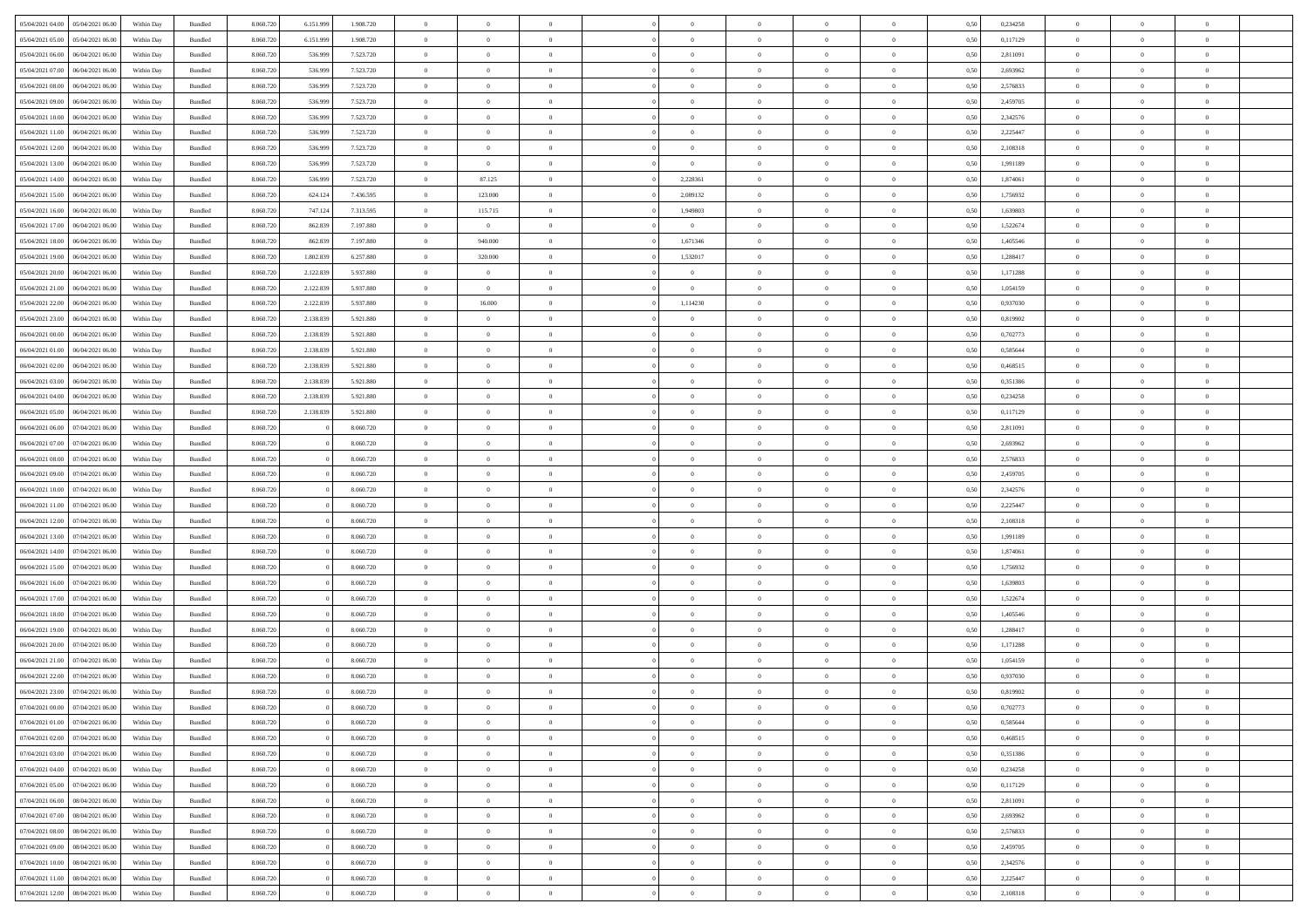| 05/04/2021 04:00                  | 05/04/2021 06:00 | Within Day | Bundled | 8.060.720 |           | 1.908.720 | $\Omega$       | $\Omega$       |                | $\Omega$       | $\Omega$       | $\Omega$       | $\theta$       | 0.50 | 0,234258 | $\theta$       | $\theta$       | $\theta$       |  |
|-----------------------------------|------------------|------------|---------|-----------|-----------|-----------|----------------|----------------|----------------|----------------|----------------|----------------|----------------|------|----------|----------------|----------------|----------------|--|
|                                   |                  |            |         |           | 6.151.999 |           |                |                |                |                |                |                |                |      |          |                |                |                |  |
| 05/04/2021 05:00                  | 05/04/2021 06:00 | Within Day | Bundled | 8.060.720 | 6.151.999 | 1.908.720 | $\overline{0}$ | $\theta$       | $\overline{0}$ | $\overline{0}$ | $\bf{0}$       | $\overline{0}$ | $\overline{0}$ | 0,50 | 0,117129 | $\theta$       | $\theta$       | $\overline{0}$ |  |
| 05/04/2021 06:00                  | 06/04/2021 06:00 | Within Day | Bundled | 8.060.720 | 536.999   | 7.523.720 | $\overline{0}$ | $\overline{0}$ | $\overline{0}$ | $\bf{0}$       | $\bf{0}$       | $\bf{0}$       | $\bf{0}$       | 0,50 | 2,811091 | $\bf{0}$       | $\overline{0}$ | $\overline{0}$ |  |
| 05/04/2021 07:00                  | 06/04/2021 06:00 | Within Dav | Bundled | 8.060.720 | 536,999   | 7.523.720 | $\overline{0}$ | $\overline{0}$ | $\overline{0}$ | $\overline{0}$ | $\bf{0}$       | $\overline{0}$ | $\overline{0}$ | 0.50 | 2,693962 | $\theta$       | $\theta$       | $\overline{0}$ |  |
|                                   |                  |            |         |           |           |           |                |                |                |                |                |                |                |      |          |                |                |                |  |
| 05/04/2021 08:00                  | 06/04/2021 06:00 | Within Day | Bundled | 8.060.720 | 536.999   | 7.523.720 | $\overline{0}$ | $\theta$       | $\overline{0}$ | $\overline{0}$ | $\bf{0}$       | $\overline{0}$ | $\bf{0}$       | 0,50 | 2,576833 | $\theta$       | $\theta$       | $\overline{0}$ |  |
| 05/04/2021 09:00                  | 06/04/2021 06:00 | Within Day | Bundled | 8.060.720 | 536.999   | 7.523.720 | $\overline{0}$ | $\bf{0}$       | $\overline{0}$ | $\bf{0}$       | $\overline{0}$ | $\overline{0}$ | $\mathbf{0}$   | 0,50 | 2,459705 | $\bf{0}$       | $\overline{0}$ | $\bf{0}$       |  |
| 05/04/2021 10:00                  | 06/04/2021 06:00 | Within Dav | Bundled | 8.060.720 | 536,999   | 7.523.720 | $\overline{0}$ | $\overline{0}$ | $\overline{0}$ | $\overline{0}$ | $\overline{0}$ | $\overline{0}$ | $\overline{0}$ | 0.50 | 2,342576 | $\theta$       | $\overline{0}$ | $\overline{0}$ |  |
| 05/04/2021 11:00                  | 06/04/2021 06:00 | Within Day | Bundled | 8.060.720 | 536.999   | 7.523.720 | $\overline{0}$ | $\theta$       | $\overline{0}$ | $\overline{0}$ | $\bf{0}$       | $\overline{0}$ | $\bf{0}$       | 0,50 | 2,225447 | $\theta$       | $\theta$       | $\overline{0}$ |  |
|                                   |                  |            |         |           |           |           |                |                |                |                |                |                |                |      |          |                |                |                |  |
| 05/04/2021 12:00                  | 06/04/2021 06:00 | Within Day | Bundled | 8.060.720 | 536.999   | 7.523.720 | $\overline{0}$ | $\overline{0}$ | $\overline{0}$ | $\bf{0}$       | $\bf{0}$       | $\bf{0}$       | $\bf{0}$       | 0,50 | 2,108318 | $\,0\,$        | $\overline{0}$ | $\overline{0}$ |  |
| 05/04/2021 13:00                  | 06/04/2021 06:00 | Within Dav | Bundled | 8.060.720 | 536.999   | 7.523.720 | $\overline{0}$ | $\overline{0}$ | $\overline{0}$ | $\overline{0}$ | $\bf{0}$       | $\overline{0}$ | $\overline{0}$ | 0.50 | 1,991189 | $\theta$       | $\overline{0}$ | $\overline{0}$ |  |
| 05/04/2021 14:00                  | 06/04/2021 06:00 | Within Day | Bundled | 8.060.720 | 536.999   | 7.523.720 | $\overline{0}$ | 87.125         | $\overline{0}$ | 2,228361       | $\bf{0}$       | $\overline{0}$ | $\bf{0}$       | 0,50 | 1,874061 | $\,$ 0 $\,$    | $\theta$       | $\overline{0}$ |  |
| 05/04/2021 15:00                  | 06/04/2021 06:00 | Within Day | Bundled | 8.060.720 | 624.124   | 7.436.595 | $\overline{0}$ | 123.000        | $\overline{0}$ | 2,089132       | $\bf{0}$       | $\bf{0}$       | $\bf{0}$       | 0,50 | 1,756932 | $\bf{0}$       | $\overline{0}$ | $\overline{0}$ |  |
|                                   |                  |            |         |           |           |           |                |                |                |                |                |                |                |      |          |                |                |                |  |
| 05/04/2021 16:00                  | 06/04/2021 06:00 | Within Dav | Bundled | 8.060.720 | 747.124   | 7.313.595 | $\overline{0}$ | 115.715        | $\overline{0}$ | 1,949803       | $\bf{0}$       | $\overline{0}$ | $\overline{0}$ | 0.50 | 1.639803 | $\theta$       | $\theta$       | $\overline{0}$ |  |
| 05/04/2021 17:00                  | 06/04/2021 06:00 | Within Day | Bundled | 8.060.720 | 862.839   | 7.197.880 | $\overline{0}$ | $\overline{0}$ | $\overline{0}$ | $\overline{0}$ | $\bf{0}$       | $\overline{0}$ | $\overline{0}$ | 0,50 | 1,522674 | $\theta$       | $\overline{0}$ | $\overline{0}$ |  |
| 05/04/2021 18:00                  | 06/04/2021 06:00 | Within Day | Bundled | 8.060.720 | 862.839   | 7.197.880 | $\overline{0}$ | 940.000        | $\overline{0}$ | 1,671346       | $\bf{0}$       | $\overline{0}$ | $\mathbf{0}$   | 0,50 | 1,405546 | $\bf{0}$       | $\overline{0}$ | $\bf{0}$       |  |
| 05/04/2021 19:00                  | 06/04/2021 06:00 | Within Dav | Bundled | 8.060.720 | 1.802.839 | 6.257.880 | $\overline{0}$ | 320.000        | $\overline{0}$ | 1,532017       | $\bf{0}$       | $\overline{0}$ | $\overline{0}$ | 0.50 | 1,288417 | $\theta$       | $\overline{0}$ | $\overline{0}$ |  |
|                                   |                  |            |         |           |           |           |                |                |                |                |                |                |                |      |          |                |                |                |  |
| 05/04/2021 20:00                  | 06/04/2021 06:00 | Within Day | Bundled | 8.060.720 | 2.122.839 | 5.937.880 | $\overline{0}$ | $\theta$       | $\overline{0}$ | $\overline{0}$ | $\bf{0}$       | $\overline{0}$ | $\bf{0}$       | 0,50 | 1,171288 | $\theta$       | $\theta$       | $\overline{0}$ |  |
| 05/04/2021 21.00                  | 06/04/2021 06:00 | Within Day | Bundled | 8.060.720 | 2.122.839 | 5.937.880 | $\overline{0}$ | $\bf{0}$       | $\overline{0}$ | $\bf{0}$       | $\bf{0}$       | $\bf{0}$       | $\bf{0}$       | 0,50 | 1,054159 | $\,0\,$        | $\overline{0}$ | $\overline{0}$ |  |
| 05/04/2021 22:00                  | 06/04/2021 06:00 | Within Dav | Bundled | 8.060.720 | 2.122.839 | 5.937.880 | $\overline{0}$ | 16.000         | $\overline{0}$ | 1,114230       | $\bf{0}$       | $\overline{0}$ | $\overline{0}$ | 0.50 | 0,937030 | $\theta$       | $\overline{0}$ | $\overline{0}$ |  |
| 05/04/2021 23:00                  | 06/04/2021 06:00 | Within Day | Bundled | 8.060.720 | 2.138.839 | 5.921.880 | $\overline{0}$ | $\theta$       | $\overline{0}$ | $\overline{0}$ | $\bf{0}$       | $\overline{0}$ | $\bf{0}$       | 0,50 | 0,819902 | $\,$ 0 $\,$    | $\theta$       | $\overline{0}$ |  |
|                                   |                  |            |         |           |           |           |                |                |                |                |                |                |                |      |          |                |                |                |  |
| 06/04/2021 00:00                  | 06/04/2021 06:00 | Within Day | Bundled | 8.060.720 | 2.138.839 | 5.921.880 | $\overline{0}$ | $\overline{0}$ | $\overline{0}$ | $\bf{0}$       | $\bf{0}$       | $\bf{0}$       | $\bf{0}$       | 0,50 | 0,702773 | $\bf{0}$       | $\overline{0}$ | $\overline{0}$ |  |
| 06/04/2021 01:00                  | 06/04/2021 06:00 | Within Dav | Bundled | 8.060.720 | 2.138.839 | 5.921.880 | $\overline{0}$ | $\overline{0}$ | $\overline{0}$ | $\overline{0}$ | $\bf{0}$       | $\overline{0}$ | $\overline{0}$ | 0.50 | 0.585644 | $\theta$       | $\overline{0}$ | $\overline{0}$ |  |
| 06/04/2021 02:00                  | 06/04/2021 06:00 | Within Day | Bundled | 8.060.720 | 2.138.839 | 5.921.880 | $\overline{0}$ | $\theta$       | $\overline{0}$ | $\overline{0}$ | $\bf{0}$       | $\overline{0}$ | $\bf{0}$       | 0,50 | 0,468515 | $\theta$       | $\overline{0}$ | $\overline{0}$ |  |
| 06/04/2021 03:00                  | 06/04/2021 06:00 | Within Day | Bundled | 8.060.720 | 2.138.839 | 5.921.880 | $\overline{0}$ | $\bf{0}$       | $\overline{0}$ | $\bf{0}$       | $\overline{0}$ | $\overline{0}$ | $\mathbf{0}$   | 0,50 | 0,351386 | $\overline{0}$ | $\overline{0}$ | $\bf{0}$       |  |
|                                   |                  |            |         |           |           |           |                |                |                |                |                |                |                |      |          |                |                |                |  |
| 06/04/2021 04:00                  | 06/04/2021 06:00 | Within Dav | Bundled | 8.060.720 | 2.138.839 | 5.921.880 | $\overline{0}$ | $\overline{0}$ | $\overline{0}$ | $\overline{0}$ | $\overline{0}$ | $\overline{0}$ | $\overline{0}$ | 0.50 | 0,234258 | $\theta$       | $\overline{0}$ | $\overline{0}$ |  |
| 06/04/2021 05:00                  | 06/04/2021 06:00 | Within Day | Bundled | 8.060.720 | 2.138.839 | 5.921.880 | $\overline{0}$ | $\theta$       | $\overline{0}$ | $\overline{0}$ | $\bf{0}$       | $\overline{0}$ | $\bf{0}$       | 0,50 | 0,117129 | $\theta$       | $\theta$       | $\overline{0}$ |  |
| 06/04/2021 06:00                  | 07/04/2021 06.00 | Within Day | Bundled | 8.060.720 |           | 8.060.720 | $\overline{0}$ | $\overline{0}$ | $\overline{0}$ | $\bf{0}$       | $\bf{0}$       | $\bf{0}$       | $\bf{0}$       | 0,50 | 2,811091 | $\,0\,$        | $\overline{0}$ | $\overline{0}$ |  |
| 06/04/2021 07:00                  | 07/04/2021 06.00 | Within Dav | Bundled | 8.060.720 |           | 8.060.720 | $\overline{0}$ | $\overline{0}$ | $\overline{0}$ | $\overline{0}$ | $\overline{0}$ | $\overline{0}$ | $\overline{0}$ | 0.50 | 2,693962 | $\theta$       | $\overline{0}$ | $\overline{0}$ |  |
|                                   |                  |            |         |           |           |           |                |                |                |                |                |                |                |      |          |                |                |                |  |
| 06/04/2021 08:00                  | 07/04/2021 06:00 | Within Day | Bundled | 8.060.720 |           | 8.060.720 | $\overline{0}$ | $\theta$       | $\overline{0}$ | $\overline{0}$ | $\bf{0}$       | $\overline{0}$ | $\bf{0}$       | 0,50 | 2,576833 | $\,$ 0 $\,$    | $\overline{0}$ | $\overline{0}$ |  |
| 06/04/2021 09:00                  | 07/04/2021 06.00 | Within Day | Bundled | 8.060.720 |           | 8.060.720 | $\overline{0}$ | $\overline{0}$ | $\overline{0}$ | $\bf{0}$       | $\bf{0}$       | $\bf{0}$       | $\bf{0}$       | 0,50 | 2,459705 | $\bf{0}$       | $\overline{0}$ | $\overline{0}$ |  |
| 06/04/2021 10:00                  | 07/04/2021 06.00 | Within Day | Bundled | 8.060.720 |           | 8.060.720 | $\overline{0}$ | $\Omega$       | $\Omega$       | $\Omega$       | $\Omega$       | $\Omega$       | $\overline{0}$ | 0,50 | 2,342576 | $\,0\,$        | $\theta$       | $\theta$       |  |
| 06/04/2021 11:00                  | 07/04/2021 06:00 | Within Day | Bundled | 8.060.720 |           | 8.060.720 | $\overline{0}$ | $\theta$       | $\overline{0}$ | $\overline{0}$ | $\bf{0}$       | $\overline{0}$ | $\bf{0}$       | 0,50 | 2,225447 | $\,$ 0 $\,$    | $\overline{0}$ | $\overline{0}$ |  |
|                                   |                  |            |         |           |           |           |                |                |                |                |                |                |                |      |          |                |                |                |  |
| 06/04/2021 12:00                  | 07/04/2021 06:00 | Within Day | Bundled | 8.060.720 |           | 8.060.720 | $\overline{0}$ | $\bf{0}$       | $\overline{0}$ | $\bf{0}$       | $\bf{0}$       | $\overline{0}$ | $\mathbf{0}$   | 0,50 | 2,108318 | $\bf{0}$       | $\overline{0}$ | $\bf{0}$       |  |
| 06/04/2021 13:00                  | 07/04/2021 06:00 | Within Day | Bundled | 8.060.720 |           | 8.060.720 | $\overline{0}$ | $\Omega$       | $\Omega$       | $\Omega$       | $\bf{0}$       | $\overline{0}$ | $\overline{0}$ | 0.50 | 1,991189 | $\,0\,$        | $\theta$       | $\theta$       |  |
| 06/04/2021 14:00                  | 07/04/2021 06:00 | Within Day | Bundled | 8.060.720 |           | 8.060.720 | $\overline{0}$ | $\theta$       | $\overline{0}$ | $\overline{0}$ | $\bf{0}$       | $\overline{0}$ | $\bf{0}$       | 0,50 | 1,874061 | $\,$ 0 $\,$    | $\theta$       | $\overline{0}$ |  |
| 06/04/2021 15:00                  | 07/04/2021 06.00 | Within Day | Bundled | 8.060.720 |           | 8.060.720 | $\overline{0}$ | $\overline{0}$ | $\overline{0}$ | $\bf{0}$       | $\bf{0}$       | $\bf{0}$       | $\bf{0}$       | 0,50 | 1,756932 | $\,0\,$        | $\overline{0}$ | $\overline{0}$ |  |
|                                   | 07/04/2021 06:00 |            |         | 8.060.720 |           | 8.060.720 | $\overline{0}$ | $\Omega$       | $\Omega$       | $\Omega$       | $\theta$       | $\theta$       |                |      | 1.639803 | $\theta$       | $\theta$       | $\theta$       |  |
| 06/04/2021 16:00                  |                  | Within Day | Bundled |           |           |           |                |                |                |                |                |                | $\overline{0}$ | 0.50 |          |                |                |                |  |
| 06/04/2021 17:00                  | 07/04/2021 06:00 | Within Day | Bundled | 8.060.720 |           | 8.060.720 | $\overline{0}$ | $\theta$       | $\overline{0}$ | $\overline{0}$ | $\bf{0}$       | $\overline{0}$ | $\bf{0}$       | 0,50 | 1,522674 | $\,$ 0 $\,$    | $\overline{0}$ | $\overline{0}$ |  |
| 06/04/2021 18:00                  | 07/04/2021 06:00 | Within Day | Bundled | 8.060.720 |           | 8.060.720 | $\overline{0}$ | $\overline{0}$ | $\overline{0}$ | $\bf{0}$       | $\bf{0}$       | $\bf{0}$       | $\bf{0}$       | 0,50 | 1,405546 | $\bf{0}$       | $\overline{0}$ | $\overline{0}$ |  |
| 06/04/2021 19:00                  | 07/04/2021 06.00 | Within Day | Bundled | 8.060.720 |           | 8.060.720 | $\overline{0}$ | $\Omega$       | $\overline{0}$ | $\Omega$       | $\Omega$       | $\overline{0}$ | $\overline{0}$ | 0,50 | 1,288417 | $\,0\,$        | $\theta$       | $\theta$       |  |
| 06/04/2021 20:00                  | 07/04/2021 06:00 | Within Day | Bundled | 8.060.720 |           | 8.060.720 | $\overline{0}$ | $\theta$       | $\overline{0}$ | $\overline{0}$ | $\bf{0}$       | $\overline{0}$ | $\bf{0}$       | 0,50 | 1,171288 | $\,$ 0 $\,$    | $\overline{0}$ | $\overline{0}$ |  |
|                                   |                  |            |         |           |           |           |                |                |                |                |                |                |                |      |          |                |                |                |  |
| 06/04/2021 21.00                  | 07/04/2021 06.00 | Within Day | Bundled | 8.060.720 |           | 8.060.720 | $\overline{0}$ | $\overline{0}$ | $\overline{0}$ | $\bf{0}$       | $\bf{0}$       | $\overline{0}$ | $\mathbf{0}$   | 0,50 | 1,054159 | $\overline{0}$ | $\overline{0}$ | $\bf{0}$       |  |
| 06/04/2021 22.00                  | 07/04/2021 06:00 | Within Day | Bundled | 8.060.720 |           | 8.060.720 | $\overline{0}$ | $\Omega$       | $\Omega$       | $\Omega$       | $\Omega$       | $\Omega$       | $\Omega$       | 0.50 | 0.937030 | $\theta$       | $\theta$       | $\theta$       |  |
| 06/04/2021 23:00                  | 07/04/2021 06:00 | Within Day | Bundled | 8.060.720 |           | 8.060.720 | $\overline{0}$ | $\,$ 0 $\,$    | $\overline{0}$ | $\bf{0}$       | $\,$ 0         | $\overline{0}$ | $\bf{0}$       | 0,50 | 0,819902 | $\,0\,$        | $\,$ 0 $\,$    | $\overline{0}$ |  |
| 07/04/2021 00:00 07/04/2021 06:00 |                  | Within Day | Bundled | 8.060.720 |           | 8.060.720 | $\bf{0}$       | $\bf{0}$       |                |                |                |                |                | 0,50 | 0,702773 | $\bf{0}$       | $\overline{0}$ |                |  |
|                                   |                  |            |         |           |           |           |                |                |                |                |                |                |                |      |          |                |                |                |  |
| 07/04/2021 01:00                  | 07/04/2021 06:00 | Within Day | Bundled | 8.060.720 |           | 8.060.720 | $\overline{0}$ | $\overline{0}$ | $\overline{0}$ | $\Omega$       | $\overline{0}$ | $\overline{0}$ | $\overline{0}$ | 0.50 | 0.585644 | $\theta$       | $\theta$       | $\theta$       |  |
| 07/04/2021 02:00                  | 07/04/2021 06:00 | Within Day | Bundled | 8.060.720 |           | 8.060.720 | $\overline{0}$ | $\,$ 0         | $\overline{0}$ | $\overline{0}$ | $\,$ 0 $\,$    | $\overline{0}$ | $\mathbf{0}$   | 0,50 | 0,468515 | $\,$ 0 $\,$    | $\,$ 0 $\,$    | $\,$ 0         |  |
| 07/04/2021 03:00                  | 07/04/2021 06:00 | Within Day | Bundled | 8.060.720 |           | 8.060.720 | $\overline{0}$ | $\overline{0}$ | $\overline{0}$ | $\overline{0}$ | $\overline{0}$ | $\overline{0}$ | $\mathbf{0}$   | 0,50 | 0,351386 | $\overline{0}$ | $\bf{0}$       | $\bf{0}$       |  |
| 07/04/2021 04:00                  | 07/04/2021 06:00 | Within Day | Bundled | 8.060.720 |           | 8.060.720 | $\overline{0}$ | $\overline{0}$ | $\overline{0}$ | $\Omega$       | $\overline{0}$ | $\overline{0}$ | $\overline{0}$ | 0,50 | 0,234258 | $\overline{0}$ | $\theta$       | $\overline{0}$ |  |
|                                   |                  |            |         |           |           |           |                |                |                |                |                |                |                |      |          |                |                |                |  |
| 07/04/2021 05:00                  | 07/04/2021 06:00 | Within Day | Bundled | 8.060.720 |           | 8.060.720 | $\overline{0}$ | $\,$ 0         | $\overline{0}$ | $\overline{0}$ | $\,$ 0 $\,$    | $\overline{0}$ | $\mathbf{0}$   | 0,50 | 0,117129 | $\,$ 0 $\,$    | $\overline{0}$ | $\overline{0}$ |  |
| 07/04/2021 06:00                  | 08/04/2021 06:00 | Within Day | Bundled | 8.060.720 |           | 8.060.720 | $\overline{0}$ | $\overline{0}$ | $\overline{0}$ | $\overline{0}$ | $\overline{0}$ | $\overline{0}$ | $\mathbf{0}$   | 0,50 | 2,811091 | $\overline{0}$ | $\overline{0}$ | $\bf{0}$       |  |
| 07/04/2021 07:00                  | 08/04/2021 06:00 | Within Day | Bundled | 8.060.720 |           | 8.060.720 | $\overline{0}$ | $\overline{0}$ | $\overline{0}$ | $\Omega$       | $\overline{0}$ | $\overline{0}$ | $\bf{0}$       | 0.50 | 2,693962 | $\overline{0}$ | $\theta$       | $\overline{0}$ |  |
| 07/04/2021 08:00                  | 08/04/2021 06:00 | Within Day | Bundled | 8.060.720 |           | 8.060.720 | $\overline{0}$ | $\,$ 0         | $\overline{0}$ | $\overline{0}$ | $\bf{0}$       | $\overline{0}$ | $\bf{0}$       | 0,50 | 2,576833 | $\,$ 0 $\,$    | $\overline{0}$ | $\overline{0}$ |  |
|                                   |                  |            |         |           |           |           |                |                |                |                |                |                |                |      |          |                |                |                |  |
| 07/04/2021 09:00                  | 08/04/2021 06:00 | Within Day | Bundled | 8.060.720 |           | 8.060.720 | $\overline{0}$ | $\bf{0}$       | $\overline{0}$ | $\overline{0}$ | $\overline{0}$ | $\overline{0}$ | $\mathbf{0}$   | 0,50 | 2,459705 | $\overline{0}$ | $\overline{0}$ | $\bf{0}$       |  |
| 07/04/2021 10:00                  | 08/04/2021 06:00 | Within Day | Bundled | 8.060.720 |           | 8.060.720 | $\overline{0}$ | $\overline{0}$ | $\overline{0}$ | $\Omega$       | $\overline{0}$ | $\overline{0}$ | $\bf{0}$       | 0.50 | 2,342576 | $\overline{0}$ | $\theta$       | $\overline{0}$ |  |
| 07/04/2021 11:00                  | 08/04/2021 06:00 | Within Day | Bundled | 8.060.720 |           | 8.060.720 | $\overline{0}$ | $\bf{0}$       | $\overline{0}$ | $\overline{0}$ | $\bf{0}$       | $\overline{0}$ | $\bf{0}$       | 0,50 | 2,225447 | $\,$ 0 $\,$    | $\,$ 0 $\,$    | $\bf{0}$       |  |
| 07/04/2021 12:00                  | 08/04/2021 06:00 | Within Day | Bundled | 8.060.720 |           | 8.060.720 | $\overline{0}$ | $\bf{0}$       | $\overline{0}$ | $\bf{0}$       | $\bf{0}$       | $\overline{0}$ | $\bf{0}$       | 0,50 | 2,108318 | $\overline{0}$ | $\overline{0}$ | $\bf{0}$       |  |
|                                   |                  |            |         |           |           |           |                |                |                |                |                |                |                |      |          |                |                |                |  |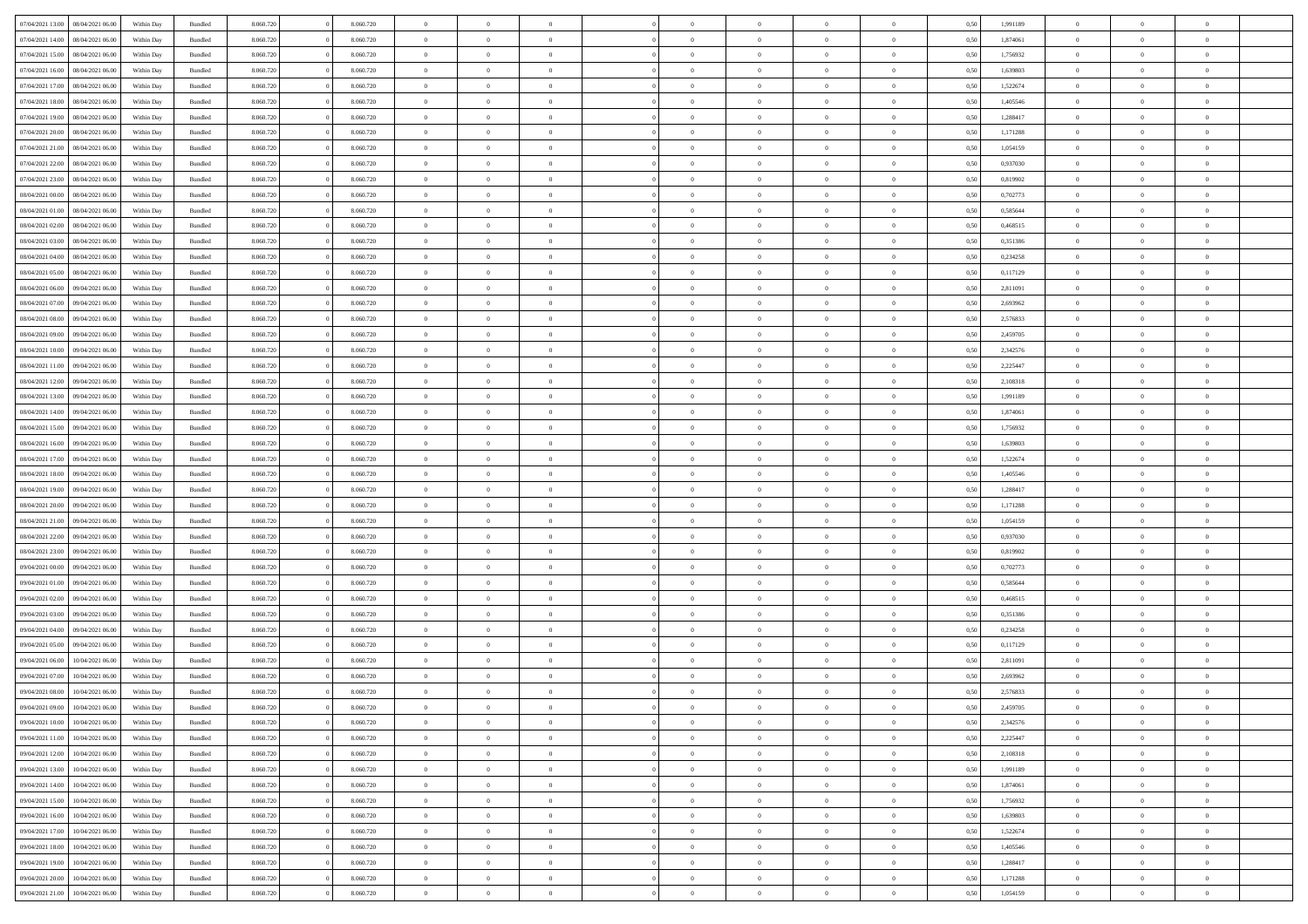| 07/04/2021 13:00 | 08/04/2021 06:00 | Within Day | Bundled            | 8.060.720 | 8.060.720 | $\overline{0}$ | $\Omega$       |                | $\Omega$       | $\Omega$       | $\theta$       | $\theta$       | 0.50 | 1,991189 | $\theta$       | $\theta$       | $\theta$       |  |
|------------------|------------------|------------|--------------------|-----------|-----------|----------------|----------------|----------------|----------------|----------------|----------------|----------------|------|----------|----------------|----------------|----------------|--|
| 07/04/2021 14:00 | 08/04/2021 06:00 | Within Day | Bundled            | 8.060.720 | 8.060.720 | $\overline{0}$ | $\theta$       | $\overline{0}$ | $\overline{0}$ | $\bf{0}$       | $\overline{0}$ | $\bf{0}$       | 0,50 | 1,874061 | $\theta$       | $\theta$       | $\overline{0}$ |  |
| 07/04/2021 15:00 | 08/04/2021 06:00 | Within Day | Bundled            | 8.060.720 | 8.060.720 | $\overline{0}$ | $\overline{0}$ | $\overline{0}$ | $\bf{0}$       | $\bf{0}$       | $\bf{0}$       | $\bf{0}$       | 0,50 | 1,756932 | $\overline{0}$ | $\overline{0}$ | $\overline{0}$ |  |
|                  |                  |            |                    |           |           |                |                |                |                |                |                |                |      |          |                |                |                |  |
| 07/04/2021 16:00 | 08/04/2021 06:00 | Within Dav | Bundled            | 8.060.720 | 8.060.720 | $\overline{0}$ | $\overline{0}$ | $\overline{0}$ | $\overline{0}$ | $\bf{0}$       | $\overline{0}$ | $\overline{0}$ | 0.50 | 1.639803 | $\theta$       | $\theta$       | $\overline{0}$ |  |
| 07/04/2021 17:00 | 08/04/2021 06:00 | Within Day | Bundled            | 8.060.720 | 8.060.720 | $\overline{0}$ | $\theta$       | $\overline{0}$ | $\overline{0}$ | $\bf{0}$       | $\overline{0}$ | $\bf{0}$       | 0,50 | 1,522674 | $\theta$       | $\theta$       | $\overline{0}$ |  |
| 07/04/2021 18:00 | 08/04/2021 06:00 | Within Day | Bundled            | 8.060.720 | 8.060.720 | $\overline{0}$ | $\bf{0}$       | $\overline{0}$ | $\bf{0}$       | $\overline{0}$ | $\overline{0}$ | $\mathbf{0}$   | 0,50 | 1,405546 | $\overline{0}$ | $\overline{0}$ | $\bf{0}$       |  |
| 07/04/2021 19:00 | 08/04/2021 06:00 | Within Dav | Bundled            | 8.060.720 | 8.060.720 | $\overline{0}$ | $\overline{0}$ | $\overline{0}$ | $\overline{0}$ | $\overline{0}$ | $\overline{0}$ | $\overline{0}$ | 0.50 | 1,288417 | $\theta$       | $\theta$       | $\overline{0}$ |  |
|                  |                  |            |                    |           |           |                |                |                |                |                |                |                |      |          |                |                |                |  |
| 07/04/2021 20:00 | 08/04/2021 06:00 | Within Day | Bundled            | 8.060.720 | 8.060.720 | $\overline{0}$ | $\theta$       | $\overline{0}$ | $\overline{0}$ | $\bf{0}$       | $\overline{0}$ | $\bf{0}$       | 0,50 | 1,171288 | $\theta$       | $\theta$       | $\overline{0}$ |  |
| 07/04/2021 21.00 | 08/04/2021 06:00 | Within Day | Bundled            | 8.060.720 | 8.060.720 | $\overline{0}$ | $\overline{0}$ | $\overline{0}$ | $\bf{0}$       | $\bf{0}$       | $\bf{0}$       | $\bf{0}$       | 0,50 | 1,054159 | $\,0\,$        | $\overline{0}$ | $\overline{0}$ |  |
| 07/04/2021 22.00 | 08/04/2021 06:00 | Within Dav | Bundled            | 8.060.720 | 8.060.720 | $\overline{0}$ | $\overline{0}$ | $\overline{0}$ | $\overline{0}$ | $\overline{0}$ | $\overline{0}$ | $\overline{0}$ | 0.50 | 0,937030 | $\theta$       | $\overline{0}$ | $\overline{0}$ |  |
|                  |                  |            |                    |           |           |                |                |                |                |                |                |                |      |          |                |                |                |  |
| 07/04/2021 23:00 | 08/04/2021 06:00 | Within Day | Bundled            | 8.060.720 | 8.060.720 | $\overline{0}$ | $\theta$       | $\overline{0}$ | $\overline{0}$ | $\bf{0}$       | $\overline{0}$ | $\bf{0}$       | 0,50 | 0,819902 | $\,$ 0 $\,$    | $\theta$       | $\overline{0}$ |  |
| 08/04/2021 00:00 | 08/04/2021 06:00 | Within Day | Bundled            | 8.060.720 | 8.060.720 | $\overline{0}$ | $\overline{0}$ | $\overline{0}$ | $\bf{0}$       | $\bf{0}$       | $\bf{0}$       | $\bf{0}$       | 0,50 | 0,702773 | $\overline{0}$ | $\overline{0}$ | $\overline{0}$ |  |
| 08/04/2021 01:00 | 08/04/2021 06:00 | Within Dav | Bundled            | 8.060.720 | 8.060.720 | $\overline{0}$ | $\overline{0}$ | $\overline{0}$ | $\overline{0}$ | $\bf{0}$       | $\overline{0}$ | $\overline{0}$ | 0.50 | 0.585644 | $\theta$       | $\theta$       | $\overline{0}$ |  |
| 08/04/2021 02:00 | 08/04/2021 06:00 | Within Day | Bundled            | 8.060.720 | 8.060.720 | $\overline{0}$ | $\theta$       | $\overline{0}$ | $\overline{0}$ | $\bf{0}$       | $\overline{0}$ | $\overline{0}$ | 0,50 | 0,468515 | $\theta$       | $\overline{0}$ | $\overline{0}$ |  |
|                  |                  |            |                    |           |           |                |                |                |                |                |                |                |      |          |                |                |                |  |
| 08/04/2021 03:00 | 08/04/2021 06:00 | Within Day | Bundled            | 8.060.720 | 8.060.720 | $\overline{0}$ | $\overline{0}$ | $\overline{0}$ | $\bf{0}$       | $\overline{0}$ | $\overline{0}$ | $\mathbf{0}$   | 0,50 | 0,351386 | $\overline{0}$ | $\overline{0}$ | $\bf{0}$       |  |
| 08/04/2021 04:00 | 08/04/2021 06:00 | Within Dav | Bundled            | 8.060.720 | 8.060.720 | $\overline{0}$ | $\overline{0}$ | $\overline{0}$ | $\overline{0}$ | $\overline{0}$ | $\overline{0}$ | $\overline{0}$ | 0.50 | 0,234258 | $\theta$       | $\overline{0}$ | $\overline{0}$ |  |
| 08/04/2021 05:00 | 08/04/2021 06:00 | Within Day | Bundled            | 8.060.720 | 8.060.720 | $\overline{0}$ | $\theta$       | $\overline{0}$ | $\overline{0}$ | $\bf{0}$       | $\overline{0}$ | $\bf{0}$       | 0,50 | 0,117129 | $\theta$       | $\theta$       | $\overline{0}$ |  |
|                  |                  |            |                    |           |           |                |                |                |                |                |                |                |      |          |                |                |                |  |
| 08/04/2021 06:00 | 09/04/2021 06:00 | Within Day | Bundled            | 8.060.720 | 8.060.720 | $\overline{0}$ | $\overline{0}$ | $\overline{0}$ | $\bf{0}$       | $\bf{0}$       | $\bf{0}$       | $\bf{0}$       | 0,50 | 2,811091 | $\,0\,$        | $\overline{0}$ | $\overline{0}$ |  |
| 08/04/2021 07:00 | 09/04/2021 06:00 | Within Dav | Bundled            | 8.060.720 | 8.060.720 | $\overline{0}$ | $\overline{0}$ | $\overline{0}$ | $\overline{0}$ | $\overline{0}$ | $\overline{0}$ | $\overline{0}$ | 0.50 | 2,693962 | $\theta$       | $\overline{0}$ | $\overline{0}$ |  |
| 08/04/2021 08:00 | 09/04/2021 06:00 | Within Day | Bundled            | 8.060.720 | 8.060.720 | $\overline{0}$ | $\theta$       | $\overline{0}$ | $\overline{0}$ | $\bf{0}$       | $\overline{0}$ | $\bf{0}$       | 0,50 | 2,576833 | $\,$ 0 $\,$    | $\theta$       | $\overline{0}$ |  |
| 08/04/2021 09:00 | 09/04/2021 06:00 | Within Day | Bundled            | 8.060.720 | 8.060.720 | $\overline{0}$ | $\overline{0}$ | $\overline{0}$ | $\bf{0}$       | $\bf{0}$       | $\bf{0}$       | $\bf{0}$       | 0,50 | 2,459705 | $\bf{0}$       | $\overline{0}$ | $\overline{0}$ |  |
| 08/04/2021 10:00 | 09/04/2021 06:00 | Within Dav | Bundled            | 8.060.720 | 8.060.720 | $\overline{0}$ | $\overline{0}$ |                |                | $\bf{0}$       | $\overline{0}$ |                | 0.50 | 2,342576 | $\theta$       | $\theta$       | $\overline{0}$ |  |
|                  |                  |            |                    |           |           |                |                | $\overline{0}$ | $\overline{0}$ |                |                | $\overline{0}$ |      |          |                |                |                |  |
| 08/04/2021 11:00 | 09/04/2021 06:00 | Within Day | Bundled            | 8.060.720 | 8.060.720 | $\overline{0}$ | $\theta$       | $\overline{0}$ | $\overline{0}$ | $\bf{0}$       | $\overline{0}$ | $\bf{0}$       | 0,50 | 2,225447 | $\,$ 0 $\,$    | $\overline{0}$ | $\overline{0}$ |  |
| 08/04/2021 12:00 | 09/04/2021 06:00 | Within Day | Bundled            | 8.060.720 | 8.060.720 | $\overline{0}$ | $\bf{0}$       | $\overline{0}$ | $\bf{0}$       | $\overline{0}$ | $\overline{0}$ | $\mathbf{0}$   | 0,50 | 2,108318 | $\overline{0}$ | $\overline{0}$ | $\bf{0}$       |  |
| 08/04/2021 13:00 | 09/04/2021 06:00 | Within Dav | Bundled            | 8.060.720 | 8.060.720 | $\overline{0}$ | $\overline{0}$ | $\overline{0}$ | $\overline{0}$ | $\overline{0}$ | $\overline{0}$ | $\overline{0}$ | 0.50 | 1,991189 | $\overline{0}$ | $\theta$       | $\overline{0}$ |  |
|                  |                  |            |                    |           |           |                |                |                |                |                |                |                |      |          |                |                |                |  |
| 08/04/2021 14:00 | 09/04/2021 06:00 | Within Day | Bundled            | 8.060.720 | 8.060.720 | $\overline{0}$ | $\theta$       | $\overline{0}$ | $\overline{0}$ | $\bf{0}$       | $\overline{0}$ | $\bf{0}$       | 0,50 | 1,874061 | $\theta$       | $\theta$       | $\overline{0}$ |  |
| 08/04/2021 15:00 | 09/04/2021 06:00 | Within Day | Bundled            | 8.060.720 | 8.060.720 | $\overline{0}$ | $\overline{0}$ | $\overline{0}$ | $\bf{0}$       | $\bf{0}$       | $\overline{0}$ | $\bf{0}$       | 0,50 | 1,756932 | $\,0\,$        | $\overline{0}$ | $\overline{0}$ |  |
| 08/04/2021 16:00 | 09/04/2021 06:00 | Within Day | Bundled            | 8.060.720 | 8.060.720 | $\overline{0}$ | $\overline{0}$ | $\overline{0}$ | $\overline{0}$ | $\overline{0}$ | $\overline{0}$ | $\overline{0}$ | 0.50 | 1,639803 | $\theta$       | $\overline{0}$ | $\overline{0}$ |  |
| 08/04/2021 17:00 | 09/04/2021 06:00 | Within Day | Bundled            | 8.060.720 | 8.060.720 | $\overline{0}$ | $\theta$       | $\overline{0}$ | $\overline{0}$ | $\bf{0}$       | $\overline{0}$ | $\bf{0}$       | 0,50 | 1,522674 | $\,$ 0 $\,$    | $\overline{0}$ | $\overline{0}$ |  |
|                  |                  |            |                    |           |           |                |                |                |                |                |                |                |      |          |                |                |                |  |
| 08/04/2021 18:00 | 09/04/2021 06:00 | Within Day | Bundled            | 8.060.720 | 8.060.720 | $\overline{0}$ | $\overline{0}$ | $\overline{0}$ | $\overline{0}$ | $\bf{0}$       | $\overline{0}$ | $\bf{0}$       | 0,50 | 1,405546 | $\overline{0}$ | $\overline{0}$ | $\overline{0}$ |  |
| 08/04/2021 19:00 | 09/04/2021 06:00 | Within Day | Bundled            | 8.060.720 | 8.060.720 | $\overline{0}$ | $\Omega$       | $\Omega$       | $\Omega$       | $\Omega$       | $\Omega$       | $\overline{0}$ | 0.50 | 1,288417 | $\,0\,$        | $\Omega$       | $\theta$       |  |
| 08/04/2021 20:00 | 09/04/2021 06:00 | Within Day | Bundled            | 8.060.720 | 8.060.720 | $\overline{0}$ | $\theta$       | $\overline{0}$ | $\overline{0}$ | $\bf{0}$       | $\overline{0}$ | $\bf{0}$       | 0,50 | 1,171288 | $\,$ 0 $\,$    | $\theta$       | $\overline{0}$ |  |
| 08/04/2021 21.00 | 09/04/2021 06:00 | Within Day | Bundled            | 8.060.720 | 8.060.720 | $\overline{0}$ | $\overline{0}$ | $\overline{0}$ | $\overline{0}$ | $\bf{0}$       | $\overline{0}$ | $\mathbf{0}$   | 0,50 | 1,054159 | $\overline{0}$ | $\overline{0}$ | $\bf{0}$       |  |
|                  |                  |            |                    |           |           |                |                |                |                |                |                |                |      |          |                |                |                |  |
| 08/04/2021 22.00 | 09/04/2021 06:00 | Within Day | Bundled            | 8.060.720 | 8.060.720 | $\overline{0}$ | $\Omega$       | $\Omega$       | $\Omega$       | $\bf{0}$       | $\Omega$       | $\overline{0}$ | 0.50 | 0.937030 | $\theta$       | $\theta$       | $\theta$       |  |
| 08/04/2021 23:00 | 09/04/2021 06:00 | Within Day | Bundled            | 8.060.720 | 8.060.720 | $\overline{0}$ | $\theta$       | $\overline{0}$ | $\overline{0}$ | $\bf{0}$       | $\overline{0}$ | $\bf{0}$       | 0,50 | 0,819902 | $\theta$       | $\theta$       | $\overline{0}$ |  |
| 09/04/2021 00:00 | 09/04/2021 06:00 | Within Day | Bundled            | 8.060.720 | 8.060.720 | $\overline{0}$ | $\overline{0}$ | $\overline{0}$ | $\overline{0}$ | $\bf{0}$       | $\overline{0}$ | $\bf{0}$       | 0,50 | 0,702773 | $\bf{0}$       | $\overline{0}$ | $\overline{0}$ |  |
|                  | 09/04/2021 06:00 |            |                    | 8.060.720 | 8.060.720 | $\overline{0}$ | $\Omega$       | $\Omega$       | $\Omega$       | $\Omega$       | $\theta$       |                |      | 0.585644 | $\theta$       | $\theta$       | $\theta$       |  |
| 09/04/2021 01:00 |                  | Within Day | Bundled            |           |           |                |                |                |                |                |                | $\overline{0}$ | 0.50 |          |                |                |                |  |
| 09/04/2021 02:00 | 09/04/2021 06:00 | Within Day | Bundled            | 8.060.720 | 8.060.720 | $\overline{0}$ | $\theta$       | $\overline{0}$ | $\overline{0}$ | $\bf{0}$       | $\overline{0}$ | $\bf{0}$       | 0,50 | 0,468515 | $\,$ 0 $\,$    | $\overline{0}$ | $\overline{0}$ |  |
| 09/04/2021 03:00 | 09/04/2021 06:00 | Within Day | Bundled            | 8.060.720 | 8.060.720 | $\overline{0}$ | $\overline{0}$ | $\overline{0}$ | $\overline{0}$ | $\bf{0}$       | $\overline{0}$ | $\bf{0}$       | 0,50 | 0,351386 | $\overline{0}$ | $\overline{0}$ | $\overline{0}$ |  |
| 09/04/2021 04:00 | 09/04/2021 06:00 | Within Day | Bundled            | 8.060.720 | 8.060.720 | $\overline{0}$ | $\Omega$       | $\Omega$       | $\Omega$       | $\Omega$       | $\overline{0}$ | $\overline{0}$ | 0.50 | 0,234258 | $\,0\,$        | $\theta$       | $\theta$       |  |
| 09/04/2021 05:00 | 09/04/2021 06:00 | Within Day | Bundled            | 8.060.720 | 8.060.720 | $\overline{0}$ | $\theta$       | $\overline{0}$ | $\overline{0}$ | $\bf{0}$       | $\overline{0}$ | $\bf{0}$       | 0,50 | 0,117129 | $\,$ 0 $\,$    | $\overline{0}$ | $\overline{0}$ |  |
|                  |                  |            |                    |           |           |                |                |                |                |                |                |                |      |          |                |                |                |  |
| 09/04/2021 06:00 | 10/04/2021 06:00 | Within Day | Bundled            | 8.060.720 | 8.060.720 | $\overline{0}$ | $\overline{0}$ | $\overline{0}$ | $\overline{0}$ | $\bf{0}$       | $\overline{0}$ | $\mathbf{0}$   | 0,50 | 2,811091 | $\overline{0}$ | $\overline{0}$ | $\bf{0}$       |  |
| 09/04/2021 07:00 | 10/04/2021 06:00 | Within Day | Bundled            | 8.060.720 | 8.060.720 | $\overline{0}$ | $\Omega$       | $\Omega$       | $\Omega$       | $\Omega$       | $\Omega$       | $\overline{0}$ | 0.50 | 2.693962 | $\theta$       | $\Omega$       | $\theta$       |  |
| 09/04/2021 08:00 | 10/04/2021 06:00 | Within Day | Bundled            | 8.060.720 | 8.060.720 | $\overline{0}$ | $\overline{0}$ | $\overline{0}$ | $\bf{0}$       | $\,$ 0         | $\overline{0}$ | $\bf{0}$       | 0,50 | 2,576833 | $\,0\,$        | $\,0\,$        | $\overline{0}$ |  |
| 09/04/2021 09:00 | 10/04/2021 06:00 | Within Day | $\mathbf B$ undled | 8.060.720 |           |                |                |                |                |                |                |                |      |          |                |                |                |  |
|                  |                  |            |                    |           | 8.060.720 | $\bf{0}$       | $\bf{0}$       |                |                | $\bf{0}$       |                |                | 0,50 | 2,459705 | $\bf{0}$       | $\overline{0}$ |                |  |
| 09/04/2021 10:00 | 10/04/2021 06:00 | Within Day | Bundled            | 8.060.720 | 8.060.720 | $\overline{0}$ | $\overline{0}$ | $\overline{0}$ | $\Omega$       | $\overline{0}$ | $\overline{0}$ | $\overline{0}$ | 0.50 | 2,342576 | $\theta$       | $\theta$       | $\theta$       |  |
| 09/04/2021 11:00 | 10/04/2021 06:00 | Within Day | Bundled            | 8.060.720 | 8.060.720 | $\overline{0}$ | $\,$ 0         | $\overline{0}$ | $\bf{0}$       | $\,$ 0 $\,$    | $\overline{0}$ | $\,$ 0 $\,$    | 0,50 | 2,225447 | $\,$ 0 $\,$    | $\,$ 0 $\,$    | $\,$ 0         |  |
| 09/04/2021 12:00 | 10/04/2021 06:00 | Within Day | Bundled            | 8.060.720 | 8.060.720 | $\overline{0}$ | $\overline{0}$ | $\overline{0}$ | $\overline{0}$ | $\overline{0}$ | $\overline{0}$ | $\mathbf{0}$   | 0,50 | 2,108318 | $\overline{0}$ | $\bf{0}$       | $\bf{0}$       |  |
|                  |                  |            |                    |           |           |                |                |                |                |                |                |                |      |          |                |                |                |  |
| 09/04/2021 13:00 | 10/04/2021 06:00 | Within Day | Bundled            | 8.060.720 | 8.060.720 | $\overline{0}$ | $\overline{0}$ | $\overline{0}$ | $\Omega$       | $\overline{0}$ | $\overline{0}$ | $\overline{0}$ | 0,50 | 1,991189 | $\overline{0}$ | $\theta$       | $\overline{0}$ |  |
| 09/04/2021 14:00 | 10/04/2021 06:00 | Within Day | Bundled            | 8.060.720 | 8.060.720 | $\overline{0}$ | $\,$ 0         | $\overline{0}$ | $\overline{0}$ | $\,$ 0 $\,$    | $\overline{0}$ | $\mathbf{0}$   | 0,50 | 1,874061 | $\,$ 0 $\,$    | $\overline{0}$ | $\overline{0}$ |  |
| 09/04/2021 15:00 | 10/04/2021 06:00 | Within Day | Bundled            | 8.060.720 | 8.060.720 | $\overline{0}$ | $\overline{0}$ | $\overline{0}$ | $\overline{0}$ | $\overline{0}$ | $\overline{0}$ | $\mathbf{0}$   | 0,50 | 1,756932 | $\overline{0}$ | $\overline{0}$ | $\bf{0}$       |  |
| 09/04/2021 16:00 | 10/04/2021 06:00 | Within Day | Bundled            | 8.060.720 | 8.060.720 | $\overline{0}$ | $\overline{0}$ | $\overline{0}$ | $\overline{0}$ | $\overline{0}$ | $\overline{0}$ | $\bf{0}$       | 0.50 | 1,639803 | $\overline{0}$ | $\theta$       | $\overline{0}$ |  |
|                  |                  |            |                    |           |           |                |                |                |                |                |                |                |      |          |                |                |                |  |
| 09/04/2021 17:00 | 10/04/2021 06:00 | Within Day | Bundled            | 8.060.720 | 8.060.720 | $\overline{0}$ | $\,$ 0         | $\overline{0}$ | $\bf{0}$       | $\bf{0}$       | $\bf{0}$       | $\bf{0}$       | 0,50 | 1,522674 | $\,$ 0 $\,$    | $\overline{0}$ | $\overline{0}$ |  |
| 09/04/2021 18:00 | 10/04/2021 06:00 | Within Day | Bundled            | 8.060.720 | 8.060.720 | $\overline{0}$ | $\bf{0}$       | $\overline{0}$ | $\overline{0}$ | $\overline{0}$ | $\overline{0}$ | $\mathbf{0}$   | 0,50 | 1,405546 | $\overline{0}$ | $\overline{0}$ | $\bf{0}$       |  |
| 09/04/2021 19:00 | 10/04/2021 06:00 | Within Day | Bundled            | 8.060.720 | 8.060.720 | $\overline{0}$ | $\overline{0}$ | $\overline{0}$ | $\Omega$       | $\overline{0}$ | $\overline{0}$ | $\overline{0}$ | 0.50 | 1,288417 | $\overline{0}$ | $\overline{0}$ | $\overline{0}$ |  |
| 09/04/2021 20:00 | 10/04/2021 06:00 | Within Day | Bundled            | 8.060.720 | 8.060.720 | $\overline{0}$ | $\bf{0}$       | $\overline{0}$ | $\overline{0}$ | $\bf{0}$       | $\bf{0}$       | $\bf{0}$       | 0,50 | 1,171288 | $\,$ 0 $\,$    | $\,$ 0 $\,$    | $\bf{0}$       |  |
|                  |                  |            |                    |           |           |                |                |                |                |                |                |                |      |          |                |                |                |  |
| 09/04/2021 21:00 | 10/04/2021 06:00 | Within Day | Bundled            | 8.060.720 | 8.060.720 | $\overline{0}$ | $\bf{0}$       | $\overline{0}$ | $\bf{0}$       | $\bf{0}$       | $\bf{0}$       | $\bf{0}$       | 0,50 | 1,054159 | $\overline{0}$ | $\overline{0}$ | $\bf{0}$       |  |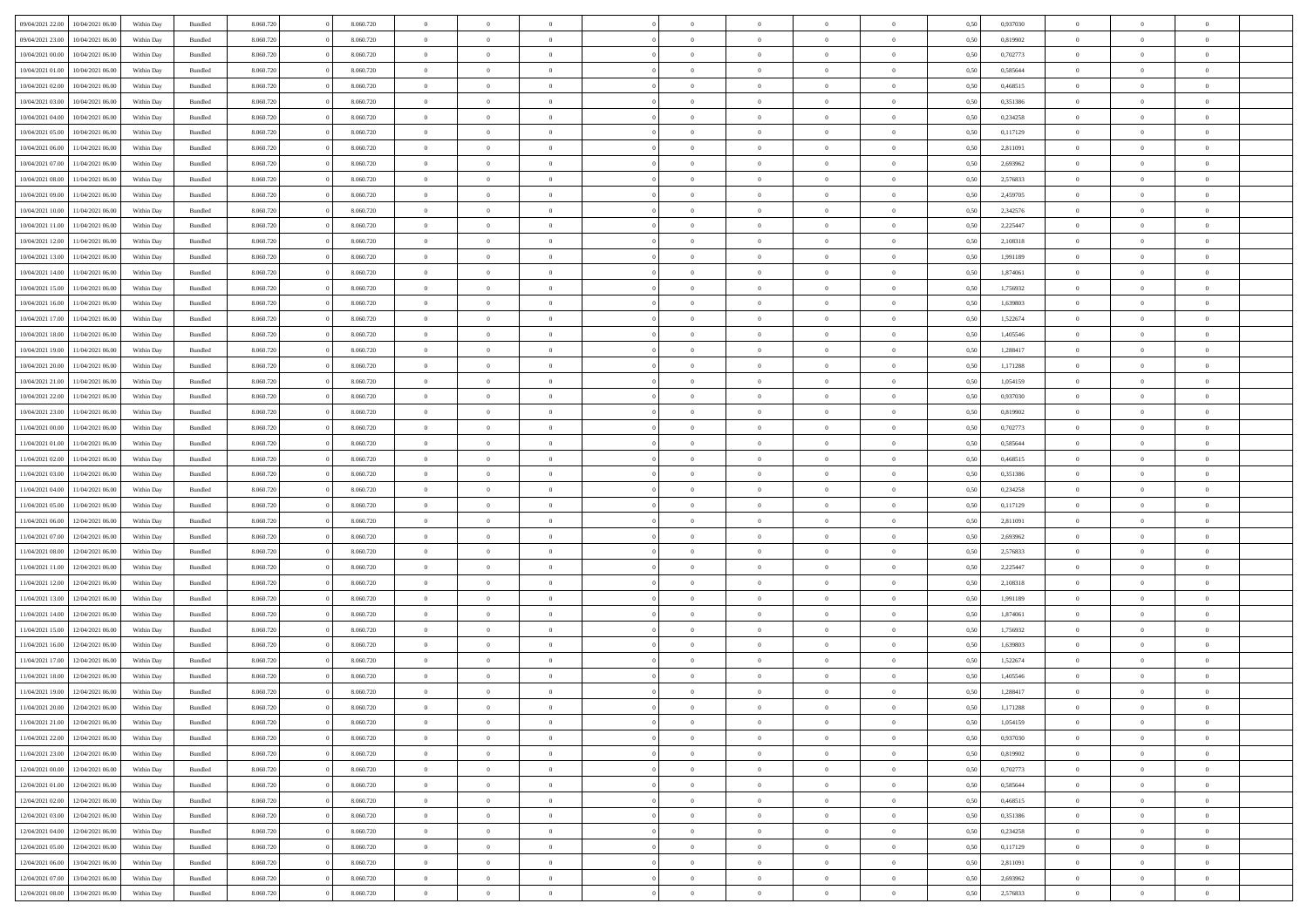|                                   |                  |            |                    |           |           |                | $\Omega$       |                |                | $\Omega$       | $\theta$       | $\theta$       |      |          | $\theta$       |                |                |  |
|-----------------------------------|------------------|------------|--------------------|-----------|-----------|----------------|----------------|----------------|----------------|----------------|----------------|----------------|------|----------|----------------|----------------|----------------|--|
| 09/04/2021 22:00                  | 10/04/2021 06:00 | Within Day | Bundled            | 8.060.720 | 8.060.720 | $\overline{0}$ |                |                | $\Omega$       |                |                |                | 0,50 | 0,937030 |                | $\theta$       | $\overline{0}$ |  |
| 09/04/2021 23:00                  | 10/04/2021 06:00 | Within Day | Bundled            | 8.060.720 | 8.060.720 | $\overline{0}$ | $\theta$       | $\overline{0}$ | $\overline{0}$ | $\bf{0}$       | $\overline{0}$ | $\bf{0}$       | 0,50 | 0,819902 | $\theta$       | $\overline{0}$ | $\overline{0}$ |  |
| 10/04/2021 00:00                  | 10/04/2021 06:00 | Within Day | Bundled            | 8.060.720 | 8.060.720 | $\overline{0}$ | $\bf{0}$       | $\overline{0}$ | $\bf{0}$       | $\bf{0}$       | $\bf{0}$       | $\mathbf{0}$   | 0,50 | 0,702773 | $\overline{0}$ | $\overline{0}$ | $\bf{0}$       |  |
| 10/04/2021 01:00                  | 10/04/2021 06:00 | Within Dav | Bundled            | 8.060.720 | 8.060.720 | $\overline{0}$ | $\overline{0}$ | $\overline{0}$ | $\overline{0}$ | $\bf{0}$       | $\overline{0}$ | $\overline{0}$ | 0.50 | 0.585644 | $\theta$       | $\theta$       | $\overline{0}$ |  |
|                                   |                  |            |                    |           |           |                |                |                |                |                |                |                |      |          |                |                |                |  |
| 10/04/2021 02:00                  | 10/04/2021 06:00 | Within Day | Bundled            | 8.060.720 | 8.060.720 | $\overline{0}$ | $\theta$       | $\overline{0}$ | $\overline{0}$ | $\bf{0}$       | $\overline{0}$ | $\bf{0}$       | 0,50 | 0,468515 | $\theta$       | $\overline{0}$ | $\overline{0}$ |  |
| 10/04/2021 03:00                  | 10/04/2021 06:00 | Within Day | Bundled            | 8.060.720 | 8.060.720 | $\overline{0}$ | $\overline{0}$ | $\overline{0}$ | $\bf{0}$       | $\overline{0}$ | $\overline{0}$ | $\mathbf{0}$   | 0,50 | 0,351386 | $\overline{0}$ | $\overline{0}$ | $\bf{0}$       |  |
| 10/04/2021 04:00                  | 10/04/2021 06:00 | Within Dav | Bundled            | 8.060.720 | 8.060.720 | $\overline{0}$ | $\overline{0}$ | $\overline{0}$ | $\overline{0}$ | $\overline{0}$ | $\overline{0}$ | $\overline{0}$ | 0.50 | 0,234258 | $\theta$       | $\overline{0}$ | $\overline{0}$ |  |
| 10/04/2021 05:00                  | 10/04/2021 06:00 | Within Day | Bundled            | 8.060.720 | 8.060.720 | $\overline{0}$ | $\theta$       | $\overline{0}$ | $\overline{0}$ | $\bf{0}$       | $\overline{0}$ | $\bf{0}$       | 0,50 | 0,117129 | $\theta$       | $\theta$       | $\overline{0}$ |  |
|                                   |                  |            |                    |           |           |                | $\overline{0}$ |                |                | $\bf{0}$       |                |                |      |          | $\,0\,$        | $\overline{0}$ | $\overline{0}$ |  |
| 10/04/2021 06:00                  | 11/04/2021 06:00 | Within Day | Bundled            | 8.060.720 | 8.060.720 | $\overline{0}$ |                | $\overline{0}$ | $\overline{0}$ |                | $\overline{0}$ | $\bf{0}$       | 0,50 | 2,811091 |                |                |                |  |
| 10/04/2021 07:00                  | 11/04/2021 06:00 | Within Dav | Bundled            | 8.060.720 | 8.060.720 | $\overline{0}$ | $\overline{0}$ | $\overline{0}$ | $\overline{0}$ | $\overline{0}$ | $\overline{0}$ | $\overline{0}$ | 0.50 | 2,693962 | $\theta$       | $\overline{0}$ | $\overline{0}$ |  |
| 10/04/2021 08:00                  | 11/04/2021 06:00 | Within Day | Bundled            | 8.060.720 | 8.060.720 | $\overline{0}$ | $\theta$       | $\overline{0}$ | $\overline{0}$ | $\bf{0}$       | $\overline{0}$ | $\bf{0}$       | 0,50 | 2,576833 | $\,$ 0 $\,$    | $\overline{0}$ | $\overline{0}$ |  |
| 10/04/2021 09:00                  | 11/04/2021 06:00 | Within Day | Bundled            | 8.060.720 | 8.060.720 | $\overline{0}$ | $\bf{0}$       | $\overline{0}$ | $\overline{0}$ | $\bf{0}$       | $\overline{0}$ | $\mathbf{0}$   | 0,50 | 2,459705 | $\bf{0}$       | $\overline{0}$ | $\bf{0}$       |  |
| 10/04/2021 10:00                  | 11/04/2021 06:00 | Within Dav | Bundled            | 8.060.720 | 8.060.720 | $\overline{0}$ | $\overline{0}$ | $\overline{0}$ | $\overline{0}$ | $\bf{0}$       | $\overline{0}$ | $\overline{0}$ | 0.50 | 2,342576 | $\theta$       | $\theta$       | $\overline{0}$ |  |
|                                   |                  |            |                    |           |           | $\overline{0}$ | $\theta$       | $\overline{0}$ | $\overline{0}$ | $\bf{0}$       | $\overline{0}$ |                |      |          | $\theta$       | $\overline{0}$ | $\overline{0}$ |  |
| 10/04/2021 11:00                  | 11/04/2021 06:00 | Within Day | Bundled            | 8.060.720 | 8.060.720 |                |                |                |                |                |                | $\bf{0}$       | 0,50 | 2,225447 |                |                |                |  |
| 10/04/2021 12:00                  | 11/04/2021 06:00 | Within Day | Bundled            | 8.060.720 | 8.060.720 | $\overline{0}$ | $\overline{0}$ | $\overline{0}$ | $\overline{0}$ | $\overline{0}$ | $\overline{0}$ | $\mathbf{0}$   | 0,50 | 2,108318 | $\overline{0}$ | $\overline{0}$ | $\bf{0}$       |  |
| 10/04/2021 13:00                  | 11/04/2021 06:00 | Within Dav | Bundled            | 8.060.720 | 8.060.720 | $\overline{0}$ | $\overline{0}$ | $\overline{0}$ | $\overline{0}$ | $\overline{0}$ | $\overline{0}$ | $\overline{0}$ | 0.50 | 1,991189 | $\theta$       | $\overline{0}$ | $\overline{0}$ |  |
| 10/04/2021 14:00                  | 11/04/2021 06:00 | Within Day | Bundled            | 8.060.720 | 8.060.720 | $\overline{0}$ | $\theta$       | $\overline{0}$ | $\overline{0}$ | $\bf{0}$       | $\overline{0}$ | $\bf{0}$       | 0,50 | 1,874061 | $\theta$       | $\theta$       | $\overline{0}$ |  |
| 10/04/2021 15:00                  | 11/04/2021 06:00 | Within Day | Bundled            | 8.060.720 | 8.060.720 | $\overline{0}$ | $\overline{0}$ | $\overline{0}$ | $\bf{0}$       | $\bf{0}$       | $\bf{0}$       | $\mathbf{0}$   | 0,50 | 1,756932 | $\bf{0}$       | $\overline{0}$ | $\bf{0}$       |  |
|                                   |                  |            |                    |           |           |                |                |                |                |                |                |                |      |          |                |                |                |  |
| 10/04/2021 16:00                  | 11/04/2021 06:00 | Within Dav | Bundled            | 8.060.720 | 8.060.720 | $\overline{0}$ | $\overline{0}$ | $\overline{0}$ | $\overline{0}$ | $\overline{0}$ | $\overline{0}$ | $\overline{0}$ | 0.50 | 1,639803 | $\theta$       | $\overline{0}$ | $\overline{0}$ |  |
| 10/04/2021 17:00                  | 11/04/2021 06:00 | Within Day | Bundled            | 8.060.720 | 8.060.720 | $\overline{0}$ | $\theta$       | $\overline{0}$ | $\overline{0}$ | $\bf{0}$       | $\overline{0}$ | $\bf{0}$       | 0,50 | 1,522674 | $\,$ 0 $\,$    | $\overline{0}$ | $\overline{0}$ |  |
| 10/04/2021 18:00                  | 11/04/2021 06:00 | Within Day | Bundled            | 8.060.720 | 8.060.720 | $\overline{0}$ | $\overline{0}$ | $\overline{0}$ | $\bf{0}$       | $\bf{0}$       | $\bf{0}$       | $\bf{0}$       | 0,50 | 1,405546 | $\,0\,$        | $\overline{0}$ | $\bf{0}$       |  |
| 10/04/2021 19:00                  | 11/04/2021 06:00 | Within Day | Bundled            | 8.060.720 | 8.060.720 | $\overline{0}$ | $\overline{0}$ | $\overline{0}$ | $\overline{0}$ | $\bf{0}$       | $\overline{0}$ | $\overline{0}$ | 0.50 | 1,288417 | $\theta$       | $\overline{0}$ | $\overline{0}$ |  |
| 10/04/2021 20:00                  | 11/04/2021 06:00 | Within Day | Bundled            | 8.060.720 | 8.060.720 | $\overline{0}$ | $\theta$       | $\overline{0}$ | $\overline{0}$ | $\bf{0}$       | $\overline{0}$ | $\bf{0}$       | 0,50 | 1,171288 | $\,$ 0 $\,$    | $\overline{0}$ | $\overline{0}$ |  |
|                                   |                  |            |                    |           |           |                |                |                |                |                |                |                |      |          |                |                |                |  |
| 10/04/2021 21:00                  | 11/04/2021 06:00 | Within Day | Bundled            | 8.060.720 | 8.060.720 | $\overline{0}$ | $\overline{0}$ | $\overline{0}$ | $\bf{0}$       | $\overline{0}$ | $\overline{0}$ | $\mathbf{0}$   | 0,50 | 1,054159 | $\overline{0}$ | $\overline{0}$ | $\bf{0}$       |  |
| 10/04/2021 22:00                  | 11/04/2021 06:00 | Within Dav | Bundled            | 8.060.720 | 8.060.720 | $\overline{0}$ | $\overline{0}$ | $\overline{0}$ | $\overline{0}$ | $\overline{0}$ | $\overline{0}$ | $\overline{0}$ | 0.50 | 0,937030 | $\theta$       | $\overline{0}$ | $\overline{0}$ |  |
| 10/04/2021 23:00                  | 11/04/2021 06:00 | Within Day | Bundled            | 8.060.720 | 8.060.720 | $\overline{0}$ | $\theta$       | $\overline{0}$ | $\overline{0}$ | $\bf{0}$       | $\overline{0}$ | $\bf{0}$       | 0,50 | 0,819902 | $\theta$       | $\theta$       | $\overline{0}$ |  |
| 11/04/2021 00:00                  | 11/04/2021 06:00 | Within Day | Bundled            | 8.060.720 | 8.060.720 | $\overline{0}$ | $\overline{0}$ | $\overline{0}$ | $\bf{0}$       | $\bf{0}$       | $\bf{0}$       | $\bf{0}$       | 0,50 | 0,702773 | $\,0\,$        | $\overline{0}$ | $\overline{0}$ |  |
| 11/04/2021 01:00                  | 11/04/2021 06:00 | Within Day | Bundled            | 8.060.720 | 8.060.720 | $\overline{0}$ | $\overline{0}$ | $\overline{0}$ | $\overline{0}$ | $\overline{0}$ | $\overline{0}$ | $\overline{0}$ | 0.50 | 0,585644 | $\theta$       | $\overline{0}$ | $\overline{0}$ |  |
|                                   |                  |            |                    |           |           |                |                |                |                |                |                |                |      |          |                |                |                |  |
| 11/04/2021 02:00                  | 11/04/2021 06:00 | Within Day | Bundled            | 8.060.720 | 8.060.720 | $\overline{0}$ | $\theta$       | $\overline{0}$ | $\overline{0}$ | $\bf{0}$       | $\overline{0}$ | $\bf{0}$       | 0,50 | 0,468515 | $\,$ 0 $\,$    | $\overline{0}$ | $\overline{0}$ |  |
| 11/04/2021 03:00                  | 11/04/2021 06:00 | Within Day | Bundled            | 8.060.720 | 8.060.720 | $\overline{0}$ | $\overline{0}$ | $\overline{0}$ | $\bf{0}$       | $\bf{0}$       | $\bf{0}$       | $\bf{0}$       | 0,50 | 0,351386 | $\bf{0}$       | $\overline{0}$ | $\bf{0}$       |  |
| 11/04/2021 04:00                  | 11/04/2021 06.00 | Within Day | Bundled            | 8.060.720 | 8.060.720 | $\overline{0}$ | $\Omega$       | $\Omega$       | $\Omega$       | $\Omega$       | $\overline{0}$ | $\overline{0}$ | 0,50 | 0,234258 | $\,0\,$        | $\theta$       | $\theta$       |  |
| 11/04/2021 05:00                  | 11/04/2021 06:00 | Within Day | Bundled            | 8.060.720 | 8.060.720 | $\overline{0}$ | $\theta$       | $\overline{0}$ | $\overline{0}$ | $\bf{0}$       | $\overline{0}$ | $\bf{0}$       | 0,50 | 0,117129 | $\,$ 0 $\,$    | $\overline{0}$ | $\overline{0}$ |  |
|                                   |                  |            |                    |           |           |                |                |                |                |                |                |                |      |          |                | $\overline{0}$ | $\bf{0}$       |  |
| 11/04/2021 06:00                  | 12/04/2021 06:00 | Within Day | Bundled            | 8.060.720 | 8.060.720 | $\overline{0}$ | $\overline{0}$ | $\overline{0}$ | $\bf{0}$       | $\overline{0}$ | $\overline{0}$ | $\mathbf{0}$   | 0,50 | 2,811091 | $\bf{0}$       |                |                |  |
| 11/04/2021 07:00                  | 12/04/2021 06:00 | Within Day | Bundled            | 8.060.720 | 8.060.720 | $\overline{0}$ | $\Omega$       | $\Omega$       | $\Omega$       | $\bf{0}$       | $\overline{0}$ | $\overline{0}$ | 0.50 | 2,693962 | $\,0\,$        | $\theta$       | $\theta$       |  |
| 11/04/2021 08:00                  | 12/04/2021 06:00 | Within Day | Bundled            | 8.060.720 | 8.060.720 | $\overline{0}$ | $\theta$       | $\overline{0}$ | $\overline{0}$ | $\bf{0}$       | $\overline{0}$ | $\bf{0}$       | 0,50 | 2,576833 | $\,$ 0 $\,$    | $\overline{0}$ | $\overline{0}$ |  |
| 11/04/2021 11:00                  | 12/04/2021 06:00 | Within Day | Bundled            | 8.060.720 | 8.060.720 | $\overline{0}$ | $\overline{0}$ | $\overline{0}$ | $\bf{0}$       | $\bf{0}$       | $\bf{0}$       | $\mathbf{0}$   | 0,50 | 2,225447 | $\bf{0}$       | $\overline{0}$ | $\bf{0}$       |  |
| 11/04/2021 12:00                  | 12/04/2021 06:00 | Within Day | Bundled            | 8.060.720 | 8.060.720 | $\overline{0}$ | $\Omega$       | $\Omega$       | $\Omega$       | $\theta$       | $\theta$       | $\overline{0}$ | 0.50 | 2,108318 | $\,$ 0 $\,$    | $\theta$       | $\theta$       |  |
| 11/04/2021 13:00                  | 12/04/2021 06:00 | Within Day | Bundled            | 8.060.720 | 8.060.720 | $\overline{0}$ | $\theta$       | $\overline{0}$ | $\overline{0}$ | $\,$ 0         | $\overline{0}$ | $\bf{0}$       | 0,50 | 1,991189 | $\,$ 0 $\,$    | $\overline{0}$ | $\overline{0}$ |  |
|                                   |                  |            |                    |           |           |                |                |                |                |                |                |                |      |          |                |                |                |  |
| 11/04/2021 14:00                  | 12/04/2021 06:00 | Within Day | Bundled            | 8.060.720 | 8.060.720 | $\overline{0}$ | $\bf{0}$       | $\overline{0}$ | $\bf{0}$       | $\bf{0}$       | $\bf{0}$       | $\mathbf{0}$   | 0,50 | 1,874061 | $\overline{0}$ | $\overline{0}$ | $\bf{0}$       |  |
| 11/04/2021 15:00                  | 12/04/2021 06:00 | Within Day | Bundled            | 8.060.720 | 8.060.720 | $\overline{0}$ | $\Omega$       | $\overline{0}$ | $\Omega$       | $\overline{0}$ | $\overline{0}$ | $\overline{0}$ | 0.50 | 1,756932 | $\,0\,$        | $\theta$       | $\theta$       |  |
| 11/04/2021 16:00                  | 12/04/2021 06:00 | Within Day | Bundled            | 8.060.720 | 8.060.720 | $\overline{0}$ | $\overline{0}$ | $\overline{0}$ | $\overline{0}$ | $\,$ 0         | $\overline{0}$ | $\bf{0}$       | 0,50 | 1,639803 | $\,$ 0 $\,$    | $\overline{0}$ | $\overline{0}$ |  |
| 11/04/2021 17:00                  | 12/04/2021 06:00 | Within Day | Bundled            | 8.060.720 | 8.060.720 | $\overline{0}$ | $\overline{0}$ | $\overline{0}$ | $\bf{0}$       | $\bf{0}$       | $\bf{0}$       | $\mathbf{0}$   | 0,50 | 1,522674 | $\overline{0}$ | $\overline{0}$ | $\bf{0}$       |  |
| 11/04/2021 18:00                  | 12/04/2021 06:00 |            | Bundled            | 8.060.720 | 8.060.720 | $\overline{0}$ | $\Omega$       | $\Omega$       | $\Omega$       | $\Omega$       | $\Omega$       | $\overline{0}$ | 0.50 | 1.405546 | $\theta$       | $\theta$       | $\theta$       |  |
|                                   |                  | Within Day |                    |           |           |                |                |                |                |                |                |                |      |          |                |                |                |  |
| 11/04/2021 19:00                  | 12/04/2021 06:00 | Within Day | Bundled            | 8.060.720 | 8.060.720 | $\overline{0}$ | $\overline{0}$ | $\overline{0}$ | $\bf{0}$       | $\,$ 0         | $\bf{0}$       | $\bf{0}$       | 0,50 | 1,288417 | $\,0\,$        | $\,$ 0 $\,$    | $\overline{0}$ |  |
| 11/04/2021 20:00                  | 12/04/2021 06:00 | Within Day | $\mathbf B$ undled | 8.060.720 | 8.060.720 | $\bf{0}$       | $\bf{0}$       |                |                | $\bf{0}$       |                |                | 0,50 | 1,171288 | $\bf{0}$       | $\overline{0}$ |                |  |
| 11/04/2021 21:00                  | 12/04/2021 06:00 | Within Day | Bundled            | 8.060.720 | 8.060.720 | $\overline{0}$ | $\overline{0}$ | $\overline{0}$ | $\Omega$       | $\overline{0}$ | $\overline{0}$ | $\overline{0}$ | 0,50 | 1.054159 | $\theta$       | $\theta$       | $\theta$       |  |
| 11/04/2021 22.00                  | 12/04/2021 06:00 | Within Day | Bundled            | 8.060.720 | 8.060.720 | $\overline{0}$ | $\,$ 0         | $\overline{0}$ | $\bf{0}$       | $\,$ 0 $\,$    | $\overline{0}$ | $\mathbf{0}$   | 0,50 | 0,937030 | $\,$ 0 $\,$    | $\,$ 0 $\,$    | $\,$ 0         |  |
| 11/04/2021 23.00                  | 12/04/2021 06:00 | Within Day | Bundled            | 8.060.720 | 8.060.720 | $\overline{0}$ | $\overline{0}$ | $\overline{0}$ | $\overline{0}$ | $\overline{0}$ | $\overline{0}$ | $\mathbf{0}$   | 0,50 | 0,819902 | $\overline{0}$ | $\bf{0}$       | $\bf{0}$       |  |
|                                   |                  |            |                    |           |           |                |                |                |                |                |                |                |      |          |                |                |                |  |
| 12/04/2021 00:00                  | 12/04/2021 06:00 | Within Day | Bundled            | 8.060.720 | 8.060.720 | $\overline{0}$ | $\overline{0}$ | $\overline{0}$ | $\Omega$       | $\overline{0}$ | $\overline{0}$ | $\overline{0}$ | 0,50 | 0,702773 | $\overline{0}$ | $\theta$       | $\overline{0}$ |  |
| 12/04/2021 01:00                  | 12/04/2021 06:00 | Within Day | Bundled            | 8.060.720 | 8.060.720 | $\overline{0}$ | $\,$ 0         | $\overline{0}$ | $\overline{0}$ | $\,$ 0 $\,$    | $\overline{0}$ | $\mathbf{0}$   | 0,50 | 0,585644 | $\,$ 0 $\,$    | $\overline{0}$ | $\overline{0}$ |  |
| 12/04/2021 02:00                  | 12/04/2021 06:00 | Within Day | Bundled            | 8.060.720 | 8.060.720 | $\overline{0}$ | $\overline{0}$ | $\overline{0}$ | $\overline{0}$ | $\overline{0}$ | $\overline{0}$ | $\mathbf{0}$   | 0,50 | 0,468515 | $\overline{0}$ | $\overline{0}$ | $\bf{0}$       |  |
| 12/04/2021 03:00                  | 12/04/2021 06:00 | Within Day | Bundled            | 8.060.720 | 8.060.720 | $\overline{0}$ | $\overline{0}$ | $\overline{0}$ | $\Omega$       | $\overline{0}$ | $\overline{0}$ | $\bf{0}$       | 0.50 | 0,351386 | $\overline{0}$ | $\theta$       | $\overline{0}$ |  |
| 12/04/2021 04:00                  | 12/04/2021 06:00 | Within Day | Bundled            | 8.060.720 | 8.060.720 | $\overline{0}$ | $\,$ 0         | $\overline{0}$ | $\overline{0}$ | $\bf{0}$       | $\overline{0}$ | $\bf{0}$       | 0,50 | 0,234258 | $\,$ 0 $\,$    | $\overline{0}$ | $\overline{0}$ |  |
|                                   |                  |            |                    |           |           |                |                |                |                |                |                |                |      |          |                |                |                |  |
| 12/04/2021 05:00                  | 12/04/2021 06:00 | Within Day | Bundled            | 8.060.720 | 8.060.720 | $\overline{0}$ | $\bf{0}$       | $\overline{0}$ | $\overline{0}$ | $\overline{0}$ | $\overline{0}$ | $\mathbf{0}$   | 0,50 | 0,117129 | $\overline{0}$ | $\overline{0}$ | $\bf{0}$       |  |
| 12/04/2021 06:00                  | 13/04/2021 06:00 | Within Day | Bundled            | 8.060.720 | 8.060.720 | $\overline{0}$ | $\overline{0}$ | $\overline{0}$ | $\Omega$       | $\overline{0}$ | $\overline{0}$ | $\overline{0}$ | 0.50 | 2,811091 | $\overline{0}$ | $\overline{0}$ | $\overline{0}$ |  |
| 12/04/2021 07:00                  | 13/04/2021 06:00 | Within Day | Bundled            | 8.060.720 | 8.060.720 | $\overline{0}$ | $\bf{0}$       | $\overline{0}$ | $\overline{0}$ | $\bf{0}$       | $\overline{0}$ | $\mathbf{0}$   | 0,50 | 2,693962 | $\,$ 0 $\,$    | $\,$ 0 $\,$    | $\bf{0}$       |  |
| 12/04/2021 08:00 13/04/2021 06:00 |                  | Within Day | Bundled            | 8.060.720 | 8.060.720 | $\overline{0}$ | $\overline{0}$ | $\overline{0}$ | $\overline{0}$ | $\overline{0}$ | $\overline{0}$ | $\mathbf{0}$   | 0,50 | 2,576833 | $\overline{0}$ | $\bf{0}$       | $\bf{0}$       |  |
|                                   |                  |            |                    |           |           |                |                |                |                |                |                |                |      |          |                |                |                |  |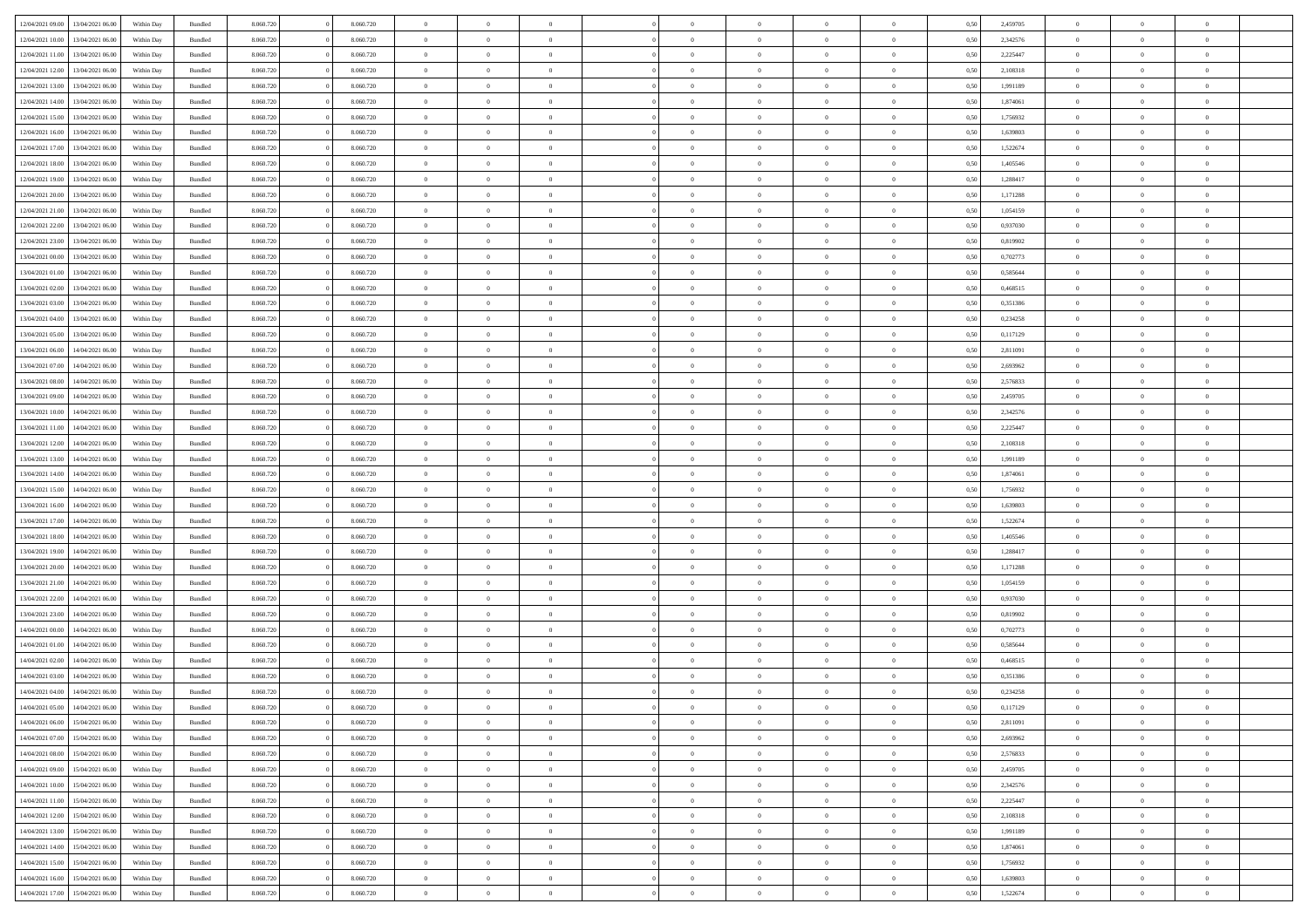| 12/04/2021 09:00 | 13/04/2021 06:00 | Within Day | Bundled            | 8.060.720 | 8.060.720 | $\overline{0}$ | $\Omega$       |                | $\Omega$       | $\Omega$       | $\Omega$       | $\theta$       | 0.50 | 2,459705 | $\theta$       | $\theta$       | $\theta$       |  |
|------------------|------------------|------------|--------------------|-----------|-----------|----------------|----------------|----------------|----------------|----------------|----------------|----------------|------|----------|----------------|----------------|----------------|--|
| 12/04/2021 10:00 | 13/04/2021 06:00 | Within Day | Bundled            | 8.060.720 | 8.060.720 | $\overline{0}$ | $\theta$       | $\overline{0}$ | $\overline{0}$ | $\bf{0}$       | $\overline{0}$ | $\bf{0}$       | 0,50 | 2,342576 | $\theta$       | $\theta$       | $\overline{0}$ |  |
| 12/04/2021 11:00 | 13/04/2021 06:00 | Within Day | Bundled            | 8.060.720 | 8.060.720 | $\overline{0}$ | $\overline{0}$ | $\overline{0}$ | $\overline{0}$ | $\bf{0}$       | $\overline{0}$ | $\bf{0}$       | 0,50 | 2,225447 | $\bf{0}$       | $\overline{0}$ | $\overline{0}$ |  |
|                  |                  |            |                    |           |           |                |                |                |                |                |                |                |      |          | $\theta$       |                |                |  |
| 12/04/2021 12:00 | 13/04/2021 06:00 | Within Dav | Bundled            | 8.060.720 | 8.060.720 | $\overline{0}$ | $\overline{0}$ | $\overline{0}$ | $\overline{0}$ | $\bf{0}$       | $\overline{0}$ | $\overline{0}$ | 0.50 | 2,108318 |                | $\theta$       | $\overline{0}$ |  |
| 12/04/2021 13:00 | 13/04/2021 06:00 | Within Day | Bundled            | 8.060.720 | 8.060.720 | $\overline{0}$ | $\theta$       | $\overline{0}$ | $\overline{0}$ | $\bf{0}$       | $\overline{0}$ | $\bf{0}$       | 0,50 | 1,991189 | $\theta$       | $\theta$       | $\overline{0}$ |  |
| 12/04/2021 14:00 | 13/04/2021 06:00 | Within Day | Bundled            | 8.060.720 | 8.060.720 | $\overline{0}$ | $\bf{0}$       | $\overline{0}$ | $\overline{0}$ | $\overline{0}$ | $\overline{0}$ | $\mathbf{0}$   | 0,50 | 1,874061 | $\overline{0}$ | $\overline{0}$ | $\bf{0}$       |  |
| 12/04/2021 15:00 | 13/04/2021 06:00 | Within Dav | Bundled            | 8.060.720 | 8.060.720 | $\overline{0}$ | $\overline{0}$ | $\overline{0}$ | $\overline{0}$ | $\overline{0}$ | $\overline{0}$ | $\overline{0}$ | 0.50 | 1,756932 | $\theta$       | $\overline{0}$ | $\overline{0}$ |  |
|                  |                  |            |                    |           |           |                |                |                |                |                |                |                |      |          |                |                |                |  |
| 12/04/2021 16:00 | 13/04/2021 06:00 | Within Day | Bundled            | 8.060.720 | 8.060.720 | $\overline{0}$ | $\theta$       | $\overline{0}$ | $\overline{0}$ | $\bf{0}$       | $\overline{0}$ | $\bf{0}$       | 0,50 | 1,639803 | $\theta$       | $\theta$       | $\overline{0}$ |  |
| 12/04/2021 17:00 | 13/04/2021 06:00 | Within Day | Bundled            | 8.060.720 | 8.060.720 | $\overline{0}$ | $\overline{0}$ | $\overline{0}$ | $\overline{0}$ | $\bf{0}$       | $\bf{0}$       | $\bf{0}$       | 0,50 | 1,522674 | $\,0\,$        | $\overline{0}$ | $\overline{0}$ |  |
| 12/04/2021 18:00 | 13/04/2021 06:00 | Within Dav | Bundled            | 8.060.720 | 8.060.720 | $\overline{0}$ | $\overline{0}$ | $\overline{0}$ | $\overline{0}$ | $\overline{0}$ | $\overline{0}$ | $\overline{0}$ | 0.50 | 1,405546 | $\theta$       | $\overline{0}$ | $\overline{0}$ |  |
| 12/04/2021 19:00 | 13/04/2021 06:00 |            | Bundled            | 8.060.720 | 8.060.720 | $\overline{0}$ | $\theta$       | $\overline{0}$ | $\overline{0}$ | $\bf{0}$       | $\overline{0}$ |                |      | 1,288417 | $\,$ 0 $\,$    | $\theta$       | $\overline{0}$ |  |
|                  |                  | Within Day |                    |           |           |                |                |                |                |                |                | $\bf{0}$       | 0,50 |          |                |                |                |  |
| 12/04/2021 20:00 | 13/04/2021 06:00 | Within Day | Bundled            | 8.060.720 | 8.060.720 | $\overline{0}$ | $\overline{0}$ | $\overline{0}$ | $\bf{0}$       | $\bf{0}$       | $\bf{0}$       | $\bf{0}$       | 0,50 | 1,171288 | $\overline{0}$ | $\overline{0}$ | $\overline{0}$ |  |
| 12/04/2021 21:00 | 13/04/2021 06:00 | Within Day | Bundled            | 8.060.720 | 8.060.720 | $\overline{0}$ | $\overline{0}$ | $\overline{0}$ | $\overline{0}$ | $\bf{0}$       | $\overline{0}$ | $\overline{0}$ | 0.50 | 1,054159 | $\theta$       | $\theta$       | $\overline{0}$ |  |
| 12/04/2021 22:00 | 13/04/2021 06:00 | Within Day | Bundled            | 8.060.720 | 8.060.720 | $\overline{0}$ | $\theta$       | $\overline{0}$ | $\overline{0}$ | $\bf{0}$       | $\overline{0}$ | $\bf{0}$       | 0,50 | 0,937030 | $\theta$       | $\theta$       | $\overline{0}$ |  |
|                  |                  |            |                    |           |           |                |                |                |                |                |                |                |      |          |                |                |                |  |
| 12/04/2021 23:00 | 13/04/2021 06:00 | Within Day | Bundled            | 8.060.720 | 8.060.720 | $\overline{0}$ | $\bf{0}$       | $\overline{0}$ | $\bf{0}$       | $\overline{0}$ | $\overline{0}$ | $\mathbf{0}$   | 0,50 | 0,819902 | $\overline{0}$ | $\overline{0}$ | $\bf{0}$       |  |
| 13/04/2021 00:00 | 13/04/2021 06:00 | Within Dav | Bundled            | 8.060.720 | 8.060.720 | $\overline{0}$ | $\overline{0}$ | $\overline{0}$ | $\overline{0}$ | $\overline{0}$ | $\overline{0}$ | $\overline{0}$ | 0.50 | 0,702773 | $\theta$       | $\overline{0}$ | $\overline{0}$ |  |
| 13/04/2021 01:00 | 13/04/2021 06:00 | Within Day | Bundled            | 8.060.720 | 8.060.720 | $\overline{0}$ | $\theta$       | $\overline{0}$ | $\overline{0}$ | $\bf{0}$       | $\overline{0}$ | $\bf{0}$       | 0,50 | 0,585644 | $\theta$       | $\theta$       | $\overline{0}$ |  |
| 13/04/2021 02:00 | 13/04/2021 06:00 | Within Day | Bundled            | 8.060.720 | 8.060.720 | $\overline{0}$ | $\overline{0}$ | $\overline{0}$ | $\bf{0}$       | $\bf{0}$       | $\bf{0}$       | $\bf{0}$       | 0,50 | 0,468515 | $\,0\,$        | $\overline{0}$ | $\overline{0}$ |  |
| 13/04/2021 03:00 | 13/04/2021 06:00 |            | Bundled            | 8.060.720 | 8.060.720 | $\overline{0}$ | $\overline{0}$ | $\overline{0}$ | $\overline{0}$ | $\overline{0}$ | $\overline{0}$ | $\overline{0}$ | 0.50 | 0,351386 | $\theta$       | $\overline{0}$ | $\overline{0}$ |  |
|                  |                  | Within Day |                    |           |           |                |                |                |                |                |                |                |      |          |                |                |                |  |
| 13/04/2021 04:00 | 13/04/2021 06:00 | Within Day | Bundled            | 8.060.720 | 8.060.720 | $\overline{0}$ | $\theta$       | $\overline{0}$ | $\overline{0}$ | $\bf{0}$       | $\overline{0}$ | $\bf{0}$       | 0,50 | 0,234258 | $\,$ 0 $\,$    | $\theta$       | $\overline{0}$ |  |
| 13/04/2021 05:00 | 13/04/2021 06:00 | Within Day | Bundled            | 8.060.720 | 8.060.720 | $\overline{0}$ | $\overline{0}$ | $\overline{0}$ | $\bf{0}$       | $\bf{0}$       | $\bf{0}$       | $\bf{0}$       | 0,50 | 0,117129 | $\,0\,$        | $\overline{0}$ | $\overline{0}$ |  |
| 13/04/2021 06:00 | 14/04/2021 06:00 | Within Day | Bundled            | 8.060.720 | 8.060.720 | $\overline{0}$ | $\overline{0}$ | $\overline{0}$ | $\overline{0}$ | $\bf{0}$       | $\overline{0}$ | $\overline{0}$ | 0.50 | 2.811091 | $\theta$       | $\theta$       | $\overline{0}$ |  |
|                  |                  |            |                    |           |           |                | $\theta$       |                |                |                |                |                |      |          |                | $\overline{0}$ |                |  |
| 13/04/2021 07:00 | 14/04/2021 06:00 | Within Day | Bundled            | 8.060.720 | 8.060.720 | $\overline{0}$ |                | $\overline{0}$ | $\overline{0}$ | $\bf{0}$       | $\overline{0}$ | $\bf{0}$       | 0,50 | 2,693962 | $\,$ 0 $\,$    |                | $\overline{0}$ |  |
| 13/04/2021 08:00 | 14/04/2021 06:00 | Within Day | Bundled            | 8.060.720 | 8.060.720 | $\overline{0}$ | $\bf{0}$       | $\overline{0}$ | $\bf{0}$       | $\overline{0}$ | $\overline{0}$ | $\mathbf{0}$   | 0,50 | 2,576833 | $\overline{0}$ | $\overline{0}$ | $\bf{0}$       |  |
| 13/04/2021 09:00 | 14/04/2021 06:00 | Within Dav | Bundled            | 8.060.720 | 8.060.720 | $\overline{0}$ | $\overline{0}$ | $\overline{0}$ | $\overline{0}$ | $\overline{0}$ | $\overline{0}$ | $\overline{0}$ | 0.50 | 2,459705 | $\theta$       | $\overline{0}$ | $\overline{0}$ |  |
| 13/04/2021 10:00 | 14/04/2021 06:00 | Within Day | Bundled            | 8.060.720 | 8.060.720 | $\overline{0}$ | $\theta$       | $\overline{0}$ | $\overline{0}$ | $\bf{0}$       | $\overline{0}$ | $\bf{0}$       | 0,50 | 2,342576 | $\theta$       | $\theta$       | $\overline{0}$ |  |
|                  |                  |            |                    |           |           |                |                |                |                |                |                |                |      |          |                |                |                |  |
| 13/04/2021 11:00 | 14/04/2021 06:00 | Within Day | Bundled            | 8.060.720 | 8.060.720 | $\overline{0}$ | $\overline{0}$ | $\overline{0}$ | $\bf{0}$       | $\bf{0}$       | $\bf{0}$       | $\bf{0}$       | 0,50 | 2,225447 | $\,0\,$        | $\overline{0}$ | $\overline{0}$ |  |
| 13/04/2021 12:00 | 14/04/2021 06:00 | Within Day | Bundled            | 8.060.720 | 8.060.720 | $\overline{0}$ | $\overline{0}$ | $\overline{0}$ | $\overline{0}$ | $\overline{0}$ | $\overline{0}$ | $\overline{0}$ | 0.50 | 2,108318 | $\theta$       | $\overline{0}$ | $\overline{0}$ |  |
| 13/04/2021 13:00 | 14/04/2021 06:00 | Within Day | Bundled            | 8.060.720 | 8.060.720 | $\overline{0}$ | $\theta$       | $\overline{0}$ | $\overline{0}$ | $\bf{0}$       | $\overline{0}$ | $\bf{0}$       | 0,50 | 1,991189 | $\,$ 0 $\,$    | $\overline{0}$ | $\overline{0}$ |  |
| 13/04/2021 14:00 | 14/04/2021 06:00 | Within Day | Bundled            | 8.060.720 | 8.060.720 | $\overline{0}$ | $\overline{0}$ | $\overline{0}$ | $\bf{0}$       | $\bf{0}$       | $\bf{0}$       | $\bf{0}$       | 0,50 | 1,874061 | $\bf{0}$       | $\overline{0}$ | $\overline{0}$ |  |
|                  |                  |            |                    |           |           |                |                |                |                |                |                |                |      |          |                |                |                |  |
| 13/04/2021 15:00 | 14/04/2021 06:00 | Within Day | Bundled            | 8.060.720 | 8.060.720 | $\overline{0}$ | $\Omega$       | $\Omega$       | $\Omega$       | $\Omega$       | $\overline{0}$ | $\overline{0}$ | 0.50 | 1,756932 | $\,0\,$        | $\theta$       | $\theta$       |  |
| 13/04/2021 16:00 | 14/04/2021 06:00 | Within Day | Bundled            | 8.060.720 | 8.060.720 | $\overline{0}$ | $\theta$       | $\overline{0}$ | $\overline{0}$ | $\bf{0}$       | $\overline{0}$ | $\bf{0}$       | 0,50 | 1,639803 | $\theta$       | $\theta$       | $\overline{0}$ |  |
| 13/04/2021 17:00 | 14/04/2021 06:00 | Within Day | Bundled            | 8.060.720 | 8.060.720 | $\overline{0}$ | $\overline{0}$ | $\overline{0}$ | $\bf{0}$       | $\bf{0}$       | $\overline{0}$ | $\mathbf{0}$   | 0,50 | 1,522674 | $\overline{0}$ | $\overline{0}$ | $\bf{0}$       |  |
| 13/04/2021 18:00 | 14/04/2021 06:00 | Within Day | Bundled            | 8.060.720 | 8.060.720 | $\overline{0}$ | $\Omega$       | $\Omega$       | $\Omega$       | $\bf{0}$       | $\overline{0}$ | $\overline{0}$ | 0.50 | 1,405546 | $\,0\,$        | $\theta$       | $\theta$       |  |
|                  |                  |            |                    |           |           |                |                |                |                |                |                |                |      |          |                |                |                |  |
| 13/04/2021 19:00 | 14/04/2021 06:00 | Within Day | Bundled            | 8.060.720 | 8.060.720 | $\overline{0}$ | $\theta$       | $\overline{0}$ | $\overline{0}$ | $\bf{0}$       | $\overline{0}$ | $\bf{0}$       | 0,50 | 1,288417 | $\,$ 0 $\,$    | $\theta$       | $\overline{0}$ |  |
| 13/04/2021 20:00 | 14/04/2021 06:00 | Within Day | Bundled            | 8.060.720 | 8.060.720 | $\overline{0}$ | $\overline{0}$ | $\overline{0}$ | $\bf{0}$       | $\bf{0}$       | $\bf{0}$       | $\bf{0}$       | 0,50 | 1,171288 | $\bf{0}$       | $\overline{0}$ | $\overline{0}$ |  |
| 13/04/2021 21:00 | 14/04/2021 06:00 | Within Day | Bundled            | 8.060.720 | 8.060.720 | $\overline{0}$ | $\Omega$       | $\Omega$       | $\Omega$       | $\theta$       | $\theta$       | $\overline{0}$ | 0.50 | 1.054159 | $\theta$       | $\theta$       | $\theta$       |  |
| 13/04/2021 22:00 | 14/04/2021 06:00 | Within Day | Bundled            | 8.060.720 | 8.060.720 | $\overline{0}$ | $\theta$       | $\overline{0}$ | $\overline{0}$ | $\bf{0}$       | $\overline{0}$ | $\bf{0}$       | 0,50 | 0,937030 | $\,$ 0 $\,$    | $\overline{0}$ | $\overline{0}$ |  |
|                  |                  |            |                    |           |           |                |                |                |                |                |                |                |      |          |                |                |                |  |
| 13/04/2021 23:00 | 14/04/2021 06:00 | Within Day | Bundled            | 8.060.720 | 8.060.720 | $\overline{0}$ | $\overline{0}$ | $\overline{0}$ | $\overline{0}$ | $\bf{0}$       | $\overline{0}$ | $\bf{0}$       | 0,50 | 0,819902 | $\overline{0}$ | $\overline{0}$ | $\overline{0}$ |  |
| 14/04/2021 00:00 | 14/04/2021 06:00 | Within Day | Bundled            | 8.060.720 | 8.060.720 | $\overline{0}$ | $\Omega$       | $\overline{0}$ | $\Omega$       | $\Omega$       | $\overline{0}$ | $\overline{0}$ | 0.50 | 0,702773 | $\,0\,$        | $\theta$       | $\theta$       |  |
| 14/04/2021 01:00 | 14/04/2021 06:00 | Within Day | Bundled            | 8.060.720 | 8.060.720 | $\overline{0}$ | $\theta$       | $\overline{0}$ | $\overline{0}$ | $\bf{0}$       | $\overline{0}$ | $\bf{0}$       | 0,50 | 0,585644 | $\,$ 0 $\,$    | $\overline{0}$ | $\overline{0}$ |  |
| 14/04/2021 02:00 | 14/04/2021 06:00 | Within Day | Bundled            | 8.060.720 | 8.060.720 | $\overline{0}$ | $\overline{0}$ | $\overline{0}$ | $\overline{0}$ | $\bf{0}$       | $\overline{0}$ | $\mathbf{0}$   | 0,50 | 0,468515 | $\overline{0}$ | $\overline{0}$ | $\bf{0}$       |  |
|                  |                  |            |                    |           |           |                |                |                |                |                |                |                |      |          |                |                |                |  |
| 14/04/2021 03:00 | 14/04/2021 06:00 | Within Day | Bundled            | 8.060.720 | 8.060.720 | $\overline{0}$ | $\Omega$       | $\Omega$       | $\Omega$       | $\Omega$       | $\Omega$       | $\overline{0}$ | 0.50 | 0,351386 | $\theta$       | $\theta$       | $\theta$       |  |
| 14/04/2021 04:00 | 14/04/2021 06:00 | Within Day | Bundled            | 8.060.720 | 8.060.720 | $\overline{0}$ | $\overline{0}$ | $\overline{0}$ | $\bf{0}$       | $\,$ 0         | $\overline{0}$ | $\bf{0}$       | 0,50 | 0,234258 | $\,0\,$        | $\overline{0}$ | $\overline{0}$ |  |
| 14/04/2021 05:00 | 14/04/2021 06:00 | Within Day | $\mathbf B$ undled | 8.060.720 | 8.060.720 | $\bf{0}$       | $\bf{0}$       |                |                | $\bf{0}$       |                |                | 0,50 | 0,117129 | $\bf{0}$       | $\overline{0}$ |                |  |
| 14/04/2021 06:00 | 15/04/2021 06:00 | Within Day | Bundled            | 8.060.720 | 8.060.720 | $\overline{0}$ | $\overline{0}$ | $\overline{0}$ | $\Omega$       | $\overline{0}$ | $\overline{0}$ | $\overline{0}$ | 0,50 | 2,811091 | $\theta$       | $\theta$       | $\Omega$       |  |
|                  |                  |            |                    |           |           |                |                |                |                |                |                |                |      |          |                |                |                |  |
| 14/04/2021 07:00 | 15/04/2021 06:00 | Within Day | Bundled            | 8.060.720 | 8.060.720 | $\overline{0}$ | $\,$ 0         | $\overline{0}$ | $\overline{0}$ | $\,$ 0 $\,$    | $\overline{0}$ | $\,$ 0 $\,$    | 0,50 | 2,693962 | $\,$ 0 $\,$    | $\,$ 0 $\,$    | $\,$ 0         |  |
| 14/04/2021 08:00 | 15/04/2021 06:00 | Within Day | Bundled            | 8.060.720 | 8.060.720 | $\overline{0}$ | $\overline{0}$ | $\overline{0}$ | $\overline{0}$ | $\overline{0}$ | $\overline{0}$ | $\mathbf{0}$   | 0,50 | 2,576833 | $\overline{0}$ | $\bf{0}$       | $\bf{0}$       |  |
| 14/04/2021 09:00 | 15/04/2021 06:00 | Within Day | Bundled            | 8.060.720 | 8.060.720 | $\overline{0}$ | $\overline{0}$ | $\overline{0}$ | $\Omega$       | $\overline{0}$ | $\overline{0}$ | $\overline{0}$ | 0,50 | 2,459705 | $\overline{0}$ | $\theta$       | $\overline{0}$ |  |
| 14/04/2021 10:00 | 15/04/2021 06:00 | Within Day | Bundled            | 8.060.720 | 8.060.720 | $\overline{0}$ | $\,$ 0         | $\overline{0}$ | $\overline{0}$ | $\,$ 0 $\,$    | $\overline{0}$ | $\mathbf{0}$   | 0,50 | 2,342576 | $\,$ 0 $\,$    | $\overline{0}$ | $\overline{0}$ |  |
|                  |                  |            |                    |           |           |                |                |                |                |                |                |                |      |          |                |                |                |  |
| 14/04/2021 11:00 | 15/04/2021 06:00 | Within Day | Bundled            | 8.060.720 | 8.060.720 | $\overline{0}$ | $\overline{0}$ | $\overline{0}$ | $\overline{0}$ | $\overline{0}$ | $\overline{0}$ | $\mathbf{0}$   | 0,50 | 2,225447 | $\overline{0}$ | $\overline{0}$ | $\overline{0}$ |  |
| 14/04/2021 12:00 | 15/04/2021 06:00 | Within Day | Bundled            | 8.060.720 | 8.060.720 | $\overline{0}$ | $\overline{0}$ | $\overline{0}$ | $\Omega$       | $\overline{0}$ | $\overline{0}$ | $\bf{0}$       | 0.50 | 2,108318 | $\overline{0}$ | $\theta$       | $\overline{0}$ |  |
| 14/04/2021 13:00 | 15/04/2021 06:00 | Within Day | Bundled            | 8.060.720 | 8.060.720 | $\overline{0}$ | $\,$ 0         | $\overline{0}$ | $\overline{0}$ | $\bf{0}$       | $\bf{0}$       | $\bf{0}$       | 0,50 | 1,991189 | $\,$ 0 $\,$    | $\overline{0}$ | $\overline{0}$ |  |
| 14/04/2021 14:00 | 15/04/2021 06:00 | Within Day | Bundled            | 8.060.720 | 8.060.720 | $\overline{0}$ | $\bf{0}$       | $\overline{0}$ | $\overline{0}$ | $\overline{0}$ | $\overline{0}$ | $\mathbf{0}$   | 0,50 | 1,874061 | $\overline{0}$ | $\overline{0}$ | $\bf{0}$       |  |
|                  |                  |            |                    |           |           |                |                |                |                |                |                |                |      |          |                |                |                |  |
| 14/04/2021 15:00 | 15/04/2021 06:00 | Within Day | Bundled            | 8.060.720 | 8.060.720 | $\overline{0}$ | $\overline{0}$ | $\overline{0}$ | $\Omega$       | $\overline{0}$ | $\overline{0}$ | $\overline{0}$ | 0.50 | 1,756932 | $\overline{0}$ | $\overline{0}$ | $\overline{0}$ |  |
| 14/04/2021 16:00 | 15/04/2021 06:00 | Within Day | Bundled            | 8.060.720 | 8.060.720 | $\overline{0}$ | $\bf{0}$       | $\overline{0}$ | $\bf{0}$       | $\bf{0}$       | $\bf{0}$       | $\mathbf{0}$   | 0,50 | 1,639803 | $\,$ 0 $\,$    | $\,$ 0 $\,$    | $\bf{0}$       |  |
| 14/04/2021 17:00 | 15/04/2021 06:00 | Within Day | Bundled            | 8.060.720 | 8.060.720 | $\overline{0}$ | $\overline{0}$ | $\overline{0}$ | $\overline{0}$ | $\overline{0}$ | $\bf{0}$       | $\mathbf{0}$   | 0,50 | 1,522674 | $\overline{0}$ | $\bf{0}$       | $\overline{0}$ |  |
|                  |                  |            |                    |           |           |                |                |                |                |                |                |                |      |          |                |                |                |  |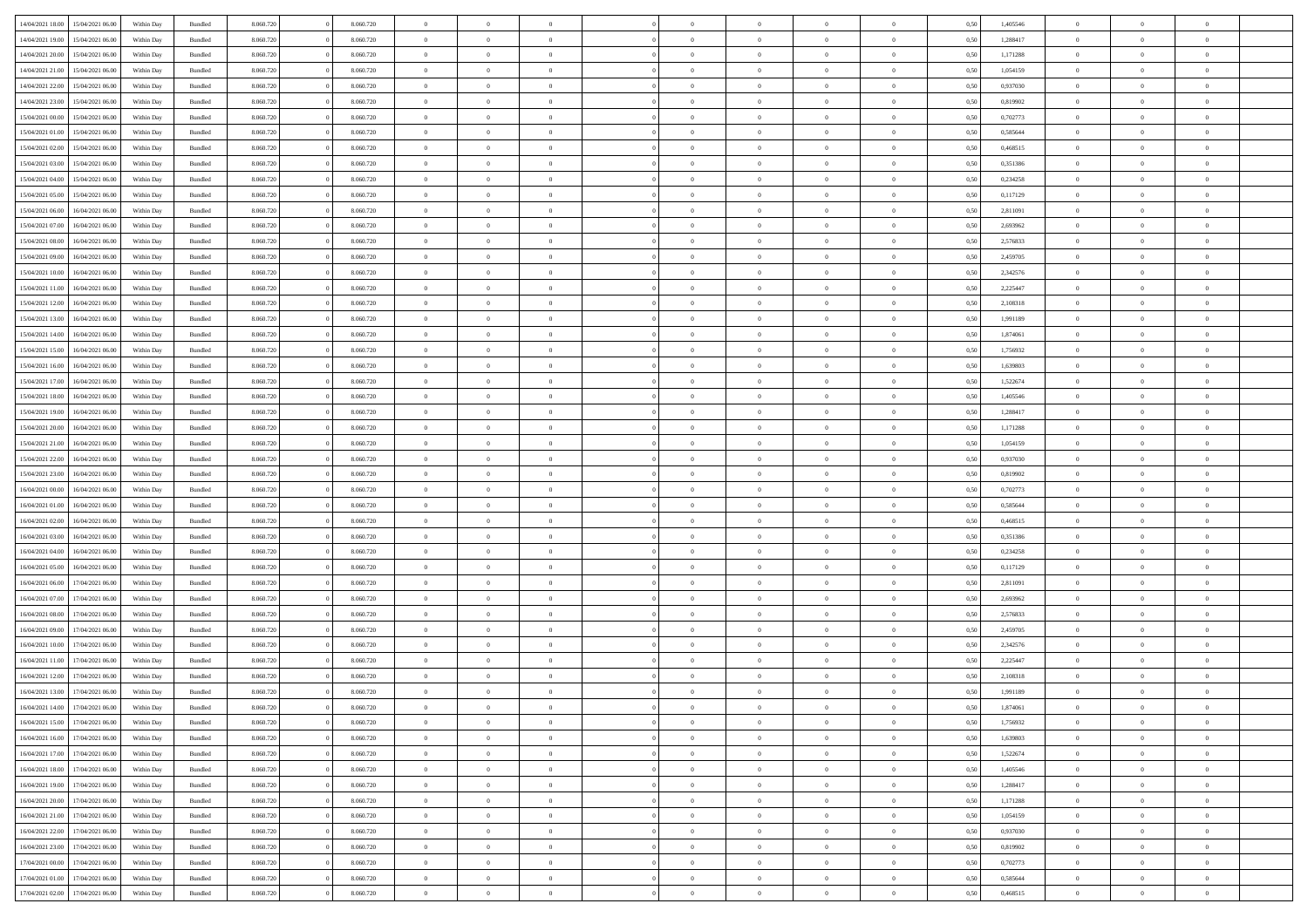| 14/04/2021 18:00 | 15/04/2021 06:00                  | Within Day | Bundled            | 8.060.720 | 8.060.720 | $\overline{0}$ | $\Omega$       |                | $\Omega$       | $\Omega$       | $\Omega$       | $\theta$       | 0.50 | 1,405546 | $\theta$       | $\theta$       | $\theta$       |  |
|------------------|-----------------------------------|------------|--------------------|-----------|-----------|----------------|----------------|----------------|----------------|----------------|----------------|----------------|------|----------|----------------|----------------|----------------|--|
| 14/04/2021 19:00 | 15/04/2021 06:00                  | Within Day | Bundled            | 8.060.720 | 8.060.720 | $\overline{0}$ | $\theta$       | $\overline{0}$ | $\overline{0}$ | $\bf{0}$       | $\overline{0}$ | $\bf{0}$       | 0,50 | 1,288417 | $\theta$       | $\theta$       | $\overline{0}$ |  |
| 14/04/2021 20:00 | 15/04/2021 06:00                  | Within Day | Bundled            | 8.060.720 | 8.060.720 | $\overline{0}$ | $\overline{0}$ | $\overline{0}$ | $\bf{0}$       | $\bf{0}$       | $\bf{0}$       | $\bf{0}$       | 0,50 | 1,171288 | $\overline{0}$ | $\overline{0}$ | $\overline{0}$ |  |
|                  |                                   |            |                    |           |           |                |                |                |                |                |                |                |      |          | $\theta$       |                |                |  |
| 14/04/2021 21:00 | 15/04/2021 06:00                  | Within Dav | Bundled            | 8.060.720 | 8.060.720 | $\overline{0}$ | $\overline{0}$ | $\overline{0}$ | $\overline{0}$ | $\bf{0}$       | $\overline{0}$ | $\overline{0}$ | 0.50 | 1.054159 |                | $\theta$       | $\overline{0}$ |  |
| 14/04/2021 22:00 | 15/04/2021 06:00                  | Within Day | Bundled            | 8.060.720 | 8.060.720 | $\overline{0}$ | $\theta$       | $\overline{0}$ | $\overline{0}$ | $\bf{0}$       | $\overline{0}$ | $\bf{0}$       | 0,50 | 0,937030 | $\theta$       | $\theta$       | $\overline{0}$ |  |
| 14/04/2021 23:00 | 15/04/2021 06:00                  | Within Day | Bundled            | 8.060.720 | 8.060.720 | $\overline{0}$ | $\bf{0}$       | $\overline{0}$ | $\bf{0}$       | $\overline{0}$ | $\overline{0}$ | $\mathbf{0}$   | 0,50 | 0,819902 | $\overline{0}$ | $\overline{0}$ | $\bf{0}$       |  |
| 15/04/2021 00:00 | 15/04/2021 06:00                  | Within Dav | Bundled            | 8.060.720 | 8.060.720 | $\overline{0}$ | $\overline{0}$ | $\overline{0}$ | $\overline{0}$ | $\overline{0}$ | $\overline{0}$ | $\overline{0}$ | 0.50 | 0,702773 | $\theta$       | $\theta$       | $\overline{0}$ |  |
|                  |                                   |            |                    |           |           |                |                |                |                |                |                |                |      |          |                |                |                |  |
| 15/04/2021 01:00 | 15/04/2021 06:00                  | Within Day | Bundled            | 8.060.720 | 8.060.720 | $\overline{0}$ | $\theta$       | $\overline{0}$ | $\overline{0}$ | $\bf{0}$       | $\overline{0}$ | $\bf{0}$       | 0,50 | 0,585644 | $\theta$       | $\theta$       | $\overline{0}$ |  |
| 15/04/2021 02:00 | 15/04/2021 06:00                  | Within Day | Bundled            | 8.060.720 | 8.060.720 | $\overline{0}$ | $\overline{0}$ | $\overline{0}$ | $\bf{0}$       | $\bf{0}$       | $\bf{0}$       | $\bf{0}$       | 0,50 | 0,468515 | $\,0\,$        | $\overline{0}$ | $\overline{0}$ |  |
| 15/04/2021 03:00 | 15/04/2021 06:00                  | Within Dav | Bundled            | 8.060.720 | 8.060.720 | $\overline{0}$ | $\overline{0}$ | $\overline{0}$ | $\overline{0}$ | $\overline{0}$ | $\overline{0}$ | $\overline{0}$ | 0.50 | 0,351386 | $\theta$       | $\overline{0}$ | $\overline{0}$ |  |
| 15/04/2021 04:00 | 15/04/2021 06:00                  |            | Bundled            | 8.060.720 | 8.060.720 | $\overline{0}$ | $\theta$       | $\overline{0}$ | $\overline{0}$ | $\bf{0}$       | $\overline{0}$ |                |      | 0,234258 | $\,$ 0 $\,$    | $\theta$       | $\overline{0}$ |  |
|                  |                                   | Within Day |                    |           |           |                |                |                |                |                |                | $\bf{0}$       | 0,50 |          |                |                |                |  |
| 15/04/2021 05:00 | 15/04/2021 06:00                  | Within Day | Bundled            | 8.060.720 | 8.060.720 | $\overline{0}$ | $\overline{0}$ | $\overline{0}$ | $\bf{0}$       | $\bf{0}$       | $\bf{0}$       | $\bf{0}$       | 0,50 | 0,117129 | $\overline{0}$ | $\overline{0}$ | $\overline{0}$ |  |
| 15/04/2021 06:00 | 16/04/2021 06:00                  | Within Day | Bundled            | 8.060.720 | 8.060.720 | $\overline{0}$ | $\overline{0}$ | $\overline{0}$ | $\overline{0}$ | $\bf{0}$       | $\overline{0}$ | $\overline{0}$ | 0.50 | 2,811091 | $\theta$       | $\theta$       | $\overline{0}$ |  |
| 15/04/2021 07:00 | 16/04/2021 06:00                  | Within Day | Bundled            | 8.060.720 | 8.060.720 | $\overline{0}$ | $\theta$       | $\overline{0}$ | $\overline{0}$ | $\bf{0}$       | $\overline{0}$ | $\bf{0}$       | 0,50 | 2,693962 | $\theta$       | $\theta$       | $\overline{0}$ |  |
|                  |                                   |            |                    |           |           |                |                |                |                |                |                |                |      |          |                |                |                |  |
| 15/04/2021 08:00 | 16/04/2021 06:00                  | Within Day | Bundled            | 8.060.720 | 8.060.720 | $\overline{0}$ | $\bf{0}$       | $\overline{0}$ | $\bf{0}$       | $\overline{0}$ | $\overline{0}$ | $\mathbf{0}$   | 0,50 | 2,576833 | $\overline{0}$ | $\overline{0}$ | $\bf{0}$       |  |
| 15/04/2021 09:00 | 16/04/2021 06:00                  | Within Dav | Bundled            | 8.060.720 | 8.060.720 | $\overline{0}$ | $\overline{0}$ | $\overline{0}$ | $\overline{0}$ | $\overline{0}$ | $\overline{0}$ | $\overline{0}$ | 0.50 | 2,459705 | $\theta$       | $\overline{0}$ | $\overline{0}$ |  |
| 15/04/2021 10:00 | 16/04/2021 06:00                  | Within Day | Bundled            | 8.060.720 | 8.060.720 | $\overline{0}$ | $\theta$       | $\overline{0}$ | $\overline{0}$ | $\bf{0}$       | $\overline{0}$ | $\bf{0}$       | 0,50 | 2,342576 | $\theta$       | $\theta$       | $\overline{0}$ |  |
| 15/04/2021 11:00 | 16/04/2021 06:00                  | Within Day | Bundled            | 8.060.720 | 8.060.720 | $\overline{0}$ | $\overline{0}$ | $\overline{0}$ | $\bf{0}$       | $\bf{0}$       | $\bf{0}$       | $\bf{0}$       | 0,50 | 2,225447 | $\,0\,$        | $\overline{0}$ | $\overline{0}$ |  |
| 15/04/2021 12:00 | 16/04/2021 06:00                  |            | Bundled            | 8.060.720 | 8.060.720 | $\overline{0}$ | $\overline{0}$ | $\overline{0}$ | $\overline{0}$ | $\overline{0}$ | $\overline{0}$ | $\overline{0}$ | 0.50 | 2,108318 | $\theta$       | $\overline{0}$ | $\overline{0}$ |  |
|                  |                                   | Within Day |                    |           |           |                |                |                |                |                |                |                |      |          |                |                |                |  |
| 15/04/2021 13:00 | 16/04/2021 06:00                  | Within Day | Bundled            | 8.060.720 | 8.060.720 | $\overline{0}$ | $\theta$       | $\overline{0}$ | $\overline{0}$ | $\bf{0}$       | $\overline{0}$ | $\bf{0}$       | 0,50 | 1,991189 | $\,$ 0 $\,$    | $\theta$       | $\overline{0}$ |  |
| 15/04/2021 14:00 | 16/04/2021 06:00                  | Within Day | Bundled            | 8.060.720 | 8.060.720 | $\overline{0}$ | $\overline{0}$ | $\overline{0}$ | $\bf{0}$       | $\bf{0}$       | $\overline{0}$ | $\bf{0}$       | 0,50 | 1,874061 | $\bf{0}$       | $\overline{0}$ | $\overline{0}$ |  |
| 15/04/2021 15:00 | 16/04/2021 06:00                  | Within Day | Bundled            | 8.060.720 | 8.060.720 | $\overline{0}$ | $\overline{0}$ | $\overline{0}$ | $\overline{0}$ | $\bf{0}$       | $\overline{0}$ | $\overline{0}$ | 0.50 | 1,756932 | $\theta$       | $\theta$       | $\overline{0}$ |  |
|                  |                                   |            |                    |           |           |                |                |                |                |                |                |                |      |          |                |                |                |  |
| 15/04/2021 16:00 | 16/04/2021 06:00                  | Within Day | Bundled            | 8.060.720 | 8.060.720 | $\overline{0}$ | $\theta$       | $\overline{0}$ | $\overline{0}$ | $\bf{0}$       | $\overline{0}$ | $\bf{0}$       | 0,50 | 1,639803 | $\,$ 0 $\,$    | $\overline{0}$ | $\overline{0}$ |  |
| 15/04/2021 17:00 | 16/04/2021 06:00                  | Within Day | Bundled            | 8.060.720 | 8.060.720 | $\overline{0}$ | $\bf{0}$       | $\overline{0}$ | $\overline{0}$ | $\overline{0}$ | $\overline{0}$ | $\mathbf{0}$   | 0,50 | 1,522674 | $\overline{0}$ | $\overline{0}$ | $\bf{0}$       |  |
| 15/04/2021 18:00 | 16/04/2021 06:00                  | Within Dav | Bundled            | 8.060.720 | 8.060.720 | $\overline{0}$ | $\overline{0}$ | $\overline{0}$ | $\overline{0}$ | $\overline{0}$ | $\overline{0}$ | $\overline{0}$ | 0.50 | 1,405546 | $\theta$       | $\theta$       | $\overline{0}$ |  |
| 15/04/2021 19:00 | 16/04/2021 06:00                  | Within Day | Bundled            | 8.060.720 | 8.060.720 | $\overline{0}$ | $\theta$       | $\overline{0}$ | $\overline{0}$ | $\bf{0}$       | $\overline{0}$ | $\bf{0}$       | 0,50 | 1,288417 | $\theta$       | $\theta$       | $\overline{0}$ |  |
|                  |                                   |            |                    |           |           |                |                |                |                |                |                |                |      |          |                |                |                |  |
| 15/04/2021 20:00 | 16/04/2021 06:00                  | Within Day | Bundled            | 8.060.720 | 8.060.720 | $\overline{0}$ | $\overline{0}$ | $\overline{0}$ | $\overline{0}$ | $\bf{0}$       | $\overline{0}$ | $\bf{0}$       | 0,50 | 1,171288 | $\,0\,$        | $\overline{0}$ | $\overline{0}$ |  |
| 15/04/2021 21:00 | 16/04/2021 06:00                  | Within Day | Bundled            | 8.060.720 | 8.060.720 | $\overline{0}$ | $\overline{0}$ | $\overline{0}$ | $\overline{0}$ | $\overline{0}$ | $\overline{0}$ | $\overline{0}$ | 0.50 | 1,054159 | $\theta$       | $\overline{0}$ | $\overline{0}$ |  |
| 15/04/2021 22:00 | 16/04/2021 06:00                  | Within Day | Bundled            | 8.060.720 | 8.060.720 | $\overline{0}$ | $\theta$       | $\overline{0}$ | $\overline{0}$ | $\bf{0}$       | $\overline{0}$ | $\bf{0}$       | 0,50 | 0,937030 | $\,$ 0 $\,$    | $\overline{0}$ | $\overline{0}$ |  |
| 15/04/2021 23.00 | 16/04/2021 06:00                  | Within Day | Bundled            | 8.060.720 | 8.060.720 | $\overline{0}$ | $\overline{0}$ | $\overline{0}$ | $\overline{0}$ | $\bf{0}$       | $\overline{0}$ | $\bf{0}$       | 0,50 | 0,819902 | $\bf{0}$       | $\overline{0}$ | $\overline{0}$ |  |
|                  |                                   |            |                    |           |           |                |                |                |                |                |                |                |      |          |                |                |                |  |
| 16/04/2021 00:00 | 16/04/2021 06:00                  | Within Day | Bundled            | 8.060.720 | 8.060.720 | $\overline{0}$ | $\Omega$       | $\Omega$       | $\Omega$       | $\Omega$       | $\Omega$       | $\overline{0}$ | 0,50 | 0,702773 | $\,0\,$        | $\theta$       | $\theta$       |  |
| 16/04/2021 01:00 | 16/04/2021 06:00                  | Within Day | Bundled            | 8.060.720 | 8.060.720 | $\overline{0}$ | $\theta$       | $\overline{0}$ | $\overline{0}$ | $\bf{0}$       | $\overline{0}$ | $\bf{0}$       | 0,50 | 0,585644 | $\theta$       | $\theta$       | $\overline{0}$ |  |
| 16/04/2021 02:00 | 16/04/2021 06:00                  | Within Day | Bundled            | 8.060.720 | 8.060.720 | $\overline{0}$ | $\overline{0}$ | $\overline{0}$ | $\overline{0}$ | $\bf{0}$       | $\overline{0}$ | $\mathbf{0}$   | 0,50 | 0,468515 | $\overline{0}$ | $\overline{0}$ | $\bf{0}$       |  |
| 16/04/2021 03:00 | 16/04/2021 06:00                  | Within Day | Bundled            | 8.060.720 | 8.060.720 | $\overline{0}$ | $\Omega$       | $\Omega$       | $\Omega$       | $\bf{0}$       | $\overline{0}$ | $\overline{0}$ | 0.50 | 0,351386 | $\theta$       | $\theta$       | $\theta$       |  |
| 16/04/2021 04:00 | 16/04/2021 06:00                  |            |                    | 8.060.720 | 8.060.720 | $\overline{0}$ | $\theta$       | $\overline{0}$ | $\overline{0}$ | $\bf{0}$       | $\overline{0}$ |                |      | 0,234258 | $\,$ 0 $\,$    | $\theta$       | $\overline{0}$ |  |
|                  |                                   | Within Day | Bundled            |           |           |                |                |                |                |                |                | $\bf{0}$       | 0,50 |          |                |                |                |  |
| 16/04/2021 05:00 | 16/04/2021 06:00                  | Within Day | Bundled            | 8.060.720 | 8.060.720 | $\overline{0}$ | $\overline{0}$ | $\overline{0}$ | $\overline{0}$ | $\bf{0}$       | $\overline{0}$ | $\bf{0}$       | 0,50 | 0,117129 | $\bf{0}$       | $\overline{0}$ | $\overline{0}$ |  |
| 16/04/2021 06:00 | 17/04/2021 06:00                  | Within Day | Bundled            | 8.060.720 | 8.060.720 | $\overline{0}$ | $\Omega$       | $\Omega$       | $\Omega$       | $\Omega$       | $\theta$       | $\overline{0}$ | 0.50 | 2,811091 | $\theta$       | $\theta$       | $\theta$       |  |
| 16/04/2021 07:00 | 17/04/2021 06:00                  | Within Day | Bundled            | 8.060.720 | 8.060.720 | $\overline{0}$ | $\theta$       | $\overline{0}$ | $\overline{0}$ | $\bf{0}$       | $\overline{0}$ | $\bf{0}$       | 0,50 | 2,693962 | $\,$ 0 $\,$    | $\overline{0}$ | $\overline{0}$ |  |
|                  |                                   |            |                    |           |           |                |                |                |                |                |                |                |      |          |                |                |                |  |
| 16/04/2021 08:00 | 17/04/2021 06:00                  | Within Day | Bundled            | 8.060.720 | 8.060.720 | $\overline{0}$ | $\overline{0}$ | $\overline{0}$ | $\overline{0}$ | $\bf{0}$       | $\overline{0}$ | $\bf{0}$       | 0,50 | 2,576833 | $\overline{0}$ | $\overline{0}$ | $\overline{0}$ |  |
| 16/04/2021 09:00 | 17/04/2021 06:00                  | Within Day | Bundled            | 8.060.720 | 8.060.720 | $\overline{0}$ | $\Omega$       | $\Omega$       | $\Omega$       | $\Omega$       | $\overline{0}$ | $\overline{0}$ | 0.50 | 2,459705 | $\,0\,$        | $\theta$       | $\theta$       |  |
| 16/04/2021 10:00 | 17/04/2021 06:00                  | Within Day | Bundled            | 8.060.720 | 8.060.720 | $\overline{0}$ | $\theta$       | $\overline{0}$ | $\overline{0}$ | $\bf{0}$       | $\overline{0}$ | $\bf{0}$       | 0,50 | 2,342576 | $\,$ 0 $\,$    | $\overline{0}$ | $\overline{0}$ |  |
| 16/04/2021 11:00 | 17/04/2021 06:00                  | Within Day | Bundled            | 8.060.720 | 8.060.720 | $\overline{0}$ | $\overline{0}$ | $\overline{0}$ | $\bf{0}$       | $\bf{0}$       | $\bf{0}$       | $\mathbf{0}$   | 0,50 | 2,225447 | $\overline{0}$ | $\overline{0}$ | $\bf{0}$       |  |
| 16/04/2021 12:00 | 17/04/2021 06:00                  |            | Bundled            | 8.060.720 | 8.060.720 | $\overline{0}$ | $\Omega$       | $\Omega$       | $\Omega$       | $\Omega$       | $\Omega$       | $\overline{0}$ | 0.50 | 2,108318 | $\theta$       | $\theta$       | $\theta$       |  |
|                  |                                   | Within Day |                    |           |           |                |                |                |                |                |                |                |      |          |                |                |                |  |
| 16/04/2021 13:00 | 17/04/2021 06:00                  | Within Day | Bundled            | 8.060.720 | 8.060.720 | $\overline{0}$ | $\overline{0}$ | $\overline{0}$ | $\bf{0}$       | $\,$ 0         | $\bf{0}$       | $\bf{0}$       | 0,50 | 1,991189 | $\,0\,$        | $\overline{0}$ | $\overline{0}$ |  |
|                  | 16/04/2021 14:00 17/04/2021 06:00 | Within Day | $\mathbf B$ undled | 8.060.720 | 8.060.720 | $\bf{0}$       | $\bf{0}$       |                |                |                |                |                | 0,50 | 1,874061 | $\bf{0}$       | $\overline{0}$ |                |  |
| 16/04/2021 15:00 | 17/04/2021 06:00                  | Within Day | Bundled            | 8.060.720 | 8.060.720 | $\overline{0}$ | $\overline{0}$ | $\overline{0}$ | $\Omega$       | $\overline{0}$ | $\overline{0}$ | $\overline{0}$ | 0.50 | 1,756932 | $\theta$       | $\theta$       | $\Omega$       |  |
| 16/04/2021 16:00 | 17/04/2021 06:00                  | Within Day | Bundled            | 8.060.720 | 8.060.720 | $\overline{0}$ | $\,$ 0         | $\overline{0}$ | $\bf{0}$       | $\,$ 0 $\,$    | $\overline{0}$ | $\,$ 0 $\,$    | 0,50 | 1,639803 | $\,$ 0 $\,$    | $\,$ 0 $\,$    | $\,$ 0         |  |
|                  |                                   |            |                    |           |           |                |                |                |                |                |                |                |      |          |                |                |                |  |
| 16/04/2021 17:00 | 17/04/2021 06:00                  | Within Day | Bundled            | 8.060.720 | 8.060.720 | $\overline{0}$ | $\overline{0}$ | $\overline{0}$ | $\overline{0}$ | $\overline{0}$ | $\overline{0}$ | $\mathbf{0}$   | 0,50 | 1,522674 | $\overline{0}$ | $\bf{0}$       | $\overline{0}$ |  |
| 16/04/2021 18:00 | 17/04/2021 06:00                  | Within Day | Bundled            | 8.060.720 | 8.060.720 | $\overline{0}$ | $\overline{0}$ | $\overline{0}$ | $\Omega$       | $\overline{0}$ | $\overline{0}$ | $\overline{0}$ | 0,50 | 1,405546 | $\overline{0}$ | $\theta$       | $\overline{0}$ |  |
| 16/04/2021 19:00 | 17/04/2021 06:00                  | Within Day | Bundled            | 8.060.720 | 8.060.720 | $\overline{0}$ | $\,$ 0         | $\overline{0}$ | $\overline{0}$ | $\,$ 0 $\,$    | $\overline{0}$ | $\mathbf{0}$   | 0,50 | 1,288417 | $\,$ 0 $\,$    | $\overline{0}$ | $\overline{0}$ |  |
| 16/04/2021 20:00 | 17/04/2021 06:00                  | Within Day | Bundled            | 8.060.720 | 8.060.720 | $\overline{0}$ | $\overline{0}$ | $\overline{0}$ | $\overline{0}$ | $\overline{0}$ | $\overline{0}$ | $\mathbf{0}$   | 0,50 | 1,171288 | $\overline{0}$ | $\overline{0}$ | $\overline{0}$ |  |
|                  |                                   |            |                    |           |           |                |                |                |                |                |                |                |      |          |                |                |                |  |
| 16/04/2021 21:00 | 17/04/2021 06:00                  | Within Day | Bundled            | 8.060.720 | 8.060.720 | $\overline{0}$ | $\overline{0}$ | $\overline{0}$ | $\overline{0}$ | $\overline{0}$ | $\overline{0}$ | $\bf{0}$       | 0.50 | 1,054159 | $\overline{0}$ | $\theta$       | $\overline{0}$ |  |
| 16/04/2021 22:00 | 17/04/2021 06:00                  | Within Day | Bundled            | 8.060.720 | 8.060.720 | $\overline{0}$ | $\,$ 0         | $\overline{0}$ | $\bf{0}$       | $\bf{0}$       | $\bf{0}$       | $\bf{0}$       | 0,50 | 0,937030 | $\,$ 0 $\,$    | $\overline{0}$ | $\overline{0}$ |  |
| 16/04/2021 23:00 | 17/04/2021 06:00                  | Within Day | Bundled            | 8.060.720 | 8.060.720 | $\overline{0}$ | $\bf{0}$       | $\overline{0}$ | $\overline{0}$ | $\overline{0}$ | $\overline{0}$ | $\mathbf{0}$   | 0,50 | 0,819902 | $\overline{0}$ | $\overline{0}$ | $\bf{0}$       |  |
| 17/04/2021 00:00 | 17/04/2021 06:00                  | Within Day | Bundled            | 8.060.720 | 8.060.720 | $\overline{0}$ | $\overline{0}$ | $\overline{0}$ | $\Omega$       | $\overline{0}$ | $\overline{0}$ | $\overline{0}$ | 0.50 | 0,702773 | $\overline{0}$ | $\overline{0}$ | $\overline{0}$ |  |
|                  |                                   |            |                    |           |           |                |                |                |                |                |                |                |      |          |                |                |                |  |
| 17/04/2021 01:00 | 17/04/2021 06:00                  | Within Day | Bundled            | 8.060.720 | 8.060.720 | $\overline{0}$ | $\bf{0}$       | $\overline{0}$ | $\bf{0}$       | $\bf{0}$       | $\bf{0}$       | $\mathbf{0}$   | 0,50 | 0,585644 | $\,$ 0 $\,$    | $\,$ 0 $\,$    | $\bf{0}$       |  |
|                  | 17/04/2021 02.00 17/04/2021 06.00 | Within Day | Bundled            | 8.060.720 | 8.060.720 | $\overline{0}$ | $\overline{0}$ | $\overline{0}$ | $\overline{0}$ | $\overline{0}$ | $\bf{0}$       | $\mathbf{0}$   | 0,50 | 0,468515 | $\overline{0}$ | $\bf{0}$       | $\overline{0}$ |  |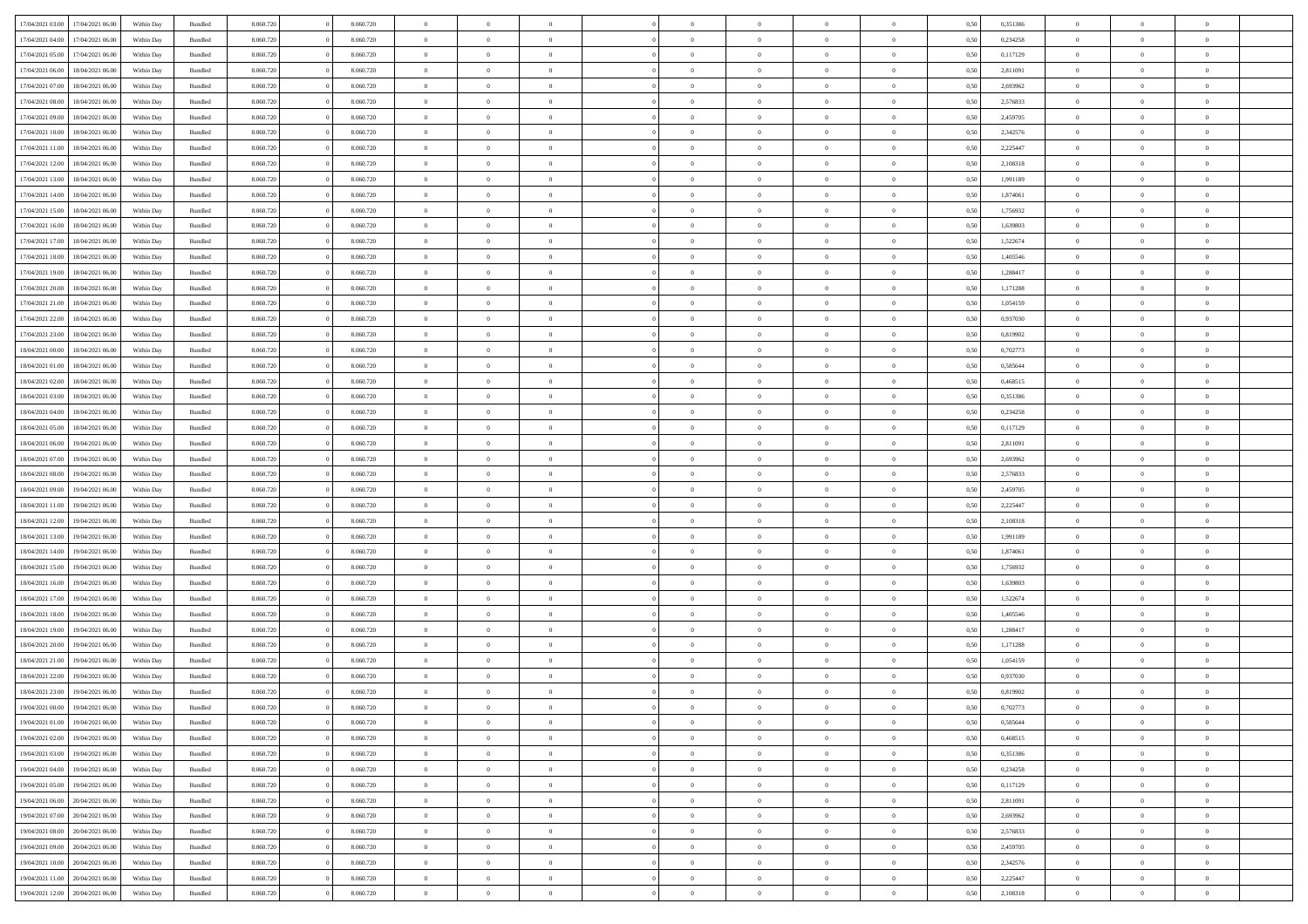|                  |                  |            |                    |           |           | $\overline{0}$ | $\Omega$       |                |                | $\Omega$       | $\theta$       | $\theta$       |      |          | $\theta$       |                | $\theta$       |  |
|------------------|------------------|------------|--------------------|-----------|-----------|----------------|----------------|----------------|----------------|----------------|----------------|----------------|------|----------|----------------|----------------|----------------|--|
| 17/04/2021 03:00 | 17/04/2021 06:00 | Within Day | Bundled            | 8.060.720 | 8.060.720 |                |                |                | $\Omega$       |                |                |                | 0.50 | 0,351386 |                | $\theta$       |                |  |
| 17/04/2021 04:00 | 17/04/2021 06:00 | Within Day | Bundled            | 8.060.720 | 8.060.720 | $\overline{0}$ | $\theta$       | $\overline{0}$ | $\overline{0}$ | $\bf{0}$       | $\overline{0}$ | $\bf{0}$       | 0,50 | 0,234258 | $\theta$       | $\theta$       | $\overline{0}$ |  |
| 17/04/2021 05:00 | 17/04/2021 06:00 | Within Day | Bundled            | 8.060.720 | 8.060.720 | $\overline{0}$ | $\overline{0}$ | $\overline{0}$ | $\bf{0}$       | $\bf{0}$       | $\bf{0}$       | $\bf{0}$       | 0,50 | 0,117129 | $\bf{0}$       | $\overline{0}$ | $\overline{0}$ |  |
|                  |                  |            |                    |           |           |                |                |                |                |                |                |                |      |          | $\theta$       |                |                |  |
| 17/04/2021 06:00 | 18/04/2021 06:00 | Within Dav | Bundled            | 8.060.720 | 8.060.720 | $\overline{0}$ | $\overline{0}$ | $\overline{0}$ | $\overline{0}$ | $\bf{0}$       | $\overline{0}$ | $\overline{0}$ | 0.50 | 2.811091 |                | $\theta$       | $\overline{0}$ |  |
| 17/04/2021 07:00 | 18/04/2021 06:00 | Within Day | Bundled            | 8.060.720 | 8.060.720 | $\overline{0}$ | $\theta$       | $\overline{0}$ | $\overline{0}$ | $\bf{0}$       | $\overline{0}$ | $\bf{0}$       | 0,50 | 2,693962 | $\theta$       | $\theta$       | $\overline{0}$ |  |
| 17/04/2021 08:00 | 18/04/2021 06:00 | Within Day | Bundled            | 8.060.720 | 8.060.720 | $\overline{0}$ | $\bf{0}$       | $\overline{0}$ | $\bf{0}$       | $\overline{0}$ | $\overline{0}$ | $\mathbf{0}$   | 0,50 | 2,576833 | $\bf{0}$       | $\overline{0}$ | $\bf{0}$       |  |
| 17/04/2021 09:00 | 18/04/2021 06:00 | Within Dav | Bundled            | 8.060.720 | 8.060.720 | $\overline{0}$ | $\overline{0}$ | $\overline{0}$ | $\overline{0}$ | $\overline{0}$ | $\overline{0}$ | $\overline{0}$ | 0.50 | 2,459705 | $\theta$       | $\overline{0}$ | $\overline{0}$ |  |
|                  |                  |            |                    |           |           |                |                |                |                |                |                |                |      |          |                |                |                |  |
| 17/04/2021 10:00 | 18/04/2021 06:00 | Within Day | Bundled            | 8.060.720 | 8.060.720 | $\overline{0}$ | $\theta$       | $\overline{0}$ | $\overline{0}$ | $\bf{0}$       | $\overline{0}$ | $\bf{0}$       | 0,50 | 2,342576 | $\theta$       | $\theta$       | $\overline{0}$ |  |
| 17/04/2021 11:00 | 18/04/2021 06:00 | Within Day | Bundled            | 8.060.720 | 8.060.720 | $\overline{0}$ | $\overline{0}$ | $\overline{0}$ | $\bf{0}$       | $\bf{0}$       | $\bf{0}$       | $\bf{0}$       | 0,50 | 2,225447 | $\,0\,$        | $\overline{0}$ | $\overline{0}$ |  |
| 17/04/2021 12:00 | 18/04/2021 06:00 | Within Dav | Bundled            | 8.060.720 | 8.060.720 | $\overline{0}$ | $\overline{0}$ | $\overline{0}$ | $\overline{0}$ | $\overline{0}$ | $\overline{0}$ | $\overline{0}$ | 0.50 | 2,108318 | $\theta$       | $\overline{0}$ | $\overline{0}$ |  |
|                  |                  |            |                    |           |           |                |                |                |                |                |                |                |      |          |                |                |                |  |
| 17/04/2021 13:00 | 18/04/2021 06:00 | Within Day | Bundled            | 8.060.720 | 8.060.720 | $\overline{0}$ | $\theta$       | $\overline{0}$ | $\overline{0}$ | $\bf{0}$       | $\overline{0}$ | $\bf{0}$       | 0,50 | 1,991189 | $\,$ 0 $\,$    | $\theta$       | $\overline{0}$ |  |
| 17/04/2021 14:00 | 18/04/2021 06:00 | Within Day | Bundled            | 8.060.720 | 8.060.720 | $\overline{0}$ | $\overline{0}$ | $\overline{0}$ | $\bf{0}$       | $\bf{0}$       | $\bf{0}$       | $\bf{0}$       | 0,50 | 1,874061 | $\bf{0}$       | $\overline{0}$ | $\overline{0}$ |  |
| 17/04/2021 15:00 | 18/04/2021 06:00 | Within Dav | Bundled            | 8.060.720 | 8.060.720 | $\overline{0}$ | $\overline{0}$ | $\overline{0}$ | $\overline{0}$ | $\bf{0}$       | $\overline{0}$ | $\overline{0}$ | 0.50 | 1.756932 | $\theta$       | $\theta$       | $\overline{0}$ |  |
|                  |                  |            |                    |           |           |                |                |                |                |                |                |                |      |          |                |                |                |  |
| 17/04/2021 16:00 | 18/04/2021 06:00 | Within Day | Bundled            | 8.060.720 | 8.060.720 | $\overline{0}$ | $\theta$       | $\overline{0}$ | $\overline{0}$ | $\bf{0}$       | $\overline{0}$ | $\overline{0}$ | 0,50 | 1,639803 | $\theta$       | $\overline{0}$ | $\overline{0}$ |  |
| 17/04/2021 17:00 | 18/04/2021 06:00 | Within Day | Bundled            | 8.060.720 | 8.060.720 | $\overline{0}$ | $\bf{0}$       | $\overline{0}$ | $\bf{0}$       | $\overline{0}$ | $\overline{0}$ | $\mathbf{0}$   | 0,50 | 1,522674 | $\bf{0}$       | $\overline{0}$ | $\bf{0}$       |  |
| 17/04/2021 18:00 | 18/04/2021 06:00 | Within Dav | Bundled            | 8.060.720 | 8.060.720 | $\overline{0}$ | $\overline{0}$ | $\overline{0}$ | $\overline{0}$ | $\overline{0}$ | $\overline{0}$ | $\overline{0}$ | 0.50 | 1,405546 | $\theta$       | $\overline{0}$ | $\overline{0}$ |  |
| 17/04/2021 19:00 | 18/04/2021 06:00 | Within Day | Bundled            | 8.060.720 | 8.060.720 | $\overline{0}$ | $\theta$       | $\overline{0}$ | $\overline{0}$ | $\bf{0}$       | $\overline{0}$ | $\bf{0}$       | 0,50 | 1,288417 | $\theta$       | $\theta$       | $\overline{0}$ |  |
|                  |                  |            |                    |           |           |                |                |                |                |                |                |                |      |          |                |                |                |  |
| 17/04/2021 20:00 | 18/04/2021 06:00 | Within Day | Bundled            | 8.060.720 | 8.060.720 | $\overline{0}$ | $\overline{0}$ | $\overline{0}$ | $\bf{0}$       | $\bf{0}$       | $\bf{0}$       | $\bf{0}$       | 0,50 | 1,171288 | $\bf{0}$       | $\overline{0}$ | $\overline{0}$ |  |
| 17/04/2021 21:00 | 18/04/2021 06:00 | Within Dav | Bundled            | 8.060.720 | 8.060.720 | $\overline{0}$ | $\overline{0}$ | $\overline{0}$ | $\overline{0}$ | $\overline{0}$ | $\overline{0}$ | $\overline{0}$ | 0.50 | 1,054159 | $\theta$       | $\overline{0}$ | $\overline{0}$ |  |
| 17/04/2021 22.00 | 18/04/2021 06:00 | Within Day | Bundled            | 8.060.720 | 8.060.720 | $\overline{0}$ | $\theta$       | $\overline{0}$ | $\overline{0}$ | $\bf{0}$       | $\overline{0}$ | $\bf{0}$       | 0,50 | 0,937030 | $\,$ 0 $\,$    | $\theta$       | $\overline{0}$ |  |
|                  |                  |            |                    |           |           |                |                |                |                |                |                |                |      |          |                |                |                |  |
| 17/04/2021 23:00 | 18/04/2021 06:00 | Within Day | Bundled            | 8.060.720 | 8.060.720 | $\overline{0}$ | $\overline{0}$ | $\overline{0}$ | $\bf{0}$       | $\bf{0}$       | $\bf{0}$       | $\bf{0}$       | 0,50 | 0,819902 | $\bf{0}$       | $\overline{0}$ | $\overline{0}$ |  |
| 18/04/2021 00:00 | 18/04/2021 06:00 | Within Dav | Bundled            | 8.060.720 | 8.060.720 | $\overline{0}$ | $\overline{0}$ | $\overline{0}$ | $\overline{0}$ | $\bf{0}$       | $\overline{0}$ | $\overline{0}$ | 0.50 | 0,702773 | $\theta$       | $\theta$       | $\overline{0}$ |  |
| 18/04/2021 01:00 | 18/04/2021 06:00 | Within Day | Bundled            | 8.060.720 | 8.060.720 | $\overline{0}$ | $\theta$       | $\overline{0}$ | $\overline{0}$ | $\bf{0}$       | $\overline{0}$ | $\bf{0}$       | 0,50 | 0,585644 | $\,$ 0 $\,$    | $\overline{0}$ | $\overline{0}$ |  |
|                  |                  |            |                    |           |           |                | $\bf{0}$       |                |                |                |                |                |      |          |                | $\overline{0}$ | $\bf{0}$       |  |
| 18/04/2021 02:00 | 18/04/2021 06:00 | Within Day | Bundled            | 8.060.720 | 8.060.720 | $\overline{0}$ |                | $\overline{0}$ | $\bf{0}$       | $\overline{0}$ | $\overline{0}$ | $\mathbf{0}$   | 0,50 | 0,468515 | $\overline{0}$ |                |                |  |
| 18/04/2021 03:00 | 18/04/2021 06:00 | Within Dav | Bundled            | 8.060.720 | 8.060.720 | $\overline{0}$ | $\overline{0}$ | $\overline{0}$ | $\overline{0}$ | $\overline{0}$ | $\overline{0}$ | $\overline{0}$ | 0.50 | 0,351386 | $\overline{0}$ | $\theta$       | $\overline{0}$ |  |
| 18/04/2021 04:00 | 18/04/2021 06:00 | Within Day | Bundled            | 8.060.720 | 8.060.720 | $\overline{0}$ | $\theta$       | $\overline{0}$ | $\overline{0}$ | $\bf{0}$       | $\overline{0}$ | $\bf{0}$       | 0,50 | 0,234258 | $\theta$       | $\theta$       | $\overline{0}$ |  |
| 18/04/2021 05:00 | 18/04/2021 06:00 | Within Day | Bundled            | 8.060.720 | 8.060.720 | $\overline{0}$ | $\overline{0}$ | $\overline{0}$ | $\bf{0}$       | $\bf{0}$       | $\bf{0}$       | $\bf{0}$       | 0,50 | 0,117129 | $\,0\,$        | $\overline{0}$ | $\overline{0}$ |  |
|                  |                  |            |                    |           |           |                |                |                |                |                |                |                |      |          |                |                |                |  |
| 18/04/2021 06:00 | 19/04/2021 06:00 | Within Day | Bundled            | 8.060.720 | 8.060.720 | $\overline{0}$ | $\overline{0}$ | $\overline{0}$ | $\overline{0}$ | $\overline{0}$ | $\overline{0}$ | $\overline{0}$ | 0.50 | 2,811091 | $\theta$       | $\overline{0}$ | $\overline{0}$ |  |
| 18/04/2021 07:00 | 19/04/2021 06:00 | Within Day | Bundled            | 8.060.720 | 8.060.720 | $\overline{0}$ | $\theta$       | $\overline{0}$ | $\overline{0}$ | $\bf{0}$       | $\overline{0}$ | $\bf{0}$       | 0,50 | 2,693962 | $\,$ 0 $\,$    | $\overline{0}$ | $\overline{0}$ |  |
| 18/04/2021 08:00 | 19/04/2021 06:00 | Within Day | Bundled            | 8.060.720 | 8.060.720 | $\overline{0}$ | $\overline{0}$ | $\overline{0}$ | $\bf{0}$       | $\bf{0}$       | $\bf{0}$       | $\bf{0}$       | 0,50 | 2,576833 | $\overline{0}$ | $\overline{0}$ | $\overline{0}$ |  |
|                  |                  |            |                    |           |           |                |                |                |                |                |                |                |      |          |                |                | $\theta$       |  |
| 18/04/2021 09:00 | 19/04/2021 06:00 | Within Day | Bundled            | 8.060.720 | 8.060.720 | $\overline{0}$ | $\Omega$       | $\Omega$       | $\Omega$       | $\Omega$       | $\Omega$       | $\overline{0}$ | 0.50 | 2,459705 | $\,0\,$        | $\theta$       |                |  |
| 18/04/2021 11:00 | 19/04/2021 06:00 | Within Day | Bundled            | 8.060.720 | 8.060.720 | $\overline{0}$ | $\theta$       | $\overline{0}$ | $\overline{0}$ | $\bf{0}$       | $\overline{0}$ | $\bf{0}$       | 0,50 | 2,225447 | $\theta$       | $\theta$       | $\overline{0}$ |  |
| 18/04/2021 12:00 | 19/04/2021 06:00 | Within Day | Bundled            | 8.060.720 | 8.060.720 | $\overline{0}$ | $\overline{0}$ | $\overline{0}$ | $\bf{0}$       | $\bf{0}$       | $\overline{0}$ | $\mathbf{0}$   | 0,50 | 2,108318 | $\overline{0}$ | $\overline{0}$ | $\bf{0}$       |  |
| 18/04/2021 13:00 | 19/04/2021 06:00 | Within Day | Bundled            | 8.060.720 | 8.060.720 | $\overline{0}$ | $\Omega$       | $\Omega$       | $\Omega$       | $\bf{0}$       | $\Omega$       | $\overline{0}$ | 0.50 | 1,991189 | $\,0\,$        | $\theta$       | $\theta$       |  |
|                  |                  |            |                    |           |           |                |                |                |                |                |                |                |      |          |                |                |                |  |
| 18/04/2021 14:00 | 19/04/2021 06:00 | Within Day | Bundled            | 8.060.720 | 8.060.720 | $\overline{0}$ | $\theta$       | $\overline{0}$ | $\overline{0}$ | $\bf{0}$       | $\overline{0}$ | $\bf{0}$       | 0,50 | 1,874061 | $\,$ 0 $\,$    | $\theta$       | $\overline{0}$ |  |
| 18/04/2021 15:00 | 19/04/2021 06:00 | Within Day | Bundled            | 8.060.720 | 8.060.720 | $\overline{0}$ | $\overline{0}$ | $\overline{0}$ | $\bf{0}$       | $\bf{0}$       | $\bf{0}$       | $\bf{0}$       | 0,50 | 1,756932 | $\,0\,$        | $\overline{0}$ | $\overline{0}$ |  |
| 18/04/2021 16:00 | 19/04/2021 06:00 | Within Day | Bundled            | 8.060.720 | 8.060.720 | $\overline{0}$ | $\Omega$       | $\Omega$       | $\Omega$       | $\theta$       | $\theta$       | $\overline{0}$ | 0.50 | 1.639803 | $\theta$       | $\theta$       | $\theta$       |  |
| 18/04/2021 17:00 | 19/04/2021 06:00 | Within Day | Bundled            | 8.060.720 | 8.060.720 | $\overline{0}$ | $\theta$       | $\overline{0}$ | $\overline{0}$ | $\bf{0}$       | $\overline{0}$ | $\bf{0}$       | 0,50 | 1,522674 | $\,$ 0 $\,$    | $\overline{0}$ | $\overline{0}$ |  |
|                  |                  |            |                    |           |           |                |                |                |                |                |                |                |      |          |                |                |                |  |
| 18/04/2021 18:00 | 19/04/2021 06:00 | Within Day | Bundled            | 8.060.720 | 8.060.720 | $\overline{0}$ | $\overline{0}$ | $\overline{0}$ | $\bf{0}$       | $\bf{0}$       | $\bf{0}$       | $\bf{0}$       | 0,50 | 1,405546 | $\overline{0}$ | $\overline{0}$ | $\overline{0}$ |  |
| 18/04/2021 19:00 | 19/04/2021 06:00 | Within Day | Bundled            | 8.060.720 | 8.060.720 | $\overline{0}$ | $\Omega$       | $\Omega$       | $\Omega$       | $\Omega$       | $\overline{0}$ | $\overline{0}$ | 0.50 | 1,288417 | $\,0\,$        | $\theta$       | $\theta$       |  |
| 18/04/2021 20:00 | 19/04/2021 06:00 | Within Day | Bundled            | 8.060.720 | 8.060.720 | $\overline{0}$ | $\theta$       | $\overline{0}$ | $\overline{0}$ | $\bf{0}$       | $\overline{0}$ | $\bf{0}$       | 0,50 | 1,171288 | $\,$ 0 $\,$    | $\overline{0}$ | $\overline{0}$ |  |
|                  |                  |            |                    |           |           |                |                |                |                |                |                |                |      |          |                |                |                |  |
| 18/04/2021 21:00 | 19/04/2021 06:00 | Within Day | Bundled            | 8.060.720 | 8.060.720 | $\overline{0}$ | $\overline{0}$ | $\overline{0}$ | $\bf{0}$       | $\bf{0}$       | $\bf{0}$       | $\mathbf{0}$   | 0,50 | 1,054159 | $\overline{0}$ | $\overline{0}$ | $\bf{0}$       |  |
| 18/04/2021 22:00 | 19/04/2021 06:00 | Within Day | Bundled            | 8.060.720 | 8.060.720 | $\overline{0}$ | $\Omega$       | $\Omega$       | $\Omega$       | $\Omega$       | $\Omega$       | $\overline{0}$ | 0.50 | 0.937030 | $\theta$       | $\theta$       | $\theta$       |  |
| 18/04/2021 23:00 | 19/04/2021 06:00 | Within Day | Bundled            | 8.060.720 | 8.060.720 | $\overline{0}$ | $\overline{0}$ | $\overline{0}$ | $\bf{0}$       | $\,$ 0         | $\bf{0}$       | $\bf{0}$       | 0,50 | 0,819902 | $\,0\,$        | $\,$ 0 $\,$    | $\overline{0}$ |  |
| 19/04/2021 00:00 | 19/04/2021 06:00 | Within Day | $\mathbf B$ undled | 8.060.720 | 8.060.720 | $\bf{0}$       | $\bf{0}$       |                |                | $\bf{0}$       |                |                | 0,50 | 0,702773 | $\bf{0}$       | $\overline{0}$ |                |  |
|                  |                  |            |                    |           |           |                |                |                |                |                |                |                |      |          |                |                |                |  |
| 19/04/2021 01:00 | 19/04/2021 06:00 | Within Day | Bundled            | 8.060.720 | 8.060.720 | $\overline{0}$ | $\overline{0}$ | $\overline{0}$ | $\Omega$       | $\overline{0}$ | $\overline{0}$ | $\overline{0}$ | 0.50 | 0.585644 | $\theta$       | $\theta$       | $\theta$       |  |
| 19/04/2021 02:00 | 19/04/2021 06:00 | Within Day | Bundled            | 8.060.720 | 8.060.720 | $\overline{0}$ | $\,$ 0         | $\overline{0}$ | $\bf{0}$       | $\,$ 0 $\,$    | $\overline{0}$ | $\mathbf{0}$   | 0,50 | 0,468515 | $\,$ 0 $\,$    | $\,$ 0 $\,$    | $\,$ 0         |  |
| 19/04/2021 03:00 | 19/04/2021 06:00 | Within Day | Bundled            | 8.060.720 | 8.060.720 | $\overline{0}$ | $\overline{0}$ | $\overline{0}$ | $\overline{0}$ | $\overline{0}$ | $\overline{0}$ | $\mathbf{0}$   | 0,50 | 0,351386 | $\overline{0}$ | $\bf{0}$       | $\bf{0}$       |  |
|                  |                  |            |                    |           |           |                |                |                |                |                |                |                |      |          |                |                |                |  |
| 19/04/2021 04:00 | 19/04/2021 06:00 | Within Day | Bundled            | 8.060.720 | 8.060.720 | $\overline{0}$ | $\overline{0}$ | $\overline{0}$ | $\Omega$       | $\overline{0}$ | $\overline{0}$ | $\overline{0}$ | 0,50 | 0,234258 | $\overline{0}$ | $\theta$       | $\overline{0}$ |  |
| 19/04/2021 05:00 | 19/04/2021 06:00 | Within Day | Bundled            | 8.060.720 | 8.060.720 | $\overline{0}$ | $\,$ 0         | $\overline{0}$ | $\overline{0}$ | $\,$ 0 $\,$    | $\overline{0}$ | $\mathbf{0}$   | 0,50 | 0,117129 | $\,$ 0 $\,$    | $\overline{0}$ | $\overline{0}$ |  |
| 19/04/2021 06:00 | 20/04/2021 06:00 | Within Day | Bundled            | 8.060.720 | 8.060.720 | $\overline{0}$ | $\overline{0}$ | $\overline{0}$ | $\overline{0}$ | $\overline{0}$ | $\overline{0}$ | $\mathbf{0}$   | 0,50 | 2,811091 | $\overline{0}$ | $\overline{0}$ | $\bf{0}$       |  |
|                  | 20/04/2021 06:00 |            |                    |           |           |                | $\overline{0}$ | $\overline{0}$ | $\Omega$       | $\overline{0}$ | $\overline{0}$ |                | 0.50 |          |                | $\theta$       | $\overline{0}$ |  |
| 19/04/2021 07:00 |                  | Within Day | Bundled            | 8.060.720 | 8.060.720 | $\overline{0}$ |                |                |                |                |                | $\bf{0}$       |      | 2,693962 | $\overline{0}$ |                |                |  |
| 19/04/2021 08:00 | 20/04/2021 06:00 | Within Day | Bundled            | 8.060.720 | 8.060.720 | $\overline{0}$ | $\,$ 0         | $\overline{0}$ | $\bf{0}$       | $\bf{0}$       | $\bf{0}$       | $\bf{0}$       | 0,50 | 2,576833 | $\,$ 0 $\,$    | $\overline{0}$ | $\overline{0}$ |  |
| 19/04/2021 09:00 | 20/04/2021 06:00 | Within Day | Bundled            | 8.060.720 | 8.060.720 | $\overline{0}$ | $\bf{0}$       | $\overline{0}$ | $\overline{0}$ | $\overline{0}$ | $\overline{0}$ | $\mathbf{0}$   | 0,50 | 2,459705 | $\overline{0}$ | $\overline{0}$ | $\bf{0}$       |  |
| 19/04/2021 10:00 | 20/04/2021 06:00 | Within Day | Bundled            | 8.060.720 | 8.060.720 | $\overline{0}$ | $\overline{0}$ | $\overline{0}$ | $\Omega$       | $\overline{0}$ | $\overline{0}$ | $\overline{0}$ | 0.50 | 2,342576 | $\overline{0}$ | $\overline{0}$ | $\overline{0}$ |  |
|                  |                  |            |                    |           |           |                |                |                |                |                |                |                |      |          |                |                |                |  |
| 19/04/2021 11:00 | 20/04/2021 06:00 | Within Day | Bundled            | 8.060.720 | 8.060.720 | $\overline{0}$ | $\bf{0}$       | $\overline{0}$ | $\bf{0}$       | $\bf{0}$       | $\bf{0}$       | $\mathbf{0}$   | 0,50 | 2,225447 | $\,$ 0 $\,$    | $\,$ 0 $\,$    | $\bf{0}$       |  |
| 19/04/2021 12:00 | 20/04/2021 06:00 | Within Day | Bundled            | 8.060.720 | 8.060.720 | $\overline{0}$ | $\overline{0}$ | $\overline{0}$ | $\overline{0}$ | $\overline{0}$ | $\bf{0}$       | $\mathbf{0}$   | 0,50 | 2,108318 | $\overline{0}$ | $\bf{0}$       | $\bf{0}$       |  |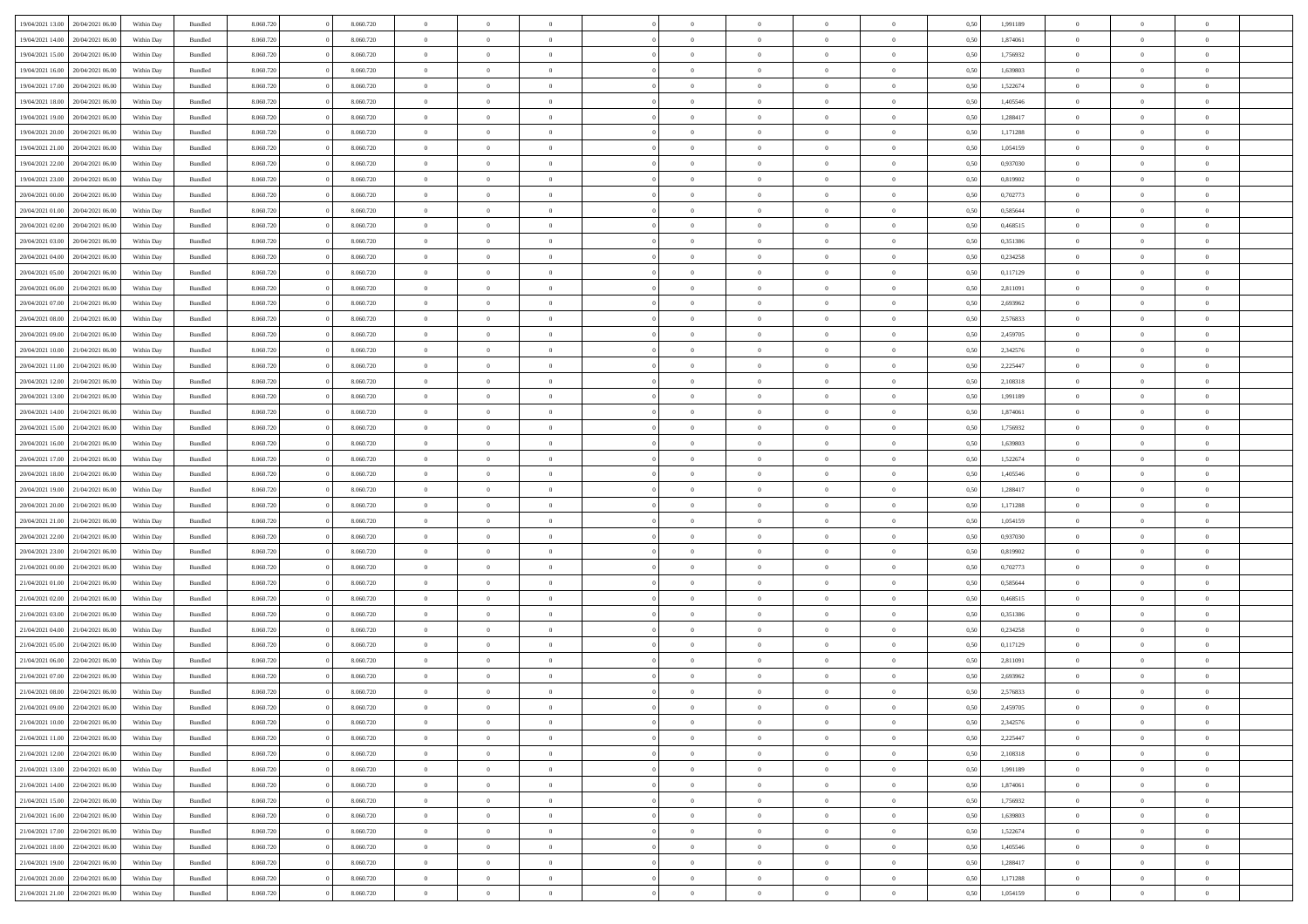| 19/04/2021 13:00                  | 20/04/2021 06:00 | Within Day | Bundled            | 8.060.720 | 8.060.720 | $\overline{0}$ | $\Omega$       |                | $\Omega$       | $\Omega$       | $\Omega$       | $\theta$       | 0.50 | 1,991189 | $\theta$       | $\theta$       | $\theta$       |  |
|-----------------------------------|------------------|------------|--------------------|-----------|-----------|----------------|----------------|----------------|----------------|----------------|----------------|----------------|------|----------|----------------|----------------|----------------|--|
| 19/04/2021 14:00                  | 20/04/2021 06:00 | Within Day | Bundled            | 8.060.720 | 8.060.720 | $\overline{0}$ | $\theta$       | $\overline{0}$ | $\overline{0}$ | $\bf{0}$       | $\overline{0}$ | $\overline{0}$ | 0,50 | 1,874061 | $\theta$       | $\theta$       | $\overline{0}$ |  |
| 19/04/2021 15:00                  | 20/04/2021 06:00 | Within Day | Bundled            | 8.060.720 | 8.060.720 | $\overline{0}$ | $\overline{0}$ | $\overline{0}$ | $\bf{0}$       | $\bf{0}$       | $\bf{0}$       | $\bf{0}$       | 0,50 | 1,756932 | $\overline{0}$ | $\overline{0}$ | $\overline{0}$ |  |
| 19/04/2021 16:00                  | 20/04/2021 06:00 | Within Dav | Bundled            | 8.060.720 | 8.060.720 | $\overline{0}$ | $\overline{0}$ | $\overline{0}$ | $\overline{0}$ | $\bf{0}$       | $\overline{0}$ | $\overline{0}$ | 0.50 | 1.639803 | $\theta$       | $\theta$       | $\overline{0}$ |  |
| 19/04/2021 17:00                  | 20/04/2021 06:00 | Within Day | Bundled            | 8.060.720 | 8.060.720 | $\overline{0}$ | $\theta$       | $\overline{0}$ | $\overline{0}$ | $\bf{0}$       | $\overline{0}$ | $\bf{0}$       | 0,50 | 1,522674 | $\theta$       | $\theta$       | $\overline{0}$ |  |
|                                   |                  |            |                    |           |           |                |                |                |                |                |                |                |      |          |                |                |                |  |
| 19/04/2021 18:00                  | 20/04/2021 06:00 | Within Day | Bundled            | 8.060.720 | 8.060.720 | $\overline{0}$ | $\bf{0}$       | $\overline{0}$ | $\bf{0}$       | $\overline{0}$ | $\overline{0}$ | $\mathbf{0}$   | 0,50 | 1,405546 | $\overline{0}$ | $\overline{0}$ | $\bf{0}$       |  |
| 19/04/2021 19:00                  | 20/04/2021 06:00 | Within Dav | Bundled            | 8.060.720 | 8.060.720 | $\overline{0}$ | $\overline{0}$ | $\overline{0}$ | $\overline{0}$ | $\overline{0}$ | $\overline{0}$ | $\overline{0}$ | 0.50 | 1,288417 | $\theta$       | $\theta$       | $\overline{0}$ |  |
| 19/04/2021 20:00                  | 20/04/2021 06:00 | Within Day | Bundled            | 8.060.720 | 8.060.720 | $\overline{0}$ | $\theta$       | $\overline{0}$ | $\overline{0}$ | $\bf{0}$       | $\overline{0}$ | $\bf{0}$       | 0,50 | 1,171288 | $\theta$       | $\theta$       | $\overline{0}$ |  |
| 19/04/2021 21:00                  | 20/04/2021 06:00 | Within Day | Bundled            | 8.060.720 | 8.060.720 | $\overline{0}$ | $\overline{0}$ | $\overline{0}$ | $\bf{0}$       | $\bf{0}$       | $\bf{0}$       | $\bf{0}$       | 0,50 | 1,054159 | $\,0\,$        | $\overline{0}$ | $\overline{0}$ |  |
| 19/04/2021 22:00                  | 20/04/2021 06:00 | Within Dav | Bundled            | 8.060.720 | 8.060.720 | $\overline{0}$ | $\overline{0}$ | $\overline{0}$ | $\overline{0}$ | $\overline{0}$ | $\overline{0}$ | $\overline{0}$ | 0.50 | 0,937030 | $\theta$       | $\overline{0}$ | $\overline{0}$ |  |
| 19/04/2021 23:00                  | 20/04/2021 06:00 | Within Day | Bundled            | 8.060.720 | 8.060.720 | $\overline{0}$ | $\theta$       | $\overline{0}$ | $\overline{0}$ | $\bf{0}$       | $\overline{0}$ | $\bf{0}$       | 0,50 | 0,819902 | $\theta$       | $\theta$       | $\overline{0}$ |  |
| 20/04/2021 00:00                  | 20/04/2021 06:00 | Within Day | Bundled            | 8.060.720 | 8.060.720 | $\overline{0}$ | $\overline{0}$ | $\overline{0}$ | $\bf{0}$       | $\bf{0}$       | $\bf{0}$       | $\bf{0}$       | 0,50 | 0,702773 | $\bf{0}$       | $\overline{0}$ | $\overline{0}$ |  |
|                                   |                  |            |                    |           |           |                |                |                |                |                |                |                |      |          |                |                |                |  |
| 20/04/2021 01:00                  | 20/04/2021 06:00 | Within Dav | Bundled            | 8.060.720 | 8.060.720 | $\overline{0}$ | $\overline{0}$ | $\overline{0}$ | $\overline{0}$ | $\bf{0}$       | $\overline{0}$ | $\overline{0}$ | 0.50 | 0.585644 | $\theta$       | $\theta$       | $\overline{0}$ |  |
| 20/04/2021 02:00                  | 20/04/2021 06:00 | Within Day | Bundled            | 8.060.720 | 8.060.720 | $\overline{0}$ | $\theta$       | $\overline{0}$ | $\overline{0}$ | $\bf{0}$       | $\overline{0}$ | $\overline{0}$ | 0,50 | 0,468515 | $\theta$       | $\theta$       | $\overline{0}$ |  |
| 20/04/2021 03:00                  | 20/04/2021 06:00 | Within Day | Bundled            | 8.060.720 | 8.060.720 | $\overline{0}$ | $\overline{0}$ | $\overline{0}$ | $\overline{0}$ | $\overline{0}$ | $\overline{0}$ | $\mathbf{0}$   | 0,50 | 0,351386 | $\bf{0}$       | $\overline{0}$ | $\bf{0}$       |  |
| 20/04/2021 04:00                  | 20/04/2021 06:00 | Within Dav | Bundled            | 8.060.720 | 8.060.720 | $\overline{0}$ | $\overline{0}$ | $\overline{0}$ | $\overline{0}$ | $\overline{0}$ | $\overline{0}$ | $\overline{0}$ | 0.50 | 0,234258 | $\theta$       | $\overline{0}$ | $\overline{0}$ |  |
| 20/04/2021 05:00                  | 20/04/2021 06:00 | Within Day | Bundled            | 8.060.720 | 8.060.720 | $\overline{0}$ | $\theta$       | $\overline{0}$ | $\overline{0}$ | $\bf{0}$       | $\overline{0}$ | $\bf{0}$       | 0,50 | 0,117129 | $\theta$       | $\theta$       | $\overline{0}$ |  |
| 20/04/2021 06:00                  | 21/04/2021 06:00 | Within Day | Bundled            | 8.060.720 | 8.060.720 | $\overline{0}$ | $\overline{0}$ | $\overline{0}$ | $\overline{0}$ | $\bf{0}$       | $\overline{0}$ | $\bf{0}$       | 0,50 | 2,811091 | $\,0\,$        | $\overline{0}$ | $\overline{0}$ |  |
| 20/04/2021 07:00                  | 21/04/2021 06:00 | Within Dav | Bundled            | 8.060.720 | 8.060.720 | $\overline{0}$ | $\overline{0}$ | $\overline{0}$ | $\overline{0}$ | $\overline{0}$ | $\overline{0}$ | $\overline{0}$ | 0.50 | 2,693962 | $\theta$       | $\overline{0}$ | $\overline{0}$ |  |
| 20/04/2021 08:00                  | 21/04/2021 06:00 | Within Day | Bundled            | 8.060.720 | 8.060.720 | $\overline{0}$ | $\theta$       | $\overline{0}$ | $\overline{0}$ | $\bf{0}$       | $\overline{0}$ | $\bf{0}$       | 0,50 | 2,576833 | $\,$ 0 $\,$    | $\theta$       | $\overline{0}$ |  |
|                                   |                  |            |                    |           |           |                |                |                |                |                |                |                |      |          |                |                |                |  |
| 20/04/2021 09:00                  | 21/04/2021 06:00 | Within Day | Bundled            | 8.060.720 | 8.060.720 | $\overline{0}$ | $\overline{0}$ | $\overline{0}$ | $\overline{0}$ | $\bf{0}$       | $\overline{0}$ | $\bf{0}$       | 0,50 | 2,459705 | $\bf{0}$       | $\overline{0}$ | $\overline{0}$ |  |
| 20/04/2021 10:00                  | 21/04/2021 06:00 | Within Day | Bundled            | 8.060.720 | 8.060.720 | $\overline{0}$ | $\overline{0}$ | $\overline{0}$ | $\overline{0}$ | $\bf{0}$       | $\overline{0}$ | $\overline{0}$ | 0.50 | 2,342576 | $\theta$       | $\theta$       | $\overline{0}$ |  |
| 20/04/2021 11:00                  | 21/04/2021 06:00 | Within Day | Bundled            | 8.060.720 | 8.060.720 | $\overline{0}$ | $\theta$       | $\overline{0}$ | $\overline{0}$ | $\bf{0}$       | $\overline{0}$ | $\bf{0}$       | 0,50 | 2,225447 | $\,$ 0 $\,$    | $\overline{0}$ | $\overline{0}$ |  |
| 20/04/2021 12:00                  | 21/04/2021 06:00 | Within Day | Bundled            | 8.060.720 | 8.060.720 | $\overline{0}$ | $\bf{0}$       | $\overline{0}$ | $\bf{0}$       | $\overline{0}$ | $\overline{0}$ | $\mathbf{0}$   | 0,50 | 2,108318 | $\overline{0}$ | $\overline{0}$ | $\bf{0}$       |  |
| 20/04/2021 13:00                  | 21/04/2021 06:00 | Within Dav | Bundled            | 8.060.720 | 8.060.720 | $\overline{0}$ | $\overline{0}$ | $\overline{0}$ | $\overline{0}$ | $\overline{0}$ | $\overline{0}$ | $\overline{0}$ | 0.50 | 1,991189 | $\theta$       | $\theta$       | $\overline{0}$ |  |
| 20/04/2021 14:00                  | 21/04/2021 06:00 | Within Day | Bundled            | 8.060.720 | 8.060.720 | $\overline{0}$ | $\theta$       | $\overline{0}$ | $\overline{0}$ | $\bf{0}$       | $\overline{0}$ | $\bf{0}$       | 0,50 | 1,874061 | $\theta$       | $\theta$       | $\overline{0}$ |  |
| 20/04/2021 15:00                  | 21/04/2021 06:00 | Within Day | Bundled            | 8.060.720 | 8.060.720 | $\overline{0}$ | $\overline{0}$ | $\overline{0}$ | $\bf{0}$       | $\bf{0}$       | $\bf{0}$       | $\bf{0}$       | 0,50 | 1,756932 | $\,0\,$        | $\overline{0}$ | $\overline{0}$ |  |
| 20/04/2021 16:00                  | 21/04/2021 06:00 | Within Day | Bundled            | 8.060.720 | 8.060.720 | $\overline{0}$ | $\overline{0}$ | $\overline{0}$ | $\overline{0}$ | $\overline{0}$ | $\overline{0}$ | $\overline{0}$ | 0.50 | 1,639803 | $\theta$       | $\overline{0}$ | $\overline{0}$ |  |
|                                   |                  |            |                    |           |           |                |                |                |                |                |                |                |      |          |                |                |                |  |
| 20/04/2021 17:00                  | 21/04/2021 06:00 | Within Day | Bundled            | 8.060.720 | 8.060.720 | $\overline{0}$ | $\theta$       | $\overline{0}$ | $\overline{0}$ | $\bf{0}$       | $\overline{0}$ | $\bf{0}$       | 0,50 | 1,522674 | $\,$ 0 $\,$    | $\overline{0}$ | $\overline{0}$ |  |
| 20/04/2021 18:00                  | 21/04/2021 06:00 | Within Day | Bundled            | 8.060.720 | 8.060.720 | $\overline{0}$ | $\overline{0}$ | $\overline{0}$ | $\bf{0}$       | $\bf{0}$       | $\bf{0}$       | $\bf{0}$       | 0,50 | 1,405546 | $\overline{0}$ | $\overline{0}$ | $\overline{0}$ |  |
| 20/04/2021 19:00                  | 21/04/2021 06.00 | Within Day | Bundled            | 8.060.720 | 8.060.720 | $\overline{0}$ | $\Omega$       | $\Omega$       | $\Omega$       | $\Omega$       | $\Omega$       | $\overline{0}$ | 0.50 | 1,288417 | $\,0\,$        | $\Omega$       | $\theta$       |  |
| 20/04/2021 20:00                  | 21/04/2021 06:00 | Within Day | Bundled            | 8.060.720 | 8.060.720 | $\overline{0}$ | $\theta$       | $\overline{0}$ | $\overline{0}$ | $\bf{0}$       | $\overline{0}$ | $\bf{0}$       | 0,50 | 1,171288 | $\theta$       | $\theta$       | $\overline{0}$ |  |
| 20/04/2021 21:00                  | 21/04/2021 06:00 | Within Day | Bundled            | 8.060.720 | 8.060.720 | $\overline{0}$ | $\overline{0}$ | $\overline{0}$ | $\bf{0}$       | $\bf{0}$       | $\overline{0}$ | $\mathbf{0}$   | 0,50 | 1,054159 | $\overline{0}$ | $\overline{0}$ | $\bf{0}$       |  |
| 20/04/2021 22:00                  | 21/04/2021 06:00 | Within Day | Bundled            | 8.060.720 | 8.060.720 | $\overline{0}$ | $\Omega$       | $\Omega$       | $\Omega$       | $\bf{0}$       | $\Omega$       | $\overline{0}$ | 0.50 | 0.937030 | $\theta$       | $\theta$       | $\theta$       |  |
| 20/04/2021 23:00                  | 21/04/2021 06:00 | Within Day | Bundled            | 8.060.720 | 8.060.720 | $\overline{0}$ | $\theta$       | $\overline{0}$ | $\overline{0}$ | $\bf{0}$       | $\overline{0}$ | $\bf{0}$       | 0,50 | 0,819902 | $\theta$       | $\theta$       | $\overline{0}$ |  |
| 21/04/2021 00:00                  | 21/04/2021 06:00 | Within Day | Bundled            | 8.060.720 | 8.060.720 | $\overline{0}$ | $\overline{0}$ | $\overline{0}$ | $\overline{0}$ | $\bf{0}$       | $\overline{0}$ | $\bf{0}$       | 0,50 | 0,702773 | $\bf{0}$       | $\overline{0}$ | $\overline{0}$ |  |
|                                   |                  |            |                    |           |           |                | $\Omega$       |                |                | $\Omega$       | $\theta$       |                |      |          |                | $\theta$       | $\theta$       |  |
| 21/04/2021 01:00                  | 21/04/2021 06:00 | Within Day | Bundled            | 8.060.720 | 8.060.720 | $\overline{0}$ |                | $\Omega$       | $\Omega$       |                |                | $\overline{0}$ | 0.50 | 0.585644 | $\theta$       |                |                |  |
| 21/04/2021 02:00                  | 21/04/2021 06:00 | Within Day | Bundled            | 8.060.720 | 8.060.720 | $\overline{0}$ | $\theta$       | $\overline{0}$ | $\overline{0}$ | $\bf{0}$       | $\overline{0}$ | $\bf{0}$       | 0,50 | 0,468515 | $\,$ 0 $\,$    | $\overline{0}$ | $\overline{0}$ |  |
| 21/04/2021 03:00                  | 21/04/2021 06:00 | Within Day | Bundled            | 8.060.720 | 8.060.720 | $\overline{0}$ | $\overline{0}$ | $\overline{0}$ | $\overline{0}$ | $\bf{0}$       | $\overline{0}$ | $\bf{0}$       | 0,50 | 0,351386 | $\bf{0}$       | $\overline{0}$ | $\overline{0}$ |  |
| 21/04/2021 04:00                  | 21/04/2021 06.00 | Within Day | Bundled            | 8.060.720 | 8.060.720 | $\overline{0}$ | $\Omega$       | $\Omega$       | $\Omega$       | $\Omega$       | $\overline{0}$ | $\overline{0}$ | 0.50 | 0,234258 | $\,0\,$        | $\theta$       | $\theta$       |  |
| 21/04/2021 05:00                  | 21/04/2021 06:00 | Within Day | Bundled            | 8.060.720 | 8.060.720 | $\overline{0}$ | $\theta$       | $\overline{0}$ | $\overline{0}$ | $\bf{0}$       | $\overline{0}$ | $\bf{0}$       | 0,50 | 0,117129 | $\,$ 0 $\,$    | $\overline{0}$ | $\overline{0}$ |  |
| 21/04/2021 06:00                  | 22/04/2021 06:00 | Within Day | Bundled            | 8.060.720 | 8.060.720 | $\overline{0}$ | $\overline{0}$ | $\overline{0}$ | $\overline{0}$ | $\bf{0}$       | $\overline{0}$ | $\mathbf{0}$   | 0,50 | 2,811091 | $\bf{0}$       | $\overline{0}$ | $\bf{0}$       |  |
| 21/04/2021 07:00                  | 22/04/2021 06:00 | Within Day | Bundled            | 8.060.720 | 8.060.720 | $\overline{0}$ | $\Omega$       | $\Omega$       | $\Omega$       | $\Omega$       | $\Omega$       | $\overline{0}$ | 0.50 | 2.693962 | $\theta$       | $\Omega$       | $\theta$       |  |
| 21/04/2021 08:00                  | 22/04/2021 06:00 | Within Day | Bundled            | 8.060.720 | 8.060.720 | $\overline{0}$ | $\overline{0}$ | $\overline{0}$ | $\bf{0}$       | $\,$ 0         | $\overline{0}$ | $\bf{0}$       | 0,50 | 2,576833 | $\,0\,$        | $\overline{0}$ | $\overline{0}$ |  |
| 21/04/2021 09:00 22/04/2021 06:00 |                  | Within Day | $\mathbf B$ undled | 8.060.720 | 8.060.720 | $\bf{0}$       | $\bf{0}$       |                |                | $\bf{0}$       |                |                | 0,50 | 2,459705 | $\bf{0}$       | $\overline{0}$ |                |  |
|                                   |                  |            |                    |           |           |                |                |                |                |                |                |                |      |          |                |                |                |  |
| 21/04/2021 10:00                  | 22/04/2021 06:00 | Within Day | Bundled            | 8.060.720 | 8.060.720 | $\overline{0}$ | $\overline{0}$ | $\overline{0}$ | $\Omega$       | $\overline{0}$ | $\overline{0}$ | $\overline{0}$ | 0.50 | 2,342576 | $\theta$       | $\theta$       | $\theta$       |  |
| 21/04/2021 11:00                  | 22/04/2021 06:00 | Within Day | Bundled            | 8.060.720 | 8.060.720 | $\overline{0}$ | $\,$ 0         | $\overline{0}$ | $\overline{0}$ | $\,$ 0 $\,$    | $\overline{0}$ | $\,$ 0 $\,$    | 0,50 | 2,225447 | $\,$ 0 $\,$    | $\,$ 0 $\,$    | $\,$ 0         |  |
| 21/04/2021 12:00                  | 22/04/2021 06:00 | Within Day | Bundled            | 8.060.720 | 8.060.720 | $\overline{0}$ | $\overline{0}$ | $\overline{0}$ | $\overline{0}$ | $\overline{0}$ | $\overline{0}$ | $\mathbf{0}$   | 0,50 | 2,108318 | $\overline{0}$ | $\bf{0}$       | $\bf{0}$       |  |
| 21/04/2021 13:00                  | 22/04/2021 06:00 | Within Day | Bundled            | 8.060.720 | 8.060.720 | $\overline{0}$ | $\overline{0}$ | $\overline{0}$ | $\Omega$       | $\overline{0}$ | $\overline{0}$ | $\overline{0}$ | 0,50 | 1,991189 | $\overline{0}$ | $\theta$       | $\overline{0}$ |  |
| 21/04/2021 14:00                  | 22/04/2021 06:00 | Within Day | Bundled            | 8.060.720 | 8.060.720 | $\overline{0}$ | $\,$ 0         | $\overline{0}$ | $\overline{0}$ | $\,$ 0 $\,$    | $\overline{0}$ | $\mathbf{0}$   | 0,50 | 1,874061 | $\,$ 0 $\,$    | $\overline{0}$ | $\overline{0}$ |  |
| 21/04/2021 15:00                  | 22/04/2021 06:00 | Within Day | Bundled            | 8.060.720 | 8.060.720 | $\overline{0}$ | $\overline{0}$ | $\overline{0}$ | $\overline{0}$ | $\overline{0}$ | $\overline{0}$ | $\mathbf{0}$   | 0,50 | 1,756932 | $\overline{0}$ | $\overline{0}$ | $\bf{0}$       |  |
| 21/04/2021 16:00                  | 22/04/2021 06:00 | Within Day | Bundled            | 8.060.720 | 8.060.720 | $\overline{0}$ | $\overline{0}$ | $\overline{0}$ | $\Omega$       | $\overline{0}$ | $\overline{0}$ | $\bf{0}$       | 0.50 | 1,639803 | $\overline{0}$ | $\theta$       | $\overline{0}$ |  |
| 21/04/2021 17.00                  | 22/04/2021 06:00 | Within Day | Bundled            | 8.060.720 | 8.060.720 | $\overline{0}$ | $\,$ 0         | $\overline{0}$ | $\overline{0}$ | $\bf{0}$       | $\overline{0}$ | $\bf{0}$       | 0,50 | 1,522674 | $\,$ 0 $\,$    | $\overline{0}$ | $\overline{0}$ |  |
|                                   |                  |            |                    |           |           |                |                |                |                |                |                |                |      |          |                |                |                |  |
| 21/04/2021 18:00                  | 22/04/2021 06:00 | Within Day | Bundled            | 8.060.720 | 8.060.720 | $\overline{0}$ | $\bf{0}$       | $\overline{0}$ | $\overline{0}$ | $\overline{0}$ | $\overline{0}$ | $\mathbf{0}$   | 0,50 | 1,405546 | $\overline{0}$ | $\overline{0}$ | $\bf{0}$       |  |
| 21/04/2021 19:00                  | 22/04/2021 06:00 | Within Day | Bundled            | 8.060.720 | 8.060.720 | $\overline{0}$ | $\overline{0}$ | $\overline{0}$ | $\Omega$       | $\overline{0}$ | $\overline{0}$ | $\overline{0}$ | 0.50 | 1,288417 | $\overline{0}$ | $\theta$       | $\overline{0}$ |  |
| 21/04/2021 20:00                  | 22/04/2021 06:00 | Within Day | Bundled            | 8.060.720 | 8.060.720 | $\overline{0}$ | $\bf{0}$       | $\overline{0}$ | $\overline{0}$ | $\bf{0}$       | $\bf{0}$       | $\mathbf{0}$   | 0,50 | 1,171288 | $\,$ 0 $\,$    | $\,$ 0 $\,$    | $\bf{0}$       |  |
| 21/04/2021 21.00 22/04/2021 06:00 |                  | Within Day | Bundled            | 8.060.720 | 8.060.720 | $\overline{0}$ | $\bf{0}$       | $\overline{0}$ | $\bf{0}$       | $\bf{0}$       | $\bf{0}$       | $\bf{0}$       | 0,50 | 1,054159 | $\overline{0}$ | $\overline{0}$ | $\bf{0}$       |  |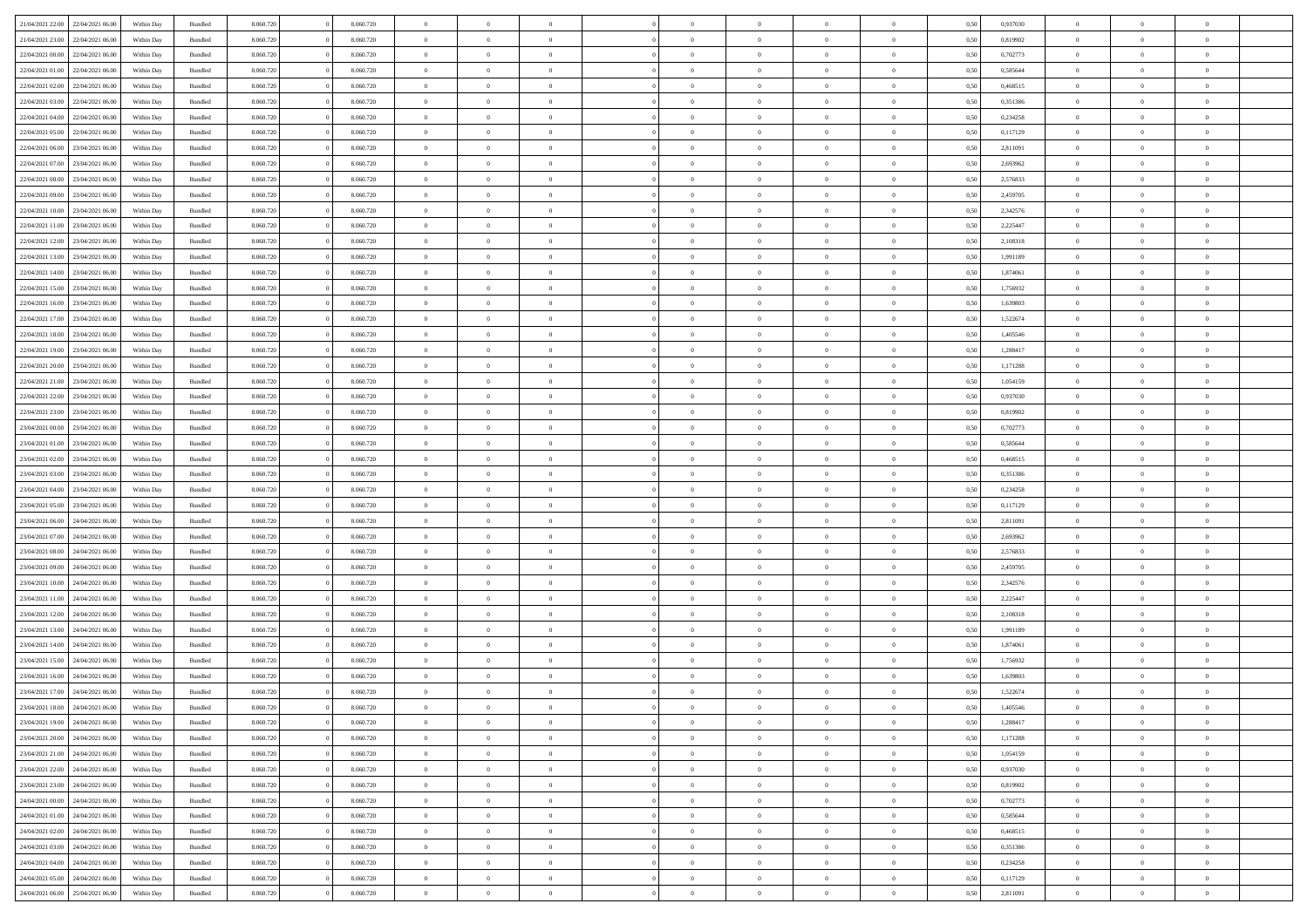| 21/04/2021 22:00                  | 22/04/2021 06:00 | Within Day | Bundled            | 8.060.720 | 8.060.720 | $\overline{0}$ | $\Omega$       |                | $\Omega$       | $\Omega$       | $\theta$       | $\theta$       | 0,50 | 0,937030 | $\theta$       | $\theta$       | $\overline{0}$ |  |
|-----------------------------------|------------------|------------|--------------------|-----------|-----------|----------------|----------------|----------------|----------------|----------------|----------------|----------------|------|----------|----------------|----------------|----------------|--|
| 21/04/2021 23:00                  | 22/04/2021 06.00 | Within Day | Bundled            | 8.060.720 | 8.060.720 | $\overline{0}$ | $\theta$       | $\overline{0}$ | $\overline{0}$ | $\bf{0}$       | $\overline{0}$ | $\bf{0}$       | 0,50 | 0,819902 | $\theta$       | $\overline{0}$ | $\overline{0}$ |  |
| 22/04/2021 00:00                  | 22/04/2021 06:00 | Within Day | Bundled            | 8.060.720 | 8.060.720 | $\overline{0}$ | $\bf{0}$       | $\overline{0}$ | $\bf{0}$       | $\bf{0}$       | $\bf{0}$       | $\mathbf{0}$   | 0,50 | 0,702773 | $\overline{0}$ | $\overline{0}$ | $\bf{0}$       |  |
| 22/04/2021 01:00                  | 22/04/2021 06:00 | Within Dav | Bundled            | 8.060.720 | 8.060.720 | $\overline{0}$ | $\overline{0}$ | $\overline{0}$ | $\overline{0}$ | $\bf{0}$       | $\overline{0}$ | $\overline{0}$ | 0.50 | 0.585644 | $\theta$       | $\theta$       | $\overline{0}$ |  |
|                                   |                  |            |                    |           |           |                |                |                |                |                |                |                |      |          |                |                |                |  |
| 22/04/2021 02:00                  | 22/04/2021 06.00 | Within Day | Bundled            | 8.060.720 | 8.060.720 | $\overline{0}$ | $\theta$       | $\overline{0}$ | $\overline{0}$ | $\bf{0}$       | $\overline{0}$ | $\bf{0}$       | 0,50 | 0,468515 | $\theta$       | $\overline{0}$ | $\overline{0}$ |  |
| 22/04/2021 03:00                  | 22/04/2021 06:00 | Within Day | Bundled            | 8.060.720 | 8.060.720 | $\overline{0}$ | $\overline{0}$ | $\overline{0}$ | $\bf{0}$       | $\overline{0}$ | $\overline{0}$ | $\mathbf{0}$   | 0,50 | 0,351386 | $\overline{0}$ | $\overline{0}$ | $\bf{0}$       |  |
| 22/04/2021 04:00                  | 22/04/2021 06:00 | Within Dav | Bundled            | 8.060.720 | 8.060.720 | $\overline{0}$ | $\overline{0}$ | $\overline{0}$ | $\overline{0}$ | $\overline{0}$ | $\overline{0}$ | $\overline{0}$ | 0.50 | 0,234258 | $\theta$       | $\overline{0}$ | $\overline{0}$ |  |
| 22/04/2021 05:00                  | 22/04/2021 06.00 | Within Day | Bundled            | 8.060.720 | 8.060.720 | $\overline{0}$ | $\theta$       | $\overline{0}$ | $\overline{0}$ | $\bf{0}$       | $\overline{0}$ | $\bf{0}$       | 0,50 | 0,117129 | $\theta$       | $\theta$       | $\overline{0}$ |  |
| 22/04/2021 06:00                  | 23/04/2021 06:00 | Within Day | Bundled            | 8.060.720 | 8.060.720 | $\overline{0}$ | $\overline{0}$ | $\overline{0}$ | $\bf{0}$       | $\bf{0}$       | $\bf{0}$       | $\bf{0}$       | 0,50 | 2,811091 | $\,0\,$        | $\overline{0}$ | $\overline{0}$ |  |
| 22/04/2021 07:00                  | 23/04/2021 06:00 | Within Dav | Bundled            | 8.060.720 | 8.060.720 | $\overline{0}$ | $\overline{0}$ | $\overline{0}$ | $\overline{0}$ | $\overline{0}$ | $\overline{0}$ | $\overline{0}$ | 0.50 | 2,693962 | $\theta$       | $\overline{0}$ | $\overline{0}$ |  |
|                                   |                  |            |                    |           |           |                |                |                |                |                |                |                |      |          |                |                |                |  |
| 22/04/2021 08:00                  | 23/04/2021 06:00 | Within Day | Bundled            | 8.060.720 | 8.060.720 | $\overline{0}$ | $\theta$       | $\overline{0}$ | $\overline{0}$ | $\bf{0}$       | $\overline{0}$ | $\bf{0}$       | 0,50 | 2,576833 | $\,$ 0 $\,$    | $\overline{0}$ | $\overline{0}$ |  |
| 22/04/2021 09:00                  | 23/04/2021 06:00 | Within Day | Bundled            | 8.060.720 | 8.060.720 | $\overline{0}$ | $\bf{0}$       | $\overline{0}$ | $\bf{0}$       | $\bf{0}$       | $\bf{0}$       | $\mathbf{0}$   | 0,50 | 2,459705 | $\overline{0}$ | $\overline{0}$ | $\bf{0}$       |  |
| 22/04/2021 10:00                  | 23/04/2021 06:00 | Within Dav | Bundled            | 8.060.720 | 8.060.720 | $\overline{0}$ | $\overline{0}$ | $\overline{0}$ | $\overline{0}$ | $\bf{0}$       | $\overline{0}$ | $\overline{0}$ | 0.50 | 2,342576 | $\theta$       | $\theta$       | $\overline{0}$ |  |
| 22/04/2021 11:00                  | 23/04/2021 06:00 | Within Day | Bundled            | 8.060.720 | 8.060.720 | $\overline{0}$ | $\theta$       | $\overline{0}$ | $\overline{0}$ | $\bf{0}$       | $\overline{0}$ | $\bf{0}$       | 0,50 | 2,225447 | $\theta$       | $\overline{0}$ | $\overline{0}$ |  |
| 22/04/2021 12:00                  | 23/04/2021 06:00 | Within Day | Bundled            | 8.060.720 | 8.060.720 | $\overline{0}$ | $\overline{0}$ | $\overline{0}$ | $\bf{0}$       | $\overline{0}$ | $\overline{0}$ | $\mathbf{0}$   | 0,50 | 2,108318 | $\overline{0}$ | $\overline{0}$ | $\bf{0}$       |  |
|                                   | 23/04/2021 06:00 | Within Dav | Bundled            | 8.060.720 | 8.060.720 | $\overline{0}$ | $\overline{0}$ | $\overline{0}$ |                | $\overline{0}$ | $\overline{0}$ | $\overline{0}$ | 0.50 | 1,991189 | $\theta$       | $\overline{0}$ | $\overline{0}$ |  |
| 22/04/2021 13:00                  |                  |            |                    |           |           |                |                |                | $\overline{0}$ |                |                |                |      |          |                |                |                |  |
| 22/04/2021 14:00                  | 23/04/2021 06:00 | Within Day | Bundled            | 8.060.720 | 8.060.720 | $\overline{0}$ | $\theta$       | $\overline{0}$ | $\overline{0}$ | $\bf{0}$       | $\overline{0}$ | $\bf{0}$       | 0,50 | 1,874061 | $\theta$       | $\theta$       | $\overline{0}$ |  |
| 22/04/2021 15:00                  | 23/04/2021 06:00 | Within Day | Bundled            | 8.060.720 | 8.060.720 | $\overline{0}$ | $\overline{0}$ | $\overline{0}$ | $\bf{0}$       | $\bf{0}$       | $\overline{0}$ | $\mathbf{0}$   | 0,50 | 1,756932 | $\bf{0}$       | $\overline{0}$ | $\overline{0}$ |  |
| 22/04/2021 16:00                  | 23/04/2021 06:00 | Within Dav | Bundled            | 8.060.720 | 8.060.720 | $\overline{0}$ | $\overline{0}$ | $\overline{0}$ | $\overline{0}$ | $\overline{0}$ | $\overline{0}$ | $\overline{0}$ | 0.50 | 1,639803 | $\theta$       | $\overline{0}$ | $\overline{0}$ |  |
| 22/04/2021 17:00                  | 23/04/2021 06:00 | Within Day | Bundled            | 8.060.720 | 8.060.720 | $\overline{0}$ | $\theta$       | $\overline{0}$ | $\overline{0}$ | $\bf{0}$       | $\overline{0}$ | $\bf{0}$       | 0,50 | 1,522674 | $\,$ 0 $\,$    | $\overline{0}$ | $\overline{0}$ |  |
| 22/04/2021 18:00                  | 23/04/2021 06:00 | Within Day | Bundled            | 8.060.720 | 8.060.720 | $\overline{0}$ | $\overline{0}$ | $\overline{0}$ | $\overline{0}$ | $\bf{0}$       | $\overline{0}$ | $\bf{0}$       | 0,50 | 1,405546 | $\bf{0}$       | $\overline{0}$ | $\bf{0}$       |  |
| 22/04/2021 19:00                  | 23/04/2021 06:00 | Within Day | Bundled            | 8.060.720 | 8.060.720 | $\overline{0}$ | $\overline{0}$ | $\overline{0}$ | $\overline{0}$ | $\bf{0}$       | $\overline{0}$ | $\overline{0}$ | 0.50 | 1,288417 | $\theta$       | $\overline{0}$ | $\overline{0}$ |  |
|                                   |                  |            |                    |           |           |                |                |                |                |                |                |                |      |          |                |                |                |  |
| 22/04/2021 20:00                  | 23/04/2021 06:00 | Within Day | Bundled            | 8.060.720 | 8.060.720 | $\overline{0}$ | $\theta$       | $\overline{0}$ | $\overline{0}$ | $\bf{0}$       | $\overline{0}$ | $\bf{0}$       | 0,50 | 1,171288 | $\,$ 0 $\,$    | $\overline{0}$ | $\overline{0}$ |  |
| 22/04/2021 21:00                  | 23/04/2021 06:00 | Within Day | Bundled            | 8.060.720 | 8.060.720 | $\overline{0}$ | $\overline{0}$ | $\overline{0}$ | $\overline{0}$ | $\overline{0}$ | $\overline{0}$ | $\mathbf{0}$   | 0,50 | 1,054159 | $\bf{0}$       | $\overline{0}$ | $\bf{0}$       |  |
| 22/04/2021 22:00                  | 23/04/2021 06:00 | Within Dav | Bundled            | 8.060.720 | 8.060.720 | $\overline{0}$ | $\overline{0}$ | $\overline{0}$ | $\overline{0}$ | $\overline{0}$ | $\overline{0}$ | $\overline{0}$ | 0.50 | 0,937030 | $\theta$       | $\overline{0}$ | $\overline{0}$ |  |
| 22/04/2021 23:00                  | 23/04/2021 06:00 | Within Day | Bundled            | 8.060.720 | 8.060.720 | $\overline{0}$ | $\theta$       | $\overline{0}$ | $\overline{0}$ | $\bf{0}$       | $\overline{0}$ | $\bf{0}$       | 0,50 | 0,819902 | $\theta$       | $\theta$       | $\overline{0}$ |  |
| 23/04/2021 00:00                  | 23/04/2021 06:00 | Within Day | Bundled            | 8.060.720 | 8.060.720 | $\overline{0}$ | $\overline{0}$ | $\overline{0}$ | $\overline{0}$ | $\bf{0}$       | $\overline{0}$ | $\bf{0}$       | 0,50 | 0,702773 | $\,0\,$        | $\overline{0}$ | $\overline{0}$ |  |
| 23/04/2021 01:00                  | 23/04/2021 06:00 | Within Day | Bundled            | 8.060.720 | 8.060.720 | $\overline{0}$ | $\overline{0}$ | $\overline{0}$ | $\overline{0}$ | $\overline{0}$ | $\overline{0}$ | $\overline{0}$ | 0.50 | 0,585644 | $\theta$       | $\overline{0}$ | $\overline{0}$ |  |
|                                   |                  |            |                    |           |           |                |                |                |                |                |                |                |      |          |                |                |                |  |
| 23/04/2021 02:00                  | 23/04/2021 06:00 | Within Day | Bundled            | 8.060.720 | 8.060.720 | $\overline{0}$ | $\theta$       | $\overline{0}$ | $\overline{0}$ | $\bf{0}$       | $\overline{0}$ | $\bf{0}$       | 0,50 | 0,468515 | $\,$ 0 $\,$    | $\overline{0}$ | $\overline{0}$ |  |
| 23/04/2021 03:00                  | 23/04/2021 06:00 | Within Day | Bundled            | 8.060.720 | 8.060.720 | $\overline{0}$ | $\overline{0}$ | $\overline{0}$ | $\overline{0}$ | $\bf{0}$       | $\overline{0}$ | $\bf{0}$       | 0,50 | 0,351386 | $\bf{0}$       | $\overline{0}$ | $\bf{0}$       |  |
| 23/04/2021 04:00                  | 23/04/2021 06:00 | Within Day | Bundled            | 8.060.720 | 8.060.720 | $\overline{0}$ | $\Omega$       | $\Omega$       | $\Omega$       | $\Omega$       | $\overline{0}$ | $\overline{0}$ | 0,50 | 0,234258 | $\,0\,$        | $\theta$       | $\theta$       |  |
| 23/04/2021 05:00                  | 23/04/2021 06:00 | Within Day | Bundled            | 8.060.720 | 8.060.720 | $\overline{0}$ | $\theta$       | $\overline{0}$ | $\overline{0}$ | $\bf{0}$       | $\overline{0}$ | $\bf{0}$       | 0,50 | 0,117129 | $\,$ 0 $\,$    | $\overline{0}$ | $\overline{0}$ |  |
| 23/04/2021 06:00                  | 24/04/2021 06.00 | Within Day | Bundled            | 8.060.720 | 8.060.720 | $\overline{0}$ | $\overline{0}$ | $\overline{0}$ | $\overline{0}$ | $\overline{0}$ | $\overline{0}$ | $\mathbf{0}$   | 0,50 | 2,811091 | $\bf{0}$       | $\overline{0}$ | $\bf{0}$       |  |
| 23/04/2021 07:00                  | 24/04/2021 06:00 | Within Day | Bundled            | 8.060.720 | 8.060.720 | $\overline{0}$ | $\Omega$       | $\Omega$       | $\Omega$       | $\bf{0}$       | $\overline{0}$ | $\overline{0}$ | 0.50 | 2,693962 | $\,0\,$        | $\theta$       | $\theta$       |  |
|                                   |                  |            |                    |           |           |                |                |                |                |                |                |                |      |          |                |                |                |  |
| 23/04/2021 08:00                  | 24/04/2021 06.00 | Within Day | Bundled            | 8.060.720 | 8.060.720 | $\overline{0}$ | $\theta$       | $\overline{0}$ | $\overline{0}$ | $\bf{0}$       | $\overline{0}$ | $\bf{0}$       | 0,50 | 2,576833 | $\theta$       | $\overline{0}$ | $\overline{0}$ |  |
| 23/04/2021 09:00                  | 24/04/2021 06.00 | Within Day | Bundled            | 8.060.720 | 8.060.720 | $\overline{0}$ | $\overline{0}$ | $\overline{0}$ | $\overline{0}$ | $\bf{0}$       | $\overline{0}$ | $\bf{0}$       | 0,50 | 2,459705 | $\bf{0}$       | $\overline{0}$ | $\bf{0}$       |  |
| 23/04/2021 10:00                  | 24/04/2021 06:00 | Within Day | Bundled            | 8.060.720 | 8.060.720 | $\overline{0}$ | $\Omega$       | $\Omega$       | $\Omega$       | $\theta$       | $\theta$       | $\overline{0}$ | 0.50 | 2,342576 | $\,$ 0 $\,$    | $\theta$       | $\theta$       |  |
| 23/04/2021 11:00                  | 24/04/2021 06.00 | Within Day | Bundled            | 8.060.720 | 8.060.720 | $\overline{0}$ | $\theta$       | $\overline{0}$ | $\overline{0}$ | $\bf{0}$       | $\overline{0}$ | $\bf{0}$       | 0,50 | 2,225447 | $\,$ 0 $\,$    | $\overline{0}$ | $\overline{0}$ |  |
| 23/04/2021 12:00                  | 24/04/2021 06.00 | Within Day | Bundled            | 8.060.720 | 8.060.720 | $\overline{0}$ | $\bf{0}$       | $\overline{0}$ | $\overline{0}$ | $\bf{0}$       | $\bf{0}$       | $\mathbf{0}$   | 0,50 | 2,108318 | $\overline{0}$ | $\overline{0}$ | $\bf{0}$       |  |
| 23/04/2021 13:00                  | 24/04/2021 06.00 | Within Day | Bundled            | 8.060.720 | 8.060.720 | $\overline{0}$ | $\Omega$       | $\overline{0}$ | $\Omega$       | $\overline{0}$ | $\overline{0}$ | $\overline{0}$ | 0.50 | 1,991189 | $\,0\,$        | $\theta$       | $\theta$       |  |
| 23/04/2021 14:00                  | 24/04/2021 06.00 | Within Day | Bundled            | 8.060.720 | 8.060.720 | $\overline{0}$ | $\overline{0}$ | $\overline{0}$ | $\overline{0}$ | $\bf{0}$       | $\overline{0}$ | $\bf{0}$       | 0,50 | 1,874061 | $\,$ 0 $\,$    | $\overline{0}$ | $\overline{0}$ |  |
|                                   |                  |            |                    |           |           |                |                |                |                |                |                |                |      |          |                |                |                |  |
| 23/04/2021 15:00                  | 24/04/2021 06.00 | Within Day | Bundled            | 8.060.720 | 8.060.720 | $\overline{0}$ | $\overline{0}$ | $\overline{0}$ | $\bf{0}$       | $\bf{0}$       | $\bf{0}$       | $\mathbf{0}$   | 0,50 | 1,756932 | $\overline{0}$ | $\overline{0}$ | $\bf{0}$       |  |
| 23/04/2021 16:00                  | 24/04/2021 06:00 | Within Day | Bundled            | 8.060.720 | 8.060.720 | $\overline{0}$ | $\Omega$       | $\Omega$       | $\Omega$       | $\Omega$       | $\Omega$       | $\overline{0}$ | 0.50 | 1,639803 | $\theta$       | $\theta$       | $\theta$       |  |
| 23/04/2021 17:00                  | 24/04/2021 06:00 | Within Day | Bundled            | 8.060.720 | 8.060.720 | $\overline{0}$ | $\overline{0}$ | $\overline{0}$ | $\bf{0}$       | $\,$ 0         | $\bf{0}$       | $\bf{0}$       | 0,50 | 1,522674 | $\,0\,$        | $\,0\,$        | $\overline{0}$ |  |
| 23/04/2021 18:00 24/04/2021 06:00 |                  | Within Day | $\mathbf B$ undled | 8.060.720 | 8.060.720 | $\bf{0}$       | $\bf{0}$       |                |                | $\bf{0}$       |                |                | 0,50 | 1,405546 | $\bf{0}$       | $\overline{0}$ |                |  |
| 23/04/2021 19:00                  | 24/04/2021 06:00 | Within Day | Bundled            | 8.060.720 | 8.060.720 | $\overline{0}$ | $\overline{0}$ | $\overline{0}$ | $\Omega$       | $\overline{0}$ | $\overline{0}$ | $\overline{0}$ | 0.50 | 1,288417 | $\theta$       | $\theta$       | $\theta$       |  |
| 23/04/2021 20:00                  | 24/04/2021 06.00 | Within Day | Bundled            | 8.060.720 | 8.060.720 | $\overline{0}$ | $\,$ 0         | $\overline{0}$ | $\bf{0}$       | $\,$ 0 $\,$    | $\overline{0}$ | $\mathbf{0}$   | 0,50 | 1,171288 | $\,$ 0 $\,$    | $\,$ 0 $\,$    | $\,$ 0         |  |
|                                   |                  |            |                    |           |           |                |                |                |                |                |                |                |      |          |                |                |                |  |
| 23/04/2021 21:00                  | 24/04/2021 06:00 | Within Day | Bundled            | 8.060.720 | 8.060.720 | $\overline{0}$ | $\overline{0}$ | $\overline{0}$ | $\overline{0}$ | $\overline{0}$ | $\overline{0}$ | $\mathbf{0}$   | 0,50 | 1,054159 | $\overline{0}$ | $\bf{0}$       | $\bf{0}$       |  |
| 23/04/2021 22:00                  | 24/04/2021 06.00 | Within Day | Bundled            | 8.060.720 | 8.060.720 | $\overline{0}$ | $\overline{0}$ | $\overline{0}$ | $\Omega$       | $\overline{0}$ | $\overline{0}$ | $\overline{0}$ | 0,50 | 0,937030 | $\overline{0}$ | $\theta$       | $\overline{0}$ |  |
| 23/04/2021 23:00                  | 24/04/2021 06.00 | Within Day | Bundled            | 8.060.720 | 8.060.720 | $\overline{0}$ | $\,$ 0         | $\overline{0}$ | $\overline{0}$ | $\,$ 0 $\,$    | $\overline{0}$ | $\mathbf{0}$   | 0,50 | 0,819902 | $\,$ 0 $\,$    | $\overline{0}$ | $\overline{0}$ |  |
| 24/04/2021 00:00                  | 24/04/2021 06:00 | Within Day | Bundled            | 8.060.720 | 8.060.720 | $\overline{0}$ | $\overline{0}$ | $\overline{0}$ | $\overline{0}$ | $\overline{0}$ | $\overline{0}$ | $\mathbf{0}$   | 0,50 | 0,702773 | $\overline{0}$ | $\overline{0}$ | $\bf{0}$       |  |
| 24/04/2021 01:00                  | 24/04/2021 06:00 | Within Day | Bundled            | 8.060.720 | 8.060.720 | $\overline{0}$ | $\overline{0}$ | $\overline{0}$ | $\Omega$       | $\overline{0}$ | $\overline{0}$ | $\bf{0}$       | 0.50 | 0,585644 | $\overline{0}$ | $\theta$       | $\overline{0}$ |  |
| 24/04/2021 02.00                  | 24/04/2021 06.00 | Within Day | Bundled            | 8.060.720 | 8.060.720 | $\overline{0}$ | $\,$ 0         | $\overline{0}$ | $\bf{0}$       | $\bf{0}$       | $\bf{0}$       | $\bf{0}$       | 0,50 | 0,468515 | $\,$ 0 $\,$    | $\overline{0}$ | $\overline{0}$ |  |
|                                   |                  |            |                    |           |           |                | $\bf{0}$       |                |                |                |                |                |      |          |                | $\overline{0}$ | $\bf{0}$       |  |
| 24/04/2021 03:00                  | 24/04/2021 06:00 | Within Day | Bundled            | 8.060.720 | 8.060.720 | $\overline{0}$ |                | $\overline{0}$ | $\overline{0}$ | $\overline{0}$ | $\overline{0}$ | $\mathbf{0}$   | 0,50 | 0,351386 | $\overline{0}$ |                |                |  |
| 24/04/2021 04:00                  | 24/04/2021 06:00 | Within Day | Bundled            | 8.060.720 | 8.060.720 | $\overline{0}$ | $\overline{0}$ | $\overline{0}$ | $\Omega$       | $\overline{0}$ | $\overline{0}$ | $\overline{0}$ | 0.50 | 0,234258 | $\overline{0}$ | $\overline{0}$ | $\overline{0}$ |  |
| 24/04/2021 05:00                  | 24/04/2021 06.00 | Within Day | Bundled            | 8.060.720 | 8.060.720 | $\overline{0}$ | $\bf{0}$       | $\overline{0}$ | $\overline{0}$ | $\bf{0}$       | $\bf{0}$       | $\bf{0}$       | 0,50 | 0,117129 | $\,$ 0 $\,$    | $\,$ 0 $\,$    | $\bf{0}$       |  |
| 24/04/2021 06:00 25/04/2021 06:00 |                  | Within Day | Bundled            | 8.060.720 | 8.060.720 | $\overline{0}$ | $\bf{0}$       | $\overline{0}$ | $\bf{0}$       | $\bf{0}$       | $\bf{0}$       | $\bf{0}$       | 0,50 | 2,811091 | $\overline{0}$ | $\overline{0}$ | $\bf{0}$       |  |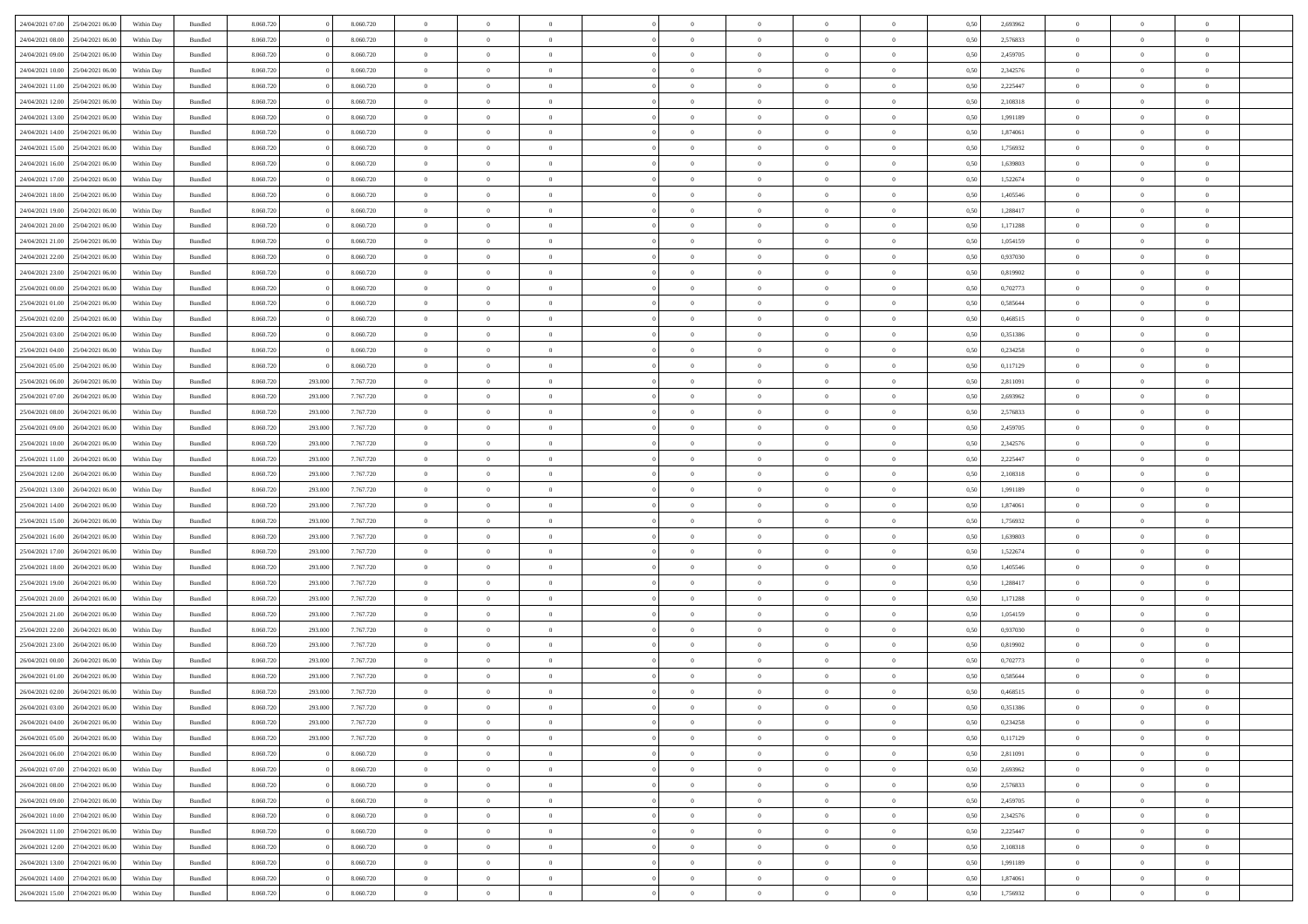| 24/04/2021 07:00                  | 25/04/2021 06:00 | Within Day | Bundled | 8.060.720 |         | 8.060.720 | $\overline{0}$ | $\theta$       |                |                | $\Omega$       | $\Omega$       | $\overline{0}$ | 0,50 | 2,693962 | $\theta$       | $\Omega$       | $\theta$       |  |
|-----------------------------------|------------------|------------|---------|-----------|---------|-----------|----------------|----------------|----------------|----------------|----------------|----------------|----------------|------|----------|----------------|----------------|----------------|--|
| 24/04/2021 08:00                  | 25/04/2021 06:00 | Within Dav | Bundled | 8.060.720 |         | 8.060.720 | $\overline{0}$ | $\Omega$       |                | $\Omega$       | $\Omega$       | $\Omega$       | $\mathbf{0}$   | 0.50 | 2,576833 | $\theta$       | $\Omega$       | $\sqrt{ }$     |  |
| 24/04/2021 09:00                  | 25/04/2021 06:00 | Within Day | Bundled | 8.060.720 |         | 8.060.720 | $\overline{0}$ | $\overline{0}$ | $\overline{0}$ | $\overline{0}$ | $\,$ 0 $\,$    | $\overline{0}$ | $\,$ 0 $\,$    | 0,50 | 2,459705 | $\,$ 0 $\,$    | $\overline{0}$ | $\overline{0}$ |  |
| 24/04/2021 10:00                  | 25/04/2021 06.00 | Within Day | Bundled | 8.060.720 |         | 8.060.720 | $\overline{0}$ | $\overline{0}$ | $\overline{0}$ | $\overline{0}$ | $\bf{0}$       | $\overline{0}$ | $\bf{0}$       | 0,50 | 2,342576 | $\bf{0}$       | $\overline{0}$ | $\overline{0}$ |  |
| 24/04/2021 11:00                  | 25/04/2021 06:00 | Within Day | Bundled | 8.060.720 |         | 8.060.720 | $\overline{0}$ | $\Omega$       | $^{\circ}$     | $\Omega$       | $\overline{0}$ | $\Omega$       | $\overline{0}$ | 0.50 | 2,225447 | $\theta$       | $\theta$       | $\sqrt{ }$     |  |
| 24/04/2021 12:00                  | 25/04/2021 06:00 |            |         | 8.060.720 |         | 8.060.720 | $\overline{0}$ | $\overline{0}$ | $\overline{0}$ | $\overline{0}$ | $\,$ 0 $\,$    | $\overline{0}$ | $\,$ 0 $\,$    |      | 2,108318 | $\,$ 0 $\,$    | $\overline{0}$ | $\overline{0}$ |  |
|                                   |                  | Within Day | Bundled |           |         |           |                |                |                |                |                |                |                | 0,50 |          |                |                |                |  |
| 24/04/2021 13:00                  | 25/04/2021 06:00 | Within Day | Bundled | 8.060.720 |         | 8.060.720 | $\overline{0}$ | $\overline{0}$ | $\overline{0}$ | $\Omega$       | $\overline{0}$ | $\overline{0}$ | $\bf{0}$       | 0,50 | 1,991189 | $\,0\,$        | $\theta$       | $\overline{0}$ |  |
| 24/04/2021 14:00                  | 25/04/2021 06:00 | Within Dav | Bundled | 8.060.720 |         | 8.060.720 | $\overline{0}$ | $\Omega$       | $\Omega$       | $\Omega$       | $\bf{0}$       | $\Omega$       | $\overline{0}$ | 0.50 | 1,874061 | $\theta$       | $\theta$       | $\sqrt{ }$     |  |
| 24/04/2021 15:00                  | 25/04/2021 06:00 | Within Day | Bundled | 8.060.720 |         | 8.060.720 | $\overline{0}$ | $\overline{0}$ | $\overline{0}$ | $\overline{0}$ | $\,$ 0 $\,$    | $\overline{0}$ | $\,$ 0 $\,$    | 0,50 | 1,756932 | $\,$ 0 $\,$    | $\overline{0}$ | $\overline{0}$ |  |
| 24/04/2021 16:00                  | 25/04/2021 06:00 | Within Day | Bundled | 8.060.720 |         | 8.060.720 | $\overline{0}$ | $\overline{0}$ | $\overline{0}$ | $\Omega$       | $\overline{0}$ | $\overline{0}$ | $\bf{0}$       | 0,50 | 1,639803 | $\bf{0}$       | $\overline{0}$ | $\overline{0}$ |  |
| 24/04/2021 17:00                  | 25/04/2021 06:00 | Within Dav | Bundled | 8.060.720 |         | 8.060.720 | $\overline{0}$ | $\Omega$       | $^{\circ}$     | $\Omega$       | $\bf{0}$       | $\Omega$       | $\overline{0}$ | 0.50 | 1,522674 | $\theta$       | $\theta$       | $\sqrt{ }$     |  |
| 24/04/2021 18:00                  | 25/04/2021 06:00 | Within Day | Bundled | 8.060.720 |         | 8.060.720 | $\overline{0}$ | $\overline{0}$ | $\overline{0}$ | $\overline{0}$ | $\,$ 0 $\,$    | $\overline{0}$ | $\,$ 0 $\,$    | 0,50 | 1,405546 | $\,$ 0 $\,$    | $\overline{0}$ | $\,$ 0         |  |
| 24/04/2021 19:00                  | 25/04/2021 06.00 | Within Day | Bundled | 8.060.720 |         | 8.060.720 | $\overline{0}$ | $\overline{0}$ | $\overline{0}$ | $\overline{0}$ | $\bf{0}$       | $\overline{0}$ | $\bf{0}$       | 0,50 | 1,288417 | $\bf{0}$       | $\overline{0}$ | $\overline{0}$ |  |
| 24/04/2021 20:00                  | 25/04/2021 06:00 | Within Day | Bundled | 8.060.720 |         | 8.060.720 | $\overline{0}$ | $\theta$       | $\Omega$       | $\overline{0}$ | $\bf{0}$       | $\Omega$       | $\bf{0}$       | 0.50 | 1,171288 | $\theta$       | $\theta$       | $\sqrt{ }$     |  |
|                                   |                  |            |         |           |         |           |                |                |                |                |                |                |                |      |          |                |                |                |  |
| 24/04/2021 21:00                  | 25/04/2021 06:00 | Within Day | Bundled | 8.060.720 |         | 8.060.720 | $\overline{0}$ | $\overline{0}$ | $\overline{0}$ | $\overline{0}$ | $\,$ 0 $\,$    | $\overline{0}$ | $\,$ 0 $\,$    | 0,50 | 1,054159 | $\theta$       | $\overline{0}$ | $\overline{0}$ |  |
| 24/04/2021 22.00                  | 25/04/2021 06:00 | Within Day | Bundled | 8.060.720 |         | 8.060.720 | $\overline{0}$ | $\overline{0}$ | $\overline{0}$ | $\Omega$       | $\overline{0}$ | $\overline{0}$ | $\bf{0}$       | 0,50 | 0,937030 | $\theta$       | $\overline{0}$ | $\overline{0}$ |  |
| 24/04/2021 23:00                  | 25/04/2021 06:00 | Within Day | Bundled | 8.060.720 |         | 8.060.720 | $\overline{0}$ | $\Omega$       | $^{\circ}$     | $\Omega$       | $\overline{0}$ | $\Omega$       | $\overline{0}$ | 0.50 | 0,819902 | $\theta$       | $\theta$       | $\sqrt{ }$     |  |
| 25/04/2021 00:00                  | 25/04/2021 06:00 | Within Day | Bundled | 8.060.720 |         | 8.060.720 | $\overline{0}$ | $\overline{0}$ | $\overline{0}$ | $\overline{0}$ | $\,$ 0 $\,$    | $\overline{0}$ | $\,$ 0 $\,$    | 0,50 | 0,702773 | $\,$ 0 $\,$    | $\overline{0}$ | $\overline{0}$ |  |
| 25/04/2021 01:00                  | 25/04/2021 06:00 | Within Day | Bundled | 8.060.720 |         | 8.060.720 | $\overline{0}$ | $\overline{0}$ | $\overline{0}$ | $\Omega$       | $\overline{0}$ | $\overline{0}$ | $\bf{0}$       | 0.50 | 0,585644 | $\bf{0}$       | $\theta$       | $\overline{0}$ |  |
| 25/04/2021 02:00                  | 25/04/2021 06:00 | Within Dav | Bundled | 8.060.720 |         | 8.060.720 | $\overline{0}$ | $\Omega$       | $\Omega$       | $\Omega$       | $\bf{0}$       | $\Omega$       | $\overline{0}$ | 0.50 | 0,468515 | $\theta$       | $\theta$       | $\sqrt{ }$     |  |
| 25/04/2021 03:00                  | 25/04/2021 06:00 | Within Day | Bundled | 8.060.720 |         | 8.060.720 | $\overline{0}$ | $\overline{0}$ | $\overline{0}$ | $\overline{0}$ | $\,$ 0 $\,$    | $\overline{0}$ | $\,$ 0 $\,$    | 0,50 | 0,351386 | $\,$ 0 $\,$    | $\overline{0}$ | $\,$ 0         |  |
| 25/04/2021 04:00                  | 25/04/2021 06.00 | Within Day | Bundled | 8.060.720 |         | 8.060.720 | $\overline{0}$ | $\overline{0}$ | $\overline{0}$ | $\overline{0}$ | $\bf{0}$       | $\overline{0}$ | $\bf{0}$       | 0,50 | 0,234258 | $\,0\,$        | $\overline{0}$ | $\overline{0}$ |  |
| 25/04/2021 05:00                  | 25/04/2021 06:00 | Within Day | Bundled | 8.060.720 |         | 8.060.720 | $\overline{0}$ | $\Omega$       | $\Omega$       | $\overline{0}$ | $\bf{0}$       | $\Omega$       | $\overline{0}$ | 0.50 | 0,117129 | $\theta$       | $\theta$       | $\sqrt{ }$     |  |
|                                   |                  |            |         |           |         |           |                |                |                |                |                |                |                |      |          |                |                |                |  |
| 25/04/2021 06:00                  | 26/04/2021 06:00 | Within Day | Bundled | 8.060.720 | 293.000 | 7.767.720 | $\overline{0}$ | $\overline{0}$ | $\overline{0}$ | $\overline{0}$ | $\,$ 0 $\,$    | $\overline{0}$ | $\,$ 0 $\,$    | 0,50 | 2,811091 | $\,$ 0 $\,$    | $\overline{0}$ | $\overline{0}$ |  |
| 25/04/2021 07:00                  | 26/04/2021 06:00 | Within Day | Bundled | 8.060.720 | 293.000 | 7.767.720 | $\overline{0}$ | $\overline{0}$ | $\overline{0}$ | $\Omega$       | $\overline{0}$ | $\overline{0}$ | $\bf{0}$       | 0.50 | 2,693962 | $\,0\,$        | $\overline{0}$ | $\overline{0}$ |  |
| 25/04/2021 08:00                  | 26/04/2021 06:00 | Within Dav | Bundled | 8.060.720 | 293.000 | 7.767.720 | $\overline{0}$ | $\Omega$       | $\Omega$       | $\Omega$       | $\bf{0}$       | $\Omega$       | $\overline{0}$ | 0.50 | 2,576833 | $\theta$       | $\theta$       | $\sqrt{ }$     |  |
| 25/04/2021 09:00                  | 26/04/2021 06:00 | Within Day | Bundled | 8.060.720 | 293.000 | 7.767.720 | $\overline{0}$ | $\overline{0}$ | $\overline{0}$ | $\overline{0}$ | $\,$ 0 $\,$    | $\overline{0}$ | $\,$ 0 $\,$    | 0,50 | 2,459705 | $\,$ 0 $\,$    | $\overline{0}$ | $\overline{0}$ |  |
| 25/04/2021 10:00                  | 26/04/2021 06:00 | Within Day | Bundled | 8.060.720 | 293.000 | 7.767.720 | $\overline{0}$ | $\overline{0}$ | $\overline{0}$ | $\Omega$       | $\overline{0}$ | $\overline{0}$ | $\bf{0}$       | 0.50 | 2,342576 | $\bf{0}$       | $\overline{0}$ | $\overline{0}$ |  |
| 25/04/2021 11:00                  | 26/04/2021 06:00 | Within Dav | Bundled | 8.060.720 | 293.000 | 7.767.720 | $\overline{0}$ | $\Omega$       | $^{\circ}$     | $\Omega$       | $\bf{0}$       | $\Omega$       | $\overline{0}$ | 0.50 | 2,225447 | $\theta$       | $\theta$       | $\sqrt{ }$     |  |
| 25/04/2021 12:00                  | 26/04/2021 06:00 | Within Day | Bundled | 8.060.720 | 293.000 | 7.767.720 | $\overline{0}$ | $\overline{0}$ | $\overline{0}$ | $\overline{0}$ | $\,$ 0 $\,$    | $\overline{0}$ | $\,$ 0 $\,$    | 0,50 | 2,108318 | $\,$ 0 $\,$    | $\overline{0}$ | $\,$ 0         |  |
| 25/04/2021 13:00                  | 26/04/2021 06:00 | Within Day | Bundled | 8.060.720 | 293.000 | 7.767.720 | $\overline{0}$ | $\overline{0}$ | $\bf{0}$       | $\bf{0}$       | $\bf{0}$       | $\bf{0}$       | $\bf{0}$       | 0,50 | 1,991189 | $\,$ 0 $\,$    | $\overline{0}$ | $\overline{0}$ |  |
| 25/04/2021 14:00                  | 26/04/2021 06:00 | Within Day | Bundled | 8.060.720 | 293.000 | 7.767.720 | $\overline{0}$ | $\theta$       | $\Omega$       | $\overline{0}$ | $\bf{0}$       | $\Omega$       | $\overline{0}$ | 0.50 | 1,874061 | $\theta$       | $\theta$       | $\theta$       |  |
|                                   |                  |            |         |           |         |           |                |                |                |                |                |                |                |      |          |                |                |                |  |
| 25/04/2021 15:00                  | 26/04/2021 06:00 | Within Day | Bundled | 8.060.720 | 293.000 | 7.767.720 | $\overline{0}$ | $\overline{0}$ | $\overline{0}$ | $\overline{0}$ | $\,$ 0 $\,$    | $\overline{0}$ | $\,$ 0 $\,$    | 0,50 | 1,756932 | $\theta$       | $\overline{0}$ | $\overline{0}$ |  |
| 25/04/2021 16:00                  | 26/04/2021 06:00 | Within Day | Bundled | 8.060.720 | 293.000 | 7.767.720 | $\overline{0}$ | $\theta$       | $\overline{0}$ | $\overline{0}$ | $\,$ 0         | $\bf{0}$       | $\bf{0}$       | 0,50 | 1,639803 | $\,$ 0 $\,$    | $\overline{0}$ | $\overline{0}$ |  |
| 25/04/2021 17:00                  | 26/04/2021 06:00 | Within Day | Bundled | 8.060.720 | 293.000 | 7.767.720 | $\overline{0}$ | $\Omega$       | $^{\circ}$     | $\Omega$       | $\bf{0}$       | $\Omega$       | $\overline{0}$ | 0.50 | 1,522674 | $\theta$       | $\theta$       | $\sqrt{ }$     |  |
| 25/04/2021 18:00                  | 26/04/2021 06:00 | Within Day | Bundled | 8.060.720 | 293.000 | 7.767.720 | $\overline{0}$ | $\overline{0}$ | $\overline{0}$ | $\overline{0}$ | $\,$ 0 $\,$    | $\bf{0}$       | $\,$ 0 $\,$    | 0,50 | 1,405546 | $\,$ 0 $\,$    | $\overline{0}$ | $\overline{0}$ |  |
| 25/04/2021 19:00                  | 26/04/2021 06.00 | Within Day | Bundled | 8.060.720 | 293.000 | 7.767.720 | $\overline{0}$ | $\overline{0}$ | $\overline{0}$ | $\bf{0}$       | $\bf{0}$       | $\bf{0}$       | $\bf{0}$       | 0,50 | 1,288417 | $\,$ 0 $\,$    | $\overline{0}$ | $\overline{0}$ |  |
| 25/04/2021 20:00                  | 26/04/2021 06:00 | Within Dav | Bundled | 8.060.720 | 293.000 | 7.767.720 | $\overline{0}$ | $\Omega$       | $\Omega$       | $\Omega$       | $\bf{0}$       | $\Omega$       | $\overline{0}$ | 0.50 | 1,171288 | $\theta$       | $\theta$       | $\sqrt{ }$     |  |
| 25/04/2021 21:00                  | 26/04/2021 06:00 | Within Day | Bundled | 8.060.720 | 293.000 | 7.767.720 | $\overline{0}$ | $\overline{0}$ | $\overline{0}$ | $\overline{0}$ | $\,$ 0 $\,$    | $\overline{0}$ | $\,$ 0 $\,$    | 0,50 | 1,054159 | $\,$ 0 $\,$    | $\overline{0}$ | $\,$ 0         |  |
| 25/04/2021 22.00                  | 26/04/2021 06.00 | Within Day | Bundled | 8.060.720 | 293.000 | 7.767.720 | $\bf{0}$       | $\overline{0}$ | $\bf{0}$       | $\bf{0}$       | $\,$ 0         | $\bf{0}$       | $\bf{0}$       | 0,50 | 0,937030 | $\,$ 0 $\,$    | $\overline{0}$ | $\overline{0}$ |  |
| 25/04/2021 23:00                  | 26/04/2021 06:00 | Within Day | Bundled | 8.060.720 | 293.000 | 7.767.720 | $\overline{0}$ | $\theta$       | $\Omega$       | $\Omega$       | $\bf{0}$       | $\Omega$       | $\overline{0}$ | 0.50 | 0,819902 | $\theta$       | $\theta$       | $\sqrt{ }$     |  |
|                                   |                  |            |         |           |         |           |                | $\theta$       |                |                |                |                |                |      |          |                |                |                |  |
| 26/04/2021 00:00                  | 26/04/2021 06:00 | Within Day | Bundled | 8.060.720 | 293.000 | 7.767.720 | $\overline{0}$ |                | $\overline{0}$ | $\overline{0}$ | $\,0\,$        | $\overline{0}$ | $\,$ 0 $\,$    | 0,50 | 0,702773 | $\,$ 0 $\,$    | $\overline{0}$ | $\overline{0}$ |  |
| 26/04/2021 01:00                  | 26/04/2021 06.00 | Within Day | Bundled | 8.060.720 | 293.000 | 7.767.720 | $\overline{0}$ | $\theta$       | $\overline{0}$ | $\overline{0}$ | $\bf{0}$       | $\overline{0}$ | $\bf{0}$       | 0,50 | 0,585644 | $\,$ 0 $\,$    | $\overline{0}$ | $\overline{0}$ |  |
| 26/04/2021 02:00                  | 26/04/2021 06:00 | Within Day | Bundled | 8.060.720 | 293.000 | 7.767.720 | $\overline{0}$ | $\overline{0}$ | $\Omega$       | $\overline{0}$ | $\bf{0}$       | $\overline{0}$ | $\overline{0}$ | 0.50 | 0,468515 | $\theta$       | $\theta$       | $\overline{0}$ |  |
| 26/04/2021 03:00 26/04/2021 06:00 |                  | Within Day | Bundled | 8.060.720 | 293.000 | 7.767.720 | $\overline{0}$ | $\mathbf{0}$   |                |                |                |                |                | 0,50 | 0,351386 | $\theta$       | $\theta$       |                |  |
| 26/04/2021 04:00                  | 26/04/2021 06:00 | Within Day | Bundled | 8.060.720 | 293.000 | 7.767.720 | $\bf{0}$       | $\bf{0}$       | $\overline{0}$ | $\bf{0}$       | $\bf{0}$       | $\bf{0}$       | $\bf{0}$       | 0,50 | 0,234258 | $\bf{0}$       | $\overline{0}$ | $\bf{0}$       |  |
| 26/04/2021 05:00                  | 26/04/2021 06:00 | Within Day | Bundled | 8.060.720 | 293.000 | 7.767.720 | $\overline{0}$ | $\overline{0}$ | $\overline{0}$ | $\overline{0}$ | $\theta$       | $\overline{0}$ | $\overline{0}$ | 0,50 | 0,117129 | $\overline{0}$ | $\theta$       | $\overline{0}$ |  |
| 26/04/2021 06:00                  | 27/04/2021 06:00 | Within Day | Bundled | 8.060.720 |         | 8.060.720 | $\overline{0}$ | $\bf{0}$       | $\overline{0}$ | $\overline{0}$ | $\bf{0}$       | $\overline{0}$ | $\,$ 0 $\,$    | 0,50 | 2,811091 | $\mathbf{0}$   | $\,$ 0 $\,$    | $\bf{0}$       |  |
| 26/04/2021 07:00                  | 27/04/2021 06:00 | Within Day | Bundled | 8.060.720 |         | 8.060.720 | $\overline{0}$ | $\overline{0}$ | $\overline{0}$ | $\bf{0}$       | $\bf{0}$       | $\bf{0}$       | $\bf{0}$       | 0,50 | 2,693962 | $\bf{0}$       | $\overline{0}$ | $\bf{0}$       |  |
| 26/04/2021 08:00 27/04/2021 06:00 |                  | Within Day | Bundled | 8.060.720 |         | 8.060.720 | $\overline{0}$ | $\overline{0}$ | $\overline{0}$ | $\overline{0}$ | $\overline{0}$ | $\overline{0}$ | $\overline{0}$ | 0,50 | 2,576833 | $\overline{0}$ | $\overline{0}$ | $\overline{0}$ |  |
|                                   |                  |            |         |           |         |           |                |                |                |                |                |                |                |      |          |                |                |                |  |
| 26/04/2021 09:00                  | 27/04/2021 06:00 | Within Day | Bundled | 8.060.720 |         | 8.060.720 | $\overline{0}$ | $\overline{0}$ | $\overline{0}$ | $\overline{0}$ | $\bf{0}$       | $\overline{0}$ | $\,$ 0 $\,$    | 0,50 | 2,459705 | $\,$ 0 $\,$    | $\,$ 0 $\,$    | $\,$ 0         |  |
| 26/04/2021 10:00                  | 27/04/2021 06.00 | Within Day | Bundled | 8.060.720 |         | 8.060.720 | $\bf{0}$       | $\overline{0}$ | $\overline{0}$ | $\bf{0}$       | $\bf{0}$       | $\bf{0}$       | $\bf{0}$       | 0,50 | 2,342576 | $\bf{0}$       | $\overline{0}$ | $\bf{0}$       |  |
| 26/04/2021 11:00                  | 27/04/2021 06:00 | Within Day | Bundled | 8.060.720 |         | 8.060.720 | $\overline{0}$ | $\overline{0}$ | $\overline{0}$ | $\overline{0}$ | $\overline{0}$ | $\overline{0}$ | $\mathbf{0}$   | 0,50 | 2,225447 | $\overline{0}$ | $\overline{0}$ | $\overline{0}$ |  |
| 26/04/2021 12:00                  | 27/04/2021 06:00 | Within Day | Bundled | 8.060.720 |         | 8.060.720 | $\overline{0}$ | $\bf{0}$       | $\overline{0}$ | $\bf{0}$       | $\,$ 0 $\,$    | $\overline{0}$ | $\,$ 0 $\,$    | 0,50 | 2,108318 | $\mathbf{0}$   | $\,$ 0 $\,$    | $\,$ 0         |  |
| 26/04/2021 13:00                  | 27/04/2021 06:00 | Within Day | Bundled | 8.060.720 |         | 8.060.720 | $\overline{0}$ | $\overline{0}$ | $\overline{0}$ | $\bf{0}$       | $\bf{0}$       | $\bf{0}$       | $\bf{0}$       | 0,50 | 1,991189 | $\bf{0}$       | $\overline{0}$ | $\overline{0}$ |  |
| 26/04/2021 14:00                  | 27/04/2021 06:00 | Within Day | Bundled | 8.060.720 |         | 8.060.720 | $\overline{0}$ | $\overline{0}$ | $\overline{0}$ | $\overline{0}$ | $\mathbf{0}$   | $\overline{0}$ | $\overline{0}$ | 0.50 | 1,874061 | $\overline{0}$ | $\theta$       | $\overline{0}$ |  |
| 26/04/2021 15:00 27/04/2021 06:00 |                  | Within Day | Bundled | 8.060.720 |         | 8.060.720 | $\mathbf{0}$   | $\bf{0}$       | $\overline{0}$ | $\overline{0}$ | $\bf{0}$       | $\overline{0}$ | $\,$ 0 $\,$    | 0,50 | 1,756932 | $\mathbf{0}$   | $\,$ 0 $\,$    | $\,$ 0 $\,$    |  |
|                                   |                  |            |         |           |         |           |                |                |                |                |                |                |                |      |          |                |                |                |  |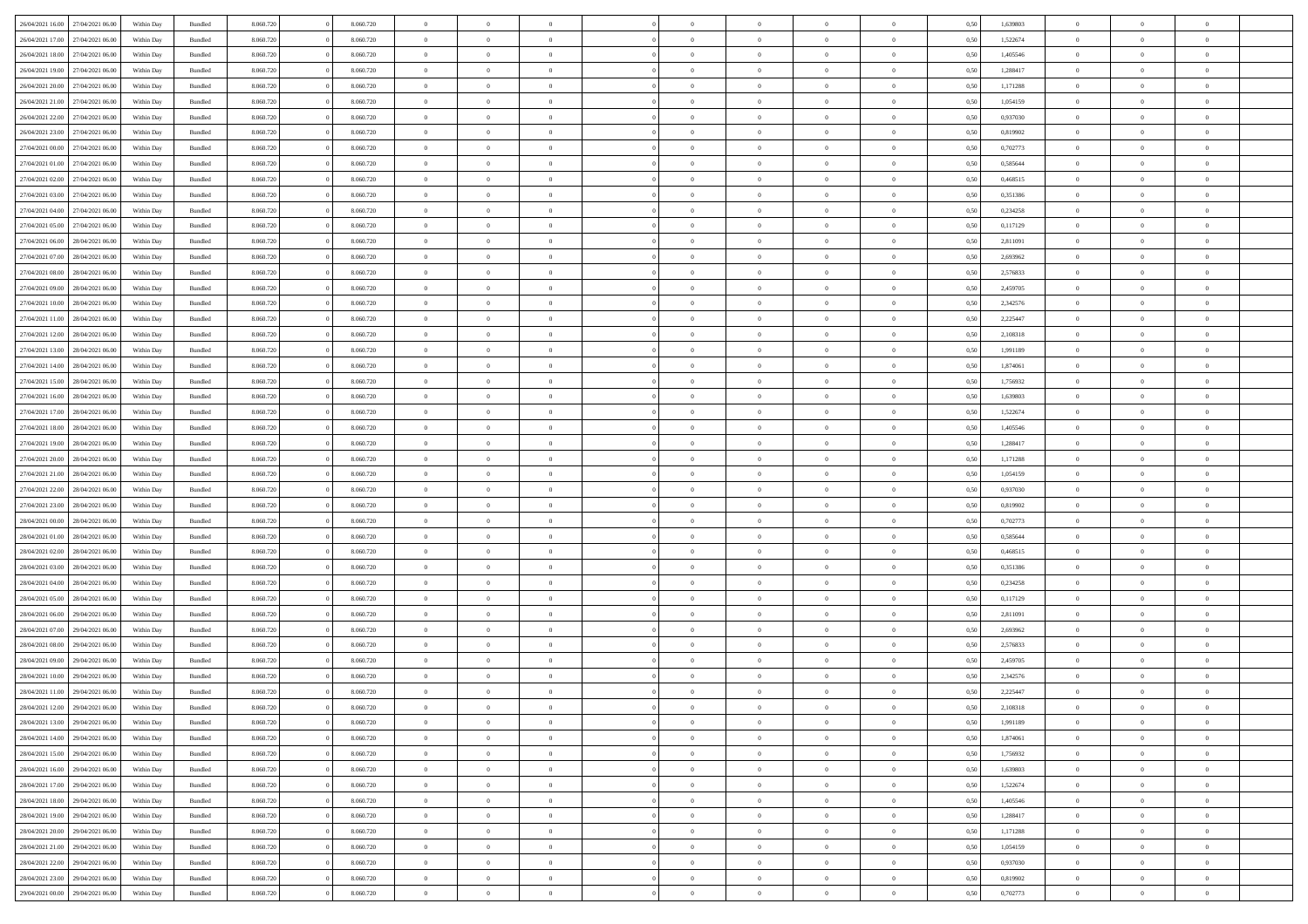| 26/04/2021 16:00 | 27/04/2021 06:00 | Within Day | Bundled            | 8.060.720 | 8.060.720 | $\overline{0}$ | $\Omega$       |                | $\Omega$       | $\Omega$       | $\Omega$       | $\theta$       | 0.50 | 1,639803 | $\theta$       | $\theta$       | $\theta$       |  |
|------------------|------------------|------------|--------------------|-----------|-----------|----------------|----------------|----------------|----------------|----------------|----------------|----------------|------|----------|----------------|----------------|----------------|--|
| 26/04/2021 17:00 | 27/04/2021 06.00 | Within Day | Bundled            | 8.060.720 | 8.060.720 | $\overline{0}$ | $\theta$       | $\overline{0}$ | $\overline{0}$ | $\bf{0}$       | $\overline{0}$ | $\bf{0}$       | 0,50 | 1,522674 | $\theta$       | $\theta$       | $\overline{0}$ |  |
| 26/04/2021 18:00 | 27/04/2021 06:00 | Within Day | Bundled            | 8.060.720 | 8.060.720 | $\overline{0}$ | $\overline{0}$ | $\overline{0}$ | $\bf{0}$       | $\bf{0}$       | $\bf{0}$       | $\bf{0}$       | 0,50 | 1,405546 | $\bf{0}$       | $\overline{0}$ | $\overline{0}$ |  |
| 26/04/2021 19:00 | 27/04/2021 06:00 | Within Dav | Bundled            | 8.060.720 | 8.060.720 | $\overline{0}$ | $\overline{0}$ | $\overline{0}$ | $\overline{0}$ | $\bf{0}$       | $\overline{0}$ | $\overline{0}$ | 0.50 | 1.288417 | $\theta$       | $\theta$       | $\overline{0}$ |  |
|                  |                  |            |                    |           |           |                |                |                |                |                |                |                |      |          |                |                |                |  |
| 26/04/2021 20:00 | 27/04/2021 06.00 | Within Day | Bundled            | 8.060.720 | 8.060.720 | $\overline{0}$ | $\theta$       | $\overline{0}$ | $\overline{0}$ | $\bf{0}$       | $\overline{0}$ | $\bf{0}$       | 0,50 | 1,171288 | $\theta$       | $\theta$       | $\overline{0}$ |  |
| 26/04/2021 21:00 | 27/04/2021 06:00 | Within Day | Bundled            | 8.060.720 | 8.060.720 | $\overline{0}$ | $\bf{0}$       | $\overline{0}$ | $\bf{0}$       | $\overline{0}$ | $\overline{0}$ | $\mathbf{0}$   | 0,50 | 1,054159 | $\overline{0}$ | $\overline{0}$ | $\bf{0}$       |  |
| 26/04/2021 22:00 | 27/04/2021 06:00 | Within Dav | Bundled            | 8.060.720 | 8.060.720 | $\overline{0}$ | $\overline{0}$ | $\overline{0}$ | $\overline{0}$ | $\overline{0}$ | $\overline{0}$ | $\overline{0}$ | 0.50 | 0,937030 | $\theta$       | $\theta$       | $\overline{0}$ |  |
| 26/04/2021 23:00 | 27/04/2021 06.00 | Within Day | Bundled            | 8.060.720 | 8.060.720 | $\overline{0}$ | $\theta$       | $\overline{0}$ | $\overline{0}$ | $\bf{0}$       | $\overline{0}$ | $\bf{0}$       | 0,50 | 0,819902 | $\theta$       | $\theta$       | $\overline{0}$ |  |
| 27/04/2021 00:00 | 27/04/2021 06:00 | Within Day | Bundled            | 8.060.720 | 8.060.720 | $\overline{0}$ | $\overline{0}$ | $\overline{0}$ | $\bf{0}$       | $\bf{0}$       | $\bf{0}$       | $\bf{0}$       | 0,50 | 0,702773 | $\,0\,$        | $\overline{0}$ | $\overline{0}$ |  |
| 27/04/2021 01:00 | 27/04/2021 06:00 | Within Dav | Bundled            | 8.060.720 | 8.060.720 | $\overline{0}$ | $\overline{0}$ | $\overline{0}$ | $\overline{0}$ | $\overline{0}$ | $\overline{0}$ | $\overline{0}$ | 0.50 | 0,585644 | $\theta$       | $\overline{0}$ | $\overline{0}$ |  |
|                  |                  |            |                    |           |           |                |                |                |                |                |                |                |      |          |                |                |                |  |
| 27/04/2021 02:00 | 27/04/2021 06.00 | Within Day | Bundled            | 8.060.720 | 8.060.720 | $\overline{0}$ | $\theta$       | $\overline{0}$ | $\overline{0}$ | $\bf{0}$       | $\overline{0}$ | $\bf{0}$       | 0,50 | 0,468515 | $\theta$       | $\theta$       | $\overline{0}$ |  |
| 27/04/2021 03:00 | 27/04/2021 06:00 | Within Day | Bundled            | 8.060.720 | 8.060.720 | $\overline{0}$ | $\overline{0}$ | $\overline{0}$ | $\bf{0}$       | $\bf{0}$       | $\bf{0}$       | $\bf{0}$       | 0,50 | 0,351386 | $\overline{0}$ | $\overline{0}$ | $\overline{0}$ |  |
| 27/04/2021 04:00 | 27/04/2021 06:00 | Within Day | Bundled            | 8.060.720 | 8.060.720 | $\overline{0}$ | $\overline{0}$ | $\overline{0}$ | $\overline{0}$ | $\bf{0}$       | $\overline{0}$ | $\overline{0}$ | 0.50 | 0,234258 | $\theta$       | $\theta$       | $\overline{0}$ |  |
| 27/04/2021 05:00 | 27/04/2021 06.00 | Within Day | Bundled            | 8.060.720 | 8.060.720 | $\overline{0}$ | $\theta$       | $\overline{0}$ | $\overline{0}$ | $\bf{0}$       | $\overline{0}$ | $\bf{0}$       | 0,50 | 0,117129 | $\theta$       | $\theta$       | $\overline{0}$ |  |
| 27/04/2021 06:00 | 28/04/2021 06:00 | Within Day | Bundled            | 8.060.720 | 8.060.720 | $\overline{0}$ | $\overline{0}$ | $\overline{0}$ | $\bf{0}$       | $\overline{0}$ | $\overline{0}$ | $\mathbf{0}$   | 0,50 | 2,811091 | $\overline{0}$ | $\overline{0}$ | $\bf{0}$       |  |
|                  | 28/04/2021 06:00 | Within Dav | Bundled            | 8.060.720 | 8.060.720 | $\overline{0}$ | $\overline{0}$ | $\overline{0}$ |                | $\overline{0}$ | $\overline{0}$ | $\overline{0}$ | 0.50 | 2,693962 | $\theta$       | $\overline{0}$ | $\overline{0}$ |  |
| 27/04/2021 07:00 |                  |            |                    |           |           |                |                |                | $\overline{0}$ |                |                |                |      |          |                |                |                |  |
| 27/04/2021 08:00 | 28/04/2021 06:00 | Within Day | Bundled            | 8.060.720 | 8.060.720 | $\overline{0}$ | $\theta$       | $\overline{0}$ | $\overline{0}$ | $\bf{0}$       | $\overline{0}$ | $\bf{0}$       | 0,50 | 2,576833 | $\theta$       | $\theta$       | $\overline{0}$ |  |
| 27/04/2021 09:00 | 28/04/2021 06:00 | Within Day | Bundled            | 8.060.720 | 8.060.720 | $\overline{0}$ | $\overline{0}$ | $\overline{0}$ | $\bf{0}$       | $\bf{0}$       | $\bf{0}$       | $\bf{0}$       | 0,50 | 2,459705 | $\,0\,$        | $\overline{0}$ | $\overline{0}$ |  |
| 27/04/2021 10:00 | 28/04/2021 06:00 | Within Dav | Bundled            | 8.060.720 | 8.060.720 | $\overline{0}$ | $\overline{0}$ | $\overline{0}$ | $\overline{0}$ | $\overline{0}$ | $\overline{0}$ | $\overline{0}$ | 0.50 | 2,342576 | $\theta$       | $\overline{0}$ | $\overline{0}$ |  |
| 27/04/2021 11:00 | 28/04/2021 06:00 | Within Day | Bundled            | 8.060.720 | 8.060.720 | $\overline{0}$ | $\theta$       | $\overline{0}$ | $\overline{0}$ | $\bf{0}$       | $\overline{0}$ | $\bf{0}$       | 0,50 | 2,225447 | $\,$ 0 $\,$    | $\theta$       | $\overline{0}$ |  |
| 27/04/2021 12:00 | 28/04/2021 06:00 | Within Day | Bundled            | 8.060.720 | 8.060.720 | $\overline{0}$ | $\overline{0}$ | $\overline{0}$ | $\bf{0}$       | $\bf{0}$       | $\overline{0}$ | $\bf{0}$       | 0,50 | 2,108318 | $\,0\,$        | $\overline{0}$ | $\overline{0}$ |  |
| 27/04/2021 13:00 | 28/04/2021 06:00 | Within Day | Bundled            | 8.060.720 | 8.060.720 | $\overline{0}$ | $\overline{0}$ | $\overline{0}$ | $\overline{0}$ | $\bf{0}$       | $\overline{0}$ | $\overline{0}$ | 0.50 | 1.991189 | $\theta$       | $\theta$       | $\overline{0}$ |  |
|                  |                  |            |                    |           |           |                |                |                |                |                |                |                |      |          |                |                |                |  |
| 27/04/2021 14:00 | 28/04/2021 06:00 | Within Day | Bundled            | 8.060.720 | 8.060.720 | $\overline{0}$ | $\theta$       | $\overline{0}$ | $\overline{0}$ | $\bf{0}$       | $\overline{0}$ | $\bf{0}$       | 0,50 | 1,874061 | $\,$ 0 $\,$    | $\overline{0}$ | $\overline{0}$ |  |
| 27/04/2021 15:00 | 28/04/2021 06:00 | Within Day | Bundled            | 8.060.720 | 8.060.720 | $\overline{0}$ | $\bf{0}$       | $\overline{0}$ | $\overline{0}$ | $\overline{0}$ | $\overline{0}$ | $\mathbf{0}$   | 0,50 | 1,756932 | $\bf{0}$       | $\overline{0}$ | $\bf{0}$       |  |
| 27/04/2021 16:00 | 28/04/2021 06:00 | Within Dav | Bundled            | 8.060.720 | 8.060.720 | $\overline{0}$ | $\overline{0}$ | $\overline{0}$ | $\overline{0}$ | $\overline{0}$ | $\overline{0}$ | $\overline{0}$ | 0.50 | 1,639803 | $\theta$       | $\theta$       | $\overline{0}$ |  |
| 27/04/2021 17:00 | 28/04/2021 06:00 | Within Day | Bundled            | 8.060.720 | 8.060.720 | $\overline{0}$ | $\theta$       | $\overline{0}$ | $\overline{0}$ | $\bf{0}$       | $\overline{0}$ | $\bf{0}$       | 0,50 | 1,522674 | $\theta$       | $\theta$       | $\overline{0}$ |  |
| 27/04/2021 18:00 | 28/04/2021 06:00 | Within Day | Bundled            | 8.060.720 | 8.060.720 | $\overline{0}$ | $\overline{0}$ | $\overline{0}$ | $\overline{0}$ | $\bf{0}$       | $\overline{0}$ | $\bf{0}$       | 0,50 | 1,405546 | $\,0\,$        | $\overline{0}$ | $\overline{0}$ |  |
| 27/04/2021 19:00 | 28/04/2021 06:00 | Within Day | Bundled            | 8.060.720 | 8.060.720 | $\overline{0}$ | $\overline{0}$ | $\overline{0}$ | $\overline{0}$ | $\overline{0}$ | $\overline{0}$ | $\overline{0}$ | 0.50 | 1,288417 | $\theta$       | $\overline{0}$ | $\overline{0}$ |  |
|                  |                  |            |                    |           |           |                |                |                |                |                |                |                |      |          |                |                |                |  |
| 27/04/2021 20:00 | 28/04/2021 06:00 | Within Day | Bundled            | 8.060.720 | 8.060.720 | $\overline{0}$ | $\theta$       | $\overline{0}$ | $\overline{0}$ | $\bf{0}$       | $\overline{0}$ | $\bf{0}$       | 0,50 | 1,171288 | $\,$ 0 $\,$    | $\overline{0}$ | $\overline{0}$ |  |
| 27/04/2021 21:00 | 28/04/2021 06:00 | Within Day | Bundled            | 8.060.720 | 8.060.720 | $\overline{0}$ | $\overline{0}$ | $\overline{0}$ | $\overline{0}$ | $\bf{0}$       | $\overline{0}$ | $\bf{0}$       | 0,50 | 1,054159 | $\overline{0}$ | $\overline{0}$ | $\overline{0}$ |  |
| 27/04/2021 22:00 | 28/04/2021 06:00 | Within Day | Bundled            | 8.060.720 | 8.060.720 | $\overline{0}$ | $\Omega$       | $\Omega$       | $\Omega$       | $\Omega$       | $\Omega$       | $\overline{0}$ | 0.50 | 0,937030 | $\,0\,$        | $\theta$       | $\theta$       |  |
| 27/04/2021 23:00 | 28/04/2021 06:00 | Within Day | Bundled            | 8.060.720 | 8.060.720 | $\overline{0}$ | $\theta$       | $\overline{0}$ | $\overline{0}$ | $\bf{0}$       | $\overline{0}$ | $\bf{0}$       | 0,50 | 0,819902 | $\theta$       | $\theta$       | $\overline{0}$ |  |
| 28/04/2021 00:00 | 28/04/2021 06:00 | Within Day | Bundled            | 8.060.720 | 8.060.720 | $\overline{0}$ | $\overline{0}$ | $\overline{0}$ | $\overline{0}$ | $\bf{0}$       | $\overline{0}$ | $\mathbf{0}$   | 0,50 | 0,702773 | $\overline{0}$ | $\overline{0}$ | $\bf{0}$       |  |
| 28/04/2021 01:00 | 28/04/2021 06:00 |            | Bundled            | 8.060.720 | 8.060.720 | $\overline{0}$ | $\Omega$       | $\Omega$       | $\Omega$       | $\bf{0}$       | $\overline{0}$ | $\overline{0}$ | 0.50 | 0.585644 | $\theta$       | $\theta$       | $\theta$       |  |
|                  |                  | Within Day |                    |           |           |                |                |                |                |                |                |                |      |          |                |                |                |  |
| 28/04/2021 02:00 | 28/04/2021 06:00 | Within Day | Bundled            | 8.060.720 | 8.060.720 | $\overline{0}$ | $\theta$       | $\overline{0}$ | $\overline{0}$ | $\bf{0}$       | $\overline{0}$ | $\bf{0}$       | 0,50 | 0,468515 | $\theta$       | $\theta$       | $\overline{0}$ |  |
| 28/04/2021 03:00 | 28/04/2021 06:00 | Within Day | Bundled            | 8.060.720 | 8.060.720 | $\overline{0}$ | $\overline{0}$ | $\overline{0}$ | $\overline{0}$ | $\bf{0}$       | $\overline{0}$ | $\bf{0}$       | 0,50 | 0,351386 | $\bf{0}$       | $\overline{0}$ | $\overline{0}$ |  |
| 28/04/2021 04:00 | 28/04/2021 06:00 | Within Day | Bundled            | 8.060.720 | 8.060.720 | $\overline{0}$ | $\Omega$       | $\Omega$       | $\Omega$       | $\Omega$       | $\theta$       | $\overline{0}$ | 0.50 | 0,234258 | $\theta$       | $\theta$       | $\theta$       |  |
| 28/04/2021 05:00 | 28/04/2021 06:00 | Within Day | Bundled            | 8.060.720 | 8.060.720 | $\overline{0}$ | $\theta$       | $\overline{0}$ | $\overline{0}$ | $\bf{0}$       | $\overline{0}$ | $\bf{0}$       | 0,50 | 0,117129 | $\,$ 0 $\,$    | $\overline{0}$ | $\overline{0}$ |  |
| 28/04/2021 06:00 | 29/04/2021 06:00 | Within Day | Bundled            | 8.060.720 | 8.060.720 | $\overline{0}$ | $\overline{0}$ | $\overline{0}$ | $\overline{0}$ | $\bf{0}$       | $\overline{0}$ | $\bf{0}$       | 0,50 | 2,811091 | $\overline{0}$ | $\overline{0}$ | $\overline{0}$ |  |
| 28/04/2021 07:00 | 29/04/2021 06.00 | Within Day | Bundled            | 8.060.720 | 8.060.720 | $\overline{0}$ | $\Omega$       | $\Omega$       | $\Omega$       | $\Omega$       | $\overline{0}$ | $\overline{0}$ | 0.50 | 2,693962 | $\,0\,$        | $\theta$       | $\theta$       |  |
| 28/04/2021 08:00 | 29/04/2021 06.00 | Within Day | Bundled            | 8.060.720 | 8.060.720 | $\overline{0}$ | $\theta$       | $\overline{0}$ | $\overline{0}$ | $\bf{0}$       | $\overline{0}$ | $\bf{0}$       | 0,50 | 2,576833 | $\,$ 0 $\,$    | $\overline{0}$ | $\overline{0}$ |  |
|                  |                  |            |                    |           |           |                |                |                |                |                |                |                |      |          |                |                |                |  |
| 28/04/2021 09:00 | 29/04/2021 06.00 | Within Day | Bundled            | 8.060.720 | 8.060.720 | $\overline{0}$ | $\overline{0}$ | $\overline{0}$ | $\overline{0}$ | $\bf{0}$       | $\overline{0}$ | $\mathbf{0}$   | 0,50 | 2,459705 | $\overline{0}$ | $\overline{0}$ | $\bf{0}$       |  |
| 28/04/2021 10:00 | 29/04/2021 06:00 | Within Day | Bundled            | 8.060.720 | 8.060.720 | $\overline{0}$ | $\Omega$       | $\Omega$       | $\Omega$       | $\Omega$       | $\Omega$       | $\overline{0}$ | 0.50 | 2.342576 | $\theta$       | $\theta$       | $\theta$       |  |
| 28/04/2021 11:00 | 29/04/2021 06:00 | Within Day | Bundled            | 8.060.720 | 8.060.720 | $\overline{0}$ | $\overline{0}$ | $\overline{0}$ | $\bf{0}$       | $\,$ 0         | $\overline{0}$ | $\bf{0}$       | 0,50 | 2,225447 | $\,0\,$        | $\overline{0}$ | $\overline{0}$ |  |
| 28/04/2021 12:00 | 29/04/2021 06:00 | Within Day | $\mathbf B$ undled | 8.060.720 | 8.060.720 | $\bf{0}$       | $\bf{0}$       |                |                | $\bf{0}$       |                |                | 0,50 | 2,108318 | $\bf{0}$       | $\overline{0}$ |                |  |
| 28/04/2021 13:00 | 29/04/2021 06:00 | Within Day | Bundled            | 8.060.720 | 8.060.720 | $\overline{0}$ | $\overline{0}$ | $\overline{0}$ | $\Omega$       | $\overline{0}$ | $\overline{0}$ | $\overline{0}$ | 0.50 | 1,991189 | $\theta$       | $\theta$       | $\theta$       |  |
| 28/04/2021 14:00 | 29/04/2021 06:00 | Within Day | Bundled            | 8.060.720 | 8.060.720 | $\overline{0}$ | $\,$ 0         | $\overline{0}$ | $\overline{0}$ | $\,$ 0 $\,$    | $\overline{0}$ | $\,$ 0 $\,$    | 0,50 | 1,874061 | $\,$ 0 $\,$    | $\,$ 0 $\,$    | $\,$ 0         |  |
|                  |                  |            |                    |           |           |                |                |                |                |                |                |                |      |          |                |                |                |  |
| 28/04/2021 15:00 | 29/04/2021 06:00 | Within Day | Bundled            | 8.060.720 | 8.060.720 | $\overline{0}$ | $\overline{0}$ | $\overline{0}$ | $\overline{0}$ | $\overline{0}$ | $\overline{0}$ | $\mathbf{0}$   | 0,50 | 1,756932 | $\overline{0}$ | $\bf{0}$       | $\bf{0}$       |  |
| 28/04/2021 16:00 | 29/04/2021 06:00 | Within Day | Bundled            | 8.060.720 | 8.060.720 | $\overline{0}$ | $\overline{0}$ | $\overline{0}$ | $\Omega$       | $\overline{0}$ | $\overline{0}$ | $\overline{0}$ | 0,50 | 1,639803 | $\bf{0}$       | $\theta$       | $\overline{0}$ |  |
| 28/04/2021 17:00 | 29/04/2021 06:00 | Within Day | Bundled            | 8.060.720 | 8.060.720 | $\overline{0}$ | $\,$ 0         | $\overline{0}$ | $\overline{0}$ | $\,$ 0 $\,$    | $\overline{0}$ | $\mathbf{0}$   | 0,50 | 1,522674 | $\,$ 0 $\,$    | $\overline{0}$ | $\overline{0}$ |  |
| 28/04/2021 18:00 | 29/04/2021 06:00 | Within Day | Bundled            | 8.060.720 | 8.060.720 | $\overline{0}$ | $\overline{0}$ | $\overline{0}$ | $\overline{0}$ | $\overline{0}$ | $\overline{0}$ | $\mathbf{0}$   | 0,50 | 1,405546 | $\overline{0}$ | $\overline{0}$ | $\bf{0}$       |  |
| 28/04/2021 19:00 | 29/04/2021 06:00 | Within Day | Bundled            | 8.060.720 | 8.060.720 | $\overline{0}$ | $\overline{0}$ | $\overline{0}$ | $\overline{0}$ | $\overline{0}$ | $\overline{0}$ | $\bf{0}$       | 0.50 | 1,288417 | $\overline{0}$ | $\theta$       | $\overline{0}$ |  |
| 28/04/2021 20:00 | 29/04/2021 06:00 | Within Day | Bundled            | 8.060.720 | 8.060.720 | $\overline{0}$ | $\,$ 0         | $\overline{0}$ | $\bf{0}$       | $\bf{0}$       | $\bf{0}$       | $\bf{0}$       | 0,50 | 1,171288 | $\,$ 0 $\,$    | $\overline{0}$ | $\overline{0}$ |  |
|                  |                  |            |                    |           |           |                |                |                |                |                |                |                |      |          |                |                |                |  |
| 28/04/2021 21:00 | 29/04/2021 06:00 | Within Day | Bundled            | 8.060.720 | 8.060.720 | $\overline{0}$ | $\bf{0}$       | $\overline{0}$ | $\overline{0}$ | $\overline{0}$ | $\overline{0}$ | $\mathbf{0}$   | 0,50 | 1,054159 | $\overline{0}$ | $\overline{0}$ | $\bf{0}$       |  |
| 28/04/2021 22:00 | 29/04/2021 06:00 | Within Day | Bundled            | 8.060.720 | 8.060.720 | $\overline{0}$ | $\overline{0}$ | $\overline{0}$ | $\Omega$       | $\overline{0}$ | $\overline{0}$ | $\overline{0}$ | 0.50 | 0,937030 | $\overline{0}$ | $\overline{0}$ | $\overline{0}$ |  |
| 28/04/2021 23:00 | 29/04/2021 06:00 | Within Day | Bundled            | 8.060.720 | 8.060.720 | $\overline{0}$ | $\bf{0}$       | $\overline{0}$ | $\overline{0}$ | $\bf{0}$       | $\bf{0}$       | $\bf{0}$       | 0,50 | 0,819902 | $\,$ 0 $\,$    | $\,$ 0 $\,$    | $\bf{0}$       |  |
| 29/04/2021 00:00 | 29/04/2021 06:00 | Within Day | Bundled            | 8.060.720 | 8.060.720 | $\overline{0}$ | $\bf{0}$       | $\overline{0}$ | $\bf{0}$       | $\bf{0}$       | $\bf{0}$       | $\bf{0}$       | 0,50 | 0,702773 | $\overline{0}$ | $\overline{0}$ | $\bf{0}$       |  |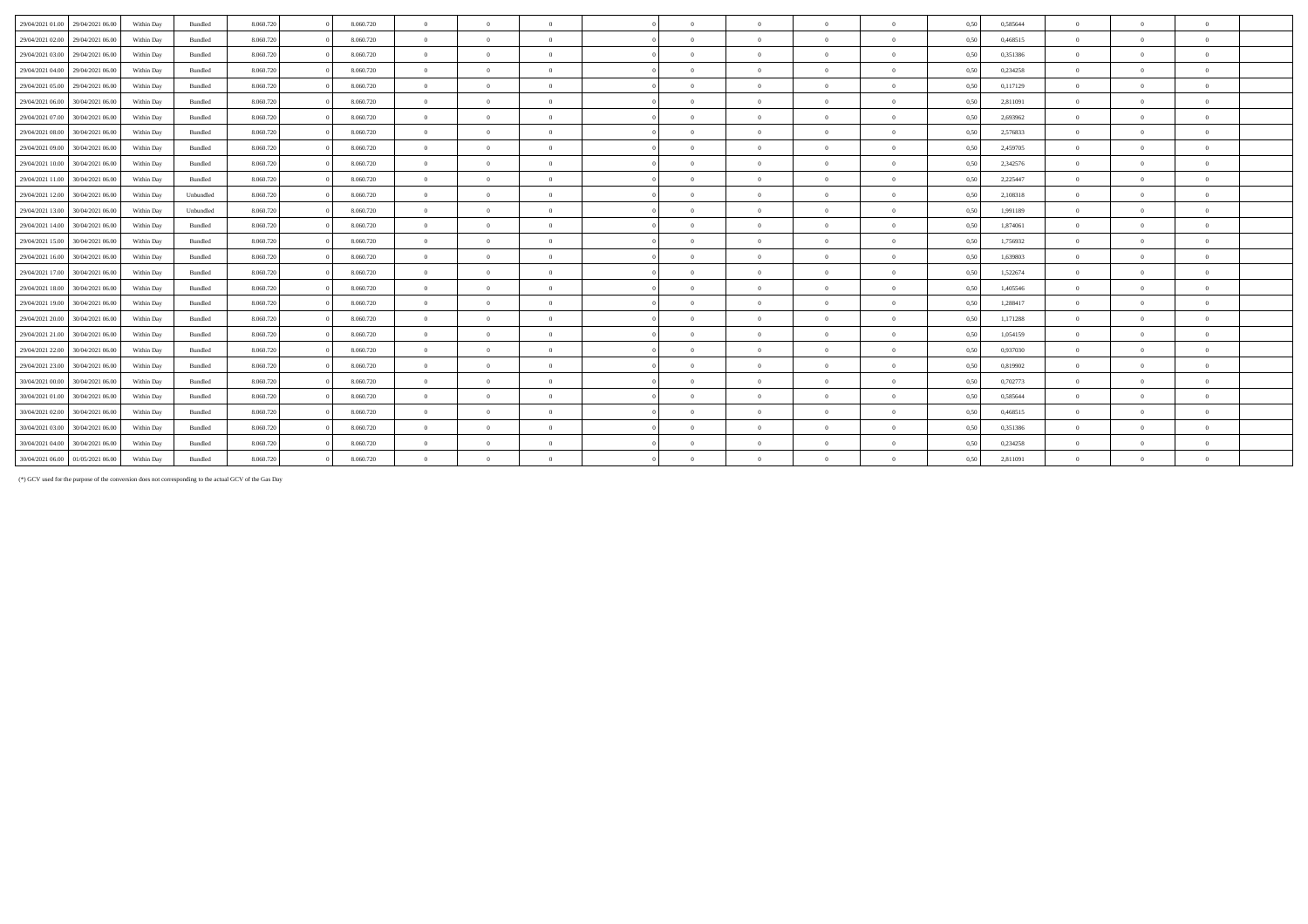| 29/04/2021 01:00<br>29/04/2021 06:00 | Within Day | Bundled   | 8.060.720 | 8.060.720 | $\overline{0}$ | $\Omega$       | $\overline{0}$ | $\sqrt{2}$ | $\theta$       | $\Omega$       | $\Omega$       | 0,50 | 0,585644 | $\theta$       | $\Omega$       | $\mathbf{0}$   |
|--------------------------------------|------------|-----------|-----------|-----------|----------------|----------------|----------------|------------|----------------|----------------|----------------|------|----------|----------------|----------------|----------------|
| 29/04/2021 02:00<br>29/04/2021 06.00 | Within Day | Bundled   | 8.060.720 | 8.060.720 | $\overline{0}$ | $\Omega$       | $\Omega$       | $\Omega$   | $\Omega$       | $\Omega$       | $\Omega$       | 0,50 | 0,468515 | $\Omega$       | $\Omega$       | $\mathbf{0}$   |
| 29/04/2021 03:00<br>29/04/2021 06:00 | Within Day | Bundled   | 8.060.720 | 8.060.720 | $\overline{0}$ | $\Omega$       | $\overline{0}$ | $\theta$   | $\Omega$       | $\Omega$       | $\Omega$       | 0.50 | 0,351386 | $\Omega$       | $\Omega$       | $\theta$       |
| 29/04/2021 04:00<br>29/04/2021 06.00 | Within Day | Bundled   | 8.060.720 | 8.060.720 | $\overline{0}$ | $\Omega$       | $\Omega$       | $\sqrt{2}$ | $\Omega$       | $\Omega$       | $\Omega$       | 0.50 | 0,234258 | $\Omega$       | $\Omega$       | $\theta$       |
| 29/04/2021 05:00<br>29/04/2021 06:00 | Within Day | Bundled   | 8.060.720 | 8.060.720 | $\overline{0}$ | $\Omega$       | $\overline{0}$ | $\sqrt{2}$ | $\overline{0}$ | $\Omega$       | $\Omega$       | 0,50 | 0,117129 | $\Omega$       | $\theta$       | $\bf{0}$       |
| 29/04/2021 06:00<br>30/04/2021 06.00 | Within Day | Bundled   | 8.060.720 | 8.060.720 | $\overline{0}$ | $\Omega$       | $\overline{0}$ | $\sqrt{2}$ | $\Omega$       | $\Omega$       | $\Omega$       | 0,50 | 2,811091 | $\theta$       | $\Omega$       | $\theta$       |
| 29/04/2021 07:00<br>30/04/2021 06.00 | Within Day | Bundled   | 8.060.720 | 8.060.720 | $\overline{0}$ | $\Omega$       | $\overline{0}$ | $\Omega$   | $\theta$       | $\Omega$       | $\Omega$       | 0,50 | 2,693962 | $\Omega$       | $\theta$       | $\theta$       |
| 30/04/2021 06:00<br>29/04/2021 08:00 | Within Day | Bundled   | 8.060.720 | 8.060.720 | $\overline{0}$ | $\theta$       | $\Omega$       | $\sqrt{2}$ | $\theta$       | $\Omega$       | $\mathbf{a}$   | 0.50 | 2.576833 | $\Omega$       | $\theta$       | $\theta$       |
| 30/04/2021 06.00<br>29/04/2021 09:00 | Within Day | Bundled   | 8.060.720 | 8.060.720 | $\overline{0}$ | $\Omega$       | $\Omega$       | $\sqrt{2}$ | $\Omega$       | $\Omega$       | $\Omega$       | 0.50 | 2,459705 | $\Omega$       | $\Omega$       | $\mathbf{0}$   |
| 29/04/2021 10:00<br>30/04/2021 06.00 | Within Day | Bundled   | 8.060.720 | 8.060.720 | $\overline{0}$ | $\theta$       | $\Omega$       | $\sqrt{2}$ | $\Omega$       | $\Omega$       | $\Omega$       | 0,50 | 2,342576 | $\Omega$       | $\Omega$       | $\theta$       |
| 29/04/2021 11:00<br>30/04/2021 06:00 | Within Day | Bundled   | 8.060.720 | 8.060.720 | $\overline{0}$ | $\Omega$       | $\Omega$       | $\Omega$   | $\Omega$       | $\Omega$       | $\theta$       | 0,50 | 2,225447 | $\Omega$       | $\Omega$       | $\theta$       |
| 29/04/2021 12:00<br>30/04/2021 06.00 | Within Day | Unbundled | 8.060.720 | 8.060.720 | $\overline{0}$ | $\overline{0}$ | $\overline{0}$ | $\theta$   | $\overline{0}$ | $\overline{0}$ | $\Omega$       | 0,50 | 2,108318 | $\overline{0}$ | $\overline{0}$ | $\bf{0}$       |
| 30/04/2021 06:00<br>29/04/2021 13:00 | Within Day | Unbundled | 8.060.720 | 8.060.720 | $\overline{0}$ | $\overline{0}$ | $\overline{0}$ | $\theta$   | $\overline{0}$ | $\overline{0}$ | $\overline{0}$ | 0,50 | 1,991189 | $\overline{0}$ | $\overline{0}$ | $\bf{0}$       |
| 29/04/2021 14:00<br>30/04/2021 06.00 | Within Day | Bundled   | 8.060.720 | 8.060.720 | $\overline{0}$ | $\overline{0}$ | $\overline{0}$ | $\sqrt{2}$ | $\overline{0}$ | $\theta$       | $\Omega$       | 0,50 | 1,874061 | $\overline{0}$ | $\overline{0}$ | $\bf{0}$       |
| 29/04/2021 15:00<br>30/04/2021 06.00 | Within Day | Bundled   | 8.060.720 | 8.060.720 | $\overline{0}$ | $\Omega$       | $\overline{0}$ | $\sqrt{2}$ | $\overline{0}$ | $\Omega$       | $\Omega$       | 0.50 | 1,756932 | $\overline{0}$ | $\theta$       | $\bf{0}$       |
| 29/04/2021 16:00<br>30/04/2021 06:00 | Within Day | Bundled   | 8.060.720 | 8.060.720 | $\overline{0}$ | $\Omega$       | $\overline{0}$ | $\sqrt{2}$ | $\Omega$       | $\Omega$       | $\Omega$       | 0,50 | 1,639803 | $\Omega$       | $\Omega$       | $\bf{0}$       |
| 30/04/2021 06.00<br>29/04/2021 17:00 | Within Day | Bundled   | 8.060.720 | 8.060.720 | $\overline{0}$ | $\Omega$       | $\Omega$       | $\sqrt{2}$ | $\Omega$       | $\Omega$       | $\Omega$       | 0.50 | 1,522674 | $\Omega$       | $\Omega$       | $\theta$       |
| 29/04/2021 18:00<br>30/04/2021 06:00 | Within Day | Bundled   | 8.060.720 | 8.060.720 | $\overline{0}$ | $\Omega$       | $\overline{0}$ | $\sqrt{2}$ | $\Omega$       | $\Omega$       | $\Omega$       | 0,50 | 1,405546 | $\overline{0}$ | $\Omega$       | $\overline{0}$ |
| 29/04/2021 19:00<br>30/04/2021 06.00 | Within Day | Bundled   | 8.060.720 | 8.060.720 | $\Omega$       | $\theta$       | $\Omega$       | $\sqrt{2}$ | $\theta$       | $\Omega$       | $\Omega$       | 0,50 | 1,288417 | $\Omega$       | $\theta$       | $\theta$       |
| 29/04/2021 20:00<br>30/04/2021 06:00 | Within Day | Bundled   | 8.060.720 | 8.060.720 | $\overline{0}$ | $\Omega$       | $\overline{0}$ | $\Omega$   | $\theta$       | $\Omega$       | $\theta$       | 0,50 | 1,171288 | $\Omega$       | $\theta$       | $\theta$       |
| 29/04/2021 21:00<br>30/04/2021 06.00 | Within Day | Bundled   | 8.060.720 | 8.060.720 | $\overline{0}$ | $\Omega$       | $\overline{0}$ | $\sqrt{2}$ | $\Omega$       | $\Omega$       | $\Omega$       | 0,50 | 1,054159 | $\theta$       | $\Omega$       | $\theta$       |
| 29/04/2021 22.00<br>30/04/2021 06.00 | Within Day | Bundled   | 8.060.720 | 8.060.720 | $\overline{0}$ | $\Omega$       | $\overline{0}$ | $\sqrt{2}$ | $\Omega$       | $\Omega$       | $\Omega$       | 0.50 | 0,937030 | $\overline{0}$ | $\Omega$       | $\mathbf{0}$   |
| 29/04/2021 23:00<br>30/04/2021 06.00 | Within Day | Bundled   | 8.060.720 | 8.060.720 | $\overline{0}$ | $\theta$       | $\Omega$       |            | $\theta$       | $\Omega$       |                | 0,50 | 0.819902 | $\Omega$       | $\theta$       | $\Omega$       |
| 30/04/2021 00:00<br>30/04/2021 06:00 | Within Day | Bundled   | 8.060.720 | 8.060.720 | $\overline{0}$ | $\Omega$       | $\overline{0}$ | $\theta$   | $\overline{0}$ | $\Omega$       | $\Omega$       | 0,50 | 0,702773 | $\theta$       | $\Omega$       | $\mathbf{0}$   |
| 30/04/2021 06.00<br>30/04/2021 01:00 | Within Day | Bundled   | 8.060.720 | 8.060.720 | $\overline{0}$ | $\Omega$       | $\Omega$       | $\theta$   | $\Omega$       | $\Omega$       | $\Omega$       | 0,50 | 0.585644 | $\Omega$       | $\Omega$       | $\mathbf{0}$   |
| 30/04/2021 02:00<br>30/04/2021 06.00 | Within Day | Bundled   | 8.060.720 | 8.060.720 | $\overline{0}$ | $\Omega$       | $\Omega$       | $\sqrt{2}$ | $\theta$       | $\Omega$       | $\Omega$       | 0.50 | 0,468515 | $\overline{0}$ | $\theta$       | $\overline{0}$ |
| 30/04/2021 03:00<br>30/04/2021 06.00 | Within Day | Bundled   | 8.060.720 | 8.060.720 | $\overline{0}$ | $\theta$       | $\overline{0}$ | $^{\circ}$ | $\theta$       | $\Omega$       |                | 0,50 | 0,351386 | $\overline{0}$ | $\theta$       | $\bf{0}$       |
| 30/04/2021 06.00<br>30/04/2021 04:00 | Within Day | Bundled   | 8.060.720 | 8.060.720 | $\overline{0}$ | $\theta$       | $\overline{0}$ | $\theta$   | $\overline{0}$ | $\theta$       | $\Omega$       | 0,50 | 0,234258 | $\overline{0}$ | $\overline{0}$ | $\bf{0}$       |
| 30/04/2021 06:00<br>01/05/2021 06:00 | Within Day | Bundled   | 8.060.720 | 8.060.720 | $\Omega$       | $\theta$       | $\Omega$       | $\sqrt{2}$ | $\theta$       | $\Omega$       |                | 0,50 | 2,811091 | $\theta$       | $\Omega$       | $\theta$       |

(\*) GCV used for the purpose of the conversion does not corresponding to the actual GCV of the Gas Day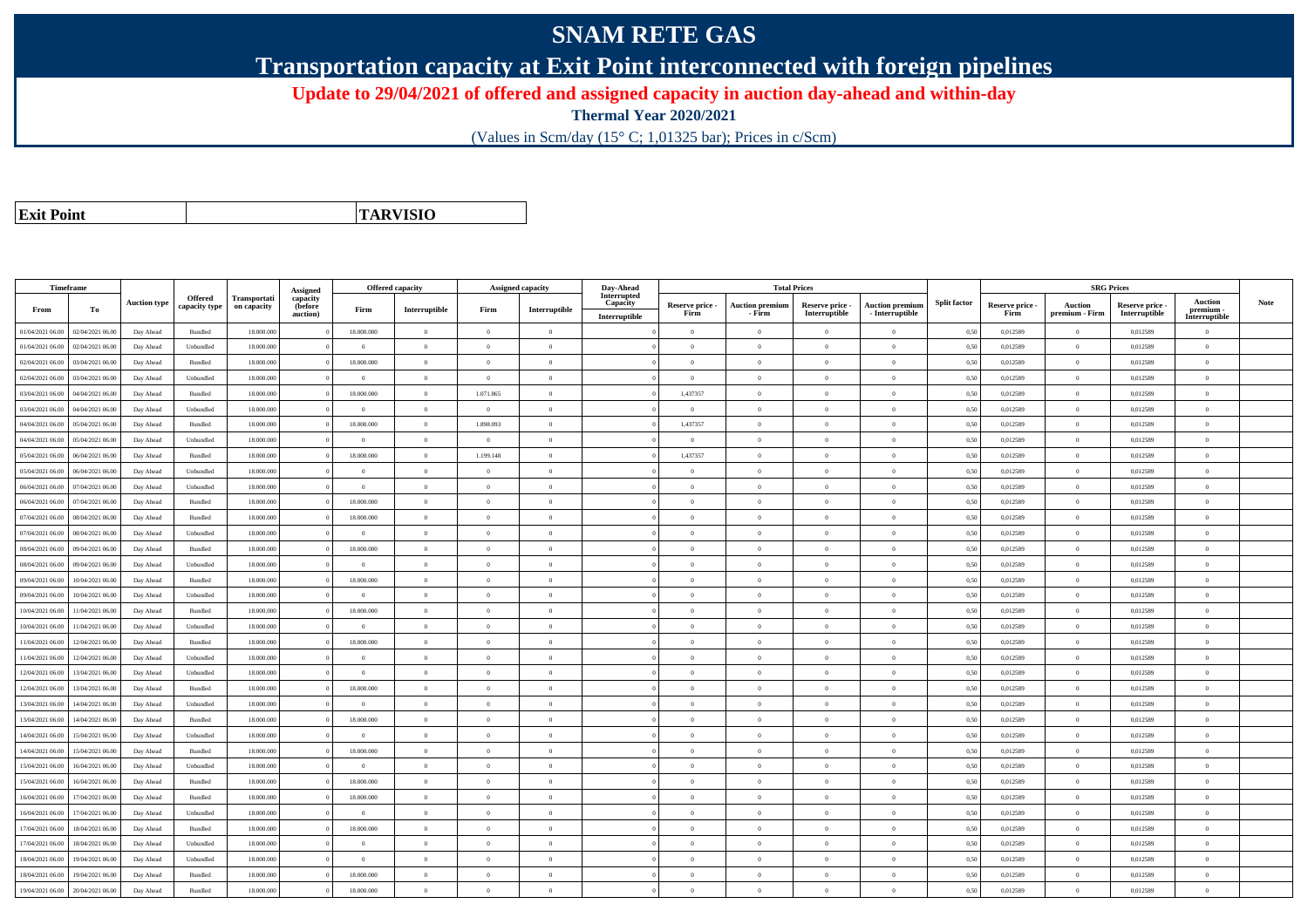## **SNAM RETE GAS**

**Transportation capacity at Exit Point interconnected with foreign pipelines**

**Update to 29/04/2021 of offered and assigned capacity in auction day-ahead and within-day**

**Thermal Year 2020/2021**

(Values in Scm/day (15° C; 1,01325 bar); Prices in c/Scm)

| <b>Exit Point</b> |
|-------------------|

**TARVISIO**

|                  | Timeframe        |                     |                          |                             |                                 | Offered capacity |                |                | Assigned capacity | Day-Ahead               |                 | <b>Total Prices</b>    |                 |                        |                     |                 | <b>SRG Prices</b> |                 |                            |      |
|------------------|------------------|---------------------|--------------------------|-----------------------------|---------------------------------|------------------|----------------|----------------|-------------------|-------------------------|-----------------|------------------------|-----------------|------------------------|---------------------|-----------------|-------------------|-----------------|----------------------------|------|
|                  |                  | <b>Auction type</b> | Offered<br>capacity type | Transportati<br>on capacity | Assigned<br>capacity<br>(before |                  |                |                |                   | Interrupted<br>Capacity | Reserve price - | <b>Auction premium</b> | Reserve price - | <b>Auction premium</b> | <b>Split factor</b> | Reserve price - | <b>Auction</b>    | Reserve price - | <b>Auction</b>             | Note |
| From             | To               |                     |                          |                             | auction)                        | Firm             | Interruptible  | Firm           | Interruptible     | Interruptible           | Firm            | - Firm                 | Interruptible   | - Interruptible        |                     | Firm            | premium - Firm    | Interruptible   | premium -<br>Interruptible |      |
| 01/04/2021 06:00 | 02/04/2021 06:00 | Day Ahead           | Bundled                  | 18.000.000                  |                                 | 18.000.000       | $\overline{0}$ | $\Omega$       | $\theta$          |                         | $\Omega$        | $\theta$               | $\Omega$        | $\theta$               | 0,50                | 0,012589        | $\theta$          | 0,012589        | $\theta$                   |      |
| 01/04/2021 06:00 | 02/04/2021 06.00 | Day Ahead           | Unbundled                | 18.000.000                  |                                 | $\theta$         | $\overline{0}$ | $\Omega$       | $\theta$          |                         | $\theta$        | $\theta$               | $\overline{0}$  | $\mathbf{0}$           | 0,50                | 0,012589        | $\overline{0}$    | 0,012589        | $\bf{0}$                   |      |
| 02/04/2021 06:00 | 03/04/2021 06:00 | Day Ahead           | Bundled                  | 18,000,000                  |                                 | 18,000,000       | $\overline{0}$ | $\Omega$       | $\theta$          |                         | $\theta$        | $\theta$               | $\theta$        | $\Omega$               | 0,50                | 0.012589        | $\overline{0}$    | 0.012589        | $\Omega$                   |      |
| 02/04/2021 06:00 | 03/04/2021 06:00 | Day Ahead           | Unbundled                | 18,000,000                  |                                 | $\theta$         | $\Omega$       | $\overline{0}$ | $\Omega$          |                         | $\Omega$        | $\theta$               | $\Omega$        | $\theta$               | 0.50                | 0,012589        | $\Omega$          | 0,012589        | $\Omega$                   |      |
| 03/04/2021 06:00 | 04/04/2021 06.00 | Day Ahead           | Bundled                  | 18.000.000                  |                                 | 18.000.000       | $\overline{0}$ | 1.071.865      | $\theta$          |                         | 1,437357        | $\overline{0}$         | $\overline{0}$  | $\mathbf{0}$           | 0,50                | 0,012589        | $\overline{0}$    | 0,012589        | $\bf{0}$                   |      |
| 03/04/2021 06:00 | 04/04/2021 06.00 | Day Ahead           | Unbundled                | 18.000.000                  |                                 | $\overline{0}$   | $\overline{0}$ | $\Omega$       | $\overline{0}$    |                         | $\overline{0}$  | $\theta$               | $\overline{0}$  | $\mathbf{0}$           | 0,50                | 0,012589        | $\overline{0}$    | 0,012589        | $\Omega$                   |      |
| 04/04/2021 06.00 | 05/04/2021 06.00 | Day Ahead           | Bundled                  | 18.000.000                  |                                 | 18.000.000       | $\overline{0}$ | 1.898.093      | $\overline{0}$    |                         | 1,437357        | $\mathbf{a}$           | $\overline{0}$  | $\mathbf{0}$           | 0,50                | 0,012589        | $\,$ 0 $\,$       | 0,012589        | $\Omega$                   |      |
| 04/04/2021 06:00 | 05/04/2021 06.00 | Day Ahead           | Unbundled                | 18.000.000                  |                                 | $\Omega$         | $\overline{0}$ | $\overline{0}$ | $\theta$          |                         | $\Omega$        | $\theta$               | $\overline{0}$  | $\Omega$               | 0,50                | 0,012589        | $\overline{0}$    | 0,012589        | $\Omega$                   |      |
| 05/04/2021 06:00 | 06/04/2021 06:00 | Day Ahead           | Bundled                  | 18,000,000                  |                                 | 18,000,000       | $\overline{0}$ | 1.199.148      | $\theta$          |                         | 1,437357        | $\mathbf{a}$           | $\Omega$        | $\theta$               | 0,50                | 0,012589        | $\overline{0}$    | 0,012589        | $\Omega$                   |      |
| 05/04/2021 06:00 | 06/04/2021 06:00 | Day Ahead           | Unbundled                | 18.000.000                  |                                 | $\theta$         | $\mathbf{0}$   | $\Omega$       | $\Omega$          |                         | $\Omega$        | $\theta$               | $\Omega$        | $\Omega$               | 0,50                | 0,012589        | $\Omega$          | 0,012589        | $\Omega$                   |      |
| 06/04/2021 06:00 | 07/04/2021 06:00 | Day Ahead           | Unbundled                | 18,000,000                  |                                 | $\overline{0}$   | $\overline{0}$ | $\overline{0}$ | $\theta$          |                         | $\theta$        | $\theta$               | $\overline{0}$  | $\overline{0}$         | 0.50                | 0.012589        | $\overline{0}$    | 0.012589        | $\bf{0}$                   |      |
| 06/04/2021 06:00 | 07/04/2021 06.00 | Day Ahead           | Bundled                  | 18.000.000                  |                                 | 18.000.000       | $\overline{0}$ | $\overline{0}$ | $\overline{0}$    |                         | $\overline{0}$  | $\theta$               | $\overline{0}$  | $\bf{0}$               | 0,50                | 0,012589        | $\overline{0}$    | 0,012589        | $\overline{0}$             |      |
| 07/04/2021 06.00 | 08/04/2021 06.00 | Day Ahead           | Bundled                  | 18.000.000                  |                                 | 18.000.000       | $\overline{0}$ | $\overline{0}$ | $\theta$          |                         | $\theta$        | $\theta$               | $\overline{0}$  | $\mathbf{0}$           | 0,50                | 0,012589        | $\overline{0}$    | 0,012589        | $\Omega$                   |      |
| 07/04/2021 06:00 | 08/04/2021 06:00 | Day Ahead           | Unbundled                | 18,000,000                  |                                 | $\theta$         | $\overline{0}$ | $\overline{0}$ | $\Omega$          |                         | $\Omega$        | $\theta$               | $\overline{0}$  | $\Omega$               | 0,50                | 0,012589        | $\overline{0}$    | 0.012589        | $\theta$                   |      |
| 08/04/2021 06:00 | 09/04/2021 06:00 | Day Ahead           | Bundled                  | 18.000.000                  |                                 | 18.000.000       | $\overline{0}$ | $\Omega$       | $\theta$          |                         | $\theta$        | $\theta$               | $\overline{0}$  | $\mathbf{0}$           | 0,50                | 0,012589        | $\overline{0}$    | 0,012589        | $\bf{0}$                   |      |
| 08/04/2021 06:00 | 09/04/2021 06.00 | Day Ahead           | Unbundled                | 18,000,000                  |                                 | $\Omega$         | $\theta$       | $\Omega$       | $\Omega$          |                         | $\theta$        |                        | $\Omega$        | $\Omega$               | 0.50                | 0.012589        | $\Omega$          | 0.012589        | $\Omega$                   |      |
| 09/04/2021 06:00 | 10/04/2021 06:00 | Day Ahead           | Bundled                  | 18,000,000                  |                                 | 18.000.000       | $\overline{0}$ | $\overline{0}$ | $\theta$          |                         | $\theta$        | $\overline{0}$         | $\overline{0}$  | $\overline{0}$         | 0,50                | 0,012589        | $\overline{0}$    | 0,012589        | $\bf{0}$                   |      |
| 09/04/2021 06:00 | 10/04/2021 06:00 | Day Ahead           | Unbundled                | 18.000.000                  |                                 | $\overline{0}$   | $\overline{0}$ | $\overline{0}$ | $\theta$          |                         | $\theta$        | $\overline{0}$         | $\overline{0}$  | $\mathbf{0}$           | 0,50                | 0,012589        | $\bf{0}$          | 0,012589        | $\bf{0}$                   |      |
| 10/04/2021 06:00 | 11/04/2021 06:00 | Day Ahead           | Bundled                  | 18,000,000                  |                                 | 18,000,000       | $\overline{0}$ | $\Omega$       | $\theta$          |                         | $\theta$        | $\theta$               | $\overline{0}$  | $\theta$               | 0.50                | 0.012589        | $\overline{0}$    | 0.012589        | $\Omega$                   |      |
| 10/04/2021 06:00 | 1/04/2021 06.00  | Day Ahead           | Unbundled                | 18.000.000                  |                                 | $\Omega$         | $\overline{0}$ | $\Omega$       | $\Omega$          |                         | $\theta$        | $\mathbf{a}$           | $\theta$        | $\theta$               | 0.50                | 0,012589        | $\overline{0}$    | 0,012589        | $\theta$                   |      |
| 11/04/2021 06:00 | 12/04/2021 06:00 | Day Ahead           | Bundled                  | 18.000.000                  |                                 | 18.000.000       | $\overline{0}$ | $\Omega$       | $\Omega$          |                         | $\Omega$        | $\theta$               | $\Omega$        | $\Omega$               | 0,50                | 0,012589        | $\Omega$          | 0,012589        | $\Omega$                   |      |
| 11/04/2021 06:00 | 12/04/2021 06:00 | Day Ahead           | Unbundled                | 18,000,000                  |                                 | $\theta$         | $\Omega$       | $\Omega$       | $\Omega$          |                         | $\theta$        | $\theta$               | $\theta$        | $\Omega$               | 0.50                | 0,012589        | $\Omega$          | 0.012589        | $\theta$                   |      |
| 12/04/2021 06:00 | 13/04/2021 06.00 | Day Ahead           | Unbundled                | 18.000.000                  |                                 | $\overline{0}$   | $\overline{0}$ | $\overline{0}$ | $\theta$          |                         | $\theta$        | $\theta$               | $\overline{0}$  | $\mathbf{0}$           | 0,50                | 0,012589        | $\overline{0}$    | 0,012589        | $\bf{0}$                   |      |
| 12/04/2021 06:00 | 13/04/2021 06:00 | Day Ahead           | Bundled                  | 18.000.000                  |                                 | 18.000.000       | $\overline{0}$ | $\overline{0}$ | $\overline{0}$    |                         | $\overline{0}$  | $\theta$               | $\overline{0}$  | $\mathbf{0}$           | 0,50                | 0,012589        | $\overline{0}$    | 0,012589        | $\bf{0}$                   |      |
| 13/04/2021 06:00 | 14/04/2021 06.00 | Day Ahead           | Unbundled                | 18.000.000                  |                                 | $\overline{0}$   | $\overline{0}$ | $\overline{0}$ | $\overline{0}$    |                         | $\overline{0}$  | $\theta$               | $\bf{0}$        | $\overline{0}$         | 0,50                | 0,012589        | $\,$ 0 $\,$       | 0,012589        | $\bf{0}$                   |      |
| 13/04/2021 06:00 | 14/04/2021 06.0  | Day Ahead           | Bundled                  | 18.000.000                  |                                 | 18.000.000       | $\overline{0}$ | $\overline{0}$ | $\theta$          |                         | $\overline{0}$  | $\theta$               | $\overline{0}$  | $\overline{0}$         | 0,50                | 0,012589        | $\overline{0}$    | 0,012589        | $\bf{0}$                   |      |
| 14/04/2021 06:00 | 15/04/2021 06.00 | Day Ahead           | Unbundled                | 18,000,000                  |                                 | $\theta$         | $\overline{0}$ | $\overline{0}$ | $\Omega$          |                         | $\Omega$        | $\theta$               | $\overline{0}$  | $\Omega$               | 0,50                | 0,012589        | $\theta$          | 0,012589        | $\theta$                   |      |
| 14/04/2021 06:00 | 15/04/2021 06.00 | Day Ahead           | Bundled                  | 18.000.000                  |                                 | 18.000.000       | $\overline{0}$ | $\Omega$       | $\theta$          |                         | $\Omega$        | $\theta$               | $\overline{0}$  | $\mathbf{0}$           | 0,50                | 0,012589        | $\overline{0}$    | 0,012589        | $\Omega$                   |      |
| 15/04/2021 06:00 | 16/04/2021 06.0  | Day Ahead           | Unbundled                | 18.000.00                   |                                 | $\overline{0}$   | $\overline{0}$ | $\overline{0}$ | $\theta$          |                         | $\theta$        | $\theta$               | $\overline{0}$  | $\mathbf{0}$           | 0,50                | 0,012589        | $\overline{0}$    | 0,012589        | $\bf{0}$                   |      |
| 15/04/2021 06:00 | 16/04/2021 06:00 | Day Ahead           | Bundled                  | 18.000.000                  |                                 | 18.000.000       | $\overline{0}$ | $\overline{0}$ | $\Omega$          |                         | $\theta$        | $\theta$               | $\overline{0}$  | $\mathbf{0}$           | 0,50                | 0,012589        | $\overline{0}$    | 0,012589        | $\Omega$                   |      |
| 16/04/2021 06:00 | 17/04/2021 06.00 | Day Ahead           | Bundled                  | 18.000.000                  |                                 | 18.000.000       | $\overline{0}$ | $\overline{0}$ | $\theta$          |                         | $\theta$        | $\theta$               | $\overline{0}$  | $\mathbf{0}$           | 0,50                | 0,012589        | $\overline{0}$    | 0,012589        | $\bf{0}$                   |      |
| 16/04/2021 06:00 | 17/04/2021 06.00 | Day Ahead           | Unbundled                | 18.000.000                  |                                 | $\theta$         | $\overline{0}$ | $\Omega$       | $\theta$          |                         | $\Omega$        | $\theta$               | $\overline{0}$  | $\Omega$               | 0,50                | 0,012589        | $\overline{0}$    | 0,012589        | $\Omega$                   |      |
| 17/04/2021 06:00 | 18/04/2021 06:00 | Day Ahead           | Bundled                  | 18,000,000                  |                                 | 18,000,000       | $\overline{0}$ | $\overline{0}$ | $\Omega$          |                         | $\Omega$        | $\theta$               | $\overline{0}$  | $\Omega$               | 0.50                | 0,012589        | $\overline{0}$    | 0,012589        | $\Omega$                   |      |
| 17/04/2021 06:00 | 18/04/2021 06:00 | Day Ahead           | Unbundled                | 18.000.000                  |                                 | $\theta$         | $\theta$       | $\Omega$       | $\theta$          |                         | $\theta$        | $\theta$               | $\Omega$        | $\theta$               | 0,50                | 0,012589        | $\Omega$          | 0,012589        | $\theta$                   |      |
| 18/04/2021 06:00 | 19/04/2021 06.00 | Day Ahead           | Unbundled                | 18.000.000                  |                                 | $\overline{0}$   | $\overline{0}$ | $\overline{0}$ | $\theta$          |                         | $\theta$        | $\theta$               | $\overline{0}$  | $\mathbf{0}$           | 0,50                | 0,012589        | $\overline{0}$    | 0,012589        | $\bf{0}$                   |      |
| 18/04/2021 06:00 | 19/04/2021 06.0  | Day Ahead           | Bundled                  | 18.000.000                  |                                 | 18.000.000       | $\overline{0}$ | $\overline{0}$ | $\overline{0}$    |                         | $\theta$        | $\mathbf{a}$           | $\overline{0}$  | $\mathbf{0}$           | 0,50                | 0,012589        | $\overline{0}$    | 0,012589        | $\bf{0}$                   |      |
| 19/04/2021 06:00 | 20/04/2021 06:00 | Day Ahead           | Bundled                  | 18.000.000                  |                                 | 18.000.000       | $\Omega$       | $\Omega$       | $\theta$          |                         | $\theta$        | $\Omega$               | $\Omega$        | $\Omega$               | 0,50                | 0,012589        | $\overline{0}$    | 0,012589        | $\theta$                   |      |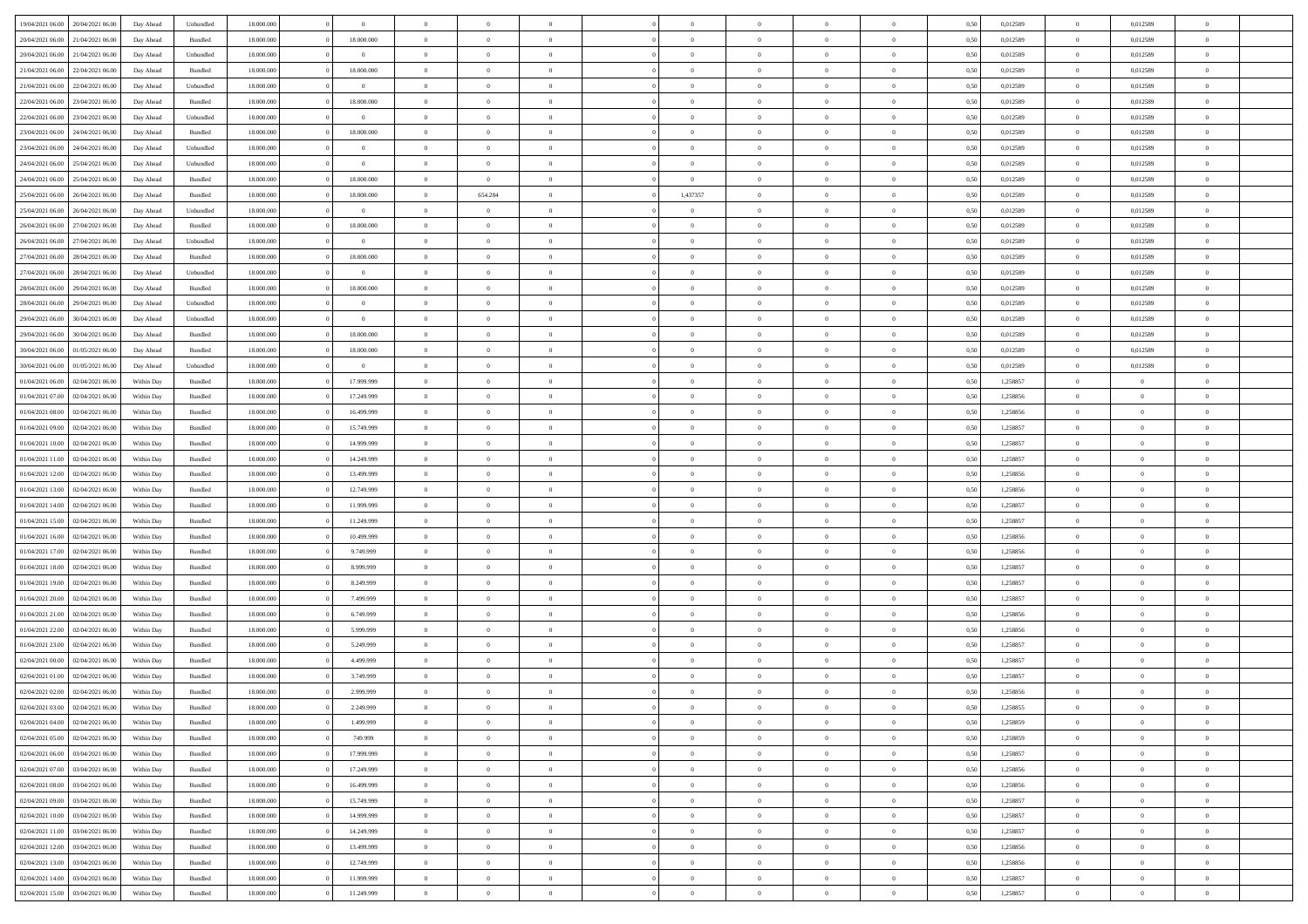| 19/04/2021 06:00                  | 20/04/2021 06:00 | Day Ahead  | Unbundled          | 18.000.000 | $\theta$       | $\overline{0}$ | $\theta$       |                | $\overline{0}$ | $\bf{0}$       | $\overline{0}$ | $\theta$       | 0,50 | 0,012589 | $\,$ 0 $\,$    | 0,012589       | $\overline{0}$           |  |
|-----------------------------------|------------------|------------|--------------------|------------|----------------|----------------|----------------|----------------|----------------|----------------|----------------|----------------|------|----------|----------------|----------------|--------------------------|--|
| 20/04/2021 06:00                  | 21/04/2021 06.00 | Day Ahead  | Bundled            | 18.000.000 | 18.000.000     | $\overline{0}$ | $\overline{0}$ | $\overline{0}$ | $\overline{0}$ | $\,$ 0         | $\bf{0}$       | $\bf{0}$       | 0,50 | 0,012589 | $\,$ 0 $\,$    | 0,012589       | $\overline{0}$           |  |
|                                   |                  |            |                    |            |                |                |                |                |                |                |                |                |      |          |                |                |                          |  |
| 20/04/2021 06:00                  | 21/04/2021 06:00 | Day Ahead  | Unbundled          | 18,000,000 | $\overline{0}$ | $\overline{0}$ | $\overline{0}$ | $\overline{0}$ | $\overline{0}$ | $\bf{0}$       | $\overline{0}$ | $\overline{0}$ | 0.50 | 0,012589 | $\overline{0}$ | 0.012589       | $\overline{0}$           |  |
| 21/04/2021 06:00                  | 22/04/2021 06:00 | Day Ahead  | Bundled            | 18.000.000 | 18.000.000     | $\overline{0}$ | $\overline{0}$ | $\overline{0}$ | $\overline{0}$ | $\bf{0}$       | $\overline{0}$ | $\overline{0}$ | 0,50 | 0,012589 | $\,$ 0 $\,$    | 0,012589       | $\overline{0}$           |  |
| 21/04/2021 06:00                  | 22/04/2021 06.00 | Day Ahead  | Unbundled          | 18.000.000 | $\overline{0}$ | $\overline{0}$ | $\theta$       | $\overline{0}$ | $\overline{0}$ | $\overline{0}$ | $\overline{0}$ | $\bf{0}$       | 0,50 | 0,012589 | $\,$ 0 $\,$    | 0,012589       | $\overline{0}$           |  |
| 22/04/2021 06:00                  | 23/04/2021 06:00 | Day Ahead  | Bundled            | 18,000,000 | 18.000.000     | $\overline{0}$ | $\overline{0}$ | $\overline{0}$ | $\overline{0}$ | $\bf{0}$       | $\theta$       | $\bf{0}$       | 0.50 | 0.012589 | $\bf{0}$       | 0.012589       | $\overline{0}$           |  |
| 22/04/2021 06:00                  | 23/04/2021 06:00 | Day Ahead  | Unbundled          | 18.000.000 | $\overline{0}$ | $\overline{0}$ | $\overline{0}$ | $\overline{0}$ | $\overline{0}$ | $\,$ 0         | $\overline{0}$ | $\overline{0}$ | 0,50 | 0,012589 | $\,$ 0 $\,$    | 0,012589       | $\overline{0}$           |  |
| 23/04/2021 06:00                  | 24/04/2021 06.00 | Day Ahead  | Bundled            | 18.000.000 | 18.000.000     | $\overline{0}$ | $\theta$       | $\overline{0}$ | $\overline{0}$ | $\bf{0}$       | $\overline{0}$ | $\bf{0}$       | 0,50 | 0,012589 | $\,$ 0 $\,$    | 0,012589       | $\overline{0}$           |  |
| 23/04/2021 06:00                  | 24/04/2021 06:00 | Day Ahead  | Unbundled          | 18,000,000 | $\overline{0}$ | $\overline{0}$ | $\overline{0}$ | $\overline{0}$ | $\overline{0}$ | $\bf{0}$       | $\overline{0}$ | $\overline{0}$ | 0.50 | 0.012589 | $\bf{0}$       | 0.012589       | $\overline{0}$           |  |
| 24/04/2021 06:00                  | 25/04/2021 06:00 | Day Ahead  | Unbundled          | 18.000.000 | $\overline{0}$ | $\overline{0}$ | $\overline{0}$ | $\overline{0}$ | $\overline{0}$ | $\,$ 0         | $\overline{0}$ | $\bf{0}$       | 0,50 | 0,012589 | $\,$ 0 $\,$    | 0,012589       | $\overline{0}$           |  |
| 24/04/2021 06:00                  | 25/04/2021 06.00 | Day Ahead  | Bundled            | 18.000.000 | 18.000.000     | $\overline{0}$ | $\overline{0}$ | $\overline{0}$ | $\overline{0}$ | $\,$ 0         | $\overline{0}$ | $\bf{0}$       | 0,50 | 0,012589 | $\,$ 0 $\,$    | 0,012589       | $\overline{0}$           |  |
| 25/04/2021 06:00                  | 26/04/2021 06:00 | Day Ahead  | Bundled            | 18,000,000 | 18.000.000     | $\overline{0}$ | 654.284        | $\overline{0}$ | 1,437357       | $\bf{0}$       | $\overline{0}$ | $\mathbf{0}$   | 0.50 | 0.012589 | $\overline{0}$ | 0.012589       | $\overline{\phantom{a}}$ |  |
| 25/04/2021 06:00                  | 26/04/2021 06:00 | Day Ahead  | Unbundled          | 18.000.000 | $\overline{0}$ | $\overline{0}$ | $\overline{0}$ | $\overline{0}$ | $\overline{0}$ | $\bf{0}$       | $\overline{0}$ | $\overline{0}$ | 0,50 | 0,012589 | $\,$ 0 $\,$    | 0,012589       | $\overline{0}$           |  |
| 26/04/2021 06:00                  | 27/04/2021 06.00 | Day Ahead  | Bundled            | 18.000.000 | 18.000.000     | $\overline{0}$ | $\theta$       | $\overline{0}$ |                | $\overline{0}$ | $\overline{0}$ | $\bf{0}$       | 0,50 | 0,012589 | $\,$ 0 $\,$    | 0,012589       | $\overline{0}$           |  |
| 26/04/2021 06:00                  | 27/04/2021 06:00 |            | Unbundled          | 18,000,000 | $\overline{0}$ | $\overline{0}$ | $\overline{0}$ | $\overline{0}$ | $\overline{0}$ | $\bf{0}$       | $\Omega$       | $\overline{0}$ | 0.50 | 0.012589 | $\bf{0}$       | 0.012589       | $\overline{0}$           |  |
|                                   |                  | Day Ahead  |                    |            |                | $\overline{0}$ | $\overline{0}$ | $\overline{0}$ | $\overline{0}$ | $\bf{0}$       | $\overline{0}$ | $\overline{0}$ |      |          | $\,$ 0 $\,$    |                | $\overline{0}$           |  |
| 27/04/2021 06:00                  | 28/04/2021 06:00 | Day Ahead  | Bundled            | 18.000.000 | 18.000.000     |                |                |                |                |                |                |                | 0,50 | 0,012589 |                | 0,012589       |                          |  |
| 27/04/2021 06:00                  | 28/04/2021 06.00 | Day Ahead  | Unbundled          | 18.000.000 | $\overline{0}$ | $\overline{0}$ | $\theta$       | $\overline{0}$ | $\overline{0}$ | $\bf{0}$       | $\overline{0}$ | $\bf{0}$       | 0,50 | 0,012589 | $\,$ 0 $\,$    | 0,012589       | $\overline{0}$           |  |
| 28/04/2021 06:00                  | 29/04/2021 06:00 | Day Ahead  | Bundled            | 18,000,000 | 18.000.000     | $\overline{0}$ | $\overline{0}$ | $\overline{0}$ | $\overline{0}$ | $\bf{0}$       | $\overline{0}$ | $\bf{0}$       | 0.50 | 0.012589 | $\bf{0}$       | 0.012589       | $\overline{\phantom{a}}$ |  |
| 28/04/2021 06:00                  | 29/04/2021 06:00 | Day Ahead  | Unbundled          | 18.000.000 | $\overline{0}$ | $\overline{0}$ | $\overline{0}$ | $\overline{0}$ | $\overline{0}$ | $\,$ 0         | $\overline{0}$ | $\bf{0}$       | 0,50 | 0,012589 | $\,$ 0 $\,$    | 0,012589       | $\overline{0}$           |  |
| 29/04/2021 06:00                  | 30/04/2021 06.00 | Day Ahead  | Unbundled          | 18.000.000 | $\overline{0}$ | $\overline{0}$ | $\overline{0}$ | $\overline{0}$ | $\overline{0}$ | $\,$ 0         | $\overline{0}$ | $\bf{0}$       | 0,50 | 0,012589 | $\,$ 0 $\,$    | 0,012589       | $\overline{0}$           |  |
| 29/04/2021 06:00                  | 30/04/2021 06:00 | Day Ahead  | Bundled            | 18,000,000 | 18.000.000     | $\overline{0}$ | $\overline{0}$ | $\overline{0}$ | $\overline{0}$ | $\bf{0}$       | $\overline{0}$ | $\mathbf{0}$   | 0.50 | 0.012589 | $\bf{0}$       | 0.012589       | $\overline{0}$           |  |
| 30/04/2021 06:00                  | 01/05/2021 06:00 | Day Ahead  | Bundled            | 18.000.000 | 18.000.000     | $\overline{0}$ | $\overline{0}$ | $\overline{0}$ | $\overline{0}$ | $\bf{0}$       | $\overline{0}$ | $\overline{0}$ | 0,50 | 0,012589 | $\,$ 0 $\,$    | 0,012589       | $\overline{0}$           |  |
| 30/04/2021 06:00                  | 01/05/2021 06.00 | Day Ahead  | Unbundled          | 18.000.000 | $\overline{0}$ | $\overline{0}$ | $\theta$       | $\overline{0}$ | $\overline{0}$ | $\bf{0}$       | $\overline{0}$ | $\bf{0}$       | 0,50 | 0,012589 | $\,$ 0 $\,$    | 0,012589       | $\overline{0}$           |  |
| 01/04/2021 06:00                  | 02/04/2021 06:00 | Within Day | Bundled            | 18,000,000 | 17.999.999     | $\overline{0}$ | $\overline{0}$ | $\overline{0}$ | $\overline{0}$ | $\bf{0}$       | $\theta$       | $\bf{0}$       | 0.50 | 1.258857 | $\,0\,$        | $\overline{0}$ | $\overline{0}$           |  |
| 01/04/2021 07:00                  | 02/04/2021 06:00 | Within Day | Bundled            | 18.000.000 | 17.249.999     | $\overline{0}$ | $\overline{0}$ | $\overline{0}$ | $\overline{0}$ | $\bf{0}$       | $\overline{0}$ | $\overline{0}$ | 0,50 | 1,258856 | $\,0\,$        | $\theta$       | $\overline{0}$           |  |
| 01/04/2021 08:00                  | 02/04/2021 06.00 | Within Day | Bundled            | 18.000.000 | 16.499.999     | $\overline{0}$ | $\theta$       | $\overline{0}$ |                | $\bf{0}$       | $\overline{0}$ | $\bf{0}$       | 0,50 | 1,258856 | $\,$ 0 $\,$    | $\overline{0}$ | $\overline{0}$           |  |
| 01/04/2021 09:00                  | 02/04/2021 06:00 | Within Day | Bundled            | 18,000,000 | 15,749.999     | $\overline{0}$ | $\overline{0}$ | $\overline{0}$ | $\overline{0}$ | $\bf{0}$       | $\overline{0}$ | $\bf{0}$       | 0.50 | 1.258857 | $\theta$       | $\overline{0}$ | $\overline{0}$           |  |
| 01/04/2021 10:00                  | 02/04/2021 06:00 | Within Day | Bundled            | 18.000.000 | 14.999.999     | $\overline{0}$ | $\overline{0}$ | $\overline{0}$ | $\overline{0}$ | $\,$ 0         | $\overline{0}$ | $\bf{0}$       | 0,50 | 1,258857 | $\,$ 0 $\,$    | $\overline{0}$ | $\overline{0}$           |  |
| 01/04/2021 11:00                  | 02/04/2021 06.00 | Within Day | Bundled            | 18.000.000 | 14.249.999     | $\overline{0}$ | $\overline{0}$ | $\overline{0}$ | $\overline{0}$ | $\bf{0}$       | $\overline{0}$ | $\bf{0}$       | 0,50 | 1,258857 | $\,$ 0 $\,$    | $\overline{0}$ | $\overline{0}$           |  |
| 01/04/2021 12:00                  | 02/04/2021 06:00 | Within Day | Bundled            | 18,000,000 | 13,499.999     | $\overline{0}$ | $\overline{0}$ | $\overline{0}$ | $\overline{0}$ | $\bf{0}$       | $\overline{0}$ | $\mathbf{0}$   | 0.50 | 1.258856 | $\bf{0}$       | $\overline{0}$ | $\bf{0}$                 |  |
|                                   |                  |            |                    |            |                |                | $\overline{0}$ | $\overline{0}$ |                | $\bf{0}$       |                |                |      |          | $\theta$       | $\overline{0}$ | $\overline{0}$           |  |
| 01/04/2021 13:00                  | 02/04/2021 06:00 | Within Dav | Bundled            | 18.000.000 | 12.749.999     | $\overline{0}$ |                |                | $\overline{0}$ |                | $\overline{0}$ | $\overline{0}$ | 0.50 | 1,258856 |                |                |                          |  |
| 01/04/2021 14:00                  | 02/04/2021 06.00 | Within Day | Bundled            | 18.000.000 | 11.999.999     | $\overline{0}$ | $\theta$       | $\overline{0}$ | $\overline{0}$ | $\bf{0}$       | $\overline{0}$ | $\bf{0}$       | 0,50 | 1,258857 | $\,$ 0 $\,$    | $\overline{0}$ | $\overline{0}$           |  |
| 01/04/2021 15:00                  | 02/04/2021 06:00 | Within Day | Bundled            | 18,000,000 | 11.249.999     | $\overline{0}$ | $\overline{0}$ | $\overline{0}$ | $\overline{0}$ | $\bf{0}$       | $\Omega$       | $\overline{0}$ | 0.50 | 1.258857 | $\theta$       | $\theta$       | $\overline{0}$           |  |
| 01/04/2021 16:00                  | 02/04/2021 06:00 | Within Dav | Bundled            | 18.000.000 | 10.499.999     | $\overline{0}$ | $\theta$       | $\Omega$       | $\overline{0}$ | $\bf{0}$       | $\overline{0}$ | $\overline{0}$ | 0.50 | 1,258856 | $\theta$       | $\overline{0}$ | $\overline{0}$           |  |
| 01/04/2021 17:00                  | 02/04/2021 06.00 | Within Day | Bundled            | 18.000.000 | 9.749.999      | $\overline{0}$ | $\theta$       | $\overline{0}$ | $\overline{0}$ | $\,$ 0         | $\overline{0}$ | $\bf{0}$       | 0,50 | 1,258856 | $\,$ 0 $\,$    | $\overline{0}$ | $\overline{0}$           |  |
| 01/04/2021 18:00                  | 02/04/2021 06:00 | Within Day | Bundled            | 18,000,000 | 8.999.999      | $\overline{0}$ | $\overline{0}$ | $\overline{0}$ | $\overline{0}$ | $\bf{0}$       | $\overline{0}$ | $\bf{0}$       | 0.50 | 1.258857 | $\,0\,$        | $\overline{0}$ | $\overline{0}$           |  |
| 01/04/2021 19:00                  | 02/04/2021 06:00 | Within Dav | Bundled            | 18.000.000 | 8.249.999      | $\overline{0}$ | $\overline{0}$ | $\overline{0}$ | $\overline{0}$ | $\overline{0}$ | $\overline{0}$ | $\overline{0}$ | 0.50 | 1,258857 | $\theta$       | $\overline{0}$ | $\overline{0}$           |  |
| 01/04/2021 20:00                  | 02/04/2021 06.00 | Within Day | Bundled            | 18.000.000 | 7.499.999      | $\overline{0}$ | $\overline{0}$ | $\overline{0}$ | $\overline{0}$ | $\bf{0}$       | $\bf{0}$       | $\bf{0}$       | 0,50 | 1,258857 | $\,$ 0 $\,$    | $\overline{0}$ | $\overline{0}$           |  |
| 01/04/2021 21:00                  | 02/04/2021 06:00 | Within Day | Bundled            | 18,000,000 | 6.749.999      | $\overline{0}$ | $\overline{0}$ | $\overline{0}$ | $\overline{0}$ | $\bf{0}$       | $\overline{0}$ | $\mathbf{0}$   | 0.50 | 1,258856 | $\bf{0}$       | $\overline{0}$ | $\overline{0}$           |  |
| 01/04/2021 22:00                  | 02/04/2021 06:00 | Within Dav | Bundled            | 18.000.000 | 5.999.999      | $\overline{0}$ | $\overline{0}$ | $\Omega$       | $\overline{0}$ | $\mathbf{0}$   | $\overline{0}$ | $\overline{0}$ | 0.50 | 1,258856 | $\theta$       | $\overline{0}$ | $\overline{0}$           |  |
| 01/04/2021 23:00                  | 02/04/2021 06.00 | Within Day | Bundled            | 18.000.000 | 5.249.999      | $\overline{0}$ | $\overline{0}$ | $\overline{0}$ | $\overline{0}$ | $\,$ 0         | $\overline{0}$ | $\bf{0}$       | 0,50 | 1,258857 | $\,$ 0 $\,$    | $\overline{0}$ | $\overline{0}$           |  |
| 02/04/2021 00:00                  | 02/04/2021 06:00 | Within Day | Bundled            | 18,000,000 | 4.499.999      | $\overline{0}$ | $\theta$       | $\overline{0}$ | $\overline{0}$ | $\overline{0}$ | $\Omega$       | $\overline{0}$ | 0.50 | 1.258857 | $\,0\,$        | $\theta$       | $\overline{0}$           |  |
| 02/04/2021 01:00                  | 02/04/2021 06:00 | Within Dav | Bundled            | 18.000.000 | 3.749.999      | $\overline{0}$ | $\Omega$       | $\Omega$       | $\Omega$       | $\bf{0}$       | $\overline{0}$ | $\Omega$       | 0.50 | 1,258857 | $\theta$       | $\theta$       | $\overline{0}$           |  |
| 02/04/2021 02:00                  | 02/04/2021 06.00 | Within Day | Bundled            | 18.000.000 | 2.999.999      | $\overline{0}$ | $\overline{0}$ | $\overline{0}$ | $\overline{0}$ | $\,$ 0         | $\bf{0}$       | $\bf{0}$       | 0,50 | 1,258856 | $\,$ 0 $\,$    | $\overline{0}$ | $\overline{0}$           |  |
| 02/04/2021 03:00                  | 02/04/2021 06:00 | Within Day | $\mathbf B$ undled | 18.000.000 | 2.249.999      | $\bf{0}$       | $\bf{0}$       |                | $^{\circ}$     | $\Omega$       |                |                | 0,50 | 1,258855 | $\bf{0}$       | $\theta$       |                          |  |
| 02/04/2021 04:00                  | 02/04/2021 06:00 | Within Day | Bundled            | 18.000.000 | 1.499.999      | $\overline{0}$ | $\overline{0}$ | $\overline{0}$ | $\overline{0}$ | $\overline{0}$ | $\overline{0}$ | $\mathbf{0}$   | 0,50 | 1,258859 | $\theta$       | $\overline{0}$ | $\overline{0}$           |  |
| 02/04/2021 05:00                  | 02/04/2021 06.00 | Within Day | Bundled            | 18.000.000 | 749.999        | $\overline{0}$ | $\overline{0}$ | $\overline{0}$ | $\bf{0}$       | $\overline{0}$ | $\overline{0}$ | $\mathbf{0}$   | 0,50 | 1,258859 | $\bf{0}$       | $\overline{0}$ | $\bf{0}$                 |  |
| 02/04/2021 06:00                  | 03/04/2021 06:00 | Within Day | Bundled            | 18,000,000 | 17.999.999     | $\overline{0}$ | $\overline{0}$ | $\overline{0}$ | $\overline{0}$ | $\bf{0}$       | $\overline{0}$ | $\mathbf{0}$   | 0.50 | 1,258857 | $\overline{0}$ | $\bf{0}$       | $\bf{0}$                 |  |
| 02/04/2021 07:00                  | 03/04/2021 06:00 | Within Day | Bundled            | 18.000.000 | 17.249.999     | $\overline{0}$ | $\overline{0}$ | $\overline{0}$ | $\overline{0}$ | $\mathbf{0}$   | $\overline{0}$ | $\mathbf{0}$   | 0,50 | 1,258856 | $\overline{0}$ | $\theta$       | $\overline{0}$           |  |
|                                   |                  |            |                    |            |                |                |                |                | $\overline{0}$ |                |                |                |      |          |                |                |                          |  |
| 02/04/2021 08:00                  | 03/04/2021 06:00 | Within Day | Bundled            | 18.000.000 | 16.499.999     | $\overline{0}$ | $\overline{0}$ | $\overline{0}$ |                | $\bf{0}$       | $\bf{0}$       | $\bf{0}$       | 0,50 | 1,258856 | $\bf{0}$       | $\overline{0}$ | $\overline{0}$           |  |
| 02/04/2021 09:00                  | 03/04/2021 06:00 | Within Day | Bundled            | 18.000.000 | 15.749.999     | $\overline{0}$ | $\overline{0}$ | $\overline{0}$ | $\overline{0}$ | $\bf{0}$       | $\overline{0}$ | $\mathbf{0}$   | 0.50 | 1.258857 | $\,$ 0 $\,$    | $\overline{0}$ | $\,$ 0                   |  |
| 02/04/2021 10:00                  | 03/04/2021 06:00 | Within Day | Bundled            | 18.000.000 | 14.999.999     | $\overline{0}$ | $\overline{0}$ | $\overline{0}$ | $\overline{0}$ | $\overline{0}$ | $\overline{0}$ | $\overline{0}$ | 0,50 | 1,258857 | $\overline{0}$ | $\theta$       | $\overline{0}$           |  |
| 02/04/2021 11:00                  | 03/04/2021 06:00 | Within Day | Bundled            | 18.000.000 | 14.249.999     | $\overline{0}$ | $\,$ 0         | $\overline{0}$ | $\bf{0}$       | $\,$ 0 $\,$    | $\bf{0}$       | $\bf{0}$       | 0,50 | 1,258857 | $\,$ 0 $\,$    | $\overline{0}$ | $\overline{0}$           |  |
| 02/04/2021 12:00                  | 03/04/2021 06:00 | Within Day | Bundled            | 18,000,000 | 13.499.999     | $\overline{0}$ | $\bf{0}$       | $\overline{0}$ | $\overline{0}$ | $\bf{0}$       | $\overline{0}$ | $\mathbf{0}$   | 0.50 | 1.258856 | $\mathbf{0}$   | $\,$ 0 $\,$    | $\overline{0}$           |  |
| 02/04/2021 13:00                  | 03/04/2021 06:00 | Within Dav | Bundled            | 18.000.000 | 12.749.999     | $\overline{0}$ | $\overline{0}$ | $\overline{0}$ | $\overline{0}$ | $\overline{0}$ | $\overline{0}$ | $\overline{0}$ | 0,50 | 1,258856 | $\overline{0}$ | $\theta$       | $\overline{0}$           |  |
| 02/04/2021 14:00                  | 03/04/2021 06:00 | Within Day | Bundled            | 18.000.000 | 11.999.999     | $\overline{0}$ | $\overline{0}$ | $\overline{0}$ | $\bf{0}$       | $\bf{0}$       | $\bf{0}$       | $\bf{0}$       | 0,50 | 1,258857 | $\bf{0}$       | $\overline{0}$ | $\bf{0}$                 |  |
| 02/04/2021 15:00 03/04/2021 06:00 |                  | Within Day | Bundled            | 18.000.000 | 11.249.999     | $\overline{0}$ | $\overline{0}$ | $\overline{0}$ | $\overline{0}$ | $\bf{0}$       | $\overline{0}$ | $\,$ 0 $\,$    | 0,50 | 1,258857 | $\overline{0}$ | $\,$ 0 $\,$    | $\,$ 0 $\,$              |  |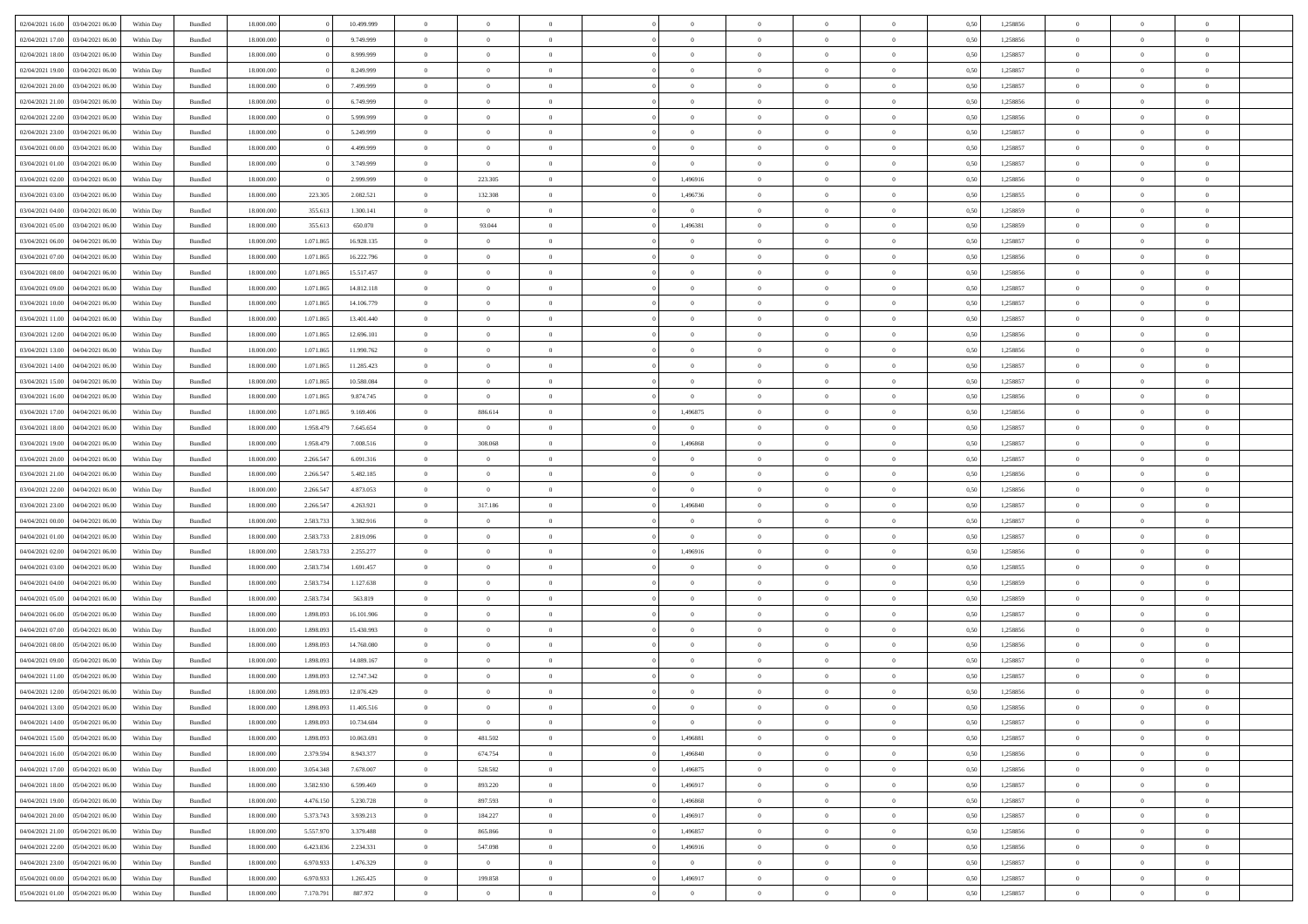| 02/04/2021 16:00                   | 03/04/2021 06:00 | Within Day | Bundled | 18,000,000 |           | 10.499.999 | $\overline{0}$ | $\Omega$       |                |                | $\Omega$       | $\Omega$       | $\bf{0}$       | 0,50 | 1,258856 | $\theta$       | $\theta$       | $\theta$                 |  |
|------------------------------------|------------------|------------|---------|------------|-----------|------------|----------------|----------------|----------------|----------------|----------------|----------------|----------------|------|----------|----------------|----------------|--------------------------|--|
| 02/04/2021 17:00                   | 03/04/2021 06:00 | Within Dav | Bundled | 18.000.000 |           | 9.749.999  | $\overline{0}$ | $\Omega$       |                | $\Omega$       | $\Omega$       | $\Omega$       | $\bf{0}$       | 0.50 | 1,258856 | $\theta$       | $\Omega$       | $\sqrt{ }$               |  |
| 02/04/2021 18:00                   | 03/04/2021 06:00 | Within Day | Bundled | 18.000.000 |           | 8.999.999  | $\overline{0}$ | $\overline{0}$ | $\overline{0}$ | $\overline{0}$ | $\,$ 0 $\,$    | $\overline{0}$ | $\,$ 0 $\,$    | 0,50 | 1,258857 | $\,$ 0 $\,$    | $\overline{0}$ | $\overline{0}$           |  |
| 02/04/2021 19:00                   | 03/04/2021 06:00 | Within Day |         | 18.000.000 |           | 8.249.999  | $\overline{0}$ | $\overline{0}$ | $\overline{0}$ | $\overline{0}$ | $\bf{0}$       | $\overline{0}$ | $\bf{0}$       | 0,50 | 1,258857 | $\bf{0}$       | $\overline{0}$ | $\bf{0}$                 |  |
|                                    |                  |            | Bundled |            |           |            |                |                |                |                |                |                |                |      |          |                |                |                          |  |
| 02/04/2021 20:00                   | 03/04/2021 06:00 | Within Day | Bundled | 18.000.000 |           | 7.499.999  | $\overline{0}$ | $\Omega$       | $^{\circ}$     | $\Omega$       | $\bf{0}$       | $\Omega$       | $\overline{0}$ | 0.50 | 1,258857 | $\theta$       | $\theta$       | $\sqrt{ }$               |  |
| 02/04/2021 21:00                   | 03/04/2021 06:00 | Within Day | Bundled | 18.000.000 |           | 6.749.999  | $\overline{0}$ | $\overline{0}$ | $\overline{0}$ | $\overline{0}$ | $\,$ 0 $\,$    | $\overline{0}$ | $\,$ 0 $\,$    | 0,50 | 1,258856 | $\theta$       | $\overline{0}$ | $\overline{0}$           |  |
| 02/04/2021 22.00                   | 03/04/2021 06:00 | Within Day | Bundled | 18,000,000 |           | 5.999.999  | $\overline{0}$ | $\overline{0}$ | $\overline{0}$ | $\Omega$       | $\overline{0}$ | $\overline{0}$ | $\bf{0}$       | 0.50 | 1,258856 | $\,0\,$        | $\theta$       | $\overline{0}$           |  |
| 02/04/2021 23:00                   | 03/04/2021 06:00 | Within Dav | Bundled | 18.000.000 |           | 5.249.999  | $\overline{0}$ | $\theta$       | $\Omega$       | $\Omega$       | $\bf{0}$       | $\Omega$       | $\bf{0}$       | 0.50 | 1,258857 | $\theta$       | $\theta$       | $\sqrt{ }$               |  |
| 03/04/2021 00:00                   | 03/04/2021 06:00 | Within Day | Bundled | 18.000.000 |           | 4.499.999  | $\overline{0}$ | $\overline{0}$ | $\overline{0}$ | $\overline{0}$ | $\,$ 0 $\,$    | $\overline{0}$ | $\,$ 0 $\,$    | 0,50 | 1,258857 | $\,$ 0 $\,$    | $\overline{0}$ | $\overline{0}$           |  |
|                                    |                  |            |         |            |           |            |                |                |                |                |                |                |                |      |          |                |                |                          |  |
| 03/04/2021 01:00                   | 03/04/2021 06:00 | Within Day | Bundled | 18,000,000 |           | 3.749.999  | $\overline{0}$ | $\overline{0}$ | $\overline{0}$ | $\Omega$       | $\overline{0}$ | $\overline{0}$ | $\bf{0}$       | 0,50 | 1,258857 | $\bf{0}$       | $\overline{0}$ | $\overline{0}$           |  |
| 03/04/2021 02:00                   | 03/04/2021 06:00 | Within Dav | Bundled | 18.000.000 |           | 2.999.999  | $\overline{0}$ | 223.305        | $^{\circ}$     | 1,496916       | $\overline{0}$ | $\Omega$       | $\overline{0}$ | 0.50 | 1,258856 | $\theta$       | $\theta$       | $\sqrt{ }$               |  |
| 03/04/2021 03:00                   | 03/04/2021 06:00 | Within Day | Bundled | 18.000.000 | 223.305   | 2.082.521  | $\overline{0}$ | 132.308        | $\overline{0}$ | 1,496736       | $\,$ 0 $\,$    | $\overline{0}$ | $\,$ 0 $\,$    | 0,50 | 1,258855 | $\,$ 0 $\,$    | $\overline{0}$ | $\,$ 0                   |  |
| 03/04/2021 04:00                   | 03/04/2021 06:00 | Within Day | Bundled | 18.000.000 | 355.613   | 1.300.141  | $\overline{0}$ | $\overline{0}$ | $\overline{0}$ | $\overline{0}$ | $\bf{0}$       | $\overline{0}$ | $\bf{0}$       | 0,50 | 1,258859 | $\bf{0}$       | $\overline{0}$ | $\overline{\phantom{a}}$ |  |
| 03/04/2021 05:00                   | 03/04/2021 06:00 | Within Day | Bundled | 18.000.000 | 355.613   | 650.070    | $\overline{0}$ | 93.044         | $^{\circ}$     | 1,496381       | $\overline{0}$ | $\Omega$       | $\bf{0}$       | 0.50 | 1,258859 | $\theta$       | $\theta$       | $\sqrt{ }$               |  |
| 03/04/2021 06:00                   | 04/04/2021 06.00 | Within Day | Bundled | 18.000.000 | 1.071.865 | 16.928.135 | $\overline{0}$ | $\overline{0}$ | $\overline{0}$ | $\overline{0}$ | $\,$ 0 $\,$    | $\overline{0}$ | $\,$ 0 $\,$    | 0,50 | 1,258857 | $\theta$       | $\overline{0}$ | $\overline{0}$           |  |
|                                    |                  |            |         |            |           |            |                |                |                |                |                |                |                |      |          |                |                |                          |  |
| 03/04/2021 07:00                   | 04/04/2021 06:00 | Within Day | Bundled | 18,000,000 | 1.071.865 | 16.222.796 | $\overline{0}$ | $\overline{0}$ | $\overline{0}$ | $\overline{0}$ | $\overline{0}$ | $\overline{0}$ | $\bf{0}$       | 0.50 | 1,258856 | $\,0\,$        | $\overline{0}$ | $\overline{0}$           |  |
| 03/04/2021 08:00                   | 04/04/2021 06:00 | Within Day | Bundled | 18.000.000 | 1.071.865 | 15.517.457 | $\overline{0}$ | $\Omega$       | $^{\circ}$     | $\Omega$       | $\overline{0}$ | $\Omega$       | $\overline{0}$ | 0.50 | 1,258856 | $\theta$       | $\theta$       | $\sqrt{ }$               |  |
| 03/04/2021 09:00                   | 04/04/2021 06.00 | Within Day | Bundled | 18.000.000 | 1.071.865 | 14.812.118 | $\overline{0}$ | $\overline{0}$ | $\overline{0}$ | $\overline{0}$ | $\,$ 0 $\,$    | $\overline{0}$ | $\,$ 0 $\,$    | 0,50 | 1,258857 | $\,$ 0 $\,$    | $\overline{0}$ | $\overline{0}$           |  |
| 03/04/2021 10:00                   | 04/04/2021 06:00 | Within Day | Bundled | 18,000,000 | 1.071.865 | 14.106.779 | $\overline{0}$ | $\overline{0}$ | $\overline{0}$ | $\Omega$       | $\overline{0}$ | $\overline{0}$ | $\bf{0}$       | 0.50 | 1,258857 | $\bf{0}$       | $\theta$       | $\overline{0}$           |  |
| 03/04/2021 11:00                   | 04/04/2021 06:00 | Within Dav | Bundled | 18.000.000 | 1.071.865 | 13.401.440 | $\overline{0}$ | $\Omega$       | $\Omega$       | $\Omega$       | $\bf{0}$       | $\Omega$       | $\overline{0}$ | 0.50 | 1,258857 | $\theta$       | $\theta$       | $\sqrt{ }$               |  |
| 03/04/2021 12:00                   | 04/04/2021 06.00 | Within Day | Bundled | 18.000.000 | 1.071.865 | 12.696.101 | $\overline{0}$ | $\overline{0}$ | $\overline{0}$ | $\overline{0}$ | $\,$ 0 $\,$    | $\overline{0}$ | $\,$ 0 $\,$    | 0,50 | 1,258856 | $\,$ 0 $\,$    | $\overline{0}$ | $\,$ 0                   |  |
|                                    |                  |            |         |            |           |            |                |                |                |                |                |                |                |      |          |                |                |                          |  |
| 03/04/2021 13:00                   | 04/04/2021 06.00 | Within Day | Bundled | 18.000.000 | 1.071.865 | 11.990.762 | $\overline{0}$ | $\overline{0}$ | $\overline{0}$ | $\overline{0}$ | $\bf{0}$       | $\overline{0}$ | $\bf{0}$       | 0,50 | 1,258856 | $\,0\,$        | $\overline{0}$ | $\overline{0}$           |  |
| 03/04/2021 14:00                   | 04/04/2021 06:00 | Within Day | Bundled | 18.000.000 | 1.071.865 | 11.285.423 | $\overline{0}$ | $\theta$       | $\Omega$       | $\overline{0}$ | $\bf{0}$       | $\Omega$       | $\overline{0}$ | 0.50 | 1,258857 | $\theta$       | $\theta$       | $\sqrt{ }$               |  |
| 03/04/2021 15:00                   | 04/04/2021 06.00 | Within Day | Bundled | 18.000.000 | 1.071.865 | 10.580.084 | $\overline{0}$ | $\overline{0}$ | $\overline{0}$ | $\overline{0}$ | $\,$ 0 $\,$    | $\overline{0}$ | $\,$ 0 $\,$    | 0,50 | 1,258857 | $\theta$       | $\overline{0}$ | $\overline{0}$           |  |
| 03/04/2021 16:00                   | 04/04/2021 06:00 | Within Day | Bundled | 18.000.000 | 1.071.86  | 9.874.745  | $\overline{0}$ | $\overline{0}$ | $\overline{0}$ | $\overline{0}$ | $\overline{0}$ | $\overline{0}$ | $\bf{0}$       | 0.50 | 1,258856 | $\bf{0}$       | $\overline{0}$ | $\overline{0}$           |  |
| 03/04/2021 17:00                   | 04/04/2021 06:00 | Within Dav | Bundled | 18.000.000 | 1.071.865 | 9.169.406  | $\overline{0}$ | 886.614        | $^{\circ}$     | 1,496875       | $\bf{0}$       | $\theta$       | $\overline{0}$ | 0.50 | 1,258856 | $\theta$       | $\theta$       | $\sqrt{ }$               |  |
| 03/04/2021 18:00                   | 04/04/2021 06.00 | Within Day | Bundled | 18.000.000 | 1.958.479 | 7.645.654  | $\overline{0}$ | $\overline{0}$ | $\overline{0}$ | $\overline{0}$ | $\,$ 0 $\,$    | $\overline{0}$ | $\,$ 0 $\,$    | 0,50 | 1,258857 | $\,$ 0 $\,$    | $\overline{0}$ | $\overline{0}$           |  |
| 03/04/2021 19:00                   | 04/04/2021 06:00 | Within Day | Bundled | 18,000,000 | 1.958.479 | 7.008.516  | $\overline{0}$ | 308,068        | $\overline{0}$ | 1.496868       | $\overline{0}$ | $\overline{0}$ | $\bf{0}$       | 0.50 | 1,258857 | $\bf{0}$       | $\overline{0}$ | $\overline{0}$           |  |
|                                    |                  |            |         |            |           |            |                |                |                |                |                |                |                |      |          |                |                |                          |  |
| 03/04/2021 20:00                   | 04/04/2021 06:00 | Within Dav | Bundled | 18.000.000 | 2.266.547 | 6.091.316  | $\overline{0}$ | $\Omega$       | $^{\circ}$     | $\Omega$       | $\bf{0}$       | $\Omega$       | $\overline{0}$ | 0.50 | 1,258857 | $\theta$       | $\theta$       | $\sqrt{ }$               |  |
| 03/04/2021 21:00                   | 04/04/2021 06.00 | Within Day | Bundled | 18.000.000 | 2.266.547 | 5.482.185  | $\overline{0}$ | $\overline{0}$ | $\overline{0}$ | $\overline{0}$ | $\,$ 0 $\,$    | $\overline{0}$ | $\,$ 0 $\,$    | 0,50 | 1,258856 | $\,$ 0 $\,$    | $\overline{0}$ | $\,$ 0                   |  |
| 03/04/2021 22.00                   | 04/04/2021 06.00 | Within Day | Bundled | 18.000.000 | 2.266.547 | 4.873.053  | $\overline{0}$ | $\overline{0}$ | $\bf{0}$       | $\bf{0}$       | $\bf{0}$       | $\bf{0}$       | $\bf{0}$       | 0,50 | 1,258856 | $\,$ 0 $\,$    | $\overline{0}$ | $\overline{0}$           |  |
| 03/04/2021 23:00                   | 04/04/2021 06:00 | Within Day | Bundled | 18.000.000 | 2.266.547 | 4.263.921  | $\overline{0}$ | 317.186        | $\Omega$       | 1,496840       | $\bf{0}$       | $\Omega$       | $\overline{0}$ | 0.50 | 1,258857 | $\theta$       | $\theta$       | $\theta$                 |  |
| 04/04/2021 00:00                   | 04/04/2021 06.00 | Within Day | Bundled | 18.000.000 | 2.583.733 | 3.382.916  | $\overline{0}$ | $\overline{0}$ | $\overline{0}$ | $\overline{0}$ | $\,$ 0 $\,$    | $\overline{0}$ | $\,$ 0 $\,$    | 0,50 | 1,258857 | $\theta$       | $\overline{0}$ | $\overline{0}$           |  |
| 04/04/2021 01:00                   | 04/04/2021 06.00 | Within Day | Bundled | 18.000.000 | 2.583.733 | 2.819.096  | $\overline{0}$ | $\overline{0}$ | $\overline{0}$ | $\bf{0}$       | $\,$ 0         | $\bf{0}$       | $\bf{0}$       | 0,50 | 1,258857 | $\,$ 0 $\,$    | $\overline{0}$ | $\overline{0}$           |  |
| 04/04/2021 02:00                   | 04/04/2021 06:00 | Within Day | Bundled | 18.000.000 | 2.583.733 | 2.255.277  | $\overline{0}$ | $\Omega$       | $^{\circ}$     | 1,496916       | $\overline{0}$ | $\theta$       | $\overline{0}$ | 0.50 | 1,258856 | $\theta$       | $\theta$       | $\sqrt{ }$               |  |
|                                    |                  |            |         |            |           |            |                |                |                |                |                |                |                |      |          |                |                |                          |  |
| 04/04/2021 03:00                   | 04/04/2021 06.00 | Within Day | Bundled | 18.000.000 | 2.583.734 | 1.691.457  | $\overline{0}$ | $\overline{0}$ | $\overline{0}$ | $\overline{0}$ | $\,$ 0 $\,$    | $\overline{0}$ | $\,$ 0 $\,$    | 0,50 | 1,258855 | $\,$ 0 $\,$    | $\overline{0}$ | $\overline{0}$           |  |
| 04/04/2021 04:00                   | 04/04/2021 06.00 | Within Day | Bundled | 18.000.000 | 2.583.734 | 1.127.638  | $\overline{0}$ | $\overline{0}$ | $\overline{0}$ | $\bf{0}$       | $\bf{0}$       | $\bf{0}$       | $\bf{0}$       | 0,50 | 1,258859 | $\,$ 0 $\,$    | $\overline{0}$ | $\overline{0}$           |  |
| 04/04/2021 05:00                   | 04/04/2021 06:00 | Within Dav | Bundled | 18.000.000 | 2.583.734 | 563.819    | $\overline{0}$ | $\theta$       | $\Omega$       | $\Omega$       | $\bf{0}$       | $\Omega$       | $\overline{0}$ | 0.50 | 1,258859 | $\theta$       | $\theta$       | $\sqrt{ }$               |  |
| 04/04/2021 06:00                   | 05/04/2021 06:00 | Within Day | Bundled | 18.000.000 | 1.898.093 | 16.101.906 | $\overline{0}$ | $\overline{0}$ | $\overline{0}$ | $\overline{0}$ | $\,$ 0 $\,$    | $\overline{0}$ | $\,$ 0 $\,$    | 0,50 | 1,258857 | $\,$ 0 $\,$    | $\overline{0}$ | $\,$ 0                   |  |
| 04/04/2021 07:00                   | 05/04/2021 06.00 | Within Day | Bundled | 18.000.000 | 1.898.093 | 15.430.993 | $\bf{0}$       | $\overline{0}$ | $\overline{0}$ | $\bf{0}$       | $\,$ 0         | $\bf{0}$       | $\bf{0}$       | 0,50 | 1,258856 | $\,$ 0 $\,$    | $\overline{0}$ | $\overline{0}$           |  |
| 04/04/2021 08:00                   | 05/04/2021 06:00 | Within Day | Bundled | 18.000.000 | 1.898.093 | 14.760.080 | $\overline{0}$ | $\theta$       | $\Omega$       | $\Omega$       | $\bf{0}$       | $\Omega$       | $\overline{0}$ | 0.50 | 1,258856 | $\theta$       | $\theta$       | $\sqrt{ }$               |  |
|                                    |                  |            |         |            |           |            |                | $\theta$       |                |                |                |                |                |      |          |                |                |                          |  |
| 04/04/2021 09:00                   | 05/04/2021 06:00 | Within Day | Bundled | 18.000.000 | 1.898.093 | 14.089.167 | $\overline{0}$ |                | $\overline{0}$ | $\overline{0}$ | $\,$ 0 $\,$    | $\overline{0}$ | $\,$ 0 $\,$    | 0,50 | 1,258857 | $\,$ 0 $\,$    | $\overline{0}$ | $\overline{0}$           |  |
| 04/04/2021 11:00                   | 05/04/2021 06.00 | Within Day | Bundled | 18.000.000 | 1.898.093 | 12.747.342 | $\overline{0}$ | $\theta$       | $\overline{0}$ | $\overline{0}$ | $\overline{0}$ | $\overline{0}$ | $\bf{0}$       | 0,50 | 1,258857 | $\,$ 0 $\,$    | $\overline{0}$ | $\overline{0}$           |  |
| 04/04/2021 12:00                   | 05/04/2021 06:00 | Within Day | Bundled | 18.000.000 | 1.898.093 | 12.076.429 | $\overline{0}$ | $\overline{0}$ | $\Omega$       | $\overline{0}$ | $\bf{0}$       | $\overline{0}$ | $\bf{0}$       | 0.50 | 1,258856 | $\theta$       | $\theta$       | $\overline{0}$           |  |
| 04/04/2021 13:00  05/04/2021 06:00 |                  | Within Day | Bundled | 18.000.000 | 1.898.093 | 11.405.516 | $\overline{0}$ | $\theta$       |                |                |                |                |                | 0,50 | 1,258856 | $\theta$       | $\theta$       |                          |  |
| 04/04/2021 14:00                   | 05/04/2021 06:00 | Within Day | Bundled | 18.000.000 | 1.898.093 | 10.734.604 | $\bf{0}$       | $\overline{0}$ | $\bf{0}$       | $\bf{0}$       | $\bf{0}$       | $\bf{0}$       | $\bf{0}$       | 0,50 | 1,258857 | $\,0\,$        | $\overline{0}$ | $\bf{0}$                 |  |
| 04/04/2021 15:00                   | 05/04/2021 06:00 | Within Day | Bundled | 18.000.000 | 1.898.093 | 10.063.691 | $\overline{0}$ | 481.502        | $\overline{0}$ | 1,496881       | $\theta$       | $\overline{0}$ | $\overline{0}$ | 0,50 | 1,258857 | $\overline{0}$ | $\theta$       | $\overline{0}$           |  |
| 04/04/2021 16:00                   | 05/04/2021 06:00 | Within Day | Bundled | 18.000.000 | 2.379.594 | 8.943.377  | $\overline{0}$ | 674.754        | $\overline{0}$ | 1,496840       | $\bf{0}$       | $\overline{0}$ | $\,$ 0 $\,$    | 0,50 | 1,258856 | $\mathbf{0}$   | $\,$ 0 $\,$    | $\bf{0}$                 |  |
|                                    |                  |            |         |            |           |            |                |                |                |                |                |                |                |      |          |                |                |                          |  |
| 04/04/2021 17.00                   | 05/04/2021 06:00 | Within Day | Bundled | 18.000.000 | 3.054.348 | 7.678.007  | $\overline{0}$ | 528.582        | $\overline{0}$ | 1,496875       | $\bf{0}$       | $\bf{0}$       | $\bf{0}$       | 0,50 | 1,258856 | $\bf{0}$       | $\overline{0}$ | $\bf{0}$                 |  |
| 04/04/2021 18:00                   | 05/04/2021 06:00 | Within Day | Bundled | 18.000.000 | 3.582.930 | 6.599.469  | $\overline{0}$ | 893.220        | $\overline{0}$ | 1,496917       | $\overline{0}$ | $\overline{0}$ | $\overline{0}$ | 0,50 | 1,258857 | $\overline{0}$ | $\overline{0}$ | $\overline{0}$           |  |
| 04/04/2021 19:00                   | 05/04/2021 06:00 | Within Day | Bundled | 18.000.000 | 4.476.150 | 5.230.728  | $\overline{0}$ | 897.593        | $\overline{0}$ | 1,496868       | $\bf{0}$       | $\overline{0}$ | $\,$ 0 $\,$    | 0,50 | 1,258857 | $\,$ 0 $\,$    | $\,$ 0 $\,$    | $\,$ 0                   |  |
| 04/04/2021 20.00                   | 05/04/2021 06:00 | Within Day | Bundled | 18.000.000 | 5.373.743 | 3.939.213  | $\overline{0}$ | 184.227        | $\overline{0}$ | 1,496917       | $\bf{0}$       | $\bf{0}$       | $\bf{0}$       | 0,50 | 1,258857 | $\bf{0}$       | $\overline{0}$ | $\overline{0}$           |  |
| 04/04/2021 21:00                   | 05/04/2021 06:00 | Within Day | Bundled | 18.000.000 | 5.557.970 | 3.379.488  | $\overline{0}$ | 865.866        | $\overline{0}$ | 1,496857       | $\overline{0}$ | $\overline{0}$ | $\overline{0}$ | 0,50 | 1,258856 | $\theta$       | $\overline{0}$ | $\overline{0}$           |  |
| 04/04/2021 22.00                   | 05/04/2021 06:00 | Within Day | Bundled | 18.000.000 | 6.423.836 | 2.234.331  | $\overline{0}$ | 547.098        | $\overline{0}$ | 1,496916       | $\,$ 0 $\,$    | $\overline{0}$ | $\,$ 0 $\,$    | 0,50 | 1,258856 | $\overline{0}$ | $\,$ 0 $\,$    | $\,$ 0                   |  |
| 04/04/2021 23.00                   | 05/04/2021 06:00 | Within Day | Bundled | 18.000.000 | 6.970.933 | 1.476.329  | $\overline{0}$ | $\overline{0}$ | $\overline{0}$ | $\bf{0}$       | $\bf{0}$       | $\bf{0}$       | $\bf{0}$       | 0,50 | 1,258857 | $\bf{0}$       | $\overline{0}$ | $\overline{0}$           |  |
|                                    |                  |            |         |            |           |            |                |                |                |                |                |                |                |      |          |                |                |                          |  |
| 05/04/2021 00:00                   | 05/04/2021 06:00 | Within Day | Bundled | 18.000.000 | 6.970.933 | 1.265.425  | $\overline{0}$ | 199.858        | $\overline{0}$ | 1,496917       | $\bf{0}$       | $\overline{0}$ | $\overline{0}$ | 0.50 | 1,258857 | $\overline{0}$ | $\theta$       | $\overline{0}$           |  |
| 05/04/2021 01:00 05/04/2021 06:00  |                  | Within Day | Bundled | 18.000.000 | 7.170.791 | 887.972    | $\mathbf{0}$   | $\overline{0}$ | $\overline{0}$ | $\overline{0}$ | $\bf{0}$       | $\overline{0}$ | $\,$ 0 $\,$    | 0,50 | 1,258857 | $\mathbf{0}$   | $\,$ 0 $\,$    | $\,$ 0 $\,$              |  |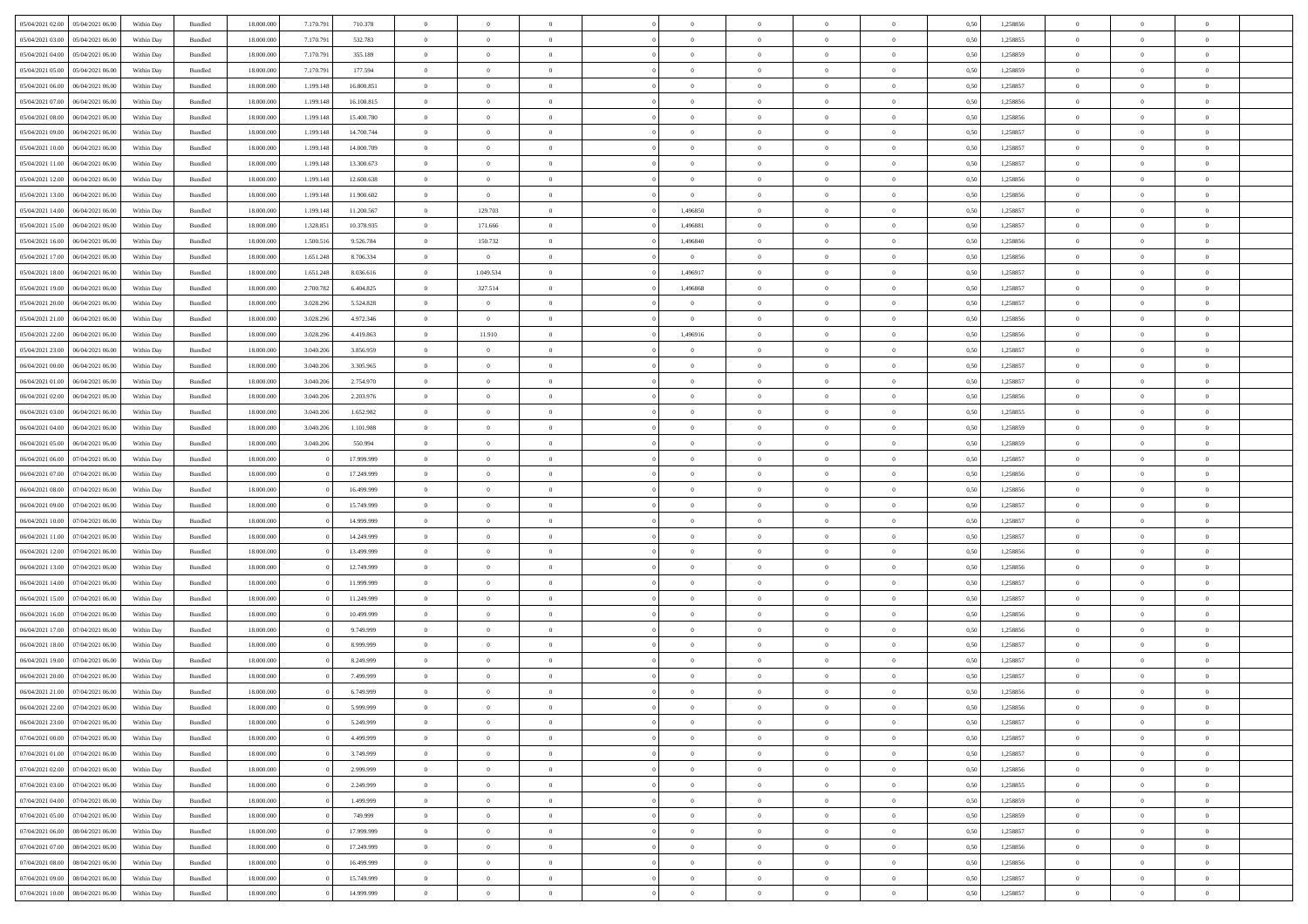| 05/04/2021 02:00 05/04/2021 06:00                                            | Within Day               | Bundled            | 18.000.000               | 7.170.791 | 710.378                  | $\overline{0}$                   | $\Omega$                         |                                  | $\Omega$                         | $\theta$                         | $\theta$                         | $\theta$             | 0,50         | 1,258856             | $\theta$                         | $\Omega$                         | $\theta$                         |  |
|------------------------------------------------------------------------------|--------------------------|--------------------|--------------------------|-----------|--------------------------|----------------------------------|----------------------------------|----------------------------------|----------------------------------|----------------------------------|----------------------------------|----------------------|--------------|----------------------|----------------------------------|----------------------------------|----------------------------------|--|
| 05/04/2021 03:00<br>05/04/2021 06:00                                         | Within Day               | Bundled            | 18.000.000               | 7.170.791 | 532.783                  | $\overline{0}$                   | $\overline{0}$                   | $\overline{0}$                   | $\overline{0}$                   | $\theta$                         | $\overline{0}$                   | $\bf{0}$             | 0,50         | 1,258855             | $\theta$                         | $\theta$                         | $\overline{0}$                   |  |
| 05/04/2021 04:00<br>05/04/2021 06:00                                         | Within Day               | Bundled            | 18.000.000               | 7.170.791 | 355.189                  | $\overline{0}$                   | $\bf{0}$                         | $\overline{0}$                   | $\overline{0}$                   | $\overline{0}$                   | $\bf{0}$                         | $\bf{0}$             | 0,50         | 1,258859             | $\bf{0}$                         | $\overline{0}$                   | $\overline{0}$                   |  |
| 05/04/2021 05:00<br>05/04/2021 06:00                                         | Within Day               | Bundled            | 18.000.000               | 7.170.791 | 177,594                  | $\overline{0}$                   | $\overline{0}$                   | $\overline{0}$                   | $\overline{0}$                   | $\theta$                         | $\overline{0}$                   | $\overline{0}$       | 0.50         | 1.258859             | $\theta$                         | $\theta$                         | $\overline{0}$                   |  |
| 05/04/2021 06:00<br>06/04/2021 06:00                                         | Within Day               | Bundled            | 18.000.000               | 1.199.148 | 16.800.851               | $\overline{0}$                   | $\theta$                         | $\overline{0}$                   | $\overline{0}$                   | $\theta$                         | $\overline{0}$                   | $\bf{0}$             | 0,50         | 1,258857             | $\theta$                         | $\theta$                         | $\overline{0}$                   |  |
| 05/04/2021 07:00<br>06/04/2021 06:00                                         | Within Day               | Bundled            | 18.000.000               | 1.199.148 | 16.100.815               | $\overline{0}$                   | $\bf{0}$                         | $\overline{0}$                   | $\overline{0}$                   | $\bf{0}$                         | $\overline{0}$                   | $\bf{0}$             | 0,50         | 1,258856             | $\bf{0}$                         | $\overline{0}$                   | $\bf{0}$                         |  |
| 05/04/2021 08:00<br>06/04/2021 06:00                                         | Within Day               | Bundled            | 18.000.000               | 1.199.148 | 15.400.780               | $\overline{0}$                   | $\overline{0}$                   | $\overline{0}$                   | $\overline{0}$                   | $\overline{0}$                   | $\overline{0}$                   | $\overline{0}$       | 0.5(         | 1.258856             | $\theta$                         | $\theta$                         | $\overline{0}$                   |  |
|                                                                              |                          |                    |                          |           |                          |                                  |                                  |                                  |                                  |                                  |                                  |                      |              |                      |                                  |                                  |                                  |  |
| 05/04/2021 09:00<br>06/04/2021 06:00                                         | Within Day               | Bundled            | 18.000.000               | 1.199.148 | 14.700.744               | $\overline{0}$                   | $\overline{0}$                   | $\overline{0}$                   | $\overline{0}$                   | $\theta$                         | $\overline{0}$                   | $\bf{0}$             | 0,50         | 1,258857             | $\theta$                         | $\theta$                         | $\overline{0}$                   |  |
| 05/04/2021 10:00<br>06/04/2021 06:00                                         | Within Day               | Bundled            | 18.000.000               | 1.199.148 | 14.000.709               | $\overline{0}$                   | $\bf{0}$                         | $\bf{0}$                         | $\overline{0}$                   | $\overline{0}$                   | $\overline{0}$                   | $\bf{0}$             | 0,50         | 1,258857             | $\bf{0}$                         | $\bf{0}$                         | $\overline{0}$                   |  |
| 05/04/2021 11:00<br>06/04/2021 06:00                                         | Within Day               | Bundled            | 18.000.000               | 1.199.148 | 13,300.673               | $\overline{0}$                   | $\overline{0}$                   | $\overline{0}$                   | $\overline{0}$                   | $\overline{0}$                   | $\overline{0}$                   | $\overline{0}$       | 0.5(         | 1,258857             | $\theta$                         | $\theta$                         | $\overline{0}$                   |  |
| 05/04/2021 12:00<br>06/04/2021 06:00                                         | Within Day               | Bundled            | 18.000.000               | 1.199.148 | 12.600.638               | $\overline{0}$                   | $\overline{0}$                   | $\overline{0}$                   | $\overline{0}$                   | $\theta$                         | $\overline{0}$                   | $\bf{0}$             | 0,50         | 1,258856             | $\theta$                         | $\theta$                         | $\overline{0}$                   |  |
| 05/04/2021 13:00<br>06/04/2021 06:00                                         | Within Day               | Bundled            | 18.000.000               | 1.199.148 | 11.900.602               | $\overline{0}$                   | $\overline{0}$                   | $\bf{0}$                         | $\overline{0}$                   | $\overline{0}$                   | $\overline{0}$                   | $\bf{0}$             | 0,50         | 1,258856             | $\bf{0}$                         | $\overline{0}$                   | $\overline{0}$                   |  |
| 05/04/2021 14:00<br>06/04/2021 06:00                                         | Within Day               | Bundled            | 18.000.000               | 1.199.148 | 11.200.567               | $\overline{0}$                   | 129.703                          | $\overline{0}$                   | 1.496850                         | $\theta$                         | $\overline{0}$                   | $\overline{0}$       | 0.5(         | 1.258857             | $\theta$                         | $\theta$                         | $\overline{0}$                   |  |
| 05/04/2021 15:00<br>06/04/2021 06:00                                         | Within Day               | Bundled            | 18.000.000               | 1.328.851 | 10.378.935               | $\overline{0}$                   | 171.666                          | $\overline{0}$                   | 1,496881                         | $\theta$                         | $\overline{0}$                   | $\bf{0}$             | 0,50         | 1,258857             | $\theta$                         | $\theta$                         | $\overline{0}$                   |  |
| 05/04/2021 16:00<br>06/04/2021 06:00                                         | Within Day               | Bundled            | 18.000.000               | 1.500.516 | 9.526.784                | $\overline{0}$                   | 150.732                          | $\overline{0}$                   | 1,496840                         | $\bf{0}$                         | $\overline{0}$                   | $\bf{0}$             | 0,50         | 1,258856             | $\bf{0}$                         | $\overline{0}$                   | $\bf{0}$                         |  |
| 05/04/2021 17:00<br>06/04/2021 06:00                                         | Within Day               | Bundled            | 18.000.000               | 1.651.248 | 8.706.334                | $\overline{0}$                   | $\overline{0}$                   | $\overline{0}$                   | $\overline{0}$                   | $\overline{0}$                   | $\overline{0}$                   | $\overline{0}$       | 0.5(         | 1.258856             | $\theta$                         | $\theta$                         | $\overline{0}$                   |  |
| 05/04/2021 18:00<br>06/04/2021 06:00                                         | Within Day               | Bundled            | 18.000.000               | 1.651.248 | 8.036.616                | $\bf{0}$                         | 1.049.534                        | $\overline{0}$                   | 1,496917                         | $\theta$                         | $\overline{0}$                   | $\bf{0}$             | 0,50         | 1,258857             | $\theta$                         | $\theta$                         | $\overline{0}$                   |  |
| 05/04/2021 19:00<br>06/04/2021 06:00                                         | Within Day               | Bundled            | 18.000.000               | 2.700.782 | 6.404.825                | $\overline{0}$                   | 327.514                          | $\bf{0}$                         | 1,496868                         | $\overline{0}$                   | $\overline{0}$                   | $\bf{0}$             | 0,50         | 1,258857             | $\bf{0}$                         | $\bf{0}$                         | $\overline{0}$                   |  |
| 05/04/2021 20:00<br>06/04/2021 06:00                                         | Within Day               | Bundled            | 18.000.000               | 3.028.29  | 5.524.828                | $\overline{0}$                   | $\overline{0}$                   | $\overline{0}$                   | $\overline{0}$                   | $\overline{0}$                   | $\overline{0}$                   | $\overline{0}$       | 0.5(         | 1,258857             | $\theta$                         | $\theta$                         | $\overline{0}$                   |  |
| 05/04/2021 21:00<br>06/04/2021 06:00                                         | Within Day               | Bundled            | 18.000.000               | 3.028.296 | 4.972.346                | $\overline{0}$                   | $\overline{0}$                   | $\overline{0}$                   | $\overline{0}$                   | $\theta$                         | $\overline{0}$                   | $\bf{0}$             | 0,50         | 1,258856             | $\theta$                         | $\theta$                         | $\overline{0}$                   |  |
| 05/04/2021 22.00<br>06/04/2021 06:00                                         | Within Day               | Bundled            | 18.000.000               | 3.028.296 | 4.419.863                | $\overline{0}$                   | 11.910                           | $\overline{0}$                   | 1,496916                         | $\overline{0}$                   | $\overline{0}$                   | $\bf{0}$             | 0,50         | 1,258856             | $\bf{0}$                         | $\bf{0}$                         | $\overline{0}$                   |  |
| 05/04/2021 23:00<br>06/04/2021 06:00                                         | Within Day               | Bundled            | 18.000.000               | 3.040.206 | 3.856.959                | $\overline{0}$                   | $\overline{0}$                   | $\overline{0}$                   | $\overline{0}$                   | $\overline{0}$                   | $\overline{0}$                   | $\overline{0}$       | 0.50         | 1.258857             | $\theta$                         | $\theta$                         | $\overline{0}$                   |  |
| 06/04/2021 00:00<br>06/04/2021 06:00                                         | Within Day               | Bundled            | 18.000.000               | 3.040.206 | 3.305.965                | $\overline{0}$                   | $\overline{0}$                   | $\overline{0}$                   | $\overline{0}$                   | $\theta$                         | $\overline{0}$                   | $\bf{0}$             | 0,50         | 1,258857             | $\theta$                         | $\theta$                         | $\overline{0}$                   |  |
| 06/04/2021 01:00<br>06/04/2021 06:00                                         | Within Day               | Bundled            | 18.000.000               | 3.040.206 | 2.754.970                | $\overline{0}$                   | $\bf{0}$                         | $\overline{0}$                   | $\overline{0}$                   | $\bf{0}$                         | $\overline{0}$                   | $\bf{0}$             | 0,50         | 1,258857             | $\bf{0}$                         | $\overline{0}$                   | $\bf{0}$                         |  |
| 06/04/2021 02:00<br>06/04/2021 06:00                                         | Within Day               | Bundled            | 18.000.000               | 3.040.206 | 2.203.976                | $\overline{0}$                   | $\overline{0}$                   | $\overline{0}$                   | $\overline{0}$                   | $\overline{0}$                   | $\overline{0}$                   | $\overline{0}$       | 0.5(         | 1.258856             | $\theta$                         | $\theta$                         | $\overline{0}$                   |  |
| 06/04/2021 03:00<br>06/04/2021 06:00                                         | Within Day               | Bundled            | 18.000.000               | 3.040.206 | 1.652.982                | $\overline{0}$                   | $\overline{0}$                   | $\overline{0}$                   | $\overline{0}$                   | $\theta$                         | $\overline{0}$                   | $\bf{0}$             | 0,50         | 1,258855             | $\theta$                         | $\theta$                         | $\overline{0}$                   |  |
| 06/04/2021 04:00<br>06/04/2021 06:00                                         | Within Day               | Bundled            | 18.000.000               | 3.040.206 | 1.101.988                | $\overline{0}$                   | $\bf{0}$                         | $\bf{0}$                         | $\overline{0}$                   | $\overline{0}$                   | $\overline{0}$                   | $\bf{0}$             | 0,50         | 1,258859             | $\bf{0}$                         | $\bf{0}$                         | $\overline{0}$                   |  |
| 06/04/2021 05:00<br>06/04/2021 06:00                                         | Within Day               | Bundled            | 18.000.000               | 3.040.206 | 550,994                  | $\overline{0}$                   | $\overline{0}$                   | $\overline{0}$                   | $\overline{0}$                   | $\overline{0}$                   | $\overline{0}$                   | $\overline{0}$       | 0.5(         | 1.258859             | $\theta$                         | $\theta$                         | $\overline{0}$                   |  |
| 06/04/2021 06:00<br>07/04/2021 06:00                                         | Within Day               | Bundled            | 18.000.000               |           | 17.999.999               | $\bf{0}$                         | $\overline{0}$                   | $\overline{0}$                   | $\overline{0}$                   | $\theta$                         | $\overline{0}$                   | $\bf{0}$             | 0,50         | 1,258857             | $\theta$                         | $\theta$                         | $\overline{0}$                   |  |
| 06/04/2021 07:00<br>07/04/2021 06:00                                         | Within Day               | Bundled            | 18.000.000               |           | 17.249.999               | $\overline{0}$                   | $\bf{0}$                         | $\overline{0}$                   | $\overline{0}$                   | $\overline{0}$                   | $\overline{0}$                   | $\bf{0}$             | 0,50         | 1,258856             | $\bf{0}$                         | $\overline{0}$                   | $\overline{0}$                   |  |
| 06/04/2021 08:00<br>07/04/2021 06.00                                         | Within Day               | Bundled            | 18,000,000               |           | 16.499.999               | $\overline{0}$                   | $\overline{0}$                   | $\Omega$                         | $\Omega$                         | $\Omega$                         | $\theta$                         | $\overline{0}$       | 0.50         | 1,258856             | $\,$ 0 $\,$                      | $\overline{0}$                   | $\theta$                         |  |
| 06/04/2021 09:00<br>07/04/2021 06:00                                         | Within Day               | Bundled            | 18.000.000               |           | 15.749.999               | $\overline{0}$                   | $\overline{0}$                   | $\overline{0}$                   | $\overline{0}$                   | $\theta$                         | $\overline{0}$                   | $\bf{0}$             | 0,50         | 1,258857             | $\theta$                         | $\theta$                         | $\overline{0}$                   |  |
| 06/04/2021 10:00<br>07/04/2021 06:00                                         | Within Day               | Bundled            | 18.000.000               |           | 14.999.999               | $\overline{0}$                   | $\bf{0}$                         | $\overline{0}$                   | $\overline{0}$                   | $\overline{0}$                   | $\overline{0}$                   | $\bf{0}$             | 0,50         | 1,258857             | $\bf{0}$                         | $\overline{0}$                   | $\bf{0}$                         |  |
| 06/04/2021 11:00<br>07/04/2021 06.00                                         | Within Day               | Bundled            | 18,000,000               |           | 14.249.999               | $\overline{0}$                   | $\Omega$                         | $\Omega$                         | $\Omega$                         | $\overline{0}$                   | $\theta$                         | $\overline{0}$       | 0.50         | 1,258857             | $\theta$                         | $\Omega$                         | $\theta$                         |  |
| 06/04/2021 12:00<br>07/04/2021 06:00                                         | Within Day               | Bundled            | 18.000.000               |           | 13.499.999               | $\overline{0}$                   | $\overline{0}$                   | $\overline{0}$                   | $\overline{0}$                   | $\theta$                         | $\overline{0}$                   | $\bf{0}$             | 0,50         | 1,258856             | $\theta$                         | $\theta$                         | $\overline{0}$                   |  |
| 06/04/2021 13:00<br>07/04/2021 06:00                                         | Within Day               | Bundled            | 18.000.000               |           | 12.749.999               | $\overline{0}$                   | $\bf{0}$                         | $\bf{0}$                         | $\overline{0}$                   | $\overline{0}$                   | $\bf{0}$                         | $\bf{0}$             | 0,50         | 1,258856             | $\bf{0}$                         | $\bf{0}$                         | $\overline{0}$                   |  |
| 06/04/2021 14:00<br>07/04/2021 06.00                                         | Within Day               | Bundled            | 18,000,000               |           | 11.999.999               | $\overline{0}$                   | $\Omega$                         | $\Omega$                         | $\Omega$                         | $\Omega$                         | $\Omega$                         | $\overline{0}$       | 0.50         | 1,258857             | $\theta$                         | $\Omega$                         | $\theta$                         |  |
| 06/04/2021 15:00<br>07/04/2021 06:00                                         | Within Day               | Bundled            | 18.000.000               |           | 11.249.999               | $\bf{0}$                         | $\overline{0}$                   | $\overline{0}$                   | $\overline{0}$                   | $\theta$                         | $\overline{0}$                   | $\bf{0}$             | 0,50         | 1,258857             | $\theta$                         | $\theta$                         | $\overline{0}$                   |  |
| 06/04/2021 16:00<br>07/04/2021 06:00                                         | Within Day               | Bundled            | 18.000.000               |           | 10.499.999               | $\overline{0}$                   | $\bf{0}$                         | $\overline{0}$                   | $\overline{0}$                   | $\overline{0}$                   | $\overline{0}$                   | $\bf{0}$             | 0,50         | 1,258856             | $\bf{0}$                         | $\overline{0}$                   | $\overline{0}$                   |  |
| 06/04/2021 17:00<br>07/04/2021 06.00                                         | Within Day               | Bundled            | 18,000,000               |           | 9.749.999                | $\overline{0}$                   | $\overline{0}$                   | $\Omega$                         | $\Omega$                         | $\theta$                         | $\theta$                         | $\overline{0}$       | 0.50         | 1,258856             | $\,$ 0 $\,$                      | $\Omega$                         | $\theta$                         |  |
| 06/04/2021 18:00<br>07/04/2021 06:00                                         | Within Day               | Bundled            | 18.000.000               |           | 8.999.999                | $\overline{0}$                   | $\overline{0}$                   | $\overline{0}$                   | $\overline{0}$                   | $\theta$                         | $\overline{0}$                   | $\bf{0}$             | 0,50         | 1,258857             | $\theta$                         | $\theta$                         | $\overline{0}$                   |  |
| 06/04/2021 19:00<br>07/04/2021 06:00                                         | Within Day               | Bundled            | 18.000.000               |           | 8.249.999                | $\overline{0}$                   | $\bf{0}$                         | $\overline{0}$                   | $\overline{0}$                   | $\overline{0}$                   | $\overline{0}$                   | $\bf{0}$             | 0,50         | 1,258857             | $\bf{0}$                         | $\overline{0}$                   | $\bf{0}$                         |  |
| 06/04/2021 20:00<br>07/04/2021 06.00                                         | Within Day               | Bundled            | 18,000,000               |           | 7.499.999                | $\overline{0}$                   | $\Omega$                         | $\Omega$                         | $\Omega$                         | $\Omega$                         | $\theta$                         | $\overline{0}$       | 0.50         | 1,258857             | $\theta$                         | $\Omega$                         | $\theta$                         |  |
| 06/04/2021 21:00 07/04/2021 06:00                                            | Within Day               | Bundled            | 18.000.000               |           | 6.749.999                | $\overline{0}$                   | $\bf{0}$                         | $\overline{0}$                   | $\overline{0}$                   | $\bf{0}$                         | $\overline{0}$                   | $\bf{0}$             | 0,50         | 1,258856             | $\bf{0}$                         | $\,$ 0 $\,$                      | $\overline{0}$                   |  |
| 06/04/2021 22:00 07/04/2021 06:00                                            | Within Day               | Bundled            | 18.000.000               |           | 5.999.999                |                                  |                                  |                                  |                                  |                                  |                                  |                      | 0,50         | 1,258856             | $\bf{0}$                         | $\bf{0}$                         |                                  |  |
| 06/04/2021 23:00 07/04/2021 06:00                                            | Within Day               | Bundled            | 18,000,000               |           | 5.249.999                | $\Omega$                         | $\overline{0}$                   | $\Omega$                         | $\theta$                         | $\Omega$                         | $\theta$                         | $\overline{0}$       | 0.50         | 1,258857             | $\theta$                         | $\theta$                         | $\theta$                         |  |
| 07/04/2021 00:00<br>07/04/2021 06:00                                         | Within Day               | Bundled            | 18.000.000               |           | 4.499.999                | $\bf{0}$                         | $\,$ 0                           | $\overline{0}$                   | $\overline{0}$                   | $\overline{0}$                   | $\overline{0}$                   | $\,$ 0 $\,$          | 0,50         | 1,258857             | $\,$ 0 $\,$                      | $\,$ 0 $\,$                      | $\,$ 0                           |  |
| 07/04/2021 01:00 07/04/2021 06:00                                            | Within Day               | Bundled            | 18.000.000               |           | 3.749.999                | $\overline{0}$                   | $\overline{0}$                   | $\overline{0}$                   | $\overline{0}$                   | $\overline{0}$                   | $\overline{0}$                   | $\bf{0}$             | 0,50         | 1,258857             | $\overline{0}$                   | $\bf{0}$                         | $\overline{0}$                   |  |
|                                                                              |                          |                    | 18.000.000               |           |                          | $\overline{0}$                   | $\overline{0}$                   | $\overline{0}$                   | $\overline{0}$                   | $\overline{0}$                   | $\overline{0}$                   |                      |              |                      | $\bf{0}$                         | $\theta$                         | $\overline{0}$                   |  |
| 07/04/2021 02:00<br>07/04/2021 06:00<br>07/04/2021 03:00<br>07/04/2021 06:00 | Within Day<br>Within Day | Bundled<br>Bundled | 18.000.000               |           | 2.999.999<br>2.249.999   | $\overline{0}$                   | $\overline{0}$                   | $\overline{0}$                   | $\overline{0}$                   | $\overline{0}$                   | $\overline{0}$                   | $\bf{0}$<br>$\bf{0}$ | 0,50<br>0,50 | 1,258856<br>1,258855 | $\,$ 0 $\,$                      | $\,$ 0 $\,$                      | $\overline{0}$                   |  |
| 07/04/2021 04:00                                                             |                          |                    |                          |           |                          |                                  |                                  |                                  |                                  |                                  |                                  |                      |              |                      |                                  |                                  |                                  |  |
| 07/04/2021 06:00                                                             | Within Day<br>Within Day | Bundled<br>Bundled | 18.000.000<br>18,000,000 |           | 1.499.999                | $\overline{0}$<br>$\overline{0}$ | $\overline{0}$<br>$\overline{0}$ | $\overline{0}$<br>$\overline{0}$ | $\overline{0}$<br>$\overline{0}$ | $\mathbf{0}$<br>$\overline{0}$   | $\overline{0}$<br>$\overline{0}$ | $\bf{0}$             | 0,50<br>0.50 | 1,258859             | $\overline{0}$<br>$\overline{0}$ | $\overline{0}$<br>$\theta$       | $\overline{0}$<br>$\overline{0}$ |  |
| 07/04/2021 05:00<br>07/04/2021 06:00<br>07/04/2021 06:00<br>08/04/2021 06:00 | Within Day               | Bundled            | 18.000.000               |           | 749.999<br>17.999.999    | $\overline{0}$                   | $\,$ 0                           | $\overline{0}$                   | $\overline{0}$                   | $\overline{0}$                   | $\overline{0}$                   | $\bf{0}$<br>$\bf{0}$ | 0,50         | 1,258859<br>1,258857 | $\,$ 0 $\,$                      | $\bf{0}$                         | $\overline{0}$                   |  |
|                                                                              |                          |                    |                          |           |                          |                                  |                                  |                                  |                                  |                                  |                                  |                      |              |                      |                                  |                                  |                                  |  |
| 07/04/2021 07:00<br>08/04/2021 06:00                                         | Within Day               | Bundled            | 18.000.000<br>18,000,000 |           | 17.249.999               | $\overline{0}$<br>$\overline{0}$ | $\bf{0}$<br>$\overline{0}$       | $\overline{0}$                   | $\overline{0}$<br>$\overline{0}$ | $\overline{0}$<br>$\overline{0}$ | $\overline{0}$<br>$\overline{0}$ | $\bf{0}$             | 0,50         | 1,258856             | $\bf{0}$                         | $\overline{0}$<br>$\overline{0}$ | $\bf{0}$<br>$\overline{0}$       |  |
| 07/04/2021 08:00<br>08/04/2021 06:00<br>07/04/2021 09:00<br>08/04/2021 06:00 | Within Day<br>Within Day | Bundled<br>Bundled | 18.000.000               |           | 16.499.999<br>15.749.999 | $\overline{0}$                   | $\,$ 0                           | $\overline{0}$<br>$\overline{0}$ | $\overline{0}$                   | $\overline{0}$                   | $\bf{0}$                         | $\bf{0}$<br>$\bf{0}$ | 0.50<br>0,50 | 1,258856<br>1,258857 | $\overline{0}$<br>$\,$ 0 $\,$    | $\,$ 0 $\,$                      | $\overline{0}$                   |  |
|                                                                              |                          |                    |                          |           |                          |                                  |                                  |                                  |                                  |                                  |                                  |                      |              |                      |                                  |                                  |                                  |  |
| 07/04/2021 10:00  08/04/2021 06:00                                           | Within Day               | Bundled            | 18.000.000               |           | 14.999.999               | $\overline{0}$                   | $\bf{0}$                         | $\overline{0}$                   | $\overline{0}$                   | $\overline{0}$                   | $\overline{0}$                   | $\bf{0}$             | 0,50         | 1,258857             | $\overline{0}$                   | $\bf{0}$                         | $\overline{0}$                   |  |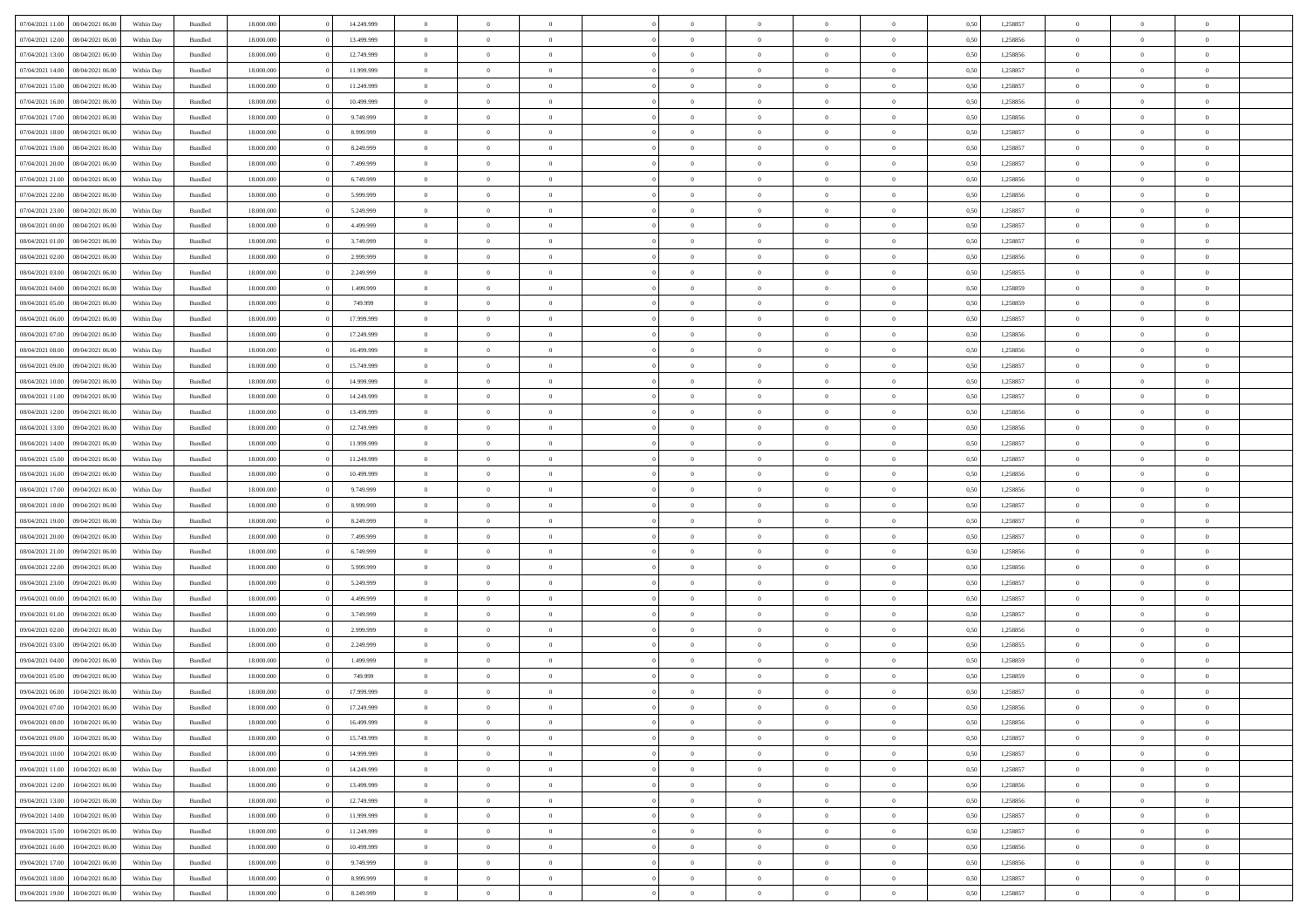|                  |                  |            |                    |            |            | $\overline{0}$ |                |                |                | $\Omega$       | $\Omega$       | $\theta$       |      |          | $\theta$       | $\overline{0}$ | $\theta$       |  |
|------------------|------------------|------------|--------------------|------------|------------|----------------|----------------|----------------|----------------|----------------|----------------|----------------|------|----------|----------------|----------------|----------------|--|
| 07/04/2021 11:00 | 08/04/2021 06:00 | Within Day | Bundled            | 18.000.000 | 14.249.999 |                | $\theta$       |                | $\Omega$       |                |                |                | 0.50 | 1,258857 |                |                |                |  |
| 07/04/2021 12:00 | 08/04/2021 06:00 | Within Day | Bundled            | 18.000.000 | 13.499.999 | $\overline{0}$ | $\theta$       | $\overline{0}$ | $\overline{0}$ | $\bf{0}$       | $\overline{0}$ | $\overline{0}$ | 0,50 | 1,258856 | $\theta$       | $\overline{0}$ | $\overline{0}$ |  |
| 07/04/2021 13:00 | 08/04/2021 06:00 | Within Day | Bundled            | 18.000.000 | 12.749.999 | $\overline{0}$ | $\overline{0}$ | $\overline{0}$ | $\bf{0}$       | $\bf{0}$       | $\bf{0}$       | $\bf{0}$       | 0,50 | 1,258856 | $\bf{0}$       | $\overline{0}$ | $\overline{0}$ |  |
| 07/04/2021 14:00 | 08/04/2021 06:00 | Within Dav | Bundled            | 18.000.000 | 11.999.999 | $\overline{0}$ | $\overline{0}$ | $\overline{0}$ | $\overline{0}$ | $\bf{0}$       | $\overline{0}$ | $\overline{0}$ | 0.50 | 1.258857 | $\theta$       | $\theta$       | $\overline{0}$ |  |
| 07/04/2021 15:00 | 08/04/2021 06:00 | Within Day | Bundled            | 18.000.000 | 11.249.999 | $\overline{0}$ | $\theta$       | $\overline{0}$ | $\overline{0}$ | $\bf{0}$       | $\overline{0}$ | $\bf{0}$       | 0,50 | 1,258857 | $\theta$       | $\theta$       | $\overline{0}$ |  |
|                  |                  |            |                    |            |            |                |                |                |                |                |                |                |      |          |                |                |                |  |
| 07/04/2021 16:00 | 08/04/2021 06:00 | Within Day | Bundled            | 18.000.000 | 10.499.999 | $\overline{0}$ | $\bf{0}$       | $\overline{0}$ | $\bf{0}$       | $\overline{0}$ | $\overline{0}$ | $\mathbf{0}$   | 0,50 | 1,258856 | $\bf{0}$       | $\overline{0}$ | $\bf{0}$       |  |
| 07/04/2021 17:00 | 08/04/2021 06:00 | Within Dav | Bundled            | 18.000.000 | 9.749.999  | $\overline{0}$ | $\overline{0}$ | $\overline{0}$ | $\overline{0}$ | $\bf{0}$       | $\overline{0}$ | $\overline{0}$ | 0.50 | 1,258856 | $\theta$       | $\overline{0}$ | $\overline{0}$ |  |
| 07/04/2021 18:00 | 08/04/2021 06:00 | Within Day | Bundled            | 18.000.000 | 8.999.999  | $\overline{0}$ | $\theta$       | $\overline{0}$ | $\overline{0}$ | $\bf{0}$       | $\overline{0}$ | $\bf{0}$       | 0,50 | 1,258857 | $\theta$       | $\theta$       | $\overline{0}$ |  |
| 07/04/2021 19:00 | 08/04/2021 06:00 | Within Day | Bundled            | 18.000.000 | 8.249.999  | $\overline{0}$ | $\overline{0}$ | $\overline{0}$ | $\bf{0}$       | $\bf{0}$       | $\bf{0}$       | $\bf{0}$       | 0,50 | 1,258857 | $\,0\,$        | $\overline{0}$ | $\overline{0}$ |  |
|                  |                  |            |                    |            |            |                |                |                |                |                |                |                |      |          |                |                |                |  |
| 07/04/2021 20:00 | 08/04/2021 06:00 | Within Dav | Bundled            | 18.000.000 | 7.499.999  | $\overline{0}$ | $\overline{0}$ | $\overline{0}$ | $\overline{0}$ | $\overline{0}$ | $\overline{0}$ | $\overline{0}$ | 0.50 | 1,258857 | $\theta$       | $\overline{0}$ | $\overline{0}$ |  |
| 07/04/2021 21:00 | 08/04/2021 06:00 | Within Day | Bundled            | 18.000.000 | 6.749.999  | $\overline{0}$ | $\theta$       | $\overline{0}$ | $\overline{0}$ | $\bf{0}$       | $\overline{0}$ | $\bf{0}$       | 0,50 | 1,258856 | $\theta$       | $\theta$       | $\overline{0}$ |  |
| 07/04/2021 22.00 | 08/04/2021 06:00 | Within Day | Bundled            | 18.000.000 | 5.999.999  | $\overline{0}$ | $\overline{0}$ | $\overline{0}$ | $\bf{0}$       | $\bf{0}$       | $\bf{0}$       | $\bf{0}$       | 0,50 | 1,258856 | $\bf{0}$       | $\overline{0}$ | $\overline{0}$ |  |
| 07/04/2021 23:00 | 08/04/2021 06:00 | Within Dav | Bundled            | 18.000.000 | 5.249.999  | $\overline{0}$ | $\overline{0}$ | $\overline{0}$ | $\overline{0}$ | $\bf{0}$       | $\overline{0}$ | $\overline{0}$ | 0.50 | 1.258857 | $\theta$       | $\theta$       | $\overline{0}$ |  |
| 08/04/2021 00:00 | 08/04/2021 06:00 | Within Day | Bundled            | 18.000.000 | 4.499.999  | $\overline{0}$ | $\theta$       | $\overline{0}$ | $\overline{0}$ | $\bf{0}$       | $\overline{0}$ | $\overline{0}$ | 0,50 | 1,258857 | $\theta$       | $\theta$       | $\overline{0}$ |  |
|                  |                  |            |                    |            |            |                |                |                |                |                |                |                |      |          |                |                |                |  |
| 08/04/2021 01:00 | 08/04/2021 06:00 | Within Day | Bundled            | 18.000.000 | 3.749.999  | $\overline{0}$ | $\bf{0}$       | $\overline{0}$ | $\bf{0}$       | $\overline{0}$ | $\overline{0}$ | $\mathbf{0}$   | 0,50 | 1,258857 | $\overline{0}$ | $\overline{0}$ | $\bf{0}$       |  |
| 08/04/2021 02:00 | 08/04/2021 06:00 | Within Dav | Bundled            | 18.000.000 | 2.999.999  | $\overline{0}$ | $\overline{0}$ | $\overline{0}$ | $\overline{0}$ | $\overline{0}$ | $\overline{0}$ | $\overline{0}$ | 0.50 | 1,258856 | $\theta$       | $\overline{0}$ | $\overline{0}$ |  |
| 08/04/2021 03:00 | 08/04/2021 06:00 | Within Day | Bundled            | 18.000.000 | 2.249.999  | $\overline{0}$ | $\theta$       | $\overline{0}$ | $\overline{0}$ | $\bf{0}$       | $\overline{0}$ | $\bf{0}$       | 0,50 | 1,258855 | $\theta$       | $\theta$       | $\overline{0}$ |  |
| 08/04/2021 04:00 | 08/04/2021 06:00 | Within Day | Bundled            | 18.000.000 | 1.499.999  | $\overline{0}$ | $\overline{0}$ | $\overline{0}$ | $\bf{0}$       | $\bf{0}$       | $\bf{0}$       | $\bf{0}$       | 0,50 | 1,258859 | $\,0\,$        | $\overline{0}$ | $\overline{0}$ |  |
| 08/04/2021 05:00 | 08/04/2021 06:00 | Within Dav | Bundled            | 18.000.000 | 749.999    | $\overline{0}$ | $\overline{0}$ | $\overline{0}$ | $\overline{0}$ | $\overline{0}$ | $\overline{0}$ | $\overline{0}$ | 0.50 | 1,258859 | $\theta$       | $\overline{0}$ | $\overline{0}$ |  |
|                  |                  |            |                    |            |            |                |                |                |                |                |                |                |      |          |                |                |                |  |
| 08/04/2021 06:00 | 09/04/2021 06:00 | Within Day | Bundled            | 18.000.000 | 17.999.999 | $\overline{0}$ | $\theta$       | $\overline{0}$ | $\overline{0}$ | $\bf{0}$       | $\overline{0}$ | $\bf{0}$       | 0,50 | 1,258857 | $\theta$       | $\theta$       | $\overline{0}$ |  |
| 08/04/2021 07:00 | 09/04/2021 06:00 | Within Day | Bundled            | 18.000.000 | 17.249.999 | $\overline{0}$ | $\overline{0}$ | $\overline{0}$ | $\bf{0}$       | $\bf{0}$       | $\bf{0}$       | $\bf{0}$       | 0,50 | 1,258856 | $\,0\,$        | $\overline{0}$ | $\overline{0}$ |  |
| 08/04/2021 08:00 | 09/04/2021 06:00 | Within Day | Bundled            | 18.000.000 | 16.499.999 | $\overline{0}$ | $\overline{0}$ | $\overline{0}$ | $\overline{0}$ | $\bf{0}$       | $\overline{0}$ | $\overline{0}$ | 0.50 | 1.258856 | $\theta$       | $\theta$       | $\overline{0}$ |  |
| 08/04/2021 09:00 | 09/04/2021 06:00 | Within Day | Bundled            | 18.000.000 | 15.749.999 | $\overline{0}$ | $\theta$       | $\overline{0}$ | $\overline{0}$ | $\bf{0}$       | $\overline{0}$ | $\bf{0}$       | 0,50 | 1,258857 | $\theta$       | $\overline{0}$ | $\overline{0}$ |  |
| 08/04/2021 10:00 | 09/04/2021 06:00 | Within Day | Bundled            | 18.000.000 | 14.999.999 | $\overline{0}$ | $\bf{0}$       | $\overline{0}$ | $\bf{0}$       | $\overline{0}$ | $\overline{0}$ | $\mathbf{0}$   | 0,50 | 1,258857 | $\overline{0}$ | $\overline{0}$ | $\bf{0}$       |  |
|                  |                  |            |                    |            |            |                |                |                |                |                |                |                |      |          |                |                |                |  |
| 08/04/2021 11:00 | 09/04/2021 06:00 | Within Dav | Bundled            | 18.000.000 | 14.249.999 | $\overline{0}$ | $\overline{0}$ | $\overline{0}$ | $\overline{0}$ | $\overline{0}$ | $\overline{0}$ | $\overline{0}$ | 0.50 | 1,258857 | $\theta$       | $\overline{0}$ | $\overline{0}$ |  |
| 08/04/2021 12:00 | 09/04/2021 06:00 | Within Day | Bundled            | 18.000.000 | 13.499.999 | $\overline{0}$ | $\theta$       | $\overline{0}$ | $\overline{0}$ | $\bf{0}$       | $\overline{0}$ | $\bf{0}$       | 0,50 | 1,258856 | $\theta$       | $\theta$       | $\overline{0}$ |  |
| 08/04/2021 13:00 | 09/04/2021 06:00 | Within Day | Bundled            | 18.000.000 | 12.749.999 | $\overline{0}$ | $\overline{0}$ | $\overline{0}$ | $\bf{0}$       | $\bf{0}$       | $\bf{0}$       | $\bf{0}$       | 0,50 | 1,258856 | $\,0\,$        | $\overline{0}$ | $\overline{0}$ |  |
| 08/04/2021 14:00 | 09/04/2021 06:00 | Within Day | Bundled            | 18.000.000 | 11.999.999 | $\overline{0}$ | $\overline{0}$ | $\overline{0}$ | $\overline{0}$ | $\overline{0}$ | $\overline{0}$ | $\overline{0}$ | 0.50 | 1,258857 | $\theta$       | $\overline{0}$ | $\overline{0}$ |  |
| 08/04/2021 15:00 | 09/04/2021 06:00 |            |                    | 18.000.000 | 11.249.999 | $\overline{0}$ | $\theta$       | $\overline{0}$ | $\overline{0}$ | $\bf{0}$       | $\overline{0}$ |                |      | 1,258857 | $\,$ 0 $\,$    | $\theta$       | $\overline{0}$ |  |
|                  |                  | Within Day | Bundled            |            |            |                |                |                |                |                |                | $\bf{0}$       | 0,50 |          |                |                |                |  |
| 08/04/2021 16:00 | 09/04/2021 06:00 | Within Day | Bundled            | 18.000.000 | 10.499.999 | $\overline{0}$ | $\overline{0}$ | $\overline{0}$ | $\bf{0}$       | $\bf{0}$       | $\bf{0}$       | $\bf{0}$       | 0,50 | 1,258856 | $\bf{0}$       | $\overline{0}$ | $\overline{0}$ |  |
| 08/04/2021 17:00 | 09/04/2021 06:00 | Within Day | Bundled            | 18.000.000 | 9.749.999  | $\overline{0}$ | $\Omega$       | $\Omega$       | $\Omega$       | $\Omega$       | $\Omega$       | $\overline{0}$ | 0.50 | 1,258856 | $\,0\,$        | $\theta$       | $\theta$       |  |
| 08/04/2021 18:00 | 09/04/2021 06:00 | Within Day | Bundled            | 18.000.000 | 8.999.999  | $\overline{0}$ | $\theta$       | $\overline{0}$ | $\overline{0}$ | $\bf{0}$       | $\overline{0}$ | $\bf{0}$       | 0,50 | 1,258857 | $\theta$       | $\theta$       | $\overline{0}$ |  |
| 08/04/2021 19:00 | 09/04/2021 06:00 | Within Day | Bundled            | 18.000.000 | 8.249.999  | $\overline{0}$ | $\overline{0}$ | $\overline{0}$ | $\bf{0}$       | $\bf{0}$       | $\overline{0}$ | $\mathbf{0}$   | 0,50 | 1,258857 | $\bf{0}$       | $\overline{0}$ | $\bf{0}$       |  |
|                  | 09/04/2021 06:00 |            |                    | 18,000,000 | 7.499.999  | $\overline{0}$ | $\Omega$       | $\Omega$       | $\Omega$       | $\Omega$       | $\Omega$       | $\overline{0}$ | 0.50 |          | $\theta$       | $\theta$       | $\theta$       |  |
| 08/04/2021 20:00 |                  | Within Day | Bundled            |            |            |                |                |                |                |                |                |                |      | 1,258857 |                |                |                |  |
| 08/04/2021 21:00 | 09/04/2021 06:00 | Within Day | Bundled            | 18.000.000 | 6.749.999  | $\overline{0}$ | $\theta$       | $\overline{0}$ | $\overline{0}$ | $\bf{0}$       | $\overline{0}$ | $\bf{0}$       | 0,50 | 1,258856 | $\theta$       | $\theta$       | $\overline{0}$ |  |
| 08/04/2021 22.00 | 09/04/2021 06:00 | Within Day | Bundled            | 18.000.000 | 5.999.999  | $\overline{0}$ | $\overline{0}$ | $\overline{0}$ | $\bf{0}$       | $\bf{0}$       | $\bf{0}$       | $\bf{0}$       | 0,50 | 1,258856 | $\,0\,$        | $\overline{0}$ | $\overline{0}$ |  |
| 08/04/2021 23:00 | 09/04/2021 06:00 | Within Day | Bundled            | 18,000,000 | 5.249.999  | $\overline{0}$ | $\Omega$       | $\Omega$       | $\Omega$       | $\Omega$       | $\theta$       | $\overline{0}$ | 0.50 | 1,258857 | $\theta$       | $\theta$       | $\theta$       |  |
| 09/04/2021 00:00 | 09/04/2021 06:00 | Within Day | Bundled            | 18.000.000 | 4.499.999  | $\overline{0}$ | $\theta$       | $\overline{0}$ | $\overline{0}$ | $\bf{0}$       | $\overline{0}$ | $\bf{0}$       | 0,50 | 1,258857 | $\,$ 0 $\,$    | $\overline{0}$ | $\overline{0}$ |  |
| 09/04/2021 01:00 | 09/04/2021 06:00 | Within Day | Bundled            | 18.000.000 | 3.749.999  | $\overline{0}$ | $\overline{0}$ | $\overline{0}$ | $\bf{0}$       | $\bf{0}$       | $\bf{0}$       | $\bf{0}$       | 0,50 | 1,258857 | $\bf{0}$       | $\overline{0}$ | $\overline{0}$ |  |
|                  |                  |            |                    |            |            |                |                |                |                |                |                |                |      |          |                |                |                |  |
| 09/04/2021 02:00 | 09/04/2021 06:00 | Within Day | Bundled            | 18.000.000 | 2.999.999  | $\overline{0}$ | $\Omega$       | $\Omega$       | $\Omega$       | $\Omega$       | $\overline{0}$ | $\overline{0}$ | 0.50 | 1,258856 | $\,0\,$        | $\theta$       | $\theta$       |  |
| 09/04/2021 03:00 | 09/04/2021 06:00 | Within Day | Bundled            | 18.000.000 | 2.249.999  | $\overline{0}$ | $\theta$       | $\overline{0}$ | $\overline{0}$ | $\bf{0}$       | $\overline{0}$ | $\bf{0}$       | 0,50 | 1,258855 | $\,$ 0 $\,$    | $\overline{0}$ | $\overline{0}$ |  |
| 09/04/2021 04:00 | 09/04/2021 06:00 | Within Day | Bundled            | 18.000.000 | 1.499.999  | $\overline{0}$ | $\overline{0}$ | $\overline{0}$ | $\bf{0}$       | $\bf{0}$       | $\bf{0}$       | $\mathbf{0}$   | 0,50 | 1,258859 | $\overline{0}$ | $\overline{0}$ | $\bf{0}$       |  |
| 09/04/2021 05:00 | 09/04/2021 06:00 | Within Day | Bundled            | 18,000,000 | 749.999    | $\overline{0}$ | $\Omega$       | $\Omega$       | $\Omega$       | $\Omega$       | $\Omega$       | $\overline{0}$ | 0.50 | 1,258859 | $\theta$       | $\theta$       | $\theta$       |  |
| 09/04/2021 06:00 | 10/04/2021 06:00 | Within Day | Bundled            | 18.000.000 | 17.999.999 | $\overline{0}$ | $\overline{0}$ | $\overline{0}$ | $\bf{0}$       | $\,$ 0         | $\bf{0}$       | $\bf{0}$       | 0,50 | 1,258857 | $\,0\,$        | $\,0\,$        | $\overline{0}$ |  |
|                  |                  |            |                    |            |            |                |                |                |                |                |                |                |      |          |                |                |                |  |
| 09/04/2021 07:00 | 10/04/2021 06:00 | Within Day | $\mathbf B$ undled | 18.000.000 | 17.249.999 | $\bf{0}$       | $\bf{0}$       |                |                | $\bf{0}$       |                |                | 0,50 | 1,258856 | $\bf{0}$       | $\overline{0}$ |                |  |
| 09/04/2021 08:00 | 10/04/2021 06:00 | Within Day | Bundled            | 18,000,000 | 16.499.999 | $\overline{0}$ | $\Omega$       | $\overline{0}$ | $\Omega$       | $\theta$       | $\overline{0}$ | $\overline{0}$ | 0.50 | 1,258856 | $\theta$       | $\theta$       | $\theta$       |  |
| 09/04/2021 09:00 | 10/04/2021 06:00 | Within Day | Bundled            | 18.000.000 | 15.749.999 | $\overline{0}$ | $\,$ 0         | $\overline{0}$ | $\bf{0}$       | $\,$ 0 $\,$    | $\overline{0}$ | $\mathbf{0}$   | 0,50 | 1,258857 | $\,$ 0 $\,$    | $\overline{0}$ | $\,$ 0         |  |
| 09/04/2021 10:00 | 10/04/2021 06:00 | Within Day | Bundled            | 18.000.000 | 14.999.999 | $\overline{0}$ | $\overline{0}$ | $\overline{0}$ | $\overline{0}$ | $\overline{0}$ | $\overline{0}$ | $\mathbf{0}$   | 0,50 | 1,258857 | $\overline{0}$ | $\bf{0}$       | $\bf{0}$       |  |
| 09/04/2021 11:00 | 10/04/2021 06:00 | Within Day | Bundled            | 18,000,000 | 14.249.999 | $\overline{0}$ | $\theta$       | $\overline{0}$ | $\Omega$       | $\overline{0}$ | $\overline{0}$ | $\bf{0}$       | 0,50 | 1,258857 | $\overline{0}$ | $\theta$       | $\overline{0}$ |  |
|                  |                  |            |                    |            |            |                |                |                |                |                |                |                |      |          |                |                |                |  |
| 09/04/2021 12:00 | 10/04/2021 06:00 | Within Day | Bundled            | 18.000.000 | 13.499.999 | $\overline{0}$ | $\,$ 0         | $\overline{0}$ | $\overline{0}$ | $\overline{0}$ | $\overline{0}$ | $\bf{0}$       | 0,50 | 1,258856 | $\,$ 0 $\,$    | $\overline{0}$ | $\overline{0}$ |  |
| 09/04/2021 13:00 | 10/04/2021 06:00 | Within Day | Bundled            | 18.000.000 | 12.749.999 | $\overline{0}$ | $\overline{0}$ | $\overline{0}$ | $\overline{0}$ | $\overline{0}$ | $\overline{0}$ | $\mathbf{0}$   | 0,50 | 1,258856 | $\overline{0}$ | $\bf{0}$       | $\bf{0}$       |  |
| 09/04/2021 14:00 | 10/04/2021 06:00 | Within Day | Bundled            | 18,000,000 | 11.999.999 | $\overline{0}$ | $\overline{0}$ | $\overline{0}$ | $\Omega$       | $\overline{0}$ | $\overline{0}$ | $\bf{0}$       | 0.50 | 1,258857 | $\overline{0}$ | $\theta$       | $\overline{0}$ |  |
| 09/04/2021 15:00 | 10/04/2021 06:00 | Within Day | Bundled            | 18.000.000 | 11.249.999 | $\overline{0}$ | $\,$ 0         | $\overline{0}$ | $\bf{0}$       | $\bf{0}$       | $\bf{0}$       | $\bf{0}$       | 0,50 | 1,258857 | $\,$ 0 $\,$    | $\overline{0}$ | $\overline{0}$ |  |
| 09/04/2021 16:00 | 10/04/2021 06:00 | Within Day | Bundled            | 18.000.000 | 10.499.999 | $\overline{0}$ | $\bf{0}$       | $\overline{0}$ | $\overline{0}$ | $\overline{0}$ | $\bf{0}$       | $\mathbf{0}$   | 0,50 | 1,258856 | $\overline{0}$ | $\overline{0}$ | $\bf{0}$       |  |
|                  |                  |            |                    |            |            |                |                |                |                |                |                |                |      |          |                |                |                |  |
| 09/04/2021 17:00 | 10/04/2021 06:00 | Within Day | Bundled            | 18,000,000 | 9.749.999  | $\overline{0}$ | $\overline{0}$ | $\overline{0}$ | $\Omega$       | $\overline{0}$ | $\overline{0}$ | $\bf{0}$       | 0.50 | 1,258856 | $\overline{0}$ | $\overline{0}$ | $\overline{0}$ |  |
| 09/04/2021 18:00 | 10/04/2021 06:00 | Within Day | Bundled            | 18.000.000 | 8.999.999  | $\overline{0}$ | $\,$ 0 $\,$    | $\overline{0}$ | $\overline{0}$ | $\bf{0}$       | $\bf{0}$       | $\bf{0}$       | 0,50 | 1,258857 | $\,$ 0 $\,$    | $\overline{0}$ | $\bf{0}$       |  |
| 09/04/2021 19:00 | 10/04/2021 06:00 | Within Day | Bundled            | 18.000.000 | 8.249.999  | $\overline{0}$ | $\bf{0}$       | $\overline{0}$ | $\bf{0}$       | $\bf{0}$       | $\bf{0}$       | $\bf{0}$       | 0,50 | 1,258857 | $\overline{0}$ | $\overline{0}$ | $\bf{0}$       |  |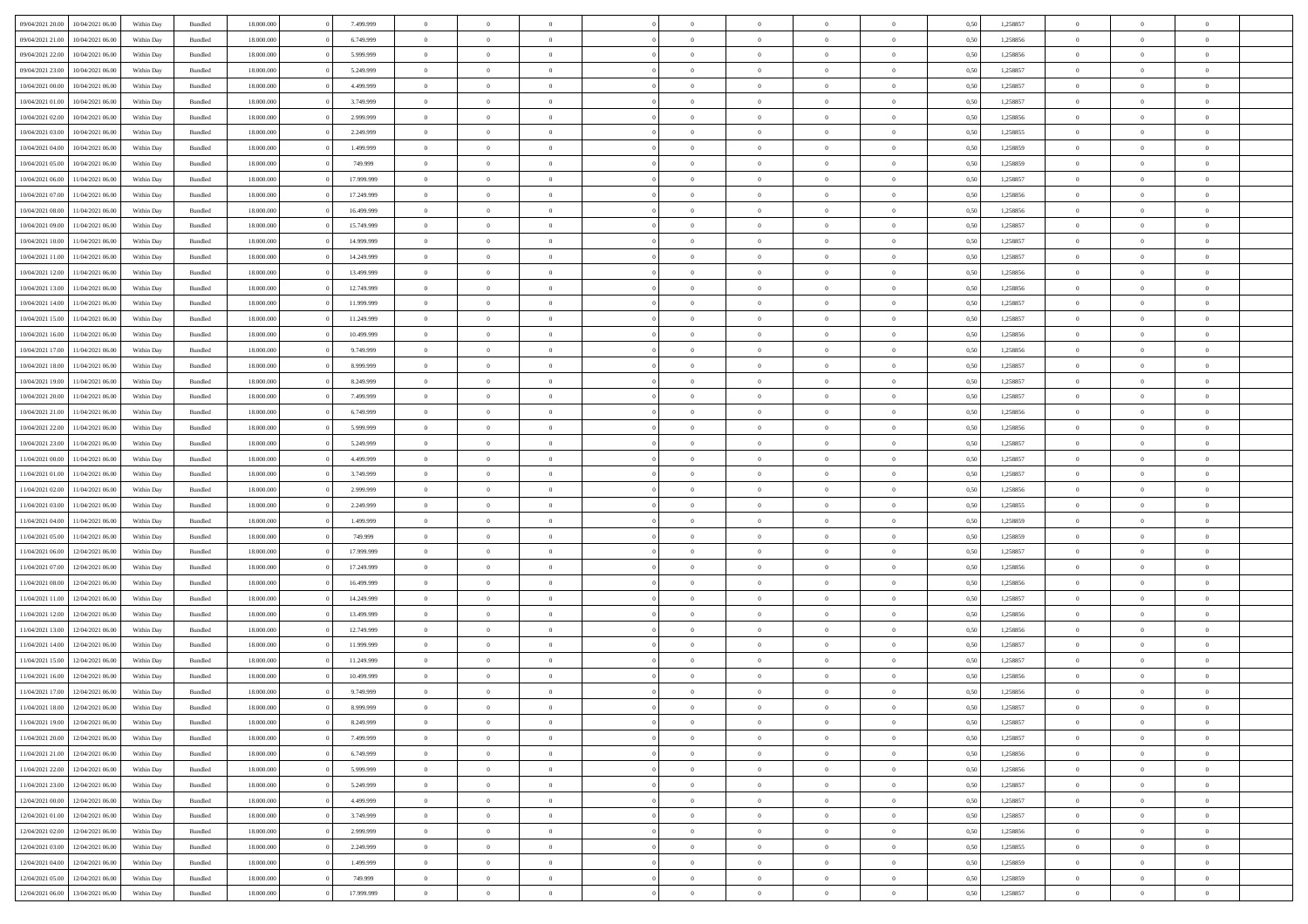|                  |                  |            |                    |            |            | $\overline{0}$ | $\Omega$       |                |                | $\Omega$       | $\Omega$       | $\theta$       |      |          | $\theta$       |                | $\theta$       |  |
|------------------|------------------|------------|--------------------|------------|------------|----------------|----------------|----------------|----------------|----------------|----------------|----------------|------|----------|----------------|----------------|----------------|--|
| 09/04/2021 20:00 | 10/04/2021 06:00 | Within Day | Bundled            | 18.000.000 | 7.499.999  |                |                |                | $\Omega$       |                |                |                | 0.50 | 1,258857 |                | $\theta$       |                |  |
| 09/04/2021 21.00 | 10/04/2021 06:00 | Within Day | Bundled            | 18.000.000 | 6.749.999  | $\overline{0}$ | $\theta$       | $\overline{0}$ | $\overline{0}$ | $\bf{0}$       | $\overline{0}$ | $\overline{0}$ | 0,50 | 1,258856 | $\theta$       | $\theta$       | $\overline{0}$ |  |
| 09/04/2021 22.00 | 10/04/2021 06:00 | Within Day | Bundled            | 18.000.000 | 5.999.999  | $\overline{0}$ | $\overline{0}$ | $\overline{0}$ | $\bf{0}$       | $\bf{0}$       | $\bf{0}$       | $\bf{0}$       | 0,50 | 1,258856 | $\bf{0}$       | $\overline{0}$ | $\overline{0}$ |  |
| 09/04/2021 23:00 | 10/04/2021 06:00 | Within Dav | Bundled            | 18.000.000 | 5.249.999  | $\overline{0}$ | $\theta$       | $\overline{0}$ | $\overline{0}$ | $\bf{0}$       | $\overline{0}$ | $\overline{0}$ | 0.50 | 1.258857 | $\theta$       | $\theta$       | $\overline{0}$ |  |
| 10/04/2021 00:00 | 10/04/2021 06:00 | Within Day | Bundled            | 18.000.000 | 4.499.999  | $\overline{0}$ | $\theta$       | $\overline{0}$ | $\overline{0}$ | $\bf{0}$       | $\overline{0}$ | $\bf{0}$       | 0,50 | 1,258857 | $\theta$       | $\theta$       | $\overline{0}$ |  |
|                  |                  |            |                    |            |            |                |                |                |                |                |                |                |      |          |                |                |                |  |
| 10/04/2021 01:00 | 10/04/2021 06:00 | Within Day | Bundled            | 18.000.000 | 3.749.999  | $\overline{0}$ | $\bf{0}$       | $\overline{0}$ | $\bf{0}$       | $\overline{0}$ | $\overline{0}$ | $\mathbf{0}$   | 0,50 | 1,258857 | $\bf{0}$       | $\overline{0}$ | $\bf{0}$       |  |
| 10/04/2021 02:00 | 10/04/2021 06:00 | Within Dav | Bundled            | 18.000.000 | 2.999.999  | $\overline{0}$ | $\overline{0}$ | $\overline{0}$ | $\overline{0}$ | $\bf{0}$       | $\overline{0}$ | $\overline{0}$ | 0.50 | 1,258856 | $\theta$       | $\theta$       | $\overline{0}$ |  |
| 10/04/2021 03:00 | 10/04/2021 06:00 | Within Day | Bundled            | 18.000.000 | 2.249.999  | $\overline{0}$ | $\theta$       | $\overline{0}$ | $\overline{0}$ | $\bf{0}$       | $\overline{0}$ | $\bf{0}$       | 0,50 | 1,258855 | $\theta$       | $\theta$       | $\overline{0}$ |  |
| 10/04/2021 04:00 | 10/04/2021 06:00 | Within Day | Bundled            | 18.000.000 | 1.499.999  | $\overline{0}$ | $\overline{0}$ | $\overline{0}$ | $\bf{0}$       | $\bf{0}$       | $\bf{0}$       | $\bf{0}$       | 0,50 | 1,258859 | $\,0\,$        | $\overline{0}$ | $\overline{0}$ |  |
| 10/04/2021 05:00 | 10/04/2021 06:00 | Within Dav | Bundled            | 18.000.000 | 749.999    | $\overline{0}$ | $\overline{0}$ | $\overline{0}$ | $\overline{0}$ | $\overline{0}$ | $\overline{0}$ | $\overline{0}$ | 0.50 | 1,258859 | $\theta$       | $\overline{0}$ | $\overline{0}$ |  |
| 10/04/2021 06:00 | 11/04/2021 06:00 | Within Day | Bundled            | 18.000.000 | 17.999.999 | $\overline{0}$ | $\theta$       | $\overline{0}$ | $\overline{0}$ | $\bf{0}$       | $\overline{0}$ | $\bf{0}$       | 0,50 | 1,258857 | $\theta$       | $\theta$       | $\overline{0}$ |  |
| 10/04/2021 07:00 | 11/04/2021 06:00 | Within Day | Bundled            | 18.000.000 | 17.249.999 | $\overline{0}$ | $\overline{0}$ | $\overline{0}$ | $\bf{0}$       | $\bf{0}$       | $\bf{0}$       | $\bf{0}$       | 0,50 | 1,258856 | $\bf{0}$       | $\overline{0}$ | $\overline{0}$ |  |
|                  |                  |            |                    |            |            |                |                |                |                |                |                |                |      |          |                |                |                |  |
| 10/04/2021 08:00 | 11/04/2021 06:00 | Within Day | Bundled            | 18.000.000 | 16.499.999 | $\overline{0}$ | $\theta$       | $\overline{0}$ | $\overline{0}$ | $\bf{0}$       | $\overline{0}$ | $\overline{0}$ | 0.50 | 1.258856 | $\theta$       | $\theta$       | $\overline{0}$ |  |
| 10/04/2021 09:00 | 11/04/2021 06:00 | Within Day | Bundled            | 18.000.000 | 15.749.999 | $\overline{0}$ | $\theta$       | $\overline{0}$ | $\overline{0}$ | $\bf{0}$       | $\overline{0}$ | $\overline{0}$ | 0,50 | 1,258857 | $\theta$       | $\theta$       | $\overline{0}$ |  |
| 10/04/2021 10:00 | 11/04/2021 06:00 | Within Day | Bundled            | 18.000.000 | 14.999.999 | $\overline{0}$ | $\overline{0}$ | $\overline{0}$ | $\bf{0}$       | $\overline{0}$ | $\overline{0}$ | $\mathbf{0}$   | 0,50 | 1,258857 | $\overline{0}$ | $\overline{0}$ | $\bf{0}$       |  |
| 10/04/2021 11:00 | 11/04/2021 06:00 | Within Dav | Bundled            | 18.000.000 | 14.249.999 | $\overline{0}$ | $\overline{0}$ | $\overline{0}$ | $\overline{0}$ | $\bf{0}$       | $\overline{0}$ | $\overline{0}$ | 0.50 | 1,258857 | $\theta$       | $\overline{0}$ | $\overline{0}$ |  |
| 10/04/2021 12:00 | 11/04/2021 06:00 | Within Day | Bundled            | 18.000.000 | 13.499.999 | $\overline{0}$ | $\theta$       | $\overline{0}$ | $\overline{0}$ | $\bf{0}$       | $\overline{0}$ | $\bf{0}$       | 0,50 | 1,258856 | $\theta$       | $\theta$       | $\overline{0}$ |  |
| 10/04/2021 13:00 | 11/04/2021 06:00 | Within Day | Bundled            | 18.000.000 | 12.749.999 | $\overline{0}$ | $\overline{0}$ | $\overline{0}$ | $\bf{0}$       | $\bf{0}$       | $\bf{0}$       | $\bf{0}$       | 0,50 | 1,258856 | $\,0\,$        | $\overline{0}$ | $\overline{0}$ |  |
| 10/04/2021 14:00 | 11/04/2021 06:00 | Within Day | Bundled            | 18.000.000 | 11.999.999 | $\overline{0}$ | $\overline{0}$ | $\overline{0}$ | $\overline{0}$ | $\overline{0}$ | $\overline{0}$ | $\overline{0}$ | 0.50 | 1,258857 | $\theta$       | $\overline{0}$ | $\overline{0}$ |  |
|                  |                  |            |                    |            |            |                |                |                |                |                |                |                |      |          |                |                |                |  |
| 10/04/2021 15:00 | 11/04/2021 06:00 | Within Day | Bundled            | 18.000.000 | 11.249.999 | $\overline{0}$ | $\theta$       | $\overline{0}$ | $\overline{0}$ | $\bf{0}$       | $\overline{0}$ | $\bf{0}$       | 0,50 | 1,258857 | $\theta$       | $\theta$       | $\overline{0}$ |  |
| 10/04/2021 16:00 | 11/04/2021 06:00 | Within Day | Bundled            | 18.000.000 | 10.499.999 | $\overline{0}$ | $\overline{0}$ | $\overline{0}$ | $\bf{0}$       | $\bf{0}$       | $\bf{0}$       | $\bf{0}$       | 0,50 | 1,258856 | $\,0\,$        | $\overline{0}$ | $\overline{0}$ |  |
| 10/04/2021 17:00 | 11/04/2021 06:00 | Within Day | Bundled            | 18.000.000 | 9.749.999  | $\overline{0}$ | $\overline{0}$ | $\overline{0}$ | $\overline{0}$ | $\bf{0}$       | $\overline{0}$ | $\overline{0}$ | 0.50 | 1.258856 | $\theta$       | $\theta$       | $\overline{0}$ |  |
| 10/04/2021 18:00 | 11/04/2021 06:00 | Within Day | Bundled            | 18.000.000 | 8.999.999  | $\overline{0}$ | $\theta$       | $\overline{0}$ | $\overline{0}$ | $\bf{0}$       | $\overline{0}$ | $\bf{0}$       | 0,50 | 1,258857 | $\theta$       | $\overline{0}$ | $\overline{0}$ |  |
| 10/04/2021 19:00 | 11/04/2021 06:00 | Within Day | Bundled            | 18.000.000 | 8.249.999  | $\overline{0}$ | $\bf{0}$       | $\overline{0}$ | $\bf{0}$       | $\overline{0}$ | $\bf{0}$       | $\mathbf{0}$   | 0,50 | 1,258857 | $\overline{0}$ | $\overline{0}$ | $\bf{0}$       |  |
| 10/04/2021 20:00 | 11/04/2021 06:00 | Within Dav | Bundled            | 18.000.000 | 7.499.999  | $\overline{0}$ | $\overline{0}$ | $\overline{0}$ | $\overline{0}$ | $\overline{0}$ | $\overline{0}$ | $\overline{0}$ | 0.50 | 1,258857 | $\theta$       | $\theta$       | $\overline{0}$ |  |
| 10/04/2021 21:00 | 11/04/2021 06:00 |            |                    | 18.000.000 | 6.749.999  | $\overline{0}$ | $\theta$       | $\overline{0}$ | $\overline{0}$ | $\bf{0}$       | $\overline{0}$ |                |      | 1,258856 | $\theta$       | $\theta$       | $\overline{0}$ |  |
|                  |                  | Within Day | Bundled            |            |            |                |                |                |                |                |                | $\bf{0}$       | 0,50 |          |                |                |                |  |
| 10/04/2021 22:00 | 11/04/2021 06:00 | Within Day | Bundled            | 18.000.000 | 5.999.999  | $\overline{0}$ | $\overline{0}$ | $\overline{0}$ | $\bf{0}$       | $\bf{0}$       | $\bf{0}$       | $\bf{0}$       | 0,50 | 1,258856 | $\,0\,$        | $\overline{0}$ | $\overline{0}$ |  |
| 10/04/2021 23:00 | 11/04/2021 06:00 | Within Day | Bundled            | 18.000.000 | 5.249.999  | $\overline{0}$ | $\overline{0}$ | $\overline{0}$ | $\overline{0}$ | $\overline{0}$ | $\overline{0}$ | $\overline{0}$ | 0.50 | 1,258857 | $\theta$       | $\theta$       | $\overline{0}$ |  |
| 11/04/2021 00:00 | 11/04/2021 06:00 | Within Day | Bundled            | 18.000.000 | 4.499.999  | $\overline{0}$ | $\theta$       | $\overline{0}$ | $\overline{0}$ | $\bf{0}$       | $\overline{0}$ | $\bf{0}$       | 0,50 | 1,258857 | $\,$ 0 $\,$    | $\theta$       | $\overline{0}$ |  |
| 11/04/2021 01:00 | 11/04/2021 06:00 | Within Day | Bundled            | 18.000.000 | 3.749.999  | $\overline{0}$ | $\overline{0}$ | $\overline{0}$ | $\bf{0}$       | $\bf{0}$       | $\bf{0}$       | $\bf{0}$       | 0,50 | 1,258857 | $\bf{0}$       | $\overline{0}$ | $\overline{0}$ |  |
| 11/04/2021 02:00 | 11/04/2021 06.00 | Within Day | Bundled            | 18.000.000 | 2.999.999  | $\overline{0}$ | $\Omega$       | $\Omega$       | $\Omega$       | $\Omega$       | $\Omega$       | $\overline{0}$ | 0.50 | 1,258856 | $\,0\,$        | $\theta$       | $\theta$       |  |
| 11/04/2021 03:00 | 11/04/2021 06:00 | Within Day | Bundled            | 18.000.000 | 2.249.999  | $\overline{0}$ | $\theta$       | $\overline{0}$ | $\overline{0}$ | $\bf{0}$       | $\overline{0}$ | $\bf{0}$       | 0,50 | 1,258855 | $\theta$       | $\theta$       | $\overline{0}$ |  |
|                  |                  |            |                    |            |            |                |                |                |                |                |                |                |      |          |                |                |                |  |
| 11/04/2021 04:00 | 11/04/2021 06:00 | Within Day | Bundled            | 18.000.000 | 1.499.999  | $\overline{0}$ | $\bf{0}$       | $\overline{0}$ | $\bf{0}$       | $\bf{0}$       | $\overline{0}$ | $\mathbf{0}$   | 0,50 | 1,258859 | $\bf{0}$       | $\overline{0}$ | $\bf{0}$       |  |
| 11/04/2021 05:00 | 11/04/2021 06:00 | Within Day | Bundled            | 18,000,000 | 749.999    | $\overline{0}$ | $\Omega$       | $\Omega$       | $\Omega$       | $\Omega$       | $\Omega$       | $\overline{0}$ | 0.50 | 1,258859 | $\theta$       | $\theta$       | $\theta$       |  |
| 11/04/2021 06:00 | 12/04/2021 06:00 | Within Day | Bundled            | 18.000.000 | 17.999.999 | $\overline{0}$ | $\theta$       | $\overline{0}$ | $\overline{0}$ | $\bf{0}$       | $\overline{0}$ | $\bf{0}$       | 0,50 | 1,258857 | $\theta$       | $\theta$       | $\overline{0}$ |  |
| 11/04/2021 07:00 | 12/04/2021 06:00 | Within Day | Bundled            | 18.000.000 | 17.249.999 | $\overline{0}$ | $\overline{0}$ | $\overline{0}$ | $\bf{0}$       | $\bf{0}$       | $\bf{0}$       | $\bf{0}$       | 0,50 | 1,258856 | $\,0\,$        | $\overline{0}$ | $\overline{0}$ |  |
| 11/04/2021 08:00 | 12/04/2021 06:00 | Within Day | Bundled            | 18,000,000 | 16.499.999 | $\overline{0}$ | $\Omega$       | $\Omega$       | $\Omega$       | $\Omega$       | $\theta$       | $\overline{0}$ | 0.50 | 1,258856 | $\theta$       | $\theta$       | $\theta$       |  |
| 11/04/2021 11:00 | 12/04/2021 06:00 | Within Day | Bundled            | 18.000.000 | 14.249.999 | $\overline{0}$ | $\theta$       | $\overline{0}$ | $\overline{0}$ | $\bf{0}$       | $\overline{0}$ | $\bf{0}$       | 0,50 | 1,258857 | $\,$ 0 $\,$    | $\overline{0}$ | $\overline{0}$ |  |
| 11/04/2021 12:00 | 12/04/2021 06:00 | Within Day | Bundled            | 18.000.000 | 13.499.999 | $\overline{0}$ | $\overline{0}$ | $\overline{0}$ | $\bf{0}$       | $\bf{0}$       | $\bf{0}$       | $\bf{0}$       | 0,50 | 1,258856 | $\overline{0}$ | $\overline{0}$ | $\overline{0}$ |  |
| 11/04/2021 13:00 | 12/04/2021 06:00 |            |                    | 18.000.000 | 12.749.999 | $\overline{0}$ | $\Omega$       | $\Omega$       | $\Omega$       | $\Omega$       | $\overline{0}$ | $\overline{0}$ | 0.50 | 1,258856 | $\,0\,$        | $\theta$       | $\theta$       |  |
|                  |                  | Within Day | Bundled            |            |            |                |                |                |                |                |                |                |      |          |                |                |                |  |
| 11/04/2021 14:00 | 12/04/2021 06:00 | Within Day | Bundled            | 18.000.000 | 11.999.999 | $\overline{0}$ | $\theta$       | $\overline{0}$ | $\overline{0}$ | $\bf{0}$       | $\overline{0}$ | $\bf{0}$       | 0,50 | 1,258857 | $\,$ 0 $\,$    | $\theta$       | $\overline{0}$ |  |
| 11/04/2021 15:00 | 12/04/2021 06:00 | Within Day | Bundled            | 18.000.000 | 11.249.999 | $\overline{0}$ | $\overline{0}$ | $\overline{0}$ | $\bf{0}$       | $\bf{0}$       | $\bf{0}$       | $\mathbf{0}$   | 0,50 | 1,258857 | $\overline{0}$ | $\overline{0}$ | $\bf{0}$       |  |
| 11/04/2021 16:00 | 12/04/2021 06:00 | Within Day | Bundled            | 18,000,000 | 10.499.999 | $\overline{0}$ | $\Omega$       | $\Omega$       | $\Omega$       | $\Omega$       | $\Omega$       | $\overline{0}$ | 0.50 | 1,258856 | $\theta$       | $\theta$       | $\theta$       |  |
| 11/04/2021 17:00 | 12/04/2021 06:00 | Within Day | Bundled            | 18.000.000 | 9.749.999  | $\overline{0}$ | $\overline{0}$ | $\overline{0}$ | $\bf{0}$       | $\,$ 0         | $\bf{0}$       | $\bf{0}$       | 0,50 | 1,258856 | $\,0\,$        | $\overline{0}$ | $\overline{0}$ |  |
| 11/04/2021 18:00 | 12/04/2021 06:00 | Within Day | $\mathbf B$ undled | 18.000.000 | 8.999.999  | $\bf{0}$       | $\bf{0}$       |                |                | $\bf{0}$       |                |                | 0,50 | 1,258857 | $\bf{0}$       | $\overline{0}$ |                |  |
| 11/04/2021 19:00 | 12/04/2021 06:00 | Within Day | Bundled            | 18,000,000 | 8.249.999  | $\overline{0}$ | $\overline{0}$ | $\overline{0}$ | $\Omega$       | $\overline{0}$ | $\overline{0}$ | $\overline{0}$ | 0.50 | 1,258857 | $\theta$       | $\theta$       | $\theta$       |  |
| 11/04/2021 20:00 | 12/04/2021 06:00 | Within Day | Bundled            | 18.000.000 | 7.499.999  | $\overline{0}$ | $\,$ 0         | $\overline{0}$ | $\bf{0}$       | $\,$ 0 $\,$    | $\overline{0}$ | $\mathbf{0}$   | 0,50 | 1,258857 | $\,$ 0 $\,$    | $\,$ 0 $\,$    | $\,$ 0         |  |
|                  |                  |            |                    |            |            |                |                |                |                |                |                |                |      |          |                |                |                |  |
| 11/04/2021 21:00 | 12/04/2021 06:00 | Within Day | Bundled            | 18.000.000 | 6.749.999  | $\overline{0}$ | $\overline{0}$ | $\overline{0}$ | $\overline{0}$ | $\overline{0}$ | $\overline{0}$ | $\mathbf{0}$   | 0,50 | 1,258856 | $\overline{0}$ | $\bf{0}$       | $\bf{0}$       |  |
| 11/04/2021 22:00 | 12/04/2021 06:00 | Within Day | Bundled            | 18.000.000 | 5.999.999  | $\overline{0}$ | $\overline{0}$ | $\overline{0}$ | $\Omega$       | $\overline{0}$ | $\overline{0}$ | $\overline{0}$ | 0,50 | 1,258856 | $\overline{0}$ | $\theta$       | $\overline{0}$ |  |
| 11/04/2021 23:00 | 12/04/2021 06:00 | Within Day | Bundled            | 18.000.000 | 5.249.999  | $\overline{0}$ | $\,$ 0         | $\overline{0}$ | $\overline{0}$ | $\,$ 0 $\,$    | $\overline{0}$ | $\mathbf{0}$   | 0,50 | 1,258857 | $\,$ 0 $\,$    | $\overline{0}$ | $\overline{0}$ |  |
| 12/04/2021 00:00 | 12/04/2021 06:00 | Within Day | Bundled            | 18.000.000 | 4.499.999  | $\overline{0}$ | $\overline{0}$ | $\overline{0}$ | $\overline{0}$ | $\overline{0}$ | $\overline{0}$ | $\mathbf{0}$   | 0,50 | 1,258857 | $\overline{0}$ | $\overline{0}$ | $\bf{0}$       |  |
| 12/04/2021 01:00 | 12/04/2021 06:00 | Within Day | Bundled            | 18.000.000 | 3.749.999  | $\overline{0}$ | $\overline{0}$ | $\overline{0}$ | $\Omega$       | $\overline{0}$ | $\overline{0}$ | $\bf{0}$       | 0.50 | 1,258857 | $\overline{0}$ | $\theta$       | $\overline{0}$ |  |
| 12/04/2021 02:00 | 12/04/2021 06:00 | Within Day | Bundled            | 18.000.000 | 2.999.999  | $\overline{0}$ | $\,$ 0         | $\overline{0}$ | $\bf{0}$       | $\bf{0}$       | $\bf{0}$       | $\bf{0}$       | 0,50 | 1,258856 | $\,$ 0 $\,$    | $\overline{0}$ | $\overline{0}$ |  |
| 12/04/2021 03:00 | 12/04/2021 06:00 | Within Day | Bundled            | 18.000.000 | 2.249.999  | $\overline{0}$ | $\bf{0}$       | $\overline{0}$ | $\overline{0}$ | $\overline{0}$ | $\overline{0}$ | $\mathbf{0}$   | 0,50 | 1,258855 | $\overline{0}$ | $\overline{0}$ | $\bf{0}$       |  |
|                  |                  |            |                    |            |            |                |                |                |                |                |                |                |      |          |                |                |                |  |
| 12/04/2021 04:00 | 12/04/2021 06:00 | Within Day | Bundled            | 18,000,000 | 1.499.999  | $\overline{0}$ | $\overline{0}$ | $\overline{0}$ | $\Omega$       | $\overline{0}$ | $\overline{0}$ | $\overline{0}$ | 0.50 | 1,258859 | $\overline{0}$ | $\overline{0}$ | $\overline{0}$ |  |
| 12/04/2021 05:00 | 12/04/2021 06:00 | Within Day | Bundled            | 18.000.000 | 749.999    | $\overline{0}$ | $\bf{0}$       | $\overline{0}$ | $\overline{0}$ | $\bf{0}$       | $\bf{0}$       | $\bf{0}$       | 0,50 | 1,258859 | $\,$ 0 $\,$    | $\,$ 0 $\,$    | $\bf{0}$       |  |
| 12/04/2021 06:00 | 13/04/2021 06:00 | Within Day | Bundled            | 18.000.000 | 17.999.999 | $\overline{0}$ | $\bf{0}$       | $\overline{0}$ | $\bf{0}$       | $\bf{0}$       | $\bf{0}$       | $\bf{0}$       | 0,50 | 1,258857 | $\overline{0}$ | $\overline{0}$ | $\bf{0}$       |  |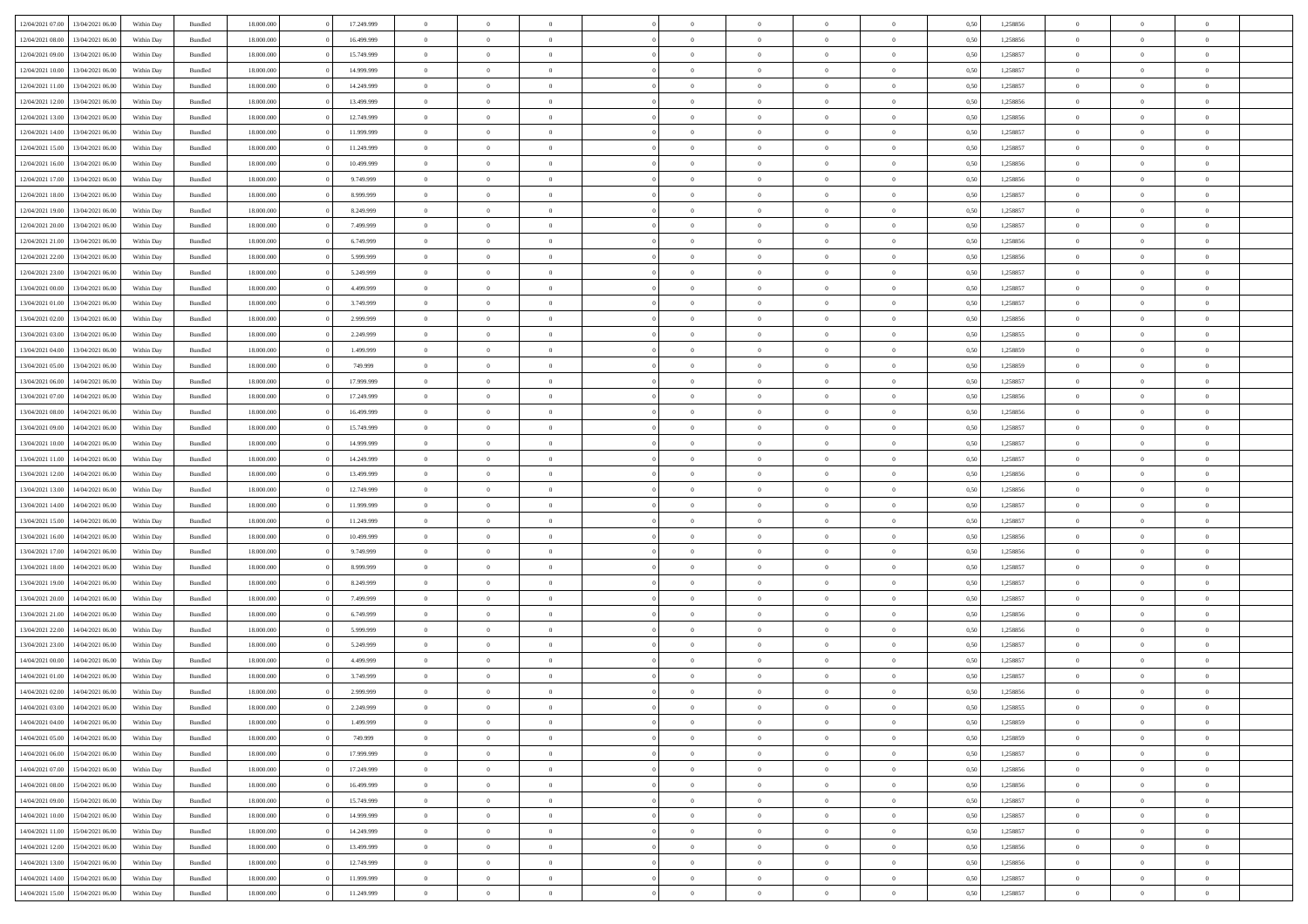| 12/04/2021 07:00                  | 13/04/2021 06:00 | Within Day | Bundled | 18,000,000 | 17.249.999 | $\overline{0}$ | $\Omega$       |                |                | $\Omega$       | $\Omega$       | $\overline{0}$ | 0,50 | 1,258856 | $\theta$       | $\theta$       | $\theta$       |  |
|-----------------------------------|------------------|------------|---------|------------|------------|----------------|----------------|----------------|----------------|----------------|----------------|----------------|------|----------|----------------|----------------|----------------|--|
| 12/04/2021 08:00                  | 13/04/2021 06:00 | Within Dav | Bundled | 18.000.000 | 16.499.999 | $\overline{0}$ | $\Omega$       |                | $\Omega$       | $\Omega$       | $\Omega$       | $\bf{0}$       | 0.50 | 1,258856 | $\theta$       | $\Omega$       | $\sqrt{ }$     |  |
| 12/04/2021 09:00                  | 13/04/2021 06:00 | Within Day | Bundled | 18.000.000 | 15.749.999 | $\overline{0}$ | $\overline{0}$ | $\overline{0}$ | $\overline{0}$ | $\,$ 0 $\,$    | $\overline{0}$ | $\,$ 0 $\,$    | 0,50 | 1,258857 | $\,$ 0 $\,$    | $\overline{0}$ | $\overline{0}$ |  |
| 12/04/2021 10:00                  | 13/04/2021 06:00 | Within Day | Bundled | 18.000.000 | 14.999.999 | $\overline{0}$ | $\overline{0}$ | $\overline{0}$ | $\overline{0}$ | $\bf{0}$       | $\overline{0}$ | $\bf{0}$       | 0,50 | 1,258857 | $\bf{0}$       | $\theta$       | $\overline{0}$ |  |
| 12/04/2021 11:00                  | 13/04/2021 06:00 | Within Day | Bundled | 18.000.000 | 14.249.999 | $\overline{0}$ | $\Omega$       | $^{\circ}$     | $\Omega$       | $\overline{0}$ | $\Omega$       | $\bf{0}$       | 0.50 | 1,258857 | $\theta$       | $\theta$       | $\sqrt{ }$     |  |
|                                   |                  |            |         |            |            |                |                |                |                |                |                |                |      |          |                |                |                |  |
| 12/04/2021 12:00                  | 13/04/2021 06:00 | Within Day | Bundled | 18.000.000 | 13.499.999 | $\overline{0}$ | $\overline{0}$ | $\overline{0}$ | $\overline{0}$ | $\,$ 0 $\,$    | $\overline{0}$ | $\,$ 0 $\,$    | 0,50 | 1,258856 | $\,$ 0 $\,$    | $\overline{0}$ | $\overline{0}$ |  |
| 12/04/2021 13:00                  | 13/04/2021 06:00 | Within Day | Bundled | 18.000.000 | 12.749.999 | $\overline{0}$ | $\overline{0}$ | $\overline{0}$ | $\Omega$       | $\overline{0}$ | $\overline{0}$ | $\bf{0}$       | 0,50 | 1,258856 | $\bf{0}$       | $\theta$       | $\overline{0}$ |  |
| 12/04/2021 14:00                  | 13/04/2021 06:00 | Within Day | Bundled | 18.000.000 | 11.999.999 | $\overline{0}$ | $\Omega$       | $^{\circ}$     | $\Omega$       | $\overline{0}$ | $\Omega$       | $\bf{0}$       | 0.50 | 1,258857 | $\theta$       | $\theta$       | $\sqrt{ }$     |  |
| 12/04/2021 15:00                  | 13/04/2021 06:00 | Within Day | Bundled | 18.000.000 | 11.249.999 | $\overline{0}$ | $\overline{0}$ | $\overline{0}$ | $\overline{0}$ | $\overline{0}$ | $\overline{0}$ | $\,$ 0 $\,$    | 0,50 | 1,258857 | $\,$ 0 $\,$    | $\overline{0}$ | $\overline{0}$ |  |
| 12/04/2021 16:00                  | 13/04/2021 06:00 | Within Day | Bundled | 18,000,000 | 10.499.999 | $\overline{0}$ | $\overline{0}$ | $\overline{0}$ | $\Omega$       | $\overline{0}$ | $\overline{0}$ | $\bf{0}$       | 0,50 | 1,258856 | $\bf{0}$       | $\theta$       | $\overline{0}$ |  |
| 12/04/2021 17:00                  | 13/04/2021 06:00 | Within Dav | Bundled | 18.000.000 | 9.749.999  | $\overline{0}$ | $\Omega$       | $^{\circ}$     | $\Omega$       | $\overline{0}$ | $\Omega$       | $\bf{0}$       | 0.50 | 1,258856 | $\theta$       | $\Omega$       | $\sqrt{ }$     |  |
| 12/04/2021 18:00                  | 13/04/2021 06:00 | Within Day | Bundled | 18.000.000 | 8.999.999  | $\overline{0}$ | $\overline{0}$ | $\overline{0}$ | $\overline{0}$ | $\,$ 0 $\,$    | $\overline{0}$ | $\,$ 0 $\,$    | 0,50 | 1,258857 | $\,$ 0 $\,$    | $\overline{0}$ | $\overline{0}$ |  |
| 12/04/2021 19:00                  | 13/04/2021 06:00 | Within Day | Bundled | 18.000.000 | 8.249.999  | $\overline{0}$ | $\overline{0}$ | $\overline{0}$ | $\overline{0}$ | $\bf{0}$       | $\overline{0}$ | $\bf{0}$       | 0,50 | 1,258857 | $\bf{0}$       | $\overline{0}$ | $\bf{0}$       |  |
| 12/04/2021 20:00                  | 13/04/2021 06:00 | Within Day | Bundled | 18.000.000 | 7.499.999  | $\overline{0}$ | $\Omega$       | $^{\circ}$     | $\overline{0}$ | $\overline{0}$ | $\Omega$       | $\bf{0}$       | 0.50 | 1,258857 | $\theta$       | $\theta$       | $\sqrt{ }$     |  |
|                                   |                  |            |         |            |            |                |                |                |                |                |                |                |      |          |                |                |                |  |
| 12/04/2021 21:00                  | 13/04/2021 06:00 | Within Day | Bundled | 18.000.000 | 6.749.999  | $\overline{0}$ | $\theta$       | $\overline{0}$ | $\overline{0}$ | $\bf{0}$       | $\overline{0}$ | $\,$ 0 $\,$    | 0,50 | 1,258856 | $\theta$       | $\overline{0}$ | $\overline{0}$ |  |
| 12/04/2021 22:00                  | 13/04/2021 06:00 | Within Day | Bundled | 18.000.000 | 5.999.999  | $\overline{0}$ | $\overline{0}$ | $\overline{0}$ | $\Omega$       | $\overline{0}$ | $\overline{0}$ | $\overline{0}$ | 0,50 | 1,258856 | $\theta$       | $\overline{0}$ | $\overline{0}$ |  |
| 12/04/2021 23:00                  | 13/04/2021 06:00 | Within Day | Bundled | 18.000.000 | 5.249.999  | $\overline{0}$ | $\Omega$       | $^{\circ}$     | $\Omega$       | $\overline{0}$ | $\Omega$       | $\bf{0}$       | 0.50 | 1,258857 | $\theta$       | $\Omega$       | -0             |  |
| 13/04/2021 00:00                  | 13/04/2021 06:00 | Within Day | Bundled | 18.000.000 | 4.499.999  | $\overline{0}$ | $\overline{0}$ | $\overline{0}$ | $\overline{0}$ | $\,$ 0 $\,$    | $\overline{0}$ | $\,$ 0 $\,$    | 0,50 | 1,258857 | $\,$ 0 $\,$    | $\overline{0}$ | $\overline{0}$ |  |
| 13/04/2021 01:00                  | 13/04/2021 06:00 | Within Day | Bundled | 18,000,000 | 3.749.999  | $\overline{0}$ | $\overline{0}$ | $\overline{0}$ | $\Omega$       | $\overline{0}$ | $\overline{0}$ | $\bf{0}$       | 0.50 | 1,258857 | $\bf{0}$       | $\theta$       | $\overline{0}$ |  |
| 13/04/2021 02:00                  | 13/04/2021 06:00 | Within Dav | Bundled | 18.000.000 | 2.999.999  | $\overline{0}$ | $\Omega$       | $^{\circ}$     | $\Omega$       | $\bf{0}$       | $\Omega$       | $\overline{0}$ | 0.50 | 1,258856 | $\theta$       | $\theta$       | $\sqrt{ }$     |  |
| 13/04/2021 03:00                  | 13/04/2021 06:00 | Within Day | Bundled | 18.000.000 | 2.249.999  | $\overline{0}$ | $\overline{0}$ | $\overline{0}$ | $\overline{0}$ | $\,$ 0 $\,$    | $\overline{0}$ | $\,$ 0 $\,$    | 0,50 | 1,258855 | $\,$ 0 $\,$    | $\overline{0}$ | $\overline{0}$ |  |
| 13/04/2021 04:00                  | 13/04/2021 06:00 | Within Day | Bundled | 18.000.000 | 1.499.999  | $\overline{0}$ | $\overline{0}$ | $\overline{0}$ | $\overline{0}$ | $\bf{0}$       | $\overline{0}$ | $\bf{0}$       | 0,50 | 1,258859 | $\bf{0}$       | $\overline{0}$ | $\overline{0}$ |  |
| 13/04/2021 05:00                  | 13/04/2021 06:00 | Within Day | Bundled | 18.000.000 | 749.999    | $\overline{0}$ | $\Omega$       | $^{\circ}$     | $\overline{0}$ | $\bf{0}$       | $\Omega$       | $\bf{0}$       | 0.50 | 1,258859 | $\theta$       | $\theta$       | $\sqrt{ }$     |  |
|                                   |                  |            |         |            |            | $\overline{0}$ | $\theta$       | $\overline{0}$ | $\overline{0}$ | $\,$ 0 $\,$    | $\overline{0}$ |                |      |          | $\,$ 0 $\,$    | $\overline{0}$ | $\overline{0}$ |  |
| 13/04/2021 06:00                  | 14/04/2021 06:00 | Within Day | Bundled | 18.000.000 | 17.999.999 |                |                |                |                |                |                | $\,$ 0 $\,$    | 0,50 | 1,258857 |                |                |                |  |
| 13/04/2021 07:00                  | 14/04/2021 06:00 | Within Day | Bundled | 18.000.000 | 17.249.999 | $\overline{0}$ | $\overline{0}$ | $\overline{0}$ | $\Omega$       | $\overline{0}$ | $\overline{0}$ | $\bf{0}$       | 0.50 | 1,258856 | $\bf{0}$       | $\overline{0}$ | $\overline{0}$ |  |
| 13/04/2021 08:00                  | 14/04/2021 06:00 | Within Day | Bundled | 18.000.000 | 16.499.999 | $\overline{0}$ | $\Omega$       | $^{\circ}$     | $\Omega$       | $\bf{0}$       | $\Omega$       | $\bf{0}$       | 0.50 | 1,258856 | $\theta$       | $\theta$       | $\sqrt{ }$     |  |
| 13/04/2021 09:00                  | 14/04/2021 06:00 | Within Day | Bundled | 18.000.000 | 15.749.999 | $\overline{0}$ | $\overline{0}$ | $\overline{0}$ | $\overline{0}$ | $\overline{0}$ | $\overline{0}$ | $\,$ 0 $\,$    | 0,50 | 1,258857 | $\,$ 0 $\,$    | $\overline{0}$ | $\overline{0}$ |  |
| 13/04/2021 10:00                  | 14/04/2021 06:00 | Within Day | Bundled | 18,000,000 | 14.999.999 | $\overline{0}$ | $\overline{0}$ | $\overline{0}$ | $\Omega$       | $\overline{0}$ | $\overline{0}$ | $\bf{0}$       | 0,50 | 1,258857 | $\bf{0}$       | $\theta$       | $\overline{0}$ |  |
| 13/04/2021 11:00                  | 14/04/2021 06:00 | Within Dav | Bundled | 18.000.000 | 14.249.999 | $\overline{0}$ | $\Omega$       | $^{\circ}$     | $\Omega$       | $\overline{0}$ | $\Omega$       | $\bf{0}$       | 0.50 | 1,258857 | $\theta$       | $\theta$       | $\sqrt{ }$     |  |
| 13/04/2021 12:00                  | 14/04/2021 06:00 | Within Day | Bundled | 18.000.000 | 13.499.999 | $\overline{0}$ | $\overline{0}$ | $\overline{0}$ | $\overline{0}$ | $\,$ 0 $\,$    | $\overline{0}$ | $\,$ 0 $\,$    | 0,50 | 1,258856 | $\,$ 0 $\,$    | $\overline{0}$ | $\overline{0}$ |  |
| 13/04/2021 13:00                  | 14/04/2021 06:00 | Within Day | Bundled | 18.000.000 | 12.749.999 | $\overline{0}$ | $\overline{0}$ | $\overline{0}$ | $\bf{0}$       | $\,$ 0         | $\bf{0}$       | $\bf{0}$       | 0,50 | 1,258856 | $\,$ 0 $\,$    | $\overline{0}$ | $\overline{0}$ |  |
| 13/04/2021 14:00                  | 14/04/2021 06:00 | Within Day | Bundled | 18.000.000 | 11.999.999 | $\overline{0}$ | $\theta$       | $^{\circ}$     | $\overline{0}$ | $\overline{0}$ | $\Omega$       | $\bf{0}$       | 0.50 | 1,258857 | $\theta$       | $\theta$       | $\sqrt{ }$     |  |
| 13/04/2021 15:00                  | 14/04/2021 06:00 | Within Day | Bundled | 18.000.000 | 11.249.999 | $\overline{0}$ | $\theta$       | $\overline{0}$ | $\overline{0}$ | $\overline{0}$ | $\overline{0}$ | $\,$ 0 $\,$    | 0,50 | 1,258857 | $\theta$       | $\overline{0}$ | $\overline{0}$ |  |
|                                   |                  |            |         |            |            |                |                |                |                |                |                |                |      |          |                |                |                |  |
| 13/04/2021 16:00                  | 14/04/2021 06.00 | Within Day | Bundled | 18.000.000 | 10.499.999 | $\overline{0}$ | $\theta$       | $\overline{0}$ | $\overline{0}$ | $\,$ 0         | $\bf{0}$       | $\bf{0}$       | 0,50 | 1,258856 | $\,$ 0 $\,$    | $\overline{0}$ | $\overline{0}$ |  |
| 13/04/2021 17:00                  | 14/04/2021 06:00 | Within Day | Bundled | 18.000.000 | 9.749.999  | $\overline{0}$ | $\Omega$       | $\Omega$       | $\Omega$       | $\overline{0}$ | $\Omega$       | $\bf{0}$       | 0.50 | 1,258856 | $\theta$       | $\Omega$       | -0             |  |
| 13/04/2021 18:00                  | 14/04/2021 06:00 | Within Day | Bundled | 18.000.000 | 8.999.999  | $\overline{0}$ | $\overline{0}$ | $\overline{0}$ | $\overline{0}$ | $\,$ 0 $\,$    | $\overline{0}$ | $\,$ 0 $\,$    | 0,50 | 1,258857 | $\,$ 0 $\,$    | $\overline{0}$ | $\overline{0}$ |  |
| 13/04/2021 19:00                  | 14/04/2021 06.00 | Within Day | Bundled | 18.000.000 | 8.249.999  | $\overline{0}$ | $\,$ 0 $\,$    | $\overline{0}$ | $\bf{0}$       | $\bf{0}$       | $\bf{0}$       | $\bf{0}$       | 0,50 | 1,258857 | $\,$ 0 $\,$    | $\overline{0}$ | $\overline{0}$ |  |
| 13/04/2021 20:00                  | 14/04/2021 06:00 | Within Dav | Bundled | 18.000.000 | 7.499.999  | $\overline{0}$ | $\Omega$       | $^{\circ}$     | $\Omega$       | $\overline{0}$ | $\Omega$       | $\bf{0}$       | 0.50 | 1,258857 | $\theta$       | $\theta$       | $\sqrt{ }$     |  |
| 13/04/2021 21:00                  | 14/04/2021 06:00 | Within Day | Bundled | 18.000.000 | 6.749.999  | $\overline{0}$ | $\overline{0}$ | $\overline{0}$ | $\overline{0}$ | $\,$ 0 $\,$    | $\overline{0}$ | $\,$ 0 $\,$    | 0,50 | 1,258856 | $\,$ 0 $\,$    | $\overline{0}$ | $\overline{0}$ |  |
| 13/04/2021 22.00                  | 14/04/2021 06.00 | Within Day | Bundled | 18.000.000 | 5.999.999  | $\overline{0}$ | $\,$ 0 $\,$    | $\overline{0}$ | $\bf{0}$       | $\,$ 0         | $\bf{0}$       | $\bf{0}$       | 0,50 | 1,258856 | $\,$ 0 $\,$    | $\overline{0}$ | $\overline{0}$ |  |
| 13/04/2021 23:00                  | 14/04/2021 06:00 | Within Day | Bundled | 18.000.000 | 5.249.999  | $\overline{0}$ | $\theta$       | $^{\circ}$     | $\Omega$       | $\bf{0}$       | $\Omega$       | $\bf{0}$       | 0.50 | 1,258857 | $\theta$       | $\theta$       | -0             |  |
| 14/04/2021 00:00                  | 14/04/2021 06:00 | Within Day | Bundled | 18.000.000 | 4.499.999  | $\overline{0}$ | $\theta$       | $\overline{0}$ | $\overline{0}$ | $\bf{0}$       | $\overline{0}$ | $\,$ 0 $\,$    | 0,50 | 1,258857 | $\,$ 0 $\,$    | $\overline{0}$ | $\overline{0}$ |  |
| 14/04/2021 01:00                  | 14/04/2021 06.00 | Within Day | Bundled | 18.000.000 | 3.749.999  | $\overline{0}$ | $\theta$       | $\overline{0}$ | $\overline{0}$ | $\overline{0}$ | $\overline{0}$ | $\bf{0}$       | 0,50 | 1,258857 | $\,$ 0 $\,$    | $\overline{0}$ | $\overline{0}$ |  |
|                                   | 14/04/2021 06:00 | Within Day | Bundled | 18.000.000 | 2.999.999  | $\overline{0}$ | $\overline{0}$ | $\Omega$       |                | $\bf{0}$       | $\overline{0}$ | $\overline{0}$ | 0,50 | 1,258856 | $\theta$       | $\theta$       | $\overline{0}$ |  |
| 14/04/2021 02:00                  |                  |            |         |            |            |                |                |                | $\overline{0}$ |                |                |                |      |          |                |                |                |  |
| 14/04/2021 03:00 14/04/2021 06:00 |                  | Within Day | Bundled | 18.000.000 | 2.249.999  | $\overline{0}$ | $\theta$       |                |                | $\bf{0}$       |                |                | 0,50 | 1,258855 | $\theta$       | $\theta$       |                |  |
| 14/04/2021 04:00                  | 14/04/2021 06:00 | Within Day | Bundled | 18.000.000 | 1.499.999  | $\overline{0}$ | $\overline{0}$ | $\bf{0}$       | $\bf{0}$       | $\bf{0}$       | $\bf{0}$       | $\bf{0}$       | 0,50 | 1,258859 | $\,0\,$        | $\overline{0}$ | $\bf{0}$       |  |
| 14/04/2021 05:00                  | 14/04/2021 06:00 | Within Day | Bundled | 18.000.000 | 749.999    | $\overline{0}$ | $\overline{0}$ | $\overline{0}$ | $\overline{0}$ | $\bf{0}$       | $\overline{0}$ | $\overline{0}$ | 0,50 | 1,258859 | $\theta$       | $\theta$       | $\overline{0}$ |  |
| 14/04/2021 06:00                  | 15/04/2021 06:00 | Within Day | Bundled | 18.000.000 | 17.999.999 | $\overline{0}$ | $\bf{0}$       | $\overline{0}$ | $\overline{0}$ | $\bf{0}$       | $\overline{0}$ | $\,$ 0 $\,$    | 0,50 | 1,258857 | $\mathbf{0}$   | $\,$ 0 $\,$    | $\bf{0}$       |  |
| 14/04/2021 07:00                  | 15/04/2021 06:00 | Within Day | Bundled | 18.000.000 | 17.249.999 | $\overline{0}$ | $\overline{0}$ | $\overline{0}$ | $\bf{0}$       | $\bf{0}$       | $\bf{0}$       | $\bf{0}$       | 0,50 | 1,258856 | $\bf{0}$       | $\overline{0}$ | $\bf{0}$       |  |
| 14/04/2021 08:00                  | 15/04/2021 06:00 | Within Day | Bundled | 18.000.000 | 16.499.999 | $\overline{0}$ | $\overline{0}$ | $\overline{0}$ | $\overline{0}$ | $\overline{0}$ | $\overline{0}$ | $\overline{0}$ | 0,50 | 1,258856 | $\overline{0}$ | $\overline{0}$ | $\overline{0}$ |  |
| 14/04/2021 09:00                  | 15/04/2021 06:00 | Within Day | Bundled | 18.000.000 | 15.749.999 | $\overline{0}$ | $\bf{0}$       | $\overline{0}$ | $\overline{0}$ | $\bf{0}$       | $\overline{0}$ | $\,$ 0 $\,$    | 0,50 | 1,258857 | $\,$ 0 $\,$    | $\,$ 0 $\,$    | $\,$ 0         |  |
| 14/04/2021 10:00                  | 15/04/2021 06:00 | Within Day | Bundled | 18.000.000 | 14.999.999 | $\overline{0}$ | $\overline{0}$ | $\overline{0}$ | $\bf{0}$       | $\bf{0}$       | $\bf{0}$       | $\bf{0}$       | 0,50 | 1,258857 | $\bf{0}$       | $\overline{0}$ | $\bf{0}$       |  |
| 14/04/2021 11:00                  | 15/04/2021 06:00 | Within Day | Bundled | 18.000.000 | 14.249.999 | $\overline{0}$ | $\overline{0}$ | $\overline{0}$ | $\overline{0}$ | $\overline{0}$ | $\overline{0}$ | $\mathbf{0}$   | 0,50 | 1,258857 | $\theta$       | $\overline{0}$ | $\overline{0}$ |  |
|                                   |                  |            |         |            |            |                | $\bf{0}$       |                |                | $\,$ 0 $\,$    |                |                |      |          |                | $\,$ 0 $\,$    | $\,$ 0         |  |
| 14/04/2021 12:00                  | 15/04/2021 06:00 | Within Day | Bundled | 18.000.000 | 13.499.999 | $\overline{0}$ |                | $\overline{0}$ | $\bf{0}$       |                | $\overline{0}$ | $\,$ 0 $\,$    | 0,50 | 1,258856 | $\overline{0}$ |                |                |  |
| 14/04/2021 13:00                  | 15/04/2021 06:00 | Within Day | Bundled | 18.000.000 | 12.749.999 | $\overline{0}$ | $\overline{0}$ | $\overline{0}$ | $\bf{0}$       | $\bf{0}$       | $\bf{0}$       | $\bf{0}$       | 0,50 | 1,258856 | $\bf{0}$       | $\overline{0}$ | $\overline{0}$ |  |
| 14/04/2021 14:00                  | 15/04/2021 06:00 | Within Day | Bundled | 18.000.000 | 11.999.999 | $\overline{0}$ | $\overline{0}$ | $\overline{0}$ | $\overline{0}$ | $\bf{0}$       | $\overline{0}$ | $\overline{0}$ | 0.50 | 1,258857 | $\overline{0}$ | $\overline{0}$ | $\overline{0}$ |  |
| 14/04/2021 15:00 15/04/2021 06:00 |                  | Within Day | Bundled | 18.000.000 | 11.249.999 | $\mathbf{0}$   | $\bf{0}$       | $\overline{0}$ | $\overline{0}$ | $\,$ 0 $\,$    | $\overline{0}$ | $\,$ 0 $\,$    | 0,50 | 1,258857 | $\mathbf{0}$   | $\,$ 0 $\,$    | $\,$ 0 $\,$    |  |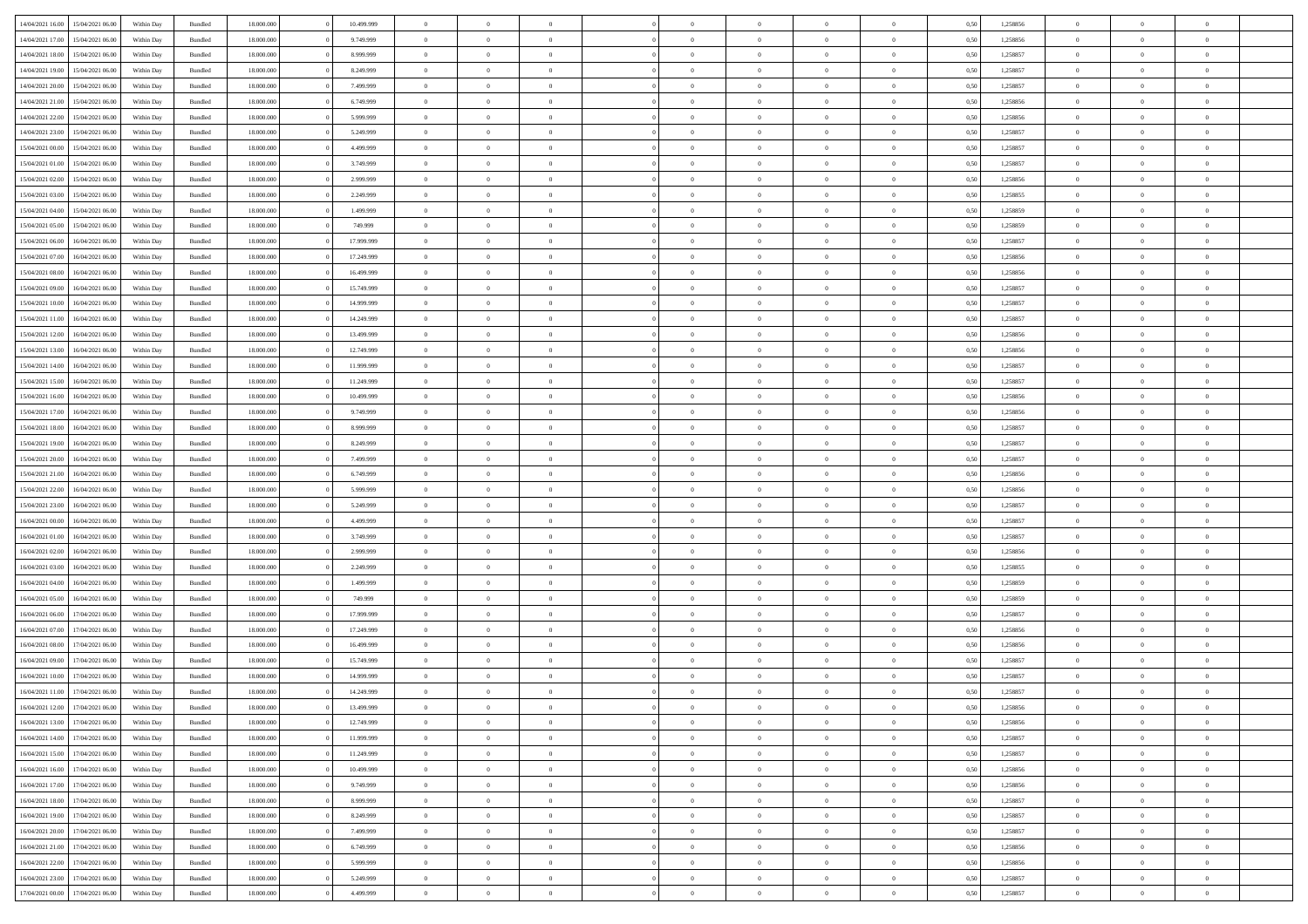| 14/04/2021 16:00 | 15/04/2021 06:00 | Within Day | Bundled            | 18.000.000 | 10.499.999 | $\overline{0}$ | $\theta$       |                | $\Omega$       | $\Omega$       | $\Omega$       | $\theta$       | 0.50 | 1,258856 | $\theta$       | $\theta$       | $\theta$       |  |
|------------------|------------------|------------|--------------------|------------|------------|----------------|----------------|----------------|----------------|----------------|----------------|----------------|------|----------|----------------|----------------|----------------|--|
|                  |                  |            |                    |            |            |                |                |                |                |                |                |                |      |          |                |                |                |  |
| 14/04/2021 17:00 | 15/04/2021 06:00 | Within Day | Bundled            | 18.000.000 | 9.749.999  | $\overline{0}$ | $\theta$       | $\overline{0}$ | $\overline{0}$ | $\bf{0}$       | $\overline{0}$ | $\overline{0}$ | 0,50 | 1,258856 | $\theta$       | $\theta$       | $\overline{0}$ |  |
| 14/04/2021 18:00 | 15/04/2021 06:00 | Within Day | Bundled            | 18.000.000 | 8.999.999  | $\overline{0}$ | $\overline{0}$ | $\overline{0}$ | $\bf{0}$       | $\bf{0}$       | $\bf{0}$       | $\bf{0}$       | 0,50 | 1,258857 | $\bf{0}$       | $\overline{0}$ | $\overline{0}$ |  |
| 14/04/2021 19:00 | 15/04/2021 06:00 | Within Dav | Bundled            | 18.000.000 | 8.249.999  | $\overline{0}$ | $\theta$       | $\overline{0}$ | $\overline{0}$ | $\bf{0}$       | $\overline{0}$ | $\overline{0}$ | 0.50 | 1.258857 | $\theta$       | $\theta$       | $\overline{0}$ |  |
|                  |                  |            |                    |            |            |                |                |                |                |                |                |                |      |          |                |                |                |  |
| 14/04/2021 20:00 | 15/04/2021 06:00 | Within Day | Bundled            | 18.000.000 | 7.499.999  | $\overline{0}$ | $\theta$       | $\overline{0}$ | $\overline{0}$ | $\bf{0}$       | $\overline{0}$ | $\bf{0}$       | 0,50 | 1,258857 | $\theta$       | $\theta$       | $\overline{0}$ |  |
| 14/04/2021 21:00 | 15/04/2021 06:00 | Within Day | Bundled            | 18.000.000 | 6.749.999  | $\overline{0}$ | $\bf{0}$       | $\overline{0}$ | $\bf{0}$       | $\overline{0}$ | $\overline{0}$ | $\mathbf{0}$   | 0,50 | 1,258856 | $\bf{0}$       | $\overline{0}$ | $\bf{0}$       |  |
| 14/04/2021 22:00 | 15/04/2021 06:00 | Within Dav | Bundled            | 18.000.000 | 5.999.999  | $\overline{0}$ | $\overline{0}$ | $\overline{0}$ | $\overline{0}$ | $\bf{0}$       | $\overline{0}$ | $\overline{0}$ | 0.50 | 1,258856 | $\theta$       | $\theta$       | $\overline{0}$ |  |
| 14/04/2021 23:00 | 15/04/2021 06:00 | Within Day | Bundled            | 18.000.000 | 5.249.999  | $\overline{0}$ | $\theta$       | $\overline{0}$ | $\overline{0}$ | $\bf{0}$       | $\overline{0}$ | $\bf{0}$       | 0,50 | 1,258857 | $\theta$       | $\theta$       | $\overline{0}$ |  |
|                  |                  |            |                    |            |            |                |                |                |                |                |                |                |      |          |                |                |                |  |
| 15/04/2021 00:00 | 15/04/2021 06:00 | Within Day | Bundled            | 18.000.000 | 4.499.999  | $\overline{0}$ | $\overline{0}$ | $\overline{0}$ | $\bf{0}$       | $\bf{0}$       | $\bf{0}$       | $\bf{0}$       | 0,50 | 1,258857 | $\,0\,$        | $\overline{0}$ | $\overline{0}$ |  |
| 15/04/2021 01:00 | 15/04/2021 06:00 | Within Dav | Bundled            | 18.000.000 | 3.749.999  | $\overline{0}$ | $\overline{0}$ | $\overline{0}$ | $\overline{0}$ | $\overline{0}$ | $\overline{0}$ | $\overline{0}$ | 0.50 | 1,258857 | $\theta$       | $\overline{0}$ | $\overline{0}$ |  |
| 15/04/2021 02:00 | 15/04/2021 06:00 | Within Day | Bundled            | 18.000.000 | 2.999.999  | $\overline{0}$ | $\theta$       | $\overline{0}$ | $\overline{0}$ | $\bf{0}$       | $\overline{0}$ | $\bf{0}$       | 0,50 | 1,258856 | $\theta$       | $\theta$       | $\overline{0}$ |  |
| 15/04/2021 03:00 | 15/04/2021 06:00 | Within Day | Bundled            | 18.000.000 | 2.249.999  | $\overline{0}$ | $\overline{0}$ | $\overline{0}$ | $\bf{0}$       | $\bf{0}$       | $\bf{0}$       | $\bf{0}$       | 0,50 | 1,258855 | $\bf{0}$       | $\overline{0}$ | $\overline{0}$ |  |
|                  |                  |            |                    |            |            |                |                |                |                |                |                |                |      |          |                |                |                |  |
| 15/04/2021 04:00 | 15/04/2021 06:00 | Within Day | Bundled            | 18.000.000 | 1.499.999  | $\overline{0}$ | $\theta$       | $\overline{0}$ | $\overline{0}$ | $\bf{0}$       | $\overline{0}$ | $\overline{0}$ | 0.50 | 1.258859 | $\theta$       | $\theta$       | $\overline{0}$ |  |
| 15/04/2021 05:00 | 15/04/2021 06:00 | Within Day | Bundled            | 18.000.000 | 749.999    | $\overline{0}$ | $\theta$       | $\overline{0}$ | $\overline{0}$ | $\bf{0}$       | $\overline{0}$ | $\overline{0}$ | 0,50 | 1,258859 | $\theta$       | $\theta$       | $\overline{0}$ |  |
| 15/04/2021 06:00 | 16/04/2021 06:00 | Within Day | Bundled            | 18.000.000 | 17.999.999 | $\overline{0}$ | $\bf{0}$       | $\overline{0}$ | $\bf{0}$       | $\overline{0}$ | $\overline{0}$ | $\mathbf{0}$   | 0,50 | 1,258857 | $\overline{0}$ | $\overline{0}$ | $\bf{0}$       |  |
| 15/04/2021 07:00 | 16/04/2021 06:00 | Within Dav | Bundled            | 18.000.000 | 17.249.999 | $\overline{0}$ | $\overline{0}$ | $\overline{0}$ | $\overline{0}$ | $\bf{0}$       | $\overline{0}$ | $\overline{0}$ | 0.50 | 1,258856 | $\theta$       | $\overline{0}$ | $\overline{0}$ |  |
|                  |                  |            |                    |            |            |                |                |                |                |                |                |                |      |          |                |                |                |  |
| 15/04/2021 08:00 | 16/04/2021 06:00 | Within Day | Bundled            | 18.000.000 | 16.499.999 | $\overline{0}$ | $\theta$       | $\overline{0}$ | $\overline{0}$ | $\bf{0}$       | $\overline{0}$ | $\bf{0}$       | 0,50 | 1,258856 | $\theta$       | $\theta$       | $\overline{0}$ |  |
| 15/04/2021 09:00 | 16/04/2021 06:00 | Within Day | Bundled            | 18.000.000 | 15.749.999 | $\overline{0}$ | $\overline{0}$ | $\overline{0}$ | $\bf{0}$       | $\bf{0}$       | $\bf{0}$       | $\bf{0}$       | 0,50 | 1,258857 | $\,0\,$        | $\overline{0}$ | $\overline{0}$ |  |
| 15/04/2021 10:00 | 16/04/2021 06:00 | Within Day | Bundled            | 18.000.000 | 14.999.999 | $\overline{0}$ | $\overline{0}$ | $\overline{0}$ | $\overline{0}$ | $\overline{0}$ | $\overline{0}$ | $\overline{0}$ | 0.50 | 1,258857 | $\theta$       | $\overline{0}$ | $\overline{0}$ |  |
| 15/04/2021 11:00 | 16/04/2021 06:00 | Within Day | Bundled            | 18.000.000 | 14.249.999 | $\overline{0}$ | $\theta$       | $\overline{0}$ | $\overline{0}$ | $\bf{0}$       | $\overline{0}$ | $\bf{0}$       | 0,50 | 1,258857 | $\theta$       | $\theta$       | $\overline{0}$ |  |
|                  |                  |            |                    |            |            |                |                |                |                |                |                |                |      |          |                |                |                |  |
| 15/04/2021 12:00 | 16/04/2021 06:00 | Within Day | Bundled            | 18.000.000 | 13.499.999 | $\overline{0}$ | $\overline{0}$ | $\overline{0}$ | $\bf{0}$       | $\bf{0}$       | $\bf{0}$       | $\bf{0}$       | 0,50 | 1,258856 | $\,0\,$        | $\overline{0}$ | $\overline{0}$ |  |
| 15/04/2021 13:00 | 16/04/2021 06:00 | Within Day | Bundled            | 18.000.000 | 12.749.999 | $\overline{0}$ | $\overline{0}$ | $\overline{0}$ | $\overline{0}$ | $\bf{0}$       | $\overline{0}$ | $\overline{0}$ | 0.50 | 1.258856 | $\theta$       | $\theta$       | $\overline{0}$ |  |
| 15/04/2021 14:00 | 16/04/2021 06:00 | Within Day | Bundled            | 18.000.000 | 11.999.999 | $\overline{0}$ | $\theta$       | $\overline{0}$ | $\overline{0}$ | $\bf{0}$       | $\overline{0}$ | $\bf{0}$       | 0,50 | 1,258857 | $\theta$       | $\overline{0}$ | $\overline{0}$ |  |
|                  |                  |            |                    |            |            |                | $\bf{0}$       |                |                |                |                |                |      |          |                | $\overline{0}$ | $\bf{0}$       |  |
| 15/04/2021 15:00 | 16/04/2021 06:00 | Within Day | Bundled            | 18.000.000 | 11.249.999 | $\overline{0}$ |                | $\overline{0}$ | $\bf{0}$       | $\overline{0}$ | $\overline{0}$ | $\mathbf{0}$   | 0,50 | 1,258857 | $\overline{0}$ |                |                |  |
| 15/04/2021 16:00 | 16/04/2021 06:00 | Within Dav | Bundled            | 18.000.000 | 10.499.999 | $\overline{0}$ | $\overline{0}$ | $\overline{0}$ | $\overline{0}$ | $\overline{0}$ | $\overline{0}$ | $\overline{0}$ | 0.50 | 1,258856 | $\theta$       | $\theta$       | $\overline{0}$ |  |
| 15/04/2021 17:00 | 16/04/2021 06:00 | Within Day | Bundled            | 18.000.000 | 9.749.999  | $\overline{0}$ | $\theta$       | $\overline{0}$ | $\overline{0}$ | $\bf{0}$       | $\overline{0}$ | $\bf{0}$       | 0,50 | 1,258856 | $\theta$       | $\theta$       | $\overline{0}$ |  |
| 15/04/2021 18:00 | 16/04/2021 06:00 | Within Day | Bundled            | 18.000.000 | 8.999.999  | $\overline{0}$ | $\overline{0}$ | $\overline{0}$ | $\bf{0}$       | $\bf{0}$       | $\bf{0}$       | $\bf{0}$       | 0,50 | 1,258857 | $\,0\,$        | $\overline{0}$ | $\overline{0}$ |  |
| 15/04/2021 19:00 | 16/04/2021 06:00 |            | Bundled            | 18.000.000 | 8.249.999  | $\overline{0}$ | $\overline{0}$ | $\overline{0}$ | $\overline{0}$ | $\overline{0}$ | $\overline{0}$ | $\overline{0}$ | 0.50 | 1,258857 | $\theta$       | $\theta$       | $\overline{0}$ |  |
|                  |                  | Within Day |                    |            |            |                |                |                |                |                |                |                |      |          |                |                |                |  |
| 15/04/2021 20:00 | 16/04/2021 06:00 | Within Day | Bundled            | 18.000.000 | 7.499.999  | $\overline{0}$ | $\theta$       | $\overline{0}$ | $\overline{0}$ | $\bf{0}$       | $\overline{0}$ | $\bf{0}$       | 0,50 | 1,258857 | $\,$ 0 $\,$    | $\theta$       | $\overline{0}$ |  |
| 15/04/2021 21.00 | 16/04/2021 06:00 | Within Day | Bundled            | 18.000.000 | 6.749.999  | $\overline{0}$ | $\overline{0}$ | $\overline{0}$ | $\bf{0}$       | $\bf{0}$       | $\bf{0}$       | $\bf{0}$       | 0,50 | 1,258856 | $\bf{0}$       | $\overline{0}$ | $\overline{0}$ |  |
| 15/04/2021 22:00 | 16/04/2021 06:00 | Within Day | Bundled            | 18.000.000 | 5.999.999  | $\overline{0}$ | $\Omega$       | $\Omega$       | $\Omega$       | $\Omega$       | $\Omega$       | $\overline{0}$ | 0.50 | 1,258856 | $\,0\,$        | $\theta$       | $\theta$       |  |
| 15/04/2021 23:00 | 16/04/2021 06:00 | Within Day | Bundled            | 18.000.000 | 5.249.999  | $\overline{0}$ | $\theta$       | $\overline{0}$ | $\overline{0}$ | $\bf{0}$       | $\overline{0}$ | $\bf{0}$       | 0,50 | 1,258857 | $\theta$       | $\theta$       | $\overline{0}$ |  |
|                  |                  |            |                    |            |            |                |                |                |                |                |                |                |      |          |                |                |                |  |
| 16/04/2021 00:00 | 16/04/2021 06:00 | Within Day | Bundled            | 18.000.000 | 4.499.999  | $\overline{0}$ | $\bf{0}$       | $\overline{0}$ | $\bf{0}$       | $\bf{0}$       | $\overline{0}$ | $\mathbf{0}$   | 0,50 | 1,258857 | $\bf{0}$       | $\overline{0}$ | $\bf{0}$       |  |
| 16/04/2021 01:00 | 16/04/2021 06:00 | Within Day | Bundled            | 18,000,000 | 3.749.999  | $\overline{0}$ | $\Omega$       | $\Omega$       | $\Omega$       | $\Omega$       | $\Omega$       | $\overline{0}$ | 0.50 | 1,258857 | $\theta$       | $\theta$       | $\theta$       |  |
| 16/04/2021 02:00 | 16/04/2021 06:00 | Within Day | Bundled            | 18.000.000 | 2.999.999  | $\overline{0}$ | $\theta$       | $\overline{0}$ | $\overline{0}$ | $\bf{0}$       | $\overline{0}$ | $\bf{0}$       | 0,50 | 1,258856 | $\theta$       | $\theta$       | $\overline{0}$ |  |
| 16/04/2021 03:00 | 16/04/2021 06:00 | Within Day | Bundled            | 18.000.000 | 2.249.999  | $\overline{0}$ | $\overline{0}$ | $\overline{0}$ | $\bf{0}$       | $\bf{0}$       | $\bf{0}$       | $\bf{0}$       | 0,50 | 1,258855 | $\,0\,$        | $\overline{0}$ | $\overline{0}$ |  |
|                  |                  |            |                    |            |            |                |                |                |                |                |                |                |      |          |                |                |                |  |
| 16/04/2021 04:00 | 16/04/2021 06:00 | Within Day | Bundled            | 18,000,000 | 1.499.999  | $\overline{0}$ | $\Omega$       | $\Omega$       | $\Omega$       | $\Omega$       | $\theta$       | $\overline{0}$ | 0.50 | 1,258859 | $\theta$       | $\theta$       | $\theta$       |  |
| 16/04/2021 05:00 | 16/04/2021 06:00 | Within Day | Bundled            | 18.000.000 | 749.999    | $\overline{0}$ | $\theta$       | $\overline{0}$ | $\overline{0}$ | $\bf{0}$       | $\overline{0}$ | $\bf{0}$       | 0,50 | 1,258859 | $\,$ 0 $\,$    | $\overline{0}$ | $\overline{0}$ |  |
| 16/04/2021 06:00 | 17/04/2021 06:00 | Within Day | Bundled            | 18.000.000 | 17.999.999 | $\overline{0}$ | $\overline{0}$ | $\overline{0}$ | $\bf{0}$       | $\bf{0}$       | $\bf{0}$       | $\bf{0}$       | 0,50 | 1,258857 | $\bf{0}$       | $\overline{0}$ | $\overline{0}$ |  |
| 16/04/2021 07:00 | 17/04/2021 06:00 | Within Day | Bundled            | 18.000.000 | 17.249.999 | $\overline{0}$ | $\Omega$       | $\Omega$       | $\Omega$       | $\Omega$       | $\overline{0}$ | $\overline{0}$ | 0.50 | 1,258856 | $\,0\,$        | $\theta$       | $\theta$       |  |
|                  |                  |            |                    |            |            |                |                |                |                |                |                |                |      |          |                |                |                |  |
| 16/04/2021 08:00 | 17/04/2021 06:00 | Within Day | Bundled            | 18.000.000 | 16.499.999 | $\overline{0}$ | $\theta$       | $\overline{0}$ | $\overline{0}$ | $\bf{0}$       | $\overline{0}$ | $\bf{0}$       | 0,50 | 1,258856 | $\,$ 0 $\,$    | $\theta$       | $\overline{0}$ |  |
| 16/04/2021 09:00 | 17/04/2021 06:00 | Within Day | Bundled            | 18.000.000 | 15.749.999 | $\overline{0}$ | $\overline{0}$ | $\overline{0}$ | $\bf{0}$       | $\bf{0}$       | $\bf{0}$       | $\mathbf{0}$   | 0,50 | 1,258857 | $\bf{0}$       | $\overline{0}$ | $\bf{0}$       |  |
| 16/04/2021 10:00 | 17/04/2021 06:00 | Within Day | Bundled            | 18,000,000 | 14.999.999 | $\overline{0}$ | $\Omega$       | $\Omega$       | $\Omega$       | $\Omega$       | $\Omega$       | $\overline{0}$ | 0.50 | 1,258857 | $\theta$       | $\theta$       | $\theta$       |  |
| 16/04/2021 11:00 | 17/04/2021 06:00 | Within Day | Bundled            | 18.000.000 | 14.249.999 | $\overline{0}$ | $\overline{0}$ | $\overline{0}$ | $\bf{0}$       | $\,$ 0         | $\bf{0}$       | $\bf{0}$       | 0,50 | 1,258857 | $\,0\,$        | $\overline{0}$ | $\overline{0}$ |  |
|                  |                  |            |                    |            |            |                |                |                |                |                |                |                |      |          |                |                |                |  |
| 16/04/2021 12:00 | 17/04/2021 06:00 | Within Day | $\mathbf B$ undled | 18.000.000 | 13.499.999 | $\bf{0}$       | $\bf{0}$       |                |                |                |                |                | 0,50 | 1,258856 | $\bf{0}$       | $\overline{0}$ |                |  |
| 16/04/2021 13:00 | 17/04/2021 06:00 | Within Day | Bundled            | 18,000,000 | 12.749.999 | $\overline{0}$ | $\overline{0}$ | $\overline{0}$ | $\Omega$       | $\overline{0}$ | $\overline{0}$ | $\overline{0}$ | 0.50 | 1,258856 | $\theta$       | $\theta$       | $\Omega$       |  |
| 16/04/2021 14:00 | 17/04/2021 06:00 | Within Day | Bundled            | 18.000.000 | 11.999.999 | $\overline{0}$ | $\,$ 0         | $\overline{0}$ | $\bf{0}$       | $\,$ 0 $\,$    | $\overline{0}$ | $\mathbf{0}$   | 0,50 | 1,258857 | $\,$ 0 $\,$    | $\,$ 0 $\,$    | $\,$ 0         |  |
| 16/04/2021 15:00 | 17/04/2021 06:00 | Within Day | Bundled            | 18.000.000 | 11.249.999 | $\overline{0}$ | $\overline{0}$ | $\overline{0}$ | $\overline{0}$ | $\overline{0}$ | $\overline{0}$ | $\mathbf{0}$   | 0,50 | 1,258857 | $\overline{0}$ | $\bf{0}$       | $\bf{0}$       |  |
|                  |                  |            |                    |            |            |                |                |                |                |                |                |                |      |          |                |                |                |  |
| 16/04/2021 16:00 | 17/04/2021 06:00 | Within Day | Bundled            | 18,000,000 | 10.499.999 | $\overline{0}$ | $\overline{0}$ | $\overline{0}$ | $\Omega$       | $\overline{0}$ | $\overline{0}$ | $\bf{0}$       | 0,50 | 1,258856 | $\overline{0}$ | $\theta$       | $\overline{0}$ |  |
| 16/04/2021 17:00 | 17/04/2021 06:00 | Within Day | Bundled            | 18.000.000 | 9.749.999  | $\overline{0}$ | $\,$ 0         | $\overline{0}$ | $\overline{0}$ | $\,$ 0 $\,$    | $\overline{0}$ | $\bf{0}$       | 0,50 | 1,258856 | $\,$ 0 $\,$    | $\overline{0}$ | $\overline{0}$ |  |
| 16/04/2021 18:00 | 17/04/2021 06:00 | Within Day | Bundled            | 18.000.000 | 8.999.999  | $\overline{0}$ | $\overline{0}$ | $\overline{0}$ | $\overline{0}$ | $\overline{0}$ | $\overline{0}$ | $\mathbf{0}$   | 0,50 | 1,258857 | $\overline{0}$ | $\overline{0}$ | $\bf{0}$       |  |
| 16/04/2021 19:00 | 17/04/2021 06:00 | Within Day | Bundled            | 18,000,000 | 8.249.999  | $\overline{0}$ | $\overline{0}$ | $\overline{0}$ | $\Omega$       | $\overline{0}$ | $\overline{0}$ | $\bf{0}$       | 0.50 | 1,258857 | $\overline{0}$ | $\theta$       | $\overline{0}$ |  |
|                  |                  |            |                    |            |            |                |                |                |                |                |                |                |      |          |                |                |                |  |
| 16/04/2021 20:00 | 17/04/2021 06:00 | Within Day | Bundled            | 18.000.000 | 7.499.999  | $\overline{0}$ | $\,$ 0         | $\overline{0}$ | $\overline{0}$ | $\bf{0}$       | $\overline{0}$ | $\bf{0}$       | 0,50 | 1,258857 | $\,$ 0 $\,$    | $\overline{0}$ | $\overline{0}$ |  |
| 16/04/2021 21:00 | 17/04/2021 06:00 | Within Day | Bundled            | 18.000.000 | 6.749.999  | $\overline{0}$ | $\bf{0}$       | $\overline{0}$ | $\overline{0}$ | $\overline{0}$ | $\overline{0}$ | $\mathbf{0}$   | 0,50 | 1,258856 | $\overline{0}$ | $\overline{0}$ | $\bf{0}$       |  |
| 16/04/2021 22:00 | 17/04/2021 06:00 | Within Day | Bundled            | 18,000,000 | 5.999.999  | $\overline{0}$ | $\overline{0}$ | $\overline{0}$ | $\Omega$       | $\overline{0}$ | $\overline{0}$ | $\bf{0}$       | 0.50 | 1,258856 | $\overline{0}$ | $\overline{0}$ | $\overline{0}$ |  |
| 16/04/2021 23:00 | 17/04/2021 06:00 | Within Day | Bundled            | 18.000.000 | 5.249.999  | $\overline{0}$ | $\,$ 0 $\,$    | $\overline{0}$ | $\overline{0}$ | $\bf{0}$       | $\overline{0}$ | $\bf{0}$       | 0,50 | 1,258857 | $\,$ 0 $\,$    | $\,$ 0 $\,$    | $\bf{0}$       |  |
|                  |                  |            |                    |            |            |                |                |                |                |                |                |                |      |          |                |                |                |  |
| 17/04/2021 00:00 | 17/04/2021 06:00 | Within Day | Bundled            | 18.000.000 | 4.499.999  | $\overline{0}$ | $\bf{0}$       | $\overline{0}$ | $\bf{0}$       | $\bf{0}$       | $\overline{0}$ | $\bf{0}$       | 0,50 | 1,258857 | $\overline{0}$ | $\overline{0}$ | $\bf{0}$       |  |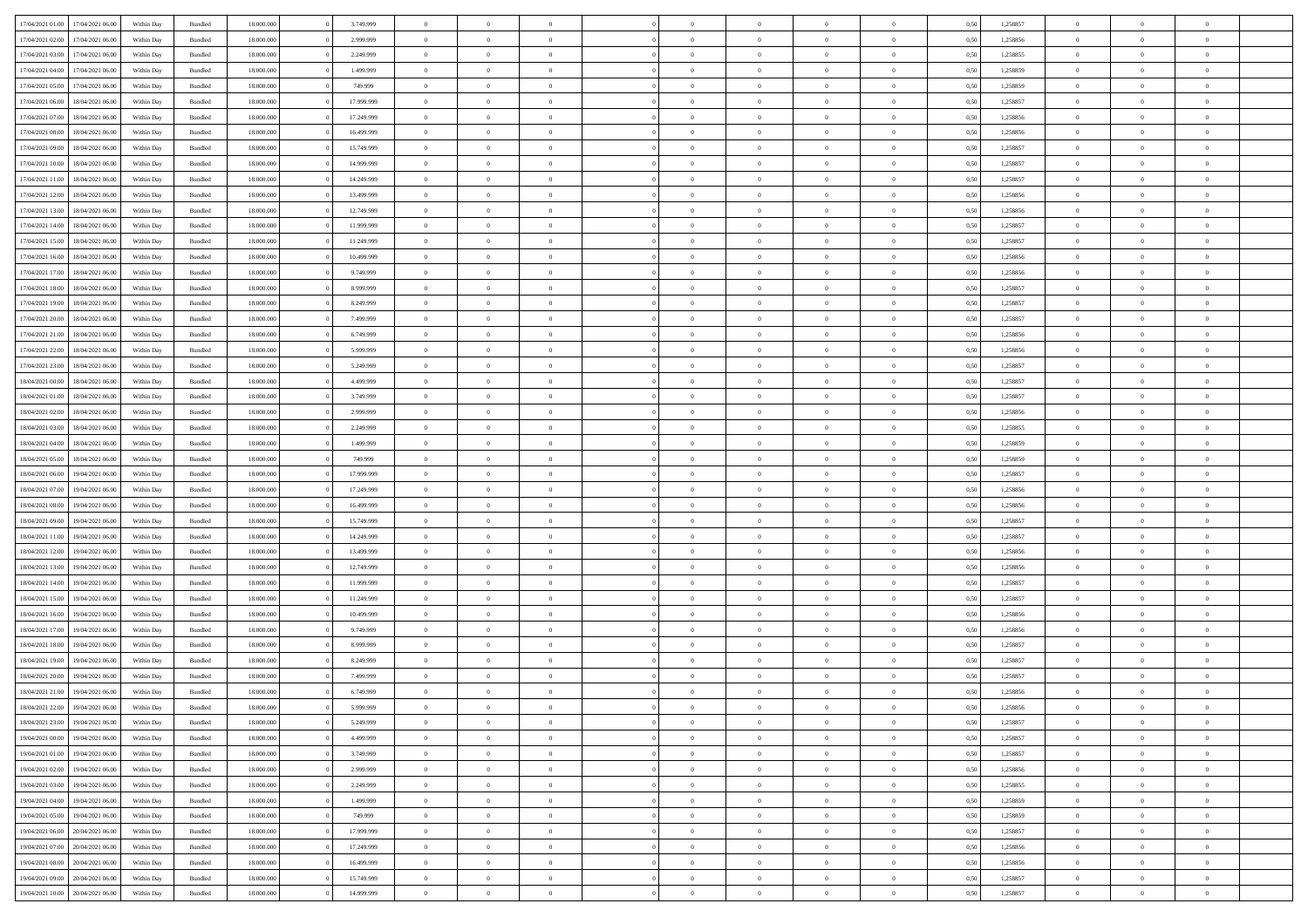|                  |                  |            |                    |            |            | $\overline{0}$ |                |                |                | $\Omega$       | $\Omega$       | $\theta$       |      |          | $\theta$       | $\overline{0}$ | $\theta$       |  |
|------------------|------------------|------------|--------------------|------------|------------|----------------|----------------|----------------|----------------|----------------|----------------|----------------|------|----------|----------------|----------------|----------------|--|
| 17/04/2021 01:00 | 17/04/2021 06:00 | Within Day | Bundled            | 18.000.000 | 3.749.999  |                | $\theta$       |                | $\Omega$       |                |                |                | 0.50 | 1,258857 |                |                |                |  |
| 17/04/2021 02.00 | 17/04/2021 06:00 | Within Day | Bundled            | 18.000.000 | 2.999.999  | $\overline{0}$ | $\theta$       | $\overline{0}$ | $\overline{0}$ | $\bf{0}$       | $\overline{0}$ | $\overline{0}$ | 0,50 | 1,258856 | $\theta$       | $\overline{0}$ | $\overline{0}$ |  |
| 17/04/2021 03:00 | 17/04/2021 06:00 | Within Day | Bundled            | 18.000.000 | 2.249.999  | $\overline{0}$ | $\overline{0}$ | $\overline{0}$ | $\bf{0}$       | $\bf{0}$       | $\overline{0}$ | $\bf{0}$       | 0,50 | 1,258855 | $\bf{0}$       | $\overline{0}$ | $\overline{0}$ |  |
| 17/04/2021 04:00 | 17/04/2021 06:00 | Within Dav | Bundled            | 18.000.000 | 1.499.999  | $\overline{0}$ | $\overline{0}$ | $\overline{0}$ | $\overline{0}$ | $\bf{0}$       | $\overline{0}$ | $\overline{0}$ | 0.50 | 1.258859 | $\theta$       | $\theta$       | $\overline{0}$ |  |
| 17/04/2021 05:00 | 17/04/2021 06:00 | Within Day | Bundled            | 18.000.000 | 749.999    | $\overline{0}$ | $\theta$       | $\overline{0}$ | $\overline{0}$ | $\bf{0}$       | $\overline{0}$ | $\bf{0}$       | 0,50 | 1,258859 | $\theta$       | $\theta$       | $\overline{0}$ |  |
|                  |                  |            |                    |            |            |                |                |                |                |                |                |                |      |          |                |                |                |  |
| 17/04/2021 06:00 | 18/04/2021 06:00 | Within Day | Bundled            | 18.000.000 | 17.999.999 | $\overline{0}$ | $\bf{0}$       | $\overline{0}$ | $\overline{0}$ | $\overline{0}$ | $\overline{0}$ | $\mathbf{0}$   | 0,50 | 1,258857 | $\overline{0}$ | $\overline{0}$ | $\bf{0}$       |  |
| 17/04/2021 07:00 | 18/04/2021 06:00 | Within Dav | Bundled            | 18.000.000 | 17.249.999 | $\overline{0}$ | $\overline{0}$ | $\overline{0}$ | $\overline{0}$ | $\bf{0}$       | $\overline{0}$ | $\overline{0}$ | 0.50 | 1,258856 | $\theta$       | $\overline{0}$ | $\overline{0}$ |  |
| 17/04/2021 08:00 | 18/04/2021 06:00 | Within Day | Bundled            | 18.000.000 | 16.499.999 | $\overline{0}$ | $\theta$       | $\overline{0}$ | $\overline{0}$ | $\bf{0}$       | $\overline{0}$ | $\bf{0}$       | 0,50 | 1,258856 | $\theta$       | $\theta$       | $\overline{0}$ |  |
| 17/04/2021 09:00 | 18/04/2021 06:00 | Within Day | Bundled            | 18.000.000 | 15.749.999 | $\overline{0}$ | $\overline{0}$ | $\overline{0}$ | $\overline{0}$ | $\bf{0}$       | $\overline{0}$ | $\bf{0}$       | 0,50 | 1,258857 | $\,0\,$        | $\overline{0}$ | $\overline{0}$ |  |
| 17/04/2021 10:00 | 18/04/2021 06:00 | Within Dav | Bundled            | 18.000.000 | 14.999.999 | $\overline{0}$ | $\overline{0}$ | $\overline{0}$ | $\overline{0}$ | $\overline{0}$ | $\overline{0}$ | $\overline{0}$ | 0.50 | 1,258857 | $\theta$       | $\overline{0}$ | $\overline{0}$ |  |
| 17/04/2021 11:00 | 18/04/2021 06:00 | Within Day | Bundled            | 18.000.000 | 14.249.999 | $\overline{0}$ | $\theta$       | $\overline{0}$ | $\overline{0}$ | $\bf{0}$       | $\overline{0}$ | $\bf{0}$       | 0,50 | 1,258857 | $\theta$       | $\theta$       | $\overline{0}$ |  |
| 17/04/2021 12:00 | 18/04/2021 06:00 | Within Day | Bundled            | 18.000.000 | 13.499.999 | $\overline{0}$ | $\overline{0}$ | $\overline{0}$ | $\overline{0}$ | $\bf{0}$       | $\overline{0}$ | $\bf{0}$       | 0,50 | 1,258856 | $\bf{0}$       | $\overline{0}$ | $\overline{0}$ |  |
|                  |                  |            |                    |            |            |                |                |                |                |                |                |                |      |          |                |                |                |  |
| 17/04/2021 13:00 | 18/04/2021 06:00 | Within Dav | Bundled            | 18.000.000 | 12.749.999 | $\overline{0}$ | $\overline{0}$ | $\overline{0}$ | $\overline{0}$ | $\bf{0}$       | $\overline{0}$ | $\overline{0}$ | 0.50 | 1.258856 | $\theta$       | $\theta$       | $\overline{0}$ |  |
| 17/04/2021 14:00 | 18/04/2021 06:00 | Within Day | Bundled            | 18.000.000 | 11.999.999 | $\overline{0}$ | $\theta$       | $\overline{0}$ | $\overline{0}$ | $\bf{0}$       | $\overline{0}$ | $\overline{0}$ | 0,50 | 1,258857 | $\theta$       | $\theta$       | $\overline{0}$ |  |
| 17/04/2021 15:00 | 18/04/2021 06:00 | Within Day | Bundled            | 18.000.000 | 11.249.999 | $\overline{0}$ | $\overline{0}$ | $\overline{0}$ | $\bf{0}$       | $\overline{0}$ | $\overline{0}$ | $\mathbf{0}$   | 0,50 | 1,258857 | $\bf{0}$       | $\overline{0}$ | $\bf{0}$       |  |
| 17/04/2021 16:00 | 18/04/2021 06:00 | Within Dav | Bundled            | 18.000.000 | 10.499.999 | $\overline{0}$ | $\overline{0}$ | $\overline{0}$ | $\overline{0}$ | $\overline{0}$ | $\overline{0}$ | $\overline{0}$ | 0.50 | 1,258856 | $\theta$       | $\overline{0}$ | $\overline{0}$ |  |
| 17/04/2021 17:00 | 18/04/2021 06:00 | Within Day | Bundled            | 18.000.000 | 9.749.999  | $\overline{0}$ | $\theta$       | $\overline{0}$ | $\overline{0}$ | $\bf{0}$       | $\overline{0}$ | $\bf{0}$       | 0,50 | 1,258856 | $\theta$       | $\theta$       | $\overline{0}$ |  |
| 17/04/2021 18:00 | 18/04/2021 06:00 | Within Day | Bundled            | 18.000.000 | 8.999.999  | $\overline{0}$ | $\overline{0}$ | $\overline{0}$ | $\bf{0}$       | $\bf{0}$       | $\bf{0}$       | $\bf{0}$       | 0,50 | 1,258857 | $\,0\,$        | $\overline{0}$ | $\overline{0}$ |  |
| 17/04/2021 19:00 | 18/04/2021 06:00 | Within Dav | Bundled            | 18.000.000 | 8.249.999  | $\overline{0}$ | $\overline{0}$ | $\overline{0}$ | $\overline{0}$ | $\overline{0}$ | $\overline{0}$ | $\overline{0}$ | 0.50 | 1,258857 | $\theta$       | $\overline{0}$ | $\overline{0}$ |  |
|                  |                  |            |                    |            |            |                |                |                |                |                |                |                |      |          |                |                |                |  |
| 17/04/2021 20:00 | 18/04/2021 06:00 | Within Day | Bundled            | 18.000.000 | 7.499.999  | $\overline{0}$ | $\theta$       | $\overline{0}$ | $\overline{0}$ | $\bf{0}$       | $\overline{0}$ | $\bf{0}$       | 0,50 | 1,258857 | $\theta$       | $\theta$       | $\overline{0}$ |  |
| 17/04/2021 21.00 | 18/04/2021 06:00 | Within Day | Bundled            | 18.000.000 | 6.749.999  | $\overline{0}$ | $\overline{0}$ | $\overline{0}$ | $\bf{0}$       | $\bf{0}$       | $\bf{0}$       | $\bf{0}$       | 0,50 | 1,258856 | $\,0\,$        | $\overline{0}$ | $\overline{0}$ |  |
| 17/04/2021 22:00 | 18/04/2021 06:00 | Within Day | Bundled            | 18.000.000 | 5.999.999  | $\overline{0}$ | $\overline{0}$ | $\overline{0}$ | $\overline{0}$ | $\bf{0}$       | $\overline{0}$ | $\overline{0}$ | 0.50 | 1.258856 | $\theta$       | $\theta$       | $\overline{0}$ |  |
| 17/04/2021 23:00 | 18/04/2021 06:00 | Within Day | Bundled            | 18.000.000 | 5.249.999  | $\overline{0}$ | $\theta$       | $\overline{0}$ | $\overline{0}$ | $\bf{0}$       | $\overline{0}$ | $\bf{0}$       | 0,50 | 1,258857 | $\theta$       | $\overline{0}$ | $\overline{0}$ |  |
| 18/04/2021 00:00 | 18/04/2021 06:00 | Within Day | Bundled            | 18.000.000 | 4.499.999  | $\overline{0}$ | $\bf{0}$       | $\overline{0}$ | $\bf{0}$       | $\overline{0}$ | $\overline{0}$ | $\mathbf{0}$   | 0,50 | 1,258857 | $\bf{0}$       | $\overline{0}$ | $\bf{0}$       |  |
| 18/04/2021 01:00 | 18/04/2021 06:00 | Within Dav | Bundled            | 18.000.000 | 3.749.999  | $\overline{0}$ | $\overline{0}$ | $\overline{0}$ | $\overline{0}$ | $\overline{0}$ | $\overline{0}$ | $\overline{0}$ | 0.50 | 1,258857 | $\theta$       | $\overline{0}$ | $\overline{0}$ |  |
|                  |                  |            |                    |            |            | $\overline{0}$ | $\theta$       | $\overline{0}$ |                | $\bf{0}$       | $\overline{0}$ |                |      |          | $\theta$       | $\theta$       | $\overline{0}$ |  |
| 18/04/2021 02:00 | 18/04/2021 06:00 | Within Day | Bundled            | 18.000.000 | 2.999.999  |                |                |                | $\overline{0}$ |                |                | $\bf{0}$       | 0,50 | 1,258856 |                |                |                |  |
| 18/04/2021 03:00 | 18/04/2021 06:00 | Within Day | Bundled            | 18.000.000 | 2.249.999  | $\overline{0}$ | $\overline{0}$ | $\overline{0}$ | $\bf{0}$       | $\bf{0}$       | $\bf{0}$       | $\bf{0}$       | 0,50 | 1,258855 | $\,0\,$        | $\overline{0}$ | $\overline{0}$ |  |
| 18/04/2021 04:00 | 18/04/2021 06:00 | Within Day | Bundled            | 18.000.000 | 1.499.999  | $\overline{0}$ | $\overline{0}$ | $\overline{0}$ | $\overline{0}$ | $\overline{0}$ | $\overline{0}$ | $\overline{0}$ | 0.50 | 1,258859 | $\theta$       | $\theta$       | $\overline{0}$ |  |
| 18/04/2021 05:00 | 18/04/2021 06:00 | Within Day | Bundled            | 18.000.000 | 749.999    | $\overline{0}$ | $\theta$       | $\overline{0}$ | $\overline{0}$ | $\bf{0}$       | $\overline{0}$ | $\bf{0}$       | 0,50 | 1,258859 | $\,$ 0 $\,$    | $\theta$       | $\overline{0}$ |  |
| 18/04/2021 06:00 | 19/04/2021 06:00 | Within Day | Bundled            | 18.000.000 | 17.999.999 | $\overline{0}$ | $\overline{0}$ | $\overline{0}$ | $\bf{0}$       | $\bf{0}$       | $\bf{0}$       | $\bf{0}$       | 0,50 | 1,258857 | $\bf{0}$       | $\overline{0}$ | $\overline{0}$ |  |
| 18/04/2021 07:00 | 19/04/2021 06:00 | Within Day | Bundled            | 18.000.000 | 17.249.999 | $\overline{0}$ | $\Omega$       | $\Omega$       | $\Omega$       | $\Omega$       | $\Omega$       | $\overline{0}$ | 0.50 | 1,258856 | $\,0\,$        | $\theta$       | $\theta$       |  |
| 18/04/2021 08:00 | 19/04/2021 06:00 | Within Day | Bundled            | 18.000.000 | 16.499.999 | $\overline{0}$ | $\theta$       | $\overline{0}$ | $\overline{0}$ | $\bf{0}$       | $\overline{0}$ | $\bf{0}$       | 0,50 | 1,258856 | $\theta$       | $\theta$       | $\overline{0}$ |  |
|                  |                  |            |                    |            |            |                |                |                |                |                |                |                |      |          |                |                |                |  |
| 18/04/2021 09:00 | 19/04/2021 06:00 | Within Day | Bundled            | 18.000.000 | 15.749.999 | $\overline{0}$ | $\bf{0}$       | $\overline{0}$ | $\bf{0}$       | $\bf{0}$       | $\overline{0}$ | $\mathbf{0}$   | 0,50 | 1,258857 | $\overline{0}$ | $\overline{0}$ | $\bf{0}$       |  |
| 18/04/2021 11:00 | 19/04/2021 06:00 | Within Day | Bundled            | 18,000,000 | 14.249.999 | $\overline{0}$ | $\Omega$       | $\Omega$       | $\Omega$       | $\Omega$       | $\Omega$       | $\overline{0}$ | 0.50 | 1,258857 | $\theta$       | $\theta$       | $\theta$       |  |
| 18/04/2021 12:00 | 19/04/2021 06:00 | Within Day | Bundled            | 18.000.000 | 13.499.999 | $\overline{0}$ | $\theta$       | $\overline{0}$ | $\overline{0}$ | $\bf{0}$       | $\overline{0}$ | $\bf{0}$       | 0,50 | 1,258856 | $\theta$       | $\theta$       | $\overline{0}$ |  |
| 18/04/2021 13:00 | 19/04/2021 06:00 | Within Day | Bundled            | 18.000.000 | 12.749.999 | $\overline{0}$ | $\overline{0}$ | $\overline{0}$ | $\bf{0}$       | $\bf{0}$       | $\bf{0}$       | $\bf{0}$       | 0,50 | 1,258856 | $\,0\,$        | $\overline{0}$ | $\overline{0}$ |  |
| 18/04/2021 14:00 | 19/04/2021 06:00 | Within Day | Bundled            | 18,000,000 | 11.999.999 | $\overline{0}$ | $\Omega$       | $\Omega$       | $\Omega$       | $\Omega$       | $\theta$       | $\overline{0}$ | 0.50 | 1,258857 | $\theta$       | $\theta$       | $\theta$       |  |
| 18/04/2021 15:00 | 19/04/2021 06:00 | Within Day | Bundled            | 18.000.000 | 11.249.999 | $\overline{0}$ | $\theta$       | $\overline{0}$ | $\overline{0}$ | $\bf{0}$       | $\overline{0}$ | $\bf{0}$       | 0,50 | 1,258857 | $\,$ 0 $\,$    | $\overline{0}$ | $\overline{0}$ |  |
| 18/04/2021 16:00 | 19/04/2021 06:00 | Within Day | Bundled            | 18.000.000 | 10.499.999 | $\overline{0}$ | $\overline{0}$ | $\overline{0}$ | $\bf{0}$       | $\bf{0}$       | $\bf{0}$       | $\bf{0}$       | 0,50 | 1,258856 | $\overline{0}$ | $\overline{0}$ | $\overline{0}$ |  |
|                  |                  |            |                    |            |            |                |                |                |                |                |                |                |      |          |                |                |                |  |
| 18/04/2021 17:00 | 19/04/2021 06:00 | Within Day | Bundled            | 18.000.000 | 9.749.999  | $\overline{0}$ | $\Omega$       | $\Omega$       | $\Omega$       | $\Omega$       | $\overline{0}$ | $\overline{0}$ | 0.50 | 1,258856 | $\,0\,$        | $\theta$       | $\theta$       |  |
| 18/04/2021 18:00 | 19/04/2021 06:00 | Within Day | Bundled            | 18.000.000 | 8.999.999  | $\overline{0}$ | $\theta$       | $\overline{0}$ | $\overline{0}$ | $\bf{0}$       | $\overline{0}$ | $\bf{0}$       | 0,50 | 1,258857 | $\,$ 0 $\,$    | $\theta$       | $\overline{0}$ |  |
| 18/04/2021 19:00 | 19/04/2021 06:00 | Within Day | Bundled            | 18.000.000 | 8.249.999  | $\overline{0}$ | $\overline{0}$ | $\overline{0}$ | $\overline{0}$ | $\bf{0}$       | $\overline{0}$ | $\mathbf{0}$   | 0,50 | 1,258857 | $\overline{0}$ | $\overline{0}$ | $\bf{0}$       |  |
| 18/04/2021 20:00 | 19/04/2021 06:00 | Within Day | Bundled            | 18,000,000 | 7.499.999  | $\overline{0}$ | $\Omega$       | $\Omega$       | $\Omega$       | $\Omega$       | $\Omega$       | $\overline{0}$ | 0.50 | 1,258857 | $\theta$       | $\Omega$       | $\theta$       |  |
| 18/04/2021 21:00 | 19/04/2021 06:00 | Within Day | Bundled            | 18.000.000 | 6.749.999  | $\overline{0}$ | $\overline{0}$ | $\overline{0}$ | $\bf{0}$       | $\,$ 0         | $\overline{0}$ | $\bf{0}$       | 0,50 | 1,258856 | $\,0\,$        | $\overline{0}$ | $\overline{0}$ |  |
| 18/04/2021 22:00 | 19/04/2021 06:00 | Within Day | $\mathbf B$ undled | 18.000.000 | 5.999.999  | $\bf{0}$       | $\bf{0}$       |                |                | $\bf{0}$       |                |                | 0,50 | 1,258856 | $\bf{0}$       | $\overline{0}$ |                |  |
| 18/04/2021 23:00 | 19/04/2021 06:00 | Within Day | Bundled            | 18,000,000 | 5.249.999  | $\overline{0}$ | $\overline{0}$ | $\overline{0}$ | $\Omega$       | $\overline{0}$ | $\overline{0}$ | $\overline{0}$ | 0.50 | 1,258857 | $\theta$       | $\theta$       | $\theta$       |  |
| 19/04/2021 00:00 | 19/04/2021 06:00 | Within Day | Bundled            | 18.000.000 | 4.499.999  | $\overline{0}$ | $\,$ 0         | $\overline{0}$ | $\overline{0}$ | $\,$ 0 $\,$    | $\overline{0}$ | $\mathbf{0}$   | 0,50 | 1,258857 | $\,$ 0 $\,$    | $\,$ 0 $\,$    | $\,$ 0         |  |
|                  |                  |            |                    |            |            |                |                |                |                |                |                |                |      |          |                |                |                |  |
| 19/04/2021 01:00 | 19/04/2021 06:00 | Within Day | Bundled            | 18.000.000 | 3.749.999  | $\overline{0}$ | $\overline{0}$ | $\overline{0}$ | $\overline{0}$ | $\overline{0}$ | $\overline{0}$ | $\mathbf{0}$   | 0,50 | 1,258857 | $\overline{0}$ | $\bf{0}$       | $\bf{0}$       |  |
| 19/04/2021 02:00 | 19/04/2021 06:00 | Within Day | Bundled            | 18,000,000 | 2.999.999  | $\overline{0}$ | $\overline{0}$ | $\overline{0}$ | $\Omega$       | $\overline{0}$ | $\overline{0}$ | $\bf{0}$       | 0,50 | 1,258856 | $\overline{0}$ | $\theta$       | $\overline{0}$ |  |
| 19/04/2021 03:00 | 19/04/2021 06:00 | Within Day | Bundled            | 18.000.000 | 2.249.999  | $\overline{0}$ | $\,$ 0         | $\overline{0}$ | $\overline{0}$ | $\,$ 0 $\,$    | $\overline{0}$ | $\bf{0}$       | 0,50 | 1,258855 | $\,$ 0 $\,$    | $\overline{0}$ | $\overline{0}$ |  |
| 19/04/2021 04:00 | 19/04/2021 06:00 | Within Day | Bundled            | 18.000.000 | 1.499.999  | $\overline{0}$ | $\overline{0}$ | $\overline{0}$ | $\overline{0}$ | $\overline{0}$ | $\overline{0}$ | $\mathbf{0}$   | 0,50 | 1,258859 | $\overline{0}$ | $\bf{0}$       | $\bf{0}$       |  |
| 19/04/2021 05:00 | 19/04/2021 06:00 | Within Day | Bundled            | 18,000,000 | 749.999    | $\overline{0}$ | $\overline{0}$ | $\overline{0}$ | $\Omega$       | $\overline{0}$ | $\overline{0}$ | $\bf{0}$       | 0.50 | 1,258859 | $\overline{0}$ | $\theta$       | $\overline{0}$ |  |
| 19/04/2021 06:00 | 20/04/2021 06:00 | Within Day | Bundled            | 18.000.000 | 17.999.999 | $\overline{0}$ | $\,$ 0         | $\overline{0}$ | $\overline{0}$ | $\bf{0}$       | $\overline{0}$ | $\bf{0}$       | 0,50 | 1,258857 | $\,$ 0 $\,$    | $\overline{0}$ | $\overline{0}$ |  |
|                  |                  |            |                    |            |            |                |                |                |                |                |                |                |      |          |                |                |                |  |
| 19/04/2021 07:00 | 20/04/2021 06:00 | Within Day | Bundled            | 18.000.000 | 17.249.999 | $\overline{0}$ | $\bf{0}$       | $\overline{0}$ | $\overline{0}$ | $\overline{0}$ | $\overline{0}$ | $\mathbf{0}$   | 0,50 | 1,258856 | $\overline{0}$ | $\overline{0}$ | $\bf{0}$       |  |
| 19/04/2021 08:00 | 20/04/2021 06:00 | Within Day | Bundled            | 18,000,000 | 16.499.999 | $\overline{0}$ | $\overline{0}$ | $\overline{0}$ | $\Omega$       | $\overline{0}$ | $\overline{0}$ | $\bf{0}$       | 0.50 | 1,258856 | $\overline{0}$ | $\overline{0}$ | $\overline{0}$ |  |
| 19/04/2021 09:00 | 20/04/2021 06:00 | Within Day | Bundled            | 18.000.000 | 15.749.999 | $\overline{0}$ | $\,$ 0 $\,$    | $\overline{0}$ | $\overline{0}$ | $\bf{0}$       | $\overline{0}$ | $\bf{0}$       | 0,50 | 1,258857 | $\,$ 0 $\,$    | $\,$ 0 $\,$    | $\bf{0}$       |  |
| 19/04/2021 10:00 | 20/04/2021 06:00 | Within Day | Bundled            | 18.000.000 | 14.999.999 | $\overline{0}$ | $\bf{0}$       | $\overline{0}$ | $\bf{0}$       | $\bf{0}$       | $\overline{0}$ | $\bf{0}$       | 0,50 | 1,258857 | $\overline{0}$ | $\overline{0}$ | $\bf{0}$       |  |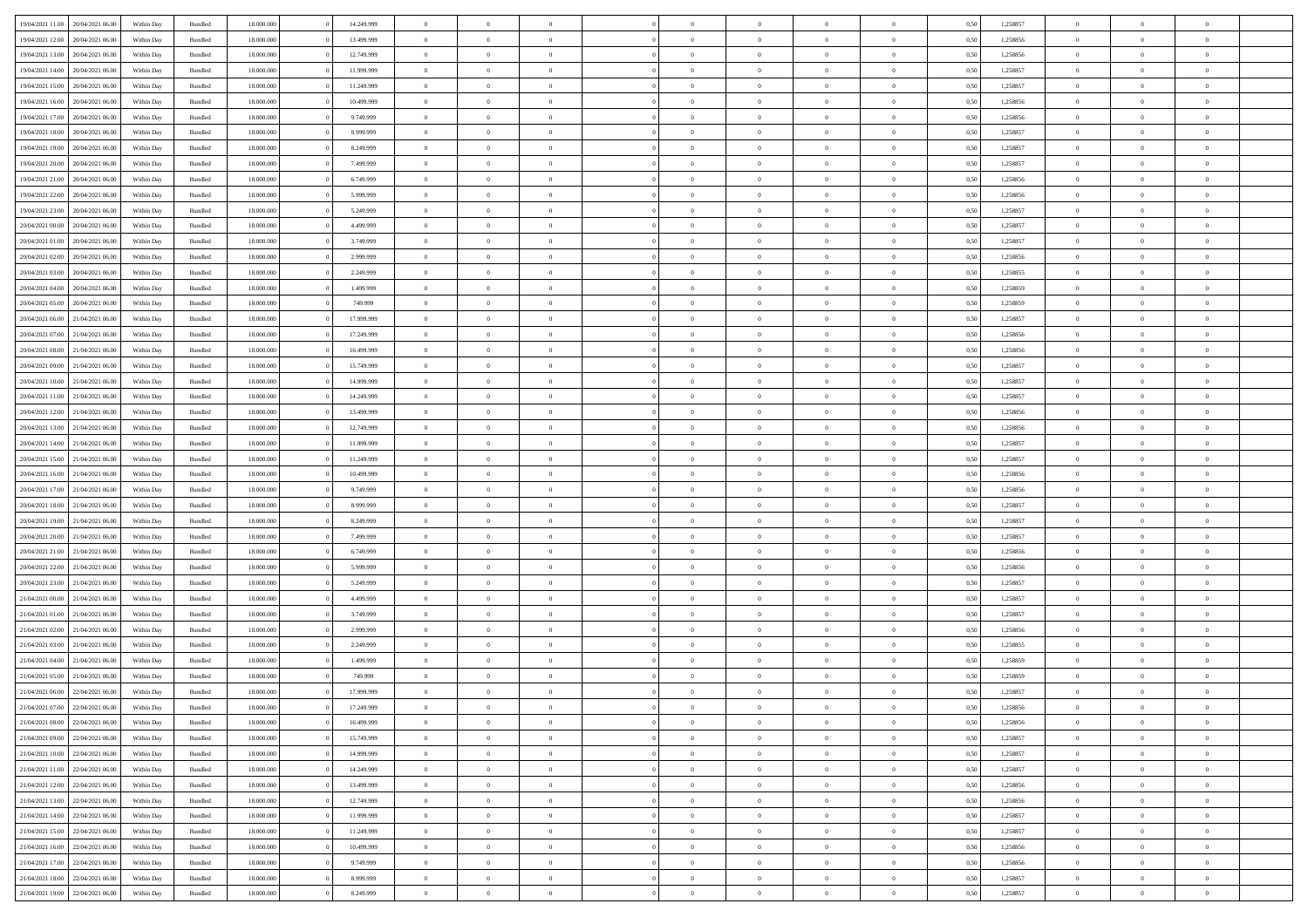| 19/04/2021 11:00                  | 20/04/2021 06:00 | Within Day | Bundled            | 18.000.000 | 14.249.999 | $\overline{0}$ | $\Omega$       |                | $\Omega$       | $\Omega$       | $\Omega$       | $\theta$       | 0.50 | 1,258857 | $\theta$       | $\theta$       | $\theta$       |  |
|-----------------------------------|------------------|------------|--------------------|------------|------------|----------------|----------------|----------------|----------------|----------------|----------------|----------------|------|----------|----------------|----------------|----------------|--|
|                                   |                  |            |                    |            |            |                |                |                |                |                |                |                |      |          |                |                |                |  |
| 19/04/2021 12:00                  | 20/04/2021 06:00 | Within Day | Bundled            | 18.000.000 | 13.499.999 | $\overline{0}$ | $\theta$       | $\overline{0}$ | $\overline{0}$ | $\bf{0}$       | $\overline{0}$ | $\overline{0}$ | 0,50 | 1,258856 | $\theta$       | $\theta$       | $\overline{0}$ |  |
| 19/04/2021 13:00                  | 20/04/2021 06:00 | Within Day | Bundled            | 18.000.000 | 12.749.999 | $\overline{0}$ | $\overline{0}$ | $\overline{0}$ | $\bf{0}$       | $\bf{0}$       | $\bf{0}$       | $\bf{0}$       | 0,50 | 1,258856 | $\bf{0}$       | $\overline{0}$ | $\overline{0}$ |  |
|                                   |                  |            |                    |            |            |                |                |                |                |                |                |                |      |          |                |                |                |  |
| 19/04/2021 14:00                  | 20/04/2021 06:00 | Within Dav | Bundled            | 18.000.000 | 11.999.999 | $\overline{0}$ | $\theta$       | $\overline{0}$ | $\overline{0}$ | $\bf{0}$       | $\overline{0}$ | $\overline{0}$ | 0.50 | 1.258857 | $\theta$       | $\theta$       | $\overline{0}$ |  |
| 19/04/2021 15:00                  | 20/04/2021 06:00 | Within Day | Bundled            | 18.000.000 | 11.249.999 | $\overline{0}$ | $\theta$       | $\overline{0}$ | $\overline{0}$ | $\bf{0}$       | $\overline{0}$ | $\bf{0}$       | 0,50 | 1,258857 | $\theta$       | $\theta$       | $\overline{0}$ |  |
| 19/04/2021 16:00                  | 20/04/2021 06:00 | Within Day | Bundled            | 18.000.000 | 10.499.999 | $\overline{0}$ | $\bf{0}$       | $\overline{0}$ | $\bf{0}$       | $\overline{0}$ | $\overline{0}$ | $\mathbf{0}$   | 0,50 | 1,258856 | $\bf{0}$       | $\overline{0}$ | $\bf{0}$       |  |
| 19/04/2021 17:00                  | 20/04/2021 06:00 | Within Dav | Bundled            | 18.000.000 | 9.749.999  | $\overline{0}$ | $\overline{0}$ | $\overline{0}$ | $\overline{0}$ | $\bf{0}$       | $\overline{0}$ | $\overline{0}$ | 0.50 | 1,258856 | $\theta$       | $\theta$       | $\overline{0}$ |  |
|                                   |                  |            |                    |            |            |                |                |                |                |                |                |                |      |          |                |                |                |  |
| 19/04/2021 18:00                  | 20/04/2021 06:00 | Within Day | Bundled            | 18.000.000 | 8.999.999  | $\overline{0}$ | $\theta$       | $\overline{0}$ | $\overline{0}$ | $\bf{0}$       | $\overline{0}$ | $\bf{0}$       | 0,50 | 1,258857 | $\theta$       | $\theta$       | $\overline{0}$ |  |
| 19/04/2021 19:00                  | 20/04/2021 06:00 | Within Day | Bundled            | 18.000.000 | 8.249.999  | $\overline{0}$ | $\overline{0}$ | $\overline{0}$ | $\bf{0}$       | $\bf{0}$       | $\bf{0}$       | $\bf{0}$       | 0,50 | 1,258857 | $\,0\,$        | $\overline{0}$ | $\overline{0}$ |  |
| 19/04/2021 20:00                  | 20/04/2021 06:00 | Within Dav | Bundled            | 18.000.000 | 7.499.999  | $\overline{0}$ | $\overline{0}$ | $\overline{0}$ | $\overline{0}$ | $\overline{0}$ | $\overline{0}$ | $\overline{0}$ | 0.50 | 1,258857 | $\theta$       | $\overline{0}$ | $\overline{0}$ |  |
|                                   |                  |            |                    |            |            |                |                |                |                |                |                |                |      |          |                |                |                |  |
| 19/04/2021 21:00                  | 20/04/2021 06:00 | Within Day | Bundled            | 18.000.000 | 6.749.999  | $\overline{0}$ | $\theta$       | $\overline{0}$ | $\overline{0}$ | $\bf{0}$       | $\overline{0}$ | $\bf{0}$       | 0,50 | 1,258856 | $\theta$       | $\theta$       | $\overline{0}$ |  |
| 19/04/2021 22.00                  | 20/04/2021 06:00 | Within Day | Bundled            | 18.000.000 | 5.999.999  | $\overline{0}$ | $\overline{0}$ | $\overline{0}$ | $\bf{0}$       | $\bf{0}$       | $\bf{0}$       | $\bf{0}$       | 0,50 | 1,258856 | $\bf{0}$       | $\overline{0}$ | $\overline{0}$ |  |
| 19/04/2021 23:00                  | 20/04/2021 06:00 | Within Day | Bundled            | 18.000.000 | 5.249.999  | $\overline{0}$ | $\theta$       | $\overline{0}$ | $\overline{0}$ | $\bf{0}$       | $\overline{0}$ | $\overline{0}$ | 0.50 | 1.258857 | $\theta$       | $\theta$       | $\overline{0}$ |  |
| 20/04/2021 00:00                  | 20/04/2021 06:00 | Within Day | Bundled            | 18.000.000 | 4.499.999  | $\overline{0}$ | $\theta$       | $\overline{0}$ | $\overline{0}$ | $\bf{0}$       | $\overline{0}$ | $\overline{0}$ | 0,50 | 1,258857 | $\theta$       | $\theta$       | $\overline{0}$ |  |
|                                   |                  |            |                    |            |            |                |                |                |                |                |                |                |      |          |                |                |                |  |
| 20/04/2021 01:00                  | 20/04/2021 06:00 | Within Day | Bundled            | 18.000.000 | 3.749.999  | $\overline{0}$ | $\overline{0}$ | $\overline{0}$ | $\bf{0}$       | $\overline{0}$ | $\bf{0}$       | $\mathbf{0}$   | 0,50 | 1,258857 | $\bf{0}$       | $\overline{0}$ | $\bf{0}$       |  |
| 20/04/2021 02:00                  | 20/04/2021 06:00 | Within Dav | Bundled            | 18.000.000 | 2.999.999  | $\overline{0}$ | $\overline{0}$ | $\overline{0}$ | $\overline{0}$ | $\bf{0}$       | $\overline{0}$ | $\overline{0}$ | 0.50 | 1,258856 | $\theta$       | $\overline{0}$ | $\overline{0}$ |  |
| 20/04/2021 03:00                  | 20/04/2021 06:00 | Within Day | Bundled            | 18.000.000 | 2.249.999  | $\overline{0}$ | $\theta$       | $\overline{0}$ | $\overline{0}$ | $\bf{0}$       | $\overline{0}$ | $\bf{0}$       | 0,50 | 1,258855 | $\theta$       | $\theta$       | $\overline{0}$ |  |
|                                   |                  |            |                    |            |            |                |                |                |                |                |                |                |      |          |                |                |                |  |
| 20/04/2021 04:00                  | 20/04/2021 06:00 | Within Day | Bundled            | 18.000.000 | 1.499.999  | $\overline{0}$ | $\overline{0}$ | $\overline{0}$ | $\bf{0}$       | $\bf{0}$       | $\bf{0}$       | $\bf{0}$       | 0,50 | 1,258859 | $\,0\,$        | $\overline{0}$ | $\overline{0}$ |  |
| 20/04/2021 05:00                  | 20/04/2021 06:00 | Within Dav | Bundled            | 18.000.000 | 749.999    | $\overline{0}$ | $\overline{0}$ | $\overline{0}$ | $\overline{0}$ | $\overline{0}$ | $\overline{0}$ | $\overline{0}$ | 0.50 | 1,258859 | $\theta$       | $\overline{0}$ | $\overline{0}$ |  |
| 20/04/2021 06:00                  | 21/04/2021 06:00 | Within Day | Bundled            | 18.000.000 | 17.999.999 | $\overline{0}$ | $\theta$       | $\overline{0}$ | $\overline{0}$ | $\bf{0}$       | $\overline{0}$ | $\bf{0}$       | 0,50 | 1,258857 | $\theta$       | $\theta$       | $\overline{0}$ |  |
| 20/04/2021 07:00                  | 21/04/2021 06:00 | Within Day | Bundled            | 18.000.000 | 17.249.999 | $\overline{0}$ | $\overline{0}$ | $\overline{0}$ | $\bf{0}$       | $\bf{0}$       | $\bf{0}$       | $\bf{0}$       | 0,50 | 1,258856 | $\,0\,$        | $\overline{0}$ | $\overline{0}$ |  |
|                                   |                  |            |                    |            |            |                |                |                |                |                |                |                |      |          |                |                |                |  |
| 20/04/2021 08:00                  | 21/04/2021 06:00 | Within Day | Bundled            | 18.000.000 | 16.499.999 | $\overline{0}$ | $\overline{0}$ | $\overline{0}$ | $\overline{0}$ | $\bf{0}$       | $\overline{0}$ | $\overline{0}$ | 0.50 | 1.258856 | $\theta$       | $\theta$       | $\overline{0}$ |  |
| 20/04/2021 09:00                  | 21/04/2021 06:00 | Within Day | Bundled            | 18.000.000 | 15.749.999 | $\overline{0}$ | $\theta$       | $\overline{0}$ | $\overline{0}$ | $\bf{0}$       | $\overline{0}$ | $\bf{0}$       | 0,50 | 1,258857 | $\theta$       | $\overline{0}$ | $\overline{0}$ |  |
| 20/04/2021 10:00                  | 21/04/2021 06:00 | Within Day | Bundled            | 18.000.000 | 14.999.999 | $\overline{0}$ | $\overline{0}$ | $\overline{0}$ | $\bf{0}$       | $\overline{0}$ | $\bf{0}$       | $\mathbf{0}$   | 0,50 | 1,258857 | $\overline{0}$ | $\overline{0}$ | $\bf{0}$       |  |
| 20/04/2021 11:00                  | 21/04/2021 06:00 | Within Dav | Bundled            | 18.000.000 | 14.249.999 | $\overline{0}$ | $\overline{0}$ | $\overline{0}$ | $\overline{0}$ | $\overline{0}$ | $\overline{0}$ | $\overline{0}$ | 0.50 | 1,258857 | $\theta$       | $\theta$       | $\overline{0}$ |  |
|                                   |                  |            |                    |            |            |                |                |                |                |                |                |                |      |          |                |                |                |  |
| 20/04/2021 12:00                  | 21/04/2021 06:00 | Within Day | Bundled            | 18.000.000 | 13.499.999 | $\overline{0}$ | $\theta$       | $\overline{0}$ | $\overline{0}$ | $\bf{0}$       | $\overline{0}$ | $\bf{0}$       | 0,50 | 1,258856 | $\theta$       | $\theta$       | $\overline{0}$ |  |
| 20/04/2021 13:00                  | 21/04/2021 06:00 | Within Day | Bundled            | 18.000.000 | 12.749.999 | $\overline{0}$ | $\overline{0}$ | $\overline{0}$ | $\bf{0}$       | $\bf{0}$       | $\bf{0}$       | $\bf{0}$       | 0,50 | 1,258856 | $\,0\,$        | $\overline{0}$ | $\overline{0}$ |  |
| 20/04/2021 14:00                  | 21/04/2021 06:00 | Within Day | Bundled            | 18.000.000 | 11.999.999 | $\overline{0}$ | $\overline{0}$ | $\overline{0}$ | $\overline{0}$ | $\bf{0}$       | $\overline{0}$ | $\overline{0}$ | 0.50 | 1,258857 | $\theta$       | $\theta$       | $\overline{0}$ |  |
| 20/04/2021 15:00                  | 21/04/2021 06:00 | Within Day | Bundled            | 18.000.000 | 11.249.999 | $\overline{0}$ | $\theta$       | $\overline{0}$ | $\overline{0}$ | $\bf{0}$       | $\overline{0}$ | $\bf{0}$       | 0,50 | 1,258857 | $\,$ 0 $\,$    | $\theta$       | $\overline{0}$ |  |
|                                   |                  |            |                    |            |            |                |                |                |                |                |                |                |      |          |                |                |                |  |
| 20/04/2021 16:00                  | 21/04/2021 06:00 | Within Day | Bundled            | 18.000.000 | 10.499.999 | $\overline{0}$ | $\overline{0}$ | $\overline{0}$ | $\bf{0}$       | $\bf{0}$       | $\bf{0}$       | $\bf{0}$       | 0,50 | 1,258856 | $\overline{0}$ | $\overline{0}$ | $\overline{0}$ |  |
| 20/04/2021 17:00                  | 21/04/2021 06.00 | Within Day | Bundled            | 18.000.000 | 9.749.999  | $\overline{0}$ | $\Omega$       | $\Omega$       | $\Omega$       | $\Omega$       | $\Omega$       | $\overline{0}$ | 0.50 | 1,258856 | $\,0\,$        | $\Omega$       | $\theta$       |  |
| 20/04/2021 18:00                  | 21/04/2021 06:00 | Within Day | Bundled            | 18.000.000 | 8.999.999  | $\overline{0}$ | $\theta$       | $\overline{0}$ | $\overline{0}$ | $\bf{0}$       | $\overline{0}$ | $\bf{0}$       | 0,50 | 1,258857 | $\theta$       | $\theta$       | $\overline{0}$ |  |
|                                   |                  |            |                    |            |            |                |                |                |                |                |                |                |      |          |                |                |                |  |
| 20/04/2021 19:00                  | 21/04/2021 06:00 | Within Day | Bundled            | 18.000.000 | 8.249.999  | $\overline{0}$ | $\bf{0}$       | $\overline{0}$ | $\overline{0}$ | $\bf{0}$       | $\overline{0}$ | $\mathbf{0}$   | 0,50 | 1,258857 | $\overline{0}$ | $\overline{0}$ | $\bf{0}$       |  |
| 20/04/2021 20:00                  | 21/04/2021 06:00 | Within Day | Bundled            | 18,000,000 | 7.499.999  | $\overline{0}$ | $\Omega$       | $\Omega$       | $\Omega$       | $\Omega$       | $\Omega$       | $\overline{0}$ | 0.50 | 1,258857 | $\theta$       | $\theta$       | $\theta$       |  |
| 20/04/2021 21:00                  | 21/04/2021 06:00 | Within Day | Bundled            | 18.000.000 | 6.749.999  | $\overline{0}$ | $\theta$       | $\overline{0}$ | $\overline{0}$ | $\bf{0}$       | $\overline{0}$ | $\bf{0}$       | 0,50 | 1,258856 | $\theta$       | $\theta$       | $\overline{0}$ |  |
| 20/04/2021 22:00                  | 21/04/2021 06.00 | Within Day | Bundled            | 18.000.000 | 5.999.999  | $\overline{0}$ | $\overline{0}$ | $\overline{0}$ | $\overline{0}$ | $\bf{0}$       | $\overline{0}$ | $\bf{0}$       | 0,50 | 1,258856 | $\,0\,$        | $\overline{0}$ | $\overline{0}$ |  |
|                                   |                  |            |                    |            |            |                |                |                |                |                |                |                |      |          |                |                |                |  |
| 20/04/2021 23:00                  | 21/04/2021 06:00 | Within Day | Bundled            | 18,000,000 | 5.249.999  | $\overline{0}$ | $\Omega$       | $\Omega$       | $\Omega$       | $\Omega$       | $\theta$       | $\overline{0}$ | 0.50 | 1,258857 | $\theta$       | $\theta$       | $\theta$       |  |
| 21/04/2021 00:00                  | 21/04/2021 06:00 | Within Day | Bundled            | 18.000.000 | 4.499.999  | $\overline{0}$ | $\theta$       | $\overline{0}$ | $\overline{0}$ | $\bf{0}$       | $\overline{0}$ | $\bf{0}$       | 0,50 | 1,258857 | $\,$ 0 $\,$    | $\theta$       | $\overline{0}$ |  |
| 21/04/2021 01:00                  | 21/04/2021 06:00 | Within Day | Bundled            | 18.000.000 | 3.749.999  | $\overline{0}$ | $\overline{0}$ | $\overline{0}$ | $\overline{0}$ | $\bf{0}$       | $\overline{0}$ | $\bf{0}$       | 0,50 | 1,258857 | $\overline{0}$ | $\overline{0}$ | $\overline{0}$ |  |
|                                   |                  |            |                    | 18.000.000 |            | $\overline{0}$ | $\Omega$       | $\Omega$       | $\Omega$       | $\Omega$       | $\overline{0}$ | $\overline{0}$ | 0.50 |          | $\,0\,$        | $\theta$       | $\theta$       |  |
| 21/04/2021 02:00                  | 21/04/2021 06.00 | Within Day | Bundled            |            | 2.999.999  |                |                |                |                |                |                |                |      | 1,258856 |                |                |                |  |
| 21/04/2021 03:00                  | 21/04/2021 06:00 | Within Day | Bundled            | 18.000.000 | 2.249.999  | $\overline{0}$ | $\theta$       | $\overline{0}$ | $\overline{0}$ | $\bf{0}$       | $\overline{0}$ | $\bf{0}$       | 0,50 | 1,258855 | $\,$ 0 $\,$    | $\theta$       | $\overline{0}$ |  |
| 21/04/2021 04:00                  | 21/04/2021 06:00 | Within Day | Bundled            | 18.000.000 | 1.499.999  | $\overline{0}$ | $\overline{0}$ | $\overline{0}$ | $\overline{0}$ | $\bf{0}$       | $\overline{0}$ | $\mathbf{0}$   | 0,50 | 1,258859 | $\overline{0}$ | $\overline{0}$ | $\bf{0}$       |  |
| 21/04/2021 05:00                  | 21/04/2021 06:00 | Within Day | Bundled            | 18,000,000 | 749.999    | $\overline{0}$ | $\Omega$       | $\Omega$       | $\Omega$       | $\Omega$       | $\Omega$       | $\overline{0}$ | 0.50 | 1,258859 | $\theta$       | $\Omega$       | $\theta$       |  |
| 21/04/2021 06:00                  | 22/04/2021 06:00 | Within Day | Bundled            | 18.000.000 | 17.999.999 | $\overline{0}$ | $\overline{0}$ | $\overline{0}$ | $\bf{0}$       | $\,$ 0         | $\overline{0}$ | $\bf{0}$       | 0,50 | 1,258857 | $\,0\,$        | $\overline{0}$ | $\overline{0}$ |  |
|                                   |                  |            |                    |            |            |                |                |                |                |                |                |                |      |          |                |                |                |  |
| 21/04/2021 07:00                  | 22/04/2021 06:00 | Within Day | $\mathbf B$ undled | 18.000.000 | 17.249.999 | $\bf{0}$       | $\bf{0}$       |                |                | $\bf{0}$       |                |                | 0,50 | 1,258856 | $\bf{0}$       | $\overline{0}$ |                |  |
| 21/04/2021 08:00                  | 22/04/2021 06:00 | Within Day | Bundled            | 18,000,000 | 16.499.999 | $\overline{0}$ | $\overline{0}$ | $\overline{0}$ | $\Omega$       | $\overline{0}$ | $\overline{0}$ | $\overline{0}$ | 0.50 | 1,258856 | $\theta$       | $\theta$       | $\theta$       |  |
| 21/04/2021 09:00                  | 22/04/2021 06:00 | Within Day | Bundled            | 18.000.000 | 15.749.999 | $\overline{0}$ | $\,$ 0         | $\overline{0}$ | $\overline{0}$ | $\,$ 0 $\,$    | $\overline{0}$ | $\mathbf{0}$   | 0,50 | 1,258857 | $\,$ 0 $\,$    | $\,$ 0 $\,$    | $\,$ 0         |  |
|                                   |                  |            |                    |            |            |                |                |                |                |                |                |                |      |          |                |                |                |  |
| 21/04/2021 10:00                  | 22/04/2021 06:00 | Within Day | Bundled            | 18.000.000 | 14.999.999 | $\overline{0}$ | $\overline{0}$ | $\overline{0}$ | $\overline{0}$ | $\overline{0}$ | $\overline{0}$ | $\mathbf{0}$   | 0,50 | 1,258857 | $\overline{0}$ | $\bf{0}$       | $\bf{0}$       |  |
| 21/04/2021 11:00                  | 22/04/2021 06:00 | Within Day | Bundled            | 18,000,000 | 14.249.999 | $\overline{0}$ | $\overline{0}$ | $\overline{0}$ | $\Omega$       | $\overline{0}$ | $\overline{0}$ | $\bf{0}$       | 0,50 | 1,258857 | $\bf{0}$       | $\theta$       | $\overline{0}$ |  |
| 21/04/2021 12:00                  | 22/04/2021 06:00 | Within Day | Bundled            | 18.000.000 | 13.499.999 | $\overline{0}$ | $\,$ 0         | $\overline{0}$ | $\overline{0}$ | $\overline{0}$ | $\overline{0}$ | $\bf{0}$       | 0,50 | 1,258856 | $\,$ 0 $\,$    | $\overline{0}$ | $\overline{0}$ |  |
| 21/04/2021 13:00                  | 22/04/2021 06:00 | Within Day | Bundled            | 18.000.000 | 12.749.999 | $\overline{0}$ | $\overline{0}$ | $\overline{0}$ | $\overline{0}$ | $\overline{0}$ | $\overline{0}$ | $\mathbf{0}$   | 0,50 | 1,258856 | $\overline{0}$ | $\overline{0}$ | $\bf{0}$       |  |
|                                   |                  |            |                    |            |            |                |                |                |                |                |                |                |      |          |                |                |                |  |
| 21/04/2021 14:00                  | 22/04/2021 06:00 | Within Day | Bundled            | 18,000,000 | 11.999.999 | $\overline{0}$ | $\overline{0}$ | $\overline{0}$ | $\Omega$       | $\overline{0}$ | $\overline{0}$ | $\bf{0}$       | 0.50 | 1,258857 | $\overline{0}$ | $\theta$       | $\overline{0}$ |  |
| 21/04/2021 15:00                  | 22/04/2021 06:00 | Within Day | Bundled            | 18.000.000 | 11.249.999 | $\overline{0}$ | $\,$ 0         | $\overline{0}$ | $\bf{0}$       | $\bf{0}$       | $\bf{0}$       | $\bf{0}$       | 0,50 | 1,258857 | $\,$ 0 $\,$    | $\overline{0}$ | $\overline{0}$ |  |
| 21/04/2021 16:00                  | 22/04/2021 06:00 | Within Day | Bundled            | 18.000.000 | 10.499.999 | $\overline{0}$ | $\bf{0}$       | $\overline{0}$ | $\overline{0}$ | $\overline{0}$ | $\overline{0}$ | $\mathbf{0}$   | 0,50 | 1,258856 | $\overline{0}$ | $\overline{0}$ | $\bf{0}$       |  |
| 21/04/2021 17:00                  | 22/04/2021 06:00 | Within Day | Bundled            | 18,000,000 | 9.749.999  | $\overline{0}$ | $\overline{0}$ | $\overline{0}$ | $\Omega$       | $\overline{0}$ | $\overline{0}$ | $\bf{0}$       | 0.50 | 1,258856 | $\overline{0}$ | $\overline{0}$ | $\overline{0}$ |  |
|                                   |                  |            |                    |            |            |                |                |                |                |                |                |                |      |          |                |                |                |  |
| 21/04/2021 18:00                  | 22/04/2021 06:00 | Within Day | Bundled            | 18.000.000 | 8.999.999  | $\overline{0}$ | $\bf{0}$       | $\overline{0}$ | $\overline{0}$ | $\bf{0}$       | $\bf{0}$       | $\bf{0}$       | 0,50 | 1,258857 | $\,$ 0 $\,$    | $\,$ 0 $\,$    | $\bf{0}$       |  |
| 21/04/2021 19:00 22/04/2021 06:00 |                  | Within Day | Bundled            | 18.000.000 | 8.249.999  | $\overline{0}$ | $\overline{0}$ | $\overline{0}$ | $\overline{0}$ | $\bf{0}$       | $\bf{0}$       | $\mathbf{0}$   | 0,50 | 1,258857 | $\overline{0}$ | $\bf{0}$       | $\bf{0}$       |  |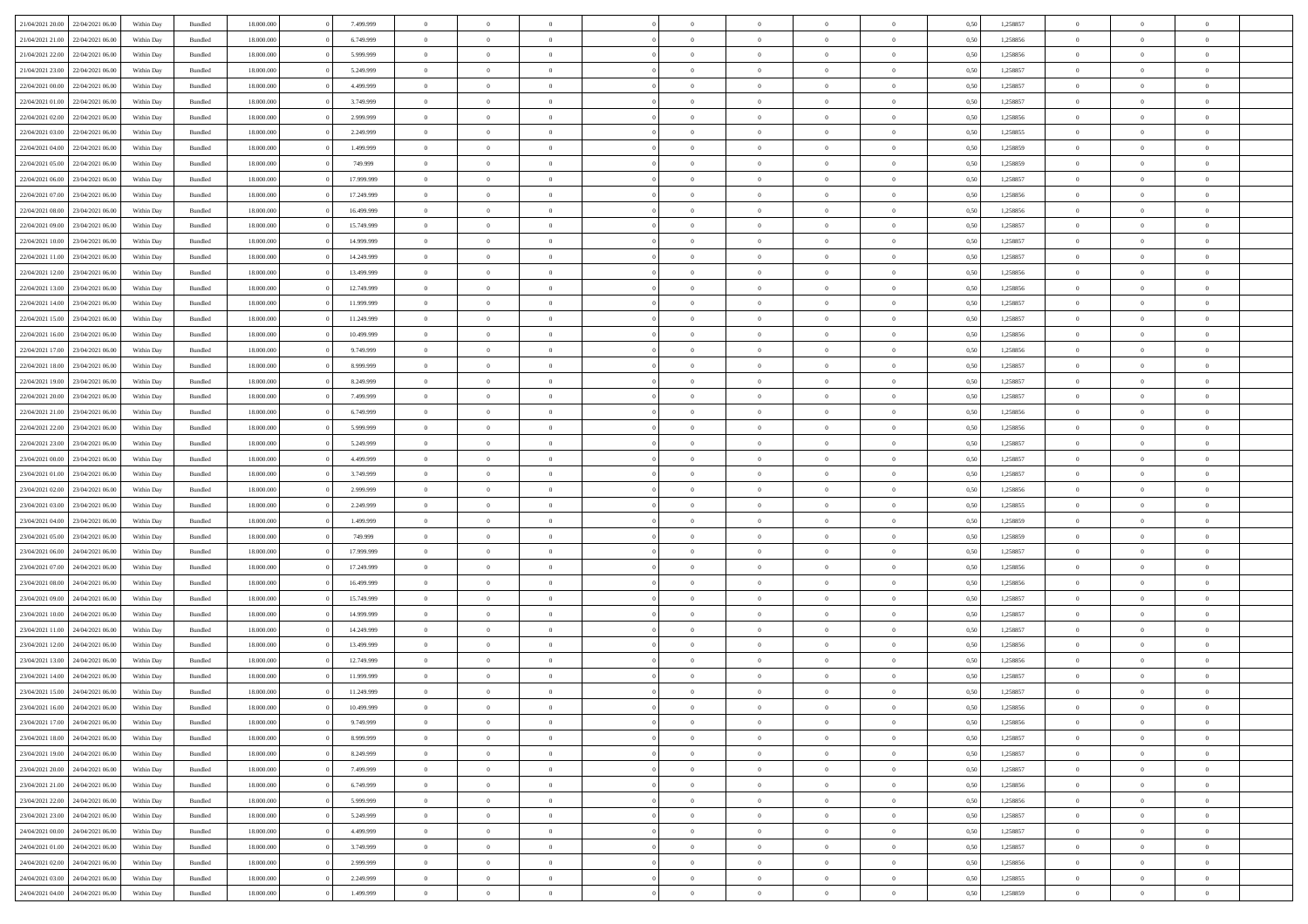|                                   |                  |            |                    |            |            | $\overline{0}$ | $\Omega$       |                |                | $\Omega$       | $\Omega$       | $\theta$       |      |          | $\theta$       |                | $\theta$       |  |
|-----------------------------------|------------------|------------|--------------------|------------|------------|----------------|----------------|----------------|----------------|----------------|----------------|----------------|------|----------|----------------|----------------|----------------|--|
| 21/04/2021 20:00                  | 22/04/2021 06:00 | Within Day | Bundled            | 18.000.000 | 7.499.999  |                |                |                | $\Omega$       |                |                |                | 0.50 | 1,258857 |                | $\theta$       |                |  |
| 21/04/2021 21:00                  | 22/04/2021 06.00 | Within Day | Bundled            | 18.000.000 | 6.749.999  | $\overline{0}$ | $\theta$       | $\overline{0}$ | $\overline{0}$ | $\bf{0}$       | $\overline{0}$ | $\overline{0}$ | 0,50 | 1,258856 | $\theta$       | $\theta$       | $\overline{0}$ |  |
| 21/04/2021 22:00                  | 22/04/2021 06:00 | Within Day | Bundled            | 18.000.000 | 5.999.999  | $\overline{0}$ | $\overline{0}$ | $\overline{0}$ | $\bf{0}$       | $\bf{0}$       | $\bf{0}$       | $\bf{0}$       | 0,50 | 1,258856 | $\bf{0}$       | $\overline{0}$ | $\overline{0}$ |  |
| 21/04/2021 23:00                  | 22/04/2021 06:00 | Within Dav | Bundled            | 18.000.000 | 5.249.999  | $\overline{0}$ | $\theta$       | $\overline{0}$ | $\overline{0}$ | $\bf{0}$       | $\overline{0}$ | $\overline{0}$ | 0.50 | 1.258857 | $\theta$       | $\theta$       | $\overline{0}$ |  |
| 22/04/2021 00:00                  | 22/04/2021 06.00 | Within Day | Bundled            | 18.000.000 | 4.499.999  | $\overline{0}$ | $\theta$       | $\overline{0}$ | $\overline{0}$ | $\bf{0}$       | $\overline{0}$ | $\bf{0}$       | 0,50 | 1,258857 | $\theta$       | $\theta$       | $\overline{0}$ |  |
|                                   |                  |            |                    |            |            |                |                |                |                |                |                |                |      |          |                |                |                |  |
| 22/04/2021 01:00                  | 22/04/2021 06:00 | Within Day | Bundled            | 18.000.000 | 3.749.999  | $\overline{0}$ | $\bf{0}$       | $\overline{0}$ | $\bf{0}$       | $\overline{0}$ | $\bf{0}$       | $\mathbf{0}$   | 0,50 | 1,258857 | $\overline{0}$ | $\overline{0}$ | $\bf{0}$       |  |
| 22/04/2021 02:00                  | 22/04/2021 06:00 | Within Dav | Bundled            | 18.000.000 | 2.999.999  | $\overline{0}$ | $\overline{0}$ | $\overline{0}$ | $\overline{0}$ | $\bf{0}$       | $\overline{0}$ | $\overline{0}$ | 0.50 | 1,258856 | $\theta$       | $\theta$       | $\overline{0}$ |  |
| 22/04/2021 03:00                  | 22/04/2021 06:00 | Within Day | Bundled            | 18.000.000 | 2.249.999  | $\overline{0}$ | $\theta$       | $\overline{0}$ | $\overline{0}$ | $\bf{0}$       | $\overline{0}$ | $\bf{0}$       | 0,50 | 1,258855 | $\theta$       | $\theta$       | $\overline{0}$ |  |
| 22/04/2021 04:00                  | 22/04/2021 06:00 | Within Day | Bundled            | 18.000.000 | 1.499.999  | $\overline{0}$ | $\overline{0}$ | $\overline{0}$ | $\bf{0}$       | $\bf{0}$       | $\bf{0}$       | $\bf{0}$       | 0,50 | 1,258859 | $\,0\,$        | $\overline{0}$ | $\overline{0}$ |  |
| 22/04/2021 05:00                  | 22/04/2021 06:00 | Within Dav | Bundled            | 18.000.000 | 749.999    | $\overline{0}$ | $\overline{0}$ | $\overline{0}$ | $\overline{0}$ | $\overline{0}$ | $\overline{0}$ | $\overline{0}$ | 0.50 | 1,258859 | $\theta$       | $\overline{0}$ | $\overline{0}$ |  |
|                                   |                  |            |                    |            |            |                |                |                |                |                |                |                |      |          |                |                |                |  |
| 22/04/2021 06:00                  | 23/04/2021 06:00 | Within Day | Bundled            | 18.000.000 | 17.999.999 | $\overline{0}$ | $\theta$       | $\overline{0}$ | $\overline{0}$ | $\bf{0}$       | $\overline{0}$ | $\bf{0}$       | 0,50 | 1,258857 | $\theta$       | $\theta$       | $\overline{0}$ |  |
| 22/04/2021 07:00                  | 23/04/2021 06:00 | Within Day | Bundled            | 18.000.000 | 17.249.999 | $\overline{0}$ | $\overline{0}$ | $\overline{0}$ | $\bf{0}$       | $\bf{0}$       | $\bf{0}$       | $\bf{0}$       | 0,50 | 1,258856 | $\bf{0}$       | $\overline{0}$ | $\overline{0}$ |  |
| 22/04/2021 08:00                  | 23/04/2021 06:00 | Within Dav | Bundled            | 18.000.000 | 16.499.999 | $\overline{0}$ | $\theta$       | $\overline{0}$ | $\overline{0}$ | $\bf{0}$       | $\overline{0}$ | $\overline{0}$ | 0.50 | 1.258856 | $\theta$       | $\theta$       | $\overline{0}$ |  |
| 22/04/2021 09:00                  | 23/04/2021 06:00 | Within Day | Bundled            | 18.000.000 | 15.749.999 | $\overline{0}$ | $\theta$       | $\overline{0}$ | $\overline{0}$ | $\bf{0}$       | $\overline{0}$ | $\overline{0}$ | 0,50 | 1,258857 | $\theta$       | $\theta$       | $\overline{0}$ |  |
|                                   | 23/04/2021 06:00 | Within Day | Bundled            | 18.000.000 | 14.999.999 | $\overline{0}$ | $\overline{0}$ | $\overline{0}$ | $\bf{0}$       | $\overline{0}$ | $\bf{0}$       | $\mathbf{0}$   | 0,50 | 1,258857 | $\overline{0}$ | $\overline{0}$ | $\bf{0}$       |  |
| 22/04/2021 10:00                  |                  |            |                    |            |            |                |                |                |                |                |                |                |      |          |                |                |                |  |
| 22/04/2021 11:00                  | 23/04/2021 06:00 | Within Dav | Bundled            | 18.000.000 | 14.249.999 | $\overline{0}$ | $\overline{0}$ | $\overline{0}$ | $\overline{0}$ | $\bf{0}$       | $\overline{0}$ | $\overline{0}$ | 0.50 | 1,258857 | $\theta$       | $\overline{0}$ | $\overline{0}$ |  |
| 22/04/2021 12:00                  | 23/04/2021 06:00 | Within Day | Bundled            | 18.000.000 | 13.499.999 | $\overline{0}$ | $\theta$       | $\overline{0}$ | $\overline{0}$ | $\bf{0}$       | $\overline{0}$ | $\bf{0}$       | 0,50 | 1,258856 | $\theta$       | $\theta$       | $\overline{0}$ |  |
| 22/04/2021 13:00                  | 23/04/2021 06:00 | Within Day | Bundled            | 18.000.000 | 12.749.999 | $\overline{0}$ | $\overline{0}$ | $\overline{0}$ | $\bf{0}$       | $\bf{0}$       | $\bf{0}$       | $\bf{0}$       | 0,50 | 1,258856 | $\,0\,$        | $\overline{0}$ | $\overline{0}$ |  |
| 22/04/2021 14:00                  | 23/04/2021 06:00 | Within Dav | Bundled            | 18.000.000 | 11.999.999 | $\overline{0}$ | $\overline{0}$ | $\overline{0}$ | $\overline{0}$ | $\overline{0}$ | $\overline{0}$ | $\overline{0}$ | 0.50 | 1,258857 | $\theta$       | $\overline{0}$ | $\overline{0}$ |  |
| 22/04/2021 15:00                  | 23/04/2021 06:00 | Within Day | Bundled            | 18.000.000 | 11.249.999 | $\overline{0}$ | $\theta$       | $\overline{0}$ | $\overline{0}$ | $\bf{0}$       | $\overline{0}$ | $\bf{0}$       | 0,50 | 1,258857 | $\theta$       | $\theta$       | $\overline{0}$ |  |
|                                   |                  |            |                    |            |            |                |                |                |                |                |                |                |      |          |                |                |                |  |
| 22/04/2021 16:00                  | 23/04/2021 06:00 | Within Day | Bundled            | 18.000.000 | 10.499.999 | $\overline{0}$ | $\overline{0}$ | $\overline{0}$ | $\bf{0}$       | $\bf{0}$       | $\bf{0}$       | $\bf{0}$       | 0,50 | 1,258856 | $\,0\,$        | $\overline{0}$ | $\overline{0}$ |  |
| 22/04/2021 17:00                  | 23/04/2021 06:00 | Within Day | Bundled            | 18.000.000 | 9.749.999  | $\overline{0}$ | $\overline{0}$ | $\overline{0}$ | $\overline{0}$ | $\bf{0}$       | $\overline{0}$ | $\overline{0}$ | 0.50 | 1.258856 | $\theta$       | $\theta$       | $\overline{0}$ |  |
| 22/04/2021 18:00                  | 23/04/2021 06:00 | Within Day | Bundled            | 18.000.000 | 8.999.999  | $\overline{0}$ | $\theta$       | $\overline{0}$ | $\overline{0}$ | $\bf{0}$       | $\overline{0}$ | $\bf{0}$       | 0,50 | 1,258857 | $\theta$       | $\overline{0}$ | $\overline{0}$ |  |
| 22/04/2021 19:00                  | 23/04/2021 06:00 | Within Day | Bundled            | 18.000.000 | 8.249.999  | $\overline{0}$ | $\bf{0}$       | $\overline{0}$ | $\bf{0}$       | $\overline{0}$ | $\bf{0}$       | $\mathbf{0}$   | 0,50 | 1,258857 | $\overline{0}$ | $\overline{0}$ | $\bf{0}$       |  |
| 22/04/2021 20:00                  | 23/04/2021 06:00 | Within Dav | Bundled            | 18.000.000 | 7.499.999  | $\overline{0}$ | $\overline{0}$ | $\overline{0}$ | $\overline{0}$ | $\overline{0}$ | $\overline{0}$ | $\overline{0}$ | 0.50 | 1,258857 | $\theta$       | $\theta$       | $\overline{0}$ |  |
|                                   |                  |            |                    |            |            | $\overline{0}$ | $\theta$       | $\overline{0}$ |                | $\bf{0}$       | $\overline{0}$ |                |      |          | $\theta$       | $\theta$       | $\overline{0}$ |  |
| 22/04/2021 21:00                  | 23/04/2021 06:00 | Within Day | Bundled            | 18.000.000 | 6.749.999  |                |                |                | $\overline{0}$ |                |                | $\bf{0}$       | 0,50 | 1,258856 |                |                |                |  |
| 22/04/2021 22:00                  | 23/04/2021 06:00 | Within Day | Bundled            | 18.000.000 | 5.999.999  | $\overline{0}$ | $\overline{0}$ | $\overline{0}$ | $\bf{0}$       | $\bf{0}$       | $\bf{0}$       | $\bf{0}$       | 0,50 | 1,258856 | $\,0\,$        | $\overline{0}$ | $\overline{0}$ |  |
| 22/04/2021 23:00                  | 23/04/2021 06:00 | Within Day | Bundled            | 18.000.000 | 5.249.999  | $\overline{0}$ | $\overline{0}$ | $\overline{0}$ | $\overline{0}$ | $\bf{0}$       | $\overline{0}$ | $\overline{0}$ | 0.50 | 1,258857 | $\theta$       | $\theta$       | $\overline{0}$ |  |
| 23/04/2021 00:00                  | 23/04/2021 06:00 | Within Day | Bundled            | 18.000.000 | 4.499.999  | $\overline{0}$ | $\theta$       | $\overline{0}$ | $\overline{0}$ | $\bf{0}$       | $\overline{0}$ | $\bf{0}$       | 0,50 | 1,258857 | $\,$ 0 $\,$    | $\theta$       | $\overline{0}$ |  |
| 23/04/2021 01:00                  | 23/04/2021 06:00 | Within Day | Bundled            | 18.000.000 | 3.749.999  | $\overline{0}$ | $\overline{0}$ | $\overline{0}$ | $\bf{0}$       | $\bf{0}$       | $\bf{0}$       | $\bf{0}$       | 0,50 | 1,258857 | $\overline{0}$ | $\overline{0}$ | $\overline{0}$ |  |
|                                   |                  |            |                    |            |            | $\overline{0}$ | $\Omega$       | $\Omega$       | $\Omega$       | $\Omega$       | $\Omega$       | $\overline{0}$ | 0.50 |          | $\,0\,$        | $\Omega$       | $\theta$       |  |
| 23/04/2021 02:00                  | 23/04/2021 06:00 | Within Day | Bundled            | 18.000.000 | 2.999.999  |                |                |                |                |                |                |                |      | 1,258856 |                |                |                |  |
| 23/04/2021 03:00                  | 23/04/2021 06:00 | Within Day | Bundled            | 18.000.000 | 2.249.999  | $\overline{0}$ | $\theta$       | $\overline{0}$ | $\overline{0}$ | $\bf{0}$       | $\overline{0}$ | $\bf{0}$       | 0,50 | 1,258855 | $\theta$       | $\theta$       | $\overline{0}$ |  |
| 23/04/2021 04:00                  | 23/04/2021 06:00 | Within Day | Bundled            | 18.000.000 | 1.499.999  | $\overline{0}$ | $\bf{0}$       | $\overline{0}$ | $\bf{0}$       | $\bf{0}$       | $\bf{0}$       | $\mathbf{0}$   | 0,50 | 1,258859 | $\overline{0}$ | $\overline{0}$ | $\bf{0}$       |  |
| 23/04/2021 05:00                  | 23/04/2021 06:00 | Within Day | Bundled            | 18,000,000 | 749.999    | $\overline{0}$ | $\Omega$       | $\Omega$       | $\Omega$       | $\Omega$       | $\Omega$       | $\overline{0}$ | 0.50 | 1,258859 | $\theta$       | $\theta$       | $\theta$       |  |
| 23/04/2021 06:00                  | 24/04/2021 06.00 | Within Day | Bundled            | 18.000.000 | 17.999.999 | $\overline{0}$ | $\theta$       | $\overline{0}$ | $\overline{0}$ | $\bf{0}$       | $\overline{0}$ | $\bf{0}$       | 0,50 | 1,258857 | $\theta$       | $\theta$       | $\overline{0}$ |  |
| 23/04/2021 07:00                  | 24/04/2021 06.00 | Within Day | Bundled            | 18.000.000 | 17.249.999 | $\overline{0}$ | $\overline{0}$ | $\overline{0}$ | $\bf{0}$       | $\bf{0}$       | $\bf{0}$       | $\bf{0}$       | 0,50 | 1,258856 | $\,0\,$        | $\overline{0}$ | $\overline{0}$ |  |
|                                   | 24/04/2021 06:00 |            |                    | 18,000,000 | 16.499.999 | $\overline{0}$ | $\Omega$       | $\Omega$       | $\Omega$       | $\Omega$       | $\theta$       |                |      | 1,258856 | $\theta$       | $\theta$       | $\theta$       |  |
| 23/04/2021 08:00                  |                  | Within Day | Bundled            |            |            |                |                |                |                |                |                | $\overline{0}$ | 0.50 |          |                |                |                |  |
| 23/04/2021 09:00                  | 24/04/2021 06.00 | Within Day | Bundled            | 18.000.000 | 15.749.999 | $\overline{0}$ | $\theta$       | $\overline{0}$ | $\overline{0}$ | $\bf{0}$       | $\overline{0}$ | $\bf{0}$       | 0,50 | 1,258857 | $\,$ 0 $\,$    | $\theta$       | $\overline{0}$ |  |
| 23/04/2021 10:00                  | 24/04/2021 06.00 | Within Day | Bundled            | 18.000.000 | 14.999.999 | $\overline{0}$ | $\overline{0}$ | $\overline{0}$ | $\bf{0}$       | $\bf{0}$       | $\bf{0}$       | $\bf{0}$       | 0,50 | 1,258857 | $\overline{0}$ | $\overline{0}$ | $\overline{0}$ |  |
| 23/04/2021 11:00                  | 24/04/2021 06.00 | Within Day | Bundled            | 18.000.000 | 14.249.999 | $\overline{0}$ | $\Omega$       | $\Omega$       | $\Omega$       | $\Omega$       | $\overline{0}$ | $\overline{0}$ | 0.50 | 1,258857 | $\,0\,$        | $\theta$       | $\theta$       |  |
| 23/04/2021 12:00                  | 24/04/2021 06.00 | Within Day | Bundled            | 18.000.000 | 13.499.999 | $\overline{0}$ | $\theta$       | $\overline{0}$ | $\overline{0}$ | $\bf{0}$       | $\overline{0}$ | $\bf{0}$       | 0,50 | 1,258856 | $\,$ 0 $\,$    | $\theta$       | $\overline{0}$ |  |
| 23/04/2021 13:00                  | 24/04/2021 06.00 | Within Day | Bundled            | 18.000.000 | 12.749.999 | $\overline{0}$ | $\overline{0}$ | $\overline{0}$ | $\bf{0}$       | $\bf{0}$       | $\bf{0}$       | $\mathbf{0}$   | 0,50 | 1,258856 | $\bf{0}$       | $\overline{0}$ | $\bf{0}$       |  |
|                                   |                  |            |                    |            |            |                |                |                |                |                |                |                |      |          |                |                |                |  |
| 23/04/2021 14:00                  | 24/04/2021 06:00 | Within Day | Bundled            | 18,000,000 | 11.999.999 | $\overline{0}$ | $\Omega$       | $\Omega$       | $\Omega$       | $\Omega$       | $\Omega$       | $\overline{0}$ | 0.50 | 1,258857 | $\theta$       | $\Omega$       | $\theta$       |  |
| 23/04/2021 15:00                  | 24/04/2021 06:00 | Within Day | Bundled            | 18.000.000 | 11.249.999 | $\overline{0}$ | $\overline{0}$ | $\overline{0}$ | $\bf{0}$       | $\,$ 0         | $\bf{0}$       | $\bf{0}$       | 0,50 | 1,258857 | $\,0\,$        | $\overline{0}$ | $\overline{0}$ |  |
| 23/04/2021 16:00 24/04/2021 06:00 |                  | Within Day | $\mathbf B$ undled | 18.000.000 | 10.499.999 | $\bf{0}$       | $\bf{0}$       |                |                | $\bf{0}$       |                |                | 0,50 | 1,258856 | $\bf{0}$       | $\overline{0}$ |                |  |
| 23/04/2021 17:00                  | 24/04/2021 06:00 | Within Day | Bundled            | 18,000,000 | 9.749.999  | $\overline{0}$ | $\overline{0}$ | $\overline{0}$ | $\Omega$       | $\overline{0}$ | $\overline{0}$ | $\overline{0}$ | 0.50 | 1,258856 | $\theta$       | $\theta$       | $\Omega$       |  |
| 23/04/2021 18:00                  | 24/04/2021 06.00 | Within Day | Bundled            | 18.000.000 | 8.999.999  | $\overline{0}$ | $\,$ 0         | $\overline{0}$ | $\bf{0}$       | $\,$ 0 $\,$    | $\overline{0}$ | $\mathbf{0}$   | 0,50 | 1,258857 | $\,$ 0 $\,$    | $\,$ 0 $\,$    | $\,$ 0         |  |
| 23/04/2021 19:00                  | 24/04/2021 06:00 | Within Day | Bundled            | 18.000.000 | 8.249.999  | $\overline{0}$ | $\overline{0}$ | $\overline{0}$ | $\overline{0}$ | $\overline{0}$ | $\overline{0}$ | $\mathbf{0}$   | 0,50 | 1,258857 | $\overline{0}$ | $\bf{0}$       | $\bf{0}$       |  |
|                                   |                  |            |                    |            |            |                |                |                |                |                |                |                |      |          |                |                |                |  |
| 23/04/2021 20:00                  | 24/04/2021 06.00 | Within Day | Bundled            | 18,000,000 | 7.499.999  | $\overline{0}$ | $\overline{0}$ | $\overline{0}$ | $\Omega$       | $\overline{0}$ | $\overline{0}$ | $\overline{0}$ | 0,50 | 1,258857 | $\overline{0}$ | $\theta$       | $\overline{0}$ |  |
| 23/04/2021 21:00                  | 24/04/2021 06.00 | Within Day | Bundled            | 18.000.000 | 6.749.999  | $\overline{0}$ | $\,$ 0         | $\overline{0}$ | $\overline{0}$ | $\,$ 0 $\,$    | $\overline{0}$ | $\mathbf{0}$   | 0,50 | 1,258856 | $\,$ 0 $\,$    | $\overline{0}$ | $\overline{0}$ |  |
| 23/04/2021 22.00                  | 24/04/2021 06:00 | Within Day | Bundled            | 18.000.000 | 5.999.999  | $\overline{0}$ | $\overline{0}$ | $\overline{0}$ | $\overline{0}$ | $\overline{0}$ | $\overline{0}$ | $\mathbf{0}$   | 0,50 | 1,258856 | $\overline{0}$ | $\overline{0}$ | $\bf{0}$       |  |
| 23/04/2021 23:00                  | 24/04/2021 06:00 | Within Day | Bundled            | 18,000,000 | 5.249.999  | $\overline{0}$ | $\overline{0}$ | $\overline{0}$ | $\Omega$       | $\overline{0}$ | $\overline{0}$ | $\bf{0}$       | 0.50 | 1,258857 | $\overline{0}$ | $\theta$       | $\overline{0}$ |  |
| 24/04/2021 00:00                  | 24/04/2021 06.00 | Within Day | Bundled            | 18.000.000 | 4.499.999  | $\overline{0}$ | $\,$ 0         | $\overline{0}$ | $\bf{0}$       | $\bf{0}$       | $\bf{0}$       | $\bf{0}$       | 0,50 | 1,258857 | $\,$ 0 $\,$    | $\overline{0}$ | $\overline{0}$ |  |
| 24/04/2021 01:00                  | 24/04/2021 06:00 | Within Day | Bundled            | 18.000.000 | 3.749.999  | $\overline{0}$ | $\bf{0}$       | $\overline{0}$ | $\overline{0}$ | $\overline{0}$ | $\overline{0}$ | $\mathbf{0}$   | 0,50 | 1,258857 | $\overline{0}$ | $\overline{0}$ | $\bf{0}$       |  |
|                                   |                  |            |                    |            |            |                |                |                |                |                |                |                |      |          |                |                |                |  |
| 24/04/2021 02:00                  | 24/04/2021 06:00 | Within Day | Bundled            | 18,000,000 | 2.999.999  | $\overline{0}$ | $\overline{0}$ | $\overline{0}$ | $\Omega$       | $\overline{0}$ | $\overline{0}$ | $\overline{0}$ | 0.50 | 1,258856 | $\overline{0}$ | $\overline{0}$ | $\overline{0}$ |  |
| 24/04/2021 03:00                  | 24/04/2021 06.00 | Within Day | Bundled            | 18.000.000 | 2.249.999  | $\overline{0}$ | $\bf{0}$       | $\overline{0}$ | $\overline{0}$ | $\bf{0}$       | $\bf{0}$       | $\bf{0}$       | 0,50 | 1,258855 | $\,$ 0 $\,$    | $\,$ 0 $\,$    | $\bf{0}$       |  |
| 24/04/2021 04:00 24/04/2021 06:00 |                  | Within Day | Bundled            | 18.000.000 | 1.499.999  | $\overline{0}$ | $\bf{0}$       | $\overline{0}$ | $\bf{0}$       | $\bf{0}$       | $\overline{0}$ | $\bf{0}$       | 0,50 | 1,258859 | $\overline{0}$ | $\overline{0}$ | $\bf{0}$       |  |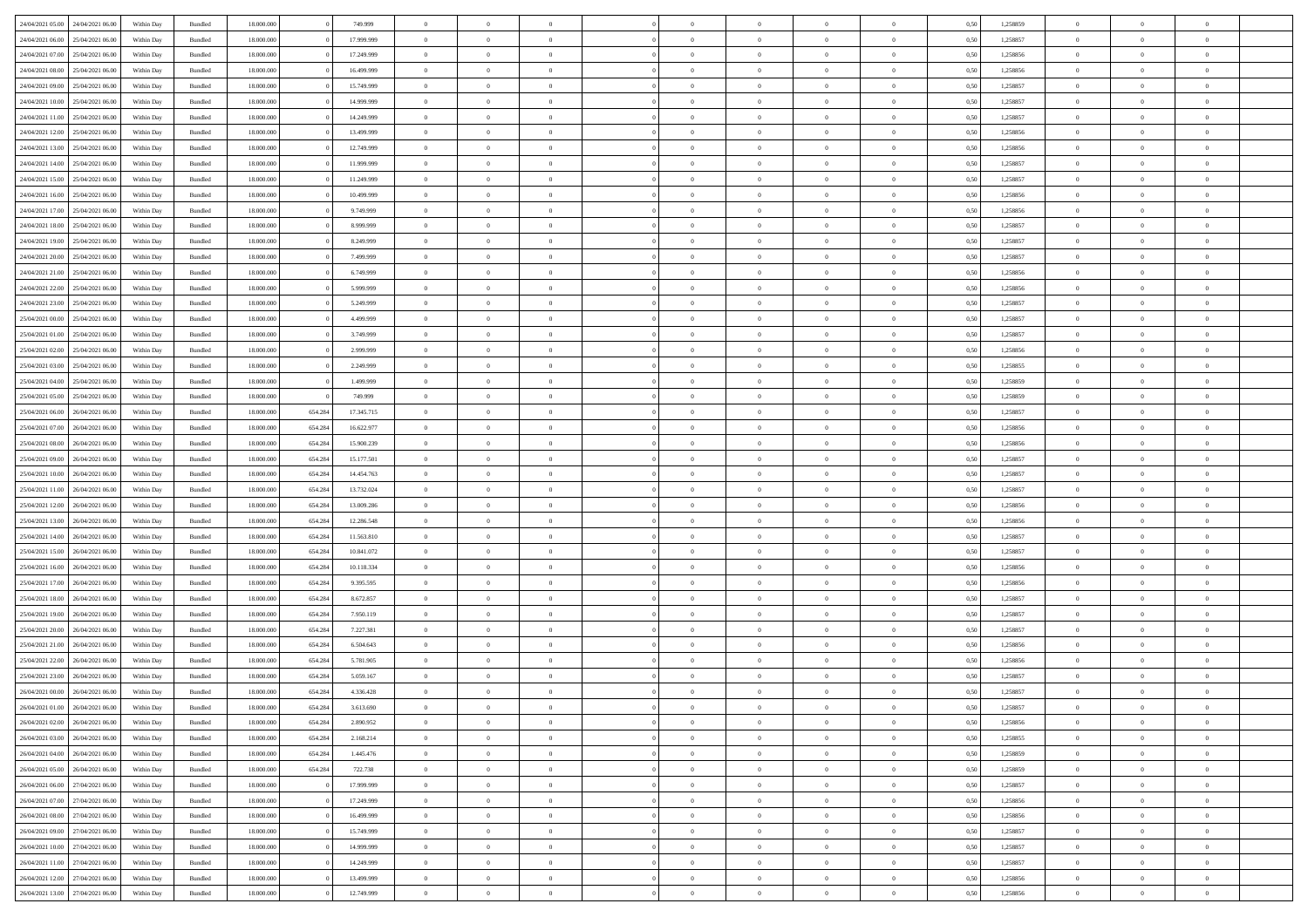|                                   |                  |            |                    |            |         |            | $\overline{0}$ | $\Omega$       |                |                | $\Omega$       | $\Omega$       | $\theta$       |      |          | $\theta$       |                | $\theta$       |  |
|-----------------------------------|------------------|------------|--------------------|------------|---------|------------|----------------|----------------|----------------|----------------|----------------|----------------|----------------|------|----------|----------------|----------------|----------------|--|
| 24/04/2021 05:00                  | 24/04/2021 06:00 | Within Dav | Bundled            | 18.000.000 |         | 749.999    |                |                |                | $\Omega$       |                |                |                | 0.50 | 1,258859 |                | $\theta$       |                |  |
| 24/04/2021 06:00                  | 25/04/2021 06:00 | Within Day | Bundled            | 18.000.000 |         | 17.999.999 | $\overline{0}$ | $\theta$       | $\overline{0}$ | $\overline{0}$ | $\bf{0}$       | $\overline{0}$ | $\overline{0}$ | 0,50 | 1,258857 | $\theta$       | $\theta$       | $\overline{0}$ |  |
| 24/04/2021 07:00                  | 25/04/2021 06:00 | Within Day | Bundled            | 18.000.000 |         | 17.249.999 | $\overline{0}$ | $\overline{0}$ | $\overline{0}$ | $\bf{0}$       | $\bf{0}$       | $\overline{0}$ | $\bf{0}$       | 0,50 | 1,258856 | $\bf{0}$       | $\overline{0}$ | $\overline{0}$ |  |
|                                   |                  |            |                    |            |         |            |                |                |                |                |                |                |                |      |          |                |                |                |  |
| 24/04/2021 08:00                  | 25/04/2021 06:00 | Within Dav | Bundled            | 18.000.000 |         | 16.499.999 | $\overline{0}$ | $\theta$       | $\overline{0}$ | $\overline{0}$ | $\bf{0}$       | $\overline{0}$ | $\overline{0}$ | 0.50 | 1.258856 | $\theta$       | $\theta$       | $\overline{0}$ |  |
| 24/04/2021 09:00                  | 25/04/2021 06:00 | Within Day | Bundled            | 18.000.000 |         | 15.749.999 | $\overline{0}$ | $\theta$       | $\overline{0}$ | $\overline{0}$ | $\bf{0}$       | $\overline{0}$ | $\bf{0}$       | 0,50 | 1,258857 | $\theta$       | $\theta$       | $\overline{0}$ |  |
| 24/04/2021 10:00                  | 25/04/2021 06:00 | Within Day | Bundled            | 18.000.000 |         | 14.999.999 | $\overline{0}$ | $\bf{0}$       | $\overline{0}$ | $\overline{0}$ | $\overline{0}$ | $\overline{0}$ | $\mathbf{0}$   | 0,50 | 1,258857 | $\bf{0}$       | $\overline{0}$ | $\bf{0}$       |  |
| 24/04/2021 11:00                  | 25/04/2021 06.00 | Within Dav | Bundled            | 18.000.000 |         | 14.249.999 | $\overline{0}$ | $\overline{0}$ | $\overline{0}$ | $\overline{0}$ | $\bf{0}$       | $\overline{0}$ | $\overline{0}$ | 0.50 | 1,258857 | $\theta$       | $\overline{0}$ | $\overline{0}$ |  |
|                                   |                  |            |                    |            |         |            |                |                |                |                |                |                |                |      |          |                |                |                |  |
| 24/04/2021 12:00                  | 25/04/2021 06:00 | Within Day | Bundled            | 18.000.000 |         | 13.499.999 | $\overline{0}$ | $\theta$       | $\overline{0}$ | $\overline{0}$ | $\bf{0}$       | $\overline{0}$ | $\bf{0}$       | 0,50 | 1,258856 | $\theta$       | $\theta$       | $\overline{0}$ |  |
| 24/04/2021 13:00                  | 25/04/2021 06:00 | Within Day | Bundled            | 18.000.000 |         | 12.749.999 | $\overline{0}$ | $\overline{0}$ | $\overline{0}$ | $\overline{0}$ | $\bf{0}$       | $\overline{0}$ | $\bf{0}$       | 0,50 | 1,258856 | $\,0\,$        | $\overline{0}$ | $\overline{0}$ |  |
| 24/04/2021 14:00                  | 25/04/2021 06.00 | Within Dav | Bundled            | 18.000.000 |         | 11.999.999 | $\overline{0}$ | $\overline{0}$ | $\overline{0}$ | $\overline{0}$ | $\overline{0}$ | $\overline{0}$ | $\overline{0}$ | 0.50 | 1,258857 | $\theta$       | $\overline{0}$ | $\overline{0}$ |  |
|                                   |                  |            |                    |            |         |            |                |                |                |                |                |                |                |      |          |                |                |                |  |
| 24/04/2021 15:00                  | 25/04/2021 06:00 | Within Day | Bundled            | 18.000.000 |         | 11.249.999 | $\overline{0}$ | $\theta$       | $\overline{0}$ | $\overline{0}$ | $\bf{0}$       | $\overline{0}$ | $\bf{0}$       | 0,50 | 1,258857 | $\theta$       | $\theta$       | $\overline{0}$ |  |
| 24/04/2021 16:00                  | 25/04/2021 06:00 | Within Day | Bundled            | 18.000.000 |         | 10.499.999 | $\overline{0}$ | $\overline{0}$ | $\overline{0}$ | $\overline{0}$ | $\bf{0}$       | $\overline{0}$ | $\bf{0}$       | 0,50 | 1,258856 | $\bf{0}$       | $\overline{0}$ | $\overline{0}$ |  |
| 24/04/2021 17:00                  | 25/04/2021 06:00 | Within Dav | Bundled            | 18.000.000 |         | 9.749.999  | $\overline{0}$ | $\overline{0}$ | $\overline{0}$ | $\overline{0}$ | $\bf{0}$       | $\overline{0}$ | $\overline{0}$ | 0.50 | 1.258856 | $\theta$       | $\theta$       | $\overline{0}$ |  |
| 24/04/2021 18:00                  | 25/04/2021 06:00 | Within Day | Bundled            | 18.000.000 |         | 8.999.999  | $\overline{0}$ | $\theta$       | $\overline{0}$ | $\overline{0}$ | $\bf{0}$       | $\overline{0}$ | $\overline{0}$ | 0,50 | 1,258857 | $\theta$       | $\theta$       | $\overline{0}$ |  |
|                                   |                  |            |                    |            |         |            |                |                |                |                |                |                |                |      |          |                |                |                |  |
| 24/04/2021 19:00                  | 25/04/2021 06:00 | Within Day | Bundled            | 18.000.000 |         | 8.249.999  | $\overline{0}$ | $\overline{0}$ | $\overline{0}$ | $\overline{0}$ | $\overline{0}$ | $\overline{0}$ | $\mathbf{0}$   | 0,50 | 1,258857 | $\bf{0}$       | $\overline{0}$ | $\bf{0}$       |  |
| 24/04/2021 20:00                  | 25/04/2021 06:00 | Within Dav | Bundled            | 18.000.000 |         | 7.499.999  | $\overline{0}$ | $\overline{0}$ | $\overline{0}$ | $\overline{0}$ | $\overline{0}$ | $\overline{0}$ | $\overline{0}$ | 0.50 | 1,258857 | $\theta$       | $\overline{0}$ | $\overline{0}$ |  |
| 24/04/2021 21.00                  | 25/04/2021 06:00 | Within Day | Bundled            | 18.000.000 |         | 6.749.999  | $\overline{0}$ | $\theta$       | $\overline{0}$ | $\overline{0}$ | $\bf{0}$       | $\overline{0}$ | $\bf{0}$       | 0,50 | 1,258856 | $\theta$       | $\theta$       | $\overline{0}$ |  |
|                                   |                  |            |                    |            |         |            |                |                |                |                |                |                |                |      |          |                |                |                |  |
| 24/04/2021 22.00                  | 25/04/2021 06:00 | Within Day | Bundled            | 18.000.000 |         | 5.999.999  | $\overline{0}$ | $\overline{0}$ | $\overline{0}$ | $\overline{0}$ | $\bf{0}$       | $\overline{0}$ | $\bf{0}$       | 0,50 | 1,258856 | $\,0\,$        | $\overline{0}$ | $\overline{0}$ |  |
| 24/04/2021 23:00                  | 25/04/2021 06.00 | Within Dav | Bundled            | 18.000.000 |         | 5.249.999  | $\overline{0}$ | $\overline{0}$ | $\overline{0}$ | $\overline{0}$ | $\overline{0}$ | $\overline{0}$ | $\overline{0}$ | 0.50 | 1,258857 | $\theta$       | $\overline{0}$ | $\overline{0}$ |  |
| 25/04/2021 00:00                  | 25/04/2021 06:00 | Within Day | Bundled            | 18.000.000 |         | 4.499.999  | $\overline{0}$ | $\theta$       | $\overline{0}$ | $\overline{0}$ | $\bf{0}$       | $\overline{0}$ | $\bf{0}$       | 0,50 | 1,258857 | $\theta$       | $\theta$       | $\overline{0}$ |  |
| 25/04/2021 01:00                  | 25/04/2021 06:00 | Within Day | Bundled            | 18.000.000 |         | 3.749.999  | $\overline{0}$ | $\overline{0}$ | $\overline{0}$ | $\bf{0}$       | $\bf{0}$       | $\overline{0}$ | $\bf{0}$       | 0,50 | 1,258857 | $\,0\,$        | $\overline{0}$ | $\overline{0}$ |  |
|                                   |                  |            |                    |            |         |            |                |                |                |                |                |                |                |      |          |                |                |                |  |
| 25/04/2021 02:00                  | 25/04/2021 06:00 | Within Day | Bundled            | 18.000.000 |         | 2.999.999  | $\overline{0}$ | $\overline{0}$ | $\overline{0}$ | $\overline{0}$ | $\bf{0}$       | $\overline{0}$ | $\overline{0}$ | 0.50 | 1.258856 | $\theta$       | $\theta$       | $\overline{0}$ |  |
| 25/04/2021 03:00                  | 25/04/2021 06:00 | Within Day | Bundled            | 18.000.000 |         | 2.249.999  | $\overline{0}$ | $\theta$       | $\overline{0}$ | $\overline{0}$ | $\bf{0}$       | $\overline{0}$ | $\bf{0}$       | 0,50 | 1,258855 | $\theta$       | $\overline{0}$ | $\overline{0}$ |  |
| 25/04/2021 04:00                  | 25/04/2021 06:00 | Within Day | Bundled            | 18.000.000 |         | 1.499.999  | $\overline{0}$ | $\overline{0}$ | $\overline{0}$ | $\overline{0}$ | $\overline{0}$ | $\overline{0}$ | $\mathbf{0}$   | 0,50 | 1,258859 | $\bf{0}$       | $\overline{0}$ | $\bf{0}$       |  |
| 25/04/2021 05:00                  | 25/04/2021 06.00 | Within Dav | Bundled            | 18.000.000 |         | 749.999    | $\overline{0}$ | $\overline{0}$ | $\overline{0}$ | $\overline{0}$ | $\overline{0}$ | $\overline{0}$ | $\overline{0}$ | 0.50 | 1,258859 | $\theta$       | $\overline{0}$ | $\overline{0}$ |  |
|                                   |                  |            |                    |            |         |            |                |                |                |                |                |                |                |      |          |                |                |                |  |
| 25/04/2021 06:00                  | 26/04/2021 06:00 | Within Day | Bundled            | 18.000.000 | 654.284 | 17.345.715 | $\overline{0}$ | $\theta$       | $\overline{0}$ | $\overline{0}$ | $\bf{0}$       | $\overline{0}$ | $\bf{0}$       | 0,50 | 1,258857 | $\theta$       | $\theta$       | $\overline{0}$ |  |
| 25/04/2021 07:00                  | 26/04/2021 06:00 | Within Day | Bundled            | 18.000.000 | 654.284 | 16.622.977 | $\overline{0}$ | $\overline{0}$ | $\overline{0}$ | $\bf{0}$       | $\bf{0}$       | $\bf{0}$       | $\bf{0}$       | 0,50 | 1,258856 | $\,0\,$        | $\overline{0}$ | $\overline{0}$ |  |
| 25/04/2021 08:00                  | 26/04/2021 06:00 | Within Day | Bundled            | 18.000.000 | 654.284 | 15.900.239 | $\overline{0}$ | $\overline{0}$ | $\overline{0}$ | $\overline{0}$ | $\overline{0}$ | $\overline{0}$ | $\overline{0}$ | 0.50 | 1,258856 | $\theta$       | $\overline{0}$ | $\overline{0}$ |  |
| 25/04/2021 09:00                  | 26/04/2021 06:00 | Within Day | Bundled            | 18.000.000 | 654.284 | 15.177.501 | $\overline{0}$ | $\theta$       | $\overline{0}$ | $\overline{0}$ | $\bf{0}$       | $\overline{0}$ | $\bf{0}$       | 0,50 | 1,258857 | $\,$ 0 $\,$    | $\theta$       | $\overline{0}$ |  |
|                                   |                  |            |                    |            |         |            |                |                |                |                |                |                |                |      |          |                |                |                |  |
| 25/04/2021 10:00                  | 26/04/2021 06:00 | Within Day | Bundled            | 18.000.000 | 654.284 | 14.454.763 | $\overline{0}$ | $\overline{0}$ | $\overline{0}$ | $\bf{0}$       | $\bf{0}$       | $\bf{0}$       | $\bf{0}$       | 0,50 | 1,258857 | $\bf{0}$       | $\overline{0}$ | $\overline{0}$ |  |
| 25/04/2021 11:00                  | 26/04/2021 06:00 | Within Day | Bundled            | 18.000.000 | 654.284 | 13.732.024 | $\overline{0}$ | $\Omega$       | $\Omega$       | $\Omega$       | $\Omega$       | $\Omega$       | $\overline{0}$ | 0.50 | 1,258857 | $\,0\,$        | $\theta$       | $\theta$       |  |
| 25/04/2021 12:00                  | 26/04/2021 06:00 | Within Day | Bundled            | 18.000.000 | 654.284 | 13.009.286 | $\overline{0}$ | $\theta$       | $\overline{0}$ | $\overline{0}$ | $\bf{0}$       | $\overline{0}$ | $\bf{0}$       | 0,50 | 1,258856 | $\theta$       | $\theta$       | $\overline{0}$ |  |
|                                   |                  |            |                    |            |         |            |                |                |                |                |                |                |                |      |          |                |                |                |  |
| 25/04/2021 13:00                  | 26/04/2021 06:00 | Within Day | Bundled            | 18.000.000 | 654.284 | 12.286.548 | $\overline{0}$ | $\bf{0}$       | $\overline{0}$ | $\bf{0}$       | $\bf{0}$       | $\overline{0}$ | $\mathbf{0}$   | 0,50 | 1,258856 | $\bf{0}$       | $\overline{0}$ | $\bf{0}$       |  |
| 25/04/2021 14:00                  | 26/04/2021 06:00 | Within Day | Bundled            | 18,000,000 | 654.284 | 11.563.810 | $\overline{0}$ | $\Omega$       | $\Omega$       | $\Omega$       | $\bf{0}$       | $\Omega$       | $\overline{0}$ | 0.50 | 1,258857 | $\theta$       | $\theta$       | $\theta$       |  |
| 25/04/2021 15:00                  | 26/04/2021 06:00 | Within Day | Bundled            | 18.000.000 | 654.284 | 10.841.072 | $\overline{0}$ | $\theta$       | $\overline{0}$ | $\overline{0}$ | $\bf{0}$       | $\overline{0}$ | $\bf{0}$       | 0,50 | 1,258857 | $\theta$       | $\theta$       | $\overline{0}$ |  |
| 25/04/2021 16:00                  | 26/04/2021 06:00 | Within Day | Bundled            | 18.000.000 | 654.284 | 10.118.334 | $\overline{0}$ | $\overline{0}$ | $\overline{0}$ | $\bf{0}$       | $\bf{0}$       | $\bf{0}$       | $\bf{0}$       | 0,50 | 1,258856 | $\,0\,$        | $\overline{0}$ | $\overline{0}$ |  |
|                                   |                  |            |                    |            |         |            |                |                |                |                |                |                |                |      |          |                |                |                |  |
| 25/04/2021 17:00                  | 26/04/2021 06:00 | Within Day | Bundled            | 18,000,000 | 654.284 | 9.395.595  | $\overline{0}$ | $\Omega$       | $\Omega$       | $\Omega$       | $\Omega$       | $\theta$       | $\overline{0}$ | 0.50 | 1,258856 | $\theta$       | $\theta$       | $\theta$       |  |
| 25/04/2021 18:00                  | 26/04/2021 06:00 | Within Day | Bundled            | 18.000.000 | 654.284 | 8.672.857  | $\overline{0}$ | $\theta$       | $\overline{0}$ | $\overline{0}$ | $\bf{0}$       | $\overline{0}$ | $\bf{0}$       | 0,50 | 1,258857 | $\,$ 0 $\,$    | $\overline{0}$ | $\overline{0}$ |  |
| 25/04/2021 19:00                  | 26/04/2021 06:00 | Within Day | Bundled            | 18.000.000 | 654.284 | 7.950.119  | $\overline{0}$ | $\overline{0}$ | $\overline{0}$ | $\bf{0}$       | $\bf{0}$       | $\bf{0}$       | $\bf{0}$       | 0,50 | 1,258857 | $\bf{0}$       | $\overline{0}$ | $\overline{0}$ |  |
|                                   |                  |            |                    |            |         |            |                |                |                |                |                |                |                |      |          |                |                |                |  |
| 25/04/2021 20:00                  | 26/04/2021 06:00 | Within Day | Bundled            | 18.000.000 | 654.284 | 7.227.381  | $\overline{0}$ | $\Omega$       | $\Omega$       | $\Omega$       | $\Omega$       | $\overline{0}$ | $\overline{0}$ | 0.50 | 1,258857 | $\,0\,$        | $\theta$       | $\theta$       |  |
| 25/04/2021 21:00                  | 26/04/2021 06:00 | Within Day | Bundled            | 18.000.000 | 654.284 | 6.504.643  | $\overline{0}$ | $\theta$       | $\overline{0}$ | $\overline{0}$ | $\bf{0}$       | $\overline{0}$ | $\bf{0}$       | 0,50 | 1,258856 | $\,$ 0 $\,$    | $\theta$       | $\overline{0}$ |  |
| 25/04/2021 22.00                  | 26/04/2021 06:00 | Within Day | Bundled            | 18.000.000 | 654.284 | 5.781.905  | $\overline{0}$ | $\overline{0}$ | $\overline{0}$ | $\overline{0}$ | $\bf{0}$       | $\overline{0}$ | $\mathbf{0}$   | 0,50 | 1,258856 | $\overline{0}$ | $\overline{0}$ | $\bf{0}$       |  |
| 25/04/2021 23:00                  | 26/04/2021 06:00 | Within Day | Bundled            | 18,000,000 | 654.284 | 5.059.167  | $\overline{0}$ | $\Omega$       | $\Omega$       | $\Omega$       | $\Omega$       | $\Omega$       | $\overline{0}$ | 0.50 | 1,258857 | $\theta$       | $\theta$       | $\theta$       |  |
|                                   |                  |            |                    |            |         |            | $\overline{0}$ |                | $\overline{0}$ |                |                |                |                |      |          |                |                |                |  |
| 26/04/2021 00:00                  | 26/04/2021 06:00 | Within Day | Bundled            | 18.000.000 | 654.284 | 4.336.428  |                | $\overline{0}$ |                | $\bf{0}$       | $\,$ 0         | $\overline{0}$ | $\bf{0}$       | 0,50 | 1,258857 | $\,0\,$        | $\overline{0}$ | $\overline{0}$ |  |
| 26/04/2021 01:00                  | 26/04/2021 06:00 | Within Day | $\mathbf B$ undled | 18.000.000 | 654.284 | 3.613.690  | $\bf{0}$       | $\bf{0}$       |                |                |                |                |                | 0,50 | 1,258857 | $\bf{0}$       | $\overline{0}$ |                |  |
| 26/04/2021 02.00                  | 26/04/2021 06:00 | Within Day | Bundled            | 18,000,000 | 654.284 | 2.890.952  | $\overline{0}$ | $\Omega$       | $\overline{0}$ | $\Omega$       | $\theta$       | $\overline{0}$ | $\overline{0}$ | 0.50 | 1,258856 | $\theta$       | $\theta$       | $\theta$       |  |
| 26/04/2021 03:00                  | 26/04/2021 06:00 | Within Day | Bundled            | 18.000.000 | 654.284 | 2.168.214  | $\overline{0}$ | $\,$ 0         | $\overline{0}$ | $\overline{0}$ | $\,$ 0 $\,$    | $\overline{0}$ | $\mathbf{0}$   | 0,50 | 1,258855 | $\,$ 0 $\,$    | $\,$ 0 $\,$    | $\,$ 0         |  |
|                                   |                  |            |                    |            |         |            |                |                |                |                |                |                |                |      |          |                |                |                |  |
| 26/04/2021 04:00                  | 26/04/2021 06:00 | Within Day | Bundled            | 18.000.000 | 654.284 | 1.445.476  | $\overline{0}$ | $\overline{0}$ | $\overline{0}$ | $\overline{0}$ | $\overline{0}$ | $\overline{0}$ | $\mathbf{0}$   | 0,50 | 1,258859 | $\overline{0}$ | $\bf{0}$       | $\bf{0}$       |  |
| 26/04/2021 05:00                  | 26/04/2021 06:00 | Within Day | Bundled            | 18.000.000 | 654.284 | 722.738    | $\overline{0}$ | $\overline{0}$ | $\overline{0}$ | $\Omega$       | $\overline{0}$ | $\overline{0}$ | $\bf{0}$       | 0,50 | 1,258859 | $\overline{0}$ | $\theta$       | $\overline{0}$ |  |
| 26/04/2021 06:00                  | 27/04/2021 06.00 | Within Day | Bundled            | 18.000.000 |         | 17.999.999 | $\overline{0}$ | $\,$ 0         | $\overline{0}$ | $\overline{0}$ | $\overline{0}$ | $\overline{0}$ | $\bf{0}$       | 0,50 | 1,258857 | $\,$ 0 $\,$    | $\overline{0}$ | $\overline{0}$ |  |
|                                   |                  |            |                    |            |         |            |                |                |                |                |                |                |                |      |          |                |                |                |  |
| 26/04/2021 07:00                  | 27/04/2021 06:00 | Within Day | Bundled            | 18.000.000 |         | 17.249.999 | $\overline{0}$ | $\overline{0}$ | $\overline{0}$ | $\overline{0}$ | $\overline{0}$ | $\overline{0}$ | $\mathbf{0}$   | 0,50 | 1,258856 | $\overline{0}$ | $\bf{0}$       | $\bf{0}$       |  |
| 26/04/2021 08:00                  | 27/04/2021 06:00 | Within Day | Bundled            | 18,000,000 |         | 16.499.999 | $\overline{0}$ | $\overline{0}$ | $\overline{0}$ | $\Omega$       | $\overline{0}$ | $\overline{0}$ | $\bf{0}$       | 0.50 | 1,258856 | $\overline{0}$ | $\theta$       | $\overline{0}$ |  |
| 26/04/2021 09:00                  | 27/04/2021 06.00 | Within Day | Bundled            | 18.000.000 |         | 15.749.999 | $\overline{0}$ | $\,$ 0         | $\overline{0}$ | $\overline{0}$ | $\bf{0}$       | $\overline{0}$ | $\bf{0}$       | 0,50 | 1,258857 | $\,$ 0 $\,$    | $\overline{0}$ | $\overline{0}$ |  |
| 26/04/2021 10:00                  | 27/04/2021 06:00 | Within Day | Bundled            | 18.000.000 |         | 14.999.999 | $\overline{0}$ | $\bf{0}$       | $\overline{0}$ | $\overline{0}$ | $\overline{0}$ | $\overline{0}$ | $\mathbf{0}$   | 0,50 | 1,258857 | $\overline{0}$ | $\overline{0}$ | $\bf{0}$       |  |
|                                   |                  |            |                    |            |         |            |                |                |                |                |                |                |                |      |          |                |                |                |  |
| 26/04/2021 11:00                  | 27/04/2021 06:00 | Within Day | Bundled            | 18,000,000 |         | 14.249.999 | $\overline{0}$ | $\overline{0}$ | $\overline{0}$ | $\Omega$       | $\overline{0}$ | $\overline{0}$ | $\overline{0}$ | 0.50 | 1,258857 | $\overline{0}$ | $\overline{0}$ | $\overline{0}$ |  |
| 26/04/2021 12:00                  | 27/04/2021 06.00 | Within Day | Bundled            | 18.000.000 |         | 13.499.999 | $\overline{0}$ | $\,$ 0         | $\overline{0}$ | $\overline{0}$ | $\bf{0}$       | $\bf{0}$       | $\bf{0}$       | 0,50 | 1,258856 | $\,$ 0 $\,$    | $\,$ 0 $\,$    | $\overline{0}$ |  |
| 26/04/2021 13:00 27/04/2021 06:00 |                  | Within Day | Bundled            | 18.000.000 |         | 12.749.999 | $\overline{0}$ | $\overline{0}$ | $\overline{0}$ | $\overline{0}$ | $\bf{0}$       | $\bf{0}$       | $\mathbf{0}$   | 0,50 | 1,258856 | $\overline{0}$ | $\bf{0}$       | $\bf{0}$       |  |
|                                   |                  |            |                    |            |         |            |                |                |                |                |                |                |                |      |          |                |                |                |  |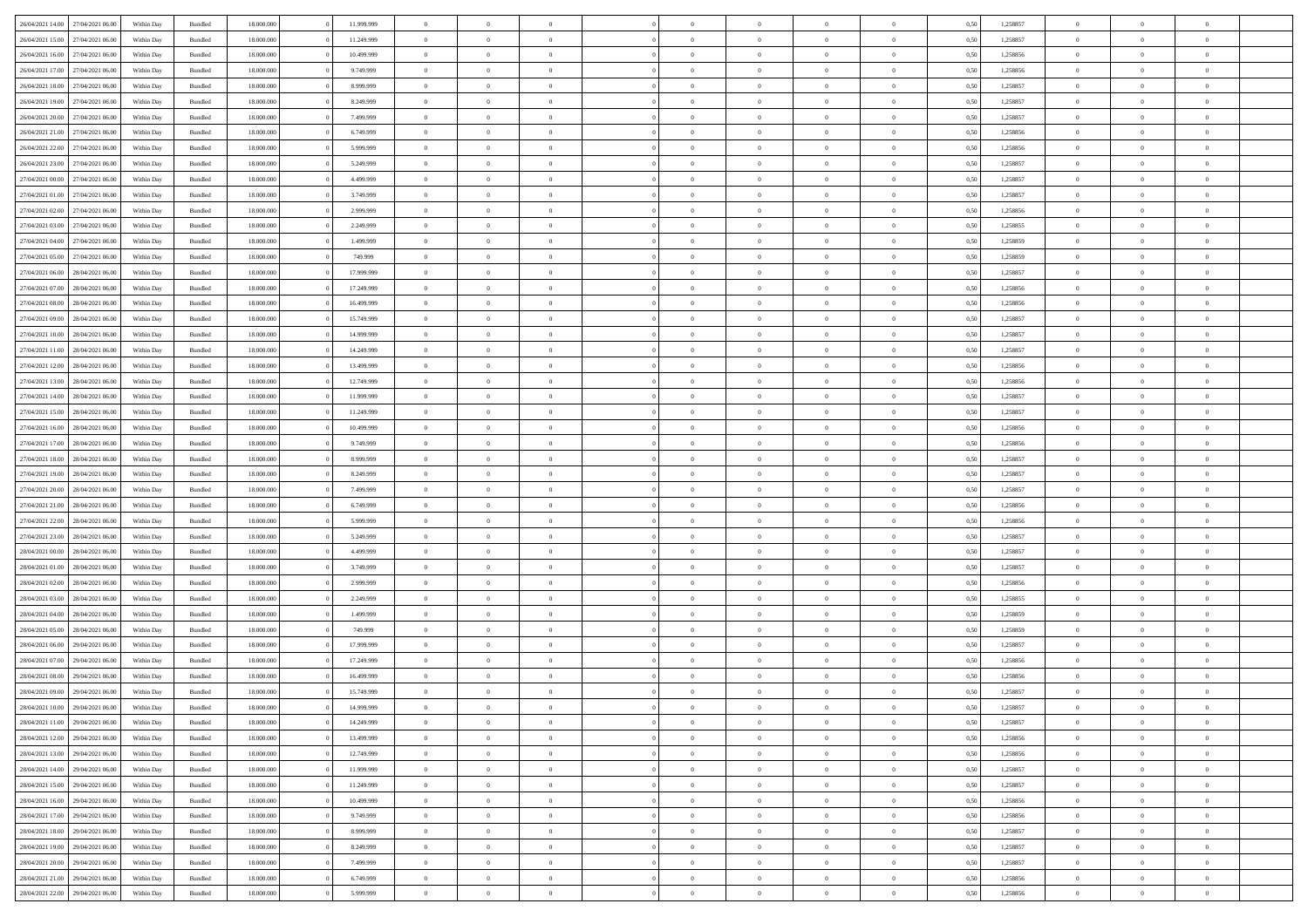| 26/04/2021 14:00 | 27/04/2021 06:00 | Within Day | Bundled            | 18.000.000 | 11.999.999 | $\overline{0}$ | $\Omega$       |                | $\Omega$       | $\Omega$       | $\Omega$       | $\theta$       | 0.50 | 1,258857 | $\theta$       | $\theta$       | $\theta$       |  |
|------------------|------------------|------------|--------------------|------------|------------|----------------|----------------|----------------|----------------|----------------|----------------|----------------|------|----------|----------------|----------------|----------------|--|
|                  |                  |            |                    |            |            |                |                |                |                |                |                |                |      |          |                |                |                |  |
| 26/04/2021 15:00 | 27/04/2021 06.00 | Within Day | Bundled            | 18.000.000 | 11.249.999 | $\overline{0}$ | $\theta$       | $\overline{0}$ | $\overline{0}$ | $\bf{0}$       | $\overline{0}$ | $\overline{0}$ | 0,50 | 1,258857 | $\theta$       | $\theta$       | $\overline{0}$ |  |
| 26/04/2021 16:00 | 27/04/2021 06:00 | Within Day | Bundled            | 18.000.000 | 10.499.999 | $\overline{0}$ | $\overline{0}$ | $\overline{0}$ | $\bf{0}$       | $\bf{0}$       | $\bf{0}$       | $\bf{0}$       | 0,50 | 1,258856 | $\bf{0}$       | $\overline{0}$ | $\overline{0}$ |  |
| 26/04/2021 17:00 | 27/04/2021 06:00 | Within Dav | Bundled            | 18.000.000 | 9.749.999  | $\overline{0}$ | $\theta$       | $\overline{0}$ | $\overline{0}$ | $\bf{0}$       | $\overline{0}$ | $\overline{0}$ | 0.50 | 1.258856 | $\theta$       | $\theta$       | $\overline{0}$ |  |
|                  |                  |            |                    |            |            |                |                |                |                |                |                |                |      |          |                |                |                |  |
| 26/04/2021 18:00 | 27/04/2021 06.00 | Within Day | Bundled            | 18.000.000 | 8.999.999  | $\overline{0}$ | $\theta$       | $\overline{0}$ | $\overline{0}$ | $\bf{0}$       | $\overline{0}$ | $\bf{0}$       | 0,50 | 1,258857 | $\theta$       | $\theta$       | $\overline{0}$ |  |
| 26/04/2021 19:00 | 27/04/2021 06:00 | Within Day | Bundled            | 18.000.000 | 8.249.999  | $\overline{0}$ | $\bf{0}$       | $\overline{0}$ | $\bf{0}$       | $\overline{0}$ | $\overline{0}$ | $\mathbf{0}$   | 0,50 | 1,258857 | $\overline{0}$ | $\overline{0}$ | $\bf{0}$       |  |
| 26/04/2021 20:00 | 27/04/2021 06.00 | Within Dav | Bundled            | 18.000.000 | 7.499.999  | $\overline{0}$ | $\overline{0}$ | $\overline{0}$ | $\overline{0}$ | $\bf{0}$       | $\overline{0}$ | $\overline{0}$ | 0.50 | 1,258857 | $\theta$       | $\theta$       | $\overline{0}$ |  |
| 26/04/2021 21:00 | 27/04/2021 06.00 | Within Day | Bundled            | 18.000.000 | 6.749.999  | $\overline{0}$ | $\theta$       | $\overline{0}$ | $\overline{0}$ | $\bf{0}$       | $\overline{0}$ | $\bf{0}$       | 0,50 | 1,258856 | $\theta$       | $\theta$       | $\overline{0}$ |  |
|                  |                  |            |                    |            |            |                | $\overline{0}$ |                |                | $\bf{0}$       |                |                |      |          | $\,0\,$        | $\overline{0}$ | $\overline{0}$ |  |
| 26/04/2021 22:00 | 27/04/2021 06:00 | Within Day | Bundled            | 18.000.000 | 5.999.999  | $\overline{0}$ |                | $\overline{0}$ | $\bf{0}$       |                | $\bf{0}$       | $\bf{0}$       | 0,50 | 1,258856 |                |                |                |  |
| 26/04/2021 23:00 | 27/04/2021 06.00 | Within Dav | Bundled            | 18.000.000 | 5.249.999  | $\overline{0}$ | $\overline{0}$ | $\overline{0}$ | $\overline{0}$ | $\overline{0}$ | $\overline{0}$ | $\overline{0}$ | 0.50 | 1,258857 | $\theta$       | $\overline{0}$ | $\overline{0}$ |  |
| 27/04/2021 00:00 | 27/04/2021 06.00 | Within Day | Bundled            | 18.000.000 | 4.499.999  | $\overline{0}$ | $\theta$       | $\overline{0}$ | $\overline{0}$ | $\bf{0}$       | $\overline{0}$ | $\bf{0}$       | 0,50 | 1,258857 | $\theta$       | $\theta$       | $\overline{0}$ |  |
| 27/04/2021 01:00 | 27/04/2021 06:00 | Within Day | Bundled            | 18.000.000 | 3.749.999  | $\overline{0}$ | $\overline{0}$ | $\overline{0}$ | $\bf{0}$       | $\bf{0}$       | $\bf{0}$       | $\bf{0}$       | 0,50 | 1,258857 | $\bf{0}$       | $\overline{0}$ | $\overline{0}$ |  |
| 27/04/2021 02:00 | 27/04/2021 06:00 | Within Day | Bundled            | 18.000.000 | 2.999.999  | $\overline{0}$ | $\overline{0}$ | $\overline{0}$ | $\overline{0}$ | $\bf{0}$       | $\overline{0}$ | $\overline{0}$ | 0.50 | 1.258856 | $\theta$       | $\theta$       | $\overline{0}$ |  |
|                  |                  |            |                    |            |            |                |                |                |                |                |                |                |      |          |                |                |                |  |
| 27/04/2021 03:00 | 27/04/2021 06.00 | Within Day | Bundled            | 18.000.000 | 2.249.999  | $\overline{0}$ | $\theta$       | $\overline{0}$ | $\overline{0}$ | $\bf{0}$       | $\overline{0}$ | $\overline{0}$ | 0,50 | 1,258855 | $\theta$       | $\theta$       | $\overline{0}$ |  |
| 27/04/2021 04:00 | 27/04/2021 06:00 | Within Day | Bundled            | 18.000.000 | 1.499.999  | $\overline{0}$ | $\bf{0}$       | $\overline{0}$ | $\bf{0}$       | $\overline{0}$ | $\overline{0}$ | $\mathbf{0}$   | 0,50 | 1,258859 | $\overline{0}$ | $\overline{0}$ | $\bf{0}$       |  |
| 27/04/2021 05:00 | 27/04/2021 06:00 | Within Dav | Bundled            | 18.000.000 | 749.999    | $\overline{0}$ | $\overline{0}$ | $\overline{0}$ | $\overline{0}$ | $\overline{0}$ | $\overline{0}$ | $\overline{0}$ | 0.50 | 1.258859 | $\theta$       | $\overline{0}$ | $\overline{0}$ |  |
| 27/04/2021 06:00 | 28/04/2021 06:00 | Within Day | Bundled            | 18.000.000 | 17.999.999 | $\overline{0}$ | $\theta$       | $\overline{0}$ | $\overline{0}$ | $\bf{0}$       | $\overline{0}$ | $\bf{0}$       | 0,50 | 1,258857 | $\theta$       | $\theta$       | $\overline{0}$ |  |
| 27/04/2021 07:00 | 28/04/2021 06:00 | Within Day | Bundled            | 18.000.000 | 17.249.999 | $\overline{0}$ | $\overline{0}$ | $\overline{0}$ | $\bf{0}$       | $\bf{0}$       | $\bf{0}$       | $\bf{0}$       | 0,50 | 1,258856 | $\,0\,$        | $\overline{0}$ | $\overline{0}$ |  |
|                  |                  |            |                    |            |            |                |                |                |                |                |                |                |      |          |                |                |                |  |
| 27/04/2021 08:00 | 28/04/2021 06:00 | Within Dav | Bundled            | 18.000.000 | 16.499.999 | $\overline{0}$ | $\overline{0}$ | $\overline{0}$ | $\overline{0}$ | $\overline{0}$ | $\overline{0}$ | $\overline{0}$ | 0.50 | 1,258856 | $\theta$       | $\overline{0}$ | $\overline{0}$ |  |
| 27/04/2021 09:00 | 28/04/2021 06:00 | Within Day | Bundled            | 18.000.000 | 15.749.999 | $\overline{0}$ | $\theta$       | $\overline{0}$ | $\overline{0}$ | $\bf{0}$       | $\overline{0}$ | $\bf{0}$       | 0,50 | 1,258857 | $\theta$       | $\theta$       | $\overline{0}$ |  |
| 27/04/2021 10:00 | 28/04/2021 06:00 | Within Day | Bundled            | 18.000.000 | 14.999.999 | $\overline{0}$ | $\overline{0}$ | $\overline{0}$ | $\bf{0}$       | $\bf{0}$       | $\bf{0}$       | $\bf{0}$       | 0,50 | 1,258857 | $\,0\,$        | $\overline{0}$ | $\overline{0}$ |  |
| 27/04/2021 11:00 | 28/04/2021 06:00 | Within Day | Bundled            | 18.000.000 | 14.249.999 | $\overline{0}$ | $\overline{0}$ | $\overline{0}$ | $\overline{0}$ | $\bf{0}$       | $\overline{0}$ | $\overline{0}$ | 0.50 | 1.258857 | $\theta$       | $\theta$       | $\overline{0}$ |  |
|                  |                  |            |                    |            |            |                |                |                |                |                |                |                |      |          |                |                |                |  |
| 27/04/2021 12:00 | 28/04/2021 06:00 | Within Day | Bundled            | 18.000.000 | 13.499.999 | $\overline{0}$ | $\theta$       | $\overline{0}$ | $\overline{0}$ | $\bf{0}$       | $\overline{0}$ | $\bf{0}$       | 0,50 | 1,258856 | $\theta$       | $\overline{0}$ | $\overline{0}$ |  |
| 27/04/2021 13:00 | 28/04/2021 06:00 | Within Day | Bundled            | 18.000.000 | 12.749.999 | $\overline{0}$ | $\bf{0}$       | $\overline{0}$ | $\bf{0}$       | $\overline{0}$ | $\bf{0}$       | $\mathbf{0}$   | 0,50 | 1,258856 | $\overline{0}$ | $\overline{0}$ | $\bf{0}$       |  |
| 27/04/2021 14:00 | 28/04/2021 06:00 | Within Dav | Bundled            | 18.000.000 | 11.999.999 | $\overline{0}$ | $\overline{0}$ | $\overline{0}$ | $\overline{0}$ | $\overline{0}$ | $\overline{0}$ | $\overline{0}$ | 0.50 | 1,258857 | $\theta$       | $\theta$       | $\overline{0}$ |  |
| 27/04/2021 15:00 | 28/04/2021 06:00 | Within Day | Bundled            | 18.000.000 | 11.249.999 | $\overline{0}$ | $\theta$       | $\overline{0}$ | $\overline{0}$ | $\bf{0}$       | $\overline{0}$ | $\bf{0}$       | 0,50 | 1,258857 | $\theta$       | $\theta$       | $\overline{0}$ |  |
| 27/04/2021 16:00 | 28/04/2021 06:00 | Within Day | Bundled            | 18.000.000 | 10.499.999 | $\overline{0}$ | $\overline{0}$ | $\overline{0}$ | $\overline{0}$ | $\bf{0}$       | $\overline{0}$ | $\bf{0}$       | 0,50 | 1,258856 | $\,0\,$        | $\overline{0}$ | $\overline{0}$ |  |
|                  |                  |            |                    |            |            |                |                |                |                |                |                |                |      |          |                |                |                |  |
| 27/04/2021 17:00 | 28/04/2021 06:00 | Within Day | Bundled            | 18.000.000 | 9.749.999  | $\overline{0}$ | $\overline{0}$ | $\overline{0}$ | $\overline{0}$ | $\overline{0}$ | $\overline{0}$ | $\overline{0}$ | 0.50 | 1,258856 | $\theta$       | $\theta$       | $\overline{0}$ |  |
| 27/04/2021 18:00 | 28/04/2021 06:00 | Within Day | Bundled            | 18.000.000 | 8.999.999  | $\overline{0}$ | $\theta$       | $\overline{0}$ | $\overline{0}$ | $\bf{0}$       | $\overline{0}$ | $\bf{0}$       | 0,50 | 1,258857 | $\,$ 0 $\,$    | $\theta$       | $\overline{0}$ |  |
| 27/04/2021 19:00 | 28/04/2021 06:00 | Within Day | Bundled            | 18.000.000 | 8.249.999  | $\overline{0}$ | $\overline{0}$ | $\overline{0}$ | $\overline{0}$ | $\bf{0}$       | $\overline{0}$ | $\bf{0}$       | 0,50 | 1,258857 | $\bf{0}$       | $\overline{0}$ | $\overline{0}$ |  |
| 27/04/2021 20:00 | 28/04/2021 06:00 | Within Day | Bundled            | 18.000.000 | 7.499.999  | $\overline{0}$ | $\Omega$       | $\Omega$       | $\Omega$       | $\Omega$       | $\Omega$       | $\overline{0}$ | 0.50 | 1,258857 | $\,0\,$        | $\Omega$       | $\theta$       |  |
| 27/04/2021 21:00 | 28/04/2021 06:00 |            |                    | 18.000.000 | 6.749.999  | $\overline{0}$ | $\theta$       | $\overline{0}$ | $\overline{0}$ | $\bf{0}$       | $\overline{0}$ |                |      | 1,258856 | $\theta$       | $\theta$       | $\overline{0}$ |  |
|                  |                  | Within Day | Bundled            |            |            |                |                |                |                |                |                | $\bf{0}$       | 0,50 |          |                |                |                |  |
| 27/04/2021 22:00 | 28/04/2021 06:00 | Within Day | Bundled            | 18.000.000 | 5.999.999  | $\overline{0}$ | $\bf{0}$       | $\overline{0}$ | $\overline{0}$ | $\bf{0}$       | $\overline{0}$ | $\mathbf{0}$   | 0,50 | 1,258856 | $\bf{0}$       | $\overline{0}$ | $\bf{0}$       |  |
| 27/04/2021 23:00 | 28/04/2021 06:00 | Within Day | Bundled            | 18,000,000 | 5.249.999  | $\overline{0}$ | $\Omega$       | $\Omega$       | $\Omega$       | $\Omega$       | $\Omega$       | $\overline{0}$ | 0.50 | 1,258857 | $\theta$       | $\theta$       | $\theta$       |  |
| 28/04/2021 00:00 | 28/04/2021 06:00 | Within Day | Bundled            | 18.000.000 | 4.499.999  | $\overline{0}$ | $\theta$       | $\overline{0}$ | $\overline{0}$ | $\bf{0}$       | $\overline{0}$ | $\bf{0}$       | 0,50 | 1,258857 | $\theta$       | $\theta$       | $\overline{0}$ |  |
| 28/04/2021 01:00 | 28/04/2021 06:00 | Within Day | Bundled            | 18.000.000 | 3.749.999  | $\overline{0}$ | $\overline{0}$ | $\overline{0}$ | $\overline{0}$ | $\bf{0}$       | $\overline{0}$ | $\bf{0}$       | 0,50 | 1,258857 | $\,0\,$        | $\overline{0}$ | $\overline{0}$ |  |
|                  |                  |            |                    |            |            |                |                |                |                |                |                |                |      |          |                |                |                |  |
| 28/04/2021 02:00 | 28/04/2021 06:00 | Within Day | Bundled            | 18,000,000 | 2.999.999  | $\overline{0}$ | $\Omega$       | $\Omega$       | $\Omega$       | $\Omega$       | $\theta$       | $\overline{0}$ | 0.50 | 1,258856 | $\theta$       | $\theta$       | $\theta$       |  |
| 28/04/2021 03:00 | 28/04/2021 06:00 | Within Day | Bundled            | 18.000.000 | 2.249.999  | $\overline{0}$ | $\theta$       | $\overline{0}$ | $\overline{0}$ | $\bf{0}$       | $\overline{0}$ | $\bf{0}$       | 0,50 | 1,258855 | $\,$ 0 $\,$    | $\overline{0}$ | $\overline{0}$ |  |
| 28/04/2021 04:00 | 28/04/2021 06:00 | Within Day | Bundled            | 18.000.000 | 1.499.999  | $\overline{0}$ | $\overline{0}$ | $\overline{0}$ | $\overline{0}$ | $\bf{0}$       | $\overline{0}$ | $\bf{0}$       | 0,50 | 1,258859 | $\bf{0}$       | $\overline{0}$ | $\overline{0}$ |  |
| 28/04/2021 05:00 | 28/04/2021 06:00 | Within Day | Bundled            | 18.000.000 | 749.999    | $\overline{0}$ | $\Omega$       | $\Omega$       | $\Omega$       | $\Omega$       | $\overline{0}$ | $\overline{0}$ | 0.50 | 1,258859 | $\,0\,$        | $\theta$       | $\theta$       |  |
| 28/04/2021 06:00 | 29/04/2021 06.00 | Within Day | Bundled            | 18.000.000 | 17.999.999 | $\overline{0}$ | $\theta$       | $\overline{0}$ | $\overline{0}$ | $\bf{0}$       | $\overline{0}$ | $\bf{0}$       | 0,50 | 1,258857 | $\,$ 0 $\,$    | $\theta$       | $\overline{0}$ |  |
|                  |                  |            |                    |            |            |                |                |                |                |                |                |                |      |          |                |                |                |  |
| 28/04/2021 07:00 | 29/04/2021 06.00 | Within Day | Bundled            | 18.000.000 | 17.249.999 | $\overline{0}$ | $\overline{0}$ | $\overline{0}$ | $\overline{0}$ | $\bf{0}$       | $\overline{0}$ | $\mathbf{0}$   | 0,50 | 1,258856 | $\bf{0}$       | $\overline{0}$ | $\bf{0}$       |  |
| 28/04/2021 08:00 | 29/04/2021 06:00 | Within Day | Bundled            | 18,000,000 | 16.499.999 | $\overline{0}$ | $\Omega$       | $\Omega$       | $\Omega$       | $\Omega$       | $\Omega$       | $\overline{0}$ | 0.50 | 1,258856 | $\theta$       | $\Omega$       | $\theta$       |  |
| 28/04/2021 09:00 | 29/04/2021 06:00 | Within Day | Bundled            | 18.000.000 | 15.749.999 | $\overline{0}$ | $\overline{0}$ | $\overline{0}$ | $\bf{0}$       | $\,$ 0         | $\overline{0}$ | $\bf{0}$       | 0,50 | 1,258857 | $\,0\,$        | $\overline{0}$ | $\overline{0}$ |  |
| 28/04/2021 10:00 | 29/04/2021 06:00 | Within Day | $\mathbf B$ undled | 18.000.000 | 14.999.999 | $\bf{0}$       | $\bf{0}$       |                |                | $\bf{0}$       |                |                | 0,50 | 1,258857 | $\bf{0}$       | $\overline{0}$ |                |  |
| 28/04/2021 11:00 | 29/04/2021 06:00 | Within Day |                    | 18,000,000 | 14.249.999 | $\overline{0}$ | $\overline{0}$ | $\overline{0}$ | $\Omega$       | $\theta$       | $\overline{0}$ | $\overline{0}$ | 0.50 |          | $\theta$       | $\theta$       | $\theta$       |  |
|                  |                  |            | Bundled            |            |            |                |                |                |                |                |                |                |      | 1,258857 |                |                |                |  |
| 28/04/2021 12:00 | 29/04/2021 06:00 | Within Day | Bundled            | 18.000.000 | 13.499.999 | $\overline{0}$ | $\,$ 0         | $\overline{0}$ | $\overline{0}$ | $\,$ 0 $\,$    | $\overline{0}$ | $\mathbf{0}$   | 0,50 | 1,258856 | $\,$ 0 $\,$    | $\,$ 0 $\,$    | $\,$ 0         |  |
| 28/04/2021 13:00 | 29/04/2021 06:00 | Within Day | Bundled            | 18.000.000 | 12.749.999 | $\overline{0}$ | $\overline{0}$ | $\overline{0}$ | $\overline{0}$ | $\overline{0}$ | $\overline{0}$ | $\mathbf{0}$   | 0,50 | 1,258856 | $\overline{0}$ | $\bf{0}$       | $\bf{0}$       |  |
| 28/04/2021 14:00 | 29/04/2021 06:00 | Within Day | Bundled            | 18,000,000 | 11.999.999 | $\overline{0}$ | $\theta$       | $\overline{0}$ | $\Omega$       | $\overline{0}$ | $\overline{0}$ | $\bf{0}$       | 0,50 | 1,258857 | $\bf{0}$       | $\theta$       | $\overline{0}$ |  |
| 28/04/2021 15:00 | 29/04/2021 06:00 | Within Day | Bundled            | 18.000.000 | 11.249.999 | $\overline{0}$ | $\,$ 0         | $\overline{0}$ | $\overline{0}$ | $\overline{0}$ | $\overline{0}$ | $\bf{0}$       | 0,50 | 1,258857 | $\,$ 0 $\,$    | $\overline{0}$ | $\overline{0}$ |  |
|                  |                  |            |                    |            |            |                |                |                |                |                |                |                |      |          |                |                |                |  |
| 28/04/2021 16:00 | 29/04/2021 06:00 | Within Day | Bundled            | 18.000.000 | 10.499.999 | $\overline{0}$ | $\overline{0}$ | $\overline{0}$ | $\overline{0}$ | $\overline{0}$ | $\overline{0}$ | $\mathbf{0}$   | 0,50 | 1,258856 | $\overline{0}$ | $\bf{0}$       | $\bf{0}$       |  |
| 28/04/2021 17:00 | 29/04/2021 06:00 | Within Day | Bundled            | 18,000,000 | 9.749.999  | $\overline{0}$ | $\overline{0}$ | $\overline{0}$ | $\Omega$       | $\overline{0}$ | $\overline{0}$ | $\bf{0}$       | 0.50 | 1,258856 | $\overline{0}$ | $\theta$       | $\overline{0}$ |  |
| 28/04/2021 18:00 | 29/04/2021 06:00 | Within Day | Bundled            | 18.000.000 | 8.999.999  | $\overline{0}$ | $\,$ 0         | $\overline{0}$ | $\bf{0}$       | $\bf{0}$       | $\bf{0}$       | $\bf{0}$       | 0,50 | 1,258857 | $\,$ 0 $\,$    | $\overline{0}$ | $\overline{0}$ |  |
| 28/04/2021 19:00 | 29/04/2021 06:00 | Within Day | Bundled            | 18.000.000 | 8.249.999  | $\overline{0}$ | $\bf{0}$       | $\overline{0}$ | $\overline{0}$ | $\overline{0}$ | $\overline{0}$ | $\mathbf{0}$   | 0,50 | 1,258857 | $\overline{0}$ | $\overline{0}$ | $\bf{0}$       |  |
| 28/04/2021 20:00 | 29/04/2021 06:00 | Within Day | Bundled            | 18,000,000 | 7.499.999  | $\overline{0}$ | $\overline{0}$ | $\overline{0}$ | $\Omega$       | $\overline{0}$ | $\overline{0}$ | $\bf{0}$       | 0.50 | 1,258857 | $\overline{0}$ | $\overline{0}$ | $\overline{0}$ |  |
|                  |                  |            |                    |            |            |                |                |                |                |                |                |                |      |          |                |                |                |  |
| 28/04/2021 21:00 | 29/04/2021 06.00 | Within Day | Bundled            | 18.000.000 | 6.749.999  | $\overline{0}$ | $\,$ 0 $\,$    | $\overline{0}$ | $\overline{0}$ | $\bf{0}$       | $\bf{0}$       | $\bf{0}$       | 0,50 | 1,258856 | $\,$ 0 $\,$    | $\overline{0}$ | $\bf{0}$       |  |
| 28/04/2021 22:00 | 29/04/2021 06:00 | Within Day | Bundled            | 18.000.000 | 5.999.999  | $\overline{0}$ | $\bf{0}$       | $\overline{0}$ | $\bf{0}$       | $\bf{0}$       | $\bf{0}$       | $\bf{0}$       | 0,50 | 1,258856 | $\overline{0}$ | $\overline{0}$ | $\bf{0}$       |  |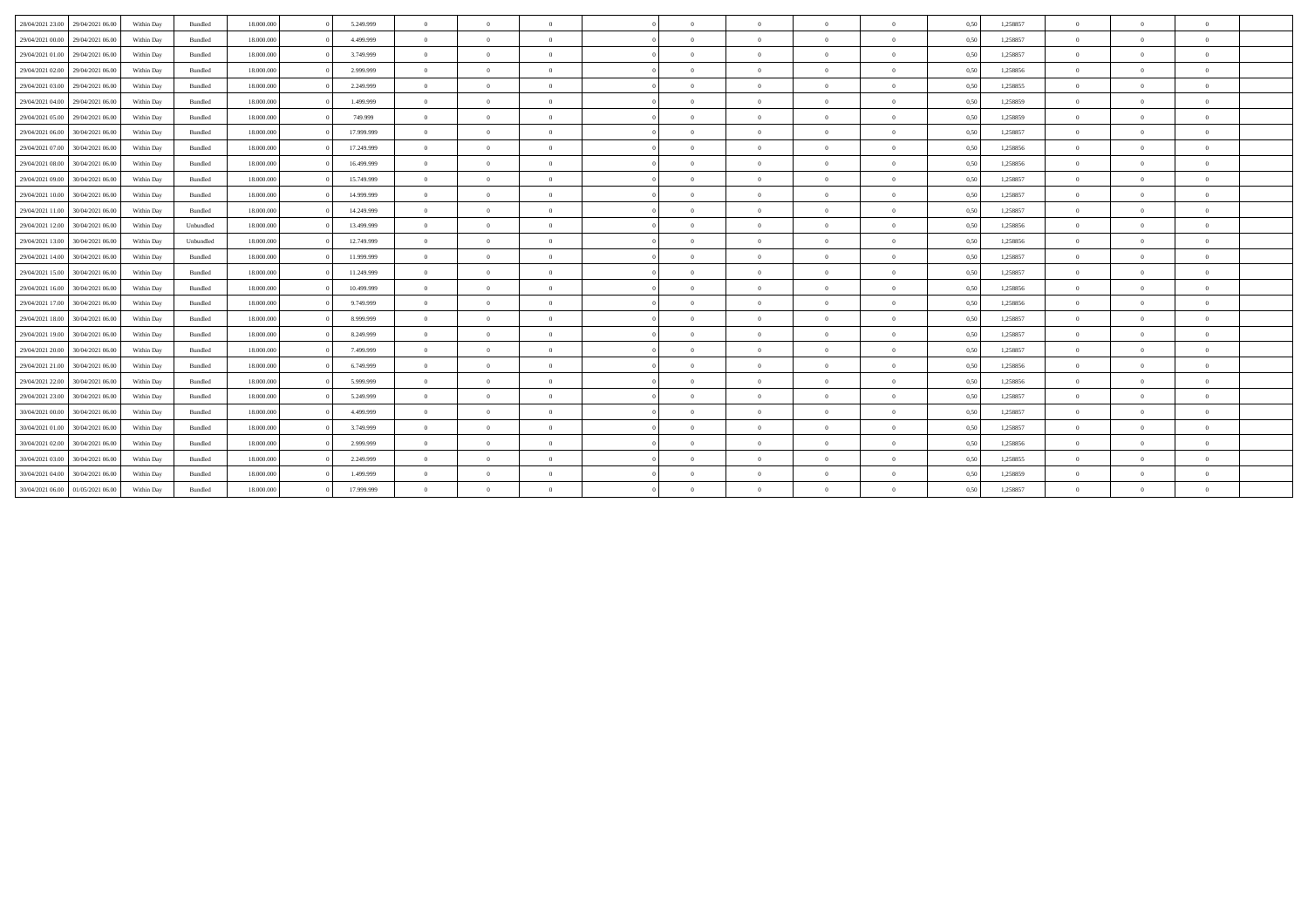| 28/04/2021 23:00<br>29/04/2021 06:00 | Within Day | Bundled   | 18.000.000 | 5.249.999  | $\theta$       | $\Omega$       | $\Omega$       |            | $\Omega$       | $\overline{0}$ | $\Omega$       | 0,50 | 1,258857 | $\Omega$ | $\Omega$       | $\theta$       |  |
|--------------------------------------|------------|-----------|------------|------------|----------------|----------------|----------------|------------|----------------|----------------|----------------|------|----------|----------|----------------|----------------|--|
| 29/04/2021 00:00<br>29/04/2021 06:00 | Within Day | Bundled   | 18,000,000 | 4.499.999  | $\overline{0}$ | $\Omega$       | $\overline{0}$ |            | $\Omega$       | $\overline{0}$ | $\Omega$       | 0,50 | 1,258857 | $\Omega$ | $\Omega$       | $\theta$       |  |
| 29/04/2021 01:00<br>29/04/2021 06:00 | Within Day | Bundled   | 18,000,000 | 3.749.999  | $\overline{0}$ | $\overline{0}$ | $\theta$       | $\Omega$   | $\bf{0}$       | $\overline{0}$ | $\overline{0}$ | 0,50 | 1.258857 | $\theta$ | $\overline{0}$ | $\overline{0}$ |  |
| 29/04/2021 02:00<br>29/04/2021 06:00 | Within Day | Bundled   | 18,000,000 | 2.999.999  | $\overline{0}$ | $\theta$       | $\theta$       |            | $\Omega$       | $\overline{0}$ | $\Omega$       | 0.50 | 1.258856 | $\Omega$ | $\Omega$       | $\theta$       |  |
| 29/04/2021 03:00<br>29/04/2021 06:00 | Within Day | Bundled   | 18.000.000 | 2.249.999  | $\overline{0}$ | $\Omega$       | $\Omega$       |            | $\Omega$       | $\overline{0}$ | $\Omega$       | 0,50 | 1,258855 | $\Omega$ | $\Omega$       | $\theta$       |  |
| 29/04/2021 04:00<br>29/04/2021 06:00 | Within Dav | Bundled   | 18,000,000 | 1.499.999  | $\overline{0}$ | $\Omega$       | $\Omega$       |            | $\Omega$       | $\overline{0}$ | $\Omega$       | 0.50 | 1.258859 | $\Omega$ | $\Omega$       | $\theta$       |  |
| 29/04/2021 05:00<br>29/04/2021 06:00 | Within Day | Bundled   | 18.000.000 | 749.999    | $\overline{0}$ | $\overline{0}$ | $\theta$       | $\Omega$   | $\overline{0}$ | $\overline{0}$ | $\overline{0}$ | 0,50 | 1,258859 | $\theta$ | $\overline{0}$ | $\overline{0}$ |  |
| 29/04/2021 06:00<br>30/04/2021 06:00 | Within Day | Bundled   | 18,000,000 | 17.999.999 | $\overline{0}$ | $\Omega$       | $\theta$       |            | $\Omega$       | $\overline{0}$ | $\Omega$       | 0,51 | 1,258857 | $\Omega$ | $\Omega$       | $\theta$       |  |
| 29/04/2021 07:00<br>30/04/2021 06:00 | Within Day | Bundled   | 18,000,000 | 17.249.999 | $\overline{0}$ | $\Omega$       | $\Omega$       |            | $\Omega$       | $\overline{0}$ | $\Omega$       | 0,50 | 1,258856 | $\Omega$ | $\Omega$       | $\theta$       |  |
| 29/04/2021 08:00<br>30/04/2021 06.00 | Within Day | Bundled   | 18,000,000 | 16.499.999 | $\overline{0}$ | $\overline{0}$ | $\overline{0}$ |            | $\overline{0}$ | $\overline{0}$ | $\overline{0}$ | 0,50 | 1,258856 | $\theta$ | $\overline{0}$ | $\overline{0}$ |  |
| 29/04/2021 09:00<br>30/04/2021 06:00 | Within Day | Bundled   | 18.000.000 | 15.749.999 | $\overline{0}$ | $\overline{0}$ | $\Omega$       | $\sqrt{2}$ | $\bf{0}$       | $\overline{0}$ | $\overline{0}$ | 0,50 | 1,258857 | $\theta$ | $\overline{0}$ | $\overline{0}$ |  |
| 29/04/2021 10:00<br>30/04/2021 06:00 | Within Day | Bundled   | 18,000,000 | 14.999.999 | $\theta$       | $\Omega$       | $\theta$       |            | $\Omega$       | $\overline{0}$ | $\Omega$       | 0,50 | 1,258857 | $\Omega$ | $\Omega$       | $\theta$       |  |
| 29/04/2021 11:00<br>30/04/2021 06:00 | Within Day | Bundled   | 18.000.000 | 14.249.999 | $\overline{0}$ | $\theta$       | $\Omega$       | $\Omega$   | $\Omega$       | $\overline{0}$ | $\overline{0}$ | 0,50 | 1,258857 | $\Omega$ | $\Omega$       | $\theta$       |  |
| 29/04/2021 12:00<br>30/04/2021 06:00 | Within Dav | Unbundled | 18,000,000 | 13,499,999 | $\overline{0}$ | $\Omega$       | $\Omega$       |            | $\Omega$       | $\overline{0}$ | $\Omega$       | 0,50 | 1.258856 | $\Omega$ | $\Omega$       | $\theta$       |  |
| 29/04/2021 13:00<br>30/04/2021 06:00 | Within Day | Unbundled | 18,000,000 | 12.749.999 | $\overline{0}$ | $\overline{0}$ | $\overline{0}$ | $\Omega$   | $\overline{0}$ | $\overline{0}$ | $\overline{0}$ | 0,50 | 1,258856 | $\theta$ | $\overline{0}$ | $\overline{0}$ |  |
| 29/04/2021 14:00<br>30/04/2021 06:00 | Within Day | Bundled   | 18,000,000 | 11.999.999 | $\overline{0}$ | $\Omega$       | $\theta$       |            | $\Omega$       | $\Omega$       | $\Omega$       | 0,51 | 1,258857 | $\Omega$ | $\Omega$       | $\theta$       |  |
| 29/04/2021 15:00<br>30/04/2021 06:00 | Within Day | Bundled   | 18.000.000 | 11.249.999 | $\overline{0}$ | $\overline{0}$ | $\overline{0}$ |            | $\bf{0}$       | $\overline{0}$ | $\Omega$       | 0,50 | 1,258857 | $\theta$ | $\Omega$       | $\overline{0}$ |  |
| 29/04/2021 16:00<br>30/04/2021 06:00 | Within Day | Bundled   | 18,000,000 | 10.499.999 | $\overline{0}$ | $\Omega$       | $\theta$       |            | $\Omega$       | $\overline{0}$ | $\Omega$       | 0,50 | 1,258856 | $\Omega$ | $\Omega$       | $\theta$       |  |
| 29/04/2021 17:00<br>30/04/2021 06:00 | Within Day | Bundled   | 18.000.000 | 9.749.999  | $\overline{0}$ | $\overline{0}$ | $\overline{0}$ | $\Omega$   | $\overline{0}$ | $\overline{0}$ | $\overline{0}$ | 0,50 | 1,258856 | $\theta$ | $\overline{0}$ | $\overline{0}$ |  |
| 29/04/2021 18:00<br>30/04/2021 06:00 | Within Day | Bundled   | 18,000,000 | 8.999.999  | $\overline{0}$ | $\theta$       | $\Omega$       |            | $\Omega$       | $\overline{0}$ | $\Omega$       | 0,50 | 1,258857 | $\Omega$ | $\Omega$       | $\theta$       |  |
| 29/04/2021 19:00<br>30/04/2021 06:00 | Within Day | Bundled   | 18.000.000 | 8.249.999  | $\overline{0}$ | $\theta$       | $\overline{0}$ |            | $\Omega$       | $\overline{0}$ | $\theta$       | 0,50 | 1,258857 | $\Omega$ | $\Omega$       | $\theta$       |  |
| 29/04/2021 20:00<br>30/04/2021 06:00 | Within Day | Bundled   | 18,000,000 | 7.499.999  | $\overline{0}$ | $\Omega$       | $\Omega$       |            | $\Omega$       | $\overline{0}$ | $\Omega$       | 0,50 | 1.258857 | $\theta$ | $\Omega$       | $\theta$       |  |
| 29/04/2021 21:00<br>30/04/2021 06:00 | Within Day | Bundled   | 18.000.000 | 6.749.999  | $\overline{0}$ | $\theta$       | $\overline{0}$ | $\Omega$   | $\Omega$       | $\overline{0}$ | $\Omega$       | 0,50 | 1,258856 | $\theta$ | $\Omega$       | $\overline{0}$ |  |
| 29/04/2021 22:00<br>30/04/2021 06:00 | Within Day | Bundled   | 18,000,000 | 5.999.999  | $\overline{0}$ | $\overline{0}$ | $\Omega$       |            | $\bf{0}$       | $\overline{0}$ | $\overline{0}$ | 0,50 | 1,258856 | $\theta$ | $\Omega$       | $\overline{0}$ |  |
| 29/04/2021 23:00<br>30/04/2021 06:00 | Within Day | Bundled   | 18,000,000 | 5.249.999  | $\overline{0}$ | $\overline{0}$ | $\Omega$       | $\Omega$   | $\bf{0}$       | $\overline{0}$ | $\Omega$       | 0,50 | 1.258857 | $\Omega$ | $\Omega$       | $\theta$       |  |
| 30/04/2021 00:00<br>30/04/2021 06:00 | Within Day | Bundled   | 18,000,000 | 4.499.999  | $\overline{0}$ | $\theta$       | $\theta$       |            | $\Omega$       | $\overline{0}$ | $\Omega$       | 0,50 | 1,258857 | $\Omega$ | $\Omega$       | $\theta$       |  |
| 30/04/2021 01:00<br>30/04/2021 06:00 | Within Day | Bundled   | 18,000,000 | 3.749.999  | $\overline{0}$ | $\overline{0}$ | $\theta$       | $^{\circ}$ | $\bf{0}$       | $\overline{0}$ | $\overline{0}$ | 0,50 | 1.258857 | $\theta$ | $\overline{0}$ | $\overline{0}$ |  |
| 30/04/2021 02:00<br>30/04/2021 06:00 | Within Day | Bundled   | 18,000,000 | 2.999.999  | $\overline{0}$ | $\theta$       | $\sqrt{2}$     |            | $\Omega$       | $\overline{0}$ | $\Omega$       | 0,50 | 1,258856 | $\theta$ | $\Omega$       | $\theta$       |  |
| 30/04/2021 03:00<br>30/04/2021 06:00 | Within Day | Bundled   | 18.000.000 | 2.249.999  | $\overline{0}$ | $\theta$       | $\overline{0}$ |            | $\Omega$       | $\overline{0}$ | $\overline{0}$ | 0,50 | 1,258855 | $\Omega$ | $\Omega$       | $\theta$       |  |
| 30/04/2021 04:00<br>30/04/2021 06:00 | Within Day | Bundled   | 18.000.000 | 1.499.999  | $\overline{0}$ | $\Omega$       | $\Omega$       |            | $\Omega$       | $\overline{0}$ | $\Omega$       | 0,50 | 1,258859 | $\theta$ | $\Omega$       | $\theta$       |  |
| 30/04/2021 06:00 01/05/2021 06:00    | Within Day | Bundled   | 18,000,000 | 17.999.999 | $\overline{0}$ | $\Omega$       |                |            | $\Omega$       | $\Omega$       | $\Omega$       | 0,50 | 1,258857 | $\theta$ | $\Omega$       | $\theta$       |  |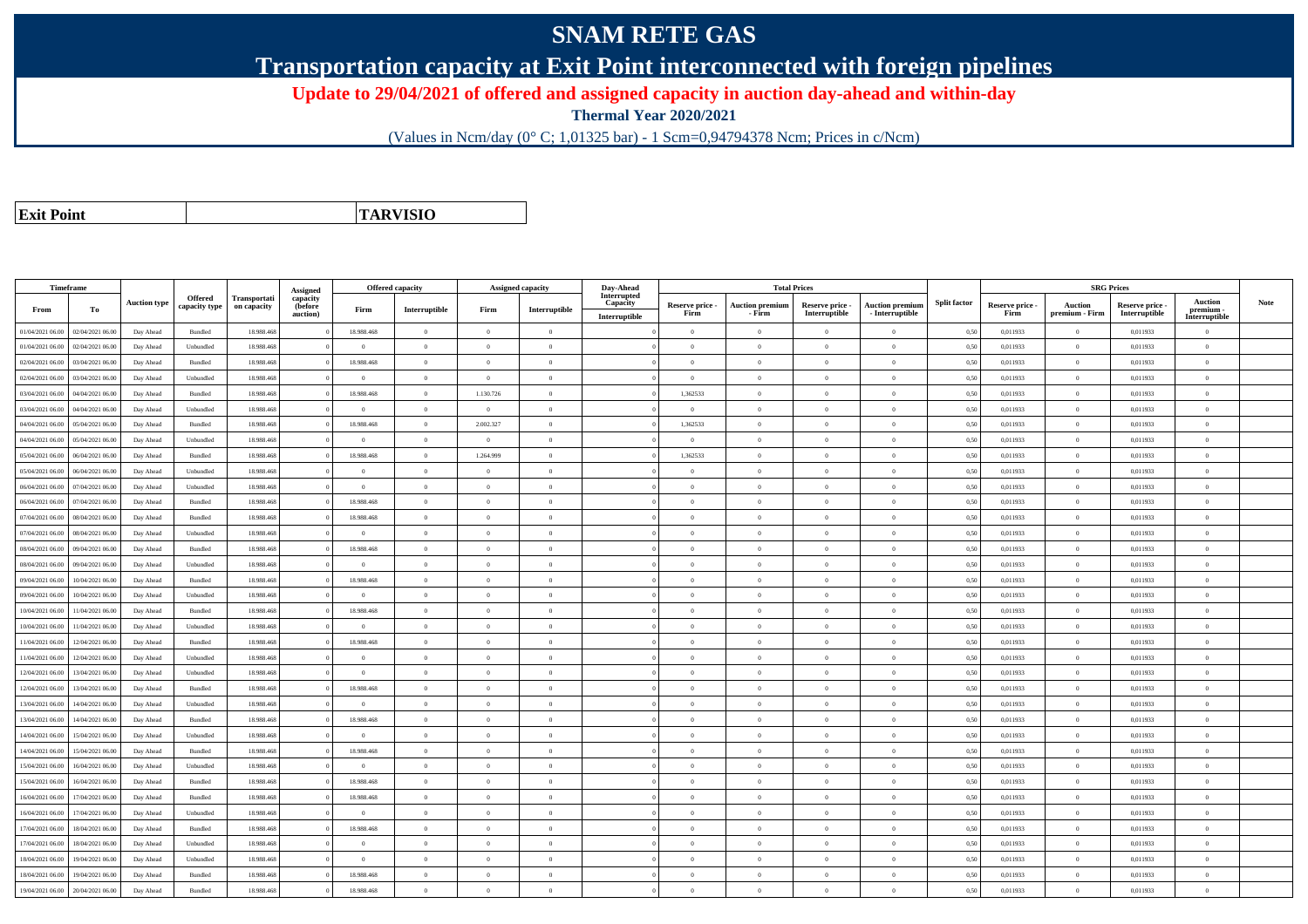## **SNAM RETE GAS**

**Transportation capacity at Exit Point interconnected with foreign pipelines**

**Update to 29/04/2021 of offered and assigned capacity in auction day-ahead and within-day**

**Thermal Year 2020/2021**

(Values in Ncm/day (0° C; 1,01325 bar) - 1 Scm=0,94794378 Ncm; Prices in c/Ncm)

**Exit Point**

**TARVISIO**

|                  | Timeframe        |                     |               |              |                      |                | <b>Offered capacity</b> |                | <b>Assigned capacity</b> | Day-Ahead                 |                         | <b>Total Prices</b>              |                                  |                                             |                     |                         | <b>SRG Prices</b>                |                                  |                            |             |
|------------------|------------------|---------------------|---------------|--------------|----------------------|----------------|-------------------------|----------------|--------------------------|---------------------------|-------------------------|----------------------------------|----------------------------------|---------------------------------------------|---------------------|-------------------------|----------------------------------|----------------------------------|----------------------------|-------------|
|                  |                  | <b>Auction type</b> | Offered       | Transportati | Assigned<br>capacity |                |                         |                |                          | Interrupted               |                         |                                  |                                  |                                             | <b>Split factor</b> |                         |                                  |                                  | <b>Auction</b>             | <b>Note</b> |
| From             | To               |                     | capacity type | on capacity  | (before<br>auction)  | Firm           | Interruptible           | Firm           | Interruptible            | Capacity<br>Interruptible | Reserve price -<br>Firm | <b>Auction premium</b><br>- Firm | Reserve price -<br>Interruptible | <b>Auction premium</b><br>$-$ Interruptible |                     | Reserve price -<br>Firm | <b>Auction</b><br>premium - Firm | Reserve price -<br>Interruptible | premium -<br>Interruptible |             |
| 01/04/2021 06.00 | 02/04/2021 06.00 | Day Ahead           | Bundled       | 18.988.46    |                      | 18.988.468     | $\overline{0}$          | $\overline{0}$ | $\overline{0}$           |                           | $\overline{0}$          | $\Omega$                         | $\overline{0}$                   | $\overline{0}$                              | 0,50                | 0,011933                | $\overline{0}$                   | 0,011933                         | $\overline{0}$             |             |
| 01/04/2021 06:00 | 02/04/2021 06.00 | Day Ahead           | Unbundled     | 18,988,468   |                      | $\theta$       | $\overline{0}$          | $\theta$       | $\theta$                 |                           | $\Omega$                | $\theta$                         | $\Omega$                         | $\theta$                                    | 0.50                | 0.011933                | $\overline{0}$                   | 0.011933                         | $\theta$                   |             |
| 02/04/2021 06:00 | 03/04/2021 06:00 | Day Ahead           | Bundled       | 18.988.468   |                      | 18.988.468     | $\overline{0}$          | $\overline{0}$ | $\overline{0}$           |                           | $\overline{0}$          | $\theta$                         | $\overline{0}$                   | $\mathbf{0}$                                | 0,50                | 0,011933                | $\overline{0}$                   | 0,011933                         | $\bf{0}$                   |             |
| 02/04/2021 06.00 | 03/04/2021 06.0  | Day Ahead           | Unbundled     | 18.988.46    |                      | $\bf{0}$       | $\overline{0}$          | $\overline{0}$ | $\overline{0}$           |                           | $\overline{0}$          | $\Omega$                         | $\overline{0}$                   | $\overline{0}$                              | 0,50                | 0,011933                | $\overline{0}$                   | 0,011933                         | $\bf{0}$                   |             |
| 03/04/2021 06:00 | 04/04/2021 06:00 | Day Ahead           | Bundled       | 18,988,468   |                      | 18,988,468     | $\overline{0}$          | 1.130.726      | $\overline{0}$           |                           | 1.362533                | $\theta$                         | $\Omega$                         | $\bf{0}$                                    | 0,50                | 0,011933                | $\overline{0}$                   | 0.011933                         | $\theta$                   |             |
| 03/04/2021 06:00 | 04/04/2021 06.00 | Day Ahead           | Unbundled     | 18.988.468   |                      | $\overline{0}$ | $\overline{0}$          | $\overline{0}$ | $\overline{0}$           |                           | $\overline{0}$          | $\theta$                         | $\theta$                         | $\overline{0}$                              | 0,50                | 0,011933                | $\overline{0}$                   | 0,011933                         | $\Omega$                   |             |
| 04/04/2021 06.00 | 05/04/2021 06.00 | Day Ahead           | Bundled       | 18.988.468   |                      | 18.988.468     | $\overline{0}$          | 2.002.327      | $\overline{0}$           |                           | 1,362533                |                                  | $\overline{0}$                   | $\overline{0}$                              | 0,50                | 0,011933                | $\overline{0}$                   | 0,011933                         | $\bf{0}$                   |             |
| 04/04/2021 06:00 | 05/04/2021 06.00 | Day Ahead           | Unbundled     | 18.988.468   |                      | $\theta$       | $\overline{0}$          | $\overline{0}$ | $\overline{0}$           |                           | $\overline{0}$          | $\theta$                         | $\theta$                         | $\overline{0}$                              | 0,50                | 0,011933                | $\overline{0}$                   | 0,011933                         | $\Omega$                   |             |
| 05/04/2021 06:00 | 06/04/2021 06.00 | Day Ahead           | Bundled       | 18.988.468   |                      | 18.988.468     | $\overline{0}$          | 1.264.999      | $\overline{0}$           |                           | 1,362533                | $\Omega$                         | $\overline{0}$                   | $\mathbf{0}$                                | 0,50                | 0,011933                | $\overline{0}$                   | 0,011933                         | $\bf{0}$                   |             |
| 05/04/2021 06:00 | 06/04/2021 06:00 | Day Ahead           | Unbundled     | 18,988,468   |                      | $\theta$       | $\overline{0}$          | $\theta$       | $\overline{0}$           |                           | $\theta$                | $\Omega$                         | $\overline{0}$                   | $\theta$                                    | 0.50                | 0.011933                | $\overline{0}$                   | 0.011933                         | $\theta$                   |             |
| 06/04/2021 06:00 | 07/04/2021 06.00 | Day Ahead           | Unbundled     | 18.988.468   |                      | $\overline{0}$ | $\overline{0}$          | $\theta$       | $\overline{0}$           |                           | $\overline{0}$          | $\theta$                         | $\theta$                         | $\bf{0}$                                    | 0,50                | 0,011933                | $\overline{0}$                   | 0,011933                         | $\theta$                   |             |
| 06/04/2021 06:00 | 07/04/2021 06.00 | Day Ahead           | Bundled       | 18.988.468   |                      | 18.988.468     | $\overline{0}$          | $\overline{0}$ | $\overline{0}$           |                           | $\overline{0}$          | $\theta$                         | $\overline{0}$                   | $\overline{0}$                              | 0,50                | 0,011933                | $\overline{0}$                   | 0,011933                         | $\bf{0}$                   |             |
| 07/04/2021 06:00 | 08/04/2021 06:00 | Day Ahead           | Bundled       | 18,988,468   |                      | 18,988,468     | $\overline{0}$          | $\theta$       | $\overline{0}$           |                           | $\Omega$                | $\Omega$                         | $\Omega$                         | $\theta$                                    | 0.50                | 0.011933                | $\theta$                         | 0.011933                         | $\theta$                   |             |
| 07/04/2021 06.00 | 08/04/2021 06.00 | Day Ahead           | Unbundled     | 18.988.468   |                      | $\overline{0}$ | $\overline{0}$          | $\overline{0}$ | $\overline{0}$           |                           | $\overline{0}$          | $\theta$                         | $\overline{0}$                   | $\,$ 0                                      | 0,50                | 0,011933                | $\overline{0}$                   | 0,011933                         | $\bf{0}$                   |             |
| 08/04/2021 06:00 | 09/04/2021 06.00 | Day Ahead           | Bundled       | 18.988.468   |                      | 18.988.468     | $\overline{0}$          | $\overline{0}$ | $\overline{0}$           |                           | $\overline{0}$          | $\Omega$                         | $\overline{0}$                   | $\mathbf{0}$                                | 0,50                | 0,011933                | $\overline{0}$                   | 0,011933                         | $\bf{0}$                   |             |
| 08/04/2021 06:00 | 09/04/2021 06:00 | Day Ahead           | Unbundled     | 18,988,468   |                      | $\Omega$       | $\overline{0}$          | $\Omega$       | $\theta$                 |                           | $\Omega$                | $\Omega$                         | $\Omega$                         | $\theta$                                    | 0.50                | 0.011933                | $\theta$                         | 0.011933                         | $\Omega$                   |             |
| 09/04/2021 06:00 | 10/04/2021 06:00 | Day Ahead           | Bundled       | 18,988,468   |                      | 18,988,468     | $\overline{0}$          | $\overline{0}$ | $\overline{0}$           |                           | $\overline{0}$          | $\theta$                         | $\theta$                         | $\overline{0}$                              | 0.50                | 0.011933                | $\overline{0}$                   | 0.011933                         | $\theta$                   |             |
| 09/04/2021 06.00 | 10/04/2021 06:00 | Day Ahead           | Unbundled     | 18.988.468   |                      | $\overline{0}$ | $\overline{0}$          | $\overline{0}$ | $\overline{0}$           |                           | $\overline{0}$          | $\overline{0}$                   | $\overline{0}$                   | $\overline{0}$                              | 0,50                | 0,011933                | $\overline{0}$                   | 0,011933                         | $\bf{0}$                   |             |
| 0/04/2021 06:00  | 11/04/2021 06.00 | Day Ahead           | Bundled       | 18,988,468   |                      | 18,988,468     | $\overline{0}$          | $\theta$       | $\overline{0}$           |                           | $\Omega$                | $\Omega$                         | $\Omega$                         | $\theta$                                    | 0.50                | 0.011933                | $\overline{0}$                   | 0.011933                         | $\Omega$                   |             |
| 10/04/2021 06:00 | 11/04/2021 06.00 | Day Ahead           | Unbundled     | 18.988.468   |                      | $\theta$       | $\overline{0}$          | $\theta$       | $\overline{0}$           |                           | $\Omega$                | $\theta$                         | $\theta$                         | $\overline{0}$                              | 0.50                | 0,011933                | $\overline{0}$                   | 0,011933                         | $\Omega$                   |             |
| 11/04/2021 06:00 | 12/04/2021 06.00 | Day Ahead           | Bundled       | 18.988.468   |                      | 18.988.468     | $\overline{0}$          | $\overline{0}$ | $\overline{0}$           |                           | $\overline{0}$          | $\overline{0}$                   | $\overline{0}$                   | $\mathbf{0}$                                | 0,50                | 0,011933                | $\overline{0}$                   | 0,011933                         | $\bf{0}$                   |             |
| 11/04/2021 06:00 | 12/04/2021 06:00 | Day Ahead           | Unbundled     | 18,988,468   |                      | $\Omega$       | $\overline{0}$          | $\Omega$       | $\Omega$                 |                           | $\Omega$                | $\Omega$                         | $\Omega$                         | $\Omega$                                    | 0.50                | 0.011933                | $\theta$                         | 0.011933                         | $\Omega$                   |             |
| 12/04/2021 06.00 | 13/04/2021 06:00 | Day Ahead           | Unbundled     | 18.988.468   |                      | $\theta$       | $\Omega$                | $\theta$       | $\overline{0}$           |                           | $\Omega$                | $\Omega$                         | $\Omega$                         | $\theta$                                    | 0,50                | 0,011933                | $\overline{0}$                   | 0.011933                         | $\Omega$                   |             |
| 12/04/2021 06:00 | 13/04/2021 06:00 | Day Ahead           | Bundled       | 18.988.468   |                      | 18.988.468     | $\overline{0}$          | $\overline{0}$ | $\overline{0}$           |                           | $\overline{0}$          | $\overline{0}$                   | $\overline{0}$                   | $\overline{0}$                              | 0,50                | 0,011933                | $\overline{0}$                   | 0,011933                         | $\bf{0}$                   |             |
| 13/04/2021 06:00 | 14/04/2021 06:00 | Day Ahead           | Unbundled     | 18,988,468   |                      | $\theta$       | $\overline{0}$          | $\Omega$       | $\overline{0}$           |                           | $\overline{0}$          | $\Omega$                         | $\overline{0}$                   | $\overline{0}$                              | 0,50                | 0,011933                | $\overline{0}$                   | 0,011933                         | $\Omega$                   |             |
| 13/04/2021 06.00 | 14/04/2021 06.00 | Day Ahead           | Bundled       | 18.988.468   |                      | 18.988.468     | $\overline{0}$          | $\overline{0}$ | $\overline{0}$           |                           | $\overline{0}$          | $\Omega$                         | $\theta$                         | $\overline{0}$                              | 0,50                | 0,011933                | $\overline{0}$                   | 0,011933                         | $\Omega$                   |             |
| 14/04/2021 06:00 | 15/04/2021 06:00 | Day Ahead           | Unbundled     | 18.988.468   |                      | $\Omega$       | $\overline{0}$          | $\theta$       | $\theta$                 |                           | $\Omega$                | $\theta$                         | $\Omega$                         | $\theta$                                    | 0,50                | 0,011933                | $\overline{0}$                   | 0,011933                         | $\Omega$                   |             |
| 14/04/2021 06:00 | 15/04/2021 06.00 | Day Ahead           | Bundled       | 18,988,468   |                      | 18,988,468     | $\overline{0}$          | $\Omega$       | $\theta$                 |                           | $\overline{0}$          | $\theta$                         | $\Omega$                         | $\theta$                                    | 0.50                | 0.011933                | $\overline{0}$                   | 0.011933                         | $\Omega$                   |             |
| 15/04/2021 06.00 | 16/04/2021 06.00 | Day Ahead           | Unbundled     | 18.988.468   |                      | $\Omega$       | $\overline{0}$          | $\Omega$       | $\Omega$                 |                           | $\overline{0}$          | $\Omega$                         | $\Omega$                         | $\theta$                                    | 0,50                | 0,011933                | $\overline{0}$                   | 0,011933                         | $\Omega$                   |             |
| 15/04/2021 06:00 | 16/04/2021 06:00 | Day Ahead           | Bundled       | 18.988.468   |                      | 18.988.468     | $\overline{0}$          | $\Omega$       | $\overline{0}$           |                           | $\overline{0}$          | $\theta$                         | $\overline{0}$                   | $\overline{0}$                              | 0,50                | 0,011933                | $\overline{0}$                   | 0,011933                         | $\Omega$                   |             |
| 16/04/2021 06:00 | 17/04/2021 06.00 | Day Ahead           | Bundled       | 18,988,468   |                      | 18.988.468     | $\overline{0}$          | $\Omega$       | $\overline{0}$           |                           | $\overline{0}$          | $\theta$                         | $\theta$                         | $\theta$                                    | 0.50                | 0.011933                | $\overline{0}$                   | 0.011933                         | $\Omega$                   |             |
| 16/04/2021 06.00 | 17/04/2021 06.00 | Day Ahead           | Unbundled     | 18.988.468   |                      | $\bf{0}$       | $\overline{0}$          | $\overline{0}$ | $\overline{0}$           |                           | $\overline{0}$          | $\Omega$                         | $\theta$                         | $\overline{0}$                              | 0,50                | 0,011933                | $\overline{0}$                   | 0,011933                         | $\Omega$                   |             |
| 17/04/2021 06:00 | 18/04/2021 06:00 | Day Ahead           | Bundled       | 18.988.468   |                      | 18.988.468     | $\overline{0}$          | $\Omega$       | $\overline{0}$           |                           | $\overline{0}$          | $\theta$                         | $\overline{0}$                   | $\overline{0}$                              | 0,50                | 0,011933                | $\overline{0}$                   | 0,011933                         | $\Omega$                   |             |
| 17/04/2021 06.00 | 18/04/2021 06:00 | Day Ahead           | Unbundled     | 18,988,468   |                      | $\Omega$       | $\overline{0}$          | $\sqrt{2}$     | $\overline{0}$           |                           | $\Omega$                | $\Omega$                         | $\Omega$                         | $\theta$                                    | 0.50                | 0,011933                | $\overline{0}$                   | 0.011933                         | $\Omega$                   |             |
| 18/04/2021 06:00 | 19/04/2021 06.00 | Day Ahead           | Unbundled     | 18.988.46    |                      | $\bf{0}$       | $\overline{0}$          | $\overline{0}$ | $\overline{0}$           |                           | $\overline{0}$          | $\Omega$                         | $\overline{0}$                   | $\overline{0}$                              | 0,50                | 0,011933                | $\overline{0}$                   | 0,011933                         | $\bf{0}$                   |             |
| 18/04/2021 06:00 | 19/04/2021 06.00 | Day Ahead           | Bundled       | 18.988.468   |                      | 18.988.468     | $\overline{0}$          | $\overline{0}$ | $\overline{0}$           |                           | $\overline{0}$          | $\Omega$                         | $\overline{0}$                   | $\overline{0}$                              | 0,50                | 0,011933                | $\overline{0}$                   | 0,011933                         | $\bf{0}$                   |             |
| 19/04/2021 06:00 | 20/04/2021 06:00 | Day Ahead           | Bundled       | 18,988,468   |                      | 18,988,468     | $\overline{0}$          | $\Omega$       | $\Omega$                 |                           | $\overline{0}$          | $\Omega$                         | $\Omega$                         | $\theta$                                    | 0,50                | 0,011933                | $\overline{0}$                   | 0.011933                         | $\bf{0}$                   |             |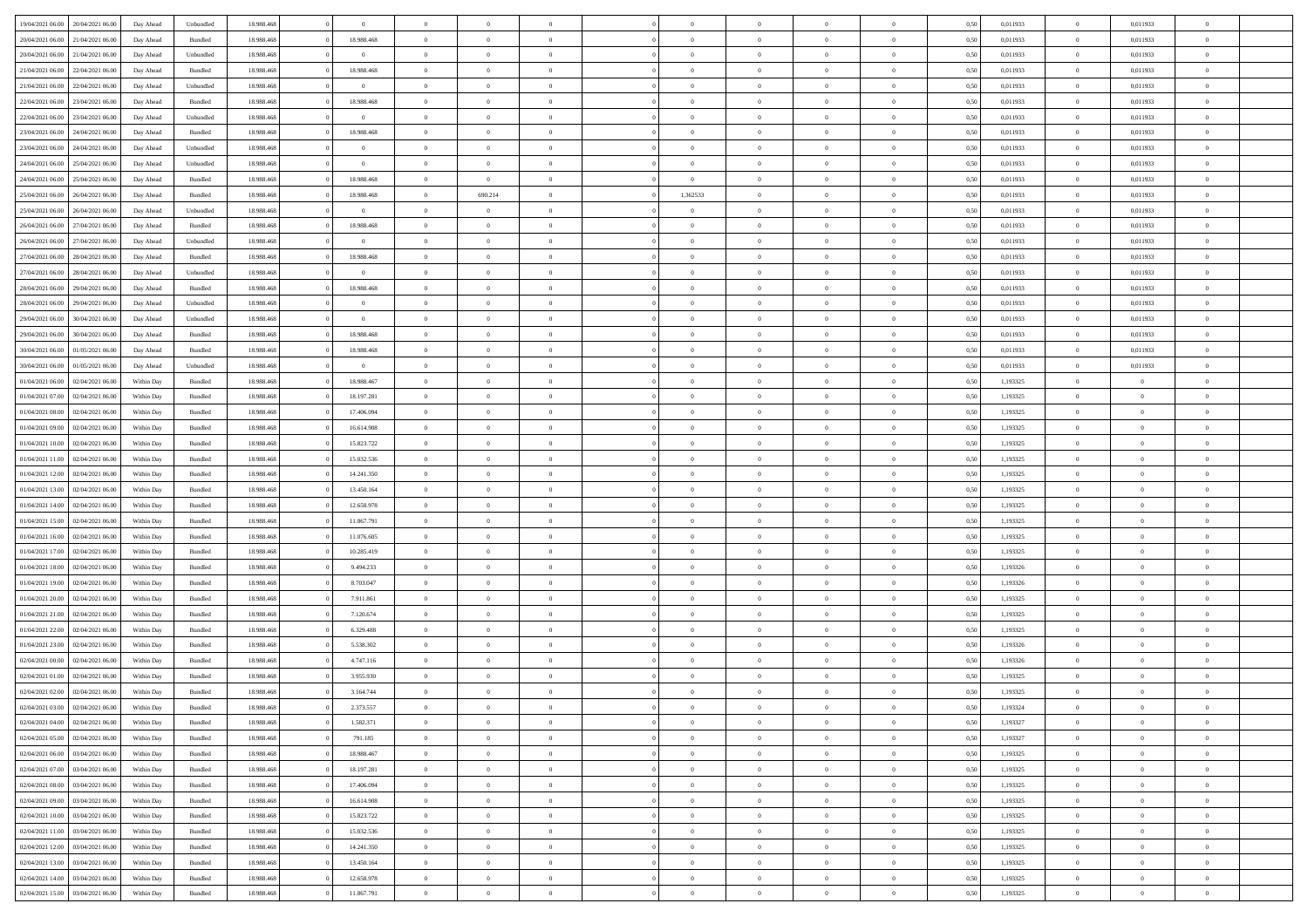| 19/04/2021 06:00                  | 20/04/2021 06:00 | Day Ahead  | Unbundled | 18.988.468 | $\bf{0}$       | $\overline{0}$ | $\overline{0}$ |                |                | $\overline{0}$ | $\theta$       | $\overline{0}$ | 0,50 | 0,011933 | $\,$ 0 $\,$       | 0,011933       | $\overline{0}$ |  |
|-----------------------------------|------------------|------------|-----------|------------|----------------|----------------|----------------|----------------|----------------|----------------|----------------|----------------|------|----------|-------------------|----------------|----------------|--|
|                                   |                  |            |           |            |                | $\overline{0}$ | $\overline{0}$ | $\overline{0}$ | $\Omega$       | $\bf{0}$       |                | $\bf{0}$       |      |          | $\bf{0}$          |                | $\,$ 0         |  |
| 20/04/2021 06:00                  | 21/04/2021 06.00 | Day Ahead  | Bundled   | 18.988.468 | 18.988.468     |                |                |                |                |                | $\overline{0}$ |                | 0,50 | 0,011933 |                   | 0,011933       |                |  |
| 20/04/2021 06:00                  | 21/04/2021 06:00 | Day Ahead  | Unbundled | 18,988,468 | $\overline{0}$ | $\overline{0}$ | $\overline{0}$ | $\overline{0}$ | $\overline{0}$ | $\bf{0}$       | $\overline{0}$ | $\mathbf{0}$   | 0.50 | 0.011933 | $\overline{0}$    | 0.011933       | $\bf{0}$       |  |
| 21/04/2021 06:00                  | 22/04/2021 06:00 | Day Ahead  | Bundled   | 18.988.468 | 18.988.468     | $\overline{0}$ | $\overline{0}$ | $\overline{0}$ | $\overline{0}$ | $\bf{0}$       | $\overline{0}$ | $\theta$       | 0,50 | 0,011933 | $\,$ 0 $\,$       | 0,011933       | $\overline{0}$ |  |
| 21/04/2021 06:00                  | 22/04/2021 06.0  | Day Ahead  | Unbundled | 18.988.468 | $\overline{0}$ | $\overline{0}$ | $\overline{0}$ | $\overline{0}$ |                | $\bf{0}$       | $\overline{0}$ | $\bf{0}$       | 0,50 | 0,011933 | $\bf{0}$          | 0,011933       | $\overline{0}$ |  |
| 22/04/2021 06:00                  | 23/04/2021 06:00 | Day Ahead  | Bundled   | 18,988,468 | 18,988,468     | $\overline{0}$ | $\overline{0}$ | $\overline{0}$ | $\Omega$       | $\bf{0}$       | $\overline{0}$ | $\bf{0}$       | 0.50 | 0.011933 | $\bf{0}$          | 0.011933       | $\bf{0}$       |  |
| 22/04/2021 06:00                  | 23/04/2021 06:00 | Day Ahead  | Unbundled | 18.988.468 | $\overline{0}$ | $\overline{0}$ | $\overline{0}$ | $\overline{0}$ | $\overline{0}$ | $\bf{0}$       | $\overline{0}$ | $\bf{0}$       | 0,50 | 0,011933 | $\,$ 0 $\,$       | 0,011933       | $\overline{0}$ |  |
| 23/04/2021 06:00                  | 24/04/2021 06.00 | Day Ahead  | Bundled   | 18.988.468 | 18.988.468     | $\overline{0}$ | $\overline{0}$ | $\overline{0}$ |                | $\bf{0}$       | $\overline{0}$ | $\bf{0}$       | 0,50 | 0,011933 | $\bf{0}$          | 0,011933       | $\bf{0}$       |  |
| 23/04/2021 06:00                  | 24/04/2021 06:00 | Day Ahead  | Unbundled | 18,988,468 | $\overline{0}$ | $\overline{0}$ | $\overline{0}$ | $\overline{0}$ | $\overline{0}$ | $\overline{0}$ | $\overline{0}$ | $\bf{0}$       | 0.50 | 0.011933 | $\bf{0}$          | 0.011933       | $\bf{0}$       |  |
|                                   |                  |            |           |            |                |                |                |                |                |                |                |                |      |          |                   |                |                |  |
| 24/04/2021 06:00                  | 25/04/2021 06:00 | Day Ahead  | Unbundled | 18.988.468 | $\overline{0}$ | $\overline{0}$ | $\overline{0}$ | $\overline{0}$ | $\overline{0}$ | $\bf{0}$       | $\overline{0}$ | $\bf{0}$       | 0,50 | 0,011933 | $\,$ 0 $\,$       | 0,011933       | $\bf{0}$       |  |
| 24/04/2021 06:00                  | 25/04/2021 06.00 | Day Ahead  | Bundled   | 18.988.468 | 18.988.468     | $\overline{0}$ | $\overline{0}$ | $\overline{0}$ | $\overline{0}$ | $\bf{0}$       | $\overline{0}$ | $\bf{0}$       | 0,50 | 0,011933 | $\bf{0}$          | 0,011933       | $\bf{0}$       |  |
| 25/04/2021 06:00                  | 26/04/2021 06:00 | Day Ahead  | Bundled   | 18,988,468 | 18,988,468     | $\overline{0}$ | 690.214        | $\overline{0}$ | 1,362533       | $\bf{0}$       | $\overline{0}$ | $\mathbf{0}$   | 0.50 | 0.011933 | $\,$ 0 $\,$       | 0.011933       | $\bf{0}$       |  |
| 25/04/2021 06:00                  | 26/04/2021 06:00 | Day Ahead  | Unbundled | 18.988.468 | $\overline{0}$ | $\overline{0}$ | $\overline{0}$ | $\overline{0}$ | $\overline{0}$ | $\bf{0}$       | $\overline{0}$ | $\theta$       | 0,50 | 0,011933 | $\,$ 0 $\,$       | 0,011933       | $\overline{0}$ |  |
| 26/04/2021 06:00                  | 27/04/2021 06.00 | Day Ahead  | Bundled   | 18.988.468 | 18.988.468     | $\overline{0}$ | $\overline{0}$ | $\overline{0}$ |                | $\bf{0}$       | $\overline{0}$ | $\bf{0}$       | 0,50 | 0,011933 | $\bf{0}$          | 0,011933       | $\overline{0}$ |  |
| 26/04/2021 06:00                  | 27/04/2021 06:00 | Day Ahead  | Unbundled | 18,988,468 | $\overline{0}$ | $\overline{0}$ | $\overline{0}$ | $\overline{0}$ | $\Omega$       | $\bf{0}$       | $\overline{0}$ | $\bf{0}$       | 0.50 | 0.011933 | $\bf{0}$          | 0.011933       | $\bf{0}$       |  |
| 27/04/2021 06:00                  | 28/04/2021 06:00 | Day Ahead  | Bundled   | 18.988.468 | 18.988.468     | $\overline{0}$ | $\overline{0}$ | $\overline{0}$ | $\overline{0}$ | $\bf{0}$       | $\overline{0}$ | $\bf{0}$       | 0,50 | 0,011933 | $\,$ 0 $\,$       | 0,011933       | $\overline{0}$ |  |
|                                   |                  |            |           |            |                |                |                |                |                |                |                |                |      |          |                   |                |                |  |
| 27/04/2021 06:00                  | 28/04/2021 06.0  | Day Ahead  | Unbundled | 18.988.468 | $\overline{0}$ | $\overline{0}$ | $\overline{0}$ | $\overline{0}$ |                | $\bf{0}$       | $\overline{0}$ | $\bf{0}$       | 0,50 | 0,011933 | $\bf{0}$          | 0,011933       | $\,$ 0         |  |
| 28/04/2021 06:00                  | 29/04/2021 06:00 | Day Ahead  | Bundled   | 18,988,468 | 18,988,468     | $\overline{0}$ | $\overline{0}$ | $\overline{0}$ | $\overline{0}$ | $\bf{0}$       | $\overline{0}$ | $\bf{0}$       | 0.50 | 0.011933 | $\bf{0}$          | 0.011933       | $\bf{0}$       |  |
| 28/04/2021 06:00                  | 29/04/2021 06.00 | Day Ahead  | Unbundled | 18.988.468 | $\overline{0}$ | $\overline{0}$ | $\overline{0}$ | $\overline{0}$ | $\overline{0}$ | $\bf{0}$       | $\overline{0}$ | $\bf{0}$       | 0,50 | 0,011933 | $\,$ 0 $\,$       | 0,011933       | $\bf{0}$       |  |
| 29/04/2021 06:00                  | 30/04/2021 06.00 | Day Ahead  | Unbundled | 18.988.468 | $\bf{0}$       | $\overline{0}$ | $\overline{0}$ | $\overline{0}$ | $\overline{0}$ | $\bf{0}$       | $\overline{0}$ | $\bf{0}$       | 0,50 | 0,011933 | $\bf{0}$          | 0,011933       | $\bf{0}$       |  |
| 29/04/2021 06:00                  | 30/04/2021 06:00 | Day Ahead  | Bundled   | 18,988,468 | 18.988.468     | $\overline{0}$ | $\overline{0}$ | $\overline{0}$ | $\overline{0}$ | $\bf{0}$       | $\overline{0}$ | $\mathbf{0}$   | 0.50 | 0.011933 | $\bf{0}$          | 0.011933       | $\bf{0}$       |  |
| 30/04/2021 06:00                  | 01/05/2021 06:00 | Day Ahead  | Bundled   | 18.988.468 | 18.988.468     | $\overline{0}$ | $\overline{0}$ | $\overline{0}$ | $\overline{0}$ | $\bf{0}$       | $\overline{0}$ | $\theta$       | 0,50 | 0,011933 | $\,$ 0 $\,$       | 0,011933       | $\overline{0}$ |  |
| 30/04/2021 06:00                  | 01/05/2021 06.00 | Day Ahead  | Unbundled | 18.988.468 | $\overline{0}$ | $\overline{0}$ | $\overline{0}$ | $\overline{0}$ | $\Omega$       | $\bf{0}$       | $\overline{0}$ | $\bf{0}$       | 0,50 | 0,011933 | $\bf{0}$          | 0,011933       | $\overline{0}$ |  |
| 01/04/2021 06:00                  | 02/04/2021 06:00 |            |           | 18,988,468 | 18,988,467     |                | $\overline{0}$ | $\overline{0}$ | $\Omega$       | $\bf{0}$       |                | $\bf{0}$       | 0.50 |          | $\bf{0}$          | $\overline{0}$ |                |  |
|                                   |                  | Within Day | Bundled   |            |                | $\overline{0}$ |                |                |                |                | $\overline{0}$ |                |      | 1,193325 |                   |                | $\bf{0}$       |  |
| 01/04/2021 07:00                  | 02/04/2021 06.00 | Within Day | Bundled   | 18.988.468 | 18.197.281     | $\overline{0}$ | $\overline{0}$ | $\overline{0}$ | $\overline{0}$ | $\bf{0}$       | $\overline{0}$ | $\bf{0}$       | 0,50 | 1,193325 | $\,$ 0 $\,$       | $\overline{0}$ | $\overline{0}$ |  |
| 01/04/2021 08:00                  | 02/04/2021 06.00 | Within Day | Bundled   | 18.988.468 | 17.406.094     | $\overline{0}$ | $\overline{0}$ | $\overline{0}$ |                | $\bf{0}$       | $\overline{0}$ | $\bf{0}$       | 0,50 | 1,193325 | $\bf{0}$          | $\overline{0}$ | $\bf{0}$       |  |
| 01/04/2021 09:00                  | 02/04/2021 06:00 | Within Day | Bundled   | 18,988,468 | 16.614.908     | $\overline{0}$ | $\overline{0}$ | $\overline{0}$ | $\overline{0}$ | $\bf{0}$       | $\overline{0}$ | $\bf{0}$       | 0.50 | 1.193325 | $\bf{0}$          | $\overline{0}$ | $\bf{0}$       |  |
| 01/04/2021 10:00                  | 02/04/2021 06:00 | Within Day | Bundled   | 18.988.468 | 15.823.722     | $\overline{0}$ | $\overline{0}$ | $\overline{0}$ | $\overline{0}$ | $\bf{0}$       | $\overline{0}$ | $\bf{0}$       | 0,50 | 1,193325 | $\,$ 0 $\,$       | $\overline{0}$ | $\overline{0}$ |  |
| 01/04/2021 11:00                  | 02/04/2021 06.00 | Within Day | Bundled   | 18.988.468 | 15.032.536     | $\overline{0}$ | $\overline{0}$ | $\overline{0}$ | $\overline{0}$ | $\bf{0}$       | $\overline{0}$ | $\bf{0}$       | 0,50 | 1,193325 | $\bf{0}$          | $\bf{0}$       | $\bf{0}$       |  |
| 01/04/2021 12:00                  | 02/04/2021 06:00 | Within Day | Bundled   | 18,988,468 | 14.241.350     | $\overline{0}$ | $\overline{0}$ | $\overline{0}$ | $\overline{0}$ | $\,$ 0         | $\overline{0}$ | $\mathbf{0}$   | 0.50 | 1,193325 | $\,0\,$           | $\overline{0}$ | $\bf{0}$       |  |
| 01/04/2021 13:00                  | 02/04/2021 06:00 | Within Dav | Bundled   | 18.988.468 | 13.450.164     | $\overline{0}$ | $\overline{0}$ | $\overline{0}$ | $\Omega$       | $\overline{0}$ | $\overline{0}$ | $\bf{0}$       | 0,50 | 1,193325 | $\mathbf{0}$      | $\overline{0}$ | $\overline{0}$ |  |
| 01/04/2021 14:00                  | 02/04/2021 06.0  | Within Day | Bundled   | 18.988.468 | 12.658.978     | $\overline{0}$ | $\bf{0}$       | $\overline{0}$ | $\Omega$       | $\bf{0}$       | $\overline{0}$ | $\bf{0}$       | 0,50 | 1,193325 | $\bf{0}$          | $\overline{0}$ | $\bf{0}$       |  |
|                                   |                  |            |           |            |                |                |                |                |                |                |                |                |      |          |                   |                |                |  |
| 01/04/2021 15:00                  | 02/04/2021 06:00 | Within Day | Bundled   | 18,988,468 | 11.867.791     | $\overline{0}$ | $\overline{0}$ | $\overline{0}$ | $\Omega$       | $\bf{0}$       | $\overline{0}$ | $\bf{0}$       | 0.50 | 1,193325 | $\bf{0}$          | $\overline{0}$ | $\bf{0}$       |  |
| 01/04/2021 16:00                  | 02/04/2021 06:00 | Within Dav | Bundled   | 18.988.468 | 11.076.605     | $\overline{0}$ | $\overline{0}$ | $\theta$       | $\Omega$       | $\overline{0}$ | $\overline{0}$ | $\bf{0}$       | 0,50 | 1,193325 | $\mathbf{0}$      | $\overline{0}$ | $\overline{0}$ |  |
| 01/04/2021 17:00                  | 02/04/2021 06.00 | Within Day | Bundled   | 18.988.468 | 10.285.419     | $\overline{0}$ | $\bf{0}$       | $\overline{0}$ | $\Omega$       | $\bf{0}$       | $\overline{0}$ | $\bf{0}$       | 0,50 | 1,193325 | $\bf{0}$          | $\overline{0}$ | $\bf{0}$       |  |
| 01/04/2021 18:00                  | 02/04/2021 06:00 | Within Day | Bundled   | 18,988,468 | 9.494.233      | $\overline{0}$ | $\overline{0}$ | $\overline{0}$ | $\overline{0}$ | $\bf{0}$       | $\overline{0}$ | $\mathbf{0}$   | 0.50 | 1.193326 | $\bf{0}$          | $\overline{0}$ | $\bf{0}$       |  |
| 01/04/2021 19:00                  | 02/04/2021 06:00 | Within Dav | Bundled   | 18.988.468 | 8.703.047      | $\overline{0}$ | $\overline{0}$ | $\overline{0}$ | $\Omega$       | $\overline{0}$ | $\overline{0}$ | $\bf{0}$       | 0,50 | 1,193326 | $\mathbf{0}$      | $\overline{0}$ | $\overline{0}$ |  |
| 01/04/2021 20:00                  | 02/04/2021 06.00 | Within Day | Bundled   | 18.988.468 | 7.911.861      | $\overline{0}$ | $\overline{0}$ | $\overline{0}$ | $\overline{0}$ | $\overline{0}$ | $\overline{0}$ | $\bf{0}$       | 0,50 | 1,193325 | $\bf{0}$          | $\overline{0}$ | $\bf{0}$       |  |
| 01/04/2021 21:00                  | 02/04/2021 06:00 | Within Day | Bundled   | 18,988,468 | 7.120.674      | $\overline{0}$ | $\overline{0}$ | $\overline{0}$ | $\overline{0}$ | $\,$ 0         | $\overline{0}$ | $\mathbf{0}$   | 0.50 | 1,193325 | $\bf{0}$          | $\overline{0}$ | $\bf{0}$       |  |
| 01/04/2021 22:00                  | 02/04/2021 06:00 | Within Dav | Bundled   | 18.988.468 | 6.329.488      | $\overline{0}$ | $\overline{0}$ | $\theta$       | $\Omega$       | $\overline{0}$ | $\overline{0}$ | $\bf{0}$       | 0,50 | 1,193325 | $\mathbf{0}$      | $\overline{0}$ | $\overline{0}$ |  |
|                                   |                  |            |           |            |                | $\overline{0}$ | $\overline{0}$ | $\overline{0}$ | $\Omega$       | $\bf{0}$       |                |                |      |          | $\bf{0}$          | $\overline{0}$ | $\bf{0}$       |  |
| 01/04/2021 23:00                  | 02/04/2021 06.00 | Within Day | Bundled   | 18.988.468 | 5.538.302      |                |                |                |                |                | $\overline{0}$ | $\bf{0}$       | 0,50 | 1,193326 |                   |                |                |  |
| 02/04/2021 00:00                  | 02/04/2021 06:00 | Within Day | Bundled   | 18,988,468 | 4.747.116      | $\overline{0}$ | $\overline{0}$ | $\Omega$       | $\Omega$       | $\overline{0}$ | $\overline{0}$ | $\bf{0}$       | 0.50 | 1,193326 | $\bf{0}$          | $\overline{0}$ | $\bf{0}$       |  |
| 02/04/2021 01:00                  | 02/04/2021 06:00 | Within Dav | Bundled   | 18.988.468 | 3.955.930      | $\overline{0}$ | $\overline{0}$ | $\theta$       | $\Omega$       | $\overline{0}$ | $\overline{0}$ | $\theta$       | 0.50 | 1,193325 | $\mathbf{0}$      | $\overline{0}$ | $\overline{0}$ |  |
| 02/04/2021 02:00                  | 02/04/2021 06.00 | Within Day | Bundled   | 18.988.468 | 3.164.744      | $\overline{0}$ | $\bf{0}$       | $\overline{0}$ | $\overline{0}$ | $\bf{0}$       | $\overline{0}$ | $\bf{0}$       | 0,50 | 1,193325 | $\bf{0}$          | $\overline{0}$ | $\bf{0}$       |  |
| 02/04/2021 03:00                  | 02/04/2021 06:00 | Within Day | Bundled   | 18.988.468 | 2.373.557      | $\overline{0}$ | $\overline{0}$ |                | $\overline{0}$ | $\Omega$       |                |                | 0,50 | 1,193324 | $\Omega$          | $\Omega$       |                |  |
| 02/04/2021 04:00                  | 02/04/2021 06:00 | Within Day | Bundled   | 18.988.468 | 1.582.371      | $\overline{0}$ | $\overline{0}$ | $\overline{0}$ | $\Omega$       | $\overline{0}$ | $\overline{0}$ | $\overline{0}$ | 0,50 | 1,193327 | $\overline{0}$    | $\theta$       | $\bf{0}$       |  |
| 02/04/2021 05:00                  | 02/04/2021 06.00 | Within Day | Bundled   | 18.988.468 | 791.185        | $\overline{0}$ | $\bf{0}$       | $\overline{0}$ | $\overline{0}$ | $\bf{0}$       | $\overline{0}$ | $\bf{0}$       | 0,50 | 1,193327 | $\bf{0}$          | $\bf{0}$       | $\bf{0}$       |  |
| 02/04/2021 06:00                  | 03/04/2021 06:00 | Within Day | Bundled   | 18.988.468 | 18.988.467     | $\overline{0}$ | $\overline{0}$ | $\overline{0}$ | $\overline{0}$ | $\bf{0}$       | $\overline{0}$ | $\bf{0}$       | 0.50 | 1,193325 | $\hspace{0.1mm}0$ | $\overline{0}$ | $\,$ 0 $\,$    |  |
| 02/04/2021 07:00                  | 03/04/2021 06:00 | Within Day | Bundled   | 18.988.468 | 18.197.281     | $\overline{0}$ | $\overline{0}$ | $\overline{0}$ | $\overline{0}$ | $\overline{0}$ | $\overline{0}$ | $\mathbf{0}$   | 0,50 | 1,193325 | $\overline{0}$    | $\theta$       | $\bf{0}$       |  |
|                                   |                  |            |           |            |                |                |                |                |                |                |                |                |      |          |                   |                |                |  |
| 02/04/2021 08:00                  | 03/04/2021 06:00 | Within Day | Bundled   | 18.988.468 | 17.406.094     | $\overline{0}$ | $\overline{0}$ | $\overline{0}$ | $\overline{0}$ | $\overline{0}$ | $\overline{0}$ | $\bf{0}$       | 0,50 | 1,193325 | $\,$ 0 $\,$       | $\bf{0}$       | $\bf{0}$       |  |
| 02/04/2021 09:00                  | 03/04/2021 06:00 | Within Day | Bundled   | 18,988,468 | 16.614.908     | $\overline{0}$ | $\overline{0}$ | $\overline{0}$ | $\overline{0}$ | $\,$ 0         | $\overline{0}$ | $\mathbf{0}$   | 0.50 | 1,193325 | $\,0\,$           | $\bf{0}$       | $\bf{0}$       |  |
| 02/04/2021 10:00                  | 03/04/2021 06:00 | Within Day | Bundled   | 18.988.468 | 15.823.722     | $\overline{0}$ | $\overline{0}$ | $\overline{0}$ | $\overline{0}$ | $\overline{0}$ | $\overline{0}$ | $\overline{0}$ | 0,50 | 1,193325 | $\overline{0}$    | $\theta$       | $\bf{0}$       |  |
| 02/04/2021 11:00                  | 03/04/2021 06:00 | Within Day | Bundled   | 18.988.468 | 15.032.536     | $\overline{0}$ | $\,$ 0 $\,$    | $\overline{0}$ | $\overline{0}$ | $\,$ 0         | $\overline{0}$ | $\bf{0}$       | 0,50 | 1,193325 | $\,0\,$           | $\overline{0}$ | $\bf{0}$       |  |
| 02/04/2021 12:00                  | 03/04/2021 06:00 | Within Day | Bundled   | 18,988,468 | 14.241.350     | $\overline{0}$ | $\overline{0}$ | $\overline{0}$ | $\overline{0}$ | $\,$ 0 $\,$    | $\overline{0}$ | $\overline{0}$ | 0.50 | 1.193325 | $\overline{0}$    | $\bf{0}$       | $\bf{0}$       |  |
| 02/04/2021 13:00                  | 03/04/2021 06:00 | Within Day | Bundled   | 18.988.468 | 13.450.164     | $\overline{0}$ | $\overline{0}$ | $\overline{0}$ | $\overline{0}$ | $\overline{0}$ | $\overline{0}$ | $\bf{0}$       | 0,50 | 1,193325 | $\overline{0}$    | $\theta$       | $\bf{0}$       |  |
| 02/04/2021 14:00                  | 03/04/2021 06:00 | Within Day | Bundled   | 18.988.468 | 12.658.978     | $\overline{0}$ | $\bf{0}$       | $\overline{0}$ | $\overline{0}$ | $\bf{0}$       | $\overline{0}$ | $\bf{0}$       | 0,50 | 1,193325 | $\bf{0}$          | $\bf{0}$       | $\bf{0}$       |  |
|                                   |                  |            |           |            |                |                |                |                |                |                |                |                |      |          |                   |                |                |  |
| 02/04/2021 15:00 03/04/2021 06:00 |                  | Within Day | Bundled   | 18.988.468 | 11.867.791     | $\,$ 0 $\,$    | $\,$ 0 $\,$    | $\overline{0}$ | $\overline{0}$ | $\,$ 0 $\,$    | $\,$ 0 $\,$    | $\mathbf{0}$   | 0,50 | 1,193325 | $\,$ 0 $\,$       | $\,$ 0 $\,$    | $\mathbf 0$    |  |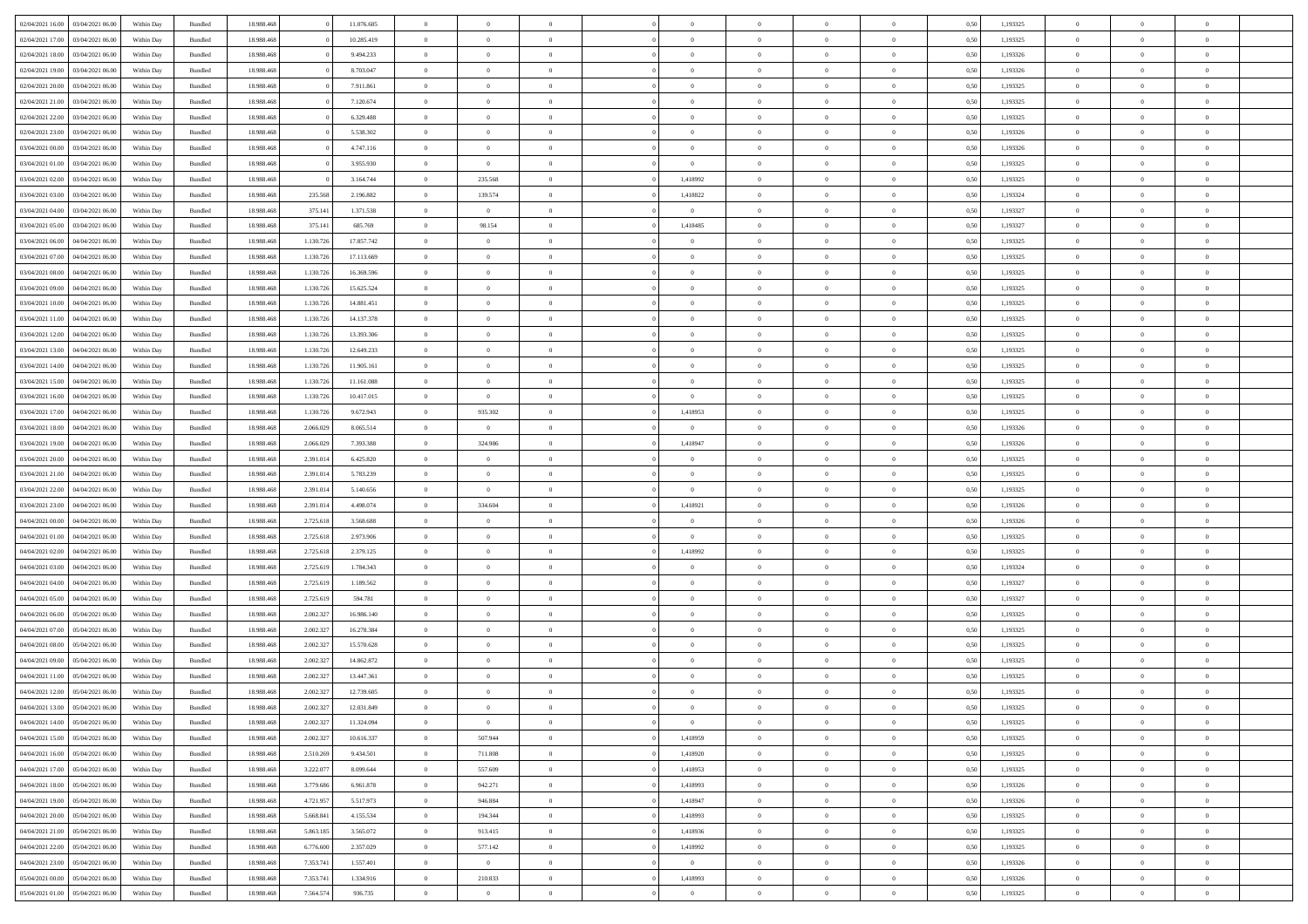| 02/04/2021 16:00                   | 03/04/2021 06:00 | Within Day | Bundled | 18.988.468 |           | 11.076.605 | $\overline{0}$ | $\theta$       |                |                | $\Omega$       | $\Omega$       | $\bf{0}$       | 0,50 | 1,193325 | $\theta$       | $\theta$       | $\theta$       |  |
|------------------------------------|------------------|------------|---------|------------|-----------|------------|----------------|----------------|----------------|----------------|----------------|----------------|----------------|------|----------|----------------|----------------|----------------|--|
| 02/04/2021 17:00                   | 03/04/2021 06:00 | Within Dav | Bundled | 18.988.468 |           | 10.285.419 | $\overline{0}$ | $\Omega$       |                | $\Omega$       | $\Omega$       | $\Omega$       | $\bf{0}$       | 0.50 | 1,193325 | $\theta$       | $\Omega$       | $\sqrt{ }$     |  |
| 02/04/2021 18:00                   | 03/04/2021 06:00 | Within Day | Bundled | 18.988.468 |           | 9.494.233  | $\overline{0}$ | $\overline{0}$ | $\overline{0}$ | $\overline{0}$ | $\,$ 0 $\,$    | $\overline{0}$ | $\,$ 0 $\,$    | 0,50 | 1,193326 | $\,$ 0 $\,$    | $\overline{0}$ | $\overline{0}$ |  |
| 02/04/2021 19:00                   | 03/04/2021 06.00 | Within Day |         | 18.988.468 |           | 8.703.047  | $\bf{0}$       | $\overline{0}$ | $\overline{0}$ | $\overline{0}$ | $\bf{0}$       | $\overline{0}$ | $\bf{0}$       | 0,50 | 1,193326 | $\bf{0}$       | $\overline{0}$ | $\bf{0}$       |  |
|                                    |                  |            | Bundled |            |           |            |                |                |                |                |                |                |                |      |          |                |                |                |  |
| 02/04/2021 20:00                   | 03/04/2021 06:00 | Within Dav | Bundled | 18.988.468 |           | 7.911.861  | $\overline{0}$ | $\Omega$       | $^{\circ}$     | $\Omega$       | $\overline{0}$ | $\Omega$       | $\overline{0}$ | 0.50 | 1,193325 | $\theta$       | $\theta$       | $\sqrt{ }$     |  |
| 02/04/2021 21:00                   | 03/04/2021 06:00 | Within Day | Bundled | 18.988.468 |           | 7.120.674  | $\overline{0}$ | $\overline{0}$ | $\overline{0}$ | $\overline{0}$ | $\,$ 0 $\,$    | $\overline{0}$ | $\,$ 0 $\,$    | 0,50 | 1,193325 | $\theta$       | $\overline{0}$ | $\overline{0}$ |  |
| 02/04/2021 22.00                   | 03/04/2021 06:00 | Within Day | Bundled | 18.988.468 |           | 6.329.488  | $\overline{0}$ | $\overline{0}$ | $\overline{0}$ | $\Omega$       | $\overline{0}$ | $\overline{0}$ | $\bf{0}$       | 0,50 | 1,193325 | $\,0\,$        | $\theta$       | $\overline{0}$ |  |
| 02/04/2021 23:00                   | 03/04/2021 06:00 | Within Dav | Bundled | 18.988.468 |           | 5.538.302  | $\overline{0}$ | $\Omega$       | $^{\circ}$     | $\Omega$       | $\bf{0}$       | $\Omega$       | $\bf{0}$       | 0.50 | 1,193326 | $\theta$       | $\theta$       | $\sqrt{ }$     |  |
| 03/04/2021 00:00                   | 03/04/2021 06:00 |            |         | 18.988.468 |           | 4.747.116  | $\overline{0}$ | $\overline{0}$ | $\overline{0}$ | $\overline{0}$ | $\overline{0}$ | $\overline{0}$ | $\,$ 0 $\,$    |      | 1,193326 | $\,$ 0 $\,$    | $\overline{0}$ | $\overline{0}$ |  |
|                                    |                  | Within Day | Bundled |            |           |            |                |                |                |                |                |                |                | 0,50 |          |                |                |                |  |
| 03/04/2021 01:00                   | 03/04/2021 06:00 | Within Day | Bundled | 18.988.468 |           | 3.955.930  | $\overline{0}$ | $\overline{0}$ | $\overline{0}$ | $\Omega$       | $\overline{0}$ | $\overline{0}$ | $\bf{0}$       | 0,50 | 1,193325 | $\bf{0}$       | $\theta$       | $\overline{0}$ |  |
| 03/04/2021 02:00                   | 03/04/2021 06:00 | Within Dav | Bundled | 18.988.468 |           | 3.164.744  | $\overline{0}$ | 235.568        | $^{\circ}$     | 1,418992       | $\overline{0}$ | $\Omega$       | $\overline{0}$ | 0.50 | 1,193325 | $\theta$       | $\theta$       | $\sqrt{ }$     |  |
| 03/04/2021 03:00                   | 03/04/2021 06:00 | Within Day | Bundled | 18.988.468 | 235.568   | 2.196.882  | $\overline{0}$ | 139.574        | $\overline{0}$ | 1,418822       | $\,$ 0 $\,$    | $\overline{0}$ | $\,$ 0 $\,$    | 0,50 | 1,193324 | $\,$ 0 $\,$    | $\overline{0}$ | $\overline{0}$ |  |
| 03/04/2021 04:00                   | 03/04/2021 06.00 | Within Day | Bundled | 18.988.468 | 375.141   | 1.371.538  | $\bf{0}$       | $\overline{0}$ | $\overline{0}$ | $\overline{0}$ | $\bf{0}$       | $\overline{0}$ | $\bf{0}$       | 0,50 | 1,193327 | $\bf{0}$       | $\overline{0}$ | $\overline{0}$ |  |
| 03/04/2021 05:00                   | 03/04/2021 06:00 | Within Day | Bundled | 18.988.468 | 375.14    | 685.769    | $\overline{0}$ | 98.154         | $^{\circ}$     | 1,418485       | $\overline{0}$ | $\Omega$       | $\bf{0}$       | 0.50 | 1,193327 | $\theta$       | $\theta$       | $\sqrt{ }$     |  |
|                                    |                  |            |         |            |           |            |                |                |                |                |                |                |                |      |          |                |                |                |  |
| 03/04/2021 06:00                   | 04/04/2021 06.00 | Within Day | Bundled | 18.988.468 | 1.130.726 | 17.857.742 | $\overline{0}$ | $\overline{0}$ | $\overline{0}$ | $\overline{0}$ | $\overline{0}$ | $\overline{0}$ | $\,$ 0 $\,$    | 0,50 | 1,193325 | $\theta$       | $\overline{0}$ | $\overline{0}$ |  |
| 03/04/2021 07:00                   | 04/04/2021 06:00 | Within Day | Bundled | 18.988.468 | 1.130.726 | 17.113.669 | $\overline{0}$ | $\overline{0}$ | $\overline{0}$ | $\overline{0}$ | $\overline{0}$ | $\overline{0}$ | $\bf{0}$       | 0.50 | 1,193325 | $\,0\,$        | $\overline{0}$ | $\overline{0}$ |  |
| 03/04/2021 08:00                   | 04/04/2021 06:00 | Within Day | Bundled | 18.988.468 | 1.130.726 | 16.369.596 | $\overline{0}$ | $\Omega$       | $^{\circ}$     | $\Omega$       | $\overline{0}$ | $\Omega$       | $\bf{0}$       | 0.50 | 1,193325 | $\theta$       | $\theta$       | $\sqrt{ }$     |  |
| 03/04/2021 09:00                   | 04/04/2021 06.00 | Within Day | Bundled | 18.988.468 | 1.130.726 | 15.625.524 | $\overline{0}$ | $\overline{0}$ | $\overline{0}$ | $\overline{0}$ | $\,$ 0 $\,$    | $\overline{0}$ | $\,$ 0 $\,$    | 0,50 | 1,193325 | $\,$ 0 $\,$    | $\overline{0}$ | $\overline{0}$ |  |
| 03/04/2021 10:00                   | 04/04/2021 06:00 | Within Day | Bundled | 18.988.468 | 1.130.726 | 14.881.451 | $\overline{0}$ | $\overline{0}$ | $\overline{0}$ | $\Omega$       | $\overline{0}$ | $\overline{0}$ | $\bf{0}$       | 0,50 | 1,193325 | $\bf{0}$       | $\theta$       | $\overline{0}$ |  |
| 03/04/2021 11:00                   | 04/04/2021 06:00 | Within Dav | Bundled | 18.988.468 | 1.130.726 | 14.137.378 | $\overline{0}$ | $\Omega$       | $\Omega$       | $\Omega$       | $\bf{0}$       | $\Omega$       | $\overline{0}$ | 0.50 | 1,193325 | $\theta$       | $\theta$       | $\sqrt{ }$     |  |
|                                    |                  |            |         |            |           |            |                | $\overline{0}$ |                |                |                |                |                |      |          |                |                |                |  |
| 03/04/2021 12:00                   | 04/04/2021 06.00 | Within Day | Bundled | 18.988.468 | 1.130.726 | 13.393.306 | $\overline{0}$ |                | $\overline{0}$ | $\overline{0}$ | $\,$ 0 $\,$    | $\overline{0}$ | $\,$ 0 $\,$    | 0,50 | 1,193325 | $\,$ 0 $\,$    | $\overline{0}$ | $\overline{0}$ |  |
| 03/04/2021 13:00                   | 04/04/2021 06.00 | Within Day | Bundled | 18.988.468 | 1.130.726 | 12.649.233 | $\overline{0}$ | $\overline{0}$ | $\overline{0}$ | $\overline{0}$ | $\bf{0}$       | $\overline{0}$ | $\bf{0}$       | 0,50 | 1,193325 | $\bf{0}$       | $\overline{0}$ | $\overline{0}$ |  |
| 03/04/2021 14:00                   | 04/04/2021 06:00 | Within Day | Bundled | 18.988.468 | 1.130.726 | 11.905.161 | $\overline{0}$ | $\theta$       | $\Omega$       | $\overline{0}$ | $\bf{0}$       | $\Omega$       | $\overline{0}$ | 0.50 | 1,193325 | $\theta$       | $\theta$       | $\sqrt{ }$     |  |
| 03/04/2021 15:00                   | 04/04/2021 06.00 | Within Day | Bundled | 18.988.468 | 1.130.726 | 11.161.088 | $\overline{0}$ | $\overline{0}$ | $\overline{0}$ | $\overline{0}$ | $\,$ 0 $\,$    | $\overline{0}$ | $\,$ 0 $\,$    | 0,50 | 1,193325 | $\theta$       | $\overline{0}$ | $\overline{0}$ |  |
| 03/04/2021 16:00                   | 04/04/2021 06:00 | Within Day | Bundled | 18.988.468 | 1.130.726 | 10.417.015 | $\overline{0}$ | $\overline{0}$ | $\overline{0}$ | $\overline{0}$ | $\overline{0}$ | $\overline{0}$ | $\bf{0}$       | 0.50 | 1,193325 | $\bf{0}$       | $\overline{0}$ | $\overline{0}$ |  |
| 03/04/2021 17:00                   | 04/04/2021 06:00 | Within Dav | Bundled | 18.988.468 | 1.130.726 | 9.672.943  | $\overline{0}$ | 935.302        | $^{\circ}$     | 1,418953       | $\overline{0}$ | $\theta$       | $\bf{0}$       | 0.50 | 1,193325 | $\theta$       | $\theta$       | $\sqrt{ }$     |  |
| 03/04/2021 18:00                   | 04/04/2021 06.00 | Within Day | Bundled | 18.988.468 | 2.066.029 | 8.065.514  | $\overline{0}$ | $\overline{0}$ | $\overline{0}$ | $\overline{0}$ | $\overline{0}$ | $\overline{0}$ | $\,$ 0 $\,$    | 0,50 | 1,193326 | $\,$ 0 $\,$    | $\overline{0}$ | $\overline{0}$ |  |
|                                    |                  |            |         |            |           |            |                |                |                |                |                |                |                |      |          |                |                |                |  |
| 03/04/2021 19:00                   | 04/04/2021 06:00 | Within Day | Bundled | 18.988.468 | 2.066.029 | 7.393.388  | $\overline{0}$ | 324.986        | $\overline{0}$ | 1,418947       | $\overline{0}$ | $\overline{0}$ | $\bf{0}$       | 0.50 | 1,193326 | $\bf{0}$       | $\theta$       | $\overline{0}$ |  |
| 03/04/2021 20:00                   | 04/04/2021 06:00 | Within Dav | Bundled | 18.988.468 | 2.391.014 | 6.425.820  | $\overline{0}$ | $\Omega$       | $^{\circ}$     | $\Omega$       | $\bf{0}$       | $\Omega$       | $\overline{0}$ | 0.50 | 1,193325 | $\theta$       | $\theta$       | $\sqrt{ }$     |  |
| 03/04/2021 21:00                   | 04/04/2021 06.00 | Within Day | Bundled | 18.988.468 | 2.391.014 | 5.783.239  | $\overline{0}$ | $\overline{0}$ | $\overline{0}$ | $\overline{0}$ | $\,$ 0 $\,$    | $\overline{0}$ | $\,$ 0 $\,$    | 0,50 | 1,193325 | $\,$ 0 $\,$    | $\overline{0}$ | $\,$ 0         |  |
| 03/04/2021 22.00                   | 04/04/2021 06.00 | Within Day | Bundled | 18.988.468 | 2.391.014 | 5.140.656  | $\overline{0}$ | $\overline{0}$ | $\overline{0}$ | $\bf{0}$       | $\bf{0}$       | $\bf{0}$       | $\bf{0}$       | 0,50 | 1,193325 | $\,$ 0 $\,$    | $\overline{0}$ | $\overline{0}$ |  |
| 03/04/2021 23:00                   | 04/04/2021 06:00 | Within Day | Bundled | 18.988.468 | 2.391.014 | 4.498.074  | $\overline{0}$ | 334.604        | $\Omega$       | 1,418921       | $\bf{0}$       | $\Omega$       | $\overline{0}$ | 0.50 | 1,193326 | $\theta$       | $\theta$       | $\sqrt{ }$     |  |
| 04/04/2021 00:00                   | 04/04/2021 06.00 | Within Day | Bundled | 18.988.468 | 2.725.618 | 3.568.688  | $\overline{0}$ | $\overline{0}$ | $\overline{0}$ | $\overline{0}$ | $\overline{0}$ | $\overline{0}$ | $\,$ 0 $\,$    | 0,50 | 1,193326 | $\theta$       | $\overline{0}$ | $\overline{0}$ |  |
| 04/04/2021 01:00                   | 04/04/2021 06.00 | Within Day | Bundled | 18.988.468 | 2.725.618 | 2.973.906  | $\overline{0}$ | $\overline{0}$ | $\overline{0}$ | $\bf{0}$       | $\,$ 0         | $\bf{0}$       | $\bf{0}$       | 0,50 | 1,193325 | $\,$ 0 $\,$    | $\overline{0}$ | $\overline{0}$ |  |
| 04/04/2021 02:00                   | 04/04/2021 06:00 | Within Day | Bundled | 18.988.468 | 2.725.618 | 2.379.125  | $\overline{0}$ | $\Omega$       | $^{\circ}$     | 1,418992       | $\overline{0}$ | $\theta$       | $\overline{0}$ | 0.50 | 1,193325 | $\theta$       | $\theta$       | $\sqrt{ }$     |  |
|                                    |                  |            |         |            |           |            |                |                |                |                |                |                |                |      |          |                |                |                |  |
| 04/04/2021 03:00                   | 04/04/2021 06.00 | Within Day | Bundled | 18.988.468 | 2.725.619 | 1.784.343  | $\overline{0}$ | $\overline{0}$ | $\overline{0}$ | $\overline{0}$ | $\,$ 0 $\,$    | $\overline{0}$ | $\,$ 0 $\,$    | 0,50 | 1,193324 | $\,$ 0 $\,$    | $\overline{0}$ | $\overline{0}$ |  |
| 04/04/2021 04:00                   | 04/04/2021 06.00 | Within Day | Bundled | 18.988.468 | 2.725.619 | 1.189.562  | $\overline{0}$ | $\overline{0}$ | $\overline{0}$ | $\bf{0}$       | $\,$ 0         | $\bf{0}$       | $\bf{0}$       | 0,50 | 1,193327 | $\,$ 0 $\,$    | $\overline{0}$ | $\overline{0}$ |  |
| 04/04/2021 05:00                   | 04/04/2021 06:00 | Within Dav | Bundled | 18.988.468 | 2.725.619 | 594.781    | $\overline{0}$ | $\theta$       | $\Omega$       | $\Omega$       | $\overline{0}$ | $\Omega$       | $\overline{0}$ | 0.50 | 1,193327 | $\theta$       | $\theta$       | $\sqrt{ }$     |  |
| 04/04/2021 06:00                   | 05/04/2021 06:00 | Within Day | Bundled | 18.988.468 | 2.002.327 | 16.986.140 | $\overline{0}$ | $\overline{0}$ | $\overline{0}$ | $\overline{0}$ | $\,$ 0 $\,$    | $\overline{0}$ | $\,$ 0 $\,$    | 0,50 | 1,193325 | $\,$ 0 $\,$    | $\overline{0}$ | $\overline{0}$ |  |
| 04/04/2021 07:00                   | 05/04/2021 06.00 | Within Day | Bundled | 18.988.468 | 2.002.327 | 16.278.384 | $\overline{0}$ | $\overline{0}$ | $\overline{0}$ | $\bf{0}$       | $\,$ 0         | $\bf{0}$       | $\bf{0}$       | 0,50 | 1,193325 | $\,$ 0 $\,$    | $\overline{0}$ | $\overline{0}$ |  |
| 04/04/2021 08:00                   | 05/04/2021 06:00 | Within Day | Bundled | 18.988.468 | 2.002.327 | 15.570.628 | $\overline{0}$ | $\theta$       | $\Omega$       | $\Omega$       | $\bf{0}$       | $\Omega$       | $\overline{0}$ | 0.50 | 1,193325 | $\theta$       | $\theta$       | $\sqrt{ }$     |  |
|                                    |                  |            |         |            |           |            |                |                |                |                |                |                |                |      |          |                |                |                |  |
| 04/04/2021 09:00                   | 05/04/2021 06:00 | Within Day | Bundled | 18.988.468 | 2.002.327 | 14.862.872 | $\overline{0}$ | $\theta$       | $\overline{0}$ | $\overline{0}$ | $\,$ 0 $\,$    | $\overline{0}$ | $\,$ 0 $\,$    | 0,50 | 1,193325 | $\,$ 0 $\,$    | $\overline{0}$ | $\overline{0}$ |  |
| 04/04/2021 11:00                   | 05/04/2021 06.00 | Within Day | Bundled | 18.988.468 | 2.002.32  | 13.447.361 | $\overline{0}$ | $\theta$       | $\overline{0}$ | $\overline{0}$ | $\overline{0}$ | $\overline{0}$ | $\bf{0}$       | 0,50 | 1,193325 | $\,$ 0 $\,$    | $\overline{0}$ | $\overline{0}$ |  |
| 04/04/2021 12:00                   | 05/04/2021 06:00 | Within Day | Bundled | 18.988.468 | 2.002.327 | 12.739.605 | $\overline{0}$ | $\overline{0}$ | $\Omega$       | $\overline{0}$ | $\bf{0}$       | $\overline{0}$ | $\bf{0}$       | 0.50 | 1,193325 | $\theta$       | $\theta$       | $\overline{0}$ |  |
| 04/04/2021 13:00  05/04/2021 06:00 |                  | Within Day | Bundled | 18.988.468 | 2.002.327 | 12.031.849 | $\overline{0}$ | $\mathbf{0}$   |                |                |                |                |                | 0,50 | 1,193325 | $\theta$       | $\theta$       |                |  |
| 04/04/2021 14:00                   | 05/04/2021 06:00 | Within Day | Bundled | 18.988.468 | 2.002.327 | 11.324.094 | $\overline{0}$ | $\bf{0}$       | $\bf{0}$       | $\bf{0}$       | $\bf{0}$       | $\bf{0}$       | $\bf{0}$       | 0,50 | 1,193325 | $\,0\,$        | $\overline{0}$ | $\bf{0}$       |  |
| 04/04/2021 15:00                   | 05/04/2021 06:00 | Within Day | Bundled | 18.988.468 | 2.002.327 | 10.616.337 | $\overline{0}$ | 507.944        | $\overline{0}$ | 1,418959       | $\bf{0}$       | $\overline{0}$ | $\overline{0}$ | 0,50 | 1,193325 | $\overline{0}$ | $\theta$       | $\overline{0}$ |  |
| 04/04/2021 16:00                   | 05/04/2021 06:00 | Within Day | Bundled | 18.988.468 | 2.510.269 | 9.434.501  | $\overline{0}$ | 711.808        | $\overline{0}$ | 1,418920       | $\bf{0}$       | $\overline{0}$ | $\,$ 0 $\,$    | 0,50 | 1,193325 | $\mathbf{0}$   | $\,$ 0 $\,$    | $\bf{0}$       |  |
|                                    |                  |            |         |            |           |            |                |                |                |                |                |                |                |      |          |                |                |                |  |
| 04/04/2021 17.00                   | 05/04/2021 06:00 | Within Day | Bundled | 18.988.468 | 3.222.077 | 8.099.644  | $\overline{0}$ | 557.609        | $\overline{0}$ | 1,418953       | $\bf{0}$       | $\bf{0}$       | $\bf{0}$       | 0,50 | 1,193325 | $\,0\,$        | $\overline{0}$ | $\bf{0}$       |  |
| 04/04/2021 18:00                   | 05/04/2021 06:00 | Within Day | Bundled | 18.988.468 | 3.779.686 | 6.961.878  | $\overline{0}$ | 942.271        | $\overline{0}$ | 1,418993       | $\overline{0}$ | $\overline{0}$ | $\overline{0}$ | 0.50 | 1,193326 | $\overline{0}$ | $\overline{0}$ | $\overline{0}$ |  |
| 04/04/2021 19:00                   | 05/04/2021 06:00 | Within Day | Bundled | 18.988.468 | 4.721.957 | 5.517.973  | $\overline{0}$ | 946.884        | $\overline{0}$ | 1,418947       | $\bf{0}$       | $\overline{0}$ | $\,$ 0 $\,$    | 0,50 | 1,193326 | $\,$ 0 $\,$    | $\,$ 0 $\,$    | $\,$ 0         |  |
| 04/04/2021 20.00                   | 05/04/2021 06:00 | Within Day | Bundled | 18.988.468 | 5.668.841 | 4.155.534  | $\overline{0}$ | 194.344        | $\overline{0}$ | 1,418993       | $\bf{0}$       | $\bf{0}$       | $\bf{0}$       | 0,50 | 1,193325 | $\bf{0}$       | $\overline{0}$ | $\overline{0}$ |  |
| 04/04/2021 21:00                   | 05/04/2021 06:00 | Within Day | Bundled | 18.988.468 | 5.863.185 | 3.565.072  | $\overline{0}$ | 913.415        | $\overline{0}$ | 1,418936       | $\overline{0}$ | $\overline{0}$ | $\overline{0}$ | 0,50 | 1,193325 | $\theta$       | $\overline{0}$ | $\overline{0}$ |  |
| 04/04/2021 22.00                   | 05/04/2021 06:00 | Within Day | Bundled | 18.988.468 | 6.776.600 | 2.357.029  | $\overline{0}$ | 577.142        | $\overline{0}$ | 1,418992       | $\,$ 0 $\,$    | $\overline{0}$ | $\,$ 0 $\,$    | 0,50 | 1,193325 | $\overline{0}$ | $\,$ 0 $\,$    | $\,$ 0         |  |
| 04/04/2021 23.00                   | 05/04/2021 06:00 | Within Day | Bundled | 18.988.468 | 7.353.741 | 1.557.401  | $\overline{0}$ | $\overline{0}$ | $\overline{0}$ | $\overline{0}$ | $\bf{0}$       | $\overline{0}$ | $\bf{0}$       | 0,50 | 1,193326 | $\bf{0}$       | $\overline{0}$ | $\overline{0}$ |  |
|                                    |                  |            |         |            |           |            |                |                |                |                |                |                |                |      |          |                |                |                |  |
| 05/04/2021 00:00                   | 05/04/2021 06:00 | Within Day | Bundled | 18.988.468 | 7.353.741 | 1.334.916  | $\overline{0}$ | 210.833        | $\overline{0}$ | 1,418993       | $\bf{0}$       | $\overline{0}$ | $\overline{0}$ | 0.50 | 1,193326 | $\overline{0}$ | $\overline{0}$ | $\overline{0}$ |  |
| 05/04/2021 01:00                   | 05/04/2021 06:00 | Within Day | Bundled | 18.988.468 | 7.564.574 | 936.735    | $\mathbf{0}$   | $\overline{0}$ | $\overline{0}$ | $\overline{0}$ | $\,$ 0 $\,$    | $\overline{0}$ | $\,$ 0 $\,$    | 0,50 | 1,193325 | $\mathbf{0}$   | $\,$ 0 $\,$    | $\,$ 0 $\,$    |  |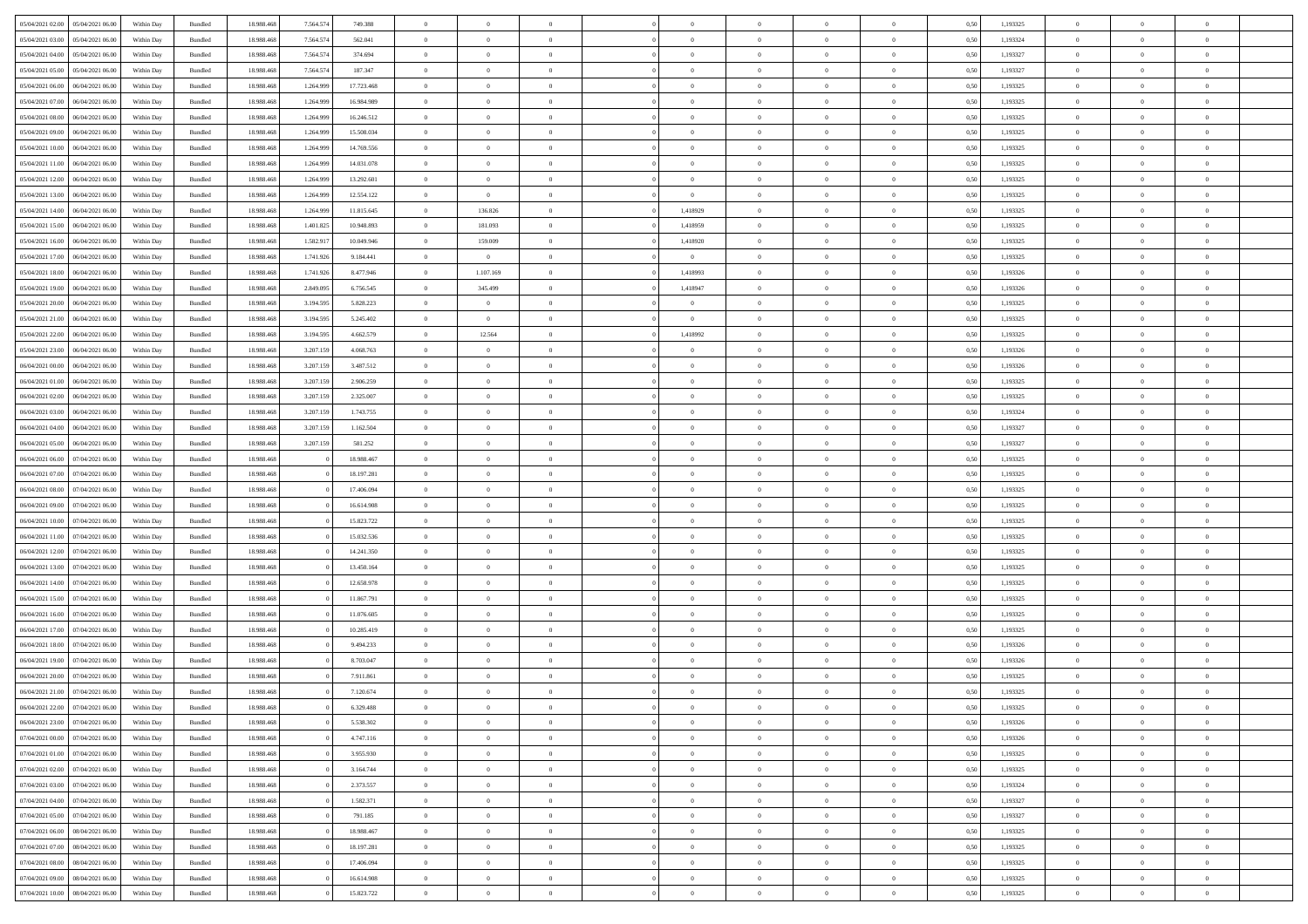|                                   |                  |            |                    |            |           |            | $\Omega$       | $\Omega$       |                |                | $\Omega$       | $\Omega$       | $\theta$       |      |          | $\theta$       | $\theta$       |                |  |
|-----------------------------------|------------------|------------|--------------------|------------|-----------|------------|----------------|----------------|----------------|----------------|----------------|----------------|----------------|------|----------|----------------|----------------|----------------|--|
| 05/04/2021 02:00                  | 05/04/2021 06:00 | Within Day | Bundled            | 18.988.468 | 7.564.574 | 749.388    |                |                |                | $\Omega$       |                |                |                | 0.50 | 1,193325 |                |                | $\theta$       |  |
| 05/04/2021 03:00                  | 05/04/2021 06:00 | Within Day | Bundled            | 18.988.468 | 7.564.574 | 562.041    | $\overline{0}$ | $\theta$       | $\overline{0}$ | $\overline{0}$ | $\bf{0}$       | $\overline{0}$ | $\overline{0}$ | 0,50 | 1,193324 | $\theta$       | $\theta$       | $\overline{0}$ |  |
| 05/04/2021 04:00                  | 05/04/2021 06:00 | Within Day | Bundled            | 18.988.468 | 7.564.574 | 374.694    | $\overline{0}$ | $\overline{0}$ | $\overline{0}$ | $\bf{0}$       | $\bf{0}$       | $\overline{0}$ | $\bf{0}$       | 0,50 | 1,193327 | $\bf{0}$       | $\overline{0}$ | $\overline{0}$ |  |
| 05/04/2021 05:00                  | 05/04/2021 06:00 | Within Dav | Bundled            | 18.988.468 | 7.564.574 | 187,347    | $\overline{0}$ | $\theta$       | $\Omega$       | $\overline{0}$ | $\bf{0}$       | $\overline{0}$ | $\overline{0}$ | 0.50 | 1,193327 | $\theta$       | $\theta$       | $\overline{0}$ |  |
|                                   |                  |            |                    |            |           |            |                |                |                |                |                |                |                |      |          |                |                |                |  |
| 05/04/2021 06:00                  | 06/04/2021 06:00 | Within Day | Bundled            | 18.988.468 | 1.264.999 | 17.723.468 | $\overline{0}$ | $\theta$       | $\overline{0}$ | $\overline{0}$ | $\bf{0}$       | $\overline{0}$ | $\overline{0}$ | 0,50 | 1,193325 | $\theta$       | $\theta$       | $\overline{0}$ |  |
| 05/04/2021 07:00                  | 06/04/2021 06:00 | Within Day | Bundled            | 18.988.468 | 1.264.999 | 16.984.989 | $\overline{0}$ | $\bf{0}$       | $\overline{0}$ | $\overline{0}$ | $\overline{0}$ | $\overline{0}$ | $\mathbf{0}$   | 0,50 | 1,193325 | $\overline{0}$ | $\overline{0}$ | $\bf{0}$       |  |
| 05/04/2021 08:00                  | 06/04/2021 06:00 | Within Dav | Bundled            | 18.988.468 | 1.264.999 | 16.246.512 | $\overline{0}$ | $\overline{0}$ | $\overline{0}$ | $\overline{0}$ | $\bf{0}$       | $\overline{0}$ | $\overline{0}$ | 0.50 | 1,193325 | $\theta$       | $\overline{0}$ | $\overline{0}$ |  |
| 05/04/2021 09:00                  | 06/04/2021 06:00 | Within Day | Bundled            | 18.988.468 | 1.264.999 | 15.508.034 | $\overline{0}$ | $\theta$       | $\overline{0}$ | $\overline{0}$ | $\bf{0}$       | $\overline{0}$ | $\bf{0}$       | 0,50 | 1,193325 | $\theta$       | $\theta$       | $\overline{0}$ |  |
|                                   |                  |            |                    |            |           |            |                |                |                |                |                |                |                |      |          |                |                |                |  |
| 05/04/2021 10:00                  | 06/04/2021 06:00 | Within Day | Bundled            | 18.988.468 | 1.264.999 | 14.769.556 | $\overline{0}$ | $\overline{0}$ | $\overline{0}$ | $\bf{0}$       | $\bf{0}$       | $\overline{0}$ | $\bf{0}$       | 0,50 | 1,193325 | $\,0\,$        | $\overline{0}$ | $\overline{0}$ |  |
| 05/04/2021 11:00                  | 06/04/2021 06:00 | Within Dav | Bundled            | 18.988.468 | 1.264.999 | 14.031.078 | $\overline{0}$ | $\overline{0}$ | $\overline{0}$ | $\overline{0}$ | $\overline{0}$ | $\overline{0}$ | $\overline{0}$ | 0.50 | 1,193325 | $\theta$       | $\overline{0}$ | $\overline{0}$ |  |
| 05/04/2021 12:00                  | 06/04/2021 06:00 | Within Day | Bundled            | 18.988.468 | 1.264.999 | 13.292.601 | $\overline{0}$ | $\theta$       | $\overline{0}$ | $\overline{0}$ | $\bf{0}$       | $\overline{0}$ | $\bf{0}$       | 0,50 | 1,193325 | $\theta$       | $\theta$       | $\overline{0}$ |  |
| 05/04/2021 13:00                  | 06/04/2021 06:00 | Within Day | Bundled            | 18.988.468 | 1.264.999 | 12.554.122 | $\overline{0}$ | $\bf{0}$       | $\overline{0}$ | $\overline{0}$ | $\bf{0}$       | $\overline{0}$ | $\bf{0}$       | 0,50 | 1,193325 | $\,0\,$        | $\overline{0}$ | $\overline{0}$ |  |
| 05/04/2021 14:00                  | 06/04/2021 06:00 | Within Dav | Bundled            | 18.988.468 | 1.264.999 | 11.815.645 | $\overline{0}$ | 136.826        | $\overline{0}$ | 1,418929       | $\bf{0}$       | $\overline{0}$ | $\overline{0}$ | 0.50 | 1,193325 | $\theta$       | $\theta$       | $\overline{0}$ |  |
|                                   |                  |            |                    |            |           |            | $\overline{0}$ |                | $\overline{0}$ |                | $\bf{0}$       | $\overline{0}$ | $\overline{0}$ |      |          | $\theta$       | $\overline{0}$ | $\overline{0}$ |  |
| 05/04/2021 15:00                  | 06/04/2021 06:00 | Within Day | Bundled            | 18.988.468 | 1.401.825 | 10.948.893 |                | 181.093        |                | 1,418959       |                |                |                | 0,50 | 1,193325 |                |                |                |  |
| 05/04/2021 16:00                  | 06/04/2021 06:00 | Within Day | Bundled            | 18.988.468 | 1.582.917 | 10.049.946 | $\overline{0}$ | 159.009        | $\overline{0}$ | 1,418920       | $\bf{0}$       | $\overline{0}$ | $\mathbf{0}$   | 0,50 | 1,193325 | $\overline{0}$ | $\overline{0}$ | $\bf{0}$       |  |
| 05/04/2021 17:00                  | 06/04/2021 06:00 | Within Dav | Bundled            | 18.988.468 | 1.741.926 | 9.184.441  | $\overline{0}$ | $\overline{0}$ | $\overline{0}$ | $\overline{0}$ | $\overline{0}$ | $\overline{0}$ | $\overline{0}$ | 0.50 | 1,193325 | $\theta$       | $\overline{0}$ | $\overline{0}$ |  |
| 05/04/2021 18:00                  | 06/04/2021 06:00 | Within Day | Bundled            | 18.988.468 | 1.741.926 | 8.477.946  | $\overline{0}$ | 1.107.169      | $\overline{0}$ | 1,418993       | $\bf{0}$       | $\overline{0}$ | $\bf{0}$       | 0,50 | 1,193326 | $\theta$       | $\theta$       | $\overline{0}$ |  |
| 05/04/2021 19:00                  | 06/04/2021 06:00 | Within Day | Bundled            | 18.988.468 | 2.849.095 | 6.756.545  | $\overline{0}$ | 345.499        | $\overline{0}$ | 1,418947       | $\bf{0}$       | $\bf{0}$       | $\bf{0}$       | 0,50 | 1,193326 | $\,0\,$        | $\overline{0}$ | $\overline{0}$ |  |
|                                   |                  |            |                    |            |           |            |                |                |                |                |                |                |                |      |          |                |                |                |  |
| 05/04/2021 20:00                  | 06/04/2021 06:00 | Within Dav | Bundled            | 18.988.468 | 3.194.595 | 5.828.223  | $\overline{0}$ | $\overline{0}$ | $\overline{0}$ | $\overline{0}$ | $\overline{0}$ | $\overline{0}$ | $\overline{0}$ | 0.50 | 1,193325 | $\theta$       | $\overline{0}$ | $\overline{0}$ |  |
| 05/04/2021 21:00                  | 06/04/2021 06:00 | Within Day | Bundled            | 18.988.468 | 3.194.595 | 5.245.402  | $\overline{0}$ | $\overline{0}$ | $\overline{0}$ | $\overline{0}$ | $\bf{0}$       | $\overline{0}$ | $\bf{0}$       | 0,50 | 1,193325 | $\theta$       | $\theta$       | $\overline{0}$ |  |
| 05/04/2021 22.00                  | 06/04/2021 06:00 | Within Day | Bundled            | 18.988.468 | 3.194.595 | 4.662.579  | $\overline{0}$ | 12.564         | $\overline{0}$ | 1,418992       | $\bf{0}$       | $\bf{0}$       | $\bf{0}$       | 0,50 | 1,193325 | $\,0\,$        | $\overline{0}$ | $\overline{0}$ |  |
| 05/04/2021 23:00                  | 06/04/2021 06:00 | Within Dav | Bundled            | 18.988.468 | 3.207.159 | 4.068.763  | $\overline{0}$ | $\overline{0}$ | $\overline{0}$ | $\overline{0}$ | $\bf{0}$       | $\overline{0}$ | $\overline{0}$ | 0.50 | 1,193326 | $\theta$       | $\theta$       | $\overline{0}$ |  |
| 06/04/2021 00:00                  | 06/04/2021 06:00 | Within Day | Bundled            | 18.988.468 | 3.207.159 | 3.487.512  | $\overline{0}$ | $\theta$       | $\overline{0}$ | $\overline{0}$ | $\bf{0}$       | $\overline{0}$ | $\bf{0}$       | 0,50 | 1,193326 | $\theta$       | $\overline{0}$ | $\overline{0}$ |  |
|                                   |                  |            |                    |            |           |            |                |                |                |                |                |                |                |      |          |                |                |                |  |
| 06/04/2021 01:00                  | 06/04/2021 06:00 | Within Day | Bundled            | 18.988.468 | 3.207.159 | 2.906.259  | $\overline{0}$ | $\bf{0}$       | $\overline{0}$ | $\bf{0}$       | $\bf{0}$       | $\bf{0}$       | $\mathbf{0}$   | 0,50 | 1,193325 | $\bf{0}$       | $\overline{0}$ | $\bf{0}$       |  |
| 06/04/2021 02:00                  | 06/04/2021 06:00 | Within Dav | Bundled            | 18.988.468 | 3.207.159 | 2.325.007  | $\overline{0}$ | $\overline{0}$ | $\overline{0}$ | $\overline{0}$ | $\overline{0}$ | $\overline{0}$ | $\overline{0}$ | 0.50 | 1,193325 | $\theta$       | $\overline{0}$ | $\overline{0}$ |  |
| 06/04/2021 03:00                  | 06/04/2021 06:00 | Within Day | Bundled            | 18.988.468 | 3.207.159 | 1.743.755  | $\overline{0}$ | $\theta$       | $\overline{0}$ | $\overline{0}$ | $\bf{0}$       | $\overline{0}$ | $\bf{0}$       | 0,50 | 1,193324 | $\theta$       | $\theta$       | $\overline{0}$ |  |
| 06/04/2021 04:00                  | 06/04/2021 06:00 | Within Day | Bundled            | 18.988.468 | 3.207.159 | 1.162.504  | $\overline{0}$ | $\overline{0}$ | $\overline{0}$ | $\bf{0}$       | $\bf{0}$       | $\bf{0}$       | $\bf{0}$       | 0,50 | 1,193327 | $\,0\,$        | $\overline{0}$ | $\overline{0}$ |  |
| 06/04/2021 05:00                  | 06/04/2021 06:00 |            | Bundled            | 18.988.468 | 3.207.159 | 581.252    | $\overline{0}$ | $\overline{0}$ | $\overline{0}$ | $\overline{0}$ | $\overline{0}$ | $\overline{0}$ | $\overline{0}$ | 0.50 | 1,193327 | $\theta$       | $\overline{0}$ | $\overline{0}$ |  |
|                                   |                  | Within Day |                    |            |           |            |                |                |                |                |                |                |                |      |          |                |                |                |  |
| 06/04/2021 06:00                  | 07/04/2021 06:00 | Within Day | Bundled            | 18.988.468 |           | 18.988.467 | $\overline{0}$ | $\theta$       | $\overline{0}$ | $\overline{0}$ | $\bf{0}$       | $\overline{0}$ | $\bf{0}$       | 0,50 | 1,193325 | $\,$ 0 $\,$    | $\theta$       | $\overline{0}$ |  |
| 06/04/2021 07:00                  | 07/04/2021 06.00 | Within Day | Bundled            | 18.988.468 |           | 18.197.281 | $\overline{0}$ | $\overline{0}$ | $\overline{0}$ | $\bf{0}$       | $\bf{0}$       | $\bf{0}$       | $\bf{0}$       | 0,50 | 1,193325 | $\,0\,$        | $\overline{0}$ | $\overline{0}$ |  |
| 06/04/2021 08:00                  | 07/04/2021 06.00 | Within Day | Bundled            | 18.988.468 |           | 17.406.094 | $\overline{0}$ | $\Omega$       | $\Omega$       | $\Omega$       | $\Omega$       | $\Omega$       | $\overline{0}$ | 0.50 | 1,193325 | $\,0\,$        | $\theta$       | $\theta$       |  |
| 06/04/2021 09:00                  | 07/04/2021 06.00 | Within Day | Bundled            | 18.988.468 |           | 16.614.908 | $\overline{0}$ | $\theta$       | $\overline{0}$ | $\overline{0}$ | $\bf{0}$       | $\overline{0}$ | $\bf{0}$       | 0,50 | 1,193325 | $\theta$       | $\theta$       | $\overline{0}$ |  |
|                                   |                  |            |                    |            |           |            |                |                |                |                |                |                |                |      |          |                |                |                |  |
| 06/04/2021 10:00                  | 07/04/2021 06.00 | Within Day | Bundled            | 18.988.468 |           | 15.823.722 | $\overline{0}$ | $\overline{0}$ | $\overline{0}$ | $\bf{0}$       | $\bf{0}$       | $\bf{0}$       | $\mathbf{0}$   | 0,50 | 1,193325 | $\bf{0}$       | $\overline{0}$ | $\bf{0}$       |  |
| 06/04/2021 11:00                  | 07/04/2021 06:00 | Within Day | Bundled            | 18.988.468 |           | 15.032.536 | $\overline{0}$ | $\Omega$       | $\Omega$       | $\Omega$       | $\bf{0}$       | $\Omega$       | $\overline{0}$ | 0.50 | 1,193325 | $\,0\,$        | $\theta$       | $\theta$       |  |
| 06/04/2021 12:00                  | 07/04/2021 06:00 | Within Day | Bundled            | 18.988.468 |           | 14.241.350 | $\overline{0}$ | $\theta$       | $\overline{0}$ | $\overline{0}$ | $\bf{0}$       | $\overline{0}$ | $\bf{0}$       | 0,50 | 1,193325 | $\theta$       | $\theta$       | $\overline{0}$ |  |
| 06/04/2021 13:00                  | 07/04/2021 06.00 | Within Day | Bundled            | 18.988.468 |           | 13.450.164 | $\overline{0}$ | $\overline{0}$ | $\overline{0}$ | $\bf{0}$       | $\bf{0}$       | $\bf{0}$       | $\bf{0}$       | 0,50 | 1,193325 | $\,0\,$        | $\overline{0}$ | $\overline{0}$ |  |
| 06/04/2021 14:00                  | 07/04/2021 06:00 | Within Day | Bundled            | 18.988.468 |           | 12.658.978 | $\overline{0}$ | $\Omega$       | $\Omega$       | $\Omega$       | $\Omega$       | $\theta$       | $\overline{0}$ | 0.50 | 1,193325 | $\theta$       | $\theta$       | $\theta$       |  |
|                                   |                  |            |                    |            |           |            |                |                |                |                |                |                |                |      |          |                |                |                |  |
| 06/04/2021 15:00                  | 07/04/2021 06:00 | Within Day | Bundled            | 18.988.468 |           | 11.867.791 | $\overline{0}$ | $\theta$       | $\overline{0}$ | $\overline{0}$ | $\bf{0}$       | $\overline{0}$ | $\bf{0}$       | 0,50 | 1,193325 | $\,$ 0 $\,$    | $\theta$       | $\overline{0}$ |  |
| 06/04/2021 16:00                  | 07/04/2021 06.00 | Within Day | Bundled            | 18.988.468 |           | 11.076.605 | $\overline{0}$ | $\overline{0}$ | $\overline{0}$ | $\bf{0}$       | $\bf{0}$       | $\bf{0}$       | $\bf{0}$       | 0,50 | 1,193325 | $\,0\,$        | $\overline{0}$ | $\overline{0}$ |  |
| 06/04/2021 17:00                  | 07/04/2021 06.00 | Within Day | Bundled            | 18.988.468 |           | 10.285.419 | $\overline{0}$ | $\Omega$       | $\Omega$       | $\Omega$       | $\Omega$       | $\overline{0}$ | $\overline{0}$ | 0.50 | 1,193325 | $\,0\,$        | $\theta$       | $\theta$       |  |
| 06/04/2021 18:00                  | 07/04/2021 06:00 | Within Day | Bundled            | 18.988.468 |           | 9.494.233  | $\overline{0}$ | $\theta$       | $\overline{0}$ | $\overline{0}$ | $\bf{0}$       | $\overline{0}$ | $\bf{0}$       | 0,50 | 1,193326 | $\theta$       | $\overline{0}$ | $\overline{0}$ |  |
| 06/04/2021 19:00                  | 07/04/2021 06.00 | Within Day | Bundled            | 18.988.468 |           | 8.703.047  | $\overline{0}$ | $\overline{0}$ | $\overline{0}$ | $\bf{0}$       | $\bf{0}$       | $\bf{0}$       | $\mathbf{0}$   | 0,50 | 1,193326 | $\bf{0}$       | $\overline{0}$ | $\bf{0}$       |  |
|                                   |                  |            |                    |            |           |            |                |                |                |                |                |                |                |      |          |                |                |                |  |
| 06/04/2021 20:00                  | 07/04/2021 06:00 | Within Day | Bundled            | 18.988.468 |           | 7.911.861  | $\overline{0}$ | $\Omega$       | $\Omega$       | $\Omega$       | $\Omega$       | $\Omega$       | $\overline{0}$ | 0.50 | 1,193325 | $\theta$       | $\theta$       | $\theta$       |  |
| 06/04/2021 21:00                  | 07/04/2021 06:00 | Within Day | Bundled            | 18.988.468 |           | 7.120.674  | $\overline{0}$ | $\,$ 0 $\,$    | $\overline{0}$ | $\bf{0}$       | $\,$ 0         | $\bf{0}$       | $\bf{0}$       | 0,50 | 1,193325 | $\,0\,$        | $\overline{0}$ | $\overline{0}$ |  |
| 06/04/2021 22.00 07/04/2021 06:00 |                  | Within Day | $\mathbf B$ undled | 18.988.468 |           | 6.329.488  | $\bf{0}$       | $\bf{0}$       |                |                |                |                |                | 0,50 | 1,193325 | $\bf{0}$       | $\overline{0}$ |                |  |
| 06/04/2021 23:00                  | 07/04/2021 06:00 | Within Day | Bundled            | 18,988,468 |           | 5.538.302  | $\overline{0}$ | $\Omega$       | $\overline{0}$ | $\Omega$       | $\theta$       | $\overline{0}$ | $\overline{0}$ | 0.50 | 1,193326 | $\theta$       | $\theta$       | $\theta$       |  |
| 07/04/2021 00:00                  | 07/04/2021 06:00 | Within Day | Bundled            | 18.988.468 |           | 4.747.116  | $\overline{0}$ | $\,$ 0         | $\overline{0}$ | $\bf{0}$       | $\,$ 0 $\,$    | $\overline{0}$ | $\mathbf{0}$   | 0,50 | 1,193326 | $\,$ 0 $\,$    | $\,$ 0 $\,$    | $\,$ 0         |  |
|                                   |                  |            |                    |            |           |            |                |                |                |                |                |                |                |      |          |                |                |                |  |
| 07/04/2021 01:00                  | 07/04/2021 06:00 | Within Day | Bundled            | 18.988.468 |           | 3.955.930  | $\overline{0}$ | $\overline{0}$ | $\overline{0}$ | $\overline{0}$ | $\overline{0}$ | $\overline{0}$ | $\mathbf{0}$   | 0,50 | 1,193325 | $\overline{0}$ | $\bf{0}$       | $\bf{0}$       |  |
| 07/04/2021 02:00                  | 07/04/2021 06:00 | Within Day | Bundled            | 18.988.468 |           | 3.164.744  | $\overline{0}$ | $\theta$       | $\overline{0}$ | $\Omega$       | $\overline{0}$ | $\overline{0}$ | $\bf{0}$       | 0,50 | 1,193325 | $\bf{0}$       | $\theta$       | $\overline{0}$ |  |
| 07/04/2021 03:00                  | 07/04/2021 06:00 | Within Day | Bundled            | 18.988.468 |           | 2.373.557  | $\overline{0}$ | $\,$ 0         | $\overline{0}$ | $\overline{0}$ | $\overline{0}$ | $\overline{0}$ | $\bf{0}$       | 0,50 | 1,193324 | $\,$ 0 $\,$    | $\overline{0}$ | $\overline{0}$ |  |
| 07/04/2021 04:00                  | 07/04/2021 06:00 | Within Day | Bundled            | 18.988.468 |           | 1.582.371  | $\overline{0}$ | $\overline{0}$ | $\overline{0}$ | $\overline{0}$ | $\overline{0}$ | $\overline{0}$ | $\mathbf{0}$   | 0,50 | 1,193327 | $\overline{0}$ | $\bf{0}$       | $\bf{0}$       |  |
| 07/04/2021 05:00                  | 07/04/2021 06:00 | Within Day | Bundled            | 18.988.468 |           | 791.185    | $\overline{0}$ | $\overline{0}$ | $\overline{0}$ | $\Omega$       | $\overline{0}$ | $\overline{0}$ | $\bf{0}$       | 0.50 | 1,193327 | $\overline{0}$ | $\theta$       | $\overline{0}$ |  |
|                                   |                  |            |                    |            |           |            |                |                |                |                |                |                |                |      |          |                |                |                |  |
| 07/04/2021 06:00                  | 08/04/2021 06:00 | Within Day | Bundled            | 18.988.468 |           | 18.988.467 | $\overline{0}$ | $\,$ 0         | $\overline{0}$ | $\bf{0}$       | $\bf{0}$       | $\bf{0}$       | $\bf{0}$       | 0,50 | 1,193325 | $\,$ 0 $\,$    | $\overline{0}$ | $\overline{0}$ |  |
| 07/04/2021 07:00                  | 08/04/2021 06:00 | Within Day | Bundled            | 18.988.468 |           | 18.197.281 | $\overline{0}$ | $\bf{0}$       | $\overline{0}$ | $\overline{0}$ | $\overline{0}$ | $\bf{0}$       | $\mathbf{0}$   | 0,50 | 1,193325 | $\overline{0}$ | $\overline{0}$ | $\bf{0}$       |  |
| 07/04/2021 08:00                  | 08/04/2021 06:00 | Within Day | Bundled            | 18,988,468 |           | 17,406,094 | $\overline{0}$ | $\overline{0}$ | $\overline{0}$ | $\Omega$       | $\overline{0}$ | $\overline{0}$ | $\bf{0}$       | 0.50 | 1,193325 | $\overline{0}$ | $\overline{0}$ | $\overline{0}$ |  |
| 07/04/2021 09:00                  | 08/04/2021 06:00 | Within Day | Bundled            | 18.988.468 |           | 16.614.908 | $\overline{0}$ | $\bf{0}$       | $\overline{0}$ | $\overline{0}$ | $\bf{0}$       | $\bf{0}$       | $\mathbf{0}$   | 0,50 | 1,193325 | $\,$ 0 $\,$    | $\,$ 0 $\,$    | $\bf{0}$       |  |
|                                   |                  |            |                    |            |           |            |                |                |                |                |                |                |                |      |          |                |                |                |  |
| 07/04/2021 10:00                  | 08/04/2021 06:00 | Within Day | Bundled            | 18.988.468 |           | 15.823.722 | $\overline{0}$ | $\overline{0}$ | $\overline{0}$ | $\overline{0}$ | $\bf{0}$       | $\bf{0}$       | $\mathbf{0}$   | 0,50 | 1,193325 | $\overline{0}$ | $\bf{0}$       | $\bf{0}$       |  |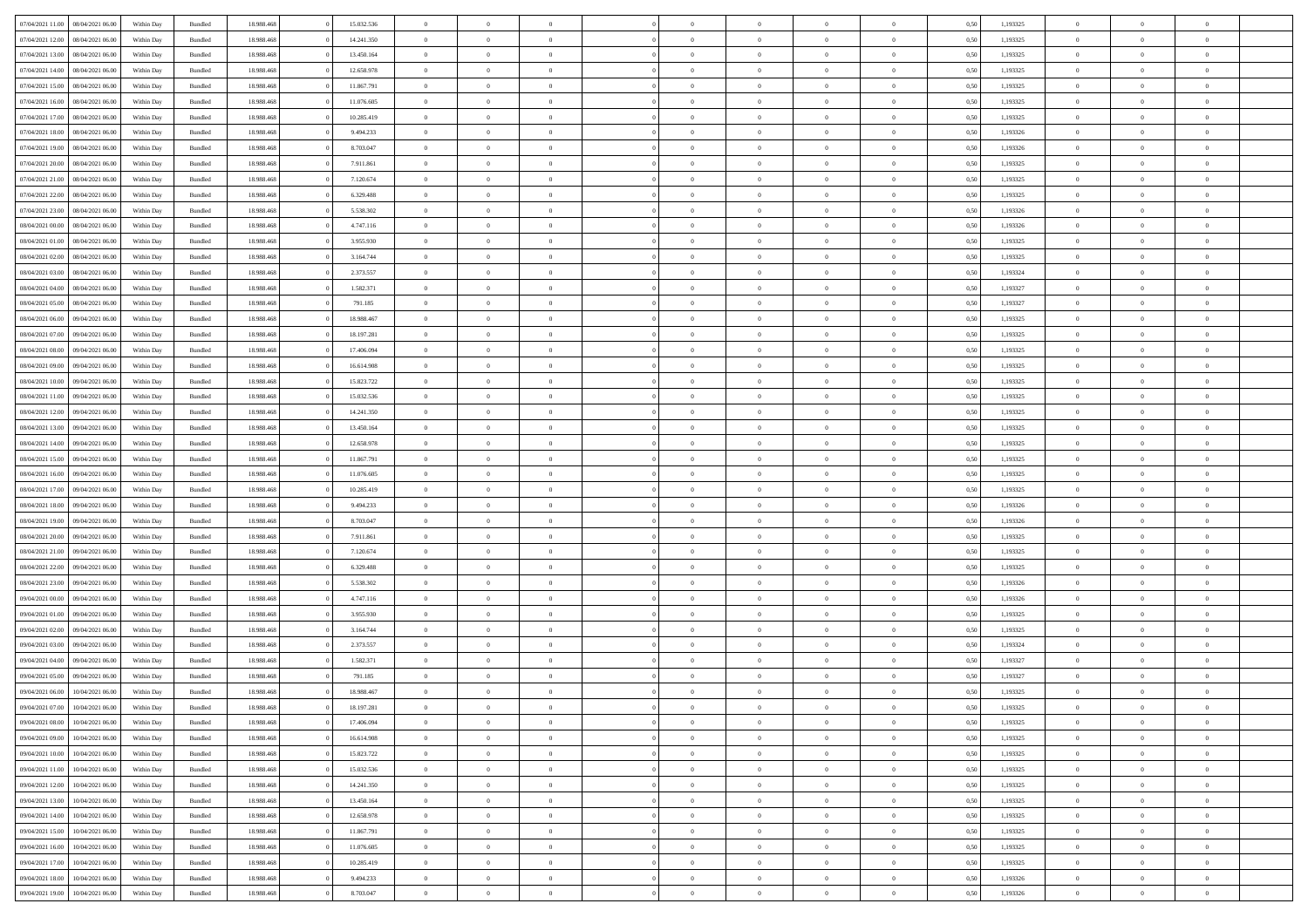| 07/04/2021 11:00 | 08/04/2021 06:00 | Within Day | Bundled            | 18.988.468 | 15.032.536 | $\overline{0}$ | $\theta$       |                | $\Omega$       | $\Omega$       | $\Omega$       | $\theta$       | 0.50 | 1,193325 | $\theta$       | $\overline{0}$ | $\theta$       |  |
|------------------|------------------|------------|--------------------|------------|------------|----------------|----------------|----------------|----------------|----------------|----------------|----------------|------|----------|----------------|----------------|----------------|--|
| 07/04/2021 12:00 | 08/04/2021 06:00 | Within Day | Bundled            | 18.988.468 | 14.241.350 | $\overline{0}$ | $\theta$       | $\overline{0}$ | $\overline{0}$ | $\bf{0}$       | $\overline{0}$ | $\overline{0}$ | 0,50 | 1,193325 | $\theta$       | $\overline{0}$ | $\overline{0}$ |  |
| 07/04/2021 13:00 | 08/04/2021 06:00 | Within Day | Bundled            | 18.988.468 | 13.450.164 | $\overline{0}$ | $\overline{0}$ | $\overline{0}$ | $\bf{0}$       | $\bf{0}$       | $\bf{0}$       | $\bf{0}$       | 0,50 | 1,193325 | $\bf{0}$       | $\overline{0}$ | $\overline{0}$ |  |
| 07/04/2021 14:00 | 08/04/2021 06:00 | Within Dav | Bundled            | 18.988.468 | 12.658.978 | $\overline{0}$ | $\overline{0}$ | $\overline{0}$ | $\overline{0}$ | $\bf{0}$       | $\overline{0}$ | $\overline{0}$ | 0.50 | 1,193325 | $\theta$       | $\theta$       | $\overline{0}$ |  |
| 07/04/2021 15:00 | 08/04/2021 06:00 | Within Day | Bundled            | 18.988.468 | 11.867.791 | $\overline{0}$ | $\theta$       | $\overline{0}$ | $\overline{0}$ | $\bf{0}$       | $\overline{0}$ | $\bf{0}$       | 0,50 | 1,193325 | $\theta$       | $\theta$       | $\overline{0}$ |  |
|                  |                  |            |                    |            |            |                |                |                |                |                |                |                |      |          |                |                |                |  |
| 07/04/2021 16:00 | 08/04/2021 06:00 | Within Day | Bundled            | 18.988.468 | 11.076.605 | $\overline{0}$ | $\bf{0}$       | $\overline{0}$ | $\bf{0}$       | $\overline{0}$ | $\overline{0}$ | $\mathbf{0}$   | 0,50 | 1,193325 | $\overline{0}$ | $\overline{0}$ | $\bf{0}$       |  |
| 07/04/2021 17:00 | 08/04/2021 06:00 | Within Dav | Bundled            | 18.988.468 | 10.285.419 | $\overline{0}$ | $\overline{0}$ | $\overline{0}$ | $\overline{0}$ | $\bf{0}$       | $\overline{0}$ | $\overline{0}$ | 0.50 | 1,193325 | $\theta$       | $\overline{0}$ | $\overline{0}$ |  |
| 07/04/2021 18:00 | 08/04/2021 06:00 | Within Day | Bundled            | 18.988.468 | 9.494.233  | $\overline{0}$ | $\theta$       | $\overline{0}$ | $\overline{0}$ | $\bf{0}$       | $\overline{0}$ | $\bf{0}$       | 0,50 | 1,193326 | $\theta$       | $\theta$       | $\overline{0}$ |  |
| 07/04/2021 19:00 | 08/04/2021 06:00 | Within Day | Bundled            | 18.988.468 | 8.703.047  | $\overline{0}$ | $\overline{0}$ | $\overline{0}$ | $\bf{0}$       | $\bf{0}$       | $\bf{0}$       | $\bf{0}$       | 0,50 | 1,193326 | $\,0\,$        | $\overline{0}$ | $\overline{0}$ |  |
| 07/04/2021 20:00 | 08/04/2021 06:00 | Within Dav | Bundled            | 18.988.468 | 7.911.861  | $\overline{0}$ | $\overline{0}$ | $\overline{0}$ | $\overline{0}$ | $\overline{0}$ | $\overline{0}$ | $\overline{0}$ | 0.50 | 1,193325 | $\theta$       | $\overline{0}$ | $\overline{0}$ |  |
| 07/04/2021 21:00 | 08/04/2021 06:00 | Within Day | Bundled            | 18.988.468 | 7.120.674  | $\overline{0}$ | $\theta$       | $\overline{0}$ | $\overline{0}$ | $\bf{0}$       | $\overline{0}$ | $\bf{0}$       | 0,50 | 1,193325 | $\theta$       | $\theta$       | $\overline{0}$ |  |
| 07/04/2021 22.00 | 08/04/2021 06:00 | Within Day | Bundled            | 18.988.468 | 6.329.488  | $\overline{0}$ | $\overline{0}$ | $\overline{0}$ | $\bf{0}$       | $\bf{0}$       | $\bf{0}$       | $\bf{0}$       | 0,50 | 1,193325 | $\bf{0}$       | $\overline{0}$ | $\overline{0}$ |  |
| 07/04/2021 23:00 | 08/04/2021 06:00 | Within Dav | Bundled            | 18.988.468 | 5.538.302  | $\overline{0}$ | $\overline{0}$ | $\overline{0}$ | $\overline{0}$ | $\bf{0}$       | $\overline{0}$ | $\overline{0}$ | 0.50 | 1,193326 | $\theta$       | $\theta$       | $\overline{0}$ |  |
|                  |                  |            |                    |            |            |                |                |                |                |                |                |                |      |          |                |                |                |  |
| 08/04/2021 00:00 | 08/04/2021 06:00 | Within Day | Bundled            | 18.988.468 | 4.747.116  | $\overline{0}$ | $\theta$       | $\overline{0}$ | $\overline{0}$ | $\bf{0}$       | $\overline{0}$ | $\overline{0}$ | 0,50 | 1,193326 | $\theta$       | $\theta$       | $\overline{0}$ |  |
| 08/04/2021 01:00 | 08/04/2021 06:00 | Within Day | Bundled            | 18.988.468 | 3.955.930  | $\overline{0}$ | $\bf{0}$       | $\overline{0}$ | $\bf{0}$       | $\overline{0}$ | $\overline{0}$ | $\mathbf{0}$   | 0,50 | 1,193325 | $\overline{0}$ | $\overline{0}$ | $\bf{0}$       |  |
| 08/04/2021 02:00 | 08/04/2021 06:00 | Within Dav | Bundled            | 18.988.468 | 3.164.744  | $\overline{0}$ | $\overline{0}$ | $\overline{0}$ | $\overline{0}$ | $\bf{0}$       | $\overline{0}$ | $\overline{0}$ | 0.50 | 1,193325 | $\theta$       | $\overline{0}$ | $\overline{0}$ |  |
| 08/04/2021 03:00 | 08/04/2021 06:00 | Within Day | Bundled            | 18.988.468 | 2.373.557  | $\overline{0}$ | $\theta$       | $\overline{0}$ | $\overline{0}$ | $\bf{0}$       | $\overline{0}$ | $\bf{0}$       | 0,50 | 1,193324 | $\theta$       | $\theta$       | $\overline{0}$ |  |
| 08/04/2021 04:00 | 08/04/2021 06:00 | Within Day | Bundled            | 18.988.468 | 1.582.371  | $\overline{0}$ | $\overline{0}$ | $\overline{0}$ | $\bf{0}$       | $\bf{0}$       | $\bf{0}$       | $\bf{0}$       | 0,50 | 1,193327 | $\,0\,$        | $\overline{0}$ | $\overline{0}$ |  |
| 08/04/2021 05:00 | 08/04/2021 06:00 | Within Dav | Bundled            | 18.988.468 | 791.185    | $\overline{0}$ | $\overline{0}$ | $\overline{0}$ | $\overline{0}$ | $\overline{0}$ | $\overline{0}$ | $\overline{0}$ | 0.50 | 1,193327 | $\theta$       | $\overline{0}$ | $\overline{0}$ |  |
| 08/04/2021 06:00 | 09/04/2021 06:00 | Within Day | Bundled            | 18.988.468 | 18.988.467 | $\overline{0}$ | $\theta$       | $\overline{0}$ | $\overline{0}$ | $\bf{0}$       | $\overline{0}$ | $\bf{0}$       | 0,50 | 1,193325 | $\theta$       | $\theta$       | $\overline{0}$ |  |
|                  |                  |            |                    |            |            |                |                |                |                |                |                |                |      |          |                |                |                |  |
| 08/04/2021 07:00 | 09/04/2021 06:00 | Within Day | Bundled            | 18.988.468 | 18.197.281 | $\overline{0}$ | $\overline{0}$ | $\overline{0}$ | $\bf{0}$       | $\bf{0}$       | $\bf{0}$       | $\bf{0}$       | 0,50 | 1,193325 | $\,0\,$        | $\overline{0}$ | $\overline{0}$ |  |
| 08/04/2021 08:00 | 09/04/2021 06:00 | Within Day | Bundled            | 18.988.468 | 17.406.094 | $\overline{0}$ | $\overline{0}$ | $\overline{0}$ | $\overline{0}$ | $\bf{0}$       | $\overline{0}$ | $\overline{0}$ | 0.50 | 1,193325 | $\theta$       | $\theta$       | $\overline{0}$ |  |
| 08/04/2021 09:00 | 09/04/2021 06:00 | Within Day | Bundled            | 18.988.468 | 16.614.908 | $\overline{0}$ | $\theta$       | $\overline{0}$ | $\overline{0}$ | $\bf{0}$       | $\overline{0}$ | $\bf{0}$       | 0,50 | 1,193325 | $\theta$       | $\overline{0}$ | $\overline{0}$ |  |
| 08/04/2021 10:00 | 09/04/2021 06:00 | Within Day | Bundled            | 18.988.468 | 15.823.722 | $\overline{0}$ | $\overline{0}$ | $\overline{0}$ | $\bf{0}$       | $\overline{0}$ | $\overline{0}$ | $\mathbf{0}$   | 0,50 | 1,193325 | $\overline{0}$ | $\overline{0}$ | $\bf{0}$       |  |
| 08/04/2021 11:00 | 09/04/2021 06:00 | Within Dav | Bundled            | 18.988.468 | 15.032.536 | $\overline{0}$ | $\overline{0}$ | $\overline{0}$ | $\overline{0}$ | $\overline{0}$ | $\overline{0}$ | $\overline{0}$ | 0.50 | 1,193325 | $\theta$       | $\overline{0}$ | $\overline{0}$ |  |
| 08/04/2021 12:00 | 09/04/2021 06:00 | Within Day | Bundled            | 18.988.468 | 14.241.350 | $\overline{0}$ | $\theta$       | $\overline{0}$ | $\overline{0}$ | $\bf{0}$       | $\overline{0}$ | $\bf{0}$       | 0,50 | 1,193325 | $\theta$       | $\theta$       | $\overline{0}$ |  |
| 08/04/2021 13:00 | 09/04/2021 06:00 | Within Day | Bundled            | 18.988.468 | 13.450.164 | $\overline{0}$ | $\overline{0}$ | $\overline{0}$ | $\bf{0}$       | $\bf{0}$       | $\bf{0}$       | $\bf{0}$       | 0,50 | 1,193325 | $\,0\,$        | $\overline{0}$ | $\overline{0}$ |  |
| 08/04/2021 14:00 | 09/04/2021 06:00 |            | Bundled            | 18.988.468 | 12.658.978 | $\overline{0}$ | $\overline{0}$ | $\overline{0}$ | $\overline{0}$ | $\overline{0}$ | $\overline{0}$ | $\overline{0}$ | 0.50 | 1,193325 | $\theta$       | $\overline{0}$ | $\overline{0}$ |  |
|                  |                  | Within Day |                    |            |            |                |                |                |                |                |                |                |      |          |                |                |                |  |
| 08/04/2021 15:00 | 09/04/2021 06:00 | Within Day | Bundled            | 18.988.468 | 11.867.791 | $\overline{0}$ | $\theta$       | $\overline{0}$ | $\overline{0}$ | $\bf{0}$       | $\overline{0}$ | $\bf{0}$       | 0,50 | 1,193325 | $\,$ 0 $\,$    | $\theta$       | $\overline{0}$ |  |
| 08/04/2021 16:00 | 09/04/2021 06:00 | Within Day | Bundled            | 18.988.468 | 11.076.605 | $\overline{0}$ | $\overline{0}$ | $\overline{0}$ | $\bf{0}$       | $\bf{0}$       | $\bf{0}$       | $\bf{0}$       | 0,50 | 1,193325 | $\overline{0}$ | $\overline{0}$ | $\overline{0}$ |  |
| 08/04/2021 17:00 | 09/04/2021 06:00 | Within Day | Bundled            | 18.988.468 | 10.285.419 | $\overline{0}$ | $\Omega$       | $\Omega$       | $\Omega$       | $\Omega$       | $\overline{0}$ | $\overline{0}$ | 0.50 | 1,193325 | $\,0\,$        | $\theta$       | $\theta$       |  |
| 08/04/2021 18:00 | 09/04/2021 06:00 | Within Day | Bundled            | 18.988.468 | 9.494.233  | $\overline{0}$ | $\theta$       | $\overline{0}$ | $\overline{0}$ | $\bf{0}$       | $\overline{0}$ | $\bf{0}$       | 0,50 | 1,193326 | $\theta$       | $\theta$       | $\overline{0}$ |  |
| 08/04/2021 19:00 | 09/04/2021 06:00 | Within Day | Bundled            | 18.988.468 | 8.703.047  | $\overline{0}$ | $\overline{0}$ | $\overline{0}$ | $\bf{0}$       | $\bf{0}$       | $\overline{0}$ | $\mathbf{0}$   | 0,50 | 1,193326 | $\overline{0}$ | $\overline{0}$ | $\bf{0}$       |  |
| 08/04/2021 20:00 | 09/04/2021 06:00 | Within Day | Bundled            | 18.988.468 | 7.911.861  | $\overline{0}$ | $\Omega$       | $\Omega$       | $\Omega$       | $\Omega$       | $\Omega$       | $\overline{0}$ | 0.50 | 1,193325 | $\,0\,$        | $\theta$       | $\theta$       |  |
| 08/04/2021 21:00 | 09/04/2021 06:00 | Within Day | Bundled            | 18.988.468 | 7.120.674  | $\overline{0}$ | $\theta$       | $\overline{0}$ | $\overline{0}$ | $\bf{0}$       | $\overline{0}$ | $\bf{0}$       | 0,50 | 1,193325 | $\theta$       | $\theta$       | $\overline{0}$ |  |
|                  |                  |            |                    |            |            |                | $\overline{0}$ |                |                | $\bf{0}$       |                |                |      |          | $\,0\,$        | $\overline{0}$ | $\overline{0}$ |  |
| 08/04/2021 22.00 | 09/04/2021 06:00 | Within Day | Bundled            | 18.988.468 | 6.329.488  | $\overline{0}$ |                | $\overline{0}$ | $\bf{0}$       |                | $\bf{0}$       | $\bf{0}$       | 0,50 | 1,193325 |                |                |                |  |
| 08/04/2021 23:00 | 09/04/2021 06:00 | Within Day | Bundled            | 18.988.468 | 5.538.302  | $\overline{0}$ | $\Omega$       | $\Omega$       | $\Omega$       | $\Omega$       | $\theta$       | $\overline{0}$ | 0.50 | 1,193326 | $\theta$       | $\theta$       | $\theta$       |  |
| 09/04/2021 00:00 | 09/04/2021 06:00 | Within Day | Bundled            | 18.988.468 | 4.747.116  | $\overline{0}$ | $\theta$       | $\overline{0}$ | $\overline{0}$ | $\bf{0}$       | $\overline{0}$ | $\bf{0}$       | 0,50 | 1,193326 | $\,$ 0 $\,$    | $\theta$       | $\overline{0}$ |  |
| 09/04/2021 01:00 | 09/04/2021 06:00 | Within Day | Bundled            | 18.988.468 | 3.955.930  | $\overline{0}$ | $\overline{0}$ | $\overline{0}$ | $\bf{0}$       | $\bf{0}$       | $\bf{0}$       | $\bf{0}$       | 0,50 | 1,193325 | $\overline{0}$ | $\overline{0}$ | $\overline{0}$ |  |
| 09/04/2021 02:00 | 09/04/2021 06:00 | Within Day | Bundled            | 18.988.468 | 3.164.744  | $\overline{0}$ | $\Omega$       | $\Omega$       | $\Omega$       | $\Omega$       | $\overline{0}$ | $\overline{0}$ | 0.50 | 1,193325 | $\,0\,$        | $\theta$       | $\theta$       |  |
| 09/04/2021 03:00 | 09/04/2021 06:00 | Within Day | Bundled            | 18.988.468 | 2.373.557  | $\overline{0}$ | $\theta$       | $\overline{0}$ | $\overline{0}$ | $\bf{0}$       | $\overline{0}$ | $\bf{0}$       | 0,50 | 1,193324 | $\,$ 0 $\,$    | $\overline{0}$ | $\overline{0}$ |  |
| 09/04/2021 04:00 | 09/04/2021 06:00 | Within Day | Bundled            | 18.988.468 | 1.582.371  | $\overline{0}$ | $\overline{0}$ | $\overline{0}$ | $\bf{0}$       | $\bf{0}$       | $\bf{0}$       | $\mathbf{0}$   | 0,50 | 1,193327 | $\bf{0}$       | $\overline{0}$ | $\bf{0}$       |  |
| 09/04/2021 05:00 | 09/04/2021 06:00 | Within Day | Bundled            | 18.988.468 | 791.185    | $\overline{0}$ | $\Omega$       | $\Omega$       | $\Omega$       | $\Omega$       | $\Omega$       | $\overline{0}$ | 0.50 | 1,193327 | $\theta$       | $\theta$       | $\theta$       |  |
| 09/04/2021 06:00 | 10/04/2021 06:00 | Within Day | Bundled            | 18.988.468 | 18.988.467 | $\overline{0}$ | $\overline{0}$ | $\overline{0}$ | $\bf{0}$       | $\,$ 0         | $\bf{0}$       | $\bf{0}$       | 0,50 | 1,193325 | $\,0\,$        | $\overline{0}$ | $\overline{0}$ |  |
|                  |                  |            |                    |            |            |                |                |                |                |                |                |                |      |          |                |                |                |  |
| 09/04/2021 07:00 | 10/04/2021 06:00 | Within Day | $\mathbf B$ undled | 18.988.468 | 18.197.281 | $\bf{0}$       | $\bf{0}$       |                |                | $\bf{0}$       |                |                | 0,50 | 1,193325 | $\bf{0}$       | $\overline{0}$ |                |  |
| 09/04/2021 08:00 | 10/04/2021 06:00 | Within Day | Bundled            | 18,988,468 | 17.406.094 | $\overline{0}$ | $\Omega$       | $\overline{0}$ | $\Omega$       | $\theta$       | $\overline{0}$ | $\overline{0}$ | 0,50 | 1,193325 | $\theta$       | $\theta$       | $\theta$       |  |
| 09/04/2021 09:00 | 10/04/2021 06:00 | Within Day | Bundled            | 18.988.468 | 16.614.908 | $\overline{0}$ | $\,$ 0         | $\overline{0}$ | $\bf{0}$       | $\,$ 0 $\,$    | $\overline{0}$ | $\mathbf{0}$   | 0,50 | 1,193325 | $\,$ 0 $\,$    | $\overline{0}$ | $\,$ 0         |  |
| 09/04/2021 10:00 | 10/04/2021 06:00 | Within Day | Bundled            | 18.988.468 | 15.823.722 | $\overline{0}$ | $\overline{0}$ | $\overline{0}$ | $\overline{0}$ | $\overline{0}$ | $\overline{0}$ | $\mathbf{0}$   | 0,50 | 1,193325 | $\overline{0}$ | $\bf{0}$       | $\bf{0}$       |  |
| 09/04/2021 11:00 | 10/04/2021 06:00 | Within Day | Bundled            | 18.988.468 | 15.032.536 | $\overline{0}$ | $\theta$       | $\overline{0}$ | $\Omega$       | $\overline{0}$ | $\overline{0}$ | $\bf{0}$       | 0,50 | 1,193325 | $\overline{0}$ | $\theta$       | $\overline{0}$ |  |
| 09/04/2021 12:00 | 10/04/2021 06:00 | Within Day | Bundled            | 18.988.468 | 14.241.350 | $\overline{0}$ | $\,$ 0         | $\overline{0}$ | $\overline{0}$ | $\overline{0}$ | $\overline{0}$ | $\bf{0}$       | 0,50 | 1,193325 | $\,$ 0 $\,$    | $\overline{0}$ | $\overline{0}$ |  |
| 09/04/2021 13:00 | 10/04/2021 06:00 | Within Day | Bundled            | 18.988.468 | 13.450.164 | $\overline{0}$ | $\overline{0}$ | $\overline{0}$ | $\overline{0}$ | $\overline{0}$ | $\overline{0}$ | $\mathbf{0}$   | 0,50 | 1,193325 | $\overline{0}$ | $\bf{0}$       | $\bf{0}$       |  |
|                  | 10/04/2021 06:00 |            |                    |            |            | $\overline{0}$ | $\overline{0}$ | $\overline{0}$ | $\Omega$       | $\overline{0}$ | $\overline{0}$ |                | 0.50 |          | $\overline{0}$ | $\theta$       | $\overline{0}$ |  |
| 09/04/2021 14:00 |                  | Within Day | Bundled            | 18.988.468 | 12.658.978 |                |                |                |                |                |                | $\bf{0}$       |      | 1,193325 |                |                |                |  |
| 09/04/2021 15:00 | 10/04/2021 06:00 | Within Day | Bundled            | 18.988.468 | 11.867.791 | $\overline{0}$ | $\,$ 0         | $\overline{0}$ | $\bf{0}$       | $\bf{0}$       | $\bf{0}$       | $\bf{0}$       | 0,50 | 1,193325 | $\,$ 0 $\,$    | $\overline{0}$ | $\overline{0}$ |  |
| 09/04/2021 16:00 | 10/04/2021 06:00 | Within Day | Bundled            | 18.988.468 | 11.076.605 | $\overline{0}$ | $\bf{0}$       | $\overline{0}$ | $\overline{0}$ | $\overline{0}$ | $\bf{0}$       | $\mathbf{0}$   | 0,50 | 1,193325 | $\overline{0}$ | $\overline{0}$ | $\bf{0}$       |  |
| 09/04/2021 17:00 | 10/04/2021 06:00 | Within Day | Bundled            | 18,988,468 | 10.285.419 | $\overline{0}$ | $\overline{0}$ | $\overline{0}$ | $\Omega$       | $\overline{0}$ | $\overline{0}$ | $\bf{0}$       | 0.50 | 1,193325 | $\overline{0}$ | $\theta$       | $\overline{0}$ |  |
| 09/04/2021 18:00 | 10/04/2021 06:00 | Within Day | Bundled            | 18.988.468 | 9.494.233  | $\overline{0}$ | $\,$ 0 $\,$    | $\overline{0}$ | $\overline{0}$ | $\bf{0}$       | $\bf{0}$       | $\bf{0}$       | 0,50 | 1,193326 | $\,$ 0 $\,$    | $\,$ 0 $\,$    | $\overline{0}$ |  |
| 09/04/2021 19:00 | 10/04/2021 06:00 | Within Day | Bundled            | 18.988.468 | 8.703.047  | $\overline{0}$ | $\overline{0}$ | $\overline{0}$ | $\overline{0}$ | $\bf{0}$       | $\bf{0}$       | $\mathbf{0}$   | 0,50 | 1,193326 | $\overline{0}$ | $\bf{0}$       | $\bf{0}$       |  |
|                  |                  |            |                    |            |            |                |                |                |                |                |                |                |      |          |                |                |                |  |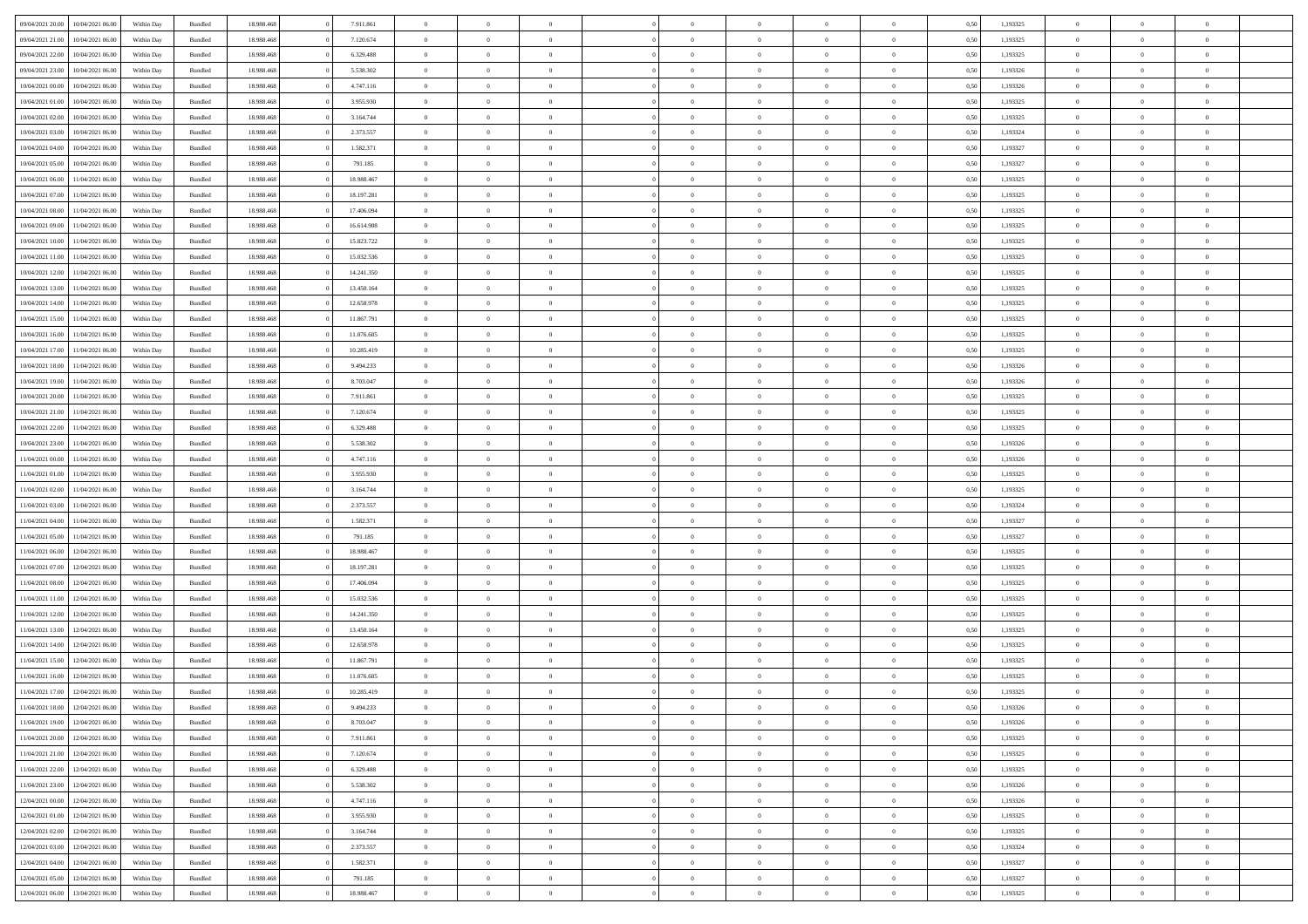|                  |                  |            |                    |            |            | $\overline{0}$ |                |                |                | $\Omega$       | $\Omega$       | $\theta$       |      |          | $\theta$       | $\overline{0}$ | $\theta$       |  |
|------------------|------------------|------------|--------------------|------------|------------|----------------|----------------|----------------|----------------|----------------|----------------|----------------|------|----------|----------------|----------------|----------------|--|
| 09/04/2021 20:00 | 10/04/2021 06:00 | Within Day | Bundled            | 18.988.468 | 7.911.861  |                | $\theta$       |                | $\Omega$       |                |                |                | 0.50 | 1,193325 |                |                |                |  |
| 09/04/2021 21.00 | 10/04/2021 06:00 | Within Day | Bundled            | 18.988.468 | 7.120.674  | $\overline{0}$ | $\theta$       | $\overline{0}$ | $\overline{0}$ | $\bf{0}$       | $\overline{0}$ | $\overline{0}$ | 0,50 | 1,193325 | $\theta$       | $\overline{0}$ | $\overline{0}$ |  |
| 09/04/2021 22.00 | 10/04/2021 06:00 | Within Day | Bundled            | 18.988.468 | 6.329.488  | $\overline{0}$ | $\overline{0}$ | $\overline{0}$ | $\bf{0}$       | $\bf{0}$       | $\bf{0}$       | $\bf{0}$       | 0,50 | 1,193325 | $\bf{0}$       | $\overline{0}$ | $\overline{0}$ |  |
| 09/04/2021 23:00 | 10/04/2021 06:00 | Within Dav | Bundled            | 18.988.468 | 5.538.302  | $\overline{0}$ | $\theta$       | $\overline{0}$ | $\overline{0}$ | $\bf{0}$       | $\overline{0}$ | $\overline{0}$ | 0.50 | 1,193326 | $\theta$       | $\theta$       | $\overline{0}$ |  |
|                  |                  |            |                    |            |            |                |                |                |                |                |                |                |      |          |                |                |                |  |
| 10/04/2021 00:00 | 10/04/2021 06:00 | Within Day | Bundled            | 18.988.468 | 4.747.116  | $\overline{0}$ | $\theta$       | $\overline{0}$ | $\overline{0}$ | $\bf{0}$       | $\overline{0}$ | $\bf{0}$       | 0,50 | 1,193326 | $\theta$       | $\theta$       | $\overline{0}$ |  |
| 10/04/2021 01:00 | 10/04/2021 06:00 | Within Day | Bundled            | 18.988.468 | 3.955.930  | $\overline{0}$ | $\bf{0}$       | $\overline{0}$ | $\bf{0}$       | $\overline{0}$ | $\overline{0}$ | $\mathbf{0}$   | 0,50 | 1,193325 | $\overline{0}$ | $\overline{0}$ | $\bf{0}$       |  |
| 10/04/2021 02:00 | 10/04/2021 06:00 | Within Dav | Bundled            | 18.988.468 | 3.164.744  | $\overline{0}$ | $\overline{0}$ | $\overline{0}$ | $\overline{0}$ | $\bf{0}$       | $\overline{0}$ | $\overline{0}$ | 0.50 | 1,193325 | $\theta$       | $\overline{0}$ | $\overline{0}$ |  |
| 10/04/2021 03:00 | 10/04/2021 06:00 | Within Day | Bundled            | 18.988.468 | 2.373.557  | $\overline{0}$ | $\theta$       | $\overline{0}$ | $\overline{0}$ | $\bf{0}$       | $\overline{0}$ | $\bf{0}$       | 0,50 | 1,193324 | $\theta$       | $\theta$       | $\overline{0}$ |  |
| 10/04/2021 04:00 | 10/04/2021 06:00 | Within Day | Bundled            | 18.988.468 | 1.582.371  | $\overline{0}$ | $\overline{0}$ | $\overline{0}$ | $\bf{0}$       | $\bf{0}$       | $\bf{0}$       | $\bf{0}$       | 0,50 | 1,193327 | $\,0\,$        | $\overline{0}$ | $\overline{0}$ |  |
|                  |                  |            |                    |            |            |                |                |                |                |                |                |                |      |          |                |                |                |  |
| 10/04/2021 05:00 | 10/04/2021 06:00 | Within Dav | Bundled            | 18.988.468 | 791.185    | $\overline{0}$ | $\overline{0}$ | $\overline{0}$ | $\overline{0}$ | $\overline{0}$ | $\overline{0}$ | $\overline{0}$ | 0.50 | 1,193327 | $\theta$       | $\overline{0}$ | $\overline{0}$ |  |
| 10/04/2021 06:00 | 11/04/2021 06:00 | Within Day | Bundled            | 18.988.468 | 18.988.467 | $\overline{0}$ | $\theta$       | $\overline{0}$ | $\overline{0}$ | $\bf{0}$       | $\overline{0}$ | $\bf{0}$       | 0,50 | 1,193325 | $\theta$       | $\theta$       | $\overline{0}$ |  |
| 10/04/2021 07:00 | 11/04/2021 06:00 | Within Day | Bundled            | 18.988.468 | 18.197.281 | $\overline{0}$ | $\overline{0}$ | $\overline{0}$ | $\bf{0}$       | $\bf{0}$       | $\bf{0}$       | $\bf{0}$       | 0,50 | 1,193325 | $\bf{0}$       | $\overline{0}$ | $\overline{0}$ |  |
| 10/04/2021 08:00 | 11/04/2021 06:00 | Within Day | Bundled            | 18.988.468 | 17.406.094 | $\overline{0}$ | $\theta$       | $\overline{0}$ | $\overline{0}$ | $\bf{0}$       | $\overline{0}$ | $\overline{0}$ | 0.50 | 1,193325 | $\theta$       | $\theta$       | $\overline{0}$ |  |
| 10/04/2021 09:00 | 11/04/2021 06:00 | Within Day | Bundled            | 18.988.468 | 16.614.908 | $\overline{0}$ | $\theta$       | $\overline{0}$ | $\overline{0}$ | $\bf{0}$       | $\overline{0}$ | $\overline{0}$ | 0,50 | 1,193325 | $\theta$       | $\theta$       | $\overline{0}$ |  |
|                  |                  |            |                    |            |            |                |                |                |                |                |                |                |      |          |                |                |                |  |
| 10/04/2021 10:00 | 11/04/2021 06:00 | Within Day | Bundled            | 18.988.468 | 15.823.722 | $\overline{0}$ | $\overline{0}$ | $\overline{0}$ | $\bf{0}$       | $\overline{0}$ | $\overline{0}$ | $\mathbf{0}$   | 0,50 | 1,193325 | $\bf{0}$       | $\overline{0}$ | $\bf{0}$       |  |
| 10/04/2021 11:00 | 11/04/2021 06:00 | Within Dav | Bundled            | 18.988.468 | 15.032.536 | $\overline{0}$ | $\overline{0}$ | $\overline{0}$ | $\overline{0}$ | $\bf{0}$       | $\overline{0}$ | $\overline{0}$ | 0.50 | 1,193325 | $\theta$       | $\overline{0}$ | $\overline{0}$ |  |
| 10/04/2021 12:00 | 11/04/2021 06:00 | Within Day | Bundled            | 18.988.468 | 14.241.350 | $\overline{0}$ | $\theta$       | $\overline{0}$ | $\overline{0}$ | $\bf{0}$       | $\overline{0}$ | $\bf{0}$       | 0,50 | 1,193325 | $\theta$       | $\theta$       | $\overline{0}$ |  |
| 10/04/2021 13:00 | 11/04/2021 06:00 | Within Day | Bundled            | 18.988.468 | 13.450.164 | $\overline{0}$ | $\overline{0}$ | $\overline{0}$ | $\bf{0}$       | $\bf{0}$       | $\bf{0}$       | $\bf{0}$       | 0,50 | 1,193325 | $\,0\,$        | $\overline{0}$ | $\overline{0}$ |  |
| 10/04/2021 14:00 | 11/04/2021 06:00 | Within Day | Bundled            | 18.988.468 | 12.658.978 | $\overline{0}$ | $\overline{0}$ | $\overline{0}$ | $\overline{0}$ | $\overline{0}$ | $\overline{0}$ | $\overline{0}$ | 0.50 | 1,193325 | $\theta$       | $\overline{0}$ | $\overline{0}$ |  |
|                  |                  |            |                    |            |            |                |                |                |                |                |                |                |      |          |                |                |                |  |
| 10/04/2021 15:00 | 11/04/2021 06:00 | Within Day | Bundled            | 18.988.468 | 11.867.791 | $\overline{0}$ | $\theta$       | $\overline{0}$ | $\overline{0}$ | $\bf{0}$       | $\overline{0}$ | $\bf{0}$       | 0,50 | 1,193325 | $\theta$       | $\theta$       | $\overline{0}$ |  |
| 10/04/2021 16:00 | 11/04/2021 06:00 | Within Day | Bundled            | 18.988.468 | 11.076.605 | $\overline{0}$ | $\overline{0}$ | $\overline{0}$ | $\bf{0}$       | $\bf{0}$       | $\bf{0}$       | $\bf{0}$       | 0,50 | 1,193325 | $\,0\,$        | $\overline{0}$ | $\overline{0}$ |  |
| 10/04/2021 17:00 | 11/04/2021 06:00 | Within Day | Bundled            | 18.988.468 | 10.285.419 | $\overline{0}$ | $\overline{0}$ | $\overline{0}$ | $\overline{0}$ | $\bf{0}$       | $\overline{0}$ | $\overline{0}$ | 0.50 | 1,193325 | $\theta$       | $\theta$       | $\overline{0}$ |  |
| 10/04/2021 18:00 | 11/04/2021 06:00 | Within Day | Bundled            | 18.988.468 | 9.494.233  | $\overline{0}$ | $\theta$       | $\overline{0}$ | $\overline{0}$ | $\bf{0}$       | $\overline{0}$ | $\bf{0}$       | 0,50 | 1,193326 | $\theta$       | $\overline{0}$ | $\overline{0}$ |  |
| 10/04/2021 19:00 | 11/04/2021 06:00 | Within Day | Bundled            | 18.988.468 | 8.703.047  | $\overline{0}$ | $\overline{0}$ | $\overline{0}$ | $\bf{0}$       | $\overline{0}$ | $\overline{0}$ | $\mathbf{0}$   | 0,50 | 1,193326 | $\overline{0}$ | $\overline{0}$ | $\bf{0}$       |  |
|                  |                  |            |                    |            |            |                |                |                |                |                |                |                |      |          |                |                |                |  |
| 10/04/2021 20:00 | 11/04/2021 06:00 | Within Dav | Bundled            | 18.988.468 | 7.911.861  | $\overline{0}$ | $\overline{0}$ | $\overline{0}$ | $\overline{0}$ | $\overline{0}$ | $\overline{0}$ | $\overline{0}$ | 0.50 | 1,193325 | $\theta$       | $\overline{0}$ | $\overline{0}$ |  |
| 10/04/2021 21:00 | 11/04/2021 06:00 | Within Day | Bundled            | 18.988.468 | 7.120.674  | $\overline{0}$ | $\theta$       | $\overline{0}$ | $\overline{0}$ | $\bf{0}$       | $\overline{0}$ | $\bf{0}$       | 0,50 | 1,193325 | $\theta$       | $\theta$       | $\overline{0}$ |  |
| 10/04/2021 22:00 | 11/04/2021 06:00 | Within Day | Bundled            | 18.988.468 | 6.329.488  | $\overline{0}$ | $\overline{0}$ | $\overline{0}$ | $\bf{0}$       | $\bf{0}$       | $\bf{0}$       | $\bf{0}$       | 0,50 | 1,193325 | $\,0\,$        | $\overline{0}$ | $\overline{0}$ |  |
| 10/04/2021 23:00 | 11/04/2021 06:00 | Within Day | Bundled            | 18.988.468 | 5.538.302  | $\overline{0}$ | $\overline{0}$ | $\overline{0}$ | $\overline{0}$ | $\bf{0}$       | $\overline{0}$ | $\overline{0}$ | 0.50 | 1,193326 | $\theta$       | $\overline{0}$ | $\overline{0}$ |  |
| 11/04/2021 00:00 | 11/04/2021 06:00 | Within Day | Bundled            | 18.988.468 | 4.747.116  | $\overline{0}$ | $\theta$       | $\overline{0}$ | $\overline{0}$ | $\bf{0}$       | $\overline{0}$ | $\bf{0}$       | 0,50 | 1,193326 | $\,$ 0 $\,$    | $\theta$       | $\overline{0}$ |  |
| 11/04/2021 01:00 | 11/04/2021 06:00 | Within Day | Bundled            | 18.988.468 | 3.955.930  | $\overline{0}$ | $\overline{0}$ | $\overline{0}$ | $\bf{0}$       | $\bf{0}$       | $\bf{0}$       | $\bf{0}$       | 0,50 | 1,193325 | $\bf{0}$       | $\overline{0}$ | $\overline{0}$ |  |
|                  |                  |            |                    |            |            |                |                |                |                |                |                |                |      |          |                |                |                |  |
| 11/04/2021 02:00 | 11/04/2021 06.00 | Within Day | Bundled            | 18.988.468 | 3.164.744  | $\overline{0}$ | $\Omega$       | $\Omega$       | $\Omega$       | $\Omega$       | $\overline{0}$ | $\overline{0}$ | 0.50 | 1,193325 | $\,0\,$        | $\Omega$       | $\theta$       |  |
| 11/04/2021 03:00 | 11/04/2021 06:00 | Within Day | Bundled            | 18.988.468 | 2.373.557  | $\overline{0}$ | $\theta$       | $\overline{0}$ | $\overline{0}$ | $\bf{0}$       | $\overline{0}$ | $\bf{0}$       | 0,50 | 1,193324 | $\theta$       | $\theta$       | $\overline{0}$ |  |
| 11/04/2021 04:00 | 11/04/2021 06:00 | Within Day | Bundled            | 18.988.468 | 1.582.371  | $\overline{0}$ | $\bf{0}$       | $\overline{0}$ | $\bf{0}$       | $\bf{0}$       | $\overline{0}$ | $\mathbf{0}$   | 0,50 | 1,193327 | $\overline{0}$ | $\overline{0}$ | $\bf{0}$       |  |
| 11/04/2021 05:00 | 11/04/2021 06:00 | Within Day | Bundled            | 18.988.468 | 791.185    | $\overline{0}$ | $\Omega$       | $\Omega$       | $\Omega$       | $\Omega$       | $\Omega$       | $\overline{0}$ | 0.50 | 1,193327 | $\theta$       | $\theta$       | $\theta$       |  |
| 11/04/2021 06:00 | 12/04/2021 06:00 | Within Day | Bundled            | 18.988.468 | 18.988.467 | $\overline{0}$ | $\theta$       | $\overline{0}$ | $\overline{0}$ | $\bf{0}$       | $\overline{0}$ | $\bf{0}$       | 0,50 | 1,193325 | $\theta$       | $\theta$       | $\overline{0}$ |  |
| 11/04/2021 07:00 | 12/04/2021 06:00 | Within Day | Bundled            | 18.988.468 | 18.197.281 | $\overline{0}$ | $\overline{0}$ | $\overline{0}$ | $\bf{0}$       | $\bf{0}$       | $\bf{0}$       | $\bf{0}$       | 0,50 | 1,193325 | $\,0\,$        | $\overline{0}$ | $\overline{0}$ |  |
|                  |                  |            |                    |            |            |                |                |                |                |                |                |                |      |          |                |                |                |  |
| 11/04/2021 08:00 | 12/04/2021 06:00 | Within Day | Bundled            | 18.988.468 | 17,406,094 | $\overline{0}$ | $\Omega$       | $\Omega$       | $\Omega$       | $\Omega$       | $\theta$       | $\overline{0}$ | 0.50 | 1,193325 | $\theta$       | $\theta$       | $\theta$       |  |
| 11/04/2021 11:00 | 12/04/2021 06:00 | Within Day | Bundled            | 18.988.468 | 15.032.536 | $\overline{0}$ | $\theta$       | $\overline{0}$ | $\overline{0}$ | $\bf{0}$       | $\overline{0}$ | $\bf{0}$       | 0,50 | 1,193325 | $\theta$       | $\theta$       | $\overline{0}$ |  |
| 11/04/2021 12:00 | 12/04/2021 06:00 | Within Day | Bundled            | 18.988.468 | 14.241.350 | $\overline{0}$ | $\overline{0}$ | $\overline{0}$ | $\overline{0}$ | $\bf{0}$       | $\overline{0}$ | $\bf{0}$       | 0,50 | 1,193325 | $\,0\,$        | $\overline{0}$ | $\overline{0}$ |  |
| 11/04/2021 13:00 | 12/04/2021 06:00 | Within Day | Bundled            | 18.988.468 | 13.450.164 | $\overline{0}$ | $\Omega$       | $\Omega$       | $\Omega$       | $\Omega$       | $\overline{0}$ | $\overline{0}$ | 0.50 | 1,193325 | $\,0\,$        | $\theta$       | $\theta$       |  |
| 11/04/2021 14:00 | 12/04/2021 06:00 | Within Day | Bundled            | 18.988.468 | 12.658.978 | $\overline{0}$ | $\theta$       | $\overline{0}$ | $\overline{0}$ | $\bf{0}$       | $\overline{0}$ | $\bf{0}$       | 0,50 | 1,193325 | $\,$ 0 $\,$    | $\theta$       | $\overline{0}$ |  |
| 11/04/2021 15:00 | 12/04/2021 06:00 | Within Day | Bundled            | 18.988.468 | 11.867.791 | $\overline{0}$ | $\overline{0}$ | $\overline{0}$ | $\overline{0}$ | $\bf{0}$       | $\overline{0}$ | $\mathbf{0}$   | 0,50 | 1,193325 | $\overline{0}$ | $\overline{0}$ | $\bf{0}$       |  |
|                  |                  |            |                    |            |            |                |                |                |                |                |                |                |      |          |                |                |                |  |
| 11/04/2021 16:00 | 12/04/2021 06:00 | Within Day | Bundled            | 18.988.468 | 11.076.605 | $\overline{0}$ | $\Omega$       | $\Omega$       | $\Omega$       | $\Omega$       | $\Omega$       | $\overline{0}$ | 0.50 | 1,193325 | $\theta$       | $\theta$       | $\theta$       |  |
| 11/04/2021 17:00 | 12/04/2021 06:00 | Within Day | Bundled            | 18.988.468 | 10.285.419 | $\overline{0}$ | $\,$ 0 $\,$    | $\overline{0}$ | $\bf{0}$       | $\,$ 0         | $\overline{0}$ | $\bf{0}$       | 0,50 | 1,193325 | $\,0\,$        | $\overline{0}$ | $\overline{0}$ |  |
| 11/04/2021 18:00 | 12/04/2021 06:00 | Within Day | $\mathbf B$ undled | 18.988.468 | 9.494.233  | $\bf{0}$       | $\bf{0}$       |                |                |                |                |                | 0,50 | 1,193326 | $\bf{0}$       | $\overline{0}$ |                |  |
| 11/04/2021 19:00 | 12/04/2021 06:00 | Within Day | Bundled            | 18,988,468 | 8.703.047  | $\overline{0}$ | $\overline{0}$ | $\overline{0}$ | $\Omega$       | $\theta$       | $\overline{0}$ | $\overline{0}$ | 0,50 | 1,193326 | $\theta$       | $\theta$       | $\theta$       |  |
| 11/04/2021 20:00 | 12/04/2021 06:00 | Within Day | Bundled            | 18.988.468 | 7.911.861  | $\overline{0}$ | $\,$ 0         | $\overline{0}$ | $\overline{0}$ | $\,$ 0 $\,$    | $\overline{0}$ | $\mathbf{0}$   | 0,50 | 1,193325 | $\,$ 0 $\,$    | $\,$ 0 $\,$    | $\,$ 0         |  |
|                  |                  |            |                    |            |            |                |                |                |                |                |                |                |      |          |                |                |                |  |
| 11/04/2021 21:00 | 12/04/2021 06:00 | Within Day | Bundled            | 18.988.468 | 7.120.674  | $\overline{0}$ | $\overline{0}$ | $\overline{0}$ | $\overline{0}$ | $\overline{0}$ | $\overline{0}$ | $\mathbf{0}$   | 0,50 | 1,193325 | $\overline{0}$ | $\bf{0}$       | $\bf{0}$       |  |
| 11/04/2021 22:00 | 12/04/2021 06:00 | Within Day | Bundled            | 18.988.468 | 6.329.488  | $\overline{0}$ | $\overline{0}$ | $\overline{0}$ | $\Omega$       | $\overline{0}$ | $\overline{0}$ | $\overline{0}$ | 0,50 | 1,193325 | $\overline{0}$ | $\theta$       | $\overline{0}$ |  |
| 11/04/2021 23:00 | 12/04/2021 06:00 | Within Day | Bundled            | 18.988.468 | 5.538.302  | $\overline{0}$ | $\,$ 0         | $\overline{0}$ | $\overline{0}$ | $\,$ 0 $\,$    | $\overline{0}$ | $\mathbf{0}$   | 0,50 | 1,193326 | $\,$ 0 $\,$    | $\overline{0}$ | $\overline{0}$ |  |
| 12/04/2021 00:00 | 12/04/2021 06:00 | Within Day | Bundled            | 18.988.468 | 4.747.116  | $\overline{0}$ | $\overline{0}$ | $\overline{0}$ | $\overline{0}$ | $\overline{0}$ | $\overline{0}$ | $\mathbf{0}$   | 0,50 | 1,193326 | $\overline{0}$ | $\overline{0}$ | $\bf{0}$       |  |
| 12/04/2021 01:00 | 12/04/2021 06:00 | Within Day | Bundled            | 18.988.468 | 3.955.930  | $\overline{0}$ | $\overline{0}$ | $\overline{0}$ | $\Omega$       | $\overline{0}$ | $\overline{0}$ | $\bf{0}$       | 0.50 | 1,193325 | $\overline{0}$ | $\theta$       | $\overline{0}$ |  |
|                  |                  |            |                    |            |            |                |                |                |                |                |                |                |      |          |                |                |                |  |
| 12/04/2021 02:00 | 12/04/2021 06:00 | Within Day | Bundled            | 18.988.468 | 3.164.744  | $\overline{0}$ | $\,$ 0         | $\overline{0}$ | $\overline{0}$ | $\bf{0}$       | $\overline{0}$ | $\bf{0}$       | 0,50 | 1,193325 | $\,$ 0 $\,$    | $\overline{0}$ | $\overline{0}$ |  |
| 12/04/2021 03:00 | 12/04/2021 06:00 | Within Day | Bundled            | 18.988.468 | 2.373.557  | $\overline{0}$ | $\bf{0}$       | $\overline{0}$ | $\overline{0}$ | $\overline{0}$ | $\overline{0}$ | $\mathbf{0}$   | 0,50 | 1,193324 | $\overline{0}$ | $\overline{0}$ | $\bf{0}$       |  |
| 12/04/2021 04:00 | 12/04/2021 06:00 | Within Day | Bundled            | 18,988,468 | 1.582.371  | $\overline{0}$ | $\overline{0}$ | $\overline{0}$ | $\Omega$       | $\overline{0}$ | $\overline{0}$ | $\bf{0}$       | 0.50 | 1,193327 | $\overline{0}$ | $\theta$       | $\overline{0}$ |  |
| 12/04/2021 05:00 | 12/04/2021 06:00 | Within Day | Bundled            | 18.988.468 | 791.185    | $\overline{0}$ | $\bf{0}$       | $\overline{0}$ | $\overline{0}$ | $\bf{0}$       | $\bf{0}$       | $\mathbf{0}$   | 0,50 | 1,193327 | $\,$ 0 $\,$    | $\,$ 0 $\,$    | $\bf{0}$       |  |
| 12/04/2021 06:00 | 13/04/2021 06:00 | Within Day | Bundled            | 18.988.468 | 18.988.467 | $\overline{0}$ | $\overline{0}$ | $\overline{0}$ | $\overline{0}$ | $\bf{0}$       | $\bf{0}$       | $\mathbf{0}$   | 0,50 | 1,193325 | $\overline{0}$ | $\bf{0}$       | $\bf{0}$       |  |
|                  |                  |            |                    |            |            |                |                |                |                |                |                |                |      |          |                |                |                |  |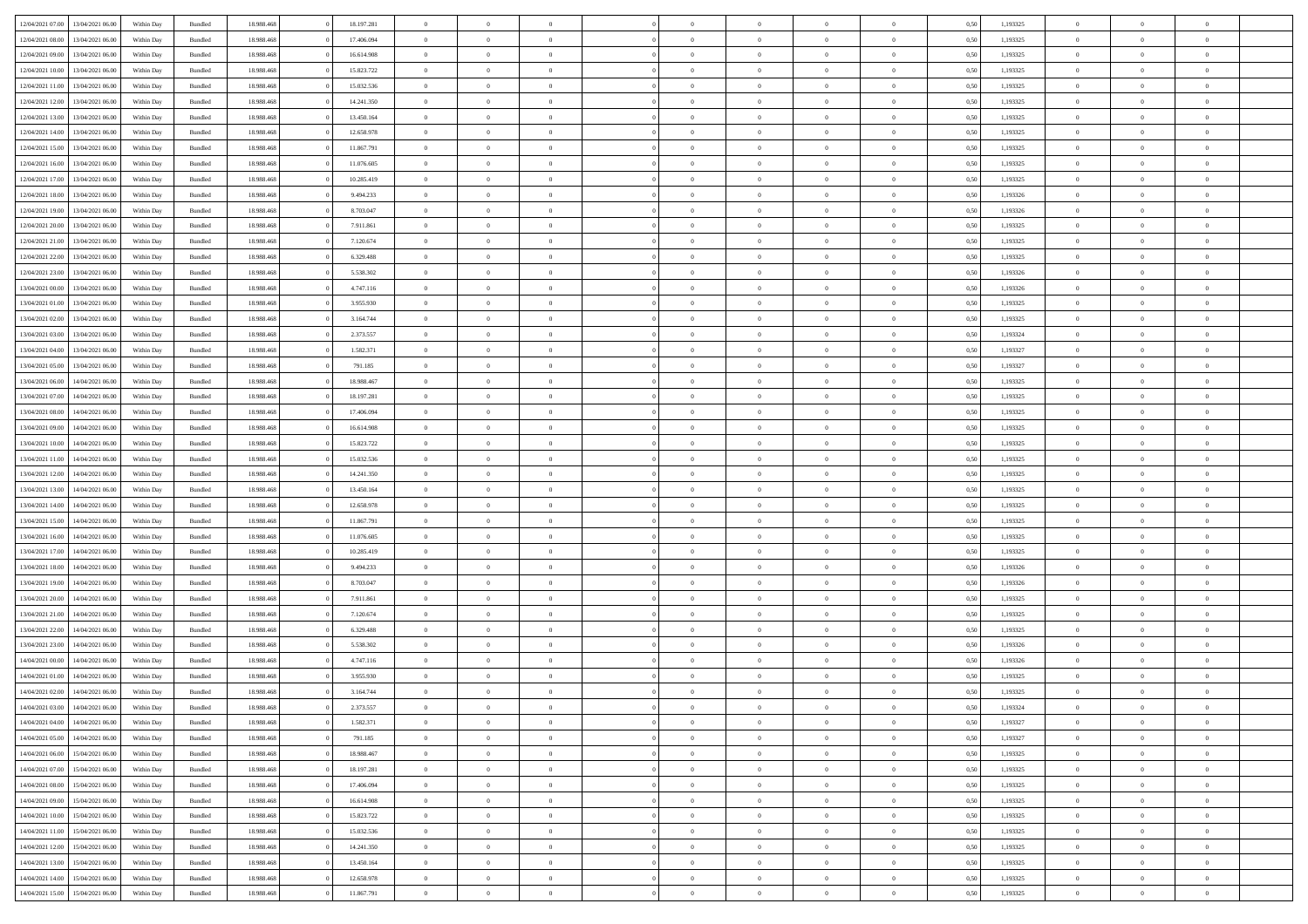|                  |                  |            |                    |            |            | $\overline{0}$ |                |                |                | $\Omega$       | $\Omega$       | $\theta$       |      |          | $\theta$       | $\overline{0}$ | $\theta$       |  |
|------------------|------------------|------------|--------------------|------------|------------|----------------|----------------|----------------|----------------|----------------|----------------|----------------|------|----------|----------------|----------------|----------------|--|
| 12/04/2021 07:00 | 13/04/2021 06:00 | Within Day | Bundled            | 18.988.468 | 18.197.281 |                | $\theta$       |                | $\Omega$       |                |                |                | 0.50 | 1,193325 |                |                |                |  |
| 12/04/2021 08:00 | 13/04/2021 06:00 | Within Day | Bundled            | 18.988.468 | 17.406.094 | $\overline{0}$ | $\theta$       | $\overline{0}$ | $\overline{0}$ | $\bf{0}$       | $\overline{0}$ | $\overline{0}$ | 0,50 | 1,193325 | $\theta$       | $\overline{0}$ | $\overline{0}$ |  |
| 12/04/2021 09:00 | 13/04/2021 06:00 | Within Day | Bundled            | 18.988.468 | 16.614.908 | $\overline{0}$ | $\overline{0}$ | $\overline{0}$ | $\bf{0}$       | $\bf{0}$       | $\bf{0}$       | $\bf{0}$       | 0,50 | 1,193325 | $\bf{0}$       | $\overline{0}$ | $\overline{0}$ |  |
| 12/04/2021 10:00 | 13/04/2021 06:00 | Within Dav | Bundled            | 18.988.468 | 15.823.722 | $\overline{0}$ | $\theta$       | $\overline{0}$ | $\overline{0}$ | $\bf{0}$       | $\overline{0}$ | $\overline{0}$ | 0.50 | 1,193325 | $\theta$       | $\theta$       | $\overline{0}$ |  |
|                  |                  |            |                    |            |            |                |                |                |                |                |                |                |      |          |                |                |                |  |
| 12/04/2021 11:00 | 13/04/2021 06:00 | Within Day | Bundled            | 18.988.468 | 15.032.536 | $\overline{0}$ | $\theta$       | $\overline{0}$ | $\overline{0}$ | $\bf{0}$       | $\overline{0}$ | $\bf{0}$       | 0,50 | 1,193325 | $\theta$       | $\theta$       | $\overline{0}$ |  |
| 12/04/2021 12:00 | 13/04/2021 06:00 | Within Day | Bundled            | 18.988.468 | 14.241.350 | $\overline{0}$ | $\bf{0}$       | $\overline{0}$ | $\bf{0}$       | $\overline{0}$ | $\overline{0}$ | $\mathbf{0}$   | 0,50 | 1,193325 | $\overline{0}$ | $\overline{0}$ | $\bf{0}$       |  |
| 12/04/2021 13:00 | 13/04/2021 06:00 | Within Dav | Bundled            | 18.988.468 | 13.450.164 | $\overline{0}$ | $\overline{0}$ | $\overline{0}$ | $\overline{0}$ | $\bf{0}$       | $\overline{0}$ | $\overline{0}$ | 0.50 | 1,193325 | $\theta$       | $\overline{0}$ | $\overline{0}$ |  |
| 12/04/2021 14:00 | 13/04/2021 06:00 | Within Day | Bundled            | 18.988.468 | 12.658.978 | $\overline{0}$ | $\theta$       | $\overline{0}$ | $\overline{0}$ | $\bf{0}$       | $\overline{0}$ | $\bf{0}$       | 0,50 | 1,193325 | $\theta$       | $\theta$       | $\overline{0}$ |  |
| 12/04/2021 15:00 | 13/04/2021 06:00 | Within Day | Bundled            | 18.988.468 | 11.867.791 | $\overline{0}$ | $\overline{0}$ | $\overline{0}$ | $\bf{0}$       | $\bf{0}$       | $\bf{0}$       | $\bf{0}$       | 0,50 | 1,193325 | $\,0\,$        | $\overline{0}$ | $\overline{0}$ |  |
|                  |                  |            |                    |            |            |                |                |                |                |                |                |                |      |          |                |                |                |  |
| 12/04/2021 16:00 | 13/04/2021 06:00 | Within Dav | Bundled            | 18.988.468 | 11.076.605 | $\overline{0}$ | $\overline{0}$ | $\overline{0}$ | $\overline{0}$ | $\overline{0}$ | $\overline{0}$ | $\overline{0}$ | 0.50 | 1,193325 | $\theta$       | $\overline{0}$ | $\overline{0}$ |  |
| 12/04/2021 17:00 | 13/04/2021 06:00 | Within Day | Bundled            | 18.988.468 | 10.285.419 | $\overline{0}$ | $\theta$       | $\overline{0}$ | $\overline{0}$ | $\bf{0}$       | $\overline{0}$ | $\bf{0}$       | 0,50 | 1,193325 | $\theta$       | $\theta$       | $\overline{0}$ |  |
| 12/04/2021 18:00 | 13/04/2021 06:00 | Within Day | Bundled            | 18.988.468 | 9.494.233  | $\overline{0}$ | $\overline{0}$ | $\overline{0}$ | $\bf{0}$       | $\bf{0}$       | $\bf{0}$       | $\bf{0}$       | 0,50 | 1,193326 | $\bf{0}$       | $\overline{0}$ | $\overline{0}$ |  |
| 12/04/2021 19:00 | 13/04/2021 06:00 | Within Day | Bundled            | 18.988.468 | 8.703.047  | $\overline{0}$ | $\theta$       | $\overline{0}$ | $\overline{0}$ | $\bf{0}$       | $\overline{0}$ | $\overline{0}$ | 0.50 | 1,193326 | $\theta$       | $\theta$       | $\overline{0}$ |  |
| 12/04/2021 20:00 | 13/04/2021 06:00 | Within Day | Bundled            | 18.988.468 | 7.911.861  | $\overline{0}$ | $\theta$       | $\overline{0}$ | $\overline{0}$ | $\bf{0}$       | $\overline{0}$ | $\overline{0}$ | 0,50 | 1,193325 | $\theta$       | $\theta$       | $\overline{0}$ |  |
|                  |                  |            |                    |            |            |                |                |                |                |                |                |                |      |          |                |                |                |  |
| 12/04/2021 21:00 | 13/04/2021 06:00 | Within Day | Bundled            | 18.988.468 | 7.120.674  | $\overline{0}$ | $\overline{0}$ | $\overline{0}$ | $\bf{0}$       | $\overline{0}$ | $\overline{0}$ | $\mathbf{0}$   | 0,50 | 1,193325 | $\overline{0}$ | $\overline{0}$ | $\bf{0}$       |  |
| 12/04/2021 22:00 | 13/04/2021 06:00 | Within Dav | Bundled            | 18.988.468 | 6.329.488  | $\overline{0}$ | $\overline{0}$ | $\overline{0}$ | $\overline{0}$ | $\bf{0}$       | $\overline{0}$ | $\overline{0}$ | 0.50 | 1,193325 | $\theta$       | $\overline{0}$ | $\overline{0}$ |  |
| 12/04/2021 23:00 | 13/04/2021 06:00 | Within Day | Bundled            | 18.988.468 | 5.538.302  | $\overline{0}$ | $\theta$       | $\overline{0}$ | $\overline{0}$ | $\bf{0}$       | $\overline{0}$ | $\bf{0}$       | 0,50 | 1,193326 | $\theta$       | $\theta$       | $\overline{0}$ |  |
| 13/04/2021 00:00 | 13/04/2021 06:00 | Within Day | Bundled            | 18.988.468 | 4.747.116  | $\overline{0}$ | $\overline{0}$ | $\overline{0}$ | $\bf{0}$       | $\bf{0}$       | $\bf{0}$       | $\bf{0}$       | 0,50 | 1,193326 | $\,0\,$        | $\overline{0}$ | $\overline{0}$ |  |
| 13/04/2021 01:00 | 13/04/2021 06:00 | Within Day | Bundled            | 18.988.468 | 3.955.930  | $\overline{0}$ | $\overline{0}$ | $\overline{0}$ | $\overline{0}$ | $\overline{0}$ | $\overline{0}$ | $\overline{0}$ | 0.50 | 1,193325 | $\theta$       | $\overline{0}$ | $\overline{0}$ |  |
|                  |                  |            |                    |            |            |                |                |                |                |                |                |                |      |          |                |                |                |  |
| 13/04/2021 02:00 | 13/04/2021 06:00 | Within Day | Bundled            | 18.988.468 | 3.164.744  | $\overline{0}$ | $\theta$       | $\overline{0}$ | $\overline{0}$ | $\bf{0}$       | $\overline{0}$ | $\bf{0}$       | 0,50 | 1,193325 | $\theta$       | $\theta$       | $\overline{0}$ |  |
| 13/04/2021 03:00 | 13/04/2021 06:00 | Within Day | Bundled            | 18.988.468 | 2.373.557  | $\overline{0}$ | $\overline{0}$ | $\overline{0}$ | $\bf{0}$       | $\bf{0}$       | $\bf{0}$       | $\bf{0}$       | 0,50 | 1,193324 | $\,0\,$        | $\overline{0}$ | $\overline{0}$ |  |
| 13/04/2021 04:00 | 13/04/2021 06:00 | Within Day | Bundled            | 18.988.468 | 1.582.371  | $\overline{0}$ | $\overline{0}$ | $\overline{0}$ | $\overline{0}$ | $\bf{0}$       | $\overline{0}$ | $\overline{0}$ | 0.50 | 1,193327 | $\theta$       | $\theta$       | $\overline{0}$ |  |
| 13/04/2021 05:00 | 13/04/2021 06:00 | Within Day | Bundled            | 18.988.468 | 791.185    | $\overline{0}$ | $\theta$       | $\overline{0}$ | $\overline{0}$ | $\bf{0}$       | $\overline{0}$ | $\bf{0}$       | 0,50 | 1,193327 | $\theta$       | $\overline{0}$ | $\overline{0}$ |  |
| 13/04/2021 06:00 | 14/04/2021 06:00 | Within Day | Bundled            | 18.988.468 | 18.988.467 | $\overline{0}$ | $\overline{0}$ | $\overline{0}$ | $\bf{0}$       | $\overline{0}$ | $\bf{0}$       | $\mathbf{0}$   | 0,50 | 1,193325 | $\overline{0}$ | $\overline{0}$ | $\bf{0}$       |  |
|                  |                  |            |                    |            |            |                |                |                |                |                |                |                |      |          |                |                |                |  |
| 13/04/2021 07:00 | 14/04/2021 06:00 | Within Dav | Bundled            | 18.988.468 | 18.197.281 | $\overline{0}$ | $\overline{0}$ | $\overline{0}$ | $\overline{0}$ | $\overline{0}$ | $\overline{0}$ | $\overline{0}$ | 0.50 | 1,193325 | $\theta$       | $\overline{0}$ | $\overline{0}$ |  |
| 13/04/2021 08:00 | 14/04/2021 06:00 | Within Day | Bundled            | 18.988.468 | 17.406.094 | $\overline{0}$ | $\theta$       | $\overline{0}$ | $\overline{0}$ | $\bf{0}$       | $\overline{0}$ | $\bf{0}$       | 0,50 | 1,193325 | $\theta$       | $\theta$       | $\overline{0}$ |  |
| 13/04/2021 09:00 | 14/04/2021 06:00 | Within Day | Bundled            | 18.988.468 | 16.614.908 | $\overline{0}$ | $\overline{0}$ | $\overline{0}$ | $\bf{0}$       | $\bf{0}$       | $\bf{0}$       | $\bf{0}$       | 0,50 | 1,193325 | $\,0\,$        | $\overline{0}$ | $\overline{0}$ |  |
| 13/04/2021 10:00 | 14/04/2021 06:00 | Within Day | Bundled            | 18.988.468 | 15.823.722 | $\overline{0}$ | $\overline{0}$ | $\overline{0}$ | $\overline{0}$ | $\bf{0}$       | $\overline{0}$ | $\overline{0}$ | 0.50 | 1,193325 | $\theta$       | $\overline{0}$ | $\overline{0}$ |  |
| 13/04/2021 11:00 | 14/04/2021 06:00 | Within Day | Bundled            | 18.988.468 | 15.032.536 | $\overline{0}$ | $\theta$       | $\overline{0}$ | $\overline{0}$ | $\bf{0}$       | $\overline{0}$ | $\bf{0}$       | 0,50 | 1,193325 | $\,$ 0 $\,$    | $\theta$       | $\overline{0}$ |  |
| 13/04/2021 12:00 | 14/04/2021 06:00 | Within Day | Bundled            | 18.988.468 | 14.241.350 | $\overline{0}$ | $\overline{0}$ | $\overline{0}$ | $\bf{0}$       | $\bf{0}$       | $\bf{0}$       | $\bf{0}$       | 0,50 | 1,193325 | $\bf{0}$       | $\overline{0}$ | $\overline{0}$ |  |
|                  |                  |            |                    |            |            | $\overline{0}$ | $\Omega$       | $\Omega$       | $\Omega$       | $\Omega$       |                |                |      |          |                | $\Omega$       | $\theta$       |  |
| 13/04/2021 13:00 | 14/04/2021 06:00 | Within Day | Bundled            | 18.988.468 | 13.450.164 |                |                |                |                |                | $\overline{0}$ | $\overline{0}$ | 0.50 | 1,193325 | $\,0\,$        |                |                |  |
| 13/04/2021 14:00 | 14/04/2021 06:00 | Within Day | Bundled            | 18.988.468 | 12.658.978 | $\overline{0}$ | $\theta$       | $\overline{0}$ | $\overline{0}$ | $\bf{0}$       | $\overline{0}$ | $\bf{0}$       | 0,50 | 1,193325 | $\theta$       | $\theta$       | $\overline{0}$ |  |
| 13/04/2021 15:00 | 14/04/2021 06:00 | Within Day | Bundled            | 18.988.468 | 11.867.791 | $\overline{0}$ | $\overline{0}$ | $\overline{0}$ | $\bf{0}$       | $\bf{0}$       | $\overline{0}$ | $\mathbf{0}$   | 0,50 | 1,193325 | $\overline{0}$ | $\overline{0}$ | $\bf{0}$       |  |
| 13/04/2021 16:00 | 14/04/2021 06:00 | Within Day | Bundled            | 18.988.468 | 11.076.605 | $\overline{0}$ | $\Omega$       | $\Omega$       | $\Omega$       | $\Omega$       | $\Omega$       | $\overline{0}$ | 0.50 | 1,193325 | $\theta$       | $\theta$       | $\theta$       |  |
| 13/04/2021 17:00 | 14/04/2021 06:00 | Within Day | Bundled            | 18.988.468 | 10.285.419 | $\overline{0}$ | $\theta$       | $\overline{0}$ | $\overline{0}$ | $\bf{0}$       | $\overline{0}$ | $\bf{0}$       | 0,50 | 1,193325 | $\theta$       | $\theta$       | $\overline{0}$ |  |
| 13/04/2021 18:00 | 14/04/2021 06:00 | Within Day | Bundled            | 18.988.468 | 9.494.233  | $\overline{0}$ | $\overline{0}$ | $\overline{0}$ | $\bf{0}$       | $\bf{0}$       | $\bf{0}$       | $\bf{0}$       | 0,50 | 1,193326 | $\,0\,$        | $\overline{0}$ | $\overline{0}$ |  |
|                  |                  |            |                    |            |            |                |                |                |                |                |                |                |      |          |                |                |                |  |
| 13/04/2021 19:00 | 14/04/2021 06:00 | Within Day | Bundled            | 18.988.468 | 8,703,047  | $\overline{0}$ | $\Omega$       | $\Omega$       | $\Omega$       | $\Omega$       | $\theta$       | $\overline{0}$ | 0.50 | 1,193326 | $\theta$       | $\theta$       | $\theta$       |  |
| 13/04/2021 20:00 | 14/04/2021 06:00 | Within Day | Bundled            | 18.988.468 | 7.911.861  | $\overline{0}$ | $\theta$       | $\overline{0}$ | $\overline{0}$ | $\bf{0}$       | $\overline{0}$ | $\bf{0}$       | 0,50 | 1,193325 | $\theta$       | $\theta$       | $\overline{0}$ |  |
| 13/04/2021 21.00 | 14/04/2021 06:00 | Within Day | Bundled            | 18.988.468 | 7.120.674  | $\overline{0}$ | $\overline{0}$ | $\overline{0}$ | $\bf{0}$       | $\bf{0}$       | $\bf{0}$       | $\bf{0}$       | 0,50 | 1,193325 | $\,0\,$        | $\overline{0}$ | $\overline{0}$ |  |
| 13/04/2021 22.00 | 14/04/2021 06:00 | Within Day | Bundled            | 18.988.468 | 6.329.488  | $\overline{0}$ | $\Omega$       | $\Omega$       | $\Omega$       | $\Omega$       | $\overline{0}$ | $\overline{0}$ | 0.50 | 1,193325 | $\,0\,$        | $\theta$       | $\theta$       |  |
| 13/04/2021 23:00 | 14/04/2021 06:00 | Within Day | Bundled            | 18.988.468 | 5.538.302  | $\overline{0}$ | $\theta$       | $\overline{0}$ | $\overline{0}$ | $\bf{0}$       | $\overline{0}$ | $\bf{0}$       | 0,50 | 1,193326 | $\,$ 0 $\,$    | $\theta$       | $\overline{0}$ |  |
| 14/04/2021 00:00 | 14/04/2021 06:00 | Within Day | Bundled            | 18.988.468 | 4.747.116  | $\overline{0}$ | $\overline{0}$ | $\overline{0}$ | $\bf{0}$       | $\bf{0}$       | $\bf{0}$       | $\mathbf{0}$   | 0,50 | 1,193326 | $\overline{0}$ | $\overline{0}$ | $\bf{0}$       |  |
|                  |                  |            |                    |            |            |                |                |                |                |                |                |                |      |          |                |                |                |  |
| 14/04/2021 01:00 | 14/04/2021 06:00 | Within Day | Bundled            | 18.988.468 | 3.955.930  | $\overline{0}$ | $\Omega$       | $\Omega$       | $\Omega$       | $\Omega$       | $\Omega$       | $\overline{0}$ | 0.50 | 1,193325 | $\theta$       | $\theta$       | $\theta$       |  |
| 14/04/2021 02:00 | 14/04/2021 06:00 | Within Day | Bundled            | 18.988.468 | 3.164.744  | $\overline{0}$ | $\,$ 0 $\,$    | $\overline{0}$ | $\bf{0}$       | $\,$ 0         | $\bf{0}$       | $\bf{0}$       | 0,50 | 1,193325 | $\,0\,$        | $\overline{0}$ | $\overline{0}$ |  |
| 14/04/2021 03:00 | 14/04/2021 06:00 | Within Day | $\mathbf B$ undled | 18.988.468 | 2.373.557  | $\bf{0}$       | $\bf{0}$       |                |                |                |                |                | 0,50 | 1,193324 | $\bf{0}$       | $\overline{0}$ |                |  |
| 14/04/2021 04:00 | 14/04/2021 06:00 | Within Day | Bundled            | 18,988,468 | 1.582.371  | $\overline{0}$ | $\overline{0}$ | $\overline{0}$ | $\Omega$       | $\theta$       | $\overline{0}$ | $\overline{0}$ | 0,50 | 1,193327 | $\theta$       | $\theta$       | $\theta$       |  |
| 14/04/2021 05:00 | 14/04/2021 06:00 | Within Day | Bundled            | 18.988.468 | 791.185    | $\overline{0}$ | $\,$ 0         | $\overline{0}$ | $\bf{0}$       | $\,$ 0 $\,$    | $\overline{0}$ | $\mathbf{0}$   | 0,50 | 1,193327 | $\,$ 0 $\,$    | $\,$ 0 $\,$    | $\,$ 0         |  |
| 14/04/2021 06:00 | 15/04/2021 06:00 | Within Day | Bundled            | 18.988.468 | 18.988.467 | $\overline{0}$ | $\overline{0}$ | $\overline{0}$ | $\overline{0}$ | $\overline{0}$ | $\overline{0}$ | $\mathbf{0}$   | 0,50 | 1,193325 | $\overline{0}$ | $\bf{0}$       | $\bf{0}$       |  |
|                  |                  |            |                    |            |            |                |                |                |                |                |                |                |      |          |                |                |                |  |
| 14/04/2021 07:00 | 15/04/2021 06:00 | Within Day | Bundled            | 18.988.468 | 18.197.281 | $\overline{0}$ | $\theta$       | $\overline{0}$ | $\Omega$       | $\overline{0}$ | $\overline{0}$ | $\bf{0}$       | 0,50 | 1,193325 | $\overline{0}$ | $\theta$       | $\overline{0}$ |  |
| 14/04/2021 08:00 | 15/04/2021 06:00 | Within Day | Bundled            | 18.988.468 | 17.406.094 | $\overline{0}$ | $\,$ 0         | $\overline{0}$ | $\overline{0}$ | $\overline{0}$ | $\overline{0}$ | $\bf{0}$       | 0,50 | 1,193325 | $\,$ 0 $\,$    | $\overline{0}$ | $\overline{0}$ |  |
| 14/04/2021 09:00 | 15/04/2021 06:00 | Within Day | Bundled            | 18.988.468 | 16.614.908 | $\overline{0}$ | $\overline{0}$ | $\overline{0}$ | $\overline{0}$ | $\overline{0}$ | $\overline{0}$ | $\mathbf{0}$   | 0,50 | 1,193325 | $\overline{0}$ | $\bf{0}$       | $\bf{0}$       |  |
| 14/04/2021 10:00 | 15/04/2021 06:00 | Within Day | Bundled            | 18.988.468 | 15.823.722 | $\overline{0}$ | $\overline{0}$ | $\overline{0}$ | $\Omega$       | $\overline{0}$ | $\overline{0}$ | $\bf{0}$       | 0.50 | 1,193325 | $\overline{0}$ | $\theta$       | $\overline{0}$ |  |
| 14/04/2021 11:00 | 15/04/2021 06:00 | Within Day | Bundled            | 18.988.468 | 15.032.536 | $\overline{0}$ | $\,$ 0         | $\overline{0}$ | $\bf{0}$       | $\bf{0}$       | $\bf{0}$       | $\bf{0}$       | 0,50 | 1,193325 | $\,$ 0 $\,$    | $\overline{0}$ | $\overline{0}$ |  |
|                  |                  |            |                    |            |            |                |                |                |                |                |                |                |      |          |                |                |                |  |
| 14/04/2021 12:00 | 15/04/2021 06:00 | Within Day | Bundled            | 18.988.468 | 14.241.350 | $\overline{0}$ | $\bf{0}$       | $\overline{0}$ | $\overline{0}$ | $\overline{0}$ | $\bf{0}$       | $\mathbf{0}$   | 0,50 | 1,193325 | $\overline{0}$ | $\overline{0}$ | $\bf{0}$       |  |
| 14/04/2021 13:00 | 15/04/2021 06:00 | Within Day | Bundled            | 18,988,468 | 13.450.164 | $\overline{0}$ | $\overline{0}$ | $\overline{0}$ | $\Omega$       | $\overline{0}$ | $\overline{0}$ | $\bf{0}$       | 0.50 | 1,193325 | $\overline{0}$ | $\overline{0}$ | $\overline{0}$ |  |
| 14/04/2021 14:00 | 15/04/2021 06:00 | Within Day | Bundled            | 18.988.468 | 12.658.978 | $\overline{0}$ | $\bf{0}$       | $\overline{0}$ | $\overline{0}$ | $\bf{0}$       | $\bf{0}$       | $\mathbf{0}$   | 0,50 | 1,193325 | $\,$ 0 $\,$    | $\,$ 0 $\,$    | $\bf{0}$       |  |
| 14/04/2021 15:00 | 15/04/2021 06:00 | Within Day | Bundled            | 18.988.468 | 11.867.791 | $\overline{0}$ | $\overline{0}$ | $\overline{0}$ | $\overline{0}$ | $\bf{0}$       | $\bf{0}$       | $\mathbf{0}$   | 0,50 | 1,193325 | $\overline{0}$ | $\bf{0}$       | $\bf{0}$       |  |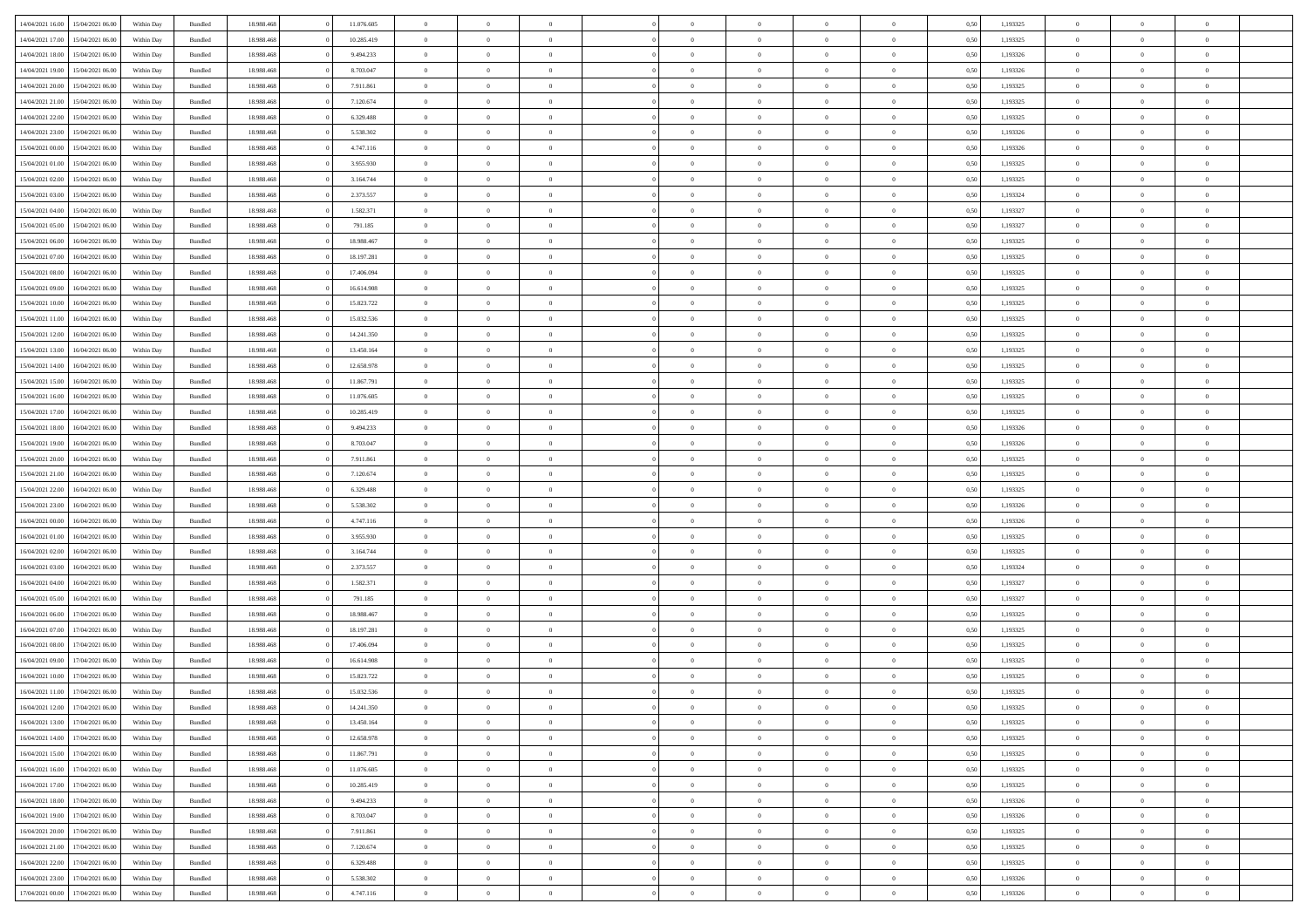|                  |                  |            |                    |            |            | $\overline{0}$ |                |                |                | $\Omega$       | $\Omega$       | $\theta$       |      |          | $\theta$       | $\overline{0}$ | $\theta$       |  |
|------------------|------------------|------------|--------------------|------------|------------|----------------|----------------|----------------|----------------|----------------|----------------|----------------|------|----------|----------------|----------------|----------------|--|
| 14/04/2021 16:00 | 15/04/2021 06:00 | Within Day | Bundled            | 18.988.468 | 11.076.605 |                | $\theta$       |                | $\Omega$       |                |                |                | 0.50 | 1,193325 |                |                |                |  |
| 14/04/2021 17:00 | 15/04/2021 06:00 | Within Day | Bundled            | 18.988.468 | 10.285.419 | $\overline{0}$ | $\theta$       | $\overline{0}$ | $\overline{0}$ | $\bf{0}$       | $\overline{0}$ | $\overline{0}$ | 0,50 | 1,193325 | $\theta$       | $\overline{0}$ | $\overline{0}$ |  |
| 14/04/2021 18:00 | 15/04/2021 06:00 | Within Day | Bundled            | 18.988.468 | 9.494.233  | $\overline{0}$ | $\overline{0}$ | $\overline{0}$ | $\bf{0}$       | $\bf{0}$       | $\bf{0}$       | $\bf{0}$       | 0,50 | 1,193326 | $\bf{0}$       | $\overline{0}$ | $\overline{0}$ |  |
| 14/04/2021 19:00 | 15/04/2021 06:00 | Within Dav | Bundled            | 18.988.468 | 8.703.047  | $\overline{0}$ | $\theta$       | $\overline{0}$ | $\overline{0}$ | $\bf{0}$       | $\overline{0}$ | $\overline{0}$ | 0.50 | 1,193326 | $\theta$       | $\theta$       | $\overline{0}$ |  |
| 14/04/2021 20:00 | 15/04/2021 06:00 |            |                    | 18.988.468 | 7.911.861  | $\overline{0}$ | $\theta$       | $\overline{0}$ | $\overline{0}$ | $\bf{0}$       | $\overline{0}$ |                |      | 1,193325 | $\theta$       | $\theta$       | $\overline{0}$ |  |
|                  |                  | Within Day | Bundled            |            |            |                |                |                |                |                |                | $\bf{0}$       | 0,50 |          |                |                |                |  |
| 14/04/2021 21.00 | 15/04/2021 06:00 | Within Day | Bundled            | 18.988.468 | 7.120.674  | $\overline{0}$ | $\bf{0}$       | $\overline{0}$ | $\bf{0}$       | $\overline{0}$ | $\overline{0}$ | $\mathbf{0}$   | 0,50 | 1,193325 | $\overline{0}$ | $\overline{0}$ | $\bf{0}$       |  |
| 14/04/2021 22:00 | 15/04/2021 06:00 | Within Dav | Bundled            | 18.988.468 | 6.329.488  | $\overline{0}$ | $\overline{0}$ | $\overline{0}$ | $\overline{0}$ | $\bf{0}$       | $\overline{0}$ | $\overline{0}$ | 0.50 | 1,193325 | $\theta$       | $\overline{0}$ | $\overline{0}$ |  |
| 14/04/2021 23:00 | 15/04/2021 06:00 | Within Day | Bundled            | 18.988.468 | 5.538.302  | $\overline{0}$ | $\theta$       | $\overline{0}$ | $\overline{0}$ | $\bf{0}$       | $\overline{0}$ | $\bf{0}$       | 0,50 | 1,193326 | $\theta$       | $\theta$       | $\overline{0}$ |  |
| 15/04/2021 00:00 | 15/04/2021 06:00 | Within Day | Bundled            | 18.988.468 | 4.747.116  | $\overline{0}$ | $\overline{0}$ | $\overline{0}$ | $\overline{0}$ | $\bf{0}$       | $\overline{0}$ | $\bf{0}$       | 0,50 | 1,193326 | $\,0\,$        | $\overline{0}$ | $\overline{0}$ |  |
| 15/04/2021 01:00 | 15/04/2021 06:00 | Within Dav | Bundled            | 18.988.468 | 3.955.930  | $\overline{0}$ | $\overline{0}$ | $\overline{0}$ | $\overline{0}$ | $\overline{0}$ | $\overline{0}$ | $\overline{0}$ | 0.50 | 1,193325 | $\theta$       | $\overline{0}$ | $\overline{0}$ |  |
|                  |                  |            |                    |            |            |                |                |                |                |                |                |                |      |          |                |                |                |  |
| 15/04/2021 02:00 | 15/04/2021 06:00 | Within Day | Bundled            | 18.988.468 | 3.164.744  | $\overline{0}$ | $\theta$       | $\overline{0}$ | $\overline{0}$ | $\bf{0}$       | $\overline{0}$ | $\bf{0}$       | 0,50 | 1,193325 | $\theta$       | $\theta$       | $\overline{0}$ |  |
| 15/04/2021 03:00 | 15/04/2021 06:00 | Within Day | Bundled            | 18.988.468 | 2.373.557  | $\overline{0}$ | $\overline{0}$ | $\overline{0}$ | $\overline{0}$ | $\bf{0}$       | $\overline{0}$ | $\bf{0}$       | 0,50 | 1,193324 | $\bf{0}$       | $\overline{0}$ | $\overline{0}$ |  |
| 15/04/2021 04:00 | 15/04/2021 06:00 | Within Day | Bundled            | 18.988.468 | 1.582.371  | $\overline{0}$ | $\theta$       | $\overline{0}$ | $\overline{0}$ | $\bf{0}$       | $\overline{0}$ | $\overline{0}$ | 0.50 | 1,193327 | $\theta$       | $\theta$       | $\overline{0}$ |  |
| 15/04/2021 05:00 | 15/04/2021 06:00 | Within Day | Bundled            | 18.988.468 | 791.185    | $\overline{0}$ | $\theta$       | $\overline{0}$ | $\overline{0}$ | $\bf{0}$       | $\overline{0}$ | $\overline{0}$ | 0,50 | 1,193327 | $\theta$       | $\theta$       | $\overline{0}$ |  |
| 15/04/2021 06:00 | 16/04/2021 06:00 | Within Day | Bundled            | 18.988.468 | 18.988.467 | $\overline{0}$ | $\overline{0}$ | $\overline{0}$ | $\overline{0}$ | $\overline{0}$ | $\overline{0}$ | $\mathbf{0}$   | 0,50 | 1,193325 | $\bf{0}$       | $\overline{0}$ | $\bf{0}$       |  |
|                  |                  |            |                    |            |            |                |                |                |                |                |                |                |      |          |                |                |                |  |
| 15/04/2021 07:00 | 16/04/2021 06:00 | Within Dav | Bundled            | 18.988.468 | 18.197.281 | $\overline{0}$ | $\overline{0}$ | $\overline{0}$ | $\overline{0}$ | $\bf{0}$       | $\overline{0}$ | $\overline{0}$ | 0.50 | 1,193325 | $\theta$       | $\overline{0}$ | $\overline{0}$ |  |
| 15/04/2021 08:00 | 16/04/2021 06:00 | Within Day | Bundled            | 18.988.468 | 17.406.094 | $\overline{0}$ | $\theta$       | $\overline{0}$ | $\overline{0}$ | $\bf{0}$       | $\overline{0}$ | $\bf{0}$       | 0,50 | 1,193325 | $\theta$       | $\theta$       | $\overline{0}$ |  |
| 15/04/2021 09:00 | 16/04/2021 06:00 | Within Day | Bundled            | 18.988.468 | 16.614.908 | $\overline{0}$ | $\overline{0}$ | $\overline{0}$ | $\overline{0}$ | $\bf{0}$       | $\overline{0}$ | $\bf{0}$       | 0,50 | 1,193325 | $\,0\,$        | $\overline{0}$ | $\overline{0}$ |  |
| 15/04/2021 10:00 | 16/04/2021 06:00 | Within Day | Bundled            | 18.988.468 | 15.823.722 | $\overline{0}$ | $\overline{0}$ | $\overline{0}$ | $\overline{0}$ | $\overline{0}$ | $\overline{0}$ | $\overline{0}$ | 0.50 | 1,193325 | $\theta$       | $\overline{0}$ | $\overline{0}$ |  |
| 15/04/2021 11:00 | 16/04/2021 06:00 | Within Day | Bundled            | 18.988.468 | 15.032.536 | $\overline{0}$ | $\theta$       | $\overline{0}$ | $\overline{0}$ | $\bf{0}$       | $\overline{0}$ | $\bf{0}$       | 0,50 | 1,193325 | $\theta$       | $\theta$       | $\overline{0}$ |  |
| 15/04/2021 12:00 | 16/04/2021 06:00 | Within Day | Bundled            | 18.988.468 | 14.241.350 | $\overline{0}$ | $\overline{0}$ | $\overline{0}$ | $\overline{0}$ | $\bf{0}$       | $\overline{0}$ | $\bf{0}$       | 0,50 | 1,193325 | $\,0\,$        | $\overline{0}$ | $\overline{0}$ |  |
|                  |                  |            |                    |            |            |                |                |                |                |                |                |                |      |          |                |                |                |  |
| 15/04/2021 13:00 | 16/04/2021 06:00 | Within Day | Bundled            | 18.988.468 | 13.450.164 | $\overline{0}$ | $\overline{0}$ | $\overline{0}$ | $\overline{0}$ | $\bf{0}$       | $\overline{0}$ | $\overline{0}$ | 0.50 | 1,193325 | $\theta$       | $\theta$       | $\overline{0}$ |  |
| 15/04/2021 14:00 | 16/04/2021 06:00 | Within Day | Bundled            | 18.988.468 | 12.658.978 | $\overline{0}$ | $\theta$       | $\overline{0}$ | $\overline{0}$ | $\bf{0}$       | $\overline{0}$ | $\bf{0}$       | 0,50 | 1,193325 | $\theta$       | $\overline{0}$ | $\overline{0}$ |  |
| 15/04/2021 15:00 | 16/04/2021 06:00 | Within Day | Bundled            | 18.988.468 | 11.867.791 | $\overline{0}$ | $\overline{0}$ | $\overline{0}$ | $\overline{0}$ | $\overline{0}$ | $\overline{0}$ | $\mathbf{0}$   | 0,50 | 1,193325 | $\bf{0}$       | $\overline{0}$ | $\bf{0}$       |  |
| 15/04/2021 16:00 | 16/04/2021 06:00 | Within Dav | Bundled            | 18.988.468 | 11.076.605 | $\overline{0}$ | $\overline{0}$ | $\overline{0}$ | $\overline{0}$ | $\overline{0}$ | $\overline{0}$ | $\overline{0}$ | 0.50 | 1,193325 | $\theta$       | $\overline{0}$ | $\overline{0}$ |  |
| 15/04/2021 17:00 | 16/04/2021 06:00 | Within Day | Bundled            | 18.988.468 | 10.285.419 | $\overline{0}$ | $\theta$       | $\overline{0}$ | $\overline{0}$ | $\bf{0}$       | $\overline{0}$ | $\bf{0}$       | 0,50 | 1,193325 | $\theta$       | $\theta$       | $\overline{0}$ |  |
| 15/04/2021 18:00 | 16/04/2021 06:00 | Within Day | Bundled            | 18.988.468 | 9.494.233  | $\overline{0}$ | $\overline{0}$ | $\overline{0}$ | $\overline{0}$ | $\bf{0}$       | $\overline{0}$ | $\bf{0}$       | 0,50 | 1,193326 | $\,0\,$        | $\overline{0}$ | $\overline{0}$ |  |
|                  | 16/04/2021 06:00 |            | Bundled            | 18.988.468 | 8.703.047  | $\overline{0}$ | $\overline{0}$ | $\overline{0}$ | $\overline{0}$ | $\overline{0}$ | $\overline{0}$ | $\overline{0}$ | 0.50 | 1,193326 | $\theta$       | $\overline{0}$ | $\overline{0}$ |  |
| 15/04/2021 19:00 |                  | Within Day |                    |            |            |                |                |                |                |                |                |                |      |          |                |                |                |  |
| 15/04/2021 20:00 | 16/04/2021 06:00 | Within Day | Bundled            | 18.988.468 | 7.911.861  | $\overline{0}$ | $\theta$       | $\overline{0}$ | $\overline{0}$ | $\bf{0}$       | $\overline{0}$ | $\bf{0}$       | 0,50 | 1,193325 | $\,$ 0 $\,$    | $\theta$       | $\overline{0}$ |  |
| 15/04/2021 21.00 | 16/04/2021 06:00 | Within Day | Bundled            | 18.988.468 | 7.120.674  | $\overline{0}$ | $\overline{0}$ | $\overline{0}$ | $\overline{0}$ | $\bf{0}$       | $\overline{0}$ | $\bf{0}$       | 0,50 | 1,193325 | $\bf{0}$       | $\overline{0}$ | $\overline{0}$ |  |
| 15/04/2021 22.00 | 16/04/2021 06:00 | Within Day | Bundled            | 18.988.468 | 6.329.488  | $\overline{0}$ | $\Omega$       | $\Omega$       | $\Omega$       | $\Omega$       | $\overline{0}$ | $\overline{0}$ | 0.50 | 1,193325 | $\,0\,$        | $\Omega$       | $\theta$       |  |
| 15/04/2021 23:00 | 16/04/2021 06:00 | Within Day | Bundled            | 18.988.468 | 5.538.302  | $\overline{0}$ | $\theta$       | $\overline{0}$ | $\overline{0}$ | $\bf{0}$       | $\overline{0}$ | $\bf{0}$       | 0,50 | 1,193326 | $\theta$       | $\theta$       | $\overline{0}$ |  |
| 16/04/2021 00:00 | 16/04/2021 06:00 | Within Day | Bundled            | 18.988.468 | 4.747.116  | $\overline{0}$ | $\bf{0}$       | $\overline{0}$ | $\overline{0}$ | $\bf{0}$       | $\overline{0}$ | $\mathbf{0}$   | 0,50 | 1,193326 | $\bf{0}$       | $\overline{0}$ | $\bf{0}$       |  |
|                  | 16/04/2021 06:00 |            |                    | 18.988.468 |            | $\overline{0}$ | $\Omega$       | $\Omega$       | $\Omega$       | $\Omega$       | $\Omega$       | $\overline{0}$ | 0.50 |          | $\theta$       | $\theta$       | $\theta$       |  |
| 16/04/2021 01:00 |                  | Within Day | Bundled            |            | 3.955.930  |                |                |                |                |                |                |                |      | 1,193325 |                |                |                |  |
| 16/04/2021 02:00 | 16/04/2021 06:00 | Within Day | Bundled            | 18.988.468 | 3.164.744  | $\overline{0}$ | $\theta$       | $\overline{0}$ | $\overline{0}$ | $\bf{0}$       | $\overline{0}$ | $\bf{0}$       | 0,50 | 1,193325 | $\theta$       | $\theta$       | $\overline{0}$ |  |
| 16/04/2021 03:00 | 16/04/2021 06:00 | Within Day | Bundled            | 18.988.468 | 2.373.557  | $\overline{0}$ | $\overline{0}$ | $\overline{0}$ | $\overline{0}$ | $\bf{0}$       | $\overline{0}$ | $\bf{0}$       | 0,50 | 1,193324 | $\,0\,$        | $\overline{0}$ | $\overline{0}$ |  |
| 16/04/2021 04:00 | 16/04/2021 06:00 | Within Day | Bundled            | 18.988.468 | 1.582.371  | $\overline{0}$ | $\Omega$       | $\Omega$       | $\Omega$       | $\Omega$       | $\theta$       | $\overline{0}$ | 0.50 | 1,193327 | $\theta$       | $\theta$       | $\theta$       |  |
| 16/04/2021 05:00 | 16/04/2021 06:00 | Within Day | Bundled            | 18.988.468 | 791.185    | $\overline{0}$ | $\theta$       | $\overline{0}$ | $\overline{0}$ | $\bf{0}$       | $\overline{0}$ | $\bf{0}$       | 0,50 | 1,193327 | $\theta$       | $\theta$       | $\overline{0}$ |  |
| 16/04/2021 06:00 | 17/04/2021 06:00 | Within Day | Bundled            | 18.988.468 | 18.988.467 | $\overline{0}$ | $\overline{0}$ | $\overline{0}$ | $\overline{0}$ | $\bf{0}$       | $\overline{0}$ | $\bf{0}$       | 0,50 | 1,193325 | $\,0\,$        | $\overline{0}$ | $\overline{0}$ |  |
| 16/04/2021 07:00 | 17/04/2021 06:00 |            |                    | 18.988.468 | 18.197.281 | $\overline{0}$ | $\Omega$       | $\Omega$       | $\Omega$       | $\Omega$       | $\overline{0}$ | $\overline{0}$ | 0.50 | 1,193325 | $\,0\,$        | $\theta$       | $\theta$       |  |
|                  |                  | Within Day | Bundled            |            |            |                |                |                |                |                |                |                |      |          |                |                |                |  |
| 16/04/2021 08:00 | 17/04/2021 06:00 | Within Day | Bundled            | 18.988.468 | 17.406.094 | $\overline{0}$ | $\theta$       | $\overline{0}$ | $\overline{0}$ | $\bf{0}$       | $\overline{0}$ | $\bf{0}$       | 0,50 | 1,193325 | $\,$ 0 $\,$    | $\theta$       | $\overline{0}$ |  |
| 16/04/2021 09:00 | 17/04/2021 06:00 | Within Day | Bundled            | 18.988.468 | 16.614.908 | $\overline{0}$ | $\overline{0}$ | $\overline{0}$ | $\overline{0}$ | $\bf{0}$       | $\overline{0}$ | $\mathbf{0}$   | 0,50 | 1,193325 | $\bf{0}$       | $\overline{0}$ | $\bf{0}$       |  |
| 16/04/2021 10:00 | 17/04/2021 06:00 | Within Day | Bundled            | 18.988.468 | 15.823.722 | $\overline{0}$ | $\Omega$       | $\Omega$       | $\Omega$       | $\Omega$       | $\Omega$       | $\overline{0}$ | 0.50 | 1,193325 | $\theta$       | $\theta$       | $\theta$       |  |
| 16/04/2021 11:00 | 17/04/2021 06:00 | Within Day | Bundled            | 18.988.468 | 15.032.536 | $\overline{0}$ | $\,$ 0 $\,$    | $\overline{0}$ | $\bf{0}$       | $\,$ 0         | $\overline{0}$ | $\bf{0}$       | 0,50 | 1,193325 | $\,0\,$        | $\overline{0}$ | $\overline{0}$ |  |
| 16/04/2021 12:00 | 17/04/2021 06:00 | Within Day | $\mathbf B$ undled | 18.988.468 | 14.241.350 | $\bf{0}$       | $\bf{0}$       |                |                |                |                |                | 0,50 | 1,193325 | $\bf{0}$       | $\overline{0}$ |                |  |
| 16/04/2021 13:00 | 17/04/2021 06:00 | Within Day | Bundled            | 18,988,468 | 13.450.164 | $\overline{0}$ | $\Omega$       | $\overline{0}$ | $\Omega$       | $\theta$       | $\overline{0}$ | $\overline{0}$ | 0,50 | 1,193325 | $\theta$       | $\theta$       | $\theta$       |  |
|                  |                  |            |                    |            |            |                | $\,$ 0         |                |                | $\,$ 0 $\,$    |                |                |      |          | $\,$ 0 $\,$    | $\,$ 0 $\,$    | $\,$ 0         |  |
| 16/04/2021 14:00 | 17/04/2021 06:00 | Within Day | Bundled            | 18.988.468 | 12.658.978 | $\overline{0}$ |                | $\overline{0}$ | $\overline{0}$ |                | $\overline{0}$ | $\mathbf{0}$   | 0,50 | 1,193325 |                |                |                |  |
| 16/04/2021 15:00 | 17/04/2021 06:00 | Within Day | Bundled            | 18.988.468 | 11.867.791 | $\overline{0}$ | $\overline{0}$ | $\overline{0}$ | $\overline{0}$ | $\overline{0}$ | $\overline{0}$ | $\mathbf{0}$   | 0,50 | 1,193325 | $\overline{0}$ | $\bf{0}$       | $\bf{0}$       |  |
| 16/04/2021 16:00 | 17/04/2021 06:00 | Within Day | Bundled            | 18.988.468 | 11.076.605 | $\overline{0}$ | $\theta$       | $\overline{0}$ | $\Omega$       | $\overline{0}$ | $\overline{0}$ | $\bf{0}$       | 0,50 | 1,193325 | $\overline{0}$ | $\theta$       | $\overline{0}$ |  |
| 16/04/2021 17:00 | 17/04/2021 06:00 | Within Day | Bundled            | 18.988.468 | 10.285.419 | $\overline{0}$ | $\,$ 0         | $\overline{0}$ | $\overline{0}$ | $\overline{0}$ | $\overline{0}$ | $\bf{0}$       | 0,50 | 1,193325 | $\,$ 0 $\,$    | $\overline{0}$ | $\overline{0}$ |  |
| 16/04/2021 18:00 | 17/04/2021 06:00 | Within Day | Bundled            | 18.988.468 | 9.494.233  | $\overline{0}$ | $\overline{0}$ | $\overline{0}$ | $\overline{0}$ | $\overline{0}$ | $\overline{0}$ | $\mathbf{0}$   | 0,50 | 1,193326 | $\overline{0}$ | $\bf{0}$       | $\bf{0}$       |  |
| 16/04/2021 19:00 | 17/04/2021 06:00 | Within Day | Bundled            | 18.988.468 | 8.703.047  | $\overline{0}$ | $\overline{0}$ | $\overline{0}$ | $\Omega$       | $\overline{0}$ | $\overline{0}$ | $\bf{0}$       | 0.50 | 1,193326 | $\overline{0}$ | $\theta$       | $\overline{0}$ |  |
| 16/04/2021 20:00 | 17/04/2021 06:00 | Within Day | Bundled            | 18.988.468 | 7.911.861  | $\overline{0}$ | $\,$ 0         | $\overline{0}$ | $\bf{0}$       | $\bf{0}$       | $\bf{0}$       | $\bf{0}$       | 0,50 | 1,193325 | $\,$ 0 $\,$    | $\overline{0}$ | $\overline{0}$ |  |
|                  |                  |            |                    |            |            |                |                |                |                |                |                |                |      |          |                |                |                |  |
| 16/04/2021 21:00 | 17/04/2021 06:00 | Within Day | Bundled            | 18.988.468 | 7.120.674  | $\overline{0}$ | $\bf{0}$       | $\overline{0}$ | $\overline{0}$ | $\overline{0}$ | $\overline{0}$ | $\mathbf{0}$   | 0,50 | 1,193325 | $\overline{0}$ | $\overline{0}$ | $\bf{0}$       |  |
| 16/04/2021 22:00 | 17/04/2021 06:00 | Within Day | Bundled            | 18,988,468 | 6.329.488  | $\overline{0}$ | $\overline{0}$ | $\overline{0}$ | $\Omega$       | $\overline{0}$ | $\overline{0}$ | $\bf{0}$       | 0.50 | 1,193325 | $\overline{0}$ | $\overline{0}$ | $\overline{0}$ |  |
| 16/04/2021 23:00 | 17/04/2021 06:00 | Within Day | Bundled            | 18.988.468 | 5.538.302  | $\overline{0}$ | $\bf{0}$       | $\overline{0}$ | $\overline{0}$ | $\bf{0}$       | $\bf{0}$       | $\mathbf{0}$   | 0,50 | 1,193326 | $\,$ 0 $\,$    | $\,$ 0 $\,$    | $\bf{0}$       |  |
| 17/04/2021 00:00 | 17/04/2021 06:00 | Within Day | Bundled            | 18.988.468 | 4.747.116  | $\overline{0}$ | $\overline{0}$ | $\overline{0}$ | $\overline{0}$ | $\bf{0}$       | $\bf{0}$       | $\mathbf{0}$   | 0,50 | 1,193326 | $\overline{0}$ | $\bf{0}$       | $\bf{0}$       |  |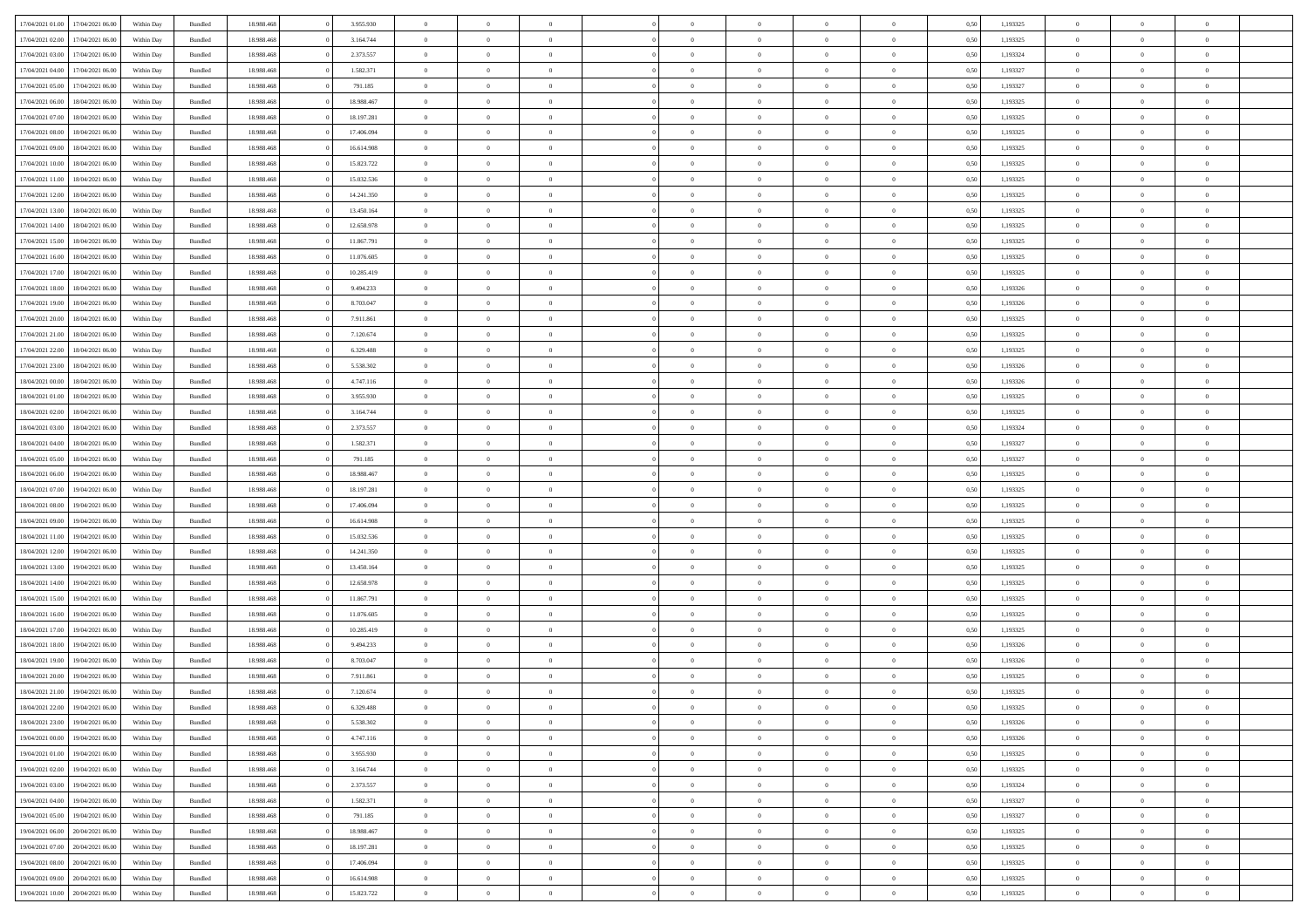| 17/04/2021 01:00 | 17/04/2021 06:00 | Within Day | Bundled            | 18.988.468 | 3.955.930  | $\overline{0}$ | $\theta$       |                | $\Omega$       | $\Omega$       | $\Omega$       | $\theta$       | 0.50 | 1,193325 | $\theta$       | $\overline{0}$ | $\theta$       |  |
|------------------|------------------|------------|--------------------|------------|------------|----------------|----------------|----------------|----------------|----------------|----------------|----------------|------|----------|----------------|----------------|----------------|--|
| 17/04/2021 02.00 | 17/04/2021 06:00 | Within Day | Bundled            | 18.988.468 | 3.164.744  | $\overline{0}$ | $\theta$       | $\overline{0}$ | $\overline{0}$ | $\bf{0}$       | $\overline{0}$ | $\overline{0}$ | 0,50 | 1,193325 | $\theta$       | $\overline{0}$ | $\overline{0}$ |  |
| 17/04/2021 03:00 | 17/04/2021 06:00 | Within Day | Bundled            | 18.988.468 | 2.373.557  | $\overline{0}$ | $\overline{0}$ | $\overline{0}$ | $\bf{0}$       | $\bf{0}$       | $\bf{0}$       | $\bf{0}$       | 0,50 | 1,193324 | $\bf{0}$       | $\overline{0}$ | $\overline{0}$ |  |
| 17/04/2021 04:00 | 17/04/2021 06:00 | Within Dav | Bundled            | 18.988.468 | 1.582.371  | $\overline{0}$ | $\overline{0}$ | $\overline{0}$ | $\overline{0}$ | $\bf{0}$       | $\overline{0}$ | $\overline{0}$ | 0.50 | 1,193327 | $\theta$       | $\theta$       | $\overline{0}$ |  |
| 17/04/2021 05:00 | 17/04/2021 06:00 | Within Day | Bundled            | 18.988.468 | 791.185    | $\overline{0}$ | $\theta$       | $\overline{0}$ | $\overline{0}$ | $\bf{0}$       | $\overline{0}$ | $\bf{0}$       | 0,50 | 1,193327 | $\theta$       | $\theta$       | $\overline{0}$ |  |
|                  |                  |            |                    |            |            |                |                |                |                |                |                |                |      |          |                |                |                |  |
| 17/04/2021 06:00 | 18/04/2021 06:00 | Within Day | Bundled            | 18.988.468 | 18.988.467 | $\overline{0}$ | $\bf{0}$       | $\overline{0}$ | $\bf{0}$       | $\overline{0}$ | $\overline{0}$ | $\mathbf{0}$   | 0,50 | 1,193325 | $\bf{0}$       | $\overline{0}$ | $\bf{0}$       |  |
| 17/04/2021 07:00 | 18/04/2021 06:00 | Within Dav | Bundled            | 18.988.468 | 18.197.281 | $\overline{0}$ | $\overline{0}$ | $\overline{0}$ | $\overline{0}$ | $\bf{0}$       | $\overline{0}$ | $\overline{0}$ | 0.50 | 1,193325 | $\theta$       | $\overline{0}$ | $\overline{0}$ |  |
| 17/04/2021 08:00 | 18/04/2021 06:00 | Within Day | Bundled            | 18.988.468 | 17.406.094 | $\overline{0}$ | $\theta$       | $\overline{0}$ | $\overline{0}$ | $\bf{0}$       | $\overline{0}$ | $\bf{0}$       | 0,50 | 1,193325 | $\theta$       | $\theta$       | $\overline{0}$ |  |
| 17/04/2021 09:00 | 18/04/2021 06:00 | Within Day | Bundled            | 18.988.468 | 16.614.908 | $\overline{0}$ | $\overline{0}$ | $\overline{0}$ | $\bf{0}$       | $\bf{0}$       | $\bf{0}$       | $\bf{0}$       | 0,50 | 1,193325 | $\,0\,$        | $\overline{0}$ | $\overline{0}$ |  |
| 17/04/2021 10:00 | 18/04/2021 06:00 | Within Dav | Bundled            | 18.988.468 | 15.823.722 | $\overline{0}$ | $\overline{0}$ | $\overline{0}$ | $\overline{0}$ | $\overline{0}$ | $\overline{0}$ | $\overline{0}$ | 0.50 | 1,193325 | $\theta$       | $\overline{0}$ | $\overline{0}$ |  |
| 17/04/2021 11:00 | 18/04/2021 06:00 | Within Day | Bundled            | 18.988.468 | 15.032.536 | $\overline{0}$ | $\theta$       | $\overline{0}$ | $\overline{0}$ | $\bf{0}$       | $\overline{0}$ | $\bf{0}$       | 0,50 | 1,193325 | $\theta$       | $\theta$       | $\overline{0}$ |  |
| 17/04/2021 12:00 | 18/04/2021 06:00 | Within Day | Bundled            | 18.988.468 | 14.241.350 | $\overline{0}$ | $\overline{0}$ | $\overline{0}$ | $\bf{0}$       | $\bf{0}$       | $\bf{0}$       | $\bf{0}$       | 0,50 | 1,193325 | $\bf{0}$       | $\overline{0}$ | $\overline{0}$ |  |
| 17/04/2021 13:00 | 18/04/2021 06:00 | Within Dav | Bundled            | 18.988.468 | 13.450.164 | $\overline{0}$ | $\theta$       | $\overline{0}$ | $\overline{0}$ | $\bf{0}$       | $\overline{0}$ | $\overline{0}$ | 0.50 | 1,193325 | $\theta$       | $\theta$       | $\overline{0}$ |  |
|                  |                  |            |                    |            |            |                |                |                |                |                |                |                |      |          |                |                |                |  |
| 17/04/2021 14:00 | 18/04/2021 06:00 | Within Day | Bundled            | 18.988.468 | 12.658.978 | $\overline{0}$ | $\theta$       | $\overline{0}$ | $\overline{0}$ | $\bf{0}$       | $\overline{0}$ | $\overline{0}$ | 0,50 | 1,193325 | $\theta$       | $\theta$       | $\overline{0}$ |  |
| 17/04/2021 15:00 | 18/04/2021 06:00 | Within Day | Bundled            | 18.988.468 | 11.867.791 | $\overline{0}$ | $\overline{0}$ | $\overline{0}$ | $\bf{0}$       | $\overline{0}$ | $\overline{0}$ | $\mathbf{0}$   | 0,50 | 1,193325 | $\bf{0}$       | $\overline{0}$ | $\bf{0}$       |  |
| 17/04/2021 16:00 | 18/04/2021 06:00 | Within Dav | Bundled            | 18.988.468 | 11.076.605 | $\overline{0}$ | $\overline{0}$ | $\overline{0}$ | $\overline{0}$ | $\bf{0}$       | $\overline{0}$ | $\overline{0}$ | 0.50 | 1,193325 | $\theta$       | $\overline{0}$ | $\overline{0}$ |  |
| 17/04/2021 17:00 | 18/04/2021 06:00 | Within Day | Bundled            | 18.988.468 | 10.285.419 | $\overline{0}$ | $\theta$       | $\overline{0}$ | $\overline{0}$ | $\bf{0}$       | $\overline{0}$ | $\bf{0}$       | 0,50 | 1,193325 | $\theta$       | $\theta$       | $\overline{0}$ |  |
| 17/04/2021 18:00 | 18/04/2021 06:00 | Within Day | Bundled            | 18.988.468 | 9.494.233  | $\overline{0}$ | $\overline{0}$ | $\overline{0}$ | $\bf{0}$       | $\bf{0}$       | $\bf{0}$       | $\bf{0}$       | 0,50 | 1,193326 | $\,0\,$        | $\overline{0}$ | $\overline{0}$ |  |
| 17/04/2021 19:00 | 18/04/2021 06:00 | Within Dav | Bundled            | 18.988.468 | 8.703.047  | $\overline{0}$ | $\overline{0}$ | $\overline{0}$ | $\overline{0}$ | $\overline{0}$ | $\overline{0}$ | $\overline{0}$ | 0.50 | 1,193326 | $\theta$       | $\overline{0}$ | $\overline{0}$ |  |
| 17/04/2021 20:00 | 18/04/2021 06:00 | Within Day | Bundled            | 18.988.468 | 7.911.861  | $\overline{0}$ | $\theta$       | $\overline{0}$ | $\overline{0}$ | $\bf{0}$       | $\overline{0}$ | $\bf{0}$       | 0,50 | 1,193325 | $\theta$       | $\theta$       | $\overline{0}$ |  |
|                  |                  |            |                    |            |            |                |                |                |                |                |                |                |      |          |                |                |                |  |
| 17/04/2021 21.00 | 18/04/2021 06:00 | Within Day | Bundled            | 18.988.468 | 7.120.674  | $\overline{0}$ | $\overline{0}$ | $\overline{0}$ | $\bf{0}$       | $\bf{0}$       | $\bf{0}$       | $\bf{0}$       | 0,50 | 1,193325 | $\,0\,$        | $\overline{0}$ | $\overline{0}$ |  |
| 17/04/2021 22:00 | 18/04/2021 06:00 | Within Day | Bundled            | 18.988.468 | 6.329.488  | $\overline{0}$ | $\overline{0}$ | $\overline{0}$ | $\overline{0}$ | $\bf{0}$       | $\overline{0}$ | $\overline{0}$ | 0.50 | 1,193325 | $\theta$       | $\theta$       | $\overline{0}$ |  |
| 17/04/2021 23:00 | 18/04/2021 06:00 | Within Day | Bundled            | 18.988.468 | 5.538.302  | $\overline{0}$ | $\theta$       | $\overline{0}$ | $\overline{0}$ | $\bf{0}$       | $\overline{0}$ | $\bf{0}$       | 0,50 | 1,193326 | $\theta$       | $\overline{0}$ | $\overline{0}$ |  |
| 18/04/2021 00:00 | 18/04/2021 06:00 | Within Day | Bundled            | 18.988.468 | 4.747.116  | $\overline{0}$ | $\bf{0}$       | $\overline{0}$ | $\bf{0}$       | $\overline{0}$ | $\overline{0}$ | $\mathbf{0}$   | 0,50 | 1,193326 | $\overline{0}$ | $\overline{0}$ | $\bf{0}$       |  |
| 18/04/2021 01:00 | 18/04/2021 06:00 | Within Dav | Bundled            | 18.988.468 | 3.955.930  | $\overline{0}$ | $\overline{0}$ | $\overline{0}$ | $\overline{0}$ | $\overline{0}$ | $\overline{0}$ | $\overline{0}$ | 0.50 | 1,193325 | $\theta$       | $\overline{0}$ | $\overline{0}$ |  |
| 18/04/2021 02:00 | 18/04/2021 06:00 | Within Day | Bundled            | 18.988.468 | 3.164.744  | $\overline{0}$ | $\theta$       | $\overline{0}$ | $\overline{0}$ | $\bf{0}$       | $\overline{0}$ | $\bf{0}$       | 0,50 | 1,193325 | $\theta$       | $\theta$       | $\overline{0}$ |  |
| 18/04/2021 03:00 | 18/04/2021 06:00 | Within Day | Bundled            | 18.988.468 | 2.373.557  | $\overline{0}$ | $\overline{0}$ | $\overline{0}$ | $\bf{0}$       | $\bf{0}$       | $\bf{0}$       | $\bf{0}$       | 0,50 | 1,193324 | $\,0\,$        | $\overline{0}$ | $\overline{0}$ |  |
| 18/04/2021 04:00 | 18/04/2021 06:00 | Within Day | Bundled            | 18.988.468 | 1.582.371  | $\overline{0}$ | $\overline{0}$ | $\overline{0}$ | $\overline{0}$ | $\bf{0}$       | $\overline{0}$ | $\overline{0}$ | 0.50 | 1,193327 | $\theta$       | $\overline{0}$ | $\overline{0}$ |  |
|                  |                  |            |                    |            |            |                |                |                |                |                |                |                |      |          |                |                |                |  |
| 18/04/2021 05:00 | 18/04/2021 06:00 | Within Day | Bundled            | 18.988.468 | 791.185    | $\overline{0}$ | $\theta$       | $\overline{0}$ | $\overline{0}$ | $\bf{0}$       | $\overline{0}$ | $\bf{0}$       | 0,50 | 1,193327 | $\,$ 0 $\,$    | $\theta$       | $\overline{0}$ |  |
| 18/04/2021 06:00 | 19/04/2021 06:00 | Within Day | Bundled            | 18.988.468 | 18.988.467 | $\overline{0}$ | $\overline{0}$ | $\overline{0}$ | $\bf{0}$       | $\bf{0}$       | $\bf{0}$       | $\bf{0}$       | 0,50 | 1,193325 | $\bf{0}$       | $\overline{0}$ | $\overline{0}$ |  |
| 18/04/2021 07:00 | 19/04/2021 06:00 | Within Day | Bundled            | 18.988.468 | 18.197.281 | $\overline{0}$ | $\Omega$       | $\Omega$       | $\Omega$       | $\Omega$       | $\Omega$       | $\overline{0}$ | 0.50 | 1,193325 | $\,0\,$        | $\Omega$       | $\theta$       |  |
| 18/04/2021 08:00 | 19/04/2021 06:00 | Within Day | Bundled            | 18.988.468 | 17.406.094 | $\overline{0}$ | $\theta$       | $\overline{0}$ | $\overline{0}$ | $\bf{0}$       | $\overline{0}$ | $\bf{0}$       | 0,50 | 1,193325 | $\theta$       | $\theta$       | $\overline{0}$ |  |
| 18/04/2021 09:00 | 19/04/2021 06:00 | Within Day | Bundled            | 18.988.468 | 16.614.908 | $\overline{0}$ | $\bf{0}$       | $\overline{0}$ | $\bf{0}$       | $\bf{0}$       | $\overline{0}$ | $\mathbf{0}$   | 0,50 | 1,193325 | $\overline{0}$ | $\overline{0}$ | $\bf{0}$       |  |
| 18/04/2021 11:00 | 19/04/2021 06:00 | Within Day | Bundled            | 18.988.468 | 15.032.536 | $\overline{0}$ | $\Omega$       | $\Omega$       | $\Omega$       | $\Omega$       | $\Omega$       | $\overline{0}$ | 0.50 | 1,193325 | $\theta$       | $\theta$       | $\theta$       |  |
| 18/04/2021 12:00 | 19/04/2021 06:00 | Within Day | Bundled            | 18.988.468 | 14.241.350 | $\overline{0}$ | $\theta$       | $\overline{0}$ | $\overline{0}$ | $\bf{0}$       | $\overline{0}$ | $\bf{0}$       | 0,50 | 1,193325 | $\theta$       | $\theta$       | $\overline{0}$ |  |
|                  |                  |            |                    |            |            |                | $\overline{0}$ |                |                | $\bf{0}$       |                |                |      |          | $\,0\,$        | $\overline{0}$ | $\overline{0}$ |  |
| 18/04/2021 13:00 | 19/04/2021 06:00 | Within Day | Bundled            | 18.988.468 | 13.450.164 | $\overline{0}$ |                | $\overline{0}$ | $\bf{0}$       |                | $\overline{0}$ | $\bf{0}$       | 0,50 | 1,193325 |                |                |                |  |
| 18/04/2021 14:00 | 19/04/2021 06:00 | Within Day | Bundled            | 18.988.468 | 12.658.978 | $\overline{0}$ | $\Omega$       | $\Omega$       | $\Omega$       | $\Omega$       | $\theta$       | $\overline{0}$ | 0.50 | 1,193325 | $\theta$       | $\theta$       | $\theta$       |  |
| 18/04/2021 15:00 | 19/04/2021 06:00 | Within Day | Bundled            | 18.988.468 | 11.867.791 | $\overline{0}$ | $\theta$       | $\overline{0}$ | $\overline{0}$ | $\bf{0}$       | $\overline{0}$ | $\bf{0}$       | 0,50 | 1,193325 | $\,$ 0 $\,$    | $\theta$       | $\overline{0}$ |  |
| 18/04/2021 16:00 | 19/04/2021 06:00 | Within Day | Bundled            | 18.988.468 | 11.076.605 | $\overline{0}$ | $\overline{0}$ | $\overline{0}$ | $\overline{0}$ | $\bf{0}$       | $\overline{0}$ | $\bf{0}$       | 0,50 | 1,193325 | $\bf{0}$       | $\overline{0}$ | $\overline{0}$ |  |
| 18/04/2021 17:00 | 19/04/2021 06:00 | Within Day | Bundled            | 18.988.468 | 10.285.419 | $\overline{0}$ | $\Omega$       | $\Omega$       | $\Omega$       | $\Omega$       | $\overline{0}$ | $\overline{0}$ | 0.50 | 1,193325 | $\,0\,$        | $\theta$       | $\theta$       |  |
| 18/04/2021 18:00 | 19/04/2021 06:00 | Within Day | Bundled            | 18.988.468 | 9.494.233  | $\overline{0}$ | $\theta$       | $\overline{0}$ | $\overline{0}$ | $\bf{0}$       | $\overline{0}$ | $\bf{0}$       | 0,50 | 1,193326 | $\,$ 0 $\,$    | $\theta$       | $\overline{0}$ |  |
| 18/04/2021 19:00 | 19/04/2021 06:00 | Within Day | Bundled            | 18.988.468 | 8.703.047  | $\overline{0}$ | $\overline{0}$ | $\overline{0}$ | $\overline{0}$ | $\bf{0}$       | $\overline{0}$ | $\mathbf{0}$   | 0,50 | 1,193326 | $\bf{0}$       | $\overline{0}$ | $\bf{0}$       |  |
| 18/04/2021 20:00 | 19/04/2021 06:00 | Within Day | Bundled            | 18.988.468 | 7.911.861  | $\overline{0}$ | $\Omega$       | $\Omega$       | $\Omega$       | $\Omega$       | $\Omega$       | $\overline{0}$ | 0.50 | 1,193325 | $\theta$       | $\theta$       | $\theta$       |  |
| 18/04/2021 21:00 | 19/04/2021 06:00 | Within Day | Bundled            | 18.988.468 | 7.120.674  | $\overline{0}$ | $\,$ 0 $\,$    | $\overline{0}$ | $\bf{0}$       | $\,$ 0         | $\overline{0}$ | $\bf{0}$       | 0,50 | 1,193325 | $\,0\,$        | $\overline{0}$ | $\overline{0}$ |  |
|                  |                  |            |                    |            |            |                |                |                |                |                |                |                |      |          |                |                |                |  |
| 18/04/2021 22:00 | 19/04/2021 06:00 | Within Day | $\mathbf B$ undled | 18.988.468 | 6.329.488  | $\bf{0}$       | $\bf{0}$       |                |                |                |                |                | 0,50 | 1,193325 | $\bf{0}$       | $\overline{0}$ |                |  |
| 18/04/2021 23:00 | 19/04/2021 06:00 | Within Day | Bundled            | 18,988,468 | 5.538.302  | $\overline{0}$ | $\overline{0}$ | $\overline{0}$ | $\Omega$       | $\theta$       | $\overline{0}$ | $\overline{0}$ | 0,50 | 1,193326 | $\theta$       | $\theta$       | $\theta$       |  |
| 19/04/2021 00:00 | 19/04/2021 06:00 | Within Day | Bundled            | 18.988.468 | 4.747.116  | $\overline{0}$ | $\,$ 0         | $\overline{0}$ | $\overline{0}$ | $\,$ 0 $\,$    | $\overline{0}$ | $\mathbf{0}$   | 0,50 | 1,193326 | $\,$ 0 $\,$    | $\,$ 0 $\,$    | $\,$ 0         |  |
| 19/04/2021 01:00 | 19/04/2021 06:00 | Within Day | Bundled            | 18.988.468 | 3.955.930  | $\overline{0}$ | $\overline{0}$ | $\overline{0}$ | $\overline{0}$ | $\overline{0}$ | $\overline{0}$ | $\mathbf{0}$   | 0,50 | 1,193325 | $\overline{0}$ | $\bf{0}$       | $\bf{0}$       |  |
| 19/04/2021 02:00 | 19/04/2021 06:00 | Within Day | Bundled            | 18.988.468 | 3.164.744  | $\overline{0}$ | $\theta$       | $\overline{0}$ | $\Omega$       | $\overline{0}$ | $\overline{0}$ | $\bf{0}$       | 0,50 | 1,193325 | $\overline{0}$ | $\theta$       | $\overline{0}$ |  |
| 19/04/2021 03:00 | 19/04/2021 06:00 | Within Day | Bundled            | 18.988.468 | 2.373.557  | $\overline{0}$ | $\,$ 0         | $\overline{0}$ | $\overline{0}$ | $\overline{0}$ | $\overline{0}$ | $\bf{0}$       | 0,50 | 1,193324 | $\,$ 0 $\,$    | $\overline{0}$ | $\overline{0}$ |  |
| 19/04/2021 04:00 | 19/04/2021 06:00 | Within Day | Bundled            | 18.988.468 | 1.582.371  | $\overline{0}$ | $\overline{0}$ | $\overline{0}$ | $\overline{0}$ | $\overline{0}$ | $\overline{0}$ | $\mathbf{0}$   | 0,50 | 1,193327 | $\overline{0}$ | $\bf{0}$       | $\bf{0}$       |  |
|                  | 19/04/2021 06:00 |            |                    |            |            | $\overline{0}$ | $\overline{0}$ | $\overline{0}$ | $\Omega$       | $\overline{0}$ | $\overline{0}$ |                | 0.50 |          |                | $\theta$       | $\overline{0}$ |  |
| 19/04/2021 05:00 |                  | Within Day | Bundled            | 18.988.468 | 791.185    |                |                |                |                |                |                | $\bf{0}$       |      | 1,193327 | $\overline{0}$ |                |                |  |
| 19/04/2021 06:00 | 20/04/2021 06:00 | Within Day | Bundled            | 18.988.468 | 18.988.467 | $\overline{0}$ | $\,$ 0         | $\overline{0}$ | $\overline{0}$ | $\bf{0}$       | $\overline{0}$ | $\bf{0}$       | 0,50 | 1,193325 | $\,$ 0 $\,$    | $\overline{0}$ | $\overline{0}$ |  |
| 19/04/2021 07:00 | 20/04/2021 06:00 | Within Day | Bundled            | 18.988.468 | 18.197.281 | $\overline{0}$ | $\bf{0}$       | $\overline{0}$ | $\overline{0}$ | $\overline{0}$ | $\overline{0}$ | $\mathbf{0}$   | 0,50 | 1,193325 | $\overline{0}$ | $\overline{0}$ | $\bf{0}$       |  |
| 19/04/2021 08:00 | 20/04/2021 06:00 | Within Day | Bundled            | 18,988,468 | 17,406,094 | $\overline{0}$ | $\overline{0}$ | $\overline{0}$ | $\Omega$       | $\overline{0}$ | $\overline{0}$ | $\bf{0}$       | 0.50 | 1,193325 | $\overline{0}$ | $\overline{0}$ | $\overline{0}$ |  |
| 19/04/2021 09:00 | 20/04/2021 06:00 | Within Day | Bundled            | 18.988.468 | 16.614.908 | $\overline{0}$ | $\bf{0}$       | $\overline{0}$ | $\overline{0}$ | $\bf{0}$       | $\overline{0}$ | $\mathbf{0}$   | 0,50 | 1,193325 | $\,$ 0 $\,$    | $\,$ 0 $\,$    | $\bf{0}$       |  |
| 19/04/2021 10:00 | 20/04/2021 06:00 | Within Day | Bundled            | 18.988.468 | 15.823.722 | $\overline{0}$ | $\overline{0}$ | $\overline{0}$ | $\overline{0}$ | $\bf{0}$       | $\overline{0}$ | $\mathbf{0}$   | 0,50 | 1,193325 | $\overline{0}$ | $\bf{0}$       | $\bf{0}$       |  |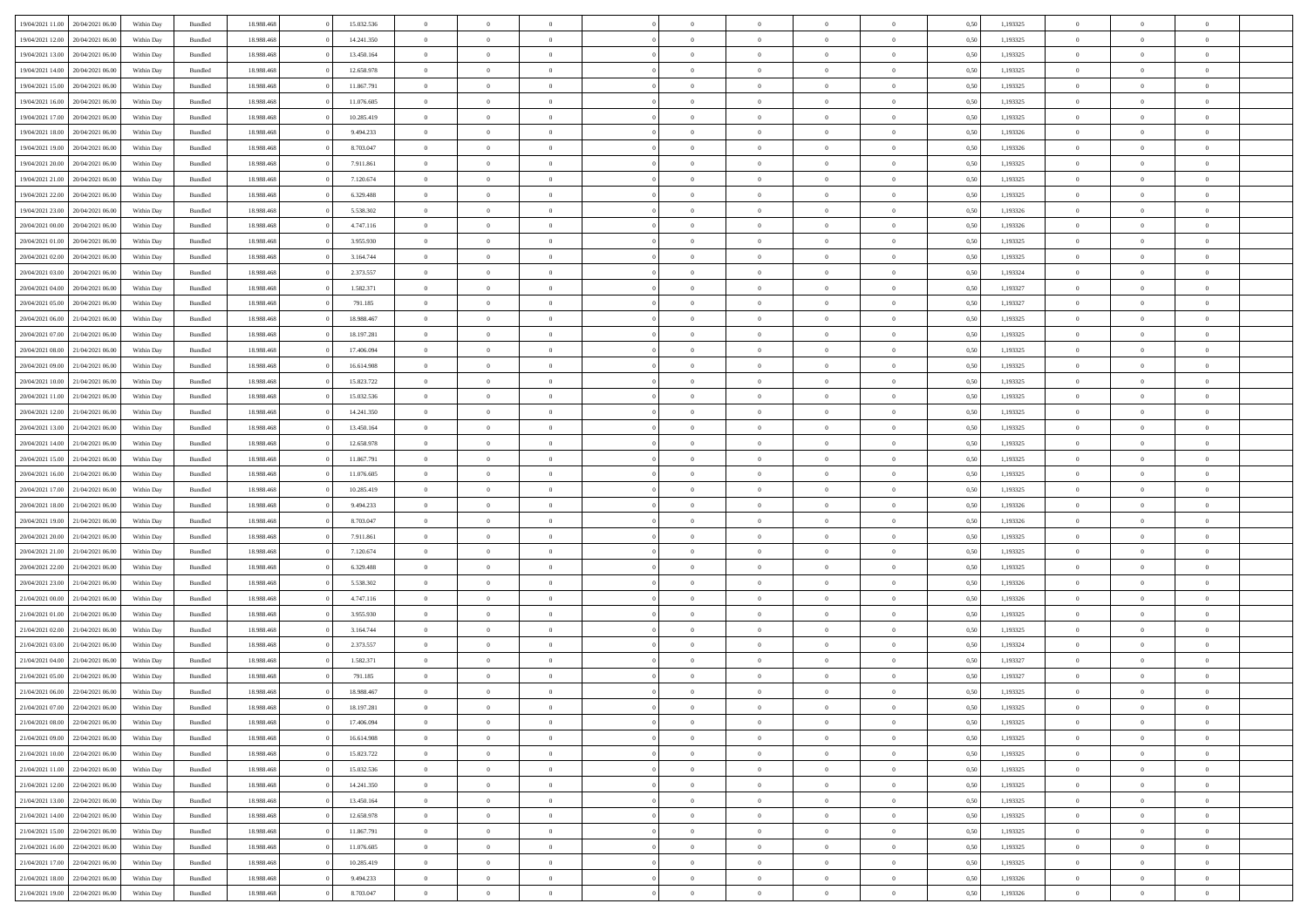|                                   |                  |            |                    |            | 15.032.536 | $\overline{0}$ | $\Omega$       |                |                | $\Omega$       | $\Omega$       | $\theta$       |      |          | $\theta$       | $\overline{0}$ | $\theta$       |  |
|-----------------------------------|------------------|------------|--------------------|------------|------------|----------------|----------------|----------------|----------------|----------------|----------------|----------------|------|----------|----------------|----------------|----------------|--|
| 19/04/2021 11:00                  | 20/04/2021 06:00 | Within Day | Bundled            | 18.988.468 |            |                |                |                | $\Omega$       |                |                |                | 0.50 | 1,193325 |                |                |                |  |
| 19/04/2021 12:00                  | 20/04/2021 06:00 | Within Day | Bundled            | 18.988.468 | 14.241.350 | $\overline{0}$ | $\theta$       | $\overline{0}$ | $\overline{0}$ | $\bf{0}$       | $\overline{0}$ | $\overline{0}$ | 0,50 | 1,193325 | $\theta$       | $\overline{0}$ | $\overline{0}$ |  |
| 19/04/2021 13:00                  | 20/04/2021 06:00 | Within Day | Bundled            | 18.988.468 | 13.450.164 | $\overline{0}$ | $\overline{0}$ | $\overline{0}$ | $\overline{0}$ | $\bf{0}$       | $\overline{0}$ | $\bf{0}$       | 0,50 | 1,193325 | $\bf{0}$       | $\overline{0}$ | $\overline{0}$ |  |
| 19/04/2021 14:00                  | 20/04/2021 06:00 | Within Dav | Bundled            | 18.988.468 | 12.658.978 | $\overline{0}$ | $\theta$       | $\overline{0}$ | $\overline{0}$ | $\bf{0}$       | $\overline{0}$ | $\overline{0}$ | 0.50 | 1,193325 | $\theta$       | $\theta$       | $\overline{0}$ |  |
|                                   |                  |            |                    |            |            |                |                |                |                |                |                |                |      |          |                |                |                |  |
| 19/04/2021 15:00                  | 20/04/2021 06:00 | Within Day | Bundled            | 18.988.468 | 11.867.791 | $\overline{0}$ | $\theta$       | $\overline{0}$ | $\overline{0}$ | $\bf{0}$       | $\overline{0}$ | $\bf{0}$       | 0,50 | 1,193325 | $\theta$       | $\theta$       | $\overline{0}$ |  |
| 19/04/2021 16:00                  | 20/04/2021 06:00 | Within Day | Bundled            | 18.988.468 | 11.076.605 | $\overline{0}$ | $\bf{0}$       | $\overline{0}$ | $\bf{0}$       | $\overline{0}$ | $\overline{0}$ | $\mathbf{0}$   | 0,50 | 1,193325 | $\overline{0}$ | $\overline{0}$ | $\bf{0}$       |  |
| 19/04/2021 17:00                  | 20/04/2021 06:00 | Within Dav | Bundled            | 18.988.468 | 10.285.419 | $\overline{0}$ | $\overline{0}$ | $\overline{0}$ | $\overline{0}$ | $\bf{0}$       | $\overline{0}$ | $\overline{0}$ | 0.50 | 1,193325 | $\theta$       | $\overline{0}$ | $\overline{0}$ |  |
| 19/04/2021 18:00                  | 20/04/2021 06:00 | Within Day | Bundled            | 18.988.468 | 9.494.233  | $\overline{0}$ | $\theta$       | $\overline{0}$ | $\overline{0}$ | $\bf{0}$       | $\overline{0}$ | $\bf{0}$       | 0,50 | 1,193326 | $\theta$       | $\theta$       | $\overline{0}$ |  |
| 19/04/2021 19:00                  | 20/04/2021 06:00 | Within Day | Bundled            | 18.988.468 | 8.703.047  | $\overline{0}$ | $\overline{0}$ | $\overline{0}$ | $\bf{0}$       | $\bf{0}$       | $\bf{0}$       | $\bf{0}$       | 0,50 | 1,193326 | $\,0\,$        | $\overline{0}$ | $\overline{0}$ |  |
|                                   |                  |            |                    |            |            |                | $\overline{0}$ |                |                | $\overline{0}$ |                |                |      |          | $\theta$       | $\overline{0}$ | $\overline{0}$ |  |
| 19/04/2021 20:00                  | 20/04/2021 06:00 | Within Dav | Bundled            | 18.988.468 | 7.911.861  | $\overline{0}$ |                | $\overline{0}$ | $\overline{0}$ |                | $\overline{0}$ | $\overline{0}$ | 0.50 | 1,193325 |                |                |                |  |
| 19/04/2021 21:00                  | 20/04/2021 06:00 | Within Day | Bundled            | 18.988.468 | 7.120.674  | $\overline{0}$ | $\theta$       | $\overline{0}$ | $\overline{0}$ | $\bf{0}$       | $\overline{0}$ | $\bf{0}$       | 0,50 | 1,193325 | $\theta$       | $\theta$       | $\overline{0}$ |  |
| 19/04/2021 22.00                  | 20/04/2021 06:00 | Within Day | Bundled            | 18.988.468 | 6.329.488  | $\overline{0}$ | $\overline{0}$ | $\overline{0}$ | $\bf{0}$       | $\bf{0}$       | $\bf{0}$       | $\bf{0}$       | 0,50 | 1,193325 | $\bf{0}$       | $\overline{0}$ | $\overline{0}$ |  |
| 19/04/2021 23:00                  | 20/04/2021 06:00 | Within Day | Bundled            | 18.988.468 | 5.538.302  | $\overline{0}$ | $\theta$       | $\overline{0}$ | $\overline{0}$ | $\bf{0}$       | $\overline{0}$ | $\overline{0}$ | 0.50 | 1,193326 | $\theta$       | $\theta$       | $\overline{0}$ |  |
| 20/04/2021 00:00                  | 20/04/2021 06:00 | Within Day | Bundled            | 18.988.468 | 4.747.116  | $\overline{0}$ | $\theta$       | $\overline{0}$ | $\overline{0}$ | $\bf{0}$       | $\overline{0}$ | $\overline{0}$ | 0,50 | 1,193326 | $\theta$       | $\theta$       | $\overline{0}$ |  |
|                                   |                  |            |                    |            |            |                |                |                |                |                |                |                |      |          |                |                |                |  |
| 20/04/2021 01:00                  | 20/04/2021 06:00 | Within Day | Bundled            | 18.988.468 | 3.955.930  | $\overline{0}$ | $\overline{0}$ | $\overline{0}$ | $\bf{0}$       | $\overline{0}$ | $\bf{0}$       | $\mathbf{0}$   | 0,50 | 1,193325 | $\overline{0}$ | $\overline{0}$ | $\bf{0}$       |  |
| 20/04/2021 02:00                  | 20/04/2021 06:00 | Within Dav | Bundled            | 18.988.468 | 3.164.744  | $\overline{0}$ | $\overline{0}$ | $\overline{0}$ | $\overline{0}$ | $\bf{0}$       | $\overline{0}$ | $\overline{0}$ | 0.50 | 1,193325 | $\theta$       | $\overline{0}$ | $\overline{0}$ |  |
| 20/04/2021 03:00                  | 20/04/2021 06:00 | Within Day | Bundled            | 18.988.468 | 2.373.557  | $\overline{0}$ | $\theta$       | $\overline{0}$ | $\overline{0}$ | $\bf{0}$       | $\overline{0}$ | $\bf{0}$       | 0,50 | 1,193324 | $\theta$       | $\theta$       | $\overline{0}$ |  |
| 20/04/2021 04:00                  | 20/04/2021 06:00 | Within Day | Bundled            | 18.988.468 | 1.582.371  | $\overline{0}$ | $\overline{0}$ | $\overline{0}$ | $\bf{0}$       | $\bf{0}$       | $\bf{0}$       | $\bf{0}$       | 0,50 | 1,193327 | $\,0\,$        | $\overline{0}$ | $\overline{0}$ |  |
| 20/04/2021 05:00                  | 20/04/2021 06:00 | Within Dav | Bundled            | 18.988.468 | 791.185    | $\overline{0}$ | $\overline{0}$ | $\overline{0}$ | $\overline{0}$ | $\overline{0}$ | $\overline{0}$ | $\overline{0}$ | 0.50 | 1,193327 | $\theta$       | $\overline{0}$ | $\overline{0}$ |  |
| 20/04/2021 06:00                  | 21/04/2021 06:00 | Within Day | Bundled            | 18.988.468 | 18.988.467 | $\overline{0}$ | $\theta$       | $\overline{0}$ | $\overline{0}$ | $\bf{0}$       | $\overline{0}$ | $\bf{0}$       | 0,50 | 1,193325 | $\theta$       | $\theta$       | $\overline{0}$ |  |
|                                   |                  |            |                    |            |            |                |                |                |                |                |                |                |      |          |                |                |                |  |
| 20/04/2021 07:00                  | 21/04/2021 06:00 | Within Day | Bundled            | 18.988.468 | 18.197.281 | $\overline{0}$ | $\overline{0}$ | $\overline{0}$ | $\bf{0}$       | $\bf{0}$       | $\bf{0}$       | $\bf{0}$       | 0,50 | 1,193325 | $\,0\,$        | $\overline{0}$ | $\overline{0}$ |  |
| 20/04/2021 08:00                  | 21/04/2021 06:00 | Within Day | Bundled            | 18.988.468 | 17.406.094 | $\overline{0}$ | $\overline{0}$ | $\overline{0}$ | $\overline{0}$ | $\bf{0}$       | $\overline{0}$ | $\overline{0}$ | 0.50 | 1,193325 | $\theta$       | $\theta$       | $\overline{0}$ |  |
| 20/04/2021 09:00                  | 21/04/2021 06:00 | Within Day | Bundled            | 18.988.468 | 16.614.908 | $\overline{0}$ | $\theta$       | $\overline{0}$ | $\overline{0}$ | $\bf{0}$       | $\overline{0}$ | $\bf{0}$       | 0,50 | 1,193325 | $\theta$       | $\overline{0}$ | $\overline{0}$ |  |
| 20/04/2021 10:00                  | 21/04/2021 06:00 | Within Day | Bundled            | 18.988.468 | 15.823.722 | $\overline{0}$ | $\overline{0}$ | $\overline{0}$ | $\bf{0}$       | $\overline{0}$ | $\bf{0}$       | $\mathbf{0}$   | 0,50 | 1,193325 | $\overline{0}$ | $\overline{0}$ | $\bf{0}$       |  |
| 20/04/2021 11:00                  | 21/04/2021 06:00 | Within Dav | Bundled            | 18.988.468 | 15.032.536 | $\overline{0}$ | $\overline{0}$ | $\overline{0}$ | $\overline{0}$ | $\overline{0}$ | $\overline{0}$ | $\overline{0}$ | 0.50 | 1,193325 | $\theta$       | $\overline{0}$ | $\overline{0}$ |  |
| 20/04/2021 12:00                  | 21/04/2021 06:00 | Within Day | Bundled            | 18.988.468 | 14.241.350 | $\overline{0}$ | $\theta$       | $\overline{0}$ | $\overline{0}$ | $\bf{0}$       | $\overline{0}$ | $\bf{0}$       | 0,50 | 1,193325 | $\theta$       | $\theta$       | $\overline{0}$ |  |
| 20/04/2021 13:00                  | 21/04/2021 06:00 | Within Day | Bundled            | 18.988.468 | 13.450.164 | $\overline{0}$ | $\overline{0}$ | $\overline{0}$ | $\bf{0}$       | $\bf{0}$       | $\bf{0}$       | $\bf{0}$       | 0,50 | 1,193325 | $\,0\,$        | $\overline{0}$ | $\overline{0}$ |  |
|                                   | 21/04/2021 06:00 |            | Bundled            | 18.988.468 | 12.658.978 | $\overline{0}$ | $\overline{0}$ | $\overline{0}$ | $\overline{0}$ | $\bf{0}$       | $\overline{0}$ | $\overline{0}$ | 0.50 | 1,193325 | $\theta$       | $\overline{0}$ | $\overline{0}$ |  |
| 20/04/2021 14:00                  |                  | Within Day |                    |            |            |                |                |                |                |                |                |                |      |          |                |                |                |  |
| 20/04/2021 15:00                  | 21/04/2021 06:00 | Within Day | Bundled            | 18.988.468 | 11.867.791 | $\overline{0}$ | $\theta$       | $\overline{0}$ | $\overline{0}$ | $\bf{0}$       | $\overline{0}$ | $\bf{0}$       | 0,50 | 1,193325 | $\,$ 0 $\,$    | $\theta$       | $\overline{0}$ |  |
| 20/04/2021 16:00                  | 21/04/2021 06:00 | Within Day | Bundled            | 18.988.468 | 11.076.605 | $\overline{0}$ | $\overline{0}$ | $\overline{0}$ | $\bf{0}$       | $\bf{0}$       | $\bf{0}$       | $\bf{0}$       | 0,50 | 1,193325 | $\bf{0}$       | $\overline{0}$ | $\overline{0}$ |  |
| 20/04/2021 17:00                  | 21/04/2021 06.00 | Within Day | Bundled            | 18.988.468 | 10.285.419 | $\overline{0}$ | $\Omega$       | $\Omega$       | $\Omega$       | $\Omega$       | $\Omega$       | $\overline{0}$ | 0.50 | 1,193325 | $\,0\,$        | $\Omega$       | $\theta$       |  |
| 20/04/2021 18:00                  | 21/04/2021 06:00 | Within Day | Bundled            | 18.988.468 | 9.494.233  | $\overline{0}$ | $\theta$       | $\overline{0}$ | $\overline{0}$ | $\bf{0}$       | $\overline{0}$ | $\bf{0}$       | 0,50 | 1,193326 | $\theta$       | $\theta$       | $\overline{0}$ |  |
| 20/04/2021 19:00                  | 21/04/2021 06:00 | Within Day | Bundled            | 18.988.468 | 8.703.047  | $\overline{0}$ | $\bf{0}$       | $\overline{0}$ | $\overline{0}$ | $\bf{0}$       | $\overline{0}$ | $\mathbf{0}$   | 0,50 | 1,193326 | $\overline{0}$ | $\overline{0}$ | $\bf{0}$       |  |
| 20/04/2021 20:00                  | 21/04/2021 06:00 |            | Bundled            | 18.988.468 | 7.911.861  | $\overline{0}$ | $\Omega$       | $\Omega$       | $\Omega$       | $\Omega$       | $\Omega$       | $\overline{0}$ | 0.50 | 1,193325 | $\theta$       | $\theta$       | $\theta$       |  |
|                                   |                  | Within Day |                    |            |            |                |                |                |                |                |                |                |      |          |                |                |                |  |
| 20/04/2021 21:00                  | 21/04/2021 06:00 | Within Day | Bundled            | 18.988.468 | 7.120.674  | $\overline{0}$ | $\theta$       | $\overline{0}$ | $\overline{0}$ | $\bf{0}$       | $\overline{0}$ | $\bf{0}$       | 0,50 | 1,193325 | $\theta$       | $\theta$       | $\overline{0}$ |  |
| 20/04/2021 22:00                  | 21/04/2021 06.00 | Within Day | Bundled            | 18.988.468 | 6.329.488  | $\overline{0}$ | $\overline{0}$ | $\overline{0}$ | $\overline{0}$ | $\bf{0}$       | $\overline{0}$ | $\bf{0}$       | 0,50 | 1,193325 | $\,0\,$        | $\overline{0}$ | $\overline{0}$ |  |
| 20/04/2021 23:00                  | 21/04/2021 06:00 | Within Day | Bundled            | 18.988.468 | 5.538.302  | $\overline{0}$ | $\Omega$       | $\Omega$       | $\Omega$       | $\Omega$       | $\theta$       | $\overline{0}$ | 0.50 | 1,193326 | $\theta$       | $\theta$       | $\theta$       |  |
| 21/04/2021 00:00                  | 21/04/2021 06:00 | Within Day | Bundled            | 18.988.468 | 4.747.116  | $\overline{0}$ | $\theta$       | $\overline{0}$ | $\overline{0}$ | $\bf{0}$       | $\overline{0}$ | $\bf{0}$       | 0,50 | 1,193326 | $\theta$       | $\theta$       | $\overline{0}$ |  |
| 21/04/2021 01:00                  | 21/04/2021 06:00 | Within Day | Bundled            | 18.988.468 | 3.955.930  | $\overline{0}$ | $\overline{0}$ | $\overline{0}$ | $\overline{0}$ | $\bf{0}$       | $\overline{0}$ | $\bf{0}$       | 0,50 | 1,193325 | $\bf{0}$       | $\overline{0}$ | $\overline{0}$ |  |
| 21/04/2021 02:00                  | 21/04/2021 06.00 | Within Day | Bundled            | 18.988.468 | 3.164.744  | $\overline{0}$ | $\Omega$       | $\Omega$       | $\Omega$       | $\Omega$       | $\overline{0}$ | $\overline{0}$ | 0.50 | 1,193325 | $\,0\,$        | $\theta$       | $\theta$       |  |
|                                   |                  |            |                    |            |            | $\overline{0}$ | $\theta$       | $\overline{0}$ | $\overline{0}$ | $\bf{0}$       | $\overline{0}$ |                |      |          | $\theta$       | $\theta$       | $\overline{0}$ |  |
| 21/04/2021 03:00                  | 21/04/2021 06:00 | Within Day | Bundled            | 18.988.468 | 2.373.557  |                |                |                |                |                |                | $\bf{0}$       | 0,50 | 1,193324 |                |                |                |  |
| 21/04/2021 04:00                  | 21/04/2021 06.00 | Within Day | Bundled            | 18.988.468 | 1.582.371  | $\overline{0}$ | $\overline{0}$ | $\overline{0}$ | $\overline{0}$ | $\bf{0}$       | $\overline{0}$ | $\mathbf{0}$   | 0,50 | 1,193327 | $\overline{0}$ | $\overline{0}$ | $\bf{0}$       |  |
| 21/04/2021 05:00                  | 21/04/2021 06:00 | Within Day | Bundled            | 18.988.468 | 791.185    | $\overline{0}$ | $\Omega$       | $\Omega$       | $\Omega$       | $\Omega$       | $\Omega$       | $\overline{0}$ | 0.50 | 1,193327 | $\theta$       | $\Omega$       | $\theta$       |  |
| 21/04/2021 06:00                  | 22/04/2021 06:00 | Within Day | Bundled            | 18.988.468 | 18.988.467 | $\overline{0}$ | $\,$ 0 $\,$    | $\overline{0}$ | $\bf{0}$       | $\,$ 0         | $\overline{0}$ | $\bf{0}$       | 0,50 | 1,193325 | $\,0\,$        | $\overline{0}$ | $\overline{0}$ |  |
| 21/04/2021 07:00                  | 22/04/2021 06:00 | Within Day | $\mathbf B$ undled | 18.988.468 | 18.197.281 | $\bf{0}$       | $\bf{0}$       |                |                |                |                |                | 0,50 | 1,193325 | $\bf{0}$       | $\overline{0}$ |                |  |
| 21/04/2021 08:00                  | 22/04/2021 06:00 | Within Day | Bundled            | 18,988,468 | 17.406.094 | $\overline{0}$ | $\overline{0}$ | $\overline{0}$ | $\Omega$       | $\theta$       | $\overline{0}$ | $\overline{0}$ | 0,50 | 1,193325 | $\theta$       | $\theta$       | $\theta$       |  |
| 21/04/2021 09:00                  | 22/04/2021 06:00 | Within Day | Bundled            | 18.988.468 | 16.614.908 | $\overline{0}$ | $\,$ 0         | $\overline{0}$ | $\overline{0}$ | $\,$ 0 $\,$    | $\overline{0}$ | $\mathbf{0}$   | 0,50 | 1,193325 | $\,$ 0 $\,$    | $\overline{0}$ | $\,$ 0         |  |
|                                   |                  |            |                    |            |            |                |                |                |                |                |                |                |      |          |                |                |                |  |
| 21/04/2021 10:00                  | 22/04/2021 06:00 | Within Day | Bundled            | 18.988.468 | 15.823.722 | $\overline{0}$ | $\overline{0}$ | $\overline{0}$ | $\overline{0}$ | $\overline{0}$ | $\overline{0}$ | $\mathbf{0}$   | 0,50 | 1,193325 | $\overline{0}$ | $\bf{0}$       | $\bf{0}$       |  |
| 21/04/2021 11:00                  | 22/04/2021 06:00 | Within Day | Bundled            | 18.988.468 | 15.032.536 | $\overline{0}$ | $\theta$       | $\overline{0}$ | $\Omega$       | $\overline{0}$ | $\overline{0}$ | $\bf{0}$       | 0,50 | 1,193325 | $\overline{0}$ | $\theta$       | $\overline{0}$ |  |
| 21/04/2021 12:00                  | 22/04/2021 06:00 | Within Day | Bundled            | 18.988.468 | 14.241.350 | $\overline{0}$ | $\,$ 0         | $\overline{0}$ | $\overline{0}$ | $\overline{0}$ | $\overline{0}$ | $\bf{0}$       | 0,50 | 1,193325 | $\,$ 0 $\,$    | $\overline{0}$ | $\overline{0}$ |  |
| 21/04/2021 13:00                  | 22/04/2021 06:00 | Within Day | Bundled            | 18.988.468 | 13.450.164 | $\overline{0}$ | $\overline{0}$ | $\overline{0}$ | $\overline{0}$ | $\overline{0}$ | $\overline{0}$ | $\mathbf{0}$   | 0,50 | 1,193325 | $\overline{0}$ | $\overline{0}$ | $\bf{0}$       |  |
| 21/04/2021 14:00                  | 22/04/2021 06:00 | Within Day | Bundled            | 18.988.468 | 12.658.978 | $\overline{0}$ | $\overline{0}$ | $\overline{0}$ | $\Omega$       | $\overline{0}$ | $\overline{0}$ | $\bf{0}$       | 0.50 | 1,193325 | $\overline{0}$ | $\theta$       | $\overline{0}$ |  |
| 21/04/2021 15:00                  | 22/04/2021 06:00 | Within Day | Bundled            | 18.988.468 | 11.867.791 | $\overline{0}$ | $\,$ 0         | $\overline{0}$ | $\bf{0}$       | $\bf{0}$       | $\bf{0}$       | $\bf{0}$       | 0,50 | 1,193325 | $\,$ 0 $\,$    | $\overline{0}$ | $\overline{0}$ |  |
| 21/04/2021 16:00                  | 22/04/2021 06:00 | Within Day | Bundled            | 18.988.468 | 11.076.605 | $\overline{0}$ | $\bf{0}$       | $\overline{0}$ | $\overline{0}$ | $\overline{0}$ | $\bf{0}$       | $\mathbf{0}$   | 0,50 | 1,193325 | $\bf{0}$       | $\overline{0}$ | $\bf{0}$       |  |
|                                   |                  |            |                    |            |            |                |                |                |                |                |                |                |      |          |                |                |                |  |
| 21/04/2021 17:00                  | 22/04/2021 06:00 | Within Day | Bundled            | 18,988,468 | 10.285.419 | $\overline{0}$ | $\overline{0}$ | $\overline{0}$ | $\Omega$       | $\overline{0}$ | $\overline{0}$ | $\bf{0}$       | 0.50 | 1,193325 | $\overline{0}$ | $\theta$       | $\overline{0}$ |  |
| 21/04/2021 18:00                  | 22/04/2021 06:00 | Within Day | Bundled            | 18.988.468 | 9.494.233  | $\overline{0}$ | $\,$ 0         | $\overline{0}$ | $\overline{0}$ | $\bf{0}$       | $\bf{0}$       | $\bf{0}$       | 0,50 | 1,193326 | $\,$ 0 $\,$    | $\,$ 0 $\,$    | $\overline{0}$ |  |
| 21/04/2021 19:00 22/04/2021 06:00 |                  | Within Day | Bundled            | 18.988.468 | 8.703.047  | $\overline{0}$ | $\overline{0}$ | $\overline{0}$ | $\overline{0}$ | $\bf{0}$       | $\bf{0}$       | $\mathbf{0}$   | 0,50 | 1,193326 | $\overline{0}$ | $\bf{0}$       | $\bf{0}$       |  |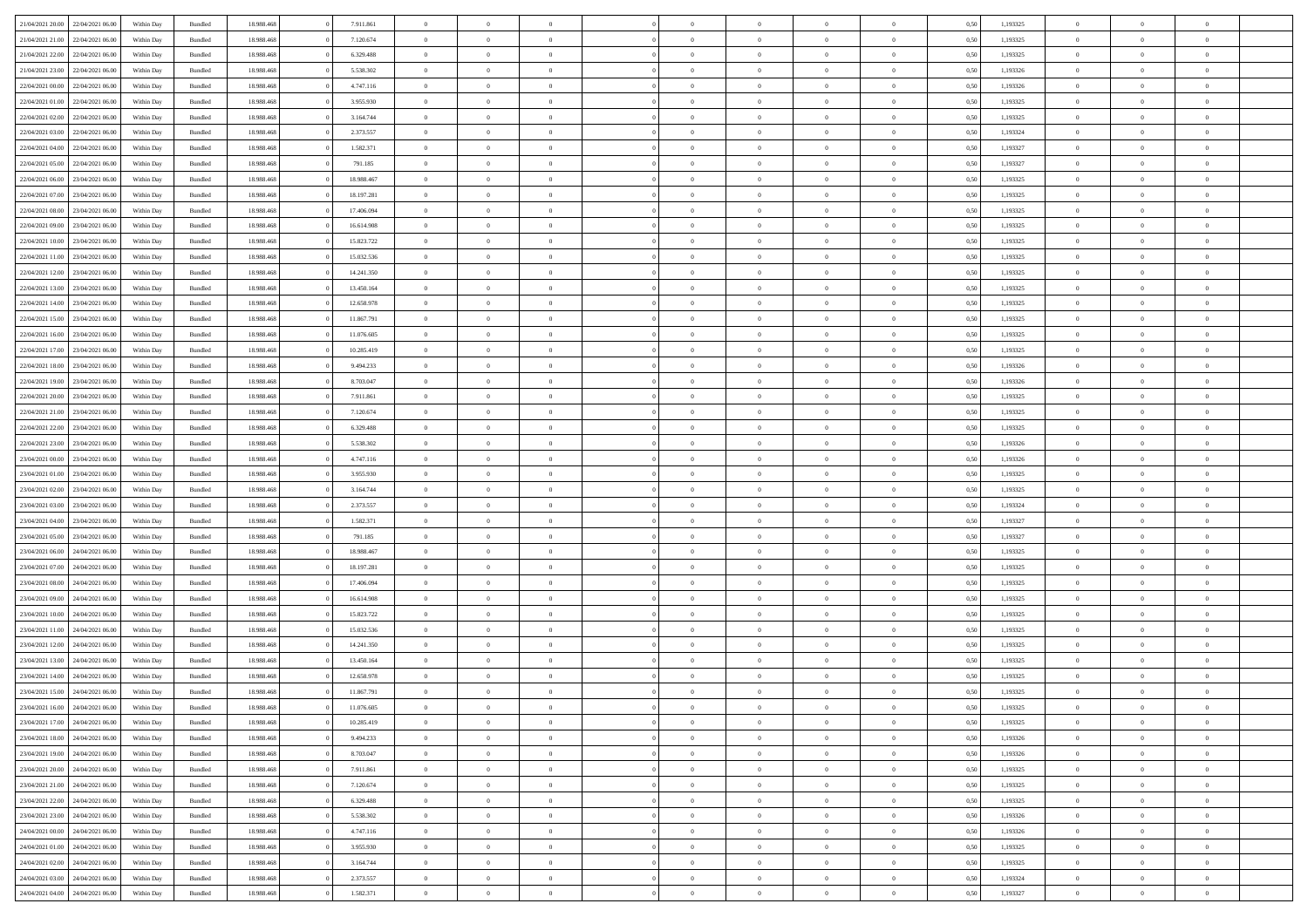| 21/04/2021 20:00                  | 22/04/2021 06:00 | Within Day | Bundled            | 18.988.468 | 7.911.861  | $\overline{0}$ | $\theta$       |                | $\Omega$       | $\Omega$       | $\Omega$       | $\theta$       | 0.50 | 1,193325 | $\theta$       | $\overline{0}$ | $\theta$       |  |
|-----------------------------------|------------------|------------|--------------------|------------|------------|----------------|----------------|----------------|----------------|----------------|----------------|----------------|------|----------|----------------|----------------|----------------|--|
| 21/04/2021 21:00                  | 22/04/2021 06.00 | Within Day | Bundled            | 18.988.468 | 7.120.674  | $\overline{0}$ | $\theta$       | $\overline{0}$ | $\overline{0}$ | $\bf{0}$       | $\overline{0}$ | $\overline{0}$ | 0,50 | 1,193325 | $\theta$       | $\overline{0}$ | $\overline{0}$ |  |
| 21/04/2021 22:00                  | 22/04/2021 06:00 | Within Day | Bundled            | 18.988.468 | 6.329.488  | $\overline{0}$ | $\overline{0}$ | $\overline{0}$ | $\bf{0}$       | $\bf{0}$       | $\bf{0}$       | $\bf{0}$       | 0,50 | 1,193325 | $\bf{0}$       | $\overline{0}$ | $\overline{0}$ |  |
|                                   |                  |            |                    |            |            |                |                |                |                |                |                |                |      |          | $\theta$       |                |                |  |
| 21/04/2021 23:00                  | 22/04/2021 06:00 | Within Dav | Bundled            | 18.988.468 | 5.538.302  | $\overline{0}$ | $\theta$       | $\overline{0}$ | $\overline{0}$ | $\bf{0}$       | $\overline{0}$ | $\overline{0}$ | 0.50 | 1,193326 |                | $\theta$       | $\overline{0}$ |  |
| 22/04/2021 00:00                  | 22/04/2021 06.00 | Within Day | Bundled            | 18.988.468 | 4.747.116  | $\overline{0}$ | $\theta$       | $\overline{0}$ | $\overline{0}$ | $\bf{0}$       | $\overline{0}$ | $\bf{0}$       | 0,50 | 1,193326 | $\theta$       | $\theta$       | $\overline{0}$ |  |
| 22/04/2021 01:00                  | 22/04/2021 06:00 | Within Day | Bundled            | 18.988.468 | 3.955.930  | $\overline{0}$ | $\bf{0}$       | $\overline{0}$ | $\bf{0}$       | $\overline{0}$ | $\overline{0}$ | $\mathbf{0}$   | 0,50 | 1,193325 | $\overline{0}$ | $\overline{0}$ | $\bf{0}$       |  |
| 22/04/2021 02:00                  | 22/04/2021 06:00 | Within Dav | Bundled            | 18.988.468 | 3.164.744  | $\overline{0}$ | $\overline{0}$ | $\overline{0}$ | $\overline{0}$ | $\bf{0}$       | $\overline{0}$ | $\overline{0}$ | 0.50 | 1,193325 | $\theta$       | $\overline{0}$ | $\overline{0}$ |  |
|                                   |                  |            |                    |            |            |                |                |                |                |                |                |                |      |          |                |                |                |  |
| 22/04/2021 03:00                  | 22/04/2021 06:00 | Within Day | Bundled            | 18.988.468 | 2.373.557  | $\overline{0}$ | $\theta$       | $\overline{0}$ | $\overline{0}$ | $\bf{0}$       | $\overline{0}$ | $\bf{0}$       | 0,50 | 1,193324 | $\theta$       | $\theta$       | $\overline{0}$ |  |
| 22/04/2021 04:00                  | 22/04/2021 06:00 | Within Day | Bundled            | 18.988.468 | 1.582.371  | $\overline{0}$ | $\overline{0}$ | $\overline{0}$ | $\bf{0}$       | $\bf{0}$       | $\bf{0}$       | $\bf{0}$       | 0,50 | 1,193327 | $\,0\,$        | $\overline{0}$ | $\overline{0}$ |  |
| 22/04/2021 05:00                  | 22/04/2021 06:00 | Within Dav | Bundled            | 18.988.468 | 791.185    | $\overline{0}$ | $\overline{0}$ | $\overline{0}$ | $\overline{0}$ | $\overline{0}$ | $\overline{0}$ | $\overline{0}$ | 0.50 | 1,193327 | $\theta$       | $\overline{0}$ | $\overline{0}$ |  |
| 22/04/2021 06:00                  | 23/04/2021 06:00 |            | Bundled            | 18.988.468 | 18.988.467 | $\overline{0}$ | $\theta$       | $\overline{0}$ | $\overline{0}$ | $\bf{0}$       | $\overline{0}$ |                |      | 1,193325 | $\theta$       | $\theta$       | $\overline{0}$ |  |
|                                   |                  | Within Day |                    |            |            |                |                |                |                |                |                | $\bf{0}$       | 0,50 |          |                |                |                |  |
| 22/04/2021 07:00                  | 23/04/2021 06:00 | Within Day | Bundled            | 18.988.468 | 18.197.281 | $\overline{0}$ | $\overline{0}$ | $\overline{0}$ | $\bf{0}$       | $\bf{0}$       | $\bf{0}$       | $\bf{0}$       | 0,50 | 1,193325 | $\bf{0}$       | $\overline{0}$ | $\overline{0}$ |  |
| 22/04/2021 08:00                  | 23/04/2021 06:00 | Within Day | Bundled            | 18.988.468 | 17.406.094 | $\overline{0}$ | $\theta$       | $\overline{0}$ | $\overline{0}$ | $\bf{0}$       | $\overline{0}$ | $\overline{0}$ | 0.50 | 1,193325 | $\theta$       | $\theta$       | $\overline{0}$ |  |
| 22/04/2021 09:00                  | 23/04/2021 06:00 | Within Day | Bundled            | 18.988.468 | 16.614.908 | $\overline{0}$ | $\theta$       | $\overline{0}$ | $\overline{0}$ | $\bf{0}$       | $\overline{0}$ | $\overline{0}$ | 0,50 | 1,193325 | $\theta$       | $\theta$       | $\overline{0}$ |  |
|                                   |                  |            |                    |            |            |                |                |                |                |                |                |                |      |          |                |                |                |  |
| 22/04/2021 10:00                  | 23/04/2021 06:00 | Within Day | Bundled            | 18.988.468 | 15.823.722 | $\overline{0}$ | $\overline{0}$ | $\overline{0}$ | $\bf{0}$       | $\overline{0}$ | $\overline{0}$ | $\mathbf{0}$   | 0,50 | 1,193325 | $\overline{0}$ | $\overline{0}$ | $\bf{0}$       |  |
| 22/04/2021 11:00                  | 23/04/2021 06:00 | Within Dav | Bundled            | 18.988.468 | 15.032.536 | $\overline{0}$ | $\overline{0}$ | $\overline{0}$ | $\overline{0}$ | $\bf{0}$       | $\overline{0}$ | $\overline{0}$ | 0.50 | 1,193325 | $\theta$       | $\overline{0}$ | $\overline{0}$ |  |
| 22/04/2021 12:00                  | 23/04/2021 06:00 | Within Day | Bundled            | 18.988.468 | 14.241.350 | $\overline{0}$ | $\theta$       | $\overline{0}$ | $\overline{0}$ | $\bf{0}$       | $\overline{0}$ | $\bf{0}$       | 0,50 | 1,193325 | $\theta$       | $\theta$       | $\overline{0}$ |  |
| 22/04/2021 13:00                  | 23/04/2021 06:00 | Within Day | Bundled            | 18.988.468 | 13.450.164 | $\overline{0}$ | $\overline{0}$ | $\overline{0}$ | $\overline{0}$ | $\bf{0}$       | $\overline{0}$ | $\bf{0}$       | 0,50 | 1,193325 | $\,0\,$        | $\overline{0}$ | $\overline{0}$ |  |
|                                   |                  |            |                    |            |            |                |                |                |                |                |                |                |      |          |                |                |                |  |
| 22/04/2021 14:00                  | 23/04/2021 06:00 | Within Dav | Bundled            | 18.988.468 | 12.658.978 | $\overline{0}$ | $\overline{0}$ | $\overline{0}$ | $\overline{0}$ | $\overline{0}$ | $\overline{0}$ | $\overline{0}$ | 0.50 | 1,193325 | $\theta$       | $\overline{0}$ | $\overline{0}$ |  |
| 22/04/2021 15:00                  | 23/04/2021 06:00 | Within Day | Bundled            | 18.988.468 | 11.867.791 | $\overline{0}$ | $\theta$       | $\overline{0}$ | $\overline{0}$ | $\bf{0}$       | $\overline{0}$ | $\bf{0}$       | 0,50 | 1,193325 | $\theta$       | $\theta$       | $\overline{0}$ |  |
| 22/04/2021 16:00                  | 23/04/2021 06:00 | Within Day | Bundled            | 18.988.468 | 11.076.605 | $\overline{0}$ | $\overline{0}$ | $\overline{0}$ | $\overline{0}$ | $\bf{0}$       | $\overline{0}$ | $\bf{0}$       | 0,50 | 1,193325 | $\,0\,$        | $\overline{0}$ | $\overline{0}$ |  |
| 22/04/2021 17:00                  | 23/04/2021 06:00 | Within Day | Bundled            | 18.988.468 | 10.285.419 | $\overline{0}$ | $\overline{0}$ | $\overline{0}$ | $\overline{0}$ | $\bf{0}$       | $\overline{0}$ | $\overline{0}$ | 0.50 | 1,193325 | $\theta$       | $\theta$       | $\overline{0}$ |  |
|                                   |                  |            |                    |            |            |                |                |                |                |                |                |                |      |          |                |                |                |  |
| 22/04/2021 18:00                  | 23/04/2021 06:00 | Within Day | Bundled            | 18.988.468 | 9.494.233  | $\overline{0}$ | $\theta$       | $\overline{0}$ | $\overline{0}$ | $\bf{0}$       | $\overline{0}$ | $\bf{0}$       | 0,50 | 1,193326 | $\theta$       | $\overline{0}$ | $\overline{0}$ |  |
| 22/04/2021 19:00                  | 23/04/2021 06:00 | Within Day | Bundled            | 18.988.468 | 8.703.047  | $\overline{0}$ | $\overline{0}$ | $\overline{0}$ | $\overline{0}$ | $\overline{0}$ | $\overline{0}$ | $\mathbf{0}$   | 0,50 | 1,193326 | $\overline{0}$ | $\overline{0}$ | $\bf{0}$       |  |
| 22/04/2021 20:00                  | 23/04/2021 06:00 | Within Dav | Bundled            | 18.988.468 | 7.911.861  | $\overline{0}$ | $\overline{0}$ | $\overline{0}$ | $\overline{0}$ | $\overline{0}$ | $\overline{0}$ | $\overline{0}$ | 0.50 | 1,193325 | $\theta$       | $\overline{0}$ | $\overline{0}$ |  |
| 22/04/2021 21:00                  | 23/04/2021 06:00 | Within Day | Bundled            | 18.988.468 | 7.120.674  | $\overline{0}$ | $\theta$       | $\overline{0}$ | $\overline{0}$ | $\bf{0}$       | $\overline{0}$ | $\bf{0}$       | 0,50 | 1,193325 | $\theta$       | $\theta$       | $\overline{0}$ |  |
|                                   |                  |            |                    |            |            |                |                |                |                |                |                |                |      |          |                |                |                |  |
| 22/04/2021 22:00                  | 23/04/2021 06:00 | Within Day | Bundled            | 18.988.468 | 6.329.488  | $\overline{0}$ | $\overline{0}$ | $\overline{0}$ | $\overline{0}$ | $\bf{0}$       | $\overline{0}$ | $\bf{0}$       | 0,50 | 1,193325 | $\,0\,$        | $\overline{0}$ | $\overline{0}$ |  |
| 22/04/2021 23:00                  | 23/04/2021 06:00 | Within Day | Bundled            | 18.988.468 | 5.538.302  | $\overline{0}$ | $\overline{0}$ | $\overline{0}$ | $\overline{0}$ | $\bf{0}$       | $\overline{0}$ | $\overline{0}$ | 0.50 | 1,193326 | $\theta$       | $\overline{0}$ | $\overline{0}$ |  |
| 23/04/2021 00:00                  | 23/04/2021 06:00 | Within Day | Bundled            | 18.988.468 | 4.747.116  | $\overline{0}$ | $\theta$       | $\overline{0}$ | $\overline{0}$ | $\bf{0}$       | $\overline{0}$ | $\bf{0}$       | 0,50 | 1,193326 | $\,$ 0 $\,$    | $\theta$       | $\overline{0}$ |  |
| 23/04/2021 01:00                  | 23/04/2021 06:00 | Within Day | Bundled            | 18.988.468 | 3.955.930  | $\overline{0}$ | $\overline{0}$ | $\overline{0}$ | $\overline{0}$ | $\bf{0}$       | $\overline{0}$ | $\bf{0}$       | 0,50 | 1,193325 | $\overline{0}$ | $\overline{0}$ | $\overline{0}$ |  |
|                                   |                  |            |                    |            |            |                |                |                |                |                |                |                |      |          |                |                |                |  |
| 23/04/2021 02:00                  | 23/04/2021 06:00 | Within Day | Bundled            | 18.988.468 | 3.164.744  | $\overline{0}$ | $\Omega$       | $\Omega$       | $\Omega$       | $\Omega$       | $\Omega$       | $\overline{0}$ | 0.50 | 1,193325 | $\,0\,$        | $\Omega$       | $\theta$       |  |
| 23/04/2021 03:00                  | 23/04/2021 06:00 | Within Day | Bundled            | 18.988.468 | 2.373.557  | $\overline{0}$ | $\theta$       | $\overline{0}$ | $\overline{0}$ | $\bf{0}$       | $\overline{0}$ | $\bf{0}$       | 0,50 | 1,193324 | $\theta$       | $\theta$       | $\overline{0}$ |  |
| 23/04/2021 04:00                  | 23/04/2021 06:00 | Within Day | Bundled            | 18.988.468 | 1.582.371  | $\overline{0}$ | $\bf{0}$       | $\overline{0}$ | $\overline{0}$ | $\bf{0}$       | $\overline{0}$ | $\mathbf{0}$   | 0,50 | 1,193327 | $\bf{0}$       | $\overline{0}$ | $\bf{0}$       |  |
| 23/04/2021 05:00                  | 23/04/2021 06:00 | Within Day | Bundled            | 18.988.468 | 791.185    | $\overline{0}$ | $\Omega$       | $\Omega$       | $\Omega$       | $\Omega$       | $\Omega$       | $\overline{0}$ | 0.50 | 1,193327 | $\theta$       | $\theta$       | $\theta$       |  |
|                                   |                  |            |                    |            |            |                |                |                |                |                |                |                |      |          |                |                |                |  |
| 23/04/2021 06:00                  | 24/04/2021 06.00 | Within Day | Bundled            | 18.988.468 | 18.988.467 | $\overline{0}$ | $\theta$       | $\overline{0}$ | $\overline{0}$ | $\bf{0}$       | $\overline{0}$ | $\bf{0}$       | 0,50 | 1,193325 | $\theta$       | $\theta$       | $\overline{0}$ |  |
| 23/04/2021 07:00                  | 24/04/2021 06.00 | Within Day | Bundled            | 18.988.468 | 18.197.281 | $\overline{0}$ | $\overline{0}$ | $\overline{0}$ | $\bf{0}$       | $\bf{0}$       | $\bf{0}$       | $\bf{0}$       | 0,50 | 1,193325 | $\,0\,$        | $\overline{0}$ | $\overline{0}$ |  |
| 23/04/2021 08:00                  | 24/04/2021 06:00 | Within Day | Bundled            | 18.988.468 | 17,406,094 | $\overline{0}$ | $\Omega$       | $\Omega$       | $\Omega$       | $\Omega$       | $\theta$       | $\overline{0}$ | 0.50 | 1,193325 | $\theta$       | $\theta$       | $\theta$       |  |
| 23/04/2021 09:00                  | 24/04/2021 06.00 | Within Day | Bundled            | 18.988.468 | 16.614.908 | $\overline{0}$ | $\theta$       | $\overline{0}$ | $\overline{0}$ | $\bf{0}$       | $\overline{0}$ | $\bf{0}$       | 0,50 | 1,193325 | $\theta$       | $\theta$       | $\overline{0}$ |  |
|                                   |                  |            |                    |            |            |                |                |                |                |                |                |                |      |          |                |                |                |  |
| 23/04/2021 10:00                  | 24/04/2021 06.00 | Within Day | Bundled            | 18.988.468 | 15.823.722 | $\overline{0}$ | $\overline{0}$ | $\overline{0}$ | $\bf{0}$       | $\bf{0}$       | $\bf{0}$       | $\bf{0}$       | 0,50 | 1,193325 | $\,0\,$        | $\overline{0}$ | $\overline{0}$ |  |
| 23/04/2021 11:00                  | 24/04/2021 06.00 | Within Day | Bundled            | 18.988.468 | 15.032.536 | $\overline{0}$ | $\Omega$       | $\Omega$       | $\Omega$       | $\Omega$       | $\overline{0}$ | $\overline{0}$ | 0.50 | 1,193325 | $\,0\,$        | $\theta$       | $\theta$       |  |
| 23/04/2021 12:00                  | 24/04/2021 06.00 | Within Day | Bundled            | 18.988.468 | 14.241.350 | $\overline{0}$ | $\theta$       | $\overline{0}$ | $\overline{0}$ | $\bf{0}$       | $\overline{0}$ | $\bf{0}$       | 0,50 | 1,193325 | $\,$ 0 $\,$    | $\theta$       | $\overline{0}$ |  |
| 23/04/2021 13:00                  | 24/04/2021 06.00 | Within Day | Bundled            | 18.988.468 | 13.450.164 | $\overline{0}$ | $\overline{0}$ | $\overline{0}$ | $\bf{0}$       | $\bf{0}$       | $\bf{0}$       | $\mathbf{0}$   | 0,50 | 1,193325 | $\overline{0}$ | $\overline{0}$ | $\bf{0}$       |  |
|                                   |                  |            |                    |            |            |                |                |                |                |                |                |                |      |          |                |                |                |  |
| 23/04/2021 14:00                  | 24/04/2021 06:00 | Within Day | Bundled            | 18.988.468 | 12.658.978 | $\overline{0}$ | $\Omega$       | $\Omega$       | $\Omega$       | $\Omega$       | $\Omega$       | $\overline{0}$ | 0.50 | 1,193325 | $\theta$       | $\theta$       | $\theta$       |  |
| 23/04/2021 15:00                  | 24/04/2021 06:00 | Within Day | Bundled            | 18.988.468 | 11.867.791 | $\overline{0}$ | $\,$ 0 $\,$    | $\overline{0}$ | $\bf{0}$       | $\,$ 0         | $\bf{0}$       | $\bf{0}$       | 0,50 | 1,193325 | $\,0\,$        | $\overline{0}$ | $\overline{0}$ |  |
| 23/04/2021 16:00 24/04/2021 06:00 |                  | Within Day | $\mathbf B$ undled | 18.988.468 | 11.076.605 | $\bf{0}$       | $\bf{0}$       |                |                |                |                |                | 0,50 | 1,193325 | $\bf{0}$       | $\overline{0}$ |                |  |
| 23/04/2021 17:00                  | 24/04/2021 06:00 | Within Day | Bundled            | 18,988,468 | 10.285.419 | $\overline{0}$ | $\overline{0}$ | $\overline{0}$ | $\Omega$       | $\theta$       | $\overline{0}$ | $\overline{0}$ | 0,50 | 1,193325 | $\theta$       | $\theta$       | $\theta$       |  |
| 23/04/2021 18:00                  | 24/04/2021 06.00 | Within Day | Bundled            | 18.988.468 | 9.494.233  | $\overline{0}$ | $\,$ 0         | $\overline{0}$ | $\bf{0}$       | $\,$ 0 $\,$    | $\overline{0}$ | $\mathbf{0}$   | 0,50 | 1,193326 | $\,$ 0 $\,$    | $\,$ 0 $\,$    | $\,$ 0         |  |
|                                   |                  |            |                    |            |            |                |                |                |                |                |                |                |      |          |                |                |                |  |
| 23/04/2021 19:00                  | 24/04/2021 06:00 | Within Day | Bundled            | 18.988.468 | 8.703.047  | $\overline{0}$ | $\overline{0}$ | $\overline{0}$ | $\overline{0}$ | $\overline{0}$ | $\overline{0}$ | $\mathbf{0}$   | 0,50 | 1,193326 | $\overline{0}$ | $\bf{0}$       | $\bf{0}$       |  |
| 23/04/2021 20:00                  | 24/04/2021 06.00 | Within Day | Bundled            | 18.988.468 | 7.911.861  | $\overline{0}$ | $\overline{0}$ | $\overline{0}$ | $\Omega$       | $\overline{0}$ | $\overline{0}$ | $\bf{0}$       | 0,50 | 1,193325 | $\overline{0}$ | $\theta$       | $\overline{0}$ |  |
| 23/04/2021 21:00                  | 24/04/2021 06.00 | Within Day | Bundled            | 18.988.468 | 7.120.674  | $\overline{0}$ | $\,$ 0         | $\overline{0}$ | $\overline{0}$ | $\,$ 0 $\,$    | $\overline{0}$ | $\mathbf{0}$   | 0,50 | 1,193325 | $\,$ 0 $\,$    | $\overline{0}$ | $\overline{0}$ |  |
| 23/04/2021 22.00                  | 24/04/2021 06:00 | Within Day | Bundled            | 18.988.468 | 6.329.488  | $\overline{0}$ | $\overline{0}$ | $\overline{0}$ | $\overline{0}$ | $\overline{0}$ | $\overline{0}$ | $\mathbf{0}$   | 0,50 | 1,193325 | $\overline{0}$ | $\overline{0}$ | $\bf{0}$       |  |
|                                   |                  |            |                    |            |            |                |                |                |                |                |                |                |      |          |                |                |                |  |
| 23/04/2021 23:00                  | 24/04/2021 06:00 | Within Day | Bundled            | 18.988.468 | 5.538.302  | $\overline{0}$ | $\overline{0}$ | $\overline{0}$ | $\Omega$       | $\overline{0}$ | $\overline{0}$ | $\bf{0}$       | 0.50 | 1,193326 | $\overline{0}$ | $\theta$       | $\overline{0}$ |  |
| 24/04/2021 00:00                  | 24/04/2021 06.00 | Within Day | Bundled            | 18.988.468 | 4.747.116  | $\overline{0}$ | $\,$ 0         | $\overline{0}$ | $\bf{0}$       | $\bf{0}$       | $\bf{0}$       | $\bf{0}$       | 0,50 | 1,193326 | $\,$ 0 $\,$    | $\overline{0}$ | $\overline{0}$ |  |
| 24/04/2021 01:00                  | 24/04/2021 06:00 | Within Day | Bundled            | 18.988.468 | 3.955.930  | $\overline{0}$ | $\bf{0}$       | $\overline{0}$ | $\overline{0}$ | $\overline{0}$ | $\overline{0}$ | $\mathbf{0}$   | 0,50 | 1,193325 | $\overline{0}$ | $\overline{0}$ | $\bf{0}$       |  |
| 24/04/2021 02:00                  | 24/04/2021 06:00 | Within Day | Bundled            | 18,988,468 | 3.164.744  | $\overline{0}$ | $\overline{0}$ | $\overline{0}$ | $\Omega$       | $\overline{0}$ | $\overline{0}$ | $\bf{0}$       | 0.50 | 1,193325 | $\overline{0}$ | $\overline{0}$ | $\overline{0}$ |  |
|                                   |                  |            |                    |            |            |                |                |                |                |                |                |                |      |          |                |                |                |  |
| 24/04/2021 03:00                  | 24/04/2021 06.00 | Within Day | Bundled            | 18.988.468 | 2.373.557  | $\overline{0}$ | $\bf{0}$       | $\overline{0}$ | $\overline{0}$ | $\bf{0}$       | $\overline{0}$ | $\mathbf{0}$   | 0,50 | 1,193324 | $\,$ 0 $\,$    | $\,$ 0 $\,$    | $\bf{0}$       |  |
| 24/04/2021 04:00 24/04/2021 06:00 |                  | Within Day | Bundled            | 18.988.468 | 1.582.371  | $\overline{0}$ | $\overline{0}$ | $\overline{0}$ | $\overline{0}$ | $\bf{0}$       | $\overline{0}$ | $\mathbf{0}$   | 0,50 | 1,193327 | $\overline{0}$ | $\bf{0}$       | $\bf{0}$       |  |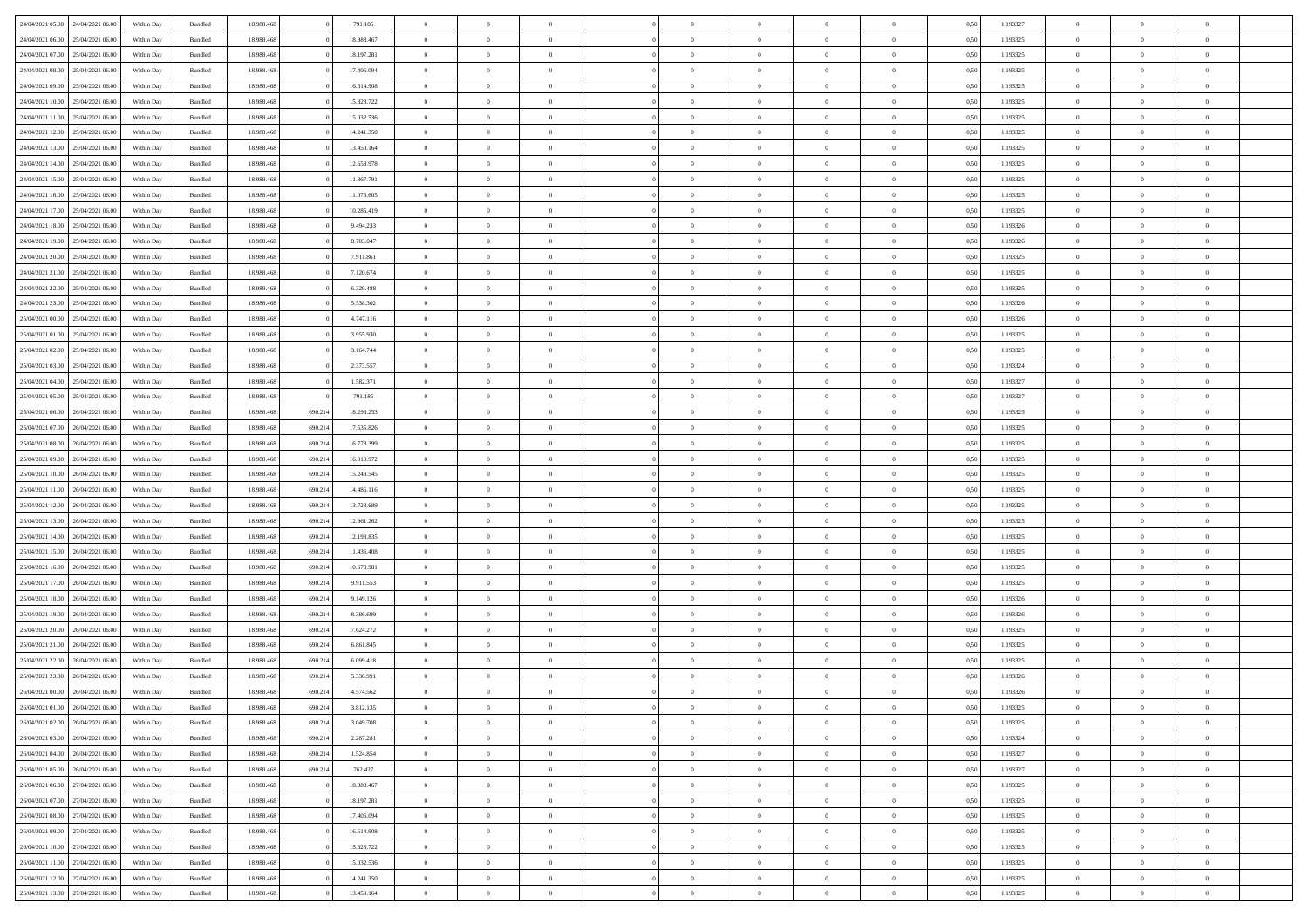|                                   |                  |            |                    |            |         |            | $\overline{0}$ | $\Omega$       |                |                | $\Omega$       | $\Omega$       | $\theta$       |      |          | $\theta$       |                | $\theta$       |  |
|-----------------------------------|------------------|------------|--------------------|------------|---------|------------|----------------|----------------|----------------|----------------|----------------|----------------|----------------|------|----------|----------------|----------------|----------------|--|
| 24/04/2021 05:00                  | 24/04/2021 06:00 | Within Dav | Bundled            | 18.988.468 |         | 791.185    |                |                |                | $\Omega$       |                |                |                | 0.50 | 1,193327 |                | $\theta$       |                |  |
| 24/04/2021 06:00                  | 25/04/2021 06:00 | Within Day | Bundled            | 18.988.468 |         | 18.988.467 | $\overline{0}$ | $\theta$       | $\overline{0}$ | $\overline{0}$ | $\bf{0}$       | $\overline{0}$ | $\overline{0}$ | 0,50 | 1,193325 | $\theta$       | $\overline{0}$ | $\overline{0}$ |  |
| 24/04/2021 07:00                  | 25/04/2021 06:00 | Within Day | Bundled            | 18.988.468 |         | 18.197.281 | $\overline{0}$ | $\overline{0}$ | $\overline{0}$ | $\bf{0}$       | $\bf{0}$       | $\overline{0}$ | $\bf{0}$       | 0,50 | 1,193325 | $\bf{0}$       | $\overline{0}$ | $\overline{0}$ |  |
| 24/04/2021 08:00                  | 25/04/2021 06:00 | Within Dav | Bundled            | 18.988.468 |         | 17.406.094 | $\overline{0}$ | $\theta$       | $\overline{0}$ | $\overline{0}$ | $\bf{0}$       | $\overline{0}$ | $\overline{0}$ | 0.50 | 1,193325 | $\theta$       | $\theta$       | $\overline{0}$ |  |
|                                   |                  |            |                    |            |         |            |                |                |                |                |                |                |                |      |          |                |                |                |  |
| 24/04/2021 09:00                  | 25/04/2021 06:00 | Within Day | Bundled            | 18.988.468 |         | 16.614.908 | $\overline{0}$ | $\theta$       | $\overline{0}$ | $\overline{0}$ | $\bf{0}$       | $\overline{0}$ | $\bf{0}$       | 0,50 | 1,193325 | $\theta$       | $\theta$       | $\overline{0}$ |  |
| 24/04/2021 10:00                  | 25/04/2021 06:00 | Within Day | Bundled            | 18.988.468 |         | 15.823.722 | $\overline{0}$ | $\bf{0}$       | $\overline{0}$ | $\overline{0}$ | $\overline{0}$ | $\overline{0}$ | $\mathbf{0}$   | 0,50 | 1,193325 | $\bf{0}$       | $\overline{0}$ | $\bf{0}$       |  |
| 24/04/2021 11:00                  | 25/04/2021 06.00 | Within Dav | Bundled            | 18.988.468 |         | 15.032.536 | $\overline{0}$ | $\overline{0}$ | $\overline{0}$ | $\overline{0}$ | $\bf{0}$       | $\overline{0}$ | $\overline{0}$ | 0.50 | 1,193325 | $\theta$       | $\overline{0}$ | $\overline{0}$ |  |
| 24/04/2021 12:00                  | 25/04/2021 06:00 | Within Day | Bundled            | 18.988.468 |         | 14.241.350 | $\overline{0}$ | $\theta$       | $\overline{0}$ | $\overline{0}$ | $\bf{0}$       | $\overline{0}$ | $\bf{0}$       | 0,50 | 1,193325 | $\theta$       | $\theta$       | $\overline{0}$ |  |
|                                   |                  |            |                    |            |         |            |                | $\overline{0}$ |                |                | $\bf{0}$       |                |                |      |          | $\,0\,$        | $\overline{0}$ | $\overline{0}$ |  |
| 24/04/2021 13:00                  | 25/04/2021 06:00 | Within Day | Bundled            | 18.988.468 |         | 13.450.164 | $\overline{0}$ |                | $\overline{0}$ | $\bf{0}$       |                | $\bf{0}$       | $\bf{0}$       | 0,50 | 1,193325 |                |                |                |  |
| 24/04/2021 14:00                  | 25/04/2021 06.00 | Within Dav | Bundled            | 18.988.468 |         | 12.658.978 | $\overline{0}$ | $\overline{0}$ | $\overline{0}$ | $\overline{0}$ | $\overline{0}$ | $\overline{0}$ | $\overline{0}$ | 0.50 | 1,193325 | $\theta$       | $\overline{0}$ | $\overline{0}$ |  |
| 24/04/2021 15:00                  | 25/04/2021 06:00 | Within Day | Bundled            | 18.988.468 |         | 11.867.791 | $\overline{0}$ | $\theta$       | $\overline{0}$ | $\overline{0}$ | $\bf{0}$       | $\overline{0}$ | $\bf{0}$       | 0,50 | 1,193325 | $\theta$       | $\theta$       | $\overline{0}$ |  |
| 24/04/2021 16:00                  | 25/04/2021 06:00 | Within Day | Bundled            | 18.988.468 |         | 11.076.605 | $\overline{0}$ | $\overline{0}$ | $\overline{0}$ | $\bf{0}$       | $\bf{0}$       | $\bf{0}$       | $\bf{0}$       | 0,50 | 1,193325 | $\bf{0}$       | $\overline{0}$ | $\overline{0}$ |  |
| 24/04/2021 17:00                  | 25/04/2021 06:00 | Within Dav | Bundled            | 18.988.468 |         | 10.285.419 | $\overline{0}$ | $\theta$       | $\overline{0}$ | $\overline{0}$ | $\bf{0}$       | $\overline{0}$ | $\overline{0}$ | 0.50 | 1,193325 | $\theta$       | $\theta$       | $\overline{0}$ |  |
|                                   |                  |            |                    |            |         |            | $\overline{0}$ | $\theta$       |                |                | $\bf{0}$       |                |                |      |          | $\theta$       |                |                |  |
| 24/04/2021 18:00                  | 25/04/2021 06:00 | Within Day | Bundled            | 18.988.468 |         | 9.494.233  |                |                | $\overline{0}$ | $\overline{0}$ |                | $\overline{0}$ | $\overline{0}$ | 0,50 | 1,193326 |                | $\theta$       | $\overline{0}$ |  |
| 24/04/2021 19:00                  | 25/04/2021 06:00 | Within Day | Bundled            | 18.988.468 |         | 8.703.047  | $\overline{0}$ | $\overline{0}$ | $\overline{0}$ | $\bf{0}$       | $\overline{0}$ | $\overline{0}$ | $\mathbf{0}$   | 0,50 | 1,193326 | $\overline{0}$ | $\overline{0}$ | $\bf{0}$       |  |
| 24/04/2021 20:00                  | 25/04/2021 06:00 | Within Dav | Bundled            | 18.988.468 |         | 7.911.861  | $\overline{0}$ | $\overline{0}$ | $\overline{0}$ | $\overline{0}$ | $\overline{0}$ | $\overline{0}$ | $\overline{0}$ | 0.50 | 1,193325 | $\theta$       | $\overline{0}$ | $\overline{0}$ |  |
| 24/04/2021 21.00                  | 25/04/2021 06:00 | Within Day | Bundled            | 18.988.468 |         | 7.120.674  | $\overline{0}$ | $\theta$       | $\overline{0}$ | $\overline{0}$ | $\bf{0}$       | $\overline{0}$ | $\bf{0}$       | 0,50 | 1,193325 | $\theta$       | $\theta$       | $\overline{0}$ |  |
| 24/04/2021 22.00                  | 25/04/2021 06:00 | Within Day | Bundled            | 18.988.468 |         | 6.329.488  | $\overline{0}$ | $\overline{0}$ | $\overline{0}$ | $\bf{0}$       | $\bf{0}$       | $\bf{0}$       | $\bf{0}$       | 0,50 | 1,193325 | $\,0\,$        | $\overline{0}$ | $\overline{0}$ |  |
|                                   |                  |            |                    |            |         |            |                |                |                |                |                |                |                |      |          |                |                |                |  |
| 24/04/2021 23:00                  | 25/04/2021 06.00 | Within Dav | Bundled            | 18.988.468 |         | 5.538.302  | $\overline{0}$ | $\overline{0}$ | $\overline{0}$ | $\overline{0}$ | $\overline{0}$ | $\overline{0}$ | $\overline{0}$ | 0.50 | 1,193326 | $\theta$       | $\overline{0}$ | $\overline{0}$ |  |
| 25/04/2021 00:00                  | 25/04/2021 06:00 | Within Day | Bundled            | 18.988.468 |         | 4.747.116  | $\overline{0}$ | $\theta$       | $\overline{0}$ | $\overline{0}$ | $\bf{0}$       | $\overline{0}$ | $\bf{0}$       | 0,50 | 1,193326 | $\theta$       | $\theta$       | $\overline{0}$ |  |
| 25/04/2021 01:00                  | 25/04/2021 06:00 | Within Day | Bundled            | 18.988.468 |         | 3.955.930  | $\overline{0}$ | $\overline{0}$ | $\overline{0}$ | $\bf{0}$       | $\bf{0}$       | $\bf{0}$       | $\bf{0}$       | 0,50 | 1,193325 | $\,0\,$        | $\overline{0}$ | $\overline{0}$ |  |
| 25/04/2021 02:00                  | 25/04/2021 06:00 | Within Day | Bundled            | 18.988.468 |         | 3.164.744  | $\overline{0}$ | $\overline{0}$ | $\overline{0}$ | $\overline{0}$ | $\bf{0}$       | $\overline{0}$ | $\overline{0}$ | 0.50 | 1,193325 | $\theta$       | $\theta$       | $\overline{0}$ |  |
| 25/04/2021 03:00                  | 25/04/2021 06:00 |            |                    | 18.988.468 |         | 2.373.557  | $\overline{0}$ | $\theta$       | $\overline{0}$ | $\overline{0}$ | $\bf{0}$       | $\overline{0}$ |                |      | 1,193324 | $\theta$       | $\overline{0}$ | $\overline{0}$ |  |
|                                   |                  | Within Day | Bundled            |            |         |            |                |                |                |                |                |                | $\bf{0}$       | 0,50 |          |                |                |                |  |
| 25/04/2021 04:00                  | 25/04/2021 06:00 | Within Day | Bundled            | 18.988.468 |         | 1.582.371  | $\overline{0}$ | $\overline{0}$ | $\overline{0}$ | $\bf{0}$       | $\overline{0}$ | $\bf{0}$       | $\mathbf{0}$   | 0,50 | 1,193327 | $\bf{0}$       | $\overline{0}$ | $\bf{0}$       |  |
| 25/04/2021 05:00                  | 25/04/2021 06.00 | Within Dav | Bundled            | 18.988.468 |         | 791.185    | $\overline{0}$ | $\overline{0}$ | $\overline{0}$ | $\overline{0}$ | $\overline{0}$ | $\overline{0}$ | $\overline{0}$ | 0.50 | 1,193327 | $\theta$       | $\overline{0}$ | $\overline{0}$ |  |
| 25/04/2021 06:00                  | 26/04/2021 06:00 | Within Day | Bundled            | 18.988.468 | 690.214 | 18.298.253 | $\overline{0}$ | $\theta$       | $\overline{0}$ | $\overline{0}$ | $\bf{0}$       | $\overline{0}$ | $\bf{0}$       | 0,50 | 1,193325 | $\theta$       | $\theta$       | $\overline{0}$ |  |
| 25/04/2021 07:00                  | 26/04/2021 06:00 | Within Day | Bundled            | 18.988.468 | 690.214 | 17.535.826 | $\overline{0}$ | $\overline{0}$ | $\overline{0}$ | $\bf{0}$       | $\bf{0}$       | $\bf{0}$       | $\bf{0}$       | 0,50 | 1,193325 | $\,0\,$        | $\overline{0}$ | $\overline{0}$ |  |
|                                   | 26/04/2021 06:00 |            | Bundled            | 18.988.468 | 690.214 | 16.773.399 | $\overline{0}$ | $\overline{0}$ | $\overline{0}$ | $\overline{0}$ | $\overline{0}$ | $\overline{0}$ | $\overline{0}$ | 0.50 | 1,193325 | $\theta$       | $\overline{0}$ | $\overline{0}$ |  |
| 25/04/2021 08:00                  |                  | Within Day |                    |            |         |            |                |                |                |                |                |                |                |      |          |                |                |                |  |
| 25/04/2021 09:00                  | 26/04/2021 06:00 | Within Day | Bundled            | 18.988.468 | 690.214 | 16.010.972 | $\overline{0}$ | $\theta$       | $\overline{0}$ | $\overline{0}$ | $\bf{0}$       | $\overline{0}$ | $\bf{0}$       | 0,50 | 1,193325 | $\,$ 0 $\,$    | $\theta$       | $\overline{0}$ |  |
| 25/04/2021 10:00                  | 26/04/2021 06:00 | Within Day | Bundled            | 18.988.468 | 690.214 | 15.248.545 | $\overline{0}$ | $\overline{0}$ | $\overline{0}$ | $\bf{0}$       | $\bf{0}$       | $\bf{0}$       | $\bf{0}$       | 0,50 | 1,193325 | $\bf{0}$       | $\overline{0}$ | $\overline{0}$ |  |
| 25/04/2021 11:00                  | 26/04/2021 06:00 | Within Day | Bundled            | 18.988.468 | 690.214 | 14.486.116 | $\overline{0}$ | $\Omega$       | $\Omega$       | $\Omega$       | $\Omega$       | $\overline{0}$ | $\overline{0}$ | 0.50 | 1,193325 | $\,0\,$        | $\theta$       | $\theta$       |  |
| 25/04/2021 12:00                  | 26/04/2021 06:00 | Within Day | Bundled            | 18.988.468 | 690.214 | 13.723.689 | $\overline{0}$ | $\theta$       | $\overline{0}$ | $\overline{0}$ | $\bf{0}$       | $\overline{0}$ | $\bf{0}$       | 0,50 | 1,193325 | $\theta$       | $\theta$       | $\overline{0}$ |  |
|                                   |                  |            |                    |            |         |            |                |                |                |                |                |                |                |      |          |                |                |                |  |
| 25/04/2021 13:00                  | 26/04/2021 06:00 | Within Day | Bundled            | 18.988.468 | 690.214 | 12.961.262 | $\overline{0}$ | $\bf{0}$       | $\overline{0}$ | $\bf{0}$       | $\bf{0}$       | $\overline{0}$ | $\mathbf{0}$   | 0,50 | 1,193325 | $\overline{0}$ | $\overline{0}$ | $\bf{0}$       |  |
| 25/04/2021 14:00                  | 26/04/2021 06:00 | Within Day | Bundled            | 18.988.468 | 690.214 | 12.198.835 | $\overline{0}$ | $\Omega$       | $\Omega$       | $\Omega$       | $\bf{0}$       | $\overline{0}$ | $\overline{0}$ | 0.50 | 1,193325 | $\theta$       | $\theta$       | $\theta$       |  |
| 25/04/2021 15:00                  | 26/04/2021 06:00 | Within Day | Bundled            | 18.988.468 | 690.214 | 11.436.408 | $\overline{0}$ | $\theta$       | $\overline{0}$ | $\overline{0}$ | $\bf{0}$       | $\overline{0}$ | $\bf{0}$       | 0,50 | 1,193325 | $\theta$       | $\theta$       | $\overline{0}$ |  |
| 25/04/2021 16:00                  | 26/04/2021 06:00 | Within Day | Bundled            | 18.988.468 | 690.214 | 10.673.981 | $\overline{0}$ | $\overline{0}$ | $\overline{0}$ | $\bf{0}$       | $\bf{0}$       | $\bf{0}$       | $\bf{0}$       | 0,50 | 1,193325 | $\,0\,$        | $\overline{0}$ | $\overline{0}$ |  |
| 25/04/2021 17:00                  | 26/04/2021 06:00 | Within Day | Bundled            | 18.988.468 | 690.214 | 9.911.553  | $\overline{0}$ | $\Omega$       | $\Omega$       | $\Omega$       | $\Omega$       | $\theta$       | $\overline{0}$ | 0.50 | 1,193325 | $\theta$       | $\theta$       | $\theta$       |  |
|                                   |                  |            |                    |            |         |            |                |                |                |                |                |                |                |      |          |                |                |                |  |
| 25/04/2021 18:00                  | 26/04/2021 06:00 | Within Day | Bundled            | 18.988.468 | 690.214 | 9.149.126  | $\overline{0}$ | $\theta$       | $\overline{0}$ | $\overline{0}$ | $\bf{0}$       | $\overline{0}$ | $\bf{0}$       | 0,50 | 1,193326 | $\,$ 0 $\,$    | $\theta$       | $\overline{0}$ |  |
| 25/04/2021 19:00                  | 26/04/2021 06:00 | Within Day | Bundled            | 18.988.468 | 690.214 | 8.386.699  | $\overline{0}$ | $\overline{0}$ | $\overline{0}$ | $\bf{0}$       | $\bf{0}$       | $\bf{0}$       | $\bf{0}$       | 0,50 | 1,193326 | $\overline{0}$ | $\overline{0}$ | $\overline{0}$ |  |
| 25/04/2021 20:00                  | 26/04/2021 06:00 | Within Day | Bundled            | 18.988.468 | 690.214 | 7.624.272  | $\overline{0}$ | $\Omega$       | $\Omega$       | $\Omega$       | $\Omega$       | $\overline{0}$ | $\overline{0}$ | 0.50 | 1,193325 | $\,0\,$        | $\theta$       | $\theta$       |  |
| 25/04/2021 21:00                  | 26/04/2021 06:00 | Within Day | Bundled            | 18.988.468 | 690.214 | 6.861.845  | $\overline{0}$ | $\theta$       | $\overline{0}$ | $\overline{0}$ | $\bf{0}$       | $\overline{0}$ | $\bf{0}$       | 0,50 | 1,193325 | $\,$ 0 $\,$    | $\overline{0}$ | $\overline{0}$ |  |
| 25/04/2021 22.00                  | 26/04/2021 06:00 | Within Day | Bundled            | 18.988.468 | 690.214 | 6.099.418  | $\overline{0}$ | $\overline{0}$ | $\overline{0}$ | $\bf{0}$       | $\bf{0}$       | $\bf{0}$       | $\mathbf{0}$   | 0,50 | 1,193325 | $\overline{0}$ | $\overline{0}$ | $\bf{0}$       |  |
|                                   |                  |            |                    |            |         |            |                |                |                |                |                |                |                |      |          |                |                |                |  |
| 25/04/2021 23:00                  | 26/04/2021 06:00 | Within Day | Bundled            | 18.988.468 | 690.21  | 5.336.991  | $\overline{0}$ | $\Omega$       | $\Omega$       | $\Omega$       | $\Omega$       | $\Omega$       | $\overline{0}$ | 0.50 | 1,193326 | $\theta$       | $\theta$       | $\theta$       |  |
| 26/04/2021 00:00                  | 26/04/2021 06:00 | Within Day | Bundled            | 18.988.468 | 690.214 | 4.574.562  | $\overline{0}$ | $\,$ 0 $\,$    | $\overline{0}$ | $\bf{0}$       | $\,$ 0         | $\overline{0}$ | $\bf{0}$       | 0,50 | 1,193326 | $\,0\,$        | $\overline{0}$ | $\overline{0}$ |  |
| 26/04/2021 01:00                  | 26/04/2021 06:00 | Within Day | $\mathbf B$ undled | 18.988.468 | 690.214 | 3.812.135  | $\bf{0}$       | $\bf{0}$       |                |                |                |                |                | 0,50 | 1,193325 | $\bf{0}$       | $\overline{0}$ |                |  |
| 26/04/2021 02.00                  | 26/04/2021 06:00 | Within Day | Bundled            | 18,988,468 | 690.214 | 3.049.708  | $\overline{0}$ | $\Omega$       | $\overline{0}$ | $\Omega$       | $\theta$       | $\overline{0}$ | $\overline{0}$ | 0.50 | 1,193325 | $\theta$       | $\theta$       | $\theta$       |  |
| 26/04/2021 03:00                  | 26/04/2021 06:00 | Within Day | Bundled            | 18.988.468 | 690.214 | 2.287.281  | $\overline{0}$ | $\,$ 0         | $\overline{0}$ | $\overline{0}$ | $\,$ 0 $\,$    | $\overline{0}$ | $\mathbf{0}$   | 0,50 | 1,193324 | $\,$ 0 $\,$    | $\overline{0}$ | $\,$ 0         |  |
|                                   |                  |            |                    |            |         |            |                |                |                |                |                |                |                |      |          |                |                |                |  |
| 26/04/2021 04:00                  | 26/04/2021 06:00 | Within Day | Bundled            | 18.988.468 | 690.214 | 1.524.854  | $\overline{0}$ | $\overline{0}$ | $\overline{0}$ | $\overline{0}$ | $\overline{0}$ | $\overline{0}$ | $\mathbf{0}$   | 0,50 | 1,193327 | $\overline{0}$ | $\bf{0}$       | $\bf{0}$       |  |
| 26/04/2021 05:00                  | 26/04/2021 06:00 | Within Day | Bundled            | 18.988.468 | 690.214 | 762.427    | $\overline{0}$ | $\theta$       | $\overline{0}$ | $\Omega$       | $\overline{0}$ | $\overline{0}$ | $\bf{0}$       | 0,50 | 1,193327 | $\overline{0}$ | $\theta$       | $\overline{0}$ |  |
| 26/04/2021 06:00                  | 27/04/2021 06.00 | Within Day | Bundled            | 18.988.468 |         | 18.988.467 | $\overline{0}$ | $\,$ 0         | $\overline{0}$ | $\overline{0}$ | $\overline{0}$ | $\overline{0}$ | $\bf{0}$       | 0,50 | 1,193325 | $\,$ 0 $\,$    | $\overline{0}$ | $\overline{0}$ |  |
| 26/04/2021 07:00                  | 27/04/2021 06:00 | Within Day | Bundled            | 18.988.468 |         | 18.197.281 | $\overline{0}$ | $\overline{0}$ | $\overline{0}$ | $\overline{0}$ | $\overline{0}$ | $\overline{0}$ | $\mathbf{0}$   | 0,50 | 1,193325 | $\overline{0}$ | $\bf{0}$       | $\bf{0}$       |  |
| 26/04/2021 08:00                  | 27/04/2021 06:00 | Within Day | Bundled            | 18.988.468 |         | 17,406,094 | $\overline{0}$ | $\overline{0}$ | $\overline{0}$ | $\Omega$       | $\overline{0}$ | $\overline{0}$ | $\bf{0}$       | 0.50 | 1,193325 | $\overline{0}$ | $\theta$       | $\overline{0}$ |  |
|                                   |                  |            |                    |            |         |            |                |                |                |                |                |                |                |      |          |                |                |                |  |
| 26/04/2021 09:00                  | 27/04/2021 06.00 | Within Day | Bundled            | 18.988.468 |         | 16.614.908 | $\overline{0}$ | $\,$ 0         | $\overline{0}$ | $\overline{0}$ | $\bf{0}$       | $\overline{0}$ | $\bf{0}$       | 0,50 | 1,193325 | $\,$ 0 $\,$    | $\overline{0}$ | $\overline{0}$ |  |
| 26/04/2021 10:00                  | 27/04/2021 06:00 | Within Day | Bundled            | 18.988.468 |         | 15.823.722 | $\overline{0}$ | $\bf{0}$       | $\overline{0}$ | $\overline{0}$ | $\overline{0}$ | $\overline{0}$ | $\mathbf{0}$   | 0,50 | 1,193325 | $\overline{0}$ | $\overline{0}$ | $\bf{0}$       |  |
| 26/04/2021 11:00                  | 27/04/2021 06:00 | Within Day | Bundled            | 18,988,468 |         | 15.032.536 | $\overline{0}$ | $\overline{0}$ | $\overline{0}$ | $\Omega$       | $\overline{0}$ | $\overline{0}$ | $\bf{0}$       | 0.50 | 1,193325 | $\overline{0}$ | $\theta$       | $\overline{0}$ |  |
| 26/04/2021 12:00                  | 27/04/2021 06.00 | Within Day | Bundled            | 18.988.468 |         | 14.241.350 | $\overline{0}$ | $\bf{0}$       | $\overline{0}$ | $\overline{0}$ | $\bf{0}$       | $\overline{0}$ | $\bf{0}$       | 0,50 | 1,193325 | $\,$ 0 $\,$    | $\,$ 0 $\,$    | $\bf{0}$       |  |
| 26/04/2021 13:00 27/04/2021 06:00 |                  | Within Day | Bundled            | 18.988.468 |         | 13.450.164 | $\overline{0}$ | $\overline{0}$ | $\overline{0}$ | $\overline{0}$ | $\bf{0}$       | $\overline{0}$ | $\mathbf{0}$   | 0,50 | 1,193325 | $\overline{0}$ | $\bf{0}$       | $\bf{0}$       |  |
|                                   |                  |            |                    |            |         |            |                |                |                |                |                |                |                |      |          |                |                |                |  |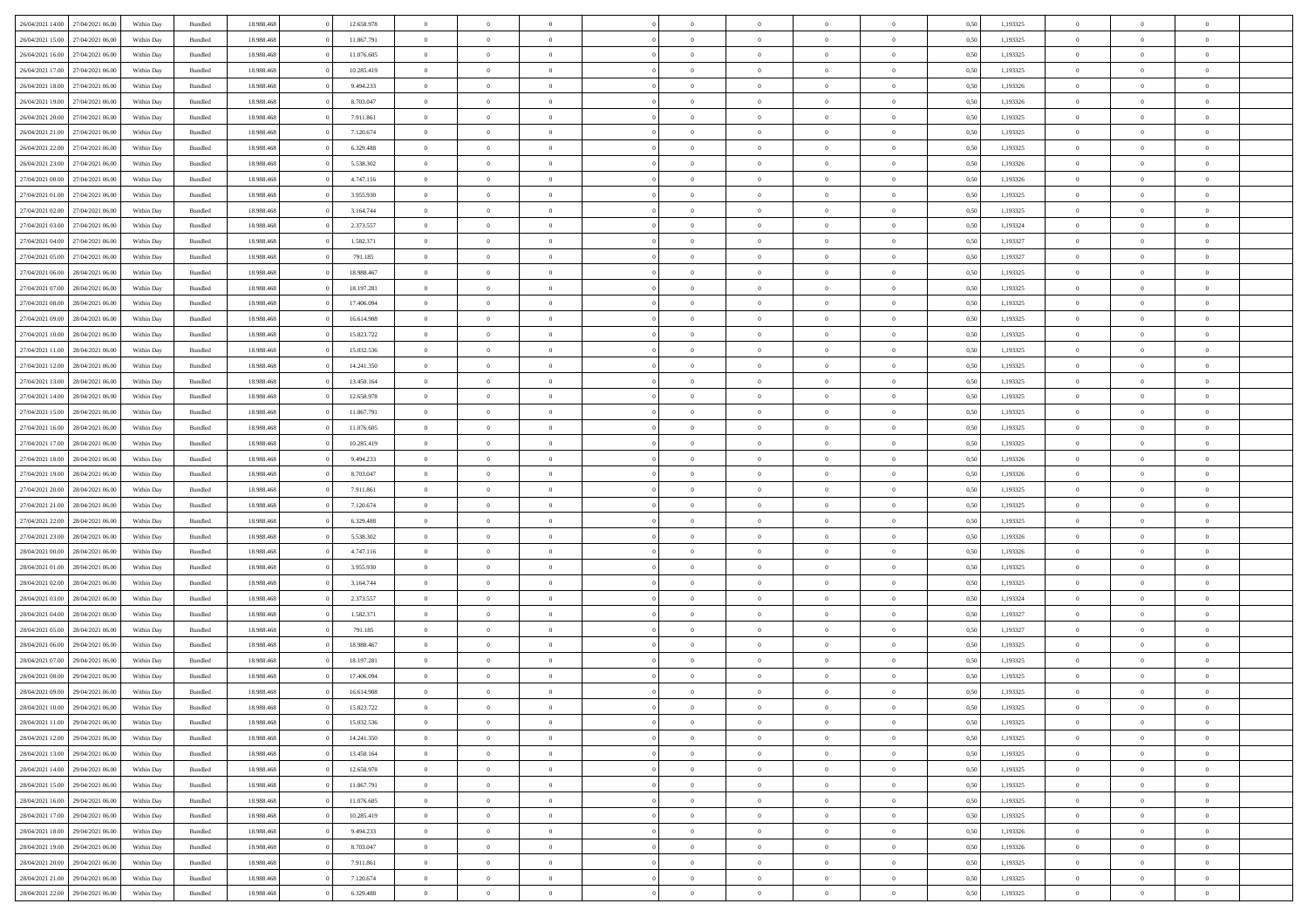|                  |                  |            |                    |            |            | $\overline{0}$ | $\Omega$       |                |                | $\Omega$       | $\Omega$       | $\theta$       |      |          | $\theta$       | $\overline{0}$ | $\theta$       |  |
|------------------|------------------|------------|--------------------|------------|------------|----------------|----------------|----------------|----------------|----------------|----------------|----------------|------|----------|----------------|----------------|----------------|--|
| 26/04/2021 14:00 | 27/04/2021 06:00 | Within Day | Bundled            | 18.988.468 | 12.658.978 |                |                |                | $\Omega$       |                |                |                | 0.50 | 1,193325 |                |                |                |  |
| 26/04/2021 15:00 | 27/04/2021 06.00 | Within Day | Bundled            | 18.988.468 | 11.867.791 | $\overline{0}$ | $\theta$       | $\overline{0}$ | $\overline{0}$ | $\bf{0}$       | $\overline{0}$ | $\overline{0}$ | 0,50 | 1,193325 | $\theta$       | $\overline{0}$ | $\overline{0}$ |  |
| 26/04/2021 16:00 | 27/04/2021 06:00 | Within Day | Bundled            | 18.988.468 | 11.076.605 | $\overline{0}$ | $\overline{0}$ | $\overline{0}$ | $\bf{0}$       | $\bf{0}$       | $\bf{0}$       | $\bf{0}$       | 0,50 | 1,193325 | $\bf{0}$       | $\overline{0}$ | $\overline{0}$ |  |
| 26/04/2021 17:00 | 27/04/2021 06:00 | Within Dav | Bundled            | 18.988.468 | 10.285.419 | $\overline{0}$ | $\theta$       | $\overline{0}$ | $\overline{0}$ | $\bf{0}$       | $\overline{0}$ | $\overline{0}$ | 0.50 | 1,193325 | $\theta$       | $\theta$       | $\overline{0}$ |  |
|                  |                  |            |                    |            |            |                |                |                |                |                |                |                |      |          |                |                |                |  |
| 26/04/2021 18:00 | 27/04/2021 06.00 | Within Day | Bundled            | 18.988.468 | 9.494.233  | $\overline{0}$ | $\theta$       | $\overline{0}$ | $\overline{0}$ | $\bf{0}$       | $\overline{0}$ | $\bf{0}$       | 0,50 | 1,193326 | $\theta$       | $\theta$       | $\overline{0}$ |  |
| 26/04/2021 19:00 | 27/04/2021 06:00 | Within Day | Bundled            | 18.988.468 | 8.703.047  | $\overline{0}$ | $\bf{0}$       | $\overline{0}$ | $\bf{0}$       | $\overline{0}$ | $\overline{0}$ | $\mathbf{0}$   | 0,50 | 1,193326 | $\overline{0}$ | $\overline{0}$ | $\bf{0}$       |  |
| 26/04/2021 20:00 | 27/04/2021 06.00 | Within Dav | Bundled            | 18.988.468 | 7.911.861  | $\overline{0}$ | $\overline{0}$ | $\overline{0}$ | $\overline{0}$ | $\bf{0}$       | $\overline{0}$ | $\overline{0}$ | 0.50 | 1,193325 | $\theta$       | $\overline{0}$ | $\overline{0}$ |  |
| 26/04/2021 21:00 | 27/04/2021 06.00 | Within Day | Bundled            | 18.988.468 | 7.120.674  | $\overline{0}$ | $\theta$       | $\overline{0}$ | $\overline{0}$ | $\bf{0}$       | $\overline{0}$ | $\bf{0}$       | 0,50 | 1,193325 | $\theta$       | $\theta$       | $\overline{0}$ |  |
| 26/04/2021 22:00 | 27/04/2021 06:00 | Within Day | Bundled            | 18.988.468 | 6.329.488  | $\overline{0}$ | $\overline{0}$ | $\overline{0}$ | $\bf{0}$       | $\bf{0}$       | $\bf{0}$       | $\bf{0}$       | 0,50 | 1,193325 | $\,0\,$        | $\overline{0}$ | $\overline{0}$ |  |
|                  |                  |            |                    |            |            |                |                |                |                |                |                |                |      |          |                |                |                |  |
| 26/04/2021 23:00 | 27/04/2021 06.00 | Within Dav | Bundled            | 18.988.468 | 5.538.302  | $\overline{0}$ | $\overline{0}$ | $\overline{0}$ | $\overline{0}$ | $\overline{0}$ | $\overline{0}$ | $\overline{0}$ | 0.50 | 1,193326 | $\theta$       | $\overline{0}$ | $\overline{0}$ |  |
| 27/04/2021 00:00 | 27/04/2021 06.00 | Within Day | Bundled            | 18.988.468 | 4.747.116  | $\overline{0}$ | $\theta$       | $\overline{0}$ | $\overline{0}$ | $\bf{0}$       | $\overline{0}$ | $\bf{0}$       | 0,50 | 1,193326 | $\theta$       | $\theta$       | $\overline{0}$ |  |
| 27/04/2021 01:00 | 27/04/2021 06:00 | Within Day | Bundled            | 18.988.468 | 3.955.930  | $\overline{0}$ | $\overline{0}$ | $\overline{0}$ | $\bf{0}$       | $\bf{0}$       | $\bf{0}$       | $\bf{0}$       | 0,50 | 1,193325 | $\bf{0}$       | $\overline{0}$ | $\overline{0}$ |  |
| 27/04/2021 02:00 | 27/04/2021 06:00 | Within Dav | Bundled            | 18.988.468 | 3.164.744  | $\overline{0}$ | $\theta$       | $\overline{0}$ | $\overline{0}$ | $\bf{0}$       | $\overline{0}$ | $\overline{0}$ | 0.50 | 1,193325 | $\theta$       | $\theta$       | $\overline{0}$ |  |
| 27/04/2021 03:00 | 27/04/2021 06.00 | Within Day | Bundled            | 18.988.468 | 2.373.557  | $\overline{0}$ | $\theta$       | $\overline{0}$ | $\overline{0}$ | $\bf{0}$       | $\overline{0}$ | $\overline{0}$ | 0,50 | 1,193324 | $\theta$       | $\theta$       | $\overline{0}$ |  |
|                  |                  |            |                    |            |            |                |                |                |                |                |                |                |      |          |                |                |                |  |
| 27/04/2021 04:00 | 27/04/2021 06:00 | Within Day | Bundled            | 18.988.468 | 1.582.371  | $\overline{0}$ | $\bf{0}$       | $\overline{0}$ | $\bf{0}$       | $\overline{0}$ | $\overline{0}$ | $\mathbf{0}$   | 0,50 | 1,193327 | $\overline{0}$ | $\overline{0}$ | $\bf{0}$       |  |
| 27/04/2021 05:00 | 27/04/2021 06:00 | Within Dav | Bundled            | 18.988.468 | 791.185    | $\overline{0}$ | $\overline{0}$ | $\overline{0}$ | $\overline{0}$ | $\bf{0}$       | $\overline{0}$ | $\overline{0}$ | 0.50 | 1,193327 | $\theta$       | $\overline{0}$ | $\overline{0}$ |  |
| 27/04/2021 06:00 | 28/04/2021 06:00 | Within Day | Bundled            | 18.988.468 | 18.988.467 | $\overline{0}$ | $\theta$       | $\overline{0}$ | $\overline{0}$ | $\bf{0}$       | $\overline{0}$ | $\bf{0}$       | 0,50 | 1,193325 | $\theta$       | $\theta$       | $\overline{0}$ |  |
| 27/04/2021 07:00 | 28/04/2021 06:00 | Within Day | Bundled            | 18.988.468 | 18.197.281 | $\overline{0}$ | $\overline{0}$ | $\overline{0}$ | $\bf{0}$       | $\bf{0}$       | $\bf{0}$       | $\bf{0}$       | 0,50 | 1,193325 | $\,0\,$        | $\overline{0}$ | $\overline{0}$ |  |
| 27/04/2021 08:00 | 28/04/2021 06:00 | Within Dav | Bundled            | 18.988.468 | 17.406.094 | $\overline{0}$ | $\overline{0}$ | $\overline{0}$ | $\overline{0}$ | $\overline{0}$ | $\overline{0}$ | $\overline{0}$ | 0.50 | 1,193325 | $\theta$       | $\overline{0}$ | $\overline{0}$ |  |
|                  |                  |            |                    |            |            |                |                |                |                |                |                |                |      |          |                |                |                |  |
| 27/04/2021 09:00 | 28/04/2021 06:00 | Within Day | Bundled            | 18.988.468 | 16.614.908 | $\overline{0}$ | $\theta$       | $\overline{0}$ | $\overline{0}$ | $\bf{0}$       | $\overline{0}$ | $\bf{0}$       | 0,50 | 1,193325 | $\theta$       | $\theta$       | $\overline{0}$ |  |
| 27/04/2021 10:00 | 28/04/2021 06:00 | Within Day | Bundled            | 18.988.468 | 15.823.722 | $\overline{0}$ | $\overline{0}$ | $\overline{0}$ | $\bf{0}$       | $\bf{0}$       | $\bf{0}$       | $\bf{0}$       | 0,50 | 1,193325 | $\,0\,$        | $\overline{0}$ | $\overline{0}$ |  |
| 27/04/2021 11:00 | 28/04/2021 06:00 | Within Day | Bundled            | 18.988.468 | 15.032.536 | $\overline{0}$ | $\overline{0}$ | $\overline{0}$ | $\overline{0}$ | $\bf{0}$       | $\overline{0}$ | $\overline{0}$ | 0.50 | 1,193325 | $\theta$       | $\theta$       | $\overline{0}$ |  |
| 27/04/2021 12:00 | 28/04/2021 06:00 | Within Day | Bundled            | 18.988.468 | 14.241.350 | $\overline{0}$ | $\theta$       | $\overline{0}$ | $\overline{0}$ | $\bf{0}$       | $\overline{0}$ | $\bf{0}$       | 0,50 | 1,193325 | $\theta$       | $\overline{0}$ | $\overline{0}$ |  |
| 27/04/2021 13:00 | 28/04/2021 06:00 | Within Day | Bundled            | 18.988.468 | 13.450.164 | $\overline{0}$ | $\overline{0}$ | $\overline{0}$ | $\bf{0}$       | $\overline{0}$ | $\bf{0}$       | $\mathbf{0}$   | 0,50 | 1,193325 | $\bf{0}$       | $\overline{0}$ | $\bf{0}$       |  |
|                  |                  |            |                    |            |            |                |                |                |                |                |                |                |      |          |                |                |                |  |
| 27/04/2021 14:00 | 28/04/2021 06:00 | Within Dav | Bundled            | 18.988.468 | 12.658.978 | $\overline{0}$ | $\overline{0}$ | $\overline{0}$ | $\overline{0}$ | $\overline{0}$ | $\overline{0}$ | $\overline{0}$ | 0.50 | 1,193325 | $\theta$       | $\overline{0}$ | $\overline{0}$ |  |
| 27/04/2021 15:00 | 28/04/2021 06:00 | Within Day | Bundled            | 18.988.468 | 11.867.791 | $\overline{0}$ | $\theta$       | $\overline{0}$ | $\overline{0}$ | $\bf{0}$       | $\overline{0}$ | $\bf{0}$       | 0,50 | 1,193325 | $\theta$       | $\theta$       | $\overline{0}$ |  |
| 27/04/2021 16:00 | 28/04/2021 06:00 | Within Day | Bundled            | 18.988.468 | 11.076.605 | $\overline{0}$ | $\overline{0}$ | $\overline{0}$ | $\overline{0}$ | $\bf{0}$       | $\overline{0}$ | $\bf{0}$       | 0,50 | 1,193325 | $\,0\,$        | $\overline{0}$ | $\overline{0}$ |  |
| 27/04/2021 17:00 | 28/04/2021 06:00 | Within Day | Bundled            | 18.988.468 | 10.285.419 | $\overline{0}$ | $\overline{0}$ | $\overline{0}$ | $\overline{0}$ | $\bf{0}$       | $\overline{0}$ | $\overline{0}$ | 0.50 | 1,193325 | $\theta$       | $\overline{0}$ | $\overline{0}$ |  |
| 27/04/2021 18:00 | 28/04/2021 06:00 | Within Day | Bundled            | 18.988.468 | 9.494.233  | $\overline{0}$ | $\theta$       | $\overline{0}$ | $\overline{0}$ | $\bf{0}$       | $\overline{0}$ | $\bf{0}$       | 0,50 | 1,193326 | $\,$ 0 $\,$    | $\theta$       | $\overline{0}$ |  |
| 27/04/2021 19:00 | 28/04/2021 06:00 | Within Day | Bundled            | 18.988.468 | 8.703.047  | $\overline{0}$ | $\overline{0}$ | $\overline{0}$ | $\overline{0}$ | $\bf{0}$       | $\overline{0}$ | $\bf{0}$       | 0,50 | 1,193326 | $\bf{0}$       | $\overline{0}$ | $\overline{0}$ |  |
|                  |                  |            |                    |            |            |                |                |                |                |                |                |                |      |          |                |                |                |  |
| 27/04/2021 20:00 | 28/04/2021 06:00 | Within Day | Bundled            | 18.988.468 | 7.911.861  | $\overline{0}$ | $\Omega$       | $\Omega$       | $\Omega$       | $\Omega$       | $\Omega$       | $\overline{0}$ | 0.50 | 1,193325 | $\,0\,$        | $\Omega$       | $\theta$       |  |
| 27/04/2021 21:00 | 28/04/2021 06:00 | Within Day | Bundled            | 18.988.468 | 7.120.674  | $\overline{0}$ | $\theta$       | $\overline{0}$ | $\overline{0}$ | $\bf{0}$       | $\overline{0}$ | $\bf{0}$       | 0,50 | 1,193325 | $\theta$       | $\theta$       | $\overline{0}$ |  |
| 27/04/2021 22:00 | 28/04/2021 06:00 | Within Day | Bundled            | 18.988.468 | 6.329.488  | $\overline{0}$ | $\bf{0}$       | $\overline{0}$ | $\overline{0}$ | $\bf{0}$       | $\overline{0}$ | $\mathbf{0}$   | 0,50 | 1,193325 | $\bf{0}$       | $\overline{0}$ | $\bf{0}$       |  |
| 27/04/2021 23:00 | 28/04/2021 06:00 | Within Day | Bundled            | 18.988.468 | 5.538.302  | $\overline{0}$ | $\Omega$       | $\Omega$       | $\Omega$       | $\Omega$       | $\Omega$       | $\overline{0}$ | 0.50 | 1,193326 | $\theta$       | $\theta$       | $\theta$       |  |
| 28/04/2021 00:00 | 28/04/2021 06:00 | Within Day | Bundled            | 18.988.468 | 4.747.116  | $\overline{0}$ | $\theta$       | $\overline{0}$ | $\overline{0}$ | $\bf{0}$       | $\overline{0}$ | $\bf{0}$       | 0,50 | 1,193326 | $\theta$       | $\theta$       | $\overline{0}$ |  |
|                  |                  |            |                    |            |            |                |                |                |                |                |                |                |      |          |                |                |                |  |
| 28/04/2021 01:00 | 28/04/2021 06:00 | Within Day | Bundled            | 18.988.468 | 3.955.930  | $\overline{0}$ | $\overline{0}$ | $\overline{0}$ | $\overline{0}$ | $\bf{0}$       | $\overline{0}$ | $\bf{0}$       | 0,50 | 1,193325 | $\,0\,$        | $\overline{0}$ | $\overline{0}$ |  |
| 28/04/2021 02:00 | 28/04/2021 06:00 | Within Day | Bundled            | 18.988.468 | 3.164.744  | $\overline{0}$ | $\Omega$       | $\Omega$       | $\Omega$       | $\Omega$       | $\theta$       | $\overline{0}$ | 0.50 | 1,193325 | $\theta$       | $\theta$       | $\theta$       |  |
| 28/04/2021 03:00 | 28/04/2021 06:00 | Within Day | Bundled            | 18.988.468 | 2.373.557  | $\overline{0}$ | $\theta$       | $\overline{0}$ | $\overline{0}$ | $\bf{0}$       | $\overline{0}$ | $\bf{0}$       | 0,50 | 1,193324 | $\theta$       | $\theta$       | $\overline{0}$ |  |
| 28/04/2021 04:00 | 28/04/2021 06:00 | Within Day | Bundled            | 18.988.468 | 1.582.371  | $\overline{0}$ | $\overline{0}$ | $\overline{0}$ | $\overline{0}$ | $\bf{0}$       | $\overline{0}$ | $\bf{0}$       | 0,50 | 1,193327 | $\,0\,$        | $\overline{0}$ | $\overline{0}$ |  |
| 28/04/2021 05:00 | 28/04/2021 06:00 | Within Day | Bundled            | 18.988.468 | 791.185    | $\overline{0}$ | $\Omega$       | $\Omega$       | $\Omega$       | $\Omega$       | $\overline{0}$ | $\overline{0}$ | 0.50 | 1,193327 | $\,0\,$        | $\theta$       | $\theta$       |  |
| 28/04/2021 06:00 | 29/04/2021 06.00 | Within Day | Bundled            | 18.988.468 | 18.988.467 | $\overline{0}$ | $\theta$       | $\overline{0}$ | $\overline{0}$ | $\bf{0}$       | $\overline{0}$ | $\bf{0}$       | 0,50 | 1,193325 | $\,$ 0 $\,$    | $\theta$       | $\overline{0}$ |  |
|                  |                  |            |                    |            |            |                |                |                |                |                |                |                |      |          |                |                |                |  |
| 28/04/2021 07:00 | 29/04/2021 06.00 | Within Day | Bundled            | 18.988.468 | 18.197.281 | $\overline{0}$ | $\overline{0}$ | $\overline{0}$ | $\overline{0}$ | $\bf{0}$       | $\overline{0}$ | $\mathbf{0}$   | 0,50 | 1,193325 | $\bf{0}$       | $\overline{0}$ | $\bf{0}$       |  |
| 28/04/2021 08:00 | 29/04/2021 06:00 | Within Day | Bundled            | 18.988.468 | 17,406,094 | $\overline{0}$ | $\Omega$       | $\Omega$       | $\Omega$       | $\Omega$       | $\Omega$       | $\overline{0}$ | 0.50 | 1,193325 | $\theta$       | $\Omega$       | $\theta$       |  |
| 28/04/2021 09:00 | 29/04/2021 06:00 | Within Day | Bundled            | 18.988.468 | 16.614.908 | $\overline{0}$ | $\,$ 0 $\,$    | $\overline{0}$ | $\bf{0}$       | $\,$ 0         | $\overline{0}$ | $\bf{0}$       | 0,50 | 1,193325 | $\,0\,$        | $\overline{0}$ | $\overline{0}$ |  |
| 28/04/2021 10:00 | 29/04/2021 06:00 | Within Day | $\mathbf B$ undled | 18.988.468 | 15.823.722 | $\bf{0}$       | $\bf{0}$       |                |                |                |                |                | 0,50 | 1,193325 | $\bf{0}$       | $\overline{0}$ |                |  |
| 28/04/2021 11:00 | 29/04/2021 06:00 | Within Day | Bundled            | 18,988,468 | 15.032.536 | $\overline{0}$ | $\Omega$       | $\overline{0}$ | $\Omega$       | $\theta$       | $\overline{0}$ | $\overline{0}$ | 0,50 | 1,193325 | $\theta$       | $\theta$       | $\theta$       |  |
| 28/04/2021 12:00 | 29/04/2021 06:00 | Within Day | Bundled            | 18.988.468 | 14.241.350 | $\overline{0}$ | $\,$ 0         | $\overline{0}$ | $\overline{0}$ | $\,$ 0 $\,$    | $\overline{0}$ | $\mathbf{0}$   | 0,50 | 1,193325 | $\,$ 0 $\,$    | $\overline{0}$ | $\,$ 0         |  |
|                  |                  |            |                    |            |            |                |                |                |                |                |                |                |      |          |                |                |                |  |
| 28/04/2021 13:00 | 29/04/2021 06:00 | Within Day | Bundled            | 18.988.468 | 13.450.164 | $\overline{0}$ | $\overline{0}$ | $\overline{0}$ | $\overline{0}$ | $\overline{0}$ | $\overline{0}$ | $\mathbf{0}$   | 0,50 | 1,193325 | $\overline{0}$ | $\bf{0}$       | $\bf{0}$       |  |
| 28/04/2021 14:00 | 29/04/2021 06:00 | Within Day | Bundled            | 18.988.468 | 12.658.978 | $\overline{0}$ | $\theta$       | $\overline{0}$ | $\Omega$       | $\overline{0}$ | $\overline{0}$ | $\bf{0}$       | 0,50 | 1,193325 | $\bf{0}$       | $\theta$       | $\overline{0}$ |  |
| 28/04/2021 15:00 | 29/04/2021 06:00 | Within Day | Bundled            | 18.988.468 | 11.867.791 | $\overline{0}$ | $\,$ 0         | $\overline{0}$ | $\overline{0}$ | $\overline{0}$ | $\overline{0}$ | $\bf{0}$       | 0,50 | 1,193325 | $\,$ 0 $\,$    | $\overline{0}$ | $\overline{0}$ |  |
| 28/04/2021 16:00 | 29/04/2021 06:00 | Within Day | Bundled            | 18.988.468 | 11.076.605 | $\overline{0}$ | $\overline{0}$ | $\overline{0}$ | $\overline{0}$ | $\overline{0}$ | $\overline{0}$ | $\mathbf{0}$   | 0,50 | 1,193325 | $\overline{0}$ | $\overline{0}$ | $\bf{0}$       |  |
| 28/04/2021 17:00 | 29/04/2021 06:00 | Within Day | Bundled            | 18.988.468 | 10.285.419 | $\overline{0}$ | $\overline{0}$ | $\overline{0}$ | $\Omega$       | $\overline{0}$ | $\overline{0}$ | $\bf{0}$       | 0.50 | 1,193325 | $\overline{0}$ | $\theta$       | $\overline{0}$ |  |
|                  |                  |            |                    |            |            |                |                |                |                |                |                |                |      |          |                |                |                |  |
| 28/04/2021 18:00 | 29/04/2021 06:00 | Within Day | Bundled            | 18.988.468 | 9.494.233  | $\overline{0}$ | $\,$ 0         | $\overline{0}$ | $\overline{0}$ | $\bf{0}$       | $\overline{0}$ | $\bf{0}$       | 0,50 | 1,193326 | $\,$ 0 $\,$    | $\overline{0}$ | $\overline{0}$ |  |
| 28/04/2021 19:00 | 29/04/2021 06:00 | Within Day | Bundled            | 18.988.468 | 8.703.047  | $\overline{0}$ | $\bf{0}$       | $\overline{0}$ | $\overline{0}$ | $\overline{0}$ | $\overline{0}$ | $\mathbf{0}$   | 0,50 | 1,193326 | $\overline{0}$ | $\overline{0}$ | $\bf{0}$       |  |
| 28/04/2021 20:00 | 29/04/2021 06:00 | Within Day | Bundled            | 18,988,468 | 7.911.861  | $\overline{0}$ | $\overline{0}$ | $\overline{0}$ | $\Omega$       | $\overline{0}$ | $\overline{0}$ | $\bf{0}$       | 0.50 | 1,193325 | $\overline{0}$ | $\theta$       | $\overline{0}$ |  |
| 28/04/2021 21:00 | 29/04/2021 06.00 | Within Day | Bundled            | 18.988.468 | 7.120.674  | $\overline{0}$ | $\,$ 0         | $\overline{0}$ | $\overline{0}$ | $\bf{0}$       | $\bf{0}$       | $\bf{0}$       | 0,50 | 1,193325 | $\,$ 0 $\,$    | $\,$ 0 $\,$    | $\bf{0}$       |  |
| 28/04/2021 22:00 | 29/04/2021 06:00 | Within Day | Bundled            | 18.988.468 | 6.329.488  | $\overline{0}$ | $\overline{0}$ | $\overline{0}$ | $\overline{0}$ | $\bf{0}$       | $\bf{0}$       | $\mathbf{0}$   | 0,50 | 1,193325 | $\overline{0}$ | $\bf{0}$       | $\bf{0}$       |  |
|                  |                  |            |                    |            |            |                |                |                |                |                |                |                |      |          |                |                |                |  |